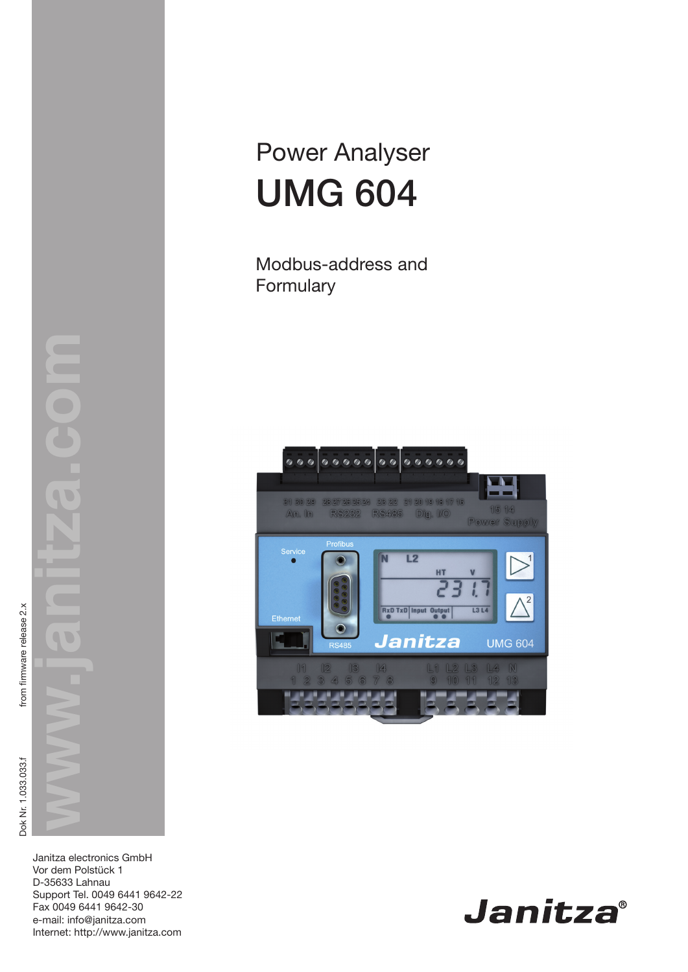# Power Analyser UMG 604

Modbus-address and Formulary



Janitza electronics GmbH Vor dem Polstück 1 D-35633 Lahnau Support Tel. 0049 6441 9642-22 Fax 0049 6441 9642-30 e-mail: info@janitza.com<br>Internet: http://www.janitza.com

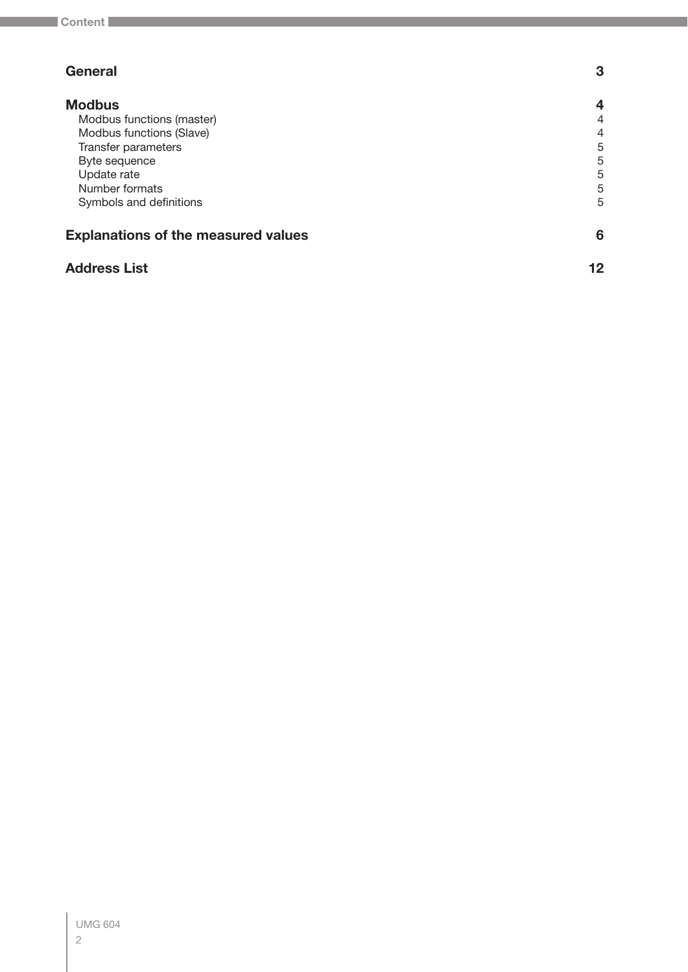| <b>General</b>                             | 3              |
|--------------------------------------------|----------------|
| <b>Modbus</b>                              | 4              |
| Modbus functions (master)                  | 4              |
| Modbus functions (Slave)                   | $\overline{4}$ |
| Transfer parameters                        | 5              |
| Byte sequence                              | 5              |
| Update rate                                | 5              |
| Number formats                             | 5              |
| Symbols and definitions                    | 5              |
| <b>Explanations of the measured values</b> | 6              |
| <b>Address List</b>                        | 12             |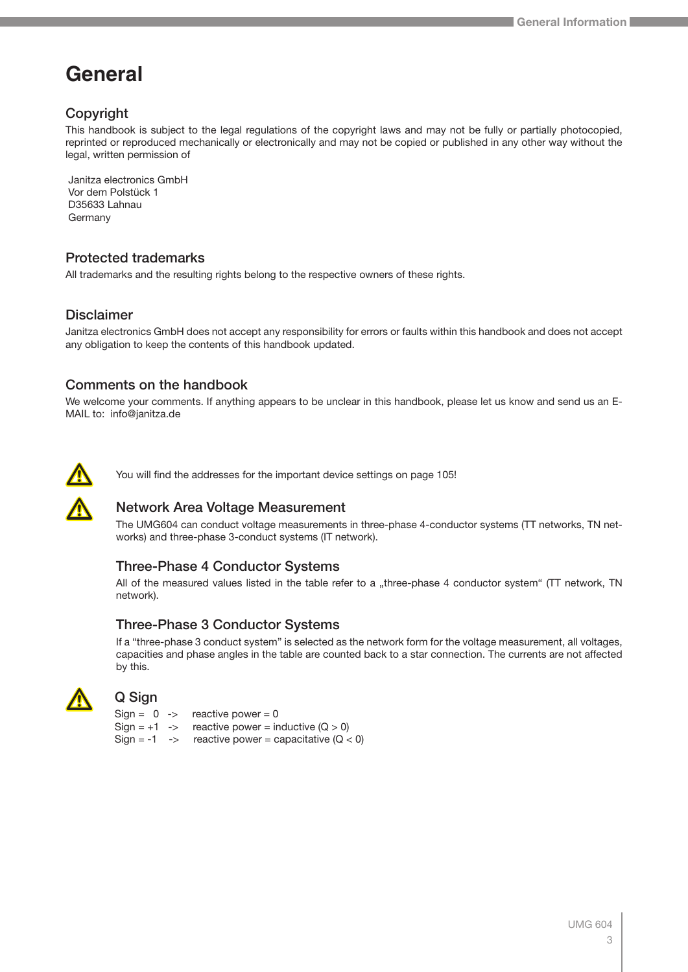## <span id="page-2-0"></span>**General**

## Copyright

This handbook is subject to the legal regulations of the copyright laws and may not be fully or partially photocopied, reprinted or reproduced mechanically or electronically and may not be copied or published in any other way without the legal, written permission of

 Janitza electronics GmbH Vor dem Polstück 1 D35633 Lahnau Germany

## Protected trademarks

All trademarks and the resulting rights belong to the respective owners of these rights.

#### **Disclaimer**

Janitza electronics GmbH does not accept any responsibility for errors or faults within this handbook and does not accept any obligation to keep the contents of this handbook updated.

#### Comments on the handbook

We welcome your comments. If anything appears to be unclear in this handbook, please let us know and send us an E-MAIL to: info@janitza.de



 $\sum_{i=1}^{n}$ 

You will find the addresses for the important device settings on page 105!

## Network Area Voltage Measurement

The UMG604 can conduct voltage measurements in three-phase 4-conductor systems (TT networks, TN networks) and three-phase 3-conduct systems (IT network).

#### Three-Phase 4 Conductor Systems

All of the measured values listed in the table refer to a "three-phase 4 conductor system" (TT network, TN network).

#### Three-Phase 3 Conductor Systems

If a "three-phase 3 conduct system" is selected as the network form for the voltage measurement, all voltages, capacities and phase angles in the table are counted back to a star connection. The currents are not affected by this.



#### Q Sign

 $Sign = 0 \rightarrow$  reactive power = 0 Sign =  $+1$  -> reactive power = inductive  $(Q > 0)$ Sign = -1 -> reactive power = capacitative  $(Q < 0)$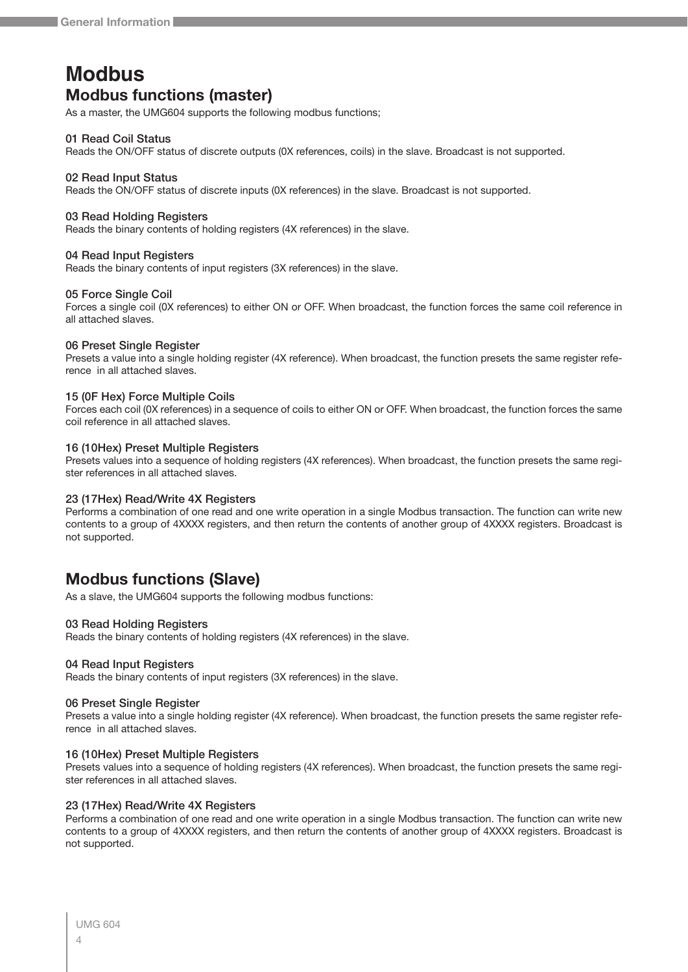## <span id="page-3-0"></span>**Modbus Modbus functions (master)**

As a master, the UMG604 supports the following modbus functions;

#### 01 Read Coil Status

Reads the ON/OFF status of discrete outputs (0X references, coils) in the slave. Broadcast is not supported.

#### 02 Read Input Status

Reads the ON/OFF status of discrete inputs (0X references) in the slave. Broadcast is not supported.

#### 03 Read Holding Registers

Reads the binary contents of holding registers (4X references) in the slave.

#### 04 Read Input Registers

Reads the binary contents of input registers (3X references) in the slave.

#### 05 Force Single Coil

Forces a single coil (0X references) to either ON or OFF. When broadcast, the function forces the same coil reference in all attached slaves.

#### 06 Preset Single Register

Presets a value into a single holding register (4X reference). When broadcast, the function presets the same register reference in all attached slaves.

#### 15 (0F Hex) Force Multiple Coils

Forces each coil (0X references) in a sequence of coils to either ON or OFF. When broadcast, the function forces the same coil reference in all attached slaves.

#### 16 (10Hex) Preset Multiple Registers

Presets values into a sequence of holding registers (4X references). When broadcast, the function presets the same register references in all attached slaves.

#### 23 (17Hex) Read/Write 4X Registers

Performs a combination of one read and one write operation in a single Modbus transaction. The function can write new contents to a group of 4XXXX registers, and then return the contents of another group of 4XXXX registers. Broadcast is not supported.

## **Modbus functions (Slave)**

As a slave, the UMG604 supports the following modbus functions:

#### 03 Read Holding Registers

Reads the binary contents of holding registers (4X references) in the slave.

#### 04 Read Input Registers

Reads the binary contents of input registers (3X references) in the slave.

#### 06 Preset Single Register

Presets a value into a single holding register (4X reference). When broadcast, the function presets the same register reference in all attached slaves.

#### 16 (10Hex) Preset Multiple Registers

Presets values into a sequence of holding registers (4X references). When broadcast, the function presets the same register references in all attached slaves.

#### 23 (17Hex) Read/Write 4X Registers

Performs a combination of one read and one write operation in a single Modbus transaction. The function can write new contents to a group of 4XXXX registers, and then return the contents of another group of 4XXXX registers. Broadcast is not supported.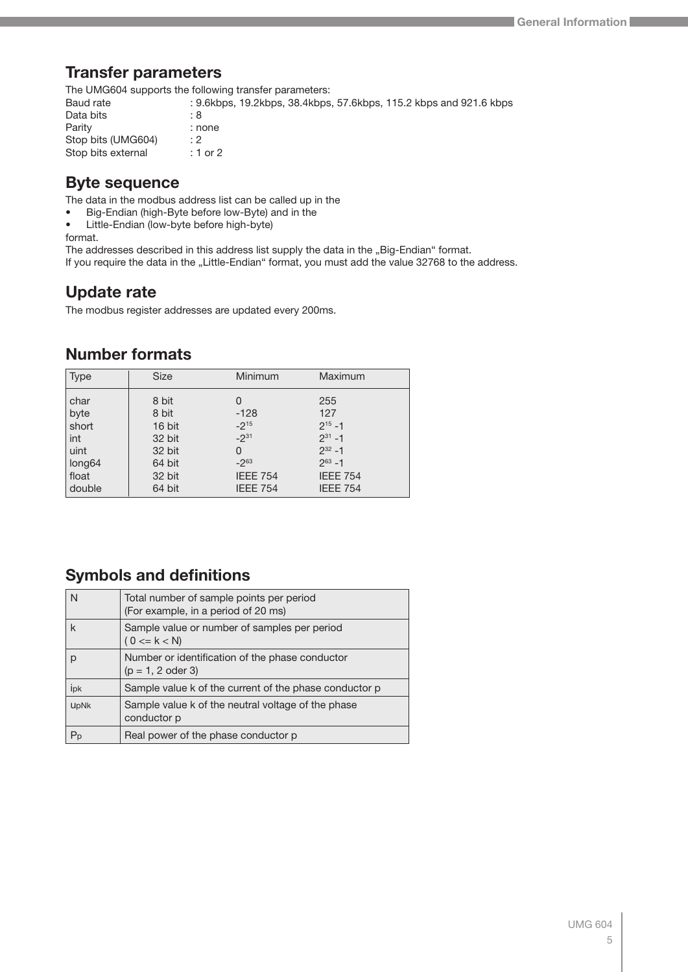## <span id="page-4-0"></span>**Transfer parameters**

The UMG604 supports the following transfer parameters:

Baud rate : 9.6kbps, 19.2kbps, 38.4kbps, 57.6kbps, 115.2 kbps and 921.6 kbps Data bits : 8<br>Parity : 10 : none Stop bits (UMG604) : 2 Stop bits external : 1 or 2

## **Byte sequence**

The data in the modbus address list can be called up in the

- Big-Endian (high-Byte before low-Byte) and in the
- Little-Endian (low-byte before high-byte)

format.

The addresses described in this address list supply the data in the "Big-Endian" format.

If you require the data in the "Little-Endian" format, you must add the value 32768 to the address.

## **Update rate**

The modbus register addresses are updated every 200ms.

## **Number formats**

| <b>Type</b>        | <b>Size</b> | Minimum         | Maximum         |
|--------------------|-------------|-----------------|-----------------|
| char               | 8 bit       | 0               | 255             |
| byte               | 8 bit       | $-128$          | 127             |
| short              | 16 bit      | $-2^{15}$       | $2^{15} - 1$    |
| int                | 32 bit      | $-2^{31}$       | $2^{31} - 1$    |
| uint               | 32 bit      | 0               | $2^{32} - 1$    |
| long <sub>64</sub> | 64 bit      | $-2^{63}$       | $2^{63} - 1$    |
| float              | 32 bit      | <b>IEEE 754</b> | <b>IEEE 754</b> |
| double             | 64 bit      | <b>IEEE 754</b> | <b>IEEE 754</b> |

## **Symbols and definitions**

| N                | Total number of sample points per period<br>(For example, in a period of 20 ms) |
|------------------|---------------------------------------------------------------------------------|
| k                | Sample value or number of samples per period<br>$(0 \le k \le N)$               |
|                  | Number or identification of the phase conductor<br>$(p = 1, 2$ oder 3)          |
| ipk              | Sample value k of the current of the phase conductor p                          |
| <b>UpNk</b>      | Sample value k of the neutral voltage of the phase<br>conductor p               |
| $P_{\mathsf{p}}$ | Real power of the phase conductor p                                             |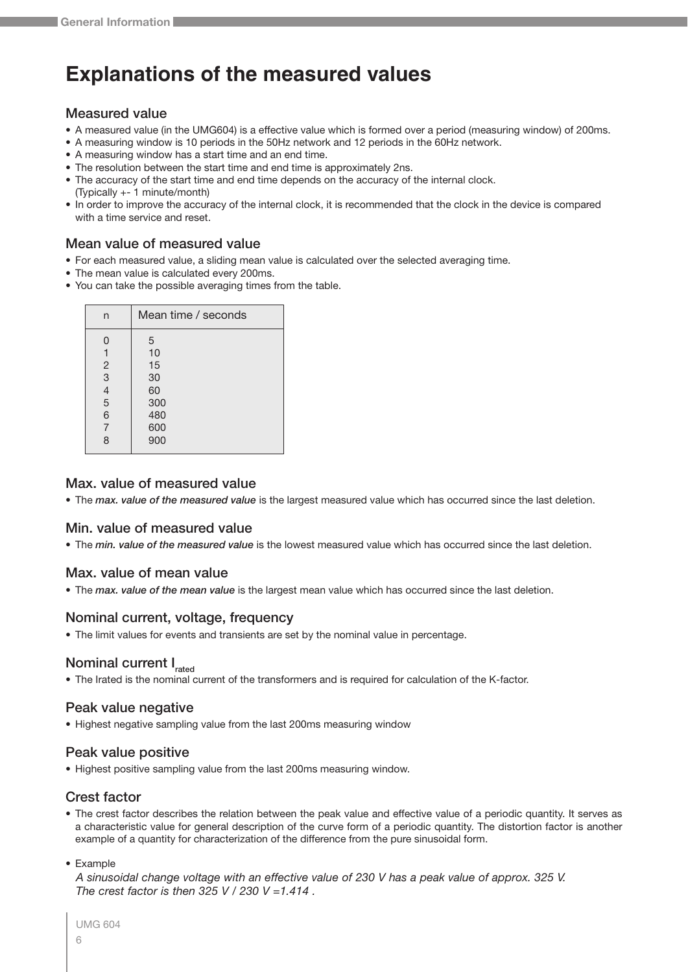## <span id="page-5-0"></span>**Explanations of the measured values**

#### Measured value

- A measured value (in the UMG604) is a effective value which is formed over a period (measuring window) of 200ms.
- A measuring window is 10 periods in the 50Hz network and 12 periods in the 60Hz network.
- A measuring window has a start time and an end time.
- The resolution between the start time and end time is approximately 2ns.
- The accuracy of the start time and end time depends on the accuracy of the internal clock. (Typically +- 1 minute/month)
- In order to improve the accuracy of the internal clock, it is recommended that the clock in the device is compared with a time service and reset.

#### Mean value of measured value

- For each measured value, a sliding mean value is calculated over the selected averaging time.
- The mean value is calculated every 200ms.
- You can take the possible averaging times from the table.

| n              | Mean time / seconds |
|----------------|---------------------|
| 0              | 5                   |
| 1              | 10                  |
| 2              | 15                  |
| 3              | 30                  |
| $\frac{4}{5}$  | 60                  |
|                | 300                 |
| 6              | 480                 |
| $\overline{7}$ | 600                 |
| 8              | 900                 |

#### Max. value of measured value

• The *max. value of the measured value* is the largest measured value which has occurred since the last deletion.

#### Min. value of measured value

• The *min. value of the measured value* is the lowest measured value which has occurred since the last deletion.

#### Max. value of mean value

• The *max. value of the mean value* is the largest mean value which has occurred since the last deletion.

#### Nominal current, voltage, frequency

• The limit values for events and transients are set by the nominal value in percentage.

## Nominal current I<sub>rated</sub>

• The Irated is the nominal current of the transformers and is required for calculation of the K-factor.

#### Peak value negative

• Highest negative sampling value from the last 200ms measuring window

#### Peak value positive

• Highest positive sampling value from the last 200ms measuring window.

#### Crest factor

- The crest factor describes the relation between the peak value and effective value of a periodic quantity. It serves as a characteristic value for general description of the curve form of a periodic quantity. The distortion factor is another example of a quantity for characterization of the difference from the pure sinusoidal form.
- Example

*A sinusoidal change voltage with an effective value of 230 V has a peak value of approx. 325 V. The crest factor is then 325 V / 230 V =1.414 .*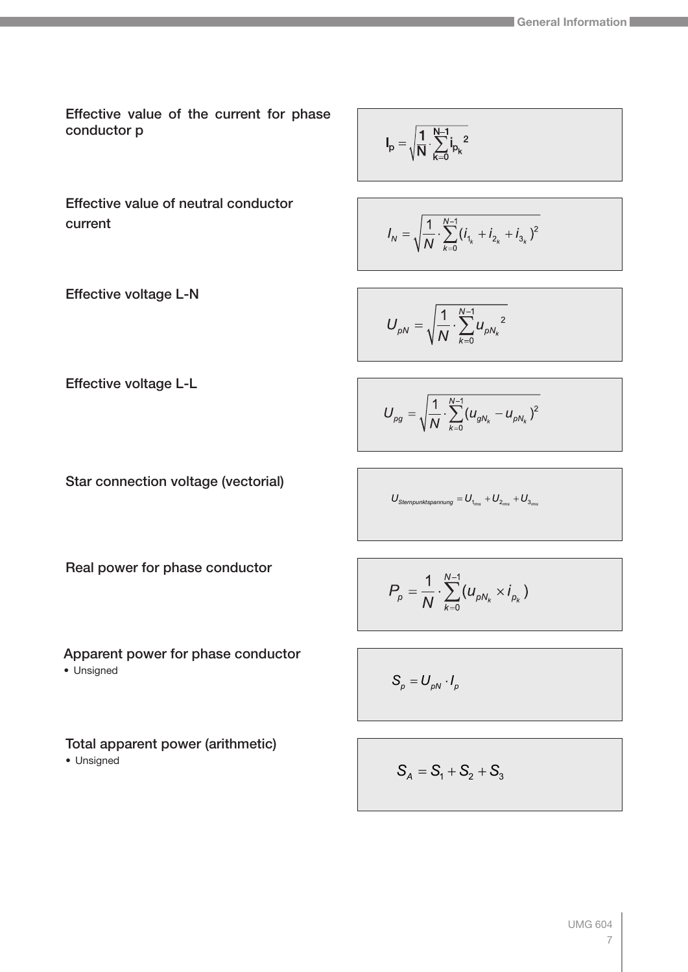Effective value of the current for phase conductor p

$$
I_p=\sqrt{\frac{1}{N}\cdot\sum_{k=0}^{N-1}i_{p_k}^{\phantom{p_k}}^{\phantom{p_k}}}
$$

Effective value of neutral conductor current

$$
I_p=\sqrt{\frac{1}{N}\cdot\sum_{k=0}^{N-1}i_{p_k}^{\phantom{p_2}}^{\phantom{p_2}}}
$$

$$
I_N = \sqrt{\frac{1}{N} \cdot \sum_{k=0}^{N-1} (i_{1_k} + i_{2_k} + i_{3_k})^2}
$$

Effective voltage L-N

$$
U_{\rho N} = \sqrt{\frac{1}{N} \cdot \sum_{k=0}^{N-1} u_{\rho N_k}^2}
$$

Effective voltage L-L

$$
U_{\rho g} = \sqrt{\frac{1}{N} \cdot \sum_{k=0}^{N-1} (u_{gN_k} - u_{\rho N_k})^2}
$$

Star connection voltage (vectorial)

$$
U_{\textit{Sternpunktspannung}} = U_{_{1_{\textit{rms}}}} + U_{_{2_{\textit{rms}}}} + U_{_{3_{\textit{rms}}}}
$$

Real power for phase conductor

Apparent power for phase conductor

• Unsigned

Total apparent power (arithmetic)

• Unsigned

$$
P_p = \frac{1}{N} \cdot \sum_{k=0}^{N-1} (u_{pN_k} \times i_{p_k})
$$

$$
S_p = U_{pN} \cdot I_p
$$

$$
\mathbf{S}_A = \mathbf{S}_1 + \mathbf{S}_2 + \mathbf{S}_3
$$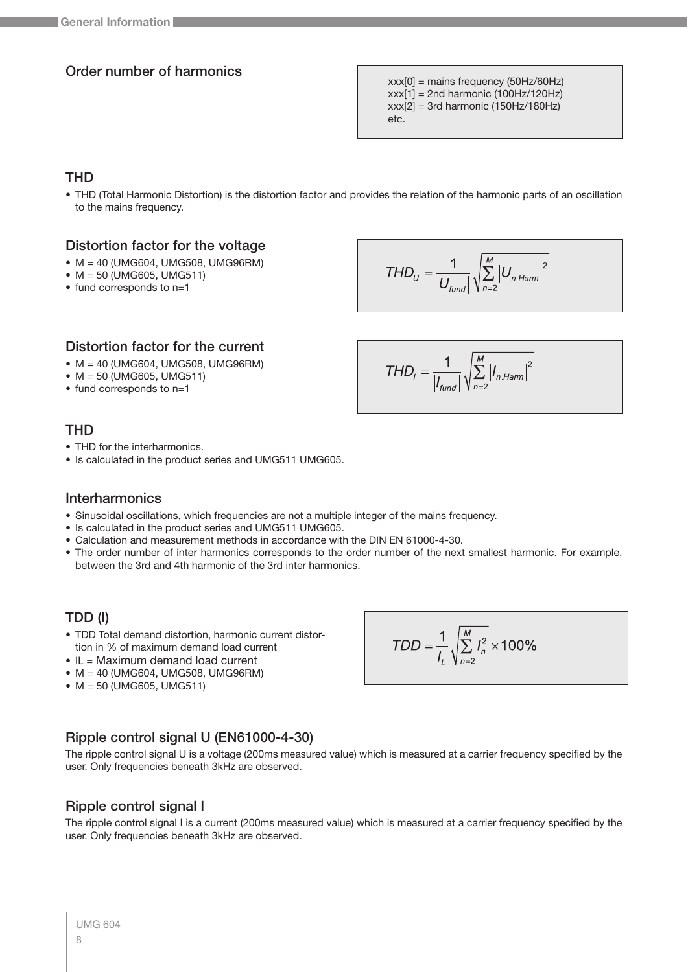#### Order number of harmonics

 $xxx[0]$  = mains frequency (50Hz/60Hz)  $xxx[1] = 2nd harmonic (100Hz/120Hz)$  $xxx[2] = 3rd$  harmonic (150Hz/180Hz) etc.

## THD

- THD (Total Harmonic Distortion) is the distortion factor and provides the relation of the harmonic parts of an oscillation to the mains frequency.
- Distortion factor for the voltage
- M = 40 (UMG604, UMG508, UMG96RM)
- M = 50 (UMG605, UMG511)
- fund corresponds to n=1

$$
THD_{U} = \frac{1}{\left|U_{\text{fund}}\right|} \sqrt{\sum_{n=2}^{M} \left|U_{n\text{.Ham}}\right|^{2}}
$$

 $THD_i = \frac{1}{|I_{\text{fund}}|} \sqrt{\sum_{n=2}^{M} |I_{n,Ham}|^2}$ 

#### Distortion factor for the current

- M = 40 (UMG604, UMG508, UMG96RM)
- $M = 50$  (UMG605, UMG511)
- fund corresponds to n=1

#### THD

- THD for the interharmonics.
- Is calculated in the product series and UMG511 UMG605.

#### **Interharmonics**

- Sinusoidal oscillations, which frequencies are not a multiple integer of the mains frequency.
- Is calculated in the product series and UMG511 UMG605.
- Calculation and measurement methods in accordance with the DIN EN 61000-4-30.
- The order number of inter harmonics corresponds to the order number of the next smallest harmonic. For example, between the 3rd and 4th harmonic of the 3rd inter harmonics.

## TDD (I)

- TDD Total demand distortion, harmonic current distortion in % of maximum demand load current
- IL = Maximum demand load current
- M = 40 (UMG604, UMG508, UMG96RM)
- M = 50 (UMG605, UMG511)

$$
\mathcal{L}^{\mathcal{L}}(\mathcal{L}^{\mathcal{L}}(\mathcal{L}^{\mathcal{L}}))
$$

## Ripple control signal U (EN61000-4-30)

The ripple control signal U is a voltage (200ms measured value) which is measured at a carrier frequency specified by the user. Only frequencies beneath 3kHz are observed.

#### Ripple control signal I

The ripple control signal I is a current (200ms measured value) which is measured at a carrier frequency specified by the user. Only frequencies beneath 3kHz are observed.

$$
TDD = \frac{1}{l_L} \sqrt{\sum_{n=2}^{M} I_n^2} \times 100\%
$$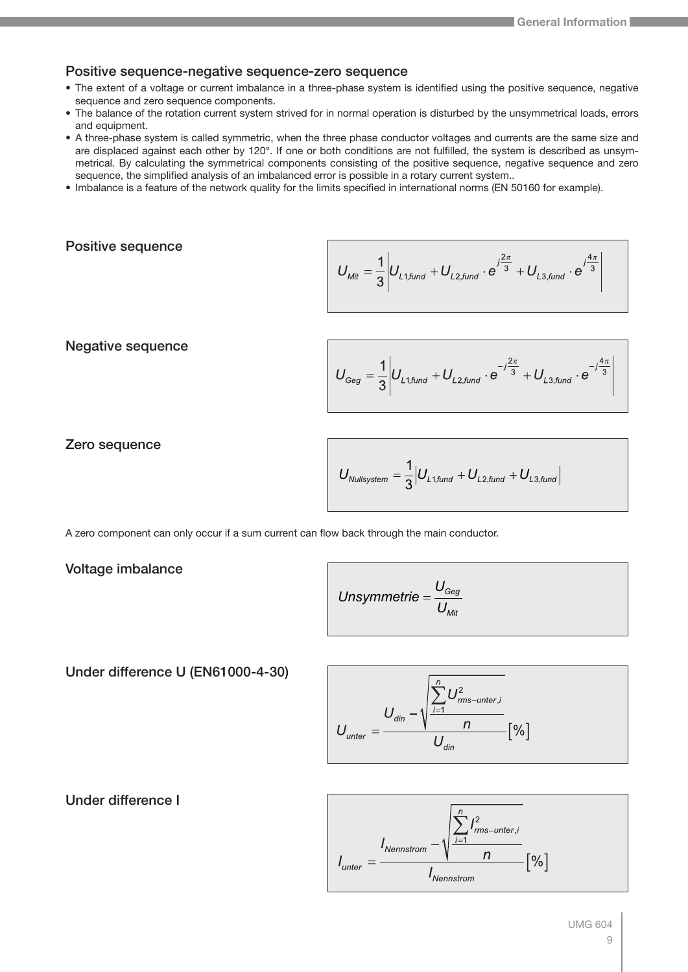#### Positive sequence-negative sequence-zero sequence

- The extent of a voltage or current imbalance in a three-phase system is identified using the positive sequence, negative sequence and zero sequence components.
- The balance of the rotation current system strived for in normal operation is disturbed by the unsymmetrical loads, errors and equipment.
- A three-phase system is called symmetric, when the three phase conductor voltages and currents are the same size and are displaced against each other by 120°. If one or both conditions are not fulfilled, the system is described as unsymmetrical. By calculating the symmetrical components consisting of the positive sequence, negative sequence and zero sequence, the simplified analysis of an imbalanced error is possible in a rotary current system..
- Imbalance is a feature of the network quality for the limits specified in international norms (EN 50160 for example).

#### Positive sequence

$$
U_{\textit{Mit}} = \frac{1}{3} \left| U_{\textit{L1,fund}} + U_{\textit{L2,fund}} \cdot e^{j\frac{2\pi}{3}} + U_{\textit{L3,fund}} \cdot e^{j\frac{4\pi}{3}} \right|
$$

Negative sequence

$$
U_{Geg} = \frac{1}{3} \left| U_{L1, \text{fund}} + U_{L2, \text{fund}} \cdot e^{-j\frac{2\pi}{3}} + U_{L3, \text{fund}} \cdot e^{-j\frac{4\pi}{3}} \right|
$$

Zero sequence

$$
U_{\textit{Nullsystem}} = \frac{1}{3} \Big| U_{\textit{L1,fund}} + U_{\textit{L2,fund}} + U_{\textit{L3,fund}} \Big|
$$

A zero component can only occur if a sum current can flow back through the main conductor.

#### Voltage imbalance

Unsymmetric = 
$$
\frac{U_{\text{Geg}}}{U_{\text{Mit}}}
$$

#### Under difference U (EN61000-4-30)

$$
U_{\text{unter}} = \frac{U_{\text{din}} - \sqrt{\frac{\sum_{i=1}^{n} U_{\text{rms-unter},i}^{2}}{n}}}{U_{\text{din}}}
$$
 [%]



Under difference I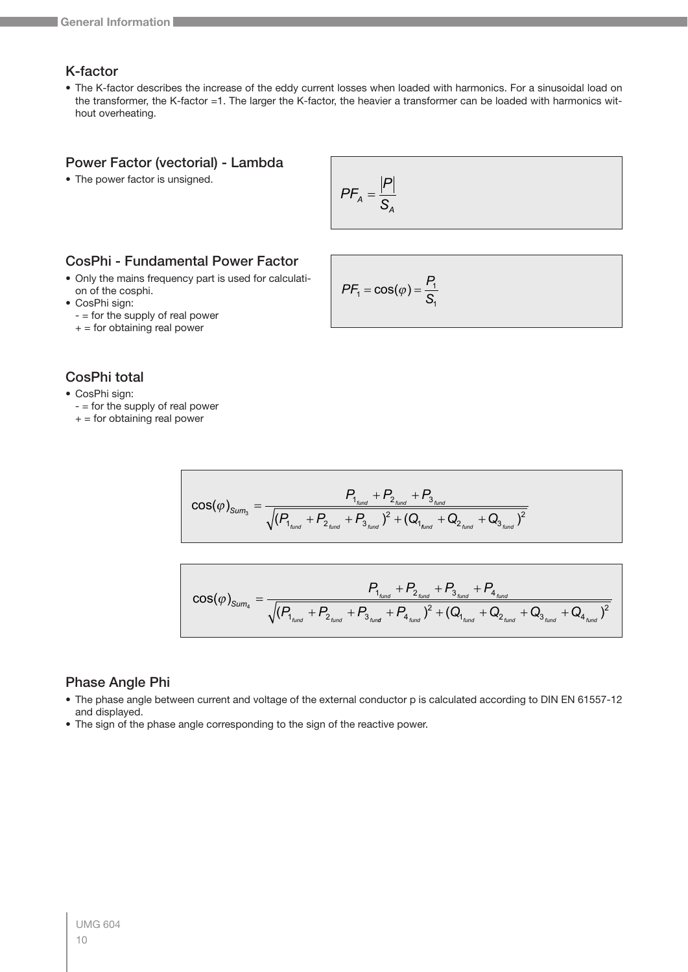## K-factor

• The K-factor describes the increase of the eddy current losses when loaded with harmonics. For a sinusoidal load on the transformer, the K-factor =1. The larger the K-factor, the heavier a transformer can be loaded with harmonics without overheating.

#### Power Factor (vectorial) - Lambda

• The power factor is unsigned.

$$
PF_A = \frac{|P|}{S_A}
$$

#### CosPhi - Fundamental Power Factor

- Only the mains frequency part is used for calculation of the cosphi.
- CosPhi sign:
	- = for the supply of real power
	- $+$  = for obtaining real power

$$
PF_1 = \cos(\varphi) = \frac{P_1}{S_1}
$$

## CosPhi total

- CosPhi sign:
	- = for the supply of real power
	- $+$  = for obtaining real power

$$
\text{COS}(\varphi)_{\text{Sum}_3} = \frac{P_{\text{1}_{\text{fund}}} + P_{\text{2}_{\text{fund}}} + P_{\text{3}_{\text{fund}}}}{\sqrt{(P_{\text{1}_{\text{fund}}} + P_{\text{2}_{\text{fund}}} + P_{\text{3}_{\text{fund}}})^2 + (Q_{\text{1}_{\text{fund}}} + Q_{\text{2}_{\text{fund}}} + Q_{\text{3}_{\text{fund}}})^2}}
$$

$$
\cos(\varphi)_{\text{Sum}_4} = \frac{P_{\text{1}_{\text{fund}}} + P_{\text{2}_{\text{fund}}} + P_{\text{3}_{\text{fund}}} + P_{\text{4}_{\text{fund}}}}{\sqrt{(P_{\text{1}_{\text{fund}}} + P_{\text{2}_{\text{fund}}} + P_{\text{3}_{\text{fund}}} + P_{\text{4}_{\text{fund}}})^2 + (Q_{\text{1}_{\text{fund}}} + Q_{\text{2}_{\text{fund}}} + Q_{\text{3}_{\text{fund}}} + Q_{\text{4}_{\text{fund}}})^2}}
$$

#### Phase Angle Phi

- The phase angle between current and voltage of the external conductor p is calculated according to DIN EN 61557-12 and displayed.
- The sign of the phase angle corresponding to the sign of the reactive power.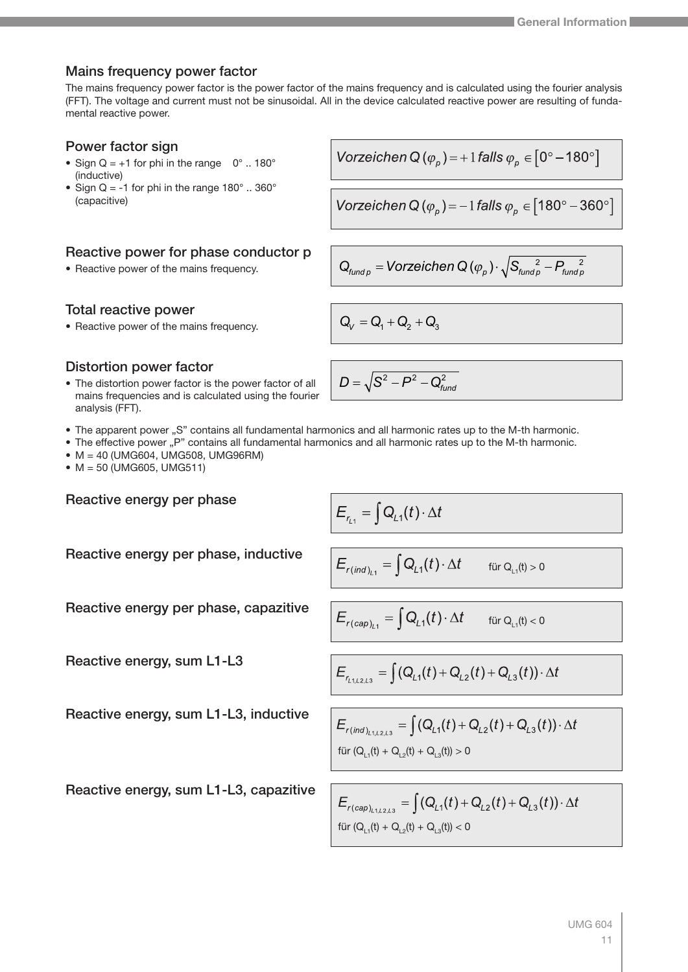#### Mains frequency power factor

The mains frequency power factor is the power factor of the mains frequency and is calculated using the fourier analysis (FFT). The voltage and current must not be sinusoidal. All in the device calculated reactive power are resulting of fundamental reactive power.

#### Power factor sign

- Sign  $Q = +1$  for phi in the range  $0^\circ$  .. 180° (inductive)
- Sign Q = -1 for phi in the range  $180^\circ$  .. 360° (capacitive)

## Reactive power for phase conductor p

• Reactive power of the mains frequency.

#### Total reactive power

• Reactive power of the mains frequency.  $Q_V = Q_1 + Q_2 + Q_3$ 

#### Distortion power factor

- The distortion power factor is the power factor of all mains frequencies and is calculated using the fourier analysis (FFT).
- The apparent power "S" contains all fundamental harmonics and all harmonic rates up to the M-th harmonic.
- The effective power "P" contains all fundamental harmonics and all harmonic rates up to the M-th harmonic.
- M = 40 (UMG604, UMG508, UMG96RM)
- M = 50 (UMG605, UMG511)

Reactive energy per phase

Reactive energy per phase, inductive

Reactive energy per phase, capazitive

Reactive energy, sum L1-L3

Reactive energy, sum L1-L3, inductive

Reactive energy, sum L1-L3, capazitive

$$
\textit{Vorzeichen Q} \left( \varphi_p \right) = +1 \, \textit{falls } \varphi_p \in \left[0^\circ - 180^\circ\right]
$$

Vorzeichen Q
$$
(\varphi_p)
$$
 = -1 *falls*  $\varphi_p \in [180^\circ - 360^\circ]$ 

$$
\boldsymbol{Q}_{\text{fundp}} = \text{Vorzeichen} \ Q\left(\boldsymbol{\varphi}_{\text{p}}\right) \cdot \sqrt{S_{\text{fundp}}^2 - P_{\text{fundp}}^2}
$$

 $D = \sqrt{\mathsf{S}^2-\mathsf{P}^2-\mathsf{Q}^2_{\mathit{fund}}}$ 

$$
E_{r_{L1}} = \int Q_{L1}(t) \cdot \Delta
$$

$$
E_{r(\text{ind})_{L_1}} = \int Q_{L_1}(t) \cdot \Delta t \quad \text{für } Q_{L_1}(t) > 0
$$

$$
E_{r(cap)_{L1}} = \int Q_{L1}(t) \cdot \Delta t \quad \text{für } Q_{L1}(t) < 0
$$

$$
E_{r_{L1,L2,L3}} = \int (Q_{L1}(t) + Q_{L2}(t) + Q_{L3}(t)) \cdot \Delta t
$$

$$
E_{r(ind)_{L1,L2,L3}} = \int (Q_{L1}(t) + Q_{L2}(t) + Q_{L3}(t)) \cdot \Delta t
$$
  
für  $(Q_{L1}(t) + Q_{L2}(t) + Q_{L3}(t)) > 0$ 

$$
E_{r(cap)_{L1,L2,L3}} = \int (Q_{L1}(t) + Q_{L2}(t) + Q_{L3}(t)) \cdot \Delta t
$$
 für  $(Q_{L1}(t) + Q_{L2}(t) + Q_{L3}(t)) < 0$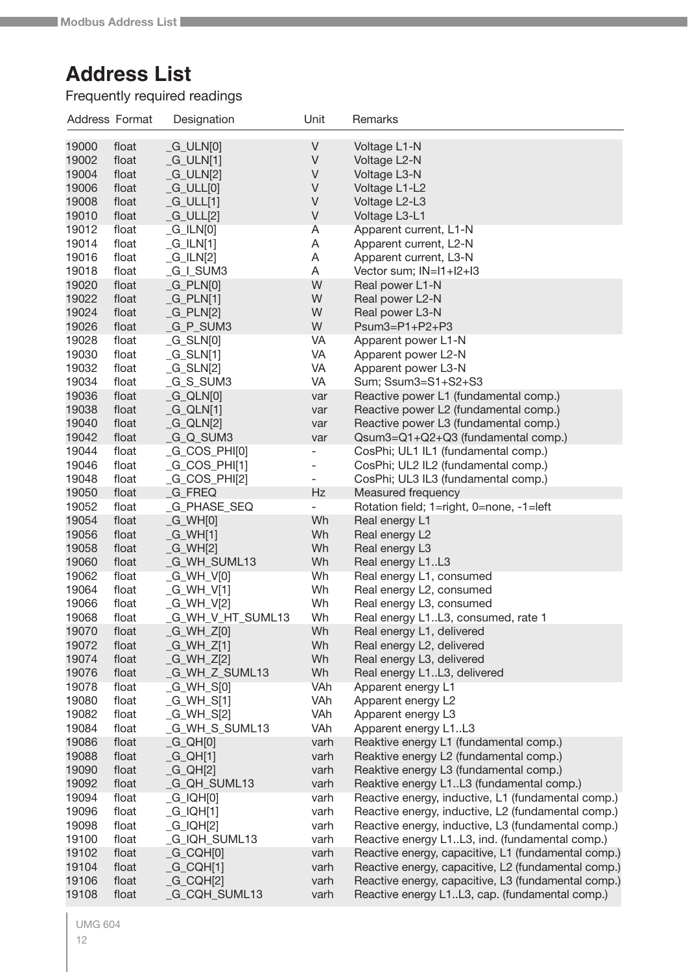## <span id="page-11-0"></span>Address Format Designation Unit Remarks **Address List**

Frequently required readings

| Address Format |       | Designation          | Unit                     | Remarks                                             |
|----------------|-------|----------------------|--------------------------|-----------------------------------------------------|
| 19000          | float | $-G_ULN[0]$          | V                        | Voltage L1-N                                        |
| 19002          | float | $_G_ULN[1]$          | V                        | Voltage L2-N                                        |
| 19004          | float | $-G_ULN[2]$          | V                        | Voltage L3-N                                        |
| 19006          | float | $-G_ULL[0]$          | V                        | Voltage L1-L2                                       |
| 19008          | float | $_G_ULU[1]$          | V                        | Voltage L2-L3                                       |
|                |       |                      | V                        |                                                     |
| 19010          | float | $-G_ULL[2]$          |                          | Voltage L3-L1                                       |
| 19012          | float | $_G$ ILN $[0]$       | Α                        | Apparent current, L1-N                              |
| 19014          | float | $_G/LN[1]$           | A                        | Apparent current, L2-N                              |
| 19016          | float | $-G$ _ILN $[2]$      | A                        | Apparent current, L3-N                              |
| 19018          | float | _G_I_SUM3            | A                        | Vector sum; IN=I1+I2+I3                             |
| 19020          | float | $_G_PLN[0]$          | W                        | Real power L1-N                                     |
| 19022          | float | $_G_PLN[1]$          | W                        | Real power L2-N                                     |
| 19024          | float | $-G_PLN[2]$          | W                        | Real power L3-N                                     |
| 19026          | float | _G_P_SUM3            | W                        | $Psum3=P1+P2+P3$                                    |
| 19028          | float | $_G_SLN[0]$          | VA                       | Apparent power L1-N                                 |
| 19030          | float | $_G_SLN[1]$          | VA                       | Apparent power L2-N                                 |
| 19032          | float | $_G_SLN[2]$          | VA                       | Apparent power L3-N                                 |
| 19034          | float | _G_S_SUM3            | VA                       | Sum; Ssum3=S1+S2+S3                                 |
| 19036          | float | $_G_QLN[0]$          | var                      | Reactive power L1 (fundamental comp.)               |
| 19038          | float | $_G_QLN[1]$          | var                      | Reactive power L2 (fundamental comp.)               |
| 19040          | float | $_G_QLN[2]$          | var                      | Reactive power L3 (fundamental comp.)               |
| 19042          | float | G_Q_SUM3             | var                      | Qsum3=Q1+Q2+Q3 (fundamental comp.)                  |
| 19044          | float | _G_COS_PHI[0]        | $\overline{\phantom{0}}$ | CosPhi; UL1 IL1 (fundamental comp.)                 |
| 19046          | float | $_G_{COS_PHH[1]}$    |                          | CosPhi; UL2 IL2 (fundamental comp.)                 |
| 19048          | float | _G_COS_PHI[2]        | $\overline{\phantom{0}}$ | CosPhi; UL3 IL3 (fundamental comp.)                 |
| 19050          | float | <b>G_FREQ</b>        | Hz                       | Measured frequency                                  |
| 19052          | float | <b>G_PHASE_SEQ</b>   |                          | Rotation field; 1=right, 0=none, -1=left            |
| 19054          | float | $_G_WH[0]$           | Wh                       | Real energy L1                                      |
| 19056          | float | $_G_WH[1]$           | Wh                       | Real energy L2                                      |
| 19058          | float | _G_WH[2]             | Wh                       | Real energy L3                                      |
| 19060          | float | _G_WH_SUML13         | Wh                       | Real energy L1L3                                    |
| 19062          | float | _G_WH_V[0]           | Wh                       | Real energy L1, consumed                            |
| 19064          | float | _G_WH_V[1]           | Wh                       | Real energy L2, consumed                            |
| 19066          | float | $_G_WH_V[2]$         | Wh                       | Real energy L3, consumed                            |
| 19068          | float | G_WH_V_HT_SUML13     | Wh                       | Real energy L1L3, consumed, rate 1                  |
| 19070          | float | $-G_WH_Z[0]$         | Wh                       | Real energy L1, delivered                           |
| 19072          | float | $-G$ WH_Z[1]         | Wh                       | Real energy L2, delivered                           |
| 19074          | float | _G_WH_Z[2]           | Wh                       | Real energy L3, delivered                           |
| 19076          | float | _G_WH_Z_SUML13       | Wh                       | Real energy L1L3, delivered                         |
| 19078          | float | $_G_WH_S[0]$         | VAh                      | Apparent energy L1                                  |
| 19080          | float | $_G_WH_S[1]$         | VAh                      | Apparent energy L2                                  |
| 19082          | float | $_G_WH_S[2]$         | VAh                      | Apparent energy L3                                  |
| 19084          | float | _G_WH_S_SUML13       | VAh                      | Apparent energy L1L3                                |
| 19086          | float | $_G_Q(H[0]$          | varh                     | Reaktive energy L1 (fundamental comp.)              |
| 19088          | float | $_G_QH[1]$           | varh                     | Reaktive energy L2 (fundamental comp.)              |
| 19090          | float | $_G_QH[2]$           | varh                     | Reaktive energy L3 (fundamental comp.)              |
| 19092          | float | _G_QH_SUML13         | varh                     | Reaktive energy L1L3 (fundamental comp.)            |
| 19094          | float | $_G$ $Q$ $H[0]$      | varh                     | Reactive energy, inductive, L1 (fundamental comp.)  |
| 19096          | float | $_G$ $Q$ $H$ [1]     | varh                     | Reactive energy, inductive, L2 (fundamental comp.)  |
| 19098          | float | $_G$ $Q$ $Q$ $H$ $2$ | varh                     | Reactive energy, inductive, L3 (fundamental comp.)  |
| 19100          | float | _G_IQH_SUML13        | varh                     | Reactive energy L1L3, ind. (fundamental comp.)      |
| 19102          | float | $_G_CQH[0]$          | varh                     | Reactive energy, capacitive, L1 (fundamental comp.) |
| 19104          | float | $_G_CQH[1]$          | varh                     | Reactive energy, capacitive, L2 (fundamental comp.) |
| 19106          | float | $_G_CQH[2]$          | varh                     | Reactive energy, capacitive, L3 (fundamental comp.) |
| 19108          | float | _G_CQH_SUML13        | varh                     | Reactive energy L1L3, cap. (fundamental comp.)      |
|                |       |                      |                          |                                                     |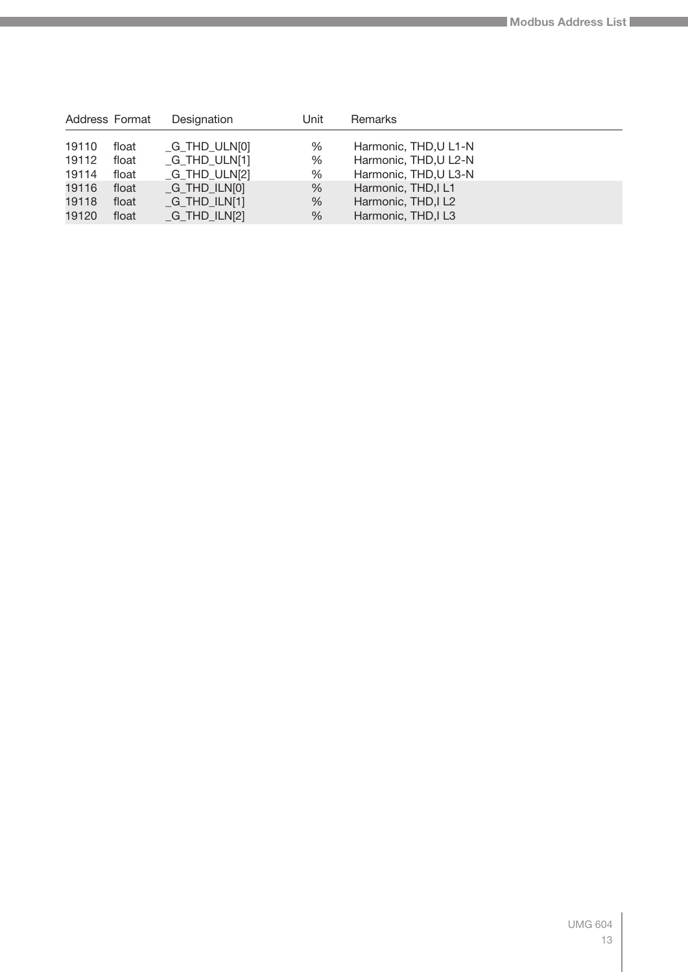| Address Format |       | Designation                      | Unit | Remarks               |
|----------------|-------|----------------------------------|------|-----------------------|
| 19110          | float | $_G$ THD_ULN $[0]$               | %    | Harmonic, THD, U L1-N |
| 19112          | float | G THD ULN[1]                     | %    | Harmonic, THD, U L2-N |
| 19114          | float | $_G$ _THD_ULN[2]                 | %    | Harmonic, THD, U L3-N |
| 19116          | float | $-G$ <sub>THD</sub> $I$ LN $[0]$ | %    | Harmonic, THD, IL1    |
| 19118          | float | $-G$ <sub>THD</sub> $I$ LN $[1]$ | %    | Harmonic, THD, IL2    |
| 19120          | float | $-G$ <sub>THD</sub> $ILN[2]$     | %    | Harmonic, THD, IL3    |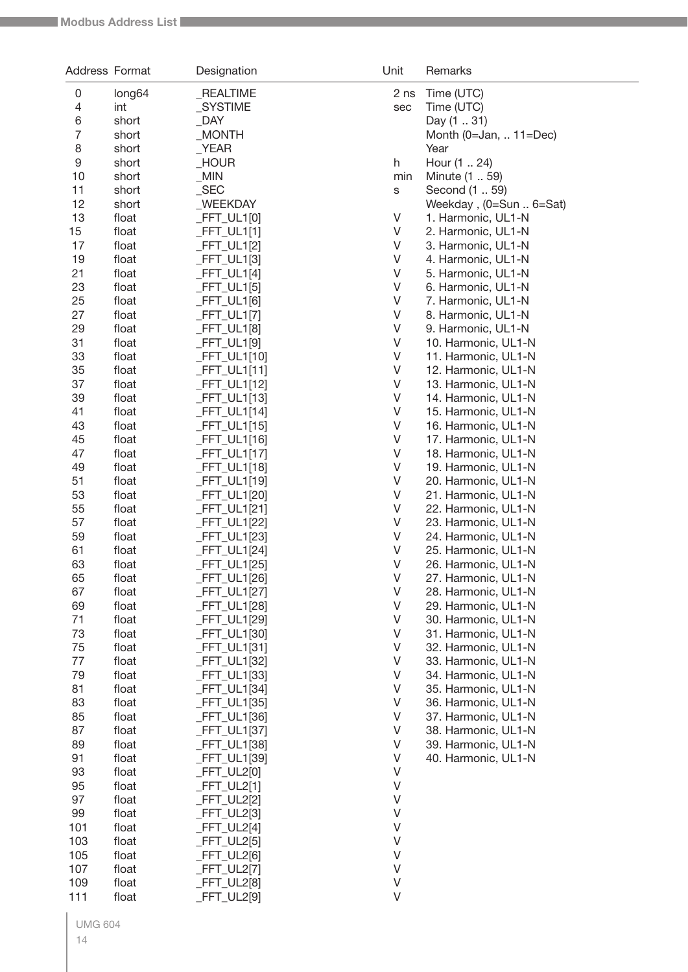| Address Format |                | Designation                | Unit    | Remarks                                    |
|----------------|----------------|----------------------------|---------|--------------------------------------------|
| $\mathsf 0$    | long64         | _REALTIME                  | 2 ns    | Time (UTC)                                 |
| 4              | int            | _SYSTIME                   | sec     | Time (UTC)                                 |
| 6              | short          | <b>DAY</b>                 |         | Day (1  31)                                |
| 7              | short          | $\_MONTH$                  |         | Month (0=Jan,  11=Dec)                     |
| 8              | short          | YEAR                       |         | Year                                       |
| 9              | short          | _HOUR                      | h       | Hour (1  24)                               |
| 10             | short          | MIN                        | min     | Minute (1  59)                             |
| 11             | short          | $\_SEC$                    | S       | Second (1  59)                             |
| 12             | short          | _WEEKDAY                   |         | Weekday, (0=Sun  6=Sat)                    |
| 13             | float          | $-FFT_ULI[0]$              | V       | 1. Harmonic, UL1-N                         |
| 15             | float          | _FFT_UL1[1]                | V       | 2. Harmonic, UL1-N                         |
| 17             | float          | FFT_UL1[2]                 | V       | 3. Harmonic, UL1-N                         |
| 19             | float          | $FFT_ULI[3]$               | V       | 4. Harmonic, UL1-N                         |
| 21             | float          | $FFT_ULI[4]$               | V       | 5. Harmonic, UL1-N                         |
| 23             | float          | $FFT_ULI[5]$               | V       | 6. Harmonic, UL1-N                         |
| 25             | float          | $FFT_ULI[6]$               | V       | 7. Harmonic, UL1-N                         |
| 27             | float          | _FFT_UL1[7]                | V       | 8. Harmonic, UL1-N                         |
| 29             | float          | $FFT_ULI[8]$               | V       | 9. Harmonic, UL1-N                         |
| 31             | float          | _FFT_UL1[9]                | V       | 10. Harmonic, UL1-N                        |
| 33             | float          | FFT_UL1[10]                | V       | 11. Harmonic, UL1-N                        |
| 35             | float          | FFT_UL1[11]                | V       | 12. Harmonic, UL1-N                        |
| 37             | float          | FFT_UL1[12]                | V       | 13. Harmonic, UL1-N                        |
| 39             | float          | FFT_UL1[13]                | V       | 14. Harmonic, UL1-N                        |
| 41             | float          | FFT_UL1[14]                | V       | 15. Harmonic, UL1-N                        |
| 43             | float          | FFT_UL1[15]                | V       | 16. Harmonic, UL1-N                        |
| 45             | float          | $FFT_ULI[16]$              | V<br>V  | 17. Harmonic, UL1-N                        |
| 47             | float          | FFT_UL1[17]                | V       | 18. Harmonic, UL1-N                        |
| 49             | float          | FFT_UL1[18]                | V       | 19. Harmonic, UL1-N                        |
| 51             | float          | FFT_UL1[19]                | V       | 20. Harmonic, UL1-N                        |
| 53<br>55       | float<br>float | FFT_UL1[20]<br>FFT_UL1[21] | V       | 21. Harmonic, UL1-N                        |
| 57             | float          | FFT_UL1[22]                | V       | 22. Harmonic, UL1-N<br>23. Harmonic, UL1-N |
| 59             | float          | FFT_UL1[23]                | V       | 24. Harmonic, UL1-N                        |
| 61             | float          | FFT_UL1[24]                | V       | 25. Harmonic, UL1-N                        |
| 63             | float          | FFT_UL1[25]                | V       | 26. Harmonic, UL1-N                        |
| 65             | float          | _FFT_UL1[26]               | V       | 27. Harmonic, UL1-N                        |
| 67             | float          | FFT_UL1[27]                | V       | 28. Harmonic, UL1-N                        |
| 69             | float          | FFT_UL1[28]                | V       | 29. Harmonic, UL1-N                        |
| 71             | float          | FFT_UL1[29]                | V       | 30. Harmonic, UL1-N                        |
| 73             | float          | FFT_UL1[30]                | V       | 31. Harmonic, UL1-N                        |
| 75             | float          | FFT_UL1[31]                | V       | 32. Harmonic, UL1-N                        |
| 77             | float          | FFT_UL1[32]                | V       | 33. Harmonic, UL1-N                        |
| 79             | float          | FFT_UL1[33]                | V       | 34. Harmonic, UL1-N                        |
| 81             | float          | FFT_UL1[34]                | V       | 35. Harmonic, UL1-N                        |
| 83             | float          | FFT_UL1[35]                | V       | 36. Harmonic, UL1-N                        |
| 85             | float          | FFT_UL1[36]                | V       | 37. Harmonic, UL1-N                        |
| 87             | float          | _FFT_UL1[37]               | V       | 38. Harmonic, UL1-N                        |
| 89             | float          | FFT_UL1[38]                | V       | 39. Harmonic, UL1-N                        |
| 91             | float          | FFT_UL1[39]                | V       | 40. Harmonic, UL1-N                        |
| 93             | float          | _FFT_UL2[0]                | V       |                                            |
| 95             | float          | _FFT_UL2[1]                | V       |                                            |
| 97             | float          | _FFT_UL2[2]                | V       |                                            |
| 99             | float          | FFT_UL2[3]                 | V       |                                            |
| 101            | float          | $FFT_UL2[4]$               | V       |                                            |
| 103            | float          | _FFT_UL2[5]                | V       |                                            |
| 105            | float          | _FFT_UL2[6]                | V       |                                            |
| 107            | float          | _FFT_UL2[7]                | V       |                                            |
| 109            | float          | FFT_UL2[8]                 | $\vee$  |                                            |
| 111            | float          | FFT_UL2[9]                 | $\sf V$ |                                            |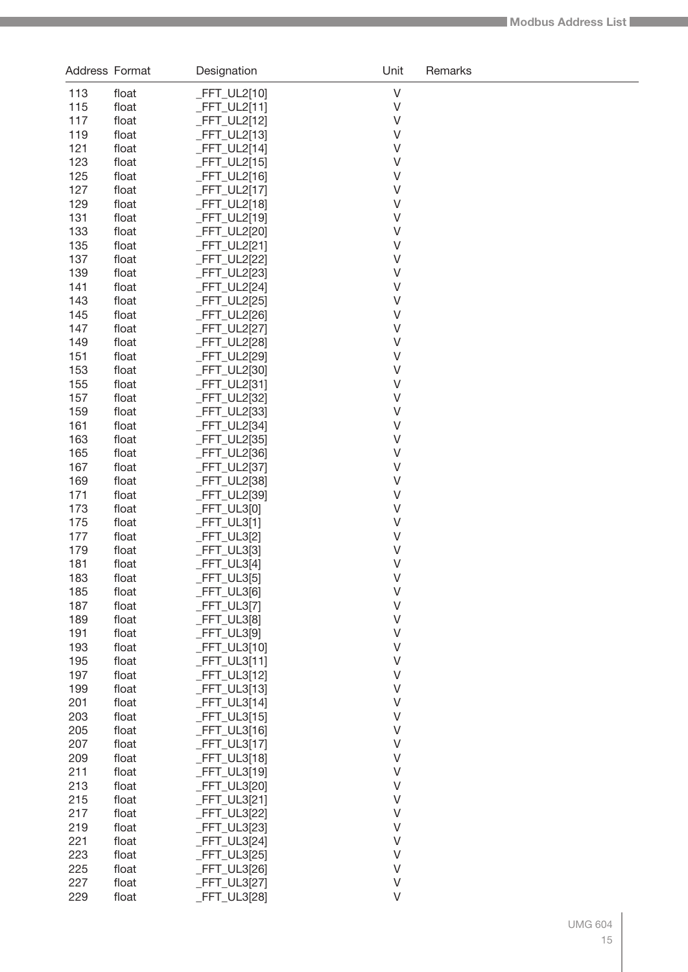|            | Address Format | Designation                    | Unit             | Remarks |
|------------|----------------|--------------------------------|------------------|---------|
| 113        | float          | $-FFT_UL2[10]$                 | $\vee$           |         |
| 115        | float          | $-FFT_UL2[11]$                 | $\vee$           |         |
| 117        | float          | _FFT_UL2[12]                   | V                |         |
| 119        | float          | $-FFT_UL2[13]$                 | V                |         |
| 121        | float          | $-FFT_UL2[14]$                 | V                |         |
| 123        | float          | $-FFT_UL2[15]$                 | V                |         |
| 125        | float          | $-FFT_UL2[16]$                 | V                |         |
| 127        | float          | _FFT_UL2[17]                   | V                |         |
| 129        | float          | _FFT_UL2[18]                   | V                |         |
| 131        | float          | _FFT_UL2[19]                   | V                |         |
| 133        | float          | _FFT_UL2[20]                   | V                |         |
| 135        | float          | _FFT_UL2[21]                   | V                |         |
| 137        | float          | _FFT_UL2[22]                   | V                |         |
| 139        | float          | _FFT_UL2[23]                   | V                |         |
| 141        | float          | _FFT_UL2[24]                   | V                |         |
| 143        | float          | _FFT_UL2[25]                   | V                |         |
| 145        | float          | _FFT_UL2[26]                   | V                |         |
| 147        | float          | _FFT_UL2[27]                   | V                |         |
| 149        | float          | _FFT_UL2[28]                   | V                |         |
| 151        | float          | _FFT_UL2[29]                   | V                |         |
| 153        | float          | _FFT_UL2[30]                   | V                |         |
| 155        | float          | _FFT_UL2[31]                   | V                |         |
| 157        | float          | _FFT_UL2[32]                   | V                |         |
| 159        | float          | _FFT_UL2[33]                   | V                |         |
| 161        | float          | _FFT_UL2[34]                   | V                |         |
| 163        | float          | _FFT_UL2[35]                   | $\vee$           |         |
| 165        | float          | $-FFT_UL2[36]$                 | $\vee$           |         |
| 167        | float          | _FFT_UL2[37]                   | $\vee$           |         |
| 169        | float          | _FFT_UL2[38]                   | $\vee$           |         |
| 171        | float          | _FFT_UL2[39]                   | $\vee$           |         |
| 173        | float          | $-FFT_UL3[0]$                  | $\vee$           |         |
| 175        | float          | $-FFT_UL3[1]$                  | $\vee$<br>$\vee$ |         |
| 177        | float          | $-FFT_UL3[2]$                  | $\vee$           |         |
| 179<br>181 | float          | $-FFT_UL3[3]$                  | $\vee$           |         |
| 183        | float          | $-FFT_UL3[4]$                  | V                |         |
| 185        | float          | $-FFT_UL3[5]$<br>$-FFT_UL3[6]$ | $\vee$           |         |
| 187        | float<br>float | $-FFT_UL3[7]$                  | $\vee$           |         |
| 189        | float          | $-FFT_UL3[8]$                  | $\vee$           |         |
| 191        | float          | $-FFT_UL3[9]$                  | $\vee$           |         |
| 193        | float          | $-FFT_UL3[10]$                 | $\vee$           |         |
| 195        | float          | _FFT_UL3[11]                   | $\vee$           |         |
| 197        | float          | $-FFT_UL3[12]$                 | $\vee$           |         |
| 199        | float          | $-FFT_UL3[13]$                 | $\vee$           |         |
| 201        | float          | $-FFT_UL3[14]$                 | $\vee$           |         |
| 203        | float          | $-FFT_UL3[15]$                 | $\vee$           |         |
| 205        | float          | $-FFT_UL3[16]$                 | $\vee$           |         |
| 207        | float          | $-FFT_UL3[17]$                 | $\vee$           |         |
| 209        | float          | $-FFT_UL3[18]$                 | $\vee$           |         |
| 211        | float          | $-FFT_UL3[19]$                 | $\vee$           |         |
| 213        | float          | _FFT_UL3[20]                   | $\vee$           |         |
| 215        | float          | $-FFT_UL3[21]$                 | $\vee$           |         |
| 217        | float          | $-FFT_UL3[22]$                 | $\vee$           |         |
| 219        | float          | $-FFT_UL3[23]$                 | $\vee$           |         |
| 221        | float          | $-FFT_UL3[24]$                 | $\vee$           |         |
| 223        | float          | $-FFT_UL3[25]$                 | $\vee$           |         |
| 225        | float          | $-FFT_UL3[26]$                 | $\vee$           |         |
| 227        | float          | $-FFT_UL3[27]$                 | $\vee$           |         |
| 229        | float          | _FFT_UL3[28]                   | $\vee$           |         |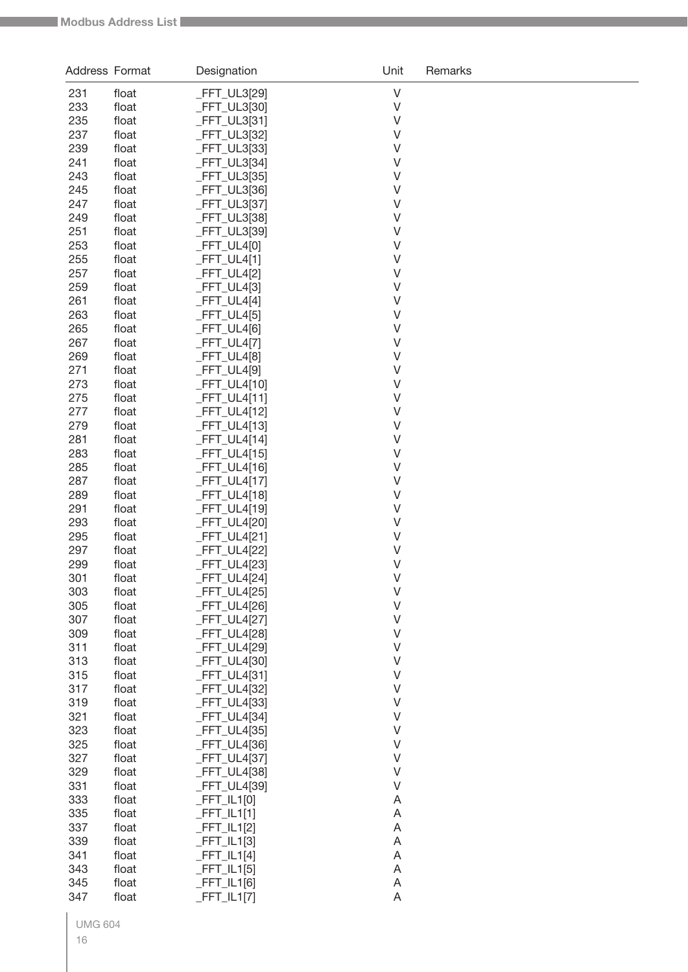| Address Format |                | Designation                    | Unit                      | Remarks |
|----------------|----------------|--------------------------------|---------------------------|---------|
| 231            | float          | FFT_UL3[29]                    | $\vee$                    |         |
| 233            | float          | _FFT_UL3[30]                   | $\sf V$                   |         |
| 235            | float          | _FFT_UL3[31]                   | $\vee$                    |         |
| 237            | float          | _FFT_UL3[32]                   | $\vee$                    |         |
| 239            | float          | _FFT_UL3[33]                   | $\vee$                    |         |
| 241            | float          | _FFT_UL3[34]                   | $\vee$                    |         |
| 243            | float          | _FFT_UL3[35]                   | $\sf V$                   |         |
| 245            | float          | _FFT_UL3[36]                   | $\vee$                    |         |
| 247            | float          | _FFT_UL3[37]                   | $\vee$                    |         |
| 249            | float          | _FFT_UL3[38]                   | $\vee$                    |         |
| 251            | float          | _FFT_UL3[39]                   | $\sf V$                   |         |
| 253            | float          | $-FFT_UL4[0]$                  | $\vee$                    |         |
| 255            | float          | $-FFT_UL4[1]$                  | $\vee$                    |         |
| 257            | float          | $-FFT_UL4[2]$                  | $\vee$                    |         |
| 259            | float          | $-FFT_UL4[3]$                  | $\vee$                    |         |
| 261            | float          | $-FFT_ULA[4]$                  | V                         |         |
| 263            | float          | $-FFT_UL4[5]$                  | $\vee$<br>$\vee$          |         |
| 265<br>267     | float<br>float | $-FFT_UL4[6]$                  | $\vee$                    |         |
| 269            | float          | $-FFT_UL4[7]$<br>$-FFT_UL4[8]$ | V                         |         |
| 271            | float          | _FFT_UL4[9]                    | $\vee$                    |         |
| 273            | float          | _FFT_UL4[10]                   | $\vee$                    |         |
| 275            | float          | $-FFT_UL4[11]$                 | $\vee$                    |         |
| 277            | float          | $-FFT_UL4[12]$                 | $\vee$                    |         |
| 279            | float          | $-FFT_UL4[13]$                 | $\vee$                    |         |
| 281            | float          | _FFT_UL4[14]                   | $\vee$                    |         |
| 283            | float          | $-FFT_UL4[15]$                 | $\vee$                    |         |
| 285            | float          | $-FFT_UL4[16]$                 | $\vee$                    |         |
| 287            | float          | _FFT_UL4[17]                   | $\vee$                    |         |
| 289            | float          | _FFT_UL4[18]                   | $\vee$                    |         |
| 291            | float          | _FFT_UL4[19]                   | $\vee$                    |         |
| 293            | float          | _FFT_UL4[20]                   | $\sf V$                   |         |
| 295            | float          | $-FFT_UL4[21]$                 | V                         |         |
| 297            | float          | _FFT_UL4[22]                   | $\sf V$                   |         |
| 299            | float          | FFT_UL4[23]                    | V                         |         |
| 301            | float          | _FFT_UL4[24]                   | $\vee$                    |         |
| 303            | float          | _FFT_UL4[25]                   | $\vee$                    |         |
| 305            | float          | _FFT_UL4[26]                   | $\vee$                    |         |
| 307            | float          | _FFT_UL4[27]                   | $\vee$                    |         |
| 309            | float          | _FFT_UL4[28]                   | $\sf V$                   |         |
| 311            | float          | _FFT_UL4[29]                   | $\sf V$                   |         |
| 313            | float          | _FFT_UL4[30]                   | $\sf V$                   |         |
| 315            | float          | _FFT_UL4[31]                   | $\vee$                    |         |
| 317            | float          | _FFT_UL4[32]                   | $\sf V$                   |         |
| 319            | float          | _FFT_UL4[33]                   | $\sf V$                   |         |
| 321            | float          | _FFT_UL4[34]                   | $\sf V$                   |         |
| 323            | float          | _FFT_UL4[35]                   | $\sf V$                   |         |
| 325            | float          | _FFT_UL4[36]                   | $\sf V$                   |         |
| 327            | float          | _FFT_UL4[37]                   | $\sf V$                   |         |
| 329            | float          | _FFT_UL4[38]                   | $\vee$                    |         |
| 331            | float          | _FFT_UL4[39]                   | $\vee$                    |         |
| 333            | float          | $-FFT_lL1[0]$                  | A                         |         |
| 335            | float          | $-FFT_lL1[1]$                  | A                         |         |
| 337            | float          | $-FFT_lL1[2]$                  | A<br>A                    |         |
| 339<br>341     | float<br>float | $-FFT_lL1[3]$                  | A                         |         |
| 343            | float          | $-FFT_lL1[4]$<br>$-FFT_lL1[5]$ | $\boldsymbol{\mathsf{A}}$ |         |
| 345            | float          | $-FFT_lL1[6]$                  | A                         |         |
| 347            | float          | $-FFT_lL1[7]$                  | $\mathsf A$               |         |
|                |                |                                |                           |         |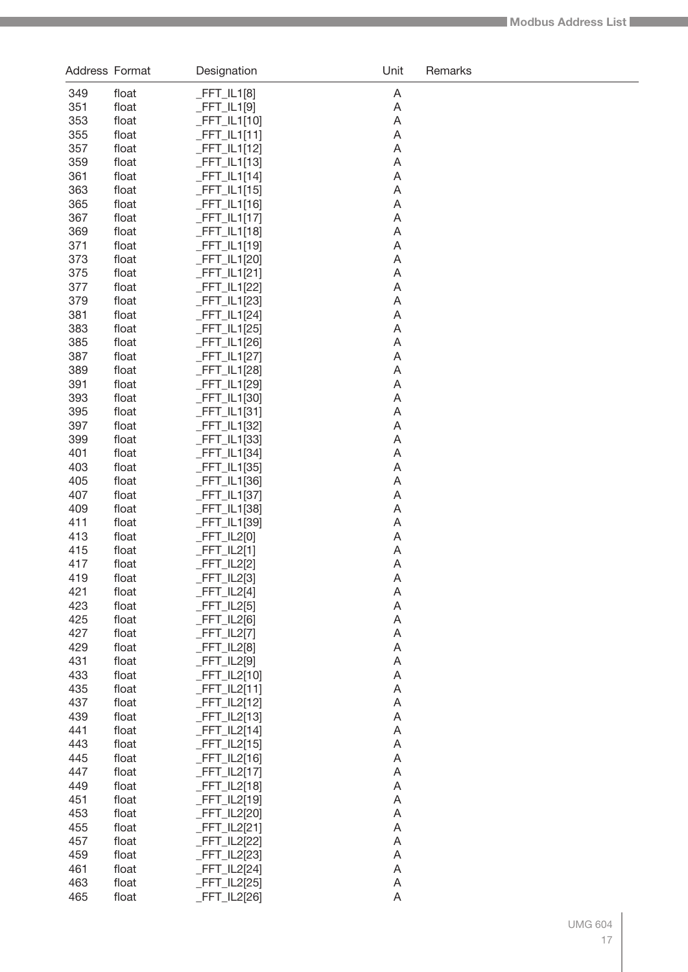| Address Format |                | Designation                      | Unit   | Remarks |
|----------------|----------------|----------------------------------|--------|---------|
| 349            | float          | $-FFT_lL1[8]$                    | A      |         |
| 351            | float          | $-FFT_lL1[9]$                    | A      |         |
| 353            | float          | $-FFT_lL1[10]$                   | A      |         |
| 355            | float          | $-FFT_lL1[11]$                   | A      |         |
| 357            | float          | $-FFT_lL1[12]$                   | A      |         |
| 359            | float          | $-FFT_lL1[13]$                   | A      |         |
| 361            | float          | $-FFT_lL1[14]$                   | A      |         |
| 363            | float          | $-FFT_lL1[15]$                   | A      |         |
| 365            | float          | $-FFT_lL1[16]$                   | A      |         |
| 367            | float          | $-FFT_lL1[17]$                   | A      |         |
| 369            | float          | $-FFT_lL1[18]$                   | A      |         |
| 371            | float          | $-FFT_lL1[19]$                   | A      |         |
| 373            | float          | _FFT_IL1[20]                     | A      |         |
| 375            | float          | $-FFT_lL1[21]$                   | A      |         |
| 377            | float          | $-FFT_lL1[22]$                   | A      |         |
| 379            | float          | FFT_IL1[23]                      | A      |         |
| 381<br>383     | float<br>float | $-FFT_lL1[24]$                   | A<br>A |         |
| 385            | float          | $-FFT_lL1[25]$<br>$-FFT_lL1[26]$ | A      |         |
| 387            | float          | $-FFT_lL1[27]$                   | A      |         |
| 389            | float          | $-FFT_lL1[28]$                   | A      |         |
| 391            | float          | _FFT_IL1[29]                     | A      |         |
| 393            | float          | $-FFT_lL1[30]$                   | A      |         |
| 395            | float          | $-FFT_lL1[31]$                   | A      |         |
| 397            | float          | $-FFT_lL1[32]$                   | A      |         |
| 399            | float          | $-FFT_lL1[33]$                   | A      |         |
| 401            | float          | $-FFT_lL1[34]$                   | A      |         |
| 403            | float          | $-FFT_lL1[35]$                   | A      |         |
| 405            | float          | $-FFT_lL1[36]$                   | A      |         |
| 407            | float          | $-FFT_lL1[37]$                   | A      |         |
| 409            | float          | _FFT_IL1[38]                     | A      |         |
| 411            | float          | _FFT_IL1[39]                     | A      |         |
| 413            | float          | $-FFT_lL2[0]$                    | A      |         |
| 415            | float          | $-FFT_lL2[1]$                    | A      |         |
| 417            | float          | $-FFT_lL2[2]$                    | A      |         |
| 419            | float          | _FFT_IL2[3]                      | A      |         |
| 421            | float          | $-FFT_lL2[4]$                    | A      |         |
| 423            | float          | $-FFT_lL2[5]$                    | A      |         |
| 425<br>427     | float          | $-FFT_lL2[6]$                    | A      |         |
| 429            | float<br>float | $-FFT_lL2[7]$<br>$-FFT_lL2[8]$   | A<br>A |         |
| 431            | float          | $-FFT_lL2[9]$                    | A      |         |
| 433            | float          | $-FFT_lL2[10]$                   | A      |         |
| 435            | float          | $-FFT_lL2[11]$                   | A      |         |
| 437            | float          | $-FFT_lL2[12]$                   | A      |         |
| 439            | float          | $-FFT_lL2[13]$                   | A      |         |
| 441            | float          | $-FFT_lL2[14]$                   | A      |         |
| 443            | float          | $-FFT_lL2[15]$                   | A      |         |
| 445            | float          | $-FFT_lL2[16]$                   | A      |         |
| 447            | float          | $-FFT_lL2[17]$                   | A      |         |
| 449            | float          | $-FFT_lL2[18]$                   | A      |         |
| 451            | float          | $-FFT_lL2[19]$                   | A      |         |
| 453            | float          | $-FFT_lL2[20]$                   | A      |         |
| 455            | float          | $-FFT_lL2[21]$                   | A      |         |
| 457            | float          | $-FFT_lL2[22]$                   | A      |         |
| 459            | float          | $-FFT_lL2[23]$                   | A      |         |
| 461            | float          | $-FFT_lL2[24]$                   | A      |         |
| 463            | float          | $-FFT_lL2[25]$                   | A      |         |
| 465            | float          | $-FFT_lL2[26]$                   | A      |         |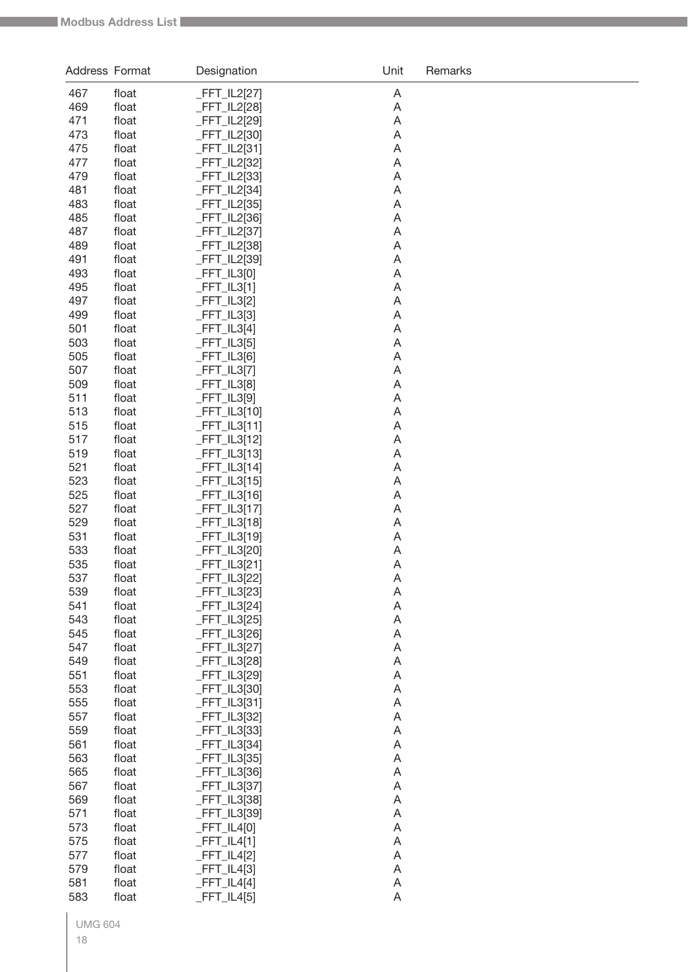| Address Format |                | Designation                     | Unit                           | Remarks |
|----------------|----------------|---------------------------------|--------------------------------|---------|
| 467            | float          | FFT_IL2[27]                     | A                              |         |
| 469            | float          | _FFT_IL2[28]                    | A                              |         |
| 471            | float          | _FFT_IL2[29]                    | A                              |         |
| 473            | float          | _FFT_IL2[30]                    | A                              |         |
| 475            | float          | _FFT_IL2[31]                    | A                              |         |
| 477            | float          | _FFT_IL2[32]                    | A                              |         |
| 479            | float          | _FFT_IL2[33]                    | A                              |         |
| 481            | float          | _FFT_IL2[34]                    | A                              |         |
| 483            | float          | _FFT_IL2[35]                    | A                              |         |
| 485            | float          | _FFT_IL2[36]                    | A                              |         |
| 487            | float          | _FFT_IL2[37]                    | A                              |         |
| 489            | float          | _FFT_IL2[38]                    | A                              |         |
| 491            | float          | _FFT_IL2[39]                    | A                              |         |
| 493            | float          | $-FFT$ _IL3[0]                  | A                              |         |
| 495            | float          | $-FFT_lL3[1]$                   | A                              |         |
| 497            | float          | $-FFT_lL3[2]$                   | A                              |         |
| 499            | float          | $-FFT_lL3[3]$                   | A                              |         |
| 501            | float          | $-FFT_lL3[4]$                   | A                              |         |
| 503            | float          | $-FFT_lL3[5]$                   | A                              |         |
| 505            | float          | $-FFT_lL3[6]$                   | A                              |         |
| 507            | float          | $-FFT_lL3[7]$                   | A                              |         |
| 509            | float          | $-FFT_lL3[8]$                   | A                              |         |
| 511            | float          | $-FFT_lL3[9]$                   | A                              |         |
| 513            | float          | $-FFT$ _IL3[10]                 | A                              |         |
| 515            | float          | $-FFT_LL3[11]$                  | A                              |         |
| 517            | float          | $-FFT_lL3[12]$                  | A                              |         |
| 519            | float          | $-FFT$ _IL3[13]                 | A                              |         |
| 521            | float          | $-FFT$ _IL3[14]                 | A                              |         |
| 523            | float          | $-FFT$ _IL3[15]                 | A                              |         |
| 525            | float          | $-FFT$ _IL3[16]                 | A                              |         |
| 527            | float          | $-FFT_lL3[17]$                  | A                              |         |
| 529            | float          | $-FFT$ _IL3[18]                 | A                              |         |
| 531            | float          | $-FFT_LL3[19]$                  | A                              |         |
| 533            | float          | _FFT_IL3[20]                    | A                              |         |
| 535            | float          | FFT_IL3[21]                     | A                              |         |
| 537            | float          | _FFT_IL3[22]                    | A                              |         |
| 539            | float          | $-FFT_lL3[23]$                  | A                              |         |
| 541            | float          | _FFT_IL3[24]                    | $\overline{A}$                 |         |
| 543            | float          | $-FFT$ _IL3[25]                 | A                              |         |
| 545            | float          | $-FFT$ _IL3[26]                 | A                              |         |
| 547            | float          | _FFT_IL3[27]                    | A                              |         |
| 549            | float          | _FFT_IL3[28]                    | A                              |         |
| 551<br>553     | float<br>float | _FFT_IL3[29]                    | A<br>$\boldsymbol{\mathsf{A}}$ |         |
| 555            | float          | _FFT_IL3[30]                    | A                              |         |
| 557            | float          | $-FFT_lL3[31]$                  | $\boldsymbol{\mathsf{A}}$      |         |
| 559            | float          | _FFT_IL3[32]                    | $\boldsymbol{\mathsf{A}}$      |         |
| 561            | float          | _FFT_IL3[33]                    | $\boldsymbol{\mathsf{A}}$      |         |
| 563            | float          | $-FFT$ _IL3[34]                 | $\boldsymbol{\mathsf{A}}$      |         |
| 565            | float          | _FFT_IL3[35]<br>_FFT_IL3[36]    | $\boldsymbol{\mathsf{A}}$      |         |
| 567            | float          |                                 | $\boldsymbol{\mathsf{A}}$      |         |
| 569            | float          | _FFT_IL3[37]<br>$-FFT$ _IL3[38] | $\boldsymbol{\mathsf{A}}$      |         |
| 571            | float          | _FFT_IL3[39]                    | A                              |         |
| 573            | float          | $-FFT_lL4[0]$                   | $\boldsymbol{\mathsf{A}}$      |         |
| 575            | float          | $-FFT_lL4[1]$                   | $\boldsymbol{\mathsf{A}}$      |         |
| 577            | float          | $-FFT_lL4[2]$                   | A                              |         |
| 579            | float          | $-FFT_lL4[3]$                   | A                              |         |
| 581            | float          | $-FFT_lL4[4]$                   | A                              |         |
| 583            | float          | $-FFT_lL4[5]$                   | A                              |         |
|                |                |                                 |                                |         |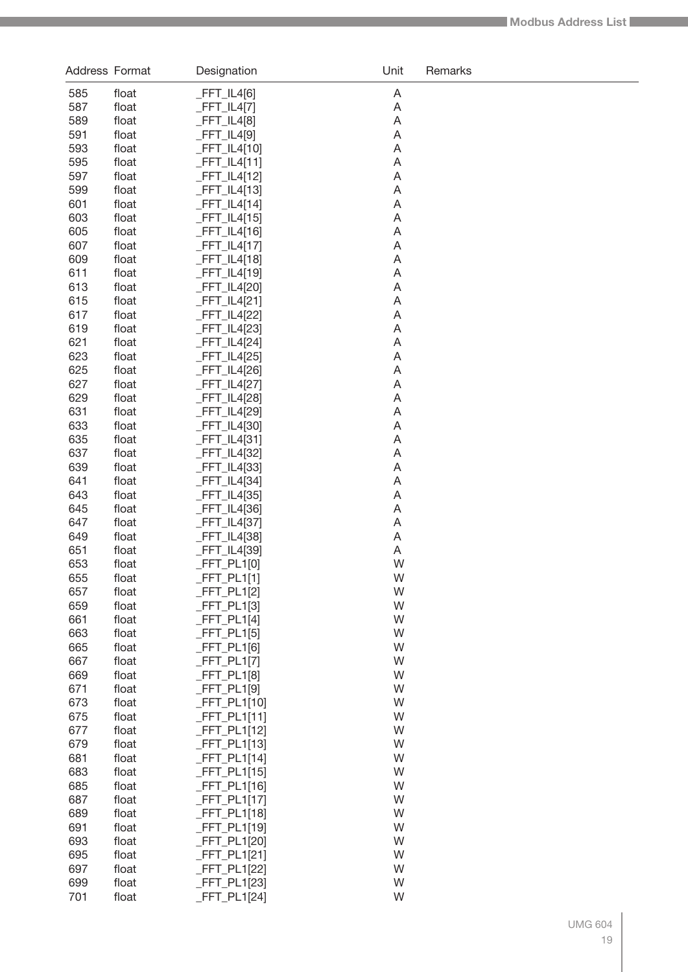| Address Format |                | Designation                      | Unit   | Remarks |
|----------------|----------------|----------------------------------|--------|---------|
| 585            | float          | $-FFT_lL4[6]$                    | Α      |         |
| 587            | float          | $-FFT_lL4[7]$                    | A      |         |
| 589            | float          | $-FFT_ILA[8]$                    | A      |         |
| 591            | float          | $-FFT_ILA[9]$                    | Α      |         |
| 593            | float          | $-FFT_lL4[10]$                   | Α      |         |
| 595            | float          | $_FFT_lL4[11]$                   | Α      |         |
| 597            | float          | $-FFT_lL4[12]$                   | Α      |         |
| 599            | float          | $_FFT_lL4[13]$                   | Α      |         |
| 601            | float          | $_FFT_lL4[14]$                   | Α      |         |
| 603            | float          | $-FFT_lL4[15]$                   | Α      |         |
| 605            | float          | $-FFT_lL4[16]$                   | Α      |         |
| 607            | float          | $-FFT_lL4[17]$                   | Α      |         |
| 609            | float          | $-FFT_lL4[18]$                   | Α      |         |
| 611            | float          | $-FFT_lL4[19]$                   | Α      |         |
| 613            | float          | $-FFT_lL4[20]$                   | Α      |         |
| 615<br>617     | float<br>float | $-FFT_lL4[21]$                   | Α<br>Α |         |
| 619            | float          | $-FFT_lL4[22]$<br>$-FFT_lL4[23]$ | Α      |         |
| 621            | float          | $-FFT_lL4[24]$                   | Α      |         |
| 623            | float          | $-FFT_lL4[25]$                   | Α      |         |
| 625            | float          | $-FFT_lL4[26]$                   | Α      |         |
| 627            | float          | $-FFT_lL4[27]$                   | Α      |         |
| 629            | float          | $-FFT_lL4[28]$                   | Α      |         |
| 631            | float          | $-FFT_lL4[29]$                   | Α      |         |
| 633            | float          | $-FFT_lL4[30]$                   | Α      |         |
| 635            | float          | $-FFT_lL4[31]$                   | Α      |         |
| 637            | float          | $-FFT_lL4[32]$                   | Α      |         |
| 639            | float          | $-FFT_lL4[33]$                   | Α      |         |
| 641            | float          | $-FFT_lL4[34]$                   | Α      |         |
| 643            | float          | $-FFT_lL4[35]$                   | Α      |         |
| 645            | float          | $-FFT_lL4[36]$                   | Α      |         |
| 647            | float          | $-FFT_lL4[37]$                   | A      |         |
| 649            | float          | $-FFT_lL4[38]$                   | A      |         |
| 651            | float          | $-FFT_lL4[39]$                   | A      |         |
| 653            | float          | $-FFT_PL1[0]$                    | W      |         |
| 655            | float          | $-FFT_PL1[1]$                    | W      |         |
| 657            | float          | $-FFT_PL1[2]$                    | W      |         |
| 659            | float          | $-FFT_PL1[3]$                    | W      |         |
| 661            | float          | $-FFT_PL1[4]$                    | W<br>W |         |
| 663<br>665     | float<br>float | $-FFT_PL1[5]$<br>$-FFT_PL1[6]$   | W      |         |
| 667            | float          | $-FFT_PL1[7]$                    | W      |         |
| 669            | float          | $-FFT_PL1[8]$                    | W      |         |
| 671            | float          | $-FFT_PL1[9]$                    | W      |         |
| 673            | float          | $-FFT_PL1[10]$                   | W      |         |
| 675            | float          | $-FFT_PL1[11]$                   | W      |         |
| 677            | float          | $-FFT_PL1[12]$                   | W      |         |
| 679            | float          | $-FFT_PL1[13]$                   | W      |         |
| 681            | float          | $-FFT_PL1[14]$                   | W      |         |
| 683            | float          | $-FFT_PL1[15]$                   | W      |         |
| 685            | float          | $-FFT_PL1[16]$                   | W      |         |
| 687            | float          | $-FFT_PL1[17]$                   | W      |         |
| 689            | float          | $-FFT_PL1[18]$                   | W      |         |
| 691            | float          | $-FFT_PL1[19]$                   | W      |         |
| 693            | float          | $-FFT_PL1[20]$                   | W      |         |
| 695            | float          | $-FFT_PL1[21]$                   | W      |         |
| 697            | float          | $-FFT_PL1[22]$                   | W      |         |
| 699            | float          | $-FFT_PL1[23]$                   | W      |         |
| 701            | float          | $-FFT_PL1[24]$                   | W      |         |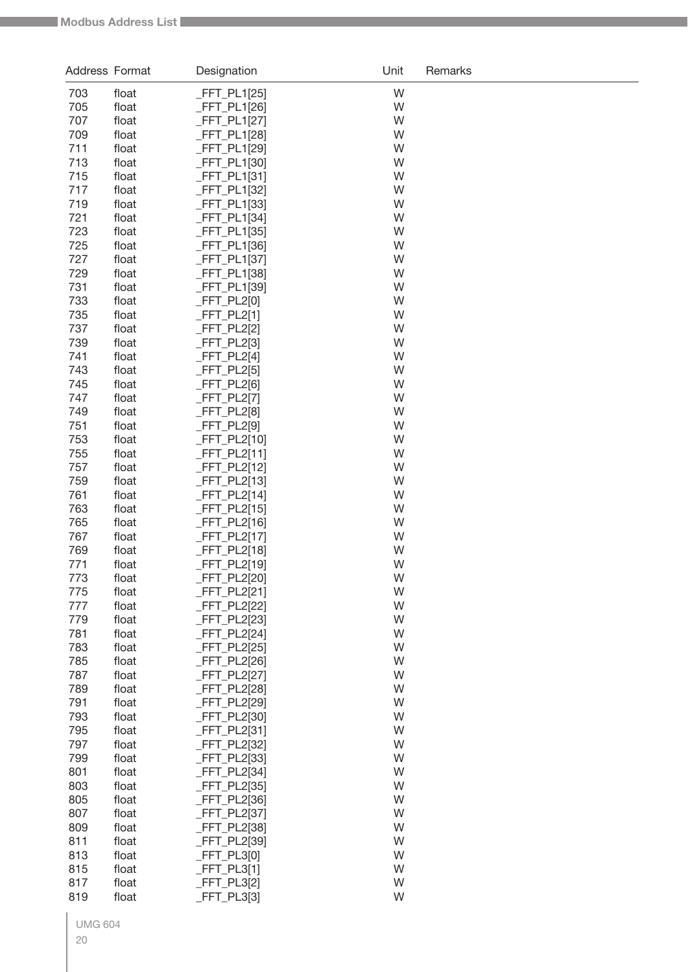| Address Format |                | Designation                      | Unit   | Remarks |
|----------------|----------------|----------------------------------|--------|---------|
| 703            | float          | $-FFT_PL1[25]$                   | W      |         |
| 705            | float          | _FFT_PL1[26]                     | W      |         |
| 707            | float          | FFT_PL1[27]                      | W      |         |
| 709            | float          | _FFT_PL1[28]                     | W      |         |
| 711            | float          | _FFT_PL1[29]                     | W      |         |
| 713            | float          | FFT_PL1[30]                      | W      |         |
| 715            | float          | _FFT_PL1[31]                     | W      |         |
| 717            | float          | _FFT_PL1[32]                     | W      |         |
| 719            | float          | FFT_PL1[33]                      | W      |         |
| 721            | float          | _FFT_PL1[34]                     | W      |         |
| 723            | float          | $-FFT_PL1[35]$                   | W      |         |
| 725            | float          | $FFT_PL1[36]$                    | W      |         |
| 727            | float          | _FFT_PL1[37]                     | W      |         |
| 729            | float          | _FFT_PL1[38]                     | W      |         |
| 731            | float          | FFT_PL1[39]                      | W      |         |
| 733            | float          | $-FFT_PL2[0]$                    | W      |         |
| 735            | float          | _FFT_PL2[1]                      | W      |         |
| 737            | float          | _FFT_PL2[2]                      | W      |         |
| 739            | float          | FFT_PL2[3]                       | W      |         |
| 741            | float          | $FFT_PL2[4]$<br>$FFT_PL2[5]$     | W<br>W |         |
| 743<br>745     | float<br>float | $FFT_PL2[6]$                     | W      |         |
| 747            | float          | _FFT_PL2[7]                      | W      |         |
| 749            | float          | _FFT_PL2[8]                      | W      |         |
| 751            | float          | _FFT_PL2[9]                      | W      |         |
| 753            | float          | $-FFT_PL2[10]$                   | W      |         |
| 755            | float          | _FFT_PL2[11]                     | W      |         |
| 757            | float          | FFT_PL2[12]                      | W      |         |
| 759            | float          | $-FFT_PL2[13]$                   | W      |         |
| 761            | float          | _FFT_PL2[14]                     | W      |         |
| 763            | float          | $-FFT_PL2[15]$                   | W      |         |
| 765            | float          | $-FFT_PL2[16]$                   | W      |         |
| 767            | float          | _FFT_PL2[17]                     | W      |         |
| 769            | float          | FFT_PL2[18]                      | W      |         |
| 771            | float          | FFT_PL2[19]                      | W      |         |
| 773            | float          | _FFT_PL2[20]                     | W      |         |
| 775            | float          | $-FFT_PL2[21]$                   | W      |         |
| 777            | float          | _FFT_PL2[22]                     | W      |         |
| 779            | float          | $-FFT_PL2[23]$                   | W      |         |
| 781            | float          | FFT_PL2[24]                      | W      |         |
| 783            | float          | _FFT_PL2[25]                     | W      |         |
| 785            | float          | $-FFT_PL2[26]$                   | W      |         |
| 787            | float          | _FFT_PL2[27]                     | W      |         |
| 789            | float          | _FFT_PL2[28]                     | W      |         |
| 791            | float          | _FFT_PL2[29]                     | W      |         |
| 793            | float          | _FFT_PL2[30]                     | W      |         |
| 795            | float          | $-FFT_PL2[31]$                   | W      |         |
| 797            | float          | $-FFT_PL2[32]$                   | W      |         |
| 799            | float          | $-FFT_PL2[33]$                   | W      |         |
| 801            | float          | $-FFT_PL2[34]$                   | W      |         |
| 803            | float          | $-FFT_PL2[35]$                   | W      |         |
| 805            | float          | $-FFT_PL2[36]$                   | W<br>W |         |
| 807<br>809     | float<br>float | $-FFT_PL2[37]$                   | W      |         |
| 811            | float          | $-FFT_PL2[38]$<br>$-FFT_PL2[39]$ | W      |         |
| 813            | float          | $-FFT_PL3[0]$                    | W      |         |
| 815            | float          | $-FFT_PL3[1]$                    | W      |         |
| 817            | float          | $-FFT_PL3[2]$                    | W      |         |
| 819            | float          | $-FFT_PL3[3]$                    | W      |         |
|                |                |                                  |        |         |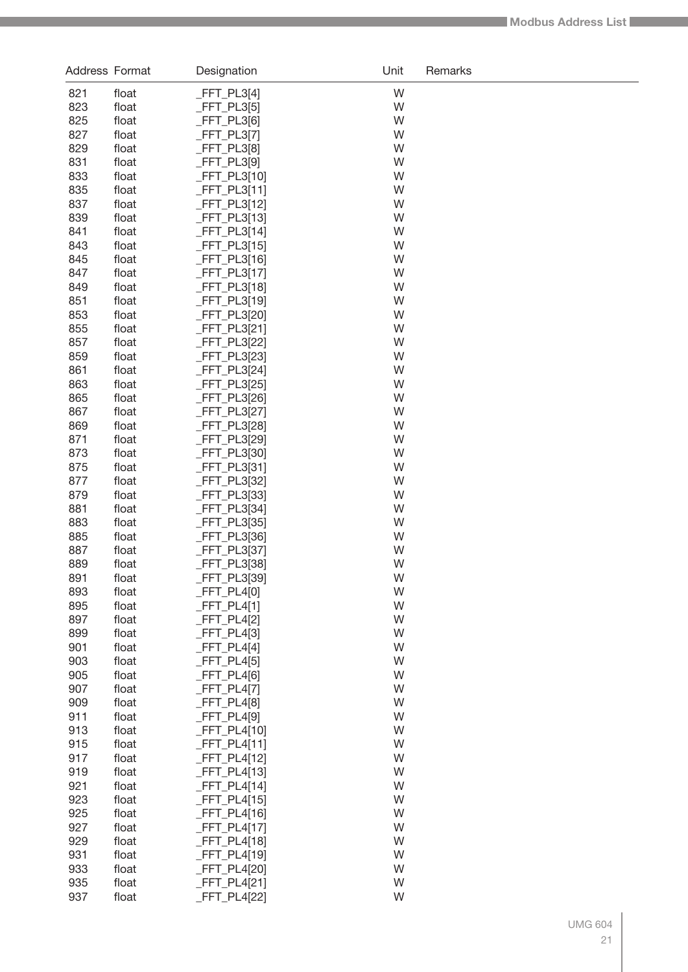| Address Format |                | Designation                      | Unit   | Remarks |
|----------------|----------------|----------------------------------|--------|---------|
| 821            | float          | $-FFT_PL3[4]$                    | W      |         |
| 823            | float          | $-FFT_PL3[5]$                    | W      |         |
| 825            | float          | $-FFT_PL3[6]$                    | W      |         |
| 827            | float          | $-FFT_PL3[7]$                    | W      |         |
| 829            | float          | $-FFT_PL3[8]$                    | W      |         |
| 831            | float          | $-FFT_PL3[9]$                    | W      |         |
| 833            | float          | $-FFT_PL3[10]$                   | W      |         |
| 835            | float          | $-FFT_PL3[11]$                   | W      |         |
| 837            | float          | $-FFT_PL3[12]$                   | W      |         |
| 839            | float          | $-FFT_PL3[13]$                   | W      |         |
| 841            | float          | $-FFT_PL3[14]$                   | W      |         |
| 843            | float          | $-FFT_PL3[15]$                   | W      |         |
| 845            | float          | $-FFT_PL3[16]$                   | W      |         |
| 847            | float          | $-FFT_PL3[17]$                   | W      |         |
| 849            | float          | $-FFT_PL3[18]$                   | W      |         |
| 851            | float          | $-FFT_PL3[19]$                   | W      |         |
| 853            | float          | $-FFT_PL3[20]$                   | W      |         |
| 855            | float          | $-FFT_PL3[21]$                   | W      |         |
| 857            | float          | $-FFT_PL3[22]$                   | W      |         |
| 859            | float          | $-FFT_PL3[23]$                   | W      |         |
| 861            | float          | $-FFT_PL3[24]$                   | W      |         |
| 863            | float          | $-FFT_PL3[25]$                   | W      |         |
| 865            | float          | $-FFT_PL3[26]$                   | W      |         |
| 867            | float          | $-FFT_PL3[27]$                   | W      |         |
| 869            | float          | $-FFT_PL3[28]$                   | W      |         |
| 871            | float          | $-FFT_PL3[29]$                   | W      |         |
| 873            | float          | $-FFT_PL3[30]$                   | W      |         |
| 875            | float          | $-FFT_PL3[31]$                   | W      |         |
| 877            | float          | $-FFT_PL3[32]$                   | W      |         |
| 879            | float          | $-FFT_PL3[33]$                   | W      |         |
| 881            | float          | $-FFT_PL3[34]$                   | W      |         |
| 883            | float          | $-FFT_PL3[35]$                   | W      |         |
| 885            | float          | $-FFT_PL3[36]$                   | W      |         |
| 887            | float          | $-FFT_PL3[37]$                   | W      |         |
| 889            | float          | $-FFT_PL3[38]$                   | W      |         |
| 891            | float          | $-FFT_PL3[39]$                   | W      |         |
| 893            | float          | $-FFT_PL4[0]$                    | W      |         |
| 895            | float          | $-FFT_PL4[1]$                    | W      |         |
| 897            | float          | $-FFT_PL4[2]$                    | W      |         |
| 899            | float          | $-FFT_PL4[3]$                    | W      |         |
| 901            | float          | $-FFT_PL4[4]$                    | W      |         |
| 903            | float          | $-FFT_PL4[5]$                    | W      |         |
| 905            | float          | $-FFT_PL4[6]$                    | W      |         |
| 907            | float          | $-FFT_PL4[7]$                    | W      |         |
| 909            | float          | $-FFT_PL4[8]$                    | W      |         |
| 911            | float          | $-FFT_PL4[9]$                    | W      |         |
| 913            | float          | $-FFT_PL4[10]$                   | W      |         |
| 915            | float          | $-FFT_PL4[11]$                   | W      |         |
| 917            | float          | $-FFT_PL4[12]$                   | W      |         |
| 919            | float          | $-FFT_PL4[13]$                   | W      |         |
| 921            | float          | $-FFT_PL4[14]$                   | W      |         |
| 923            | float          | $-FFT_PL4[15]$                   | W      |         |
| 925            | float          | $-FFT_PL4[16]$                   | W      |         |
| 927            | float          | $-FFT_PL4[17]$                   | W      |         |
| 929            | float          | $-FFT_PL4[18]$                   | W      |         |
| 931            | float          | $-FFT_PL4[19]$                   | W      |         |
| 933<br>935     | float<br>float | $-FFT_PL4[20]$<br>$-FFT_PL4[21]$ | W<br>W |         |
| 937            | float          | $-FFT_PL4[22]$                   | W      |         |
|                |                |                                  |        |         |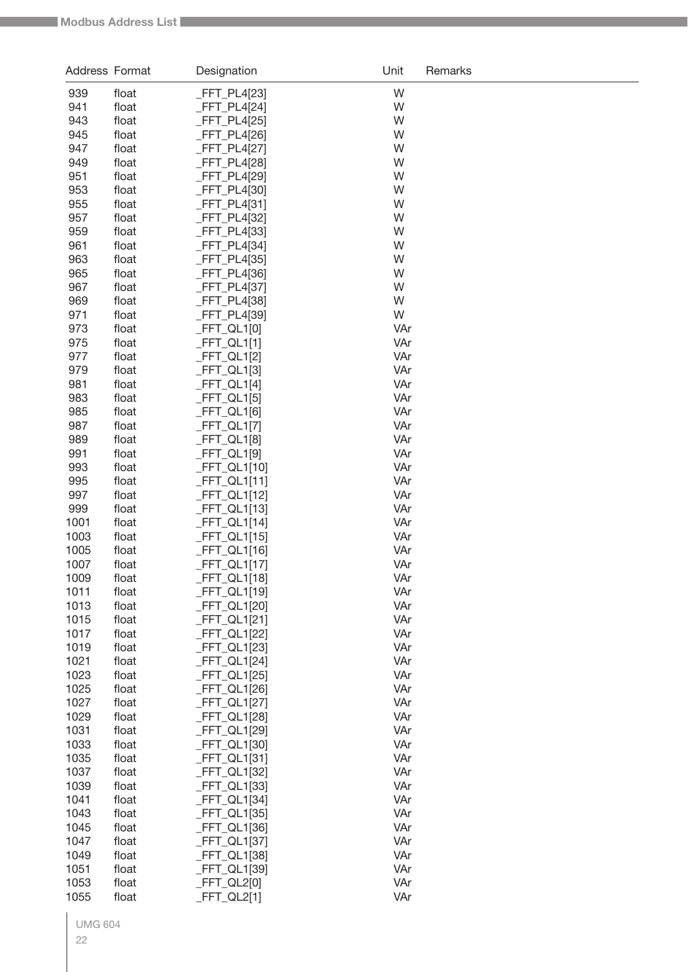| Address Format |                | Designation                   | Unit       | Remarks |
|----------------|----------------|-------------------------------|------------|---------|
| 939            | float          | _FFT_PL4[23]                  | W          |         |
| 941            | float          | $-FFT_PL4[24]$                | W          |         |
| 943            | float          | $FFT_PL4[25]$                 | W          |         |
| 945            | float          | FFT_PL4[26]                   | W          |         |
| 947            | float          | FFT_PL4[27]                   | W          |         |
| 949            | float          | FFT_PL4[28]                   | W          |         |
| 951            | float          | _FFT_PL4[29]                  | W          |         |
| 953            | float          | FFT_PL4[30]                   | W          |         |
| 955            | float          | FFT_PL4[31]                   | W          |         |
| 957            | float          | FFT_PL4[32]                   | W          |         |
| 959            | float          | FFT_PL4[33]                   | W          |         |
| 961            | float          | FFT_PL4[34]                   | W          |         |
| 963            | float          | FFT_PL4[35]                   | W          |         |
| 965<br>967     | float          | $-FFT_PL4[36]$<br>FFT_PL4[37] | W<br>W     |         |
| 969            | float<br>float | $-FFT_PL4[38]$                | W          |         |
| 971            | float          | FFT_PL4[39]                   | W          |         |
| 973            | float          | _FFT_QL1[0]                   | VAr        |         |
| 975            | float          | $FFT_QL1[1]$                  | VAr        |         |
| 977            | float          | _FFT_QL1[2]                   | VAr        |         |
| 979            | float          | $-FFT_QL1[3]$                 | VAr        |         |
| 981            | float          | $-FFT_QL1[4]$                 | VAr        |         |
| 983            | float          | $-FFT_QL1[5]$                 | VAr        |         |
| 985            | float          | $-FFT_QL1[6]$                 | VAr        |         |
| 987            | float          | $-FFT_QL1[7]$                 | VAr        |         |
| 989            | float          | _FFT_QL1[8]                   | VAr        |         |
| 991            | float          | _FFT_QL1[9]                   | VAr        |         |
| 993            | float          | _FFT_QL1[10]                  | VAr        |         |
| 995            | float          | _FFT_QL1[11]                  | VAr        |         |
| 997            | float          | _FFT_QL1[12]                  | VAr        |         |
| 999            | float          | FFT_QL1[13]                   | VAr        |         |
| 1001           | float          | FFT_QL1[14]                   | VAr        |         |
| 1003           | float          | _FFT_QL1[15]                  | VAr        |         |
| 1005<br>1007   | float<br>float | FFT_QL1[16]<br>FFT_QL1[17]    | VAr<br>VAr |         |
| 1009           | float          | _FFT_QL1[18]                  | VAr        |         |
| 1011           | float          | _FFT_QL1[19]                  | VAr        |         |
| 1013           | float          | _FFT_QL1[20]                  | VAr        |         |
| 1015           | float          | _FFT_QL1[21]                  | VAr        |         |
| 1017           | float          | _FFT_QL1[22]                  | VAr        |         |
| 1019           | float          | _FFT_QL1[23]                  | VAr        |         |
| 1021           | float          | _FFT_QL1[24]                  | VAr        |         |
| 1023           | float          | _FFT_QL1[25]                  | VAr        |         |
| 1025           | float          | _FFT_QL1[26]                  | VAr        |         |
| 1027           | float          | _FFT_QL1[27]                  | VAr        |         |
| 1029           | float          | <b>FFT QL1[28]</b>            | VAr        |         |
| 1031           | float          | _FFT_QL1[29]                  | VAr        |         |
| 1033           | float          | _FFT_QL1[30]                  | VAr        |         |
| 1035           | float          | _FFT_QL1[31]                  | VAr        |         |
| 1037           | float          | _FFT_QL1[32]                  | VAr        |         |
| 1039           | float          | _FFT_QL1[33]                  | VAr        |         |
| 1041           | float          | _FFT_QL1[34]                  | VAr        |         |
| 1043           | float          | _FFT_QL1[35]                  | VAr        |         |
| 1045<br>1047   | float<br>float | _FFT_QL1[36]<br>_FFT_QL1[37]  | VAr<br>VAr |         |
| 1049           | float          | _FFT_QL1[38]                  | VAr        |         |
| 1051           | float          | _FFT_QL1[39]                  | VAr        |         |
| 1053           | float          | _FFT_QL2[0]                   | VAr        |         |
| 1055           | float          | $-FFT_QL2[1]$                 | VAr        |         |
|                |                |                               |            |         |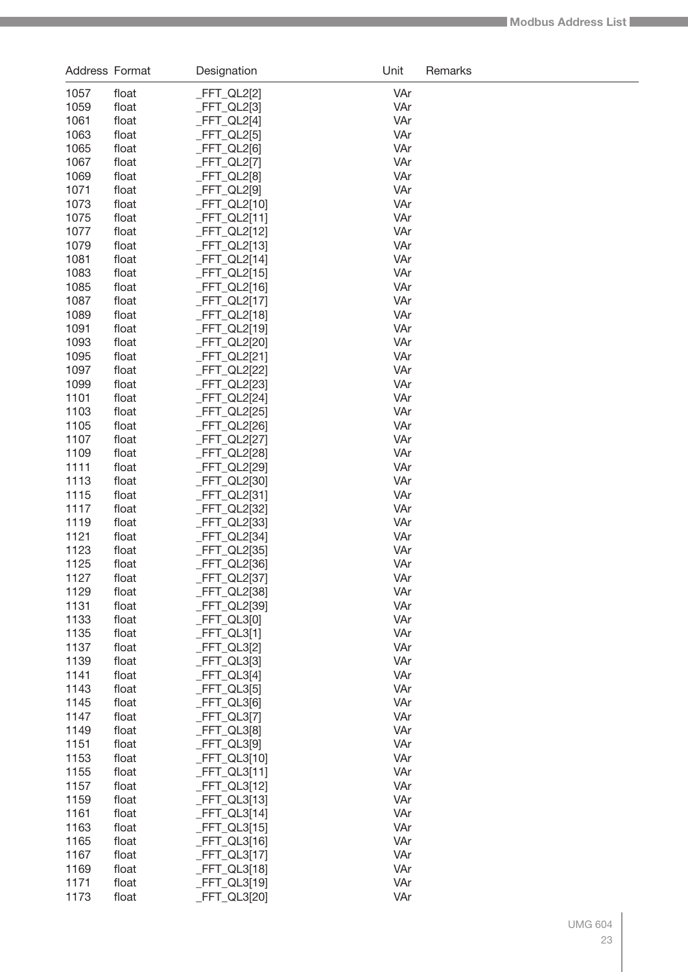| Address Format |                | Designation                      | Unit       | Remarks |
|----------------|----------------|----------------------------------|------------|---------|
| 1057           | float          | $-FFT_QL2[2]$                    | VAr        |         |
| 1059           | float          | $-FFT_QL2[3]$                    | VAr        |         |
| 1061           | float          | $-FFT_QL2[4]$                    | VAr        |         |
| 1063           | float          | $-FFT_QL2[5]$                    | VAr        |         |
| 1065           | float          | $-FFT_QL2[6]$                    | VAr        |         |
| 1067           | float          | $-FFT_QL2[7]$                    | VAr        |         |
| 1069           | float          | $-FFT_QL2[8]$                    | VAr        |         |
| 1071           | float          | $-FFT_QL2[9]$                    | VAr        |         |
| 1073           | float          | $-FFT_QL2[10]$                   | VAr        |         |
| 1075           | float          | _FFT_QL2[11]                     | VAr        |         |
| 1077<br>1079   | float<br>float | $-FFT_QL2[12]$                   | VAr<br>VAr |         |
| 1081           | float          | $-FFT_QL2[13]$<br>$-FFT_QL2[14]$ | VAr        |         |
| 1083           | float          | $-FFT_QL2[15]$                   | VAr        |         |
| 1085           | float          | $-FFT_QL2[16]$                   | VAr        |         |
| 1087           | float          | _FFT_QL2[17]                     | VAr        |         |
| 1089           | float          | _FFT_QL2[18]                     | VAr        |         |
| 1091           | float          | $-FFT_QL2[19]$                   | VAr        |         |
| 1093           | float          | _FFT_QL2[20]                     | VAr        |         |
| 1095           | float          | _FFT_QL2[21]                     | VAr        |         |
| 1097           | float          | $-FFT_QL2[22]$                   | VAr        |         |
| 1099           | float          | $-FFT_QL2[23]$                   | VAr        |         |
| 1101           | float          | _FFT_QL2[24]                     | VAr        |         |
| 1103           | float          | $-FFT_QL2[25]$                   | VAr        |         |
| 1105           | float          | $-FFT_QL2[26]$                   | VAr        |         |
| 1107           | float          | $-FFT_QL2[27]$                   | VAr        |         |
| 1109           | float          | $-FFT_QL2[28]$                   | VAr        |         |
| 1111           | float          | $-FFT_QL2[29]$                   | VAr        |         |
| 1113<br>1115   | float          | _FFT_QL2[30]                     | VAr<br>VAr |         |
| 1117           | float<br>float | $-FFT_QL2[31]$<br>_FFT_QL2[32]   | VAr        |         |
| 1119           | float          | $-FFT_QL2[33]$                   | VAr        |         |
| 1121           | float          | $-FFT_QL2[34]$                   | VAr        |         |
| 1123           | float          | $-FFT_QL2[35]$                   | VAr        |         |
| 1125           | float          | FFT_QL2[36]                      | VAr        |         |
| 1127           | float          | _FFT_QL2[37]                     | VAr        |         |
| 1129           | float          | $-FFT_QL2[38]$                   | VAr        |         |
| 1131           | float          | FFT_QL2[39]                      | VAr        |         |
| 1133           | float          | $-FFT_QL3[0]$                    | VAr        |         |
| 1135           | float          | $FFT_QL3[1]$                     | VAr        |         |
| 1137           | float          | $-FFT_QL3[2]$                    | VAr        |         |
| 1139           | float          | $-FFT_QL3[3]$                    | VAr        |         |
| 1141           | float          | $-FFT_QL3[4]$                    | VAr        |         |
| 1143           | float          | $-FFT_QL3[5]$                    | VAr        |         |
| 1145<br>1147   | float          | $-FFT_QL3[6]$                    | VAr<br>VAr |         |
| 1149           | float<br>float | $-FFT_QL3[7]$<br>$-FFT_QL3[8]$   | VAr        |         |
| 1151           | float          | $-FFT_QL3[9]$                    | VAr        |         |
| 1153           | float          | $-FFT_QL3[10]$                   | VAr        |         |
| 1155           | float          | $-FFT_QL3[11]$                   | VAr        |         |
| 1157           | float          | $-FFT_QL3[12]$                   | VAr        |         |
| 1159           | float          | $-FFT_QL3[13]$                   | VAr        |         |
| 1161           | float          | $-FFT_QL3[14]$                   | VAr        |         |
| 1163           | float          | $-FFT_QL3[15]$                   | VAr        |         |
| 1165           | float          | $-FFT_QL3[16]$                   | VAr        |         |
| 1167           | float          | $-FFT_QL3[17]$                   | VAr        |         |
| 1169           | float          | $-FFT_QL3[18]$                   | VAr        |         |
| 1171           | float          | $-FFT_QL3[19]$                   | VAr        |         |
| 1173           | float          | $-FFT_QL3[20]$                   | VAr        |         |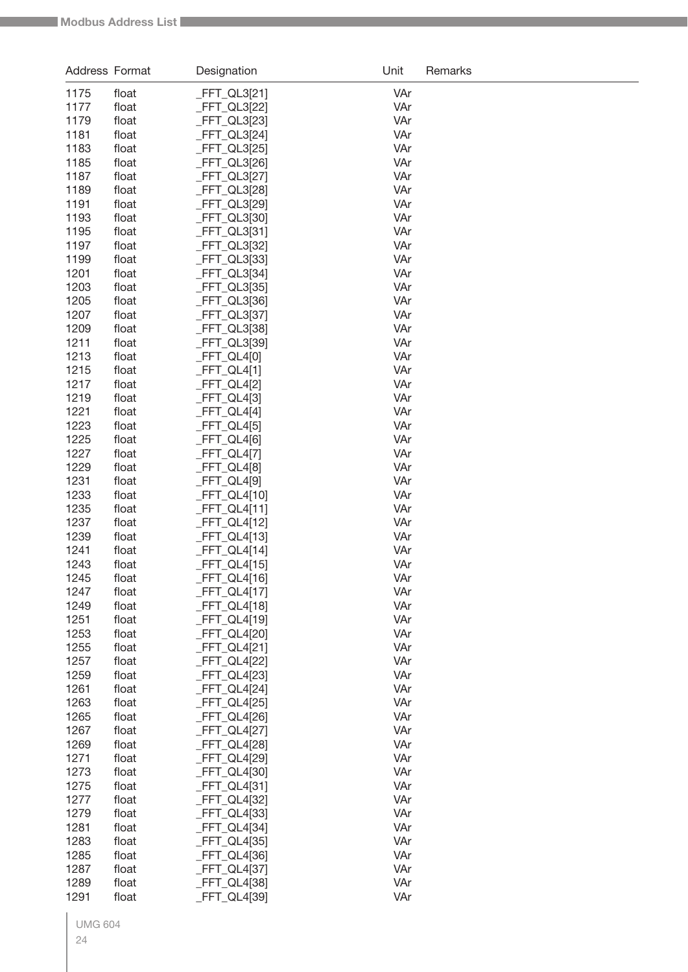| Address Format |                | Designation               | Unit       | Remarks |
|----------------|----------------|---------------------------|------------|---------|
| 1175           | float          | _FFT_QL3[21]              | VAr        |         |
| 1177           | float          | FFT_QL3[22]               | VAr        |         |
| 1179           | float          | FFT_QL3[23]               | VAr        |         |
| 1181           | float          | $FFT_QL3[24]$             | VAr        |         |
| 1183           | float          | FFT_QL3[25]               | VAr        |         |
| 1185           | float          | $FFT_QL3[26]$             | VAr        |         |
| 1187           | float          | FFT_QL3[27]               | VAr        |         |
| 1189           | float          | $FFT_QL3[28]$             | VAr        |         |
| 1191           | float          | FFT_QL3[29]               | VAr        |         |
| 1193           | float          | FFT_QL3[30]               | VAr        |         |
| 1195           | float          | $FFT_QL3[31]$             | VAr        |         |
| 1197           | float          | FFT_QL3[32]               | VAr        |         |
| 1199           | float          | FFT_QL3[33]               | VAr        |         |
| 1201           | float          | FFT_QL3[34]               | VAr        |         |
| 1203           | float          | FFT_QL3[35]               | VAr        |         |
| 1205           | float          | $FFT_QL3[36]$             | VAr        |         |
| 1207           | float          | FFT_QL3[37]               | VAr        |         |
| 1209           | float          | $FFT_QL3[38]$             | VAr        |         |
| 1211           | float          | FFT_QL3[39]               | VAr        |         |
| 1213           | float          | _FFT_QL4[0]               | VAr        |         |
| 1215           | float          | $FFT_QL4[1]$              | VAr        |         |
| 1217           | float          | FFT_QL4[2]                | VAr        |         |
| 1219           | float          | FFT_QL4[3]                | VAr        |         |
| 1221           | float          | $-FFT_QL4[4]$             | VAr        |         |
| 1223           | float          | _FFT_QL4[5]               | VAr        |         |
| 1225           | float          | _FFT_QL4[6]               | VAr        |         |
| 1227           | float          | $-FFT_QL4[7]$             | VAr        |         |
| 1229<br>1231   | float<br>float | FFT_QL4[8]<br>_FFT_QL4[9] | VAr<br>VAr |         |
| 1233           | float          | $FFT_QL4[10]$             | VAr        |         |
| 1235           | float          | $FFT_QL4[11]$             | VAr        |         |
| 1237           | float          | $FFT_QL4[12]$             | VAr        |         |
| 1239           | float          | $FFT_QL4[13]$             | VAr        |         |
| 1241           | float          | $-FFT_QL4[14]$            | VAr        |         |
| 1243           | float          | FFT_QL4[15]               | VAr        |         |
| 1245           | float          | $-FFT_QL4[16]$            | VAr        |         |
| 1247           | float          | $-FFT_QL4[17]$            | VAr        |         |
| 1249           | float          | $-FFT_QL4[18]$            | VAr        |         |
| 1251           | float          | _FFT_QL4[19]              | VAr        |         |
| 1253           | float          | FFT_QL4[20]               | VAr        |         |
| 1255           | float          | _FFT_QL4[21]              | VAr        |         |
| 1257           | float          | _FFT_QL4[22]              | VAr        |         |
| 1259           | float          | _FFT_QL4[23]              | VAr        |         |
| 1261           | float          | _FFT_QL4[24]              | VAr        |         |
| 1263           | float          | _FFT_QL4[25]              | VAr        |         |
| 1265           | float          | $-FFT_QL4[26]$            | VAr        |         |
| 1267           | float          | FFT_QL4[27]               | VAr        |         |
| 1269           | float          | _FFT_QL4[28]              | VAr        |         |
| 1271           | float          | _FFT_QL4[29]              | VAr        |         |
| 1273           | float          | FFT_QL4[30]               | VAr        |         |
| 1275           | float          | _FFT_QL4[31]              | VAr        |         |
| 1277           | float          | _FFT_QL4[32]              | VAr        |         |
| 1279           | float          | FFT_QL4[33]               | VAr        |         |
| 1281           | float          | _FFT_QL4[34]              | VAr        |         |
| 1283           | float          | _FFT_QL4[35]              | VAr        |         |
| 1285           | float          | _FFT_QL4[36]              | VAr        |         |
| 1287           | float          | FFT_QL4[37]               | VAr        |         |
| 1289           | float          | <b>FFT_QL4[38]</b>        | VAr        |         |
| 1291           | float          | _FFT_QL4[39]              | VAr        |         |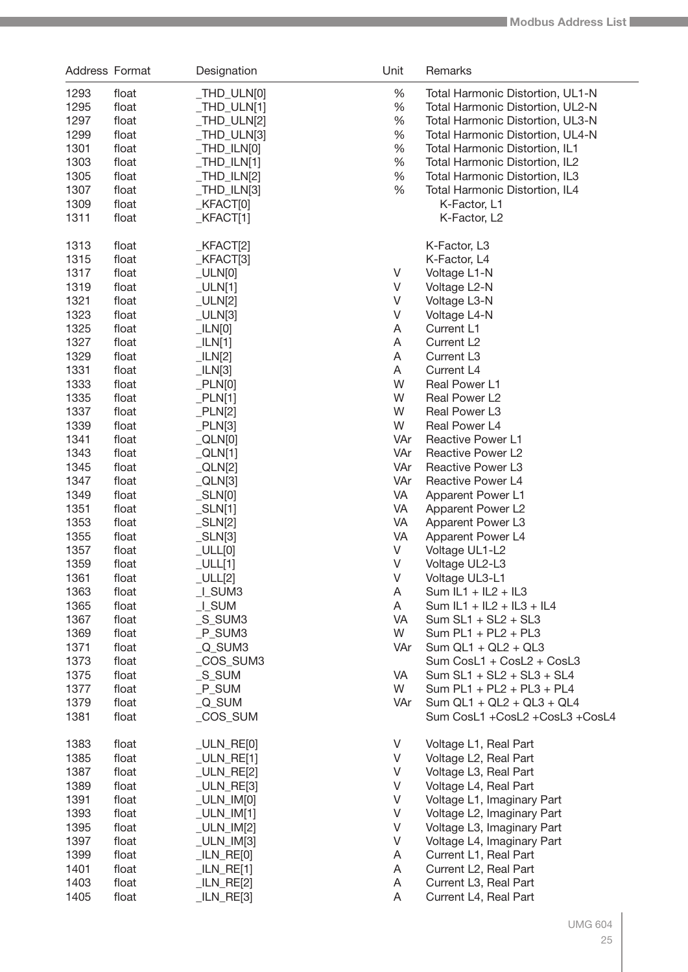| Address Format |       | Designation                                                  | Unit    | Remarks                          |
|----------------|-------|--------------------------------------------------------------|---------|----------------------------------|
| 1293           | float | _THD_ULN[0]                                                  | $\%$    | Total Harmonic Distortion, UL1-N |
| 1295           | float | $THD_ULN[1]$                                                 | $\%$    | Total Harmonic Distortion, UL2-N |
| 1297           | float | _THD_ULN[2]                                                  | $\%$    | Total Harmonic Distortion, UL3-N |
| 1299           | float | _THD_ULN[3]                                                  | $\%$    | Total Harmonic Distortion, UL4-N |
| 1301           | float | $IHD_ILN[0]$                                                 | $\%$    | Total Harmonic Distortion, IL1   |
| 1303           | float | $_THD_LLN[1]$                                                | $\%$    | Total Harmonic Distortion, IL2   |
| 1305           | float | $_IHD_ILN[2]$                                                | $\%$    | Total Harmonic Distortion, IL3   |
| 1307           | float | $_IHD_ILN[3]$                                                | $\%$    | Total Harmonic Distortion, IL4   |
| 1309           | float | KFACT[0]                                                     |         | K-Factor, L1                     |
| 1311           | float | KFACT[1]                                                     |         | K-Factor, L2                     |
|                |       |                                                              |         |                                  |
| 1313           | float | KFACT[2]                                                     |         | K-Factor, L3                     |
| 1315           | float | KFACT[3]                                                     |         | K-Factor, L4                     |
| 1317           | float | $_UL[N[0]$                                                   | V       | Voltage L1-N                     |
| 1319           | float | $_UL[N[1]$                                                   | V       | Voltage L2-N                     |
| 1321           | float | $_ULLN[2]$                                                   | V       | Voltage L3-N                     |
| 1323           | float | $_UL[N[3]$                                                   | V       | Voltage L4-N                     |
| 1325           | float | $_L$ ILN $[0]$                                               | Α       | Current L1                       |
| 1327           | float | $_L$ ILN[1]                                                  | Α       | Current L <sub>2</sub>           |
| 1329           | float | llN[2]                                                       | Α       | Current L <sub>3</sub>           |
| 1331           | float | $_L$ ILN[3]                                                  | A       | Current L4                       |
| 1333           | float | PLN[0]                                                       | W       | Real Power L1                    |
| 1335           | float | PLN[1]                                                       | W       | Real Power L2                    |
| 1337           | float | PLN[2]                                                       | W       | Real Power L3                    |
| 1339           | float | PLN[3]                                                       | W       | Real Power L4                    |
| 1341           | float | $_QLN[0]$                                                    | VAr     | <b>Reactive Power L1</b>         |
| 1343           | float | $\_QLN[1]$                                                   | VAr     | Reactive Power L2                |
| 1345           | float | $_QLN[2]$                                                    | VAr     | Reactive Power L3                |
| 1347           | float | $_QLN[3]$                                                    | VAr     | Reactive Power L4                |
| 1349           | float | $_SLN[0]$                                                    | VA      | Apparent Power L1                |
| 1351           | float | $\_SLN[1]$                                                   | VA      | Apparent Power L2                |
| 1353           | float | $_SLN[2]$                                                    | VA      | Apparent Power L3                |
| 1355           | float | $_SLN[3]$                                                    | VA      | Apparent Power L4                |
| 1357           | float | $_UULL[0]$                                                   | V       | Voltage UL1-L2                   |
| 1359           | float | $\_$ ULL[1]                                                  | V       | Voltage UL2-L3                   |
| 1361           | float | $_UULL[2]$                                                   | V       | Voltage UL3-L1                   |
| 1363           | float | $L$ SUM3                                                     | A       | Sum $IL1 + IL2 + IL3$            |
| 1365           | float | $L$ SUM                                                      | A       | Sum $IL1 + IL2 + IL3 + IL4$      |
| 1367           | float | $S$ _SUM3                                                    | VA      | $Sum SL1 + SL2 + SL3$            |
| 1369           | float | $P$ _SUM3                                                    | W       | Sum $PL1 + PL2 + PL3$            |
| 1371           | float | $Q$ _SUM3                                                    | VAr     | Sum $QL1 + QL2 + QL3$            |
| 1373           | float | _COS_SUM3                                                    |         | Sum CosL1 + CosL2 + CosL3        |
| 1375           | float | $S$ _SUM                                                     | VA      | $Sum SL1 + SL2 + SL3 + SL4$      |
| 1377           | float | $_P$ _SUM                                                    | W       | Sum $PL1 + PL2 + PL3 + PL4$      |
| 1379           | float | $\_Q$ _SUM                                                   | VAr     | Sum $QL1 + QL2 + QL3 + QL4$      |
| 1381           | float | _COS_SUM                                                     |         | Sum CosL1 +CosL2 +CosL3 +CosL4   |
| 1383           | float | $_ULN_RE[0]$                                                 | V       | Voltage L1, Real Part            |
| 1385           | float | $_ULN_RE[1]$                                                 | V       | Voltage L2, Real Part            |
| 1387           | float | $_ULN_RE[2]$                                                 | $\sf V$ | Voltage L3, Real Part            |
| 1389           | float | $_ULN_RE[3]$                                                 | $\sf V$ | Voltage L4, Real Part            |
| 1391           | float | $_UUN$ $IM[0]$                                               | $\sf V$ | Voltage L1, Imaginary Part       |
| 1393           | float | $_ULN_M[M[1]]$                                               | $\sf V$ | Voltage L2, Imaginary Part       |
| 1395           | float | $_UUN_IM[2]$                                                 | $\sf V$ | Voltage L3, Imaginary Part       |
| 1397           | float | $_ULN_M[3]$                                                  | V       | Voltage L4, Imaginary Part       |
| 1399           | float | $\underline{\hspace{0.05cm}}$ $\begin{bmatrix}$ $LN$ $RE[0]$ | A       | Current L1, Real Part            |
| 1401           | float | $llN$ <sub>RE[1]</sub>                                       | Α       | Current L2, Real Part            |
| 1403           | float | $llN$ <sub>_RE[2]</sub>                                      | Α       | Current L3, Real Part            |
| 1405           | float | $llN$ <sub>_RE[3]</sub>                                      | Α       | Current L4, Real Part            |
|                |       |                                                              |         |                                  |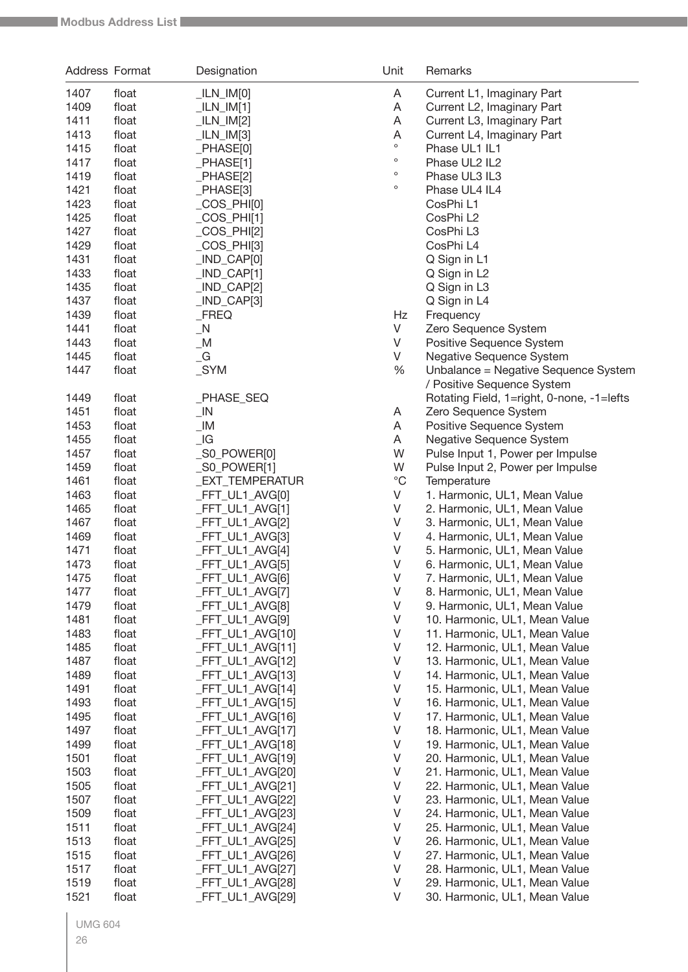| Address Format |                | Designation                                | Unit                  | Remarks                                                        |
|----------------|----------------|--------------------------------------------|-----------------------|----------------------------------------------------------------|
| 1407           | float          | $_L$ ILN $_L$ IM $[0]$                     | A                     | Current L1, Imaginary Part                                     |
| 1409           | float          | $_LLN_lM[1]$                               | A                     | Current L2, Imaginary Part                                     |
| 1411           | float          | $_LLN$ $IM[2]$                             | A                     | Current L3, Imaginary Part                                     |
| 1413           | float          | $_LLN$ $IM[3]$                             | A                     | Current L4, Imaginary Part                                     |
| 1415           | float          | PHASE[0]                                   | o                     | Phase UL1 IL1                                                  |
| 1417           | float          | _PHASE[1]                                  | $\circ$               | Phase UL2 IL2                                                  |
| 1419           | float          | _PHASE[2]                                  | $\circ$               | Phase UL3 IL3                                                  |
| 1421           | float          | PHASE[3]                                   | $\circ$               | Phase UL4 IL4                                                  |
| 1423           | float          | $\textcolor{red}{\mathsf{COS\_PHI[0]}}$    |                       | CosPhi <sub>L1</sub>                                           |
| 1425           | float          | $COS_PHI[1]$                               |                       | CosPhi L2                                                      |
| 1427           | float          | $COS_PHI[2]$                               |                       | CosPhi L3                                                      |
| 1429           | float          | $\left[\right]$ COS $\left[\right]$ PHI[3] |                       | CosPhi L4                                                      |
| 1431           | float          | $IND_CAP[0]$                               |                       | Q Sign in L1                                                   |
| 1433           | float          | $IND_CAP[1]$                               |                       | Q Sign in L2                                                   |
| 1435           | float          | $IND_CAP[2]$                               |                       | Q Sign in L3                                                   |
| 1437           | float          | $IND_CAP[3]$                               |                       | Q Sign in L4                                                   |
| 1439           | float          | $_F$ REQ                                   | Hz                    | Frequency                                                      |
| 1441           | float          | N                                          | V                     | Zero Sequence System                                           |
| 1443           | float          | $\_M$                                      | V                     | Positive Sequence System                                       |
| 1445           | float          | $\overline{\phantom{a}}$ G                 | V                     | Negative Sequence System                                       |
| 1447           | float          | SYM                                        | $\%$                  | Unbalance = Negative Sequence System                           |
|                |                |                                            |                       | / Positive Sequence System                                     |
| 1449           | float          | _PHASE_SEQ                                 |                       | Rotating Field, 1=right, 0-none, -1=lefts                      |
| 1451           | float          | $\_$ IN                                    | A                     | Zero Sequence System                                           |
| 1453           | float          | $\_IM$                                     | A                     | Positive Sequence System                                       |
| 1455           | float          | $\lfloor$ G                                | A                     | Negative Sequence System                                       |
| 1457           | float          | _S0_POWER[0]                               | W                     | Pulse Input 1, Power per Impulse                               |
| 1459           | float          | _S0_POWER[1]                               | W                     | Pulse Input 2, Power per Impulse                               |
| 1461           | float          | _EXT_TEMPERATUR                            | $^{\circ}{\rm C}$     | Temperature                                                    |
| 1463           | float          | _FFT_UL1_AVG[0]                            | V                     | 1. Harmonic, UL1, Mean Value                                   |
| 1465           | float          | _FFT_UL1_AVG[1]                            | V                     | 2. Harmonic, UL1, Mean Value                                   |
| 1467           | float          | _FFT_UL1_AVG[2]                            | V                     | 3. Harmonic, UL1, Mean Value                                   |
| 1469           | float          | _FFT_UL1_AVG[3]                            | V                     | 4. Harmonic, UL1, Mean Value                                   |
| 1471           | float          | FFT_UL1_AVG[4]                             | V                     | 5. Harmonic, UL1, Mean Value                                   |
| 1473           | float          | FFT_UL1_AVG[5]                             | V                     | 6. Harmonic, UL1, Mean Value                                   |
| 1475           | float          | _FFT_UL1_AVG[6]                            | V                     | 7. Harmonic, UL1, Mean Value                                   |
| 1477           | float          | _FFT_UL1_AVG[7]                            | $\vee$                | 8. Harmonic, UL1, Mean Value                                   |
| 1479           | float          | _FFT_UL1_AVG[8]                            | V                     | 9. Harmonic, UL1, Mean Value                                   |
| 1481           | float          | _FFT_UL1_AVG[9]                            | V                     | 10. Harmonic, UL1, Mean Value                                  |
| 1483           | float          | _FFT_UL1_AVG[10]                           | V                     | 11. Harmonic, UL1, Mean Value                                  |
| 1485           | float          | _FFT_UL1_AVG[11]                           | V                     | 12. Harmonic, UL1, Mean Value                                  |
| 1487           | float          | _FFT_UL1_AVG[12]                           | V                     | 13. Harmonic, UL1, Mean Value                                  |
| 1489           | float          | _FFT_UL1_AVG[13]                           | V                     | 14. Harmonic, UL1, Mean Value                                  |
| 1491           | float          | _FFT_UL1_AVG[14]                           | V                     | 15. Harmonic, UL1, Mean Value                                  |
| 1493           | float          | _FFT_UL1_AVG[15]                           | V                     | 16. Harmonic, UL1, Mean Value                                  |
| 1495           | float          | _FFT_UL1_AVG[16]                           | $\vee$<br>$\mathsf V$ | 17. Harmonic, UL1, Mean Value                                  |
| 1497<br>1499   | float<br>float | _FFT_UL1_AVG[17]                           | V                     | 18. Harmonic, UL1, Mean Value                                  |
| 1501           | float          | _FFT_UL1_AVG[18]<br>_FFT_UL1_AVG[19]       | $\mathsf V$           | 19. Harmonic, UL1, Mean Value<br>20. Harmonic, UL1, Mean Value |
| 1503           | float          | _FFT_UL1_AVG[20]                           | V                     | 21. Harmonic, UL1, Mean Value                                  |
| 1505           | float          | _FFT_UL1_AVG[21]                           | $\vee$                | 22. Harmonic, UL1, Mean Value                                  |
| 1507           | float          | _FFT_UL1_AVG[22]                           | $\sf V$               | 23. Harmonic, UL1, Mean Value                                  |
| 1509           | float          | _FFT_UL1_AVG[23]                           | $\vee$                | 24. Harmonic, UL1, Mean Value                                  |
| 1511           | float          | _FFT_UL1_AVG[24]                           | $\sf V$               | 25. Harmonic, UL1, Mean Value                                  |
| 1513           | float          | _FFT_UL1_AVG[25]                           | V                     | 26. Harmonic, UL1, Mean Value                                  |
| 1515           | float          | FFT_UL1_AVG[26]                            | $\vee$                | 27. Harmonic, UL1, Mean Value                                  |
| 1517           | float          | _FFT_UL1_AVG[27]                           | $\vee$                | 28. Harmonic, UL1, Mean Value                                  |
| 1519           | float          | FFT_UL1_AVG[28]                            | $\vee$                | 29. Harmonic, UL1, Mean Value                                  |
| 1521           | float          | FFT_UL1_AVG[29]                            | V                     | 30. Harmonic, UL1, Mean Value                                  |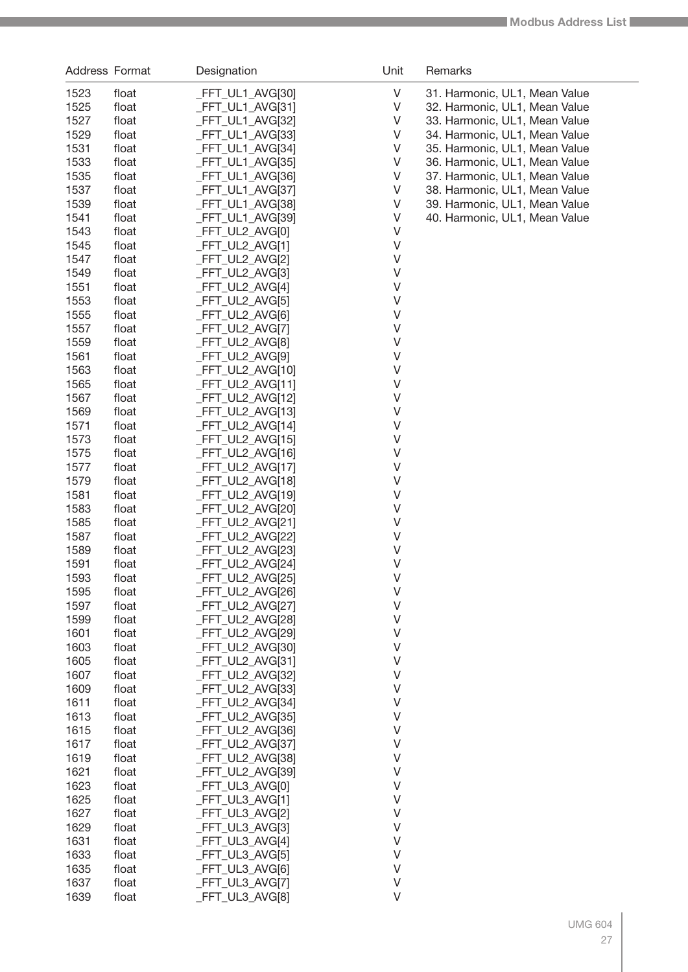| Address Format |                | Designation                          | Unit             | Remarks                       |
|----------------|----------------|--------------------------------------|------------------|-------------------------------|
| 1523           | float          | _FFT_UL1_AVG[30]                     | $\vee$           | 31. Harmonic, UL1, Mean Value |
| 1525           | float          | _FFT_UL1_AVG[31]                     | V                | 32. Harmonic, UL1, Mean Value |
| 1527           | float          | _FFT_UL1_AVG[32]                     | $\sf V$          | 33. Harmonic, UL1, Mean Value |
| 1529           | float          | _FFT_UL1_AVG[33]                     | $\sf V$          | 34. Harmonic, UL1, Mean Value |
| 1531           | float          | _FFT_UL1_AVG[34]                     | $\sf V$          | 35. Harmonic, UL1, Mean Value |
| 1533           | float          | _FFT_UL1_AVG[35]                     | $\sf V$          | 36. Harmonic, UL1, Mean Value |
| 1535           | float          | $-FFT_ULI_AVG[36]$                   | V                | 37. Harmonic, UL1, Mean Value |
| 1537           | float          | _FFT_UL1_AVG[37]                     | $\sf V$          | 38. Harmonic, UL1, Mean Value |
| 1539           | float          | _FFT_UL1_AVG[38]                     | $\sf V$          | 39. Harmonic, UL1, Mean Value |
| 1541           | float          | $-FFT_ULI_AVG[39]$                   | $\mathsf V$      | 40. Harmonic, UL1, Mean Value |
| 1543           | float          | _FFT_UL2_AVG[0]                      | $\mathsf V$      |                               |
| 1545           | float          | _FFT_UL2_AVG[1]                      | $\sf V$          |                               |
| 1547           | float          | _FFT_UL2_AVG[2]                      | $\sf V$          |                               |
| 1549           | float          | _FFT_UL2_AVG[3]                      | $\sf V$          |                               |
| 1551           | float          | _FFT_UL2_AVG[4]                      | $\vee$           |                               |
| 1553           | float          | _FFT_UL2_AVG[5]                      | $\vee$           |                               |
| 1555           | float          | _FFT_UL2_AVG[6]                      | $\sf V$          |                               |
| 1557           | float          | _FFT_UL2_AVG[7]                      | $\sf V$          |                               |
| 1559           | float          | _FFT_UL2_AVG[8]                      | $\vee$           |                               |
| 1561           | float          | _FFT_UL2_AVG[9]                      | $\vee$           |                               |
| 1563           | float          | $-FFT_UL2_AVG[10]$                   | $\vee$           |                               |
| 1565           | float          | _FFT_UL2_AVG[11]                     | $\vee$           |                               |
| 1567           | float          | _FFT_UL2_AVG[12]                     | $\vee$           |                               |
| 1569           | float          | _FFT_UL2_AVG[13]                     | $\vee$           |                               |
| 1571           | float          | _FFT_UL2_AVG[14]                     | $\vee$           |                               |
| 1573           | float          | _FFT_UL2_AVG[15]                     | $\vee$           |                               |
| 1575           | float          | _FFT_UL2_AVG[16]                     | $\vee$           |                               |
| 1577           | float          | _FFT_UL2_AVG[17]                     | $\vee$<br>$\vee$ |                               |
| 1579<br>1581   | float<br>float | _FFT_UL2_AVG[18]<br>_FFT_UL2_AVG[19] | $\vee$           |                               |
| 1583           | float          | _FFT_UL2_AVG[20]                     | $\vee$           |                               |
| 1585           | float          | _FFT_UL2_AVG[21]                     | $\vee$           |                               |
| 1587           | float          | _FFT_UL2_AVG[22]                     | $\vee$           |                               |
| 1589           | float          | _FFT_UL2_AVG[23]                     | $\sf V$          |                               |
| 1591           | float          | _FFT_UL2_AVG[24]                     | $\vee$           |                               |
| 1593           | float          | FFT_UL2_AVG[25]                      | V                |                               |
| 1595           | float          | _FFT_UL2_AVG[26]                     | V                |                               |
| 1597           | float          | _FFT_UL2_AVG[27]                     | $\vee$           |                               |
| 1599           | float          | _FFT_UL2_AVG[28]                     | V                |                               |
| 1601           | float          | FFT UL2 AVG[29]                      | $\vee$           |                               |
| 1603           | float          | _FFT_UL2_AVG[30]                     | $\vee$           |                               |
| 1605           | float          | _FFT_UL2_AVG[31]                     | $\vee$           |                               |
| 1607           | float          | _FFT_UL2_AVG[32]                     | $\vee$           |                               |
| 1609           | float          | _FFT_UL2_AVG[33]                     | $\vee$           |                               |
| 1611           | float          | _FFT_UL2_AVG[34]                     | $\vee$           |                               |
| 1613           | float          | _FFT_UL2_AVG[35]                     | $\vee$           |                               |
| 1615           | float          | _FFT_UL2_AVG[36]                     | $\vee$           |                               |
| 1617           | float          | _FFT_UL2_AVG[37]                     | $\vee$           |                               |
| 1619           | float          | _FFT_UL2_AVG[38]                     | $\vee$           |                               |
| 1621           | float          | _FFT_UL2_AVG[39]                     | $\vee$           |                               |
| 1623           | float          | _FFT_UL3_AVG[0]                      | $\vee$           |                               |
| 1625           | float          | _FFT_UL3_AVG[1]                      | $\vee$           |                               |
| 1627           | float          | _FFT_UL3_AVG[2]                      | $\vee$           |                               |
| 1629           | float          | _FFT_UL3_AVG[3]                      | $\vee$           |                               |
| 1631           | float          | _FFT_UL3_AVG[4]                      | $\vee$           |                               |
| 1633           | float          | _FFT_UL3_AVG[5]                      | V                |                               |
| 1635           | float          | _FFT_UL3_AVG[6]                      | $\vee$           |                               |
| 1637           | float          | _FFT_UL3_AVG[7]                      | $\vee$           |                               |
| 1639           | float          | _FFT_UL3_AVG[8]                      | $\vee$           |                               |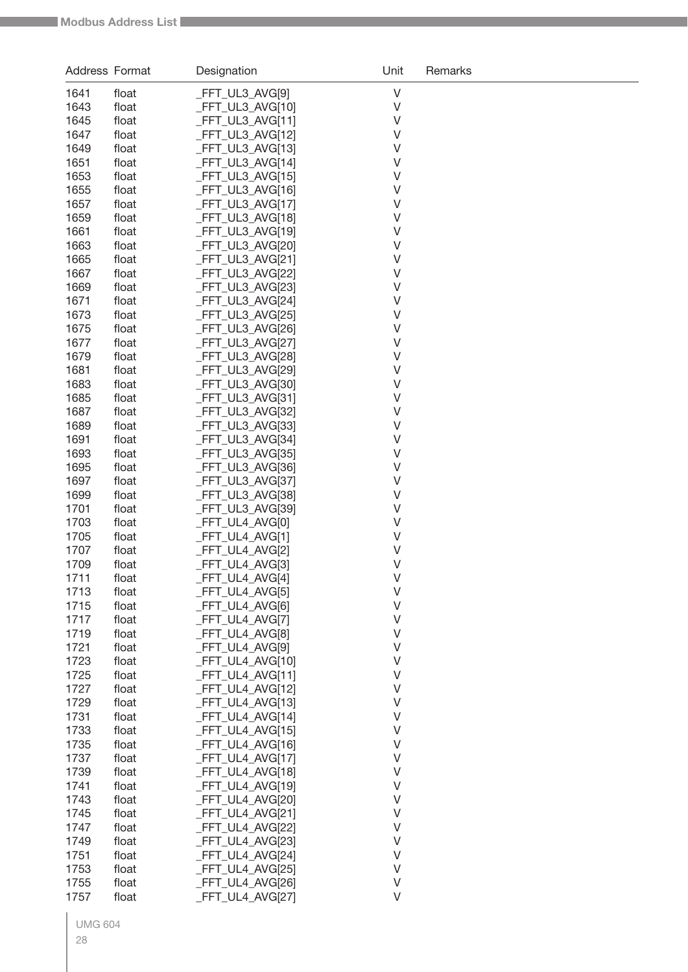| $\vee$<br>1641<br>_FFT_UL3_AVG[9]<br>float<br>$\vee$<br>_FFT_UL3_AVG[10]<br>1643<br>float<br>FFT_UL3_AVG[11]<br>V<br>1645<br>float<br>FFT_UL3_AVG[12]<br>V<br>1647<br>float<br>FFT_UL3_AVG[13]<br>V<br>1649<br>float<br>1651<br>FFT_UL3_AVG[14]<br>V<br>float<br>$\vee$<br>FFT_UL3_AVG[15]<br>1653<br>float<br>$\vee$<br>1655<br>FFT_UL3_AVG[16]<br>float<br>$\vee$<br>1657<br>FFT_UL3_AVG[17]<br>float<br>$\vee$<br>1659<br>FFT_UL3_AVG[18]<br>float<br>$\vee$<br>1661<br>FFT_UL3_AVG[19]<br>float<br>FFT_UL3_AVG[20]<br>V<br>1663<br>float<br>_FFT_UL3_AVG[21]<br>V<br>1665<br>float<br>1667<br>_FFT_UL3_AVG[22]<br>V<br>float<br>FFT_UL3_AVG[23]<br>V<br>1669<br>float<br>$\vee$<br>1671<br>FFT_UL3_AVG[24]<br>float<br>$\vee$<br>FFT_UL3_AVG[25]<br>1673<br>float<br>$\vee$<br>1675<br>FFT_UL3_AVG[26]<br>float<br>$\vee$<br>FFT_UL3_AVG[27]<br>1677<br>float<br>$\vee$<br>FFT_UL3_AVG[28]<br>1679<br>float<br>$\vee$<br>_FFT_UL3_AVG[29]<br>1681<br>float<br>FFT_UL3_AVG[30]<br>V<br>1683<br>float<br>1685<br>_FFT_UL3_AVG[31]<br>V<br>float<br>1687<br>_FFT_UL3_AVG[32]<br>V<br>float<br>FFT_UL3_AVG[33]<br>V<br>1689<br>float<br>$\vee$<br>FFT_UL3_AVG[34]<br>1691<br>float<br>$\vee$<br>FFT_UL3_AVG[35]<br>1693<br>float<br>$\vee$<br>FFT_UL3_AVG[36]<br>1695<br>float<br>1697<br>_FFT_UL3_AVG[37]<br>V<br>float<br>FFT_UL3_AVG[38]<br>V<br>1699<br>float<br>FFT_UL3_AVG[39]<br>V<br>1701<br>float<br>FFT_UL4_AVG[0]<br>V<br>1703<br>float<br>FFT_UL4_AVG[1]<br>V<br>1705<br>float<br>FFT_UL4_AVG[2]<br>V<br>1707<br>float<br>$\vee$<br>1709<br>FFT_UL4_AVG[3]<br>float<br>_FFT_UL4_AVG[4]<br>$\vee$<br>1711<br>float<br>V<br>_FFT_UL4_AVG[5]<br>1713<br>float<br>$\vee$<br>1715<br>_FFT_UL4_AVG[6]<br>float<br>$\sf V$<br>1717<br>_FFT_UL4_AVG[7]<br>float<br>1719<br>_FFT_UL4_AVG[8]<br>V<br>float<br>1721<br>_FFT_UL4_AVG[9]<br>V<br>float<br>1723<br>FFT_UL4_AVG[10]<br>V<br>float<br>1725<br>_FFT_UL4_AVG[11]<br>V<br>float<br>$\vee$<br>1727<br>_FFT_UL4_AVG[12]<br>float<br>$\vee$<br>1729<br>_FFT_UL4_AVG[13]<br>float<br>V<br>1731<br>float<br>FFT UL4 AVG[14]<br>V<br>1733<br>float<br>_FFT_UL4_AVG[15]<br>V<br>1735<br>FFT_UL4_AVG[16]<br>float<br>1737<br>_FFT_UL4_AVG[17]<br>V<br>float<br>1739<br>_FFT_UL4_AVG[18]<br>V<br>float<br>_FFT_UL4_AVG[19]<br>V<br>1741<br>float<br>1743<br>_FFT_UL4_AVG[20]<br>V<br>float<br>1745<br>_FFT_UL4_AVG[21]<br>V<br>float<br>1747<br>_FFT_UL4_AVG[22]<br>V<br>float<br>1749<br>_FFT_UL4_AVG[23]<br>V<br>float<br>1751<br>_FFT_UL4_AVG[24]<br>V<br>float<br>$\vee$<br>1753<br>_FFT_UL4_AVG[25]<br>float<br>$\vee$<br>1755<br>float<br>FFT_UL4_AVG[26] | <b>Address Format</b> |       | Designation     | Unit   | Remarks |
|-----------------------------------------------------------------------------------------------------------------------------------------------------------------------------------------------------------------------------------------------------------------------------------------------------------------------------------------------------------------------------------------------------------------------------------------------------------------------------------------------------------------------------------------------------------------------------------------------------------------------------------------------------------------------------------------------------------------------------------------------------------------------------------------------------------------------------------------------------------------------------------------------------------------------------------------------------------------------------------------------------------------------------------------------------------------------------------------------------------------------------------------------------------------------------------------------------------------------------------------------------------------------------------------------------------------------------------------------------------------------------------------------------------------------------------------------------------------------------------------------------------------------------------------------------------------------------------------------------------------------------------------------------------------------------------------------------------------------------------------------------------------------------------------------------------------------------------------------------------------------------------------------------------------------------------------------------------------------------------------------------------------------------------------------------------------------------------------------------------------------------------------------------------------------------------------------------------------------------------------------------------------------------------------------------------------------------------------------------------------------------------------------------------------------------------------------------------------------------------------------------------------------------------------------------------------------------------------------------------------|-----------------------|-------|-----------------|--------|---------|
|                                                                                                                                                                                                                                                                                                                                                                                                                                                                                                                                                                                                                                                                                                                                                                                                                                                                                                                                                                                                                                                                                                                                                                                                                                                                                                                                                                                                                                                                                                                                                                                                                                                                                                                                                                                                                                                                                                                                                                                                                                                                                                                                                                                                                                                                                                                                                                                                                                                                                                                                                                                                                 |                       |       |                 |        |         |
|                                                                                                                                                                                                                                                                                                                                                                                                                                                                                                                                                                                                                                                                                                                                                                                                                                                                                                                                                                                                                                                                                                                                                                                                                                                                                                                                                                                                                                                                                                                                                                                                                                                                                                                                                                                                                                                                                                                                                                                                                                                                                                                                                                                                                                                                                                                                                                                                                                                                                                                                                                                                                 |                       |       |                 |        |         |
|                                                                                                                                                                                                                                                                                                                                                                                                                                                                                                                                                                                                                                                                                                                                                                                                                                                                                                                                                                                                                                                                                                                                                                                                                                                                                                                                                                                                                                                                                                                                                                                                                                                                                                                                                                                                                                                                                                                                                                                                                                                                                                                                                                                                                                                                                                                                                                                                                                                                                                                                                                                                                 |                       |       |                 |        |         |
|                                                                                                                                                                                                                                                                                                                                                                                                                                                                                                                                                                                                                                                                                                                                                                                                                                                                                                                                                                                                                                                                                                                                                                                                                                                                                                                                                                                                                                                                                                                                                                                                                                                                                                                                                                                                                                                                                                                                                                                                                                                                                                                                                                                                                                                                                                                                                                                                                                                                                                                                                                                                                 |                       |       |                 |        |         |
|                                                                                                                                                                                                                                                                                                                                                                                                                                                                                                                                                                                                                                                                                                                                                                                                                                                                                                                                                                                                                                                                                                                                                                                                                                                                                                                                                                                                                                                                                                                                                                                                                                                                                                                                                                                                                                                                                                                                                                                                                                                                                                                                                                                                                                                                                                                                                                                                                                                                                                                                                                                                                 |                       |       |                 |        |         |
|                                                                                                                                                                                                                                                                                                                                                                                                                                                                                                                                                                                                                                                                                                                                                                                                                                                                                                                                                                                                                                                                                                                                                                                                                                                                                                                                                                                                                                                                                                                                                                                                                                                                                                                                                                                                                                                                                                                                                                                                                                                                                                                                                                                                                                                                                                                                                                                                                                                                                                                                                                                                                 |                       |       |                 |        |         |
|                                                                                                                                                                                                                                                                                                                                                                                                                                                                                                                                                                                                                                                                                                                                                                                                                                                                                                                                                                                                                                                                                                                                                                                                                                                                                                                                                                                                                                                                                                                                                                                                                                                                                                                                                                                                                                                                                                                                                                                                                                                                                                                                                                                                                                                                                                                                                                                                                                                                                                                                                                                                                 |                       |       |                 |        |         |
|                                                                                                                                                                                                                                                                                                                                                                                                                                                                                                                                                                                                                                                                                                                                                                                                                                                                                                                                                                                                                                                                                                                                                                                                                                                                                                                                                                                                                                                                                                                                                                                                                                                                                                                                                                                                                                                                                                                                                                                                                                                                                                                                                                                                                                                                                                                                                                                                                                                                                                                                                                                                                 |                       |       |                 |        |         |
|                                                                                                                                                                                                                                                                                                                                                                                                                                                                                                                                                                                                                                                                                                                                                                                                                                                                                                                                                                                                                                                                                                                                                                                                                                                                                                                                                                                                                                                                                                                                                                                                                                                                                                                                                                                                                                                                                                                                                                                                                                                                                                                                                                                                                                                                                                                                                                                                                                                                                                                                                                                                                 |                       |       |                 |        |         |
|                                                                                                                                                                                                                                                                                                                                                                                                                                                                                                                                                                                                                                                                                                                                                                                                                                                                                                                                                                                                                                                                                                                                                                                                                                                                                                                                                                                                                                                                                                                                                                                                                                                                                                                                                                                                                                                                                                                                                                                                                                                                                                                                                                                                                                                                                                                                                                                                                                                                                                                                                                                                                 |                       |       |                 |        |         |
|                                                                                                                                                                                                                                                                                                                                                                                                                                                                                                                                                                                                                                                                                                                                                                                                                                                                                                                                                                                                                                                                                                                                                                                                                                                                                                                                                                                                                                                                                                                                                                                                                                                                                                                                                                                                                                                                                                                                                                                                                                                                                                                                                                                                                                                                                                                                                                                                                                                                                                                                                                                                                 |                       |       |                 |        |         |
|                                                                                                                                                                                                                                                                                                                                                                                                                                                                                                                                                                                                                                                                                                                                                                                                                                                                                                                                                                                                                                                                                                                                                                                                                                                                                                                                                                                                                                                                                                                                                                                                                                                                                                                                                                                                                                                                                                                                                                                                                                                                                                                                                                                                                                                                                                                                                                                                                                                                                                                                                                                                                 |                       |       |                 |        |         |
|                                                                                                                                                                                                                                                                                                                                                                                                                                                                                                                                                                                                                                                                                                                                                                                                                                                                                                                                                                                                                                                                                                                                                                                                                                                                                                                                                                                                                                                                                                                                                                                                                                                                                                                                                                                                                                                                                                                                                                                                                                                                                                                                                                                                                                                                                                                                                                                                                                                                                                                                                                                                                 |                       |       |                 |        |         |
|                                                                                                                                                                                                                                                                                                                                                                                                                                                                                                                                                                                                                                                                                                                                                                                                                                                                                                                                                                                                                                                                                                                                                                                                                                                                                                                                                                                                                                                                                                                                                                                                                                                                                                                                                                                                                                                                                                                                                                                                                                                                                                                                                                                                                                                                                                                                                                                                                                                                                                                                                                                                                 |                       |       |                 |        |         |
|                                                                                                                                                                                                                                                                                                                                                                                                                                                                                                                                                                                                                                                                                                                                                                                                                                                                                                                                                                                                                                                                                                                                                                                                                                                                                                                                                                                                                                                                                                                                                                                                                                                                                                                                                                                                                                                                                                                                                                                                                                                                                                                                                                                                                                                                                                                                                                                                                                                                                                                                                                                                                 |                       |       |                 |        |         |
|                                                                                                                                                                                                                                                                                                                                                                                                                                                                                                                                                                                                                                                                                                                                                                                                                                                                                                                                                                                                                                                                                                                                                                                                                                                                                                                                                                                                                                                                                                                                                                                                                                                                                                                                                                                                                                                                                                                                                                                                                                                                                                                                                                                                                                                                                                                                                                                                                                                                                                                                                                                                                 |                       |       |                 |        |         |
|                                                                                                                                                                                                                                                                                                                                                                                                                                                                                                                                                                                                                                                                                                                                                                                                                                                                                                                                                                                                                                                                                                                                                                                                                                                                                                                                                                                                                                                                                                                                                                                                                                                                                                                                                                                                                                                                                                                                                                                                                                                                                                                                                                                                                                                                                                                                                                                                                                                                                                                                                                                                                 |                       |       |                 |        |         |
|                                                                                                                                                                                                                                                                                                                                                                                                                                                                                                                                                                                                                                                                                                                                                                                                                                                                                                                                                                                                                                                                                                                                                                                                                                                                                                                                                                                                                                                                                                                                                                                                                                                                                                                                                                                                                                                                                                                                                                                                                                                                                                                                                                                                                                                                                                                                                                                                                                                                                                                                                                                                                 |                       |       |                 |        |         |
|                                                                                                                                                                                                                                                                                                                                                                                                                                                                                                                                                                                                                                                                                                                                                                                                                                                                                                                                                                                                                                                                                                                                                                                                                                                                                                                                                                                                                                                                                                                                                                                                                                                                                                                                                                                                                                                                                                                                                                                                                                                                                                                                                                                                                                                                                                                                                                                                                                                                                                                                                                                                                 |                       |       |                 |        |         |
|                                                                                                                                                                                                                                                                                                                                                                                                                                                                                                                                                                                                                                                                                                                                                                                                                                                                                                                                                                                                                                                                                                                                                                                                                                                                                                                                                                                                                                                                                                                                                                                                                                                                                                                                                                                                                                                                                                                                                                                                                                                                                                                                                                                                                                                                                                                                                                                                                                                                                                                                                                                                                 |                       |       |                 |        |         |
|                                                                                                                                                                                                                                                                                                                                                                                                                                                                                                                                                                                                                                                                                                                                                                                                                                                                                                                                                                                                                                                                                                                                                                                                                                                                                                                                                                                                                                                                                                                                                                                                                                                                                                                                                                                                                                                                                                                                                                                                                                                                                                                                                                                                                                                                                                                                                                                                                                                                                                                                                                                                                 |                       |       |                 |        |         |
|                                                                                                                                                                                                                                                                                                                                                                                                                                                                                                                                                                                                                                                                                                                                                                                                                                                                                                                                                                                                                                                                                                                                                                                                                                                                                                                                                                                                                                                                                                                                                                                                                                                                                                                                                                                                                                                                                                                                                                                                                                                                                                                                                                                                                                                                                                                                                                                                                                                                                                                                                                                                                 |                       |       |                 |        |         |
|                                                                                                                                                                                                                                                                                                                                                                                                                                                                                                                                                                                                                                                                                                                                                                                                                                                                                                                                                                                                                                                                                                                                                                                                                                                                                                                                                                                                                                                                                                                                                                                                                                                                                                                                                                                                                                                                                                                                                                                                                                                                                                                                                                                                                                                                                                                                                                                                                                                                                                                                                                                                                 |                       |       |                 |        |         |
|                                                                                                                                                                                                                                                                                                                                                                                                                                                                                                                                                                                                                                                                                                                                                                                                                                                                                                                                                                                                                                                                                                                                                                                                                                                                                                                                                                                                                                                                                                                                                                                                                                                                                                                                                                                                                                                                                                                                                                                                                                                                                                                                                                                                                                                                                                                                                                                                                                                                                                                                                                                                                 |                       |       |                 |        |         |
|                                                                                                                                                                                                                                                                                                                                                                                                                                                                                                                                                                                                                                                                                                                                                                                                                                                                                                                                                                                                                                                                                                                                                                                                                                                                                                                                                                                                                                                                                                                                                                                                                                                                                                                                                                                                                                                                                                                                                                                                                                                                                                                                                                                                                                                                                                                                                                                                                                                                                                                                                                                                                 |                       |       |                 |        |         |
|                                                                                                                                                                                                                                                                                                                                                                                                                                                                                                                                                                                                                                                                                                                                                                                                                                                                                                                                                                                                                                                                                                                                                                                                                                                                                                                                                                                                                                                                                                                                                                                                                                                                                                                                                                                                                                                                                                                                                                                                                                                                                                                                                                                                                                                                                                                                                                                                                                                                                                                                                                                                                 |                       |       |                 |        |         |
|                                                                                                                                                                                                                                                                                                                                                                                                                                                                                                                                                                                                                                                                                                                                                                                                                                                                                                                                                                                                                                                                                                                                                                                                                                                                                                                                                                                                                                                                                                                                                                                                                                                                                                                                                                                                                                                                                                                                                                                                                                                                                                                                                                                                                                                                                                                                                                                                                                                                                                                                                                                                                 |                       |       |                 |        |         |
|                                                                                                                                                                                                                                                                                                                                                                                                                                                                                                                                                                                                                                                                                                                                                                                                                                                                                                                                                                                                                                                                                                                                                                                                                                                                                                                                                                                                                                                                                                                                                                                                                                                                                                                                                                                                                                                                                                                                                                                                                                                                                                                                                                                                                                                                                                                                                                                                                                                                                                                                                                                                                 |                       |       |                 |        |         |
|                                                                                                                                                                                                                                                                                                                                                                                                                                                                                                                                                                                                                                                                                                                                                                                                                                                                                                                                                                                                                                                                                                                                                                                                                                                                                                                                                                                                                                                                                                                                                                                                                                                                                                                                                                                                                                                                                                                                                                                                                                                                                                                                                                                                                                                                                                                                                                                                                                                                                                                                                                                                                 |                       |       |                 |        |         |
|                                                                                                                                                                                                                                                                                                                                                                                                                                                                                                                                                                                                                                                                                                                                                                                                                                                                                                                                                                                                                                                                                                                                                                                                                                                                                                                                                                                                                                                                                                                                                                                                                                                                                                                                                                                                                                                                                                                                                                                                                                                                                                                                                                                                                                                                                                                                                                                                                                                                                                                                                                                                                 |                       |       |                 |        |         |
|                                                                                                                                                                                                                                                                                                                                                                                                                                                                                                                                                                                                                                                                                                                                                                                                                                                                                                                                                                                                                                                                                                                                                                                                                                                                                                                                                                                                                                                                                                                                                                                                                                                                                                                                                                                                                                                                                                                                                                                                                                                                                                                                                                                                                                                                                                                                                                                                                                                                                                                                                                                                                 |                       |       |                 |        |         |
|                                                                                                                                                                                                                                                                                                                                                                                                                                                                                                                                                                                                                                                                                                                                                                                                                                                                                                                                                                                                                                                                                                                                                                                                                                                                                                                                                                                                                                                                                                                                                                                                                                                                                                                                                                                                                                                                                                                                                                                                                                                                                                                                                                                                                                                                                                                                                                                                                                                                                                                                                                                                                 |                       |       |                 |        |         |
|                                                                                                                                                                                                                                                                                                                                                                                                                                                                                                                                                                                                                                                                                                                                                                                                                                                                                                                                                                                                                                                                                                                                                                                                                                                                                                                                                                                                                                                                                                                                                                                                                                                                                                                                                                                                                                                                                                                                                                                                                                                                                                                                                                                                                                                                                                                                                                                                                                                                                                                                                                                                                 |                       |       |                 |        |         |
|                                                                                                                                                                                                                                                                                                                                                                                                                                                                                                                                                                                                                                                                                                                                                                                                                                                                                                                                                                                                                                                                                                                                                                                                                                                                                                                                                                                                                                                                                                                                                                                                                                                                                                                                                                                                                                                                                                                                                                                                                                                                                                                                                                                                                                                                                                                                                                                                                                                                                                                                                                                                                 |                       |       |                 |        |         |
|                                                                                                                                                                                                                                                                                                                                                                                                                                                                                                                                                                                                                                                                                                                                                                                                                                                                                                                                                                                                                                                                                                                                                                                                                                                                                                                                                                                                                                                                                                                                                                                                                                                                                                                                                                                                                                                                                                                                                                                                                                                                                                                                                                                                                                                                                                                                                                                                                                                                                                                                                                                                                 |                       |       |                 |        |         |
|                                                                                                                                                                                                                                                                                                                                                                                                                                                                                                                                                                                                                                                                                                                                                                                                                                                                                                                                                                                                                                                                                                                                                                                                                                                                                                                                                                                                                                                                                                                                                                                                                                                                                                                                                                                                                                                                                                                                                                                                                                                                                                                                                                                                                                                                                                                                                                                                                                                                                                                                                                                                                 |                       |       |                 |        |         |
|                                                                                                                                                                                                                                                                                                                                                                                                                                                                                                                                                                                                                                                                                                                                                                                                                                                                                                                                                                                                                                                                                                                                                                                                                                                                                                                                                                                                                                                                                                                                                                                                                                                                                                                                                                                                                                                                                                                                                                                                                                                                                                                                                                                                                                                                                                                                                                                                                                                                                                                                                                                                                 |                       |       |                 |        |         |
|                                                                                                                                                                                                                                                                                                                                                                                                                                                                                                                                                                                                                                                                                                                                                                                                                                                                                                                                                                                                                                                                                                                                                                                                                                                                                                                                                                                                                                                                                                                                                                                                                                                                                                                                                                                                                                                                                                                                                                                                                                                                                                                                                                                                                                                                                                                                                                                                                                                                                                                                                                                                                 |                       |       |                 |        |         |
|                                                                                                                                                                                                                                                                                                                                                                                                                                                                                                                                                                                                                                                                                                                                                                                                                                                                                                                                                                                                                                                                                                                                                                                                                                                                                                                                                                                                                                                                                                                                                                                                                                                                                                                                                                                                                                                                                                                                                                                                                                                                                                                                                                                                                                                                                                                                                                                                                                                                                                                                                                                                                 |                       |       |                 |        |         |
|                                                                                                                                                                                                                                                                                                                                                                                                                                                                                                                                                                                                                                                                                                                                                                                                                                                                                                                                                                                                                                                                                                                                                                                                                                                                                                                                                                                                                                                                                                                                                                                                                                                                                                                                                                                                                                                                                                                                                                                                                                                                                                                                                                                                                                                                                                                                                                                                                                                                                                                                                                                                                 |                       |       |                 |        |         |
|                                                                                                                                                                                                                                                                                                                                                                                                                                                                                                                                                                                                                                                                                                                                                                                                                                                                                                                                                                                                                                                                                                                                                                                                                                                                                                                                                                                                                                                                                                                                                                                                                                                                                                                                                                                                                                                                                                                                                                                                                                                                                                                                                                                                                                                                                                                                                                                                                                                                                                                                                                                                                 |                       |       |                 |        |         |
|                                                                                                                                                                                                                                                                                                                                                                                                                                                                                                                                                                                                                                                                                                                                                                                                                                                                                                                                                                                                                                                                                                                                                                                                                                                                                                                                                                                                                                                                                                                                                                                                                                                                                                                                                                                                                                                                                                                                                                                                                                                                                                                                                                                                                                                                                                                                                                                                                                                                                                                                                                                                                 |                       |       |                 |        |         |
|                                                                                                                                                                                                                                                                                                                                                                                                                                                                                                                                                                                                                                                                                                                                                                                                                                                                                                                                                                                                                                                                                                                                                                                                                                                                                                                                                                                                                                                                                                                                                                                                                                                                                                                                                                                                                                                                                                                                                                                                                                                                                                                                                                                                                                                                                                                                                                                                                                                                                                                                                                                                                 |                       |       |                 |        |         |
|                                                                                                                                                                                                                                                                                                                                                                                                                                                                                                                                                                                                                                                                                                                                                                                                                                                                                                                                                                                                                                                                                                                                                                                                                                                                                                                                                                                                                                                                                                                                                                                                                                                                                                                                                                                                                                                                                                                                                                                                                                                                                                                                                                                                                                                                                                                                                                                                                                                                                                                                                                                                                 |                       |       |                 |        |         |
|                                                                                                                                                                                                                                                                                                                                                                                                                                                                                                                                                                                                                                                                                                                                                                                                                                                                                                                                                                                                                                                                                                                                                                                                                                                                                                                                                                                                                                                                                                                                                                                                                                                                                                                                                                                                                                                                                                                                                                                                                                                                                                                                                                                                                                                                                                                                                                                                                                                                                                                                                                                                                 |                       |       |                 |        |         |
|                                                                                                                                                                                                                                                                                                                                                                                                                                                                                                                                                                                                                                                                                                                                                                                                                                                                                                                                                                                                                                                                                                                                                                                                                                                                                                                                                                                                                                                                                                                                                                                                                                                                                                                                                                                                                                                                                                                                                                                                                                                                                                                                                                                                                                                                                                                                                                                                                                                                                                                                                                                                                 |                       |       |                 |        |         |
|                                                                                                                                                                                                                                                                                                                                                                                                                                                                                                                                                                                                                                                                                                                                                                                                                                                                                                                                                                                                                                                                                                                                                                                                                                                                                                                                                                                                                                                                                                                                                                                                                                                                                                                                                                                                                                                                                                                                                                                                                                                                                                                                                                                                                                                                                                                                                                                                                                                                                                                                                                                                                 |                       |       |                 |        |         |
|                                                                                                                                                                                                                                                                                                                                                                                                                                                                                                                                                                                                                                                                                                                                                                                                                                                                                                                                                                                                                                                                                                                                                                                                                                                                                                                                                                                                                                                                                                                                                                                                                                                                                                                                                                                                                                                                                                                                                                                                                                                                                                                                                                                                                                                                                                                                                                                                                                                                                                                                                                                                                 |                       |       |                 |        |         |
|                                                                                                                                                                                                                                                                                                                                                                                                                                                                                                                                                                                                                                                                                                                                                                                                                                                                                                                                                                                                                                                                                                                                                                                                                                                                                                                                                                                                                                                                                                                                                                                                                                                                                                                                                                                                                                                                                                                                                                                                                                                                                                                                                                                                                                                                                                                                                                                                                                                                                                                                                                                                                 |                       |       |                 |        |         |
|                                                                                                                                                                                                                                                                                                                                                                                                                                                                                                                                                                                                                                                                                                                                                                                                                                                                                                                                                                                                                                                                                                                                                                                                                                                                                                                                                                                                                                                                                                                                                                                                                                                                                                                                                                                                                                                                                                                                                                                                                                                                                                                                                                                                                                                                                                                                                                                                                                                                                                                                                                                                                 |                       |       |                 |        |         |
|                                                                                                                                                                                                                                                                                                                                                                                                                                                                                                                                                                                                                                                                                                                                                                                                                                                                                                                                                                                                                                                                                                                                                                                                                                                                                                                                                                                                                                                                                                                                                                                                                                                                                                                                                                                                                                                                                                                                                                                                                                                                                                                                                                                                                                                                                                                                                                                                                                                                                                                                                                                                                 |                       |       |                 |        |         |
|                                                                                                                                                                                                                                                                                                                                                                                                                                                                                                                                                                                                                                                                                                                                                                                                                                                                                                                                                                                                                                                                                                                                                                                                                                                                                                                                                                                                                                                                                                                                                                                                                                                                                                                                                                                                                                                                                                                                                                                                                                                                                                                                                                                                                                                                                                                                                                                                                                                                                                                                                                                                                 |                       |       |                 |        |         |
|                                                                                                                                                                                                                                                                                                                                                                                                                                                                                                                                                                                                                                                                                                                                                                                                                                                                                                                                                                                                                                                                                                                                                                                                                                                                                                                                                                                                                                                                                                                                                                                                                                                                                                                                                                                                                                                                                                                                                                                                                                                                                                                                                                                                                                                                                                                                                                                                                                                                                                                                                                                                                 |                       |       |                 |        |         |
|                                                                                                                                                                                                                                                                                                                                                                                                                                                                                                                                                                                                                                                                                                                                                                                                                                                                                                                                                                                                                                                                                                                                                                                                                                                                                                                                                                                                                                                                                                                                                                                                                                                                                                                                                                                                                                                                                                                                                                                                                                                                                                                                                                                                                                                                                                                                                                                                                                                                                                                                                                                                                 |                       |       |                 |        |         |
|                                                                                                                                                                                                                                                                                                                                                                                                                                                                                                                                                                                                                                                                                                                                                                                                                                                                                                                                                                                                                                                                                                                                                                                                                                                                                                                                                                                                                                                                                                                                                                                                                                                                                                                                                                                                                                                                                                                                                                                                                                                                                                                                                                                                                                                                                                                                                                                                                                                                                                                                                                                                                 |                       |       |                 |        |         |
|                                                                                                                                                                                                                                                                                                                                                                                                                                                                                                                                                                                                                                                                                                                                                                                                                                                                                                                                                                                                                                                                                                                                                                                                                                                                                                                                                                                                                                                                                                                                                                                                                                                                                                                                                                                                                                                                                                                                                                                                                                                                                                                                                                                                                                                                                                                                                                                                                                                                                                                                                                                                                 | 1757                  | float | FFT_UL4_AVG[27] | $\vee$ |         |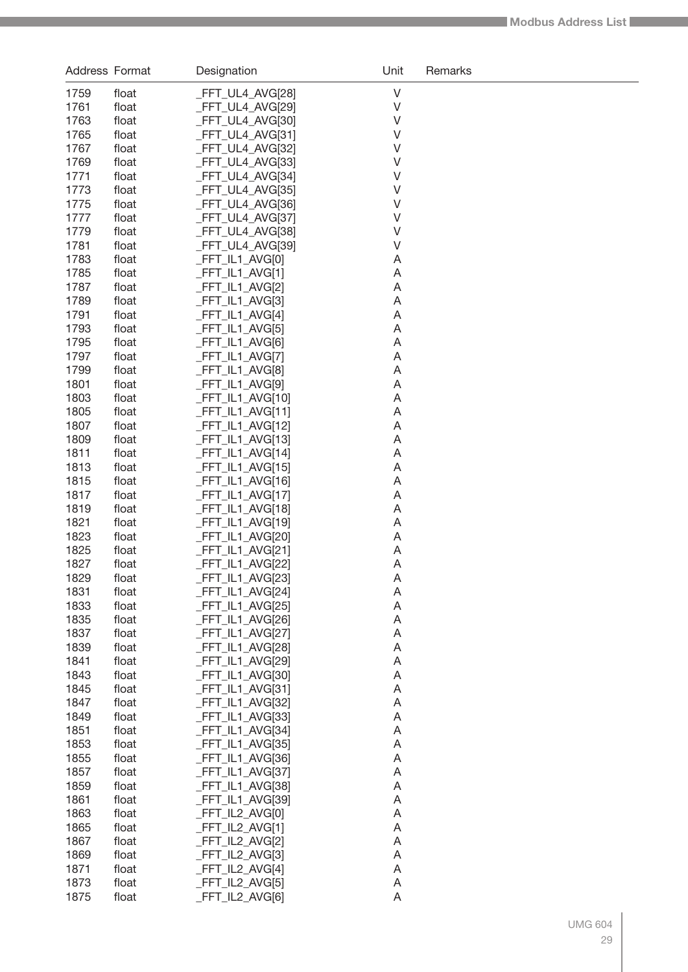| Address Format |                | Designation                         | Unit   | Remarks |
|----------------|----------------|-------------------------------------|--------|---------|
| 1759           | float          | _FFT_UL4_AVG[28]                    | V      |         |
| 1761           | float          | _FFT_UL4_AVG[29]                    | V      |         |
| 1763           | float          | _FFT_UL4_AVG[30]                    | V      |         |
| 1765           | float          | _FFT_UL4_AVG[31]                    | V      |         |
| 1767           | float          | _FFT_UL4_AVG[32]                    | V      |         |
| 1769           | float          | _FFT_UL4_AVG[33]                    | V      |         |
| 1771           | float          | _FFT_UL4_AVG[34]                    | V      |         |
| 1773           | float          | _FFT_UL4_AVG[35]                    | V      |         |
| 1775           | float          | _FFT_UL4_AVG[36]                    | V      |         |
| 1777           | float          | _FFT_UL4_AVG[37]                    | V      |         |
| 1779           | float          | _FFT_UL4_AVG[38]                    | V      |         |
| 1781           | float          | _FFT_UL4_AVG[39]                    | V      |         |
| 1783           | float          | _FFT_IL1_AVG[0]                     | A      |         |
| 1785<br>1787   | float<br>float | $-FFT_lL1_MVG[1]$                   | A<br>A |         |
| 1789           | float          | _FFT_IL1_AVG[2]<br>FFT_IL1_AVG[3]   | A      |         |
| 1791           | float          | _FFT_IL1_AVG[4]                     | A      |         |
| 1793           | float          | _FFT_IL1_AVG[5]                     | A      |         |
| 1795           | float          | _FFT_IL1_AVG[6]                     | A      |         |
| 1797           | float          | _FFT_IL1_AVG[7]                     | A      |         |
| 1799           | float          | _FFT_IL1_AVG[8]                     | A      |         |
| 1801           | float          | _FFT_IL1_AVG[9]                     | A      |         |
| 1803           | float          | _FFT_IL1_AVG[10]                    | A      |         |
| 1805           | float          | _FFT_IL1_AVG[11]                    | A      |         |
| 1807           | float          | _FFT_IL1_AVG[12]                    | Α      |         |
| 1809           | float          | _FFT_IL1_AVG[13]                    | Α      |         |
| 1811           | float          | _FFT_IL1_AVG[14]                    | Α      |         |
| 1813           | float          | _FFT_IL1_AVG[15]                    | Α      |         |
| 1815           | float          | _FFT_IL1_AVG[16]                    | Α      |         |
| 1817           | float          | _FFT_IL1_AVG[17]                    | Α      |         |
| 1819           | float          | _FFT_IL1_AVG[18]                    | Α      |         |
| 1821           | float          | _FFT_IL1_AVG[19]                    | Α      |         |
| 1823           | float          | FFT_IL1_AVG[20]                     | Α      |         |
| 1825<br>1827   | float          | _FFT_IL1_AVG[21]                    | A      |         |
| 1829           | float<br>float | _FFT_IL1_AVG[22]                    | A<br>A |         |
| 1831           | float          | FFT_IL1_AVG[23]<br>_FFT_IL1_AVG[24] | A      |         |
| 1833           | float          | _FFT_IL1_AVG[25]                    | A      |         |
| 1835           | float          | _FFT_IL1_AVG[26]                    | A      |         |
| 1837           | float          | _FFT_IL1_AVG[27]                    | A      |         |
| 1839           | float          | _FFT_IL1_AVG[28]                    | A      |         |
| 1841           | float          | _FFT_IL1_AVG[29]                    | A      |         |
| 1843           | float          | _FFT_IL1_AVG[30]                    | A      |         |
| 1845           | float          | _FFT_IL1_AVG[31]                    | A      |         |
| 1847           | float          | _FFT_IL1_AVG[32]                    | A      |         |
| 1849           | float          | _FFT_IL1_AVG[33]                    | A      |         |
| 1851           | float          | FFT_IL1_AVG[34]                     | Α      |         |
| 1853           | float          | _FFT_IL1_AVG[35]                    | Α      |         |
| 1855           | float          | _FFT_IL1_AVG[36]                    | Α      |         |
| 1857           | float          | _FFT_IL1_AVG[37]                    | Α      |         |
| 1859           | float          | _FFT_IL1_AVG[38]                    | A      |         |
| 1861           | float          | _FFT_IL1_AVG[39]                    | A      |         |
| 1863           | float          | _FFT_IL2_AVG[0]                     | A      |         |
| 1865<br>1867   | float<br>float | _FFT_IL2_AVG[1]<br>_FFT_IL2_AVG[2]  | A<br>A |         |
| 1869           | float          | _FFT_IL2_AVG[3]                     | A      |         |
| 1871           | float          | _FFT_IL2_AVG[4]                     | A      |         |
| 1873           | float          | _FFT_IL2_AVG[5]                     | A      |         |
| 1875           | float          | _FFT_IL2_AVG[6]                     | A      |         |
|                |                |                                     |        |         |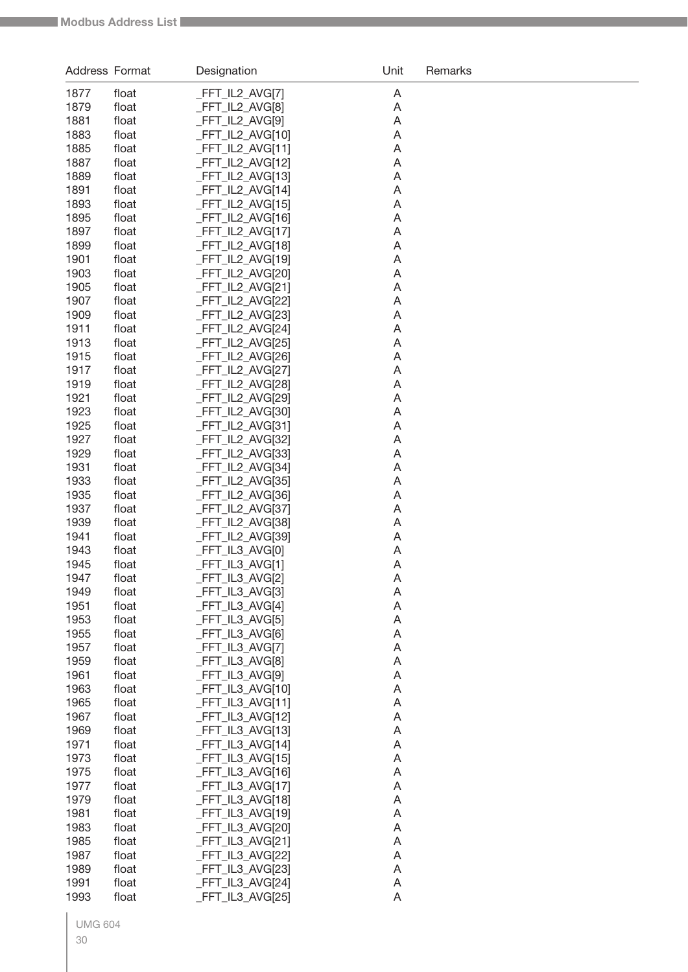| Address Format |                | Designation                         | Unit   | Remarks |
|----------------|----------------|-------------------------------------|--------|---------|
| 1877           | float          | _FFT_IL2_AVG[7]                     | A      |         |
| 1879           | float          | FFT_IL2_AVG[8]                      | A      |         |
| 1881           | float          | FFT_IL2_AVG[9]                      | A      |         |
| 1883           | float          | FFT_IL2_AVG[10]                     | A      |         |
| 1885           | float          | FFT_IL2_AVG[11]                     | A      |         |
| 1887           | float          | FFT_IL2_AVG[12]                     | A      |         |
| 1889           | float          | FFT_IL2_AVG[13]                     | A      |         |
| 1891           | float          | FFT IL2 AVG[14]                     | A      |         |
| 1893           | float          | FFT_IL2_AVG[15]                     | A      |         |
| 1895<br>1897   | float<br>float | FFT_IL2_AVG[16]<br>FFT_IL2_AVG[17]  | A<br>A |         |
| 1899           | float          | FFT_IL2_AVG[18]                     | A      |         |
| 1901           | float          | FFT_IL2_AVG[19]                     | A      |         |
| 1903           | float          | FFT_IL2_AVG[20]                     | A      |         |
| 1905           | float          | FFT_IL2_AVG[21]                     | A      |         |
| 1907           | float          | FFT_IL2_AVG[22]                     | A      |         |
| 1909           | float          | FFT_IL2_AVG[23]                     | A      |         |
| 1911           | float          | FFT_IL2_AVG[24]                     | A      |         |
| 1913           | float          | FFT_IL2_AVG[25]                     | A      |         |
| 1915           | float          | FFT IL2 AVG[26]                     | A      |         |
| 1917           | float          | FFT IL2 AVG[27]<br>FFT_IL2_AVG[28]  | A      |         |
| 1919<br>1921   | float<br>float | FFT_IL2_AVG[29]                     | A<br>A |         |
| 1923           | float          | FFT_IL2_AVG[30]                     | A      |         |
| 1925           | float          | FFT_IL2_AVG[31]                     | A      |         |
| 1927           | float          | FFT_IL2_AVG[32]                     | A      |         |
| 1929           | float          | FFT_IL2_AVG[33]                     | A      |         |
| 1931           | float          | FFT_IL2_AVG[34]                     | A      |         |
| 1933           | float          | FFT_IL2_AVG[35]                     | Α      |         |
| 1935           | float          | FFT_IL2_AVG[36]                     | A      |         |
| 1937           | float          | FFT_IL2_AVG[37]                     | A      |         |
| 1939           | float          | FFT_IL2_AVG[38]                     | A      |         |
| 1941<br>1943   | float<br>float | FFT_IL2_AVG[39]<br>FFT_IL3_AVG[0]   | A<br>A |         |
| 1945           | float          | FFT IL3 AVG[1]                      | Α      |         |
| 1947           | float          | _FFT_IL3_AVG[2]                     | A      |         |
| 1949           | float          | _FFT_IL3_AVG[3]                     | A      |         |
| 1951           | float          | _FFT_IL3_AVG[4]                     | A      |         |
| 1953           | float          | _FFT_IL3_AVG[5]                     | A      |         |
| 1955           | float          | _FFT_IL3_AVG[6]                     | A      |         |
| 1957           | float          | FFT_IL3_AVG[7]                      | A      |         |
| 1959           | float          | _FFT_IL3_AVG[8]                     | A      |         |
| 1961           | float          | _FFT_IL3_AVG[9]                     | A      |         |
| 1963           | float          | FFT_IL3_AVG[10]                     | A      |         |
| 1965<br>1967   | float<br>float | _FFT_IL3_AVG[11]<br>FFT IL3 AVG[12] | A<br>A |         |
| 1969           | float          | FFT_IL3_AVG[13]                     | A      |         |
| 1971           | float          | FFT_IL3_AVG[14]                     | A      |         |
| 1973           | float          | FFT_IL3_AVG[15]                     | A      |         |
| 1975           | float          | FFT_IL3_AVG[16]                     | A      |         |
| 1977           | float          | FFT_IL3_AVG[17]                     | A      |         |
| 1979           | float          | FFT_IL3_AVG[18]                     | A      |         |
| 1981           | float          | FFT_IL3_AVG[19]                     | A      |         |
| 1983           | float          | FFT_IL3_AVG[20]                     | A      |         |
| 1985           | float          | _FFT_IL3_AVG[21]                    | A      |         |
| 1987           | float          | FFT_IL3_AVG[22]                     | A      |         |
| 1989<br>1991   | float<br>float | FFT_IL3_AVG[23]<br>FFT_IL3_AVG[24]  | A<br>A |         |
| 1993           | float          | FFT_IL3_AVG[25]                     | A      |         |
|                |                |                                     |        |         |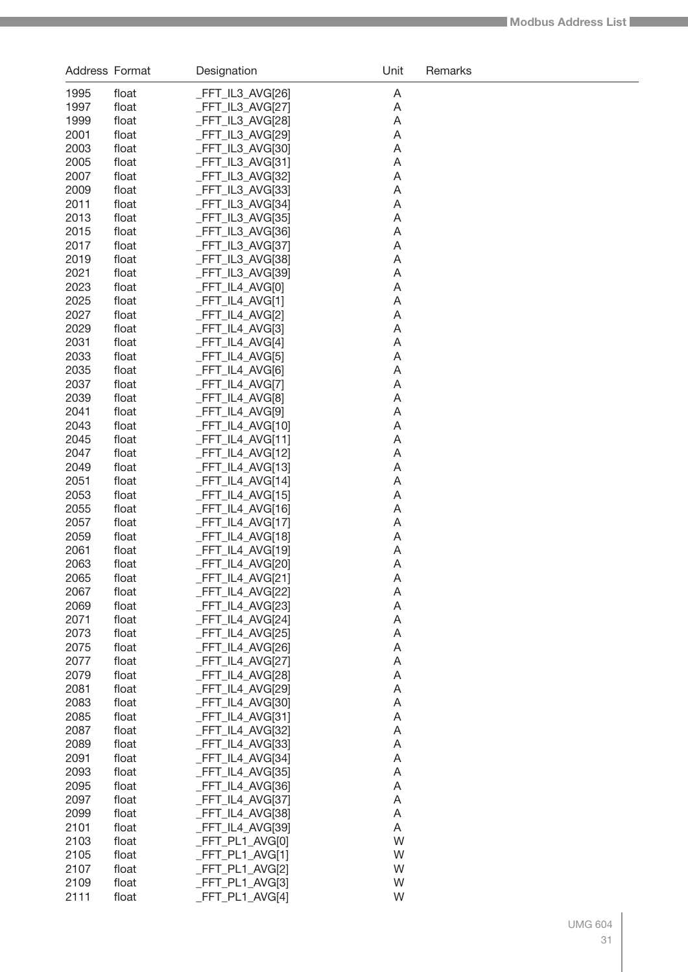| Address Format |                | Designation                          | Unit   | Remarks |
|----------------|----------------|--------------------------------------|--------|---------|
| 1995           | float          | _FFT_IL3_AVG[26]                     | A      |         |
| 1997           | float          | _FFT_IL3_AVG[27]                     | A      |         |
| 1999           | float          | _FFT_IL3_AVG[28]                     | A      |         |
| 2001           | float          | _FFT_IL3_AVG[29]                     | A      |         |
| 2003           | float          | _FFT_IL3_AVG[30]                     | A      |         |
| 2005           | float          | _FFT_IL3_AVG[31]                     | A      |         |
| 2007           | float          | _FFT_IL3_AVG[32]                     | A      |         |
| 2009           | float          | _FFT_IL3_AVG[33]                     | A      |         |
| 2011           | float          | _FFT_IL3_AVG[34]                     | A      |         |
| 2013<br>2015   | float          | _FFT_IL3_AVG[35]                     | A<br>A |         |
| 2017           | float<br>float | _FFT_IL3_AVG[36]<br>_FFT_IL3_AVG[37] | A      |         |
| 2019           | float          | _FFT_IL3_AVG[38]                     | A      |         |
| 2021           | float          | _FFT_IL3_AVG[39]                     | A      |         |
| 2023           | float          | _FFT_IL4_AVG[0]                      | A      |         |
| 2025           | float          | _FFT_IL4_AVG[1]                      | A      |         |
| 2027           | float          | _FFT_IL4_AVG[2]                      | A      |         |
| 2029           | float          | _FFT_IL4_AVG[3]                      | A      |         |
| 2031           | float          | _FFT_IL4_AVG[4]                      | A      |         |
| 2033           | float          | _FFT_IL4_AVG[5]                      | A      |         |
| 2035           | float          | _FFT_IL4_AVG[6]                      | A      |         |
| 2037           | float          | _FFT_IL4_AVG[7]                      | A      |         |
| 2039           | float          | _FFT_IL4_AVG[8]                      | A      |         |
| 2041           | float          | _FFT_IL4_AVG[9]                      | A      |         |
| 2043           | float          | _FFT_IL4_AVG[10]                     | A      |         |
| 2045<br>2047   | float          | _FFT_IL4_AVG[11]                     | A      |         |
| 2049           | float<br>float | _FFT_IL4_AVG[12]<br>_FFT_IL4_AVG[13] | A<br>A |         |
| 2051           | float          | _FFT_IL4_AVG[14]                     | A      |         |
| 2053           | float          | _FFT_IL4_AVG[15]                     | A      |         |
| 2055           | float          | _FFT_IL4_AVG[16]                     | A      |         |
| 2057           | float          | _FFT_IL4_AVG[17]                     | A      |         |
| 2059           | float          | _FFT_IL4_AVG[18]                     | A      |         |
| 2061           | float          | _FFT_IL4_AVG[19]                     | A      |         |
| 2063           | float          | _FFT_IL4_AVG[20]                     | A      |         |
| 2065           | float          | FFT_IL4_AVG[21]                      | A      |         |
| 2067           | float          | _FFT_IL4_AVG[22]                     | A      |         |
| 2069           | float          | _FFT_IL4_AVG[23]                     | A      |         |
| 2071           | float          | _FFT_IL4_AVG[24]                     | A      |         |
| 2073           | float          | _FFT_IL4_AVG[25]                     | A      |         |
| 2075           | float          | _FFT_IL4_AVG[26]                     | A      |         |
| 2077           | float          | _FFT_IL4_AVG[27]                     | A      |         |
| 2079<br>2081   | float          | FFT_IL4_AVG[28]                      | A      |         |
| 2083           | float          | _FFT_IL4_AVG[29]                     | A      |         |
| 2085           | float<br>float | _FFT_IL4_AVG[30]<br>_FFT_IL4_AVG[31] | A<br>A |         |
| 2087           | float          | _FFT_IL4_AVG[32]                     | A      |         |
| 2089           | float          | _FFT_IL4_AVG[33]                     | A      |         |
| 2091           | float          | _FFT_IL4_AVG[34]                     | A      |         |
| 2093           | float          | _FFT_IL4_AVG[35]                     | A      |         |
| 2095           | float          | _FFT_IL4_AVG[36]                     | A      |         |
| 2097           | float          | _FFT_IL4_AVG[37]                     | A      |         |
| 2099           | float          | _FFT_IL4_AVG[38]                     | A      |         |
| 2101           | float          | _FFT_IL4_AVG[39]                     | Α      |         |
| 2103           | float          | _FFT_PL1_AVG[0]                      | W      |         |
| 2105           | float          | _FFT_PL1_AVG[1]                      | W      |         |
| 2107           | float          | _FFT_PL1_AVG[2]                      | W      |         |
| 2109           | float          | FFT_PL1_AVG[3]                       | W      |         |
| 2111           | float          | _FFT_PL1_AVG[4]                      | W      |         |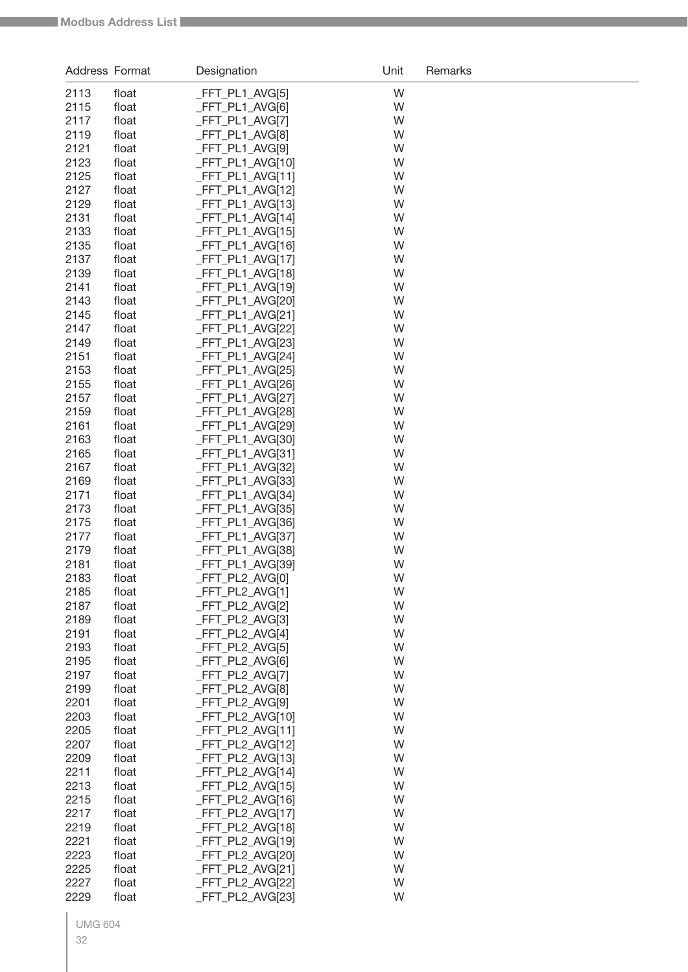| Address Format |                | Designation                          | Unit   | Remarks |
|----------------|----------------|--------------------------------------|--------|---------|
| 2113           | float          | _FFT_PL1_AVG[5]                      | W      |         |
| 2115           | float          | _FFT_PL1_AVG[6]                      | W      |         |
| 2117           | float          | _FFT_PL1_AVG[7]                      | W      |         |
| 2119           | float          | _FFT_PL1_AVG[8]                      | W      |         |
| 2121           | float          | _FFT_PL1_AVG[9]                      | W      |         |
| 2123           | float          | _FFT_PL1_AVG[10]                     | W      |         |
| 2125           | float          | _FFT_PL1_AVG[11]                     | W      |         |
| 2127           | float          | _FFT_PL1_AVG[12]                     | W      |         |
| 2129           | float          | _FFT_PL1_AVG[13]                     | W      |         |
| 2131           | float          | _FFT_PL1_AVG[14]                     | W      |         |
| 2133           | float          | _FFT_PL1_AVG[15]                     | W      |         |
| 2135           | float          | _FFT_PL1_AVG[16]                     | W      |         |
| 2137           | float          | _FFT_PL1_AVG[17]                     | W      |         |
| 2139           | float          | _FFT_PL1_AVG[18]                     | W      |         |
| 2141           | float          | _FFT_PL1_AVG[19]                     | W      |         |
| 2143           | float          | _FFT_PL1_AVG[20]                     | W      |         |
| 2145           | float          | FFT_PL1_AVG[21]                      | W      |         |
| 2147           | float          | _FFT_PL1_AVG[22]                     | W      |         |
| 2149           | float          | _FFT_PL1_AVG[23]                     | W      |         |
| 2151           | float          | _FFT_PL1_AVG[24]                     | W      |         |
| 2153           | float          | _FFT_PL1_AVG[25]                     | W      |         |
| 2155           | float          | _FFT_PL1_AVG[26]                     | W      |         |
| 2157<br>2159   | float          | _FFT_PL1_AVG[27]                     | W<br>W |         |
| 2161           | float<br>float | _FFT_PL1_AVG[28]<br>_FFT_PL1_AVG[29] | W      |         |
| 2163           | float          | _FFT_PL1_AVG[30]                     | W      |         |
| 2165           | float          | _FFT_PL1_AVG[31]                     | W      |         |
| 2167           | float          | _FFT_PL1_AVG[32]                     | W      |         |
| 2169           | float          | _FFT_PL1_AVG[33]                     | W      |         |
| 2171           | float          | _FFT_PL1_AVG[34]                     | W      |         |
| 2173           | float          | _FFT_PL1_AVG[35]                     | W      |         |
| 2175           | float          | _FFT_PL1_AVG[36]                     | W      |         |
| 2177           | float          | _FFT_PL1_AVG[37]                     | W      |         |
| 2179           | float          | FFT_PL1_AVG[38]                      | W      |         |
| 2181           | float          | _FFT_PL1_AVG[39]                     | W      |         |
| 2183           | float          | _FFT_PL2_AVG[0]                      | W      |         |
| 2185           | float          | _FFT_PL2_AVG[1]                      | W      |         |
| 2187           | float          | _FFT_PL2_AVG[2]                      | W      |         |
| 2189           | float          | _FFT_PL2_AVG[3]                      | W      |         |
| 2191           | float          | _FFT_PL2_AVG[4]                      | W      |         |
| 2193           | float          | _FFT_PL2_AVG[5]                      | W      |         |
| 2195           | float          | _FFT_PL2_AVG[6]                      | W      |         |
| 2197           | float          | _FFT_PL2_AVG[7]                      | W      |         |
| 2199           | float          | _FFT_PL2_AVG[8]                      | W      |         |
| 2201           | float          | _FFT_PL2_AVG[9]                      | W      |         |
| 2203           | float          | _FFT_PL2_AVG[10]                     | W      |         |
| 2205           | float          | _FFT_PL2_AVG[11]                     | W      |         |
| 2207           | float          | _FFT_PL2_AVG[12]                     | W      |         |
| 2209           | float          | _FFT_PL2_AVG[13]                     | W      |         |
| 2211           | float          | _FFT_PL2_AVG[14]                     | W      |         |
| 2213           | float          | _FFT_PL2_AVG[15]                     | W      |         |
| 2215           | float          | _FFT_PL2_AVG[16]                     | W      |         |
| 2217           | float          | _FFT_PL2_AVG[17]                     | W      |         |
| 2219           | float          | _FFT_PL2_AVG[18]                     | W      |         |
| 2221<br>2223   | float          | _FFT_PL2_AVG[19]<br>_FFT_PL2_AVG[20] | W<br>W |         |
| 2225           | float<br>float | _FFT_PL2_AVG[21]                     | W      |         |
| 2227           | float          | _FFT_PL2_AVG[22]                     | W      |         |
| 2229           | float          | _FFT_PL2_AVG[23]                     | W      |         |
|                |                |                                      |        |         |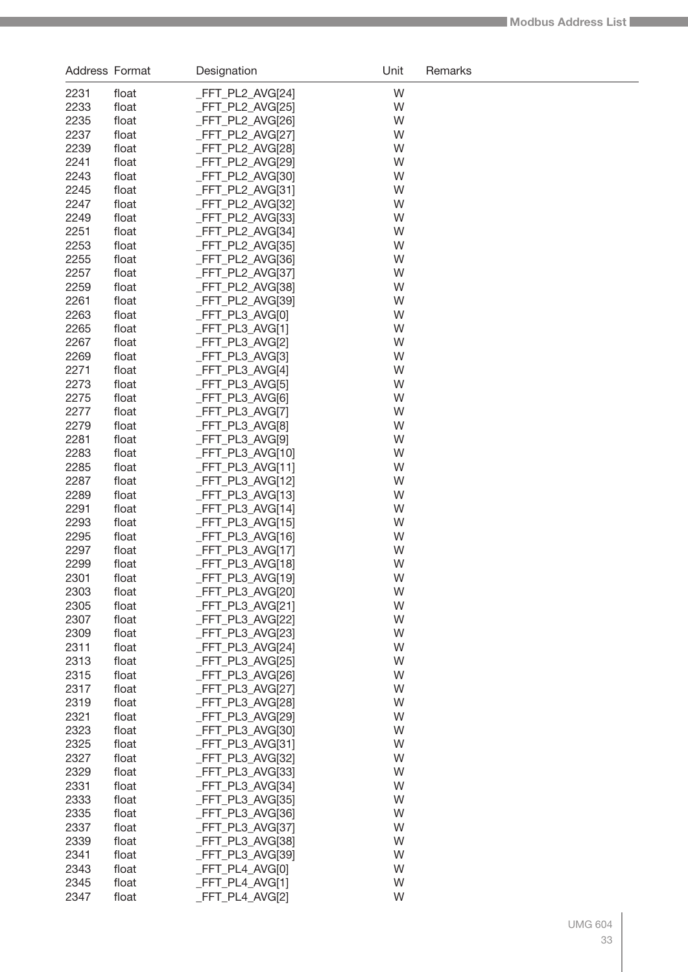| Address Format |                | Designation                          | Unit   | Remarks |
|----------------|----------------|--------------------------------------|--------|---------|
| 2231           | float          | _FFT_PL2_AVG[24]                     | W      |         |
| 2233           | float          | _FFT_PL2_AVG[25]                     | W      |         |
| 2235           | float          | _FFT_PL2_AVG[26]                     | W      |         |
| 2237           | float          | _FFT_PL2_AVG[27]                     | W      |         |
| 2239           | float          | _FFT_PL2_AVG[28]                     | W      |         |
| 2241           | float          | _FFT_PL2_AVG[29]                     | W      |         |
| 2243           | float          | _FFT_PL2_AVG[30]                     | W      |         |
| 2245           | float          | _FFT_PL2_AVG[31]                     | W      |         |
| 2247<br>2249   | float<br>float | _FFT_PL2_AVG[32]                     | W<br>W |         |
| 2251           | float          | _FFT_PL2_AVG[33]<br>_FFT_PL2_AVG[34] | W      |         |
| 2253           | float          | _FFT_PL2_AVG[35]                     | W      |         |
| 2255           | float          | _FFT_PL2_AVG[36]                     | W      |         |
| 2257           | float          | _FFT_PL2_AVG[37]                     | W      |         |
| 2259           | float          | _FFT_PL2_AVG[38]                     | W      |         |
| 2261           | float          | _FFT_PL2_AVG[39]                     | W      |         |
| 2263           | float          | _FFT_PL3_AVG[0]                      | W      |         |
| 2265           | float          | _FFT_PL3_AVG[1]                      | W      |         |
| 2267           | float          | FFT_PL3_AVG[2]                       | W      |         |
| 2269           | float          | FFT_PL3_AVG[3]                       | W      |         |
| 2271           | float          | _FFT_PL3_AVG[4]                      | W      |         |
| 2273           | float          | _FFT_PL3_AVG[5]                      | W      |         |
| 2275<br>2277   | float<br>float | FFT_PL3_AVG[6]<br>FFT_PL3_AVG[7]     | W<br>W |         |
| 2279           | float          | FFT_PL3_AVG[8]                       | W      |         |
| 2281           | float          | _FFT_PL3_AVG[9]                      | W      |         |
| 2283           | float          | _FFT_PL3_AVG[10]                     | W      |         |
| 2285           | float          | _FFT_PL3_AVG[11]                     | W      |         |
| 2287           | float          | _FFT_PL3_AVG[12]                     | W      |         |
| 2289           | float          | _FFT_PL3_AVG[13]                     | W      |         |
| 2291           | float          | _FFT_PL3_AVG[14]                     | W      |         |
| 2293           | float          | _FFT_PL3_AVG[15]                     | W      |         |
| 2295           | float          | _FFT_PL3_AVG[16]                     | W      |         |
| 2297           | float          | _FFT_PL3_AVG[17]                     | W      |         |
| 2299           | float          | _FFT_PL3_AVG[18]                     | W      |         |
| 2301           | float          | FFT_PL3_AVG[19]                      | W      |         |
| 2303<br>2305   | float<br>float | _FFT_PL3_AVG[20]<br>FFT PL3 AVG[21]  | W<br>W |         |
| 2307           | float          | _FFT_PL3_AVG[22]                     | W      |         |
| 2309           | float          | _FFT_PL3_AVG[23]                     | W      |         |
| 2311           | float          | _FFT_PL3_AVG[24]                     | W      |         |
| 2313           | float          | FFT PL3 AVG[25]                      | W      |         |
| 2315           | float          | FFT PL3 AVG[26]                      | W      |         |
| 2317           | float          | FFT PL3 AVG[27]                      | W      |         |
| 2319           | float          | _FFT_PL3_AVG[28]                     | W      |         |
| 2321           | float          | _FFT_PL3_AVG[29]                     | W      |         |
| 2323           | float          | FFT PL3 AVG[30]                      | W      |         |
| 2325           | float          | _FFT_PL3_AVG[31]                     | W      |         |
| 2327           | float          | _FFT_PL3_AVG[32]                     | W      |         |
| 2329<br>2331   | float<br>float | _FFT_PL3_AVG[33]<br>_FFT_PL3_AVG[34] | W<br>W |         |
| 2333           | float          | _FFT_PL3_AVG[35]                     | W      |         |
| 2335           | float          | _FFT_PL3_AVG[36]                     | W      |         |
| 2337           | float          | _FFT_PL3_AVG[37]                     | W      |         |
| 2339           | float          | _FFT_PL3_AVG[38]                     | W      |         |
| 2341           | float          | _FFT_PL3_AVG[39]                     | W      |         |
| 2343           | float          | _FFT_PL4_AVG[0]                      | W      |         |
| 2345           | float          | _FFT_PL4_AVG[1]                      | W      |         |
| 2347           | float          | _FFT_PL4_AVG[2]                      | W      |         |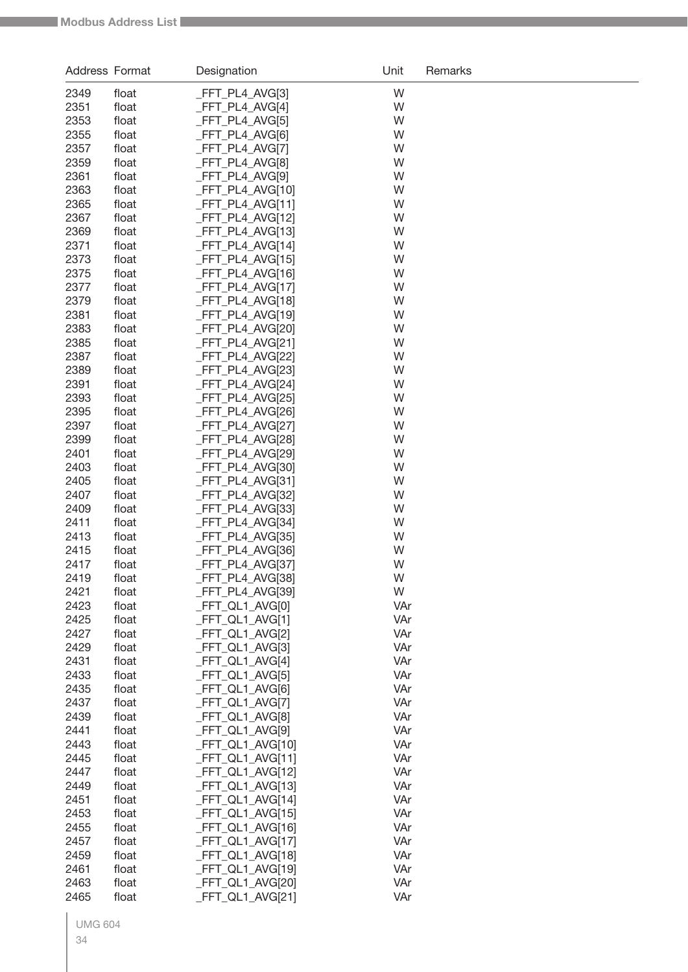| Address Format |                | Designation                        | Unit       | Remarks |
|----------------|----------------|------------------------------------|------------|---------|
| 2349           | float          | _FFT_PL4_AVG[3]                    | W          |         |
| 2351           | float          | _FFT_PL4_AVG[4]                    | W          |         |
| 2353           | float          | _FFT_PL4_AVG[5]                    | W          |         |
| 2355           | float          | _FFT_PL4_AVG[6]                    | W          |         |
| 2357           | float          | _FFT_PL4_AVG[7]                    | W          |         |
| 2359           | float          | _FFT_PL4_AVG[8]                    | W          |         |
| 2361           | float          | _FFT_PL4_AVG[9]                    | W          |         |
| 2363           | float          | _FFT_PL4_AVG[10]                   | W          |         |
| 2365           | float          | _FFT_PL4_AVG[11]                   | W          |         |
| 2367           | float          | _FFT_PL4_AVG[12]                   | W          |         |
| 2369           | float          | _FFT_PL4_AVG[13]                   | W          |         |
| 2371           | float          | _FFT_PL4_AVG[14]                   | W          |         |
| 2373           | float          | _FFT_PL4_AVG[15]                   | W          |         |
| 2375           | float          | _FFT_PL4_AVG[16]                   | W          |         |
| 2377           | float          | _FFT_PL4_AVG[17]                   | W          |         |
| 2379           | float          | _FFT_PL4_AVG[18]                   | W          |         |
| 2381           | float          | _FFT_PL4_AVG[19]                   | W          |         |
| 2383           | float          | _FFT_PL4_AVG[20]                   | W          |         |
| 2385           | float          | _FFT_PL4_AVG[21]                   | W          |         |
| 2387           | float          | _FFT_PL4_AVG[22]                   | W          |         |
| 2389           | float          | _FFT_PL4_AVG[23]                   | W          |         |
| 2391           | float          | _FFT_PL4_AVG[24]                   | W          |         |
| 2393           | float          | _FFT_PL4_AVG[25]                   | W          |         |
| 2395           | float          | _FFT_PL4_AVG[26]                   | W          |         |
| 2397           | float          | _FFT_PL4_AVG[27]                   | W          |         |
| 2399           | float          | _FFT_PL4_AVG[28]                   | W          |         |
| 2401           | float          | _FFT_PL4_AVG[29]                   | W          |         |
| 2403           | float          | _FFT_PL4_AVG[30]                   | W          |         |
| 2405           | float          | _FFT_PL4_AVG[31]                   | W          |         |
| 2407           | float          | _FFT_PL4_AVG[32]                   | W          |         |
| 2409           | float          | _FFT_PL4_AVG[33]                   | W          |         |
| 2411           | float          | _FFT_PL4_AVG[34]                   | W          |         |
| 2413           | float          | _FFT_PL4_AVG[35]                   | W          |         |
| 2415           | float          | _FFT_PL4_AVG[36]                   | W          |         |
| 2417           | float          | _FFT_PL4_AVG[37]                   | W          |         |
| 2419           | float          | _FFT_PL4_AVG[38]                   | W          |         |
| 2421           | float          | _FFT_PL4_AVG[39]                   | W          |         |
| 2423           | float          | _FFT_QL1_AVG[0]                    | VAr        |         |
| 2425           | float          | _FFT_QL1_AVG[1]                    | VAr        |         |
| 2427<br>2429   | float<br>float | _FFT_QL1_AVG[2]<br>_FFT_QL1_AVG[3] | VAr<br>VAr |         |
| 2431           | float          | _FFT_QL1_AVG[4]                    | VAr        |         |
| 2433           | float          | _FFT_QL1_AVG[5]                    | VAr        |         |
| 2435           | float          | _FFT_QL1_AVG[6]                    | VAr        |         |
| 2437           | float          | _FFT_QL1_AVG[7]                    | VAr        |         |
| 2439           | float          | _FFT_QL1_AVG[8]                    | VAr        |         |
| 2441           | float          | _FFT_QL1_AVG[9]                    | VAr        |         |
| 2443           | float          | _FFT_QL1_AVG[10]                   | VAr        |         |
| 2445           | float          | _FFT_QL1_AVG[11]                   | VAr        |         |
| 2447           | float          | _FFT_QL1_AVG[12]                   | VAr        |         |
| 2449           | float          | _FFT_QL1_AVG[13]                   | VAr        |         |
| 2451           | float          | _FFT_QL1_AVG[14]                   | VAr        |         |
| 2453           | float          | _FFT_QL1_AVG[15]                   | VAr        |         |
| 2455           | float          | _FFT_QL1_AVG[16]                   | VAr        |         |
| 2457           | float          | _FFT_QL1_AVG[17]                   | VAr        |         |
| 2459           | float          | _FFT_QL1_AVG[18]                   | VAr        |         |
| 2461           | float          | _FFT_QL1_AVG[19]                   | VAr        |         |
| 2463           | float          | _FFT_QL1_AVG[20]                   | VAr        |         |
| 2465           | float          | _FFT_QL1_AVG[21]                   | VAr        |         |
|                |                |                                    |            |         |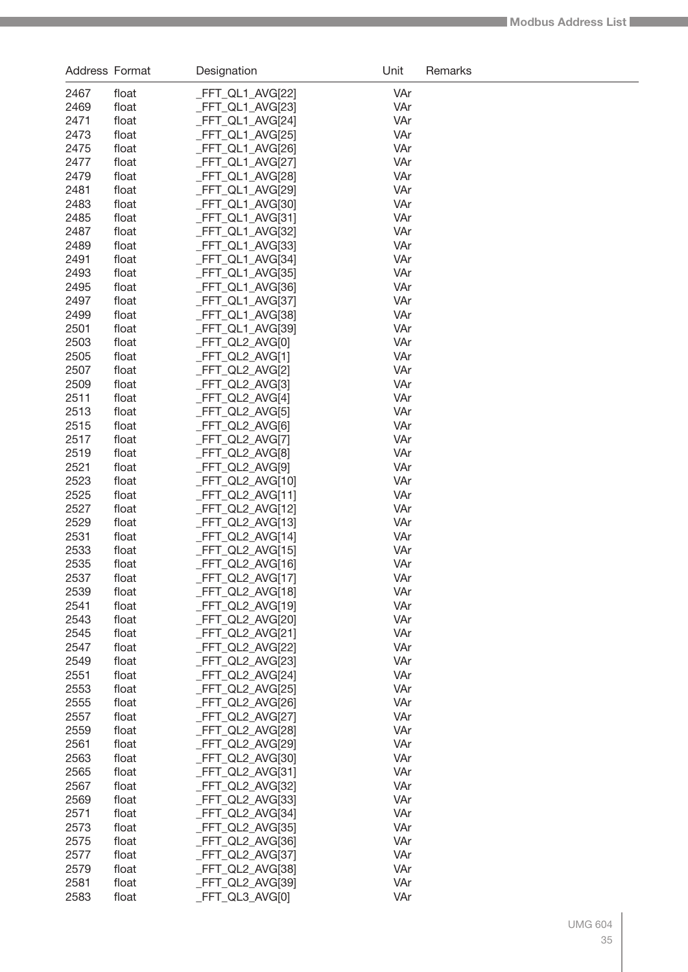| Address Format |                | Designation                            | Unit       | Remarks |
|----------------|----------------|----------------------------------------|------------|---------|
| 2467           | float          | _FFT_QL1_AVG[22]                       | VAr        |         |
| 2469           | float          | _FFT_QL1_AVG[23]                       | VAr        |         |
| 2471           | float          | _FFT_QL1_AVG[24]                       | VAr        |         |
| 2473           | float          | _FFT_QL1_AVG[25]                       | VAr        |         |
| 2475           | float          | _FFT_QL1_AVG[26]                       | VAr        |         |
| 2477           | float          | _FFT_QL1_AVG[27]                       | VAr        |         |
| 2479           | float          | _FFT_QL1_AVG[28]                       | VAr        |         |
| 2481           | float          | _FFT_QL1_AVG[29]                       | VAr        |         |
| 2483           | float          | _FFT_QL1_AVG[30]                       | VAr        |         |
| 2485           | float          | _FFT_QL1_AVG[31]                       | VAr        |         |
| 2487           | float          | _FFT_QL1_AVG[32]                       | VAr        |         |
| 2489           | float          | _FFT_QL1_AVG[33]                       | VAr        |         |
| 2491           | float          | _FFT_QL1_AVG[34]                       | VAr        |         |
| 2493           | float          | _FFT_QL1_AVG[35]                       | VAr        |         |
| 2495           | float          | _FFT_QL1_AVG[36]                       | VAr        |         |
| 2497           | float          | _FFT_QL1_AVG[37]                       | VAr        |         |
| 2499<br>2501   | float<br>float | _FFT_QL1_AVG[38]<br>_FFT_QL1_AVG[39]   | VAr<br>VAr |         |
| 2503           | float          | FFT QL2 AVG[0]                         | VAr        |         |
| 2505           | float          | _FFT_QL2_AVG[1]                        | VAr        |         |
| 2507           | float          | _FFT_QL2_AVG[2]                        | VAr        |         |
| 2509           | float          | _FFT_QL2_AVG[3]                        | VAr        |         |
| 2511           | float          | FFT QL2 AVG[4]                         | VAr        |         |
| 2513           | float          | _FFT_QL2_AVG[5]                        | VAr        |         |
| 2515           | float          | _FFT_QL2_AVG[6]                        | VAr        |         |
| 2517           | float          | _FFT_QL2_AVG[7]                        | VAr        |         |
| 2519           | float          | _FFT_QL2_AVG[8]                        | VAr        |         |
| 2521           | float          | _FFT_QL2_AVG[9]                        | VAr        |         |
| 2523           | float          | _FFT_QL2_AVG[10]                       | VAr        |         |
| 2525           | float          | _FFT_QL2_AVG[11]                       | VAr        |         |
| 2527           | float          | _FFT_QL2_AVG[12]                       | VAr        |         |
| 2529           | float          | _FFT_QL2_AVG[13]                       | VAr        |         |
| 2531           | float          | _FFT_QL2_AVG[14]                       | VAr        |         |
| 2533           | float          | _FFT_QL2_AVG[15]                       | VAr        |         |
| 2535           | float          | _FFT_QL2_AVG[16]                       | VAr        |         |
| 2537           | float          | FFT_QL2_AVG[17]                        | VAr        |         |
| 2539           | float          | _FFT_QL2_AVG[18]                       | VAr        |         |
| 2541           | float          | _FFT_QL2_AVG[19]                       | VAr        |         |
| 2543           | float          | _FFT_QL2_AVG[20]                       | VAr        |         |
| 2545<br>2547   | float<br>float | $-FFT_QL2_AVG[21]$<br>_FFT_QL2_AVG[22] | VAr<br>VAr |         |
| 2549           | float          | _FFT_QL2_AVG[23]                       | VAr        |         |
| 2551           | float          | _FFT_QL2_AVG[24]                       | VAr        |         |
| 2553           | float          | _FFT_QL2_AVG[25]                       | VAr        |         |
| 2555           | float          | _FFT_QL2_AVG[26]                       | VAr        |         |
| 2557           | float          | _FFT_QL2_AVG[27]                       | VAr        |         |
| 2559           | float          | _FFT_QL2_AVG[28]                       | VAr        |         |
| 2561           | float          | _FFT_QL2_AVG[29]                       | VAr        |         |
| 2563           | float          | _FFT_QL2_AVG[30]                       | VAr        |         |
| 2565           | float          | _FFT_QL2_AVG[31]                       | VAr        |         |
| 2567           | float          | _FFT_QL2_AVG[32]                       | VAr        |         |
| 2569           | float          | _FFT_QL2_AVG[33]                       | VAr        |         |
| 2571           | float          | _FFT_QL2_AVG[34]                       | VAr        |         |
| 2573           | float          | _FFT_QL2_AVG[35]                       | VAr        |         |
| 2575           | float          | _FFT_QL2_AVG[36]                       | VAr        |         |
| 2577           | float          | _FFT_QL2_AVG[37]                       | VAr        |         |
| 2579           | float          | _FFT_QL2_AVG[38]                       | VAr        |         |
| 2581           | float          | _FFT_QL2_AVG[39]                       | VAr        |         |
| 2583           | float          | _FFT_QL3_AVG[0]                        | VAr        |         |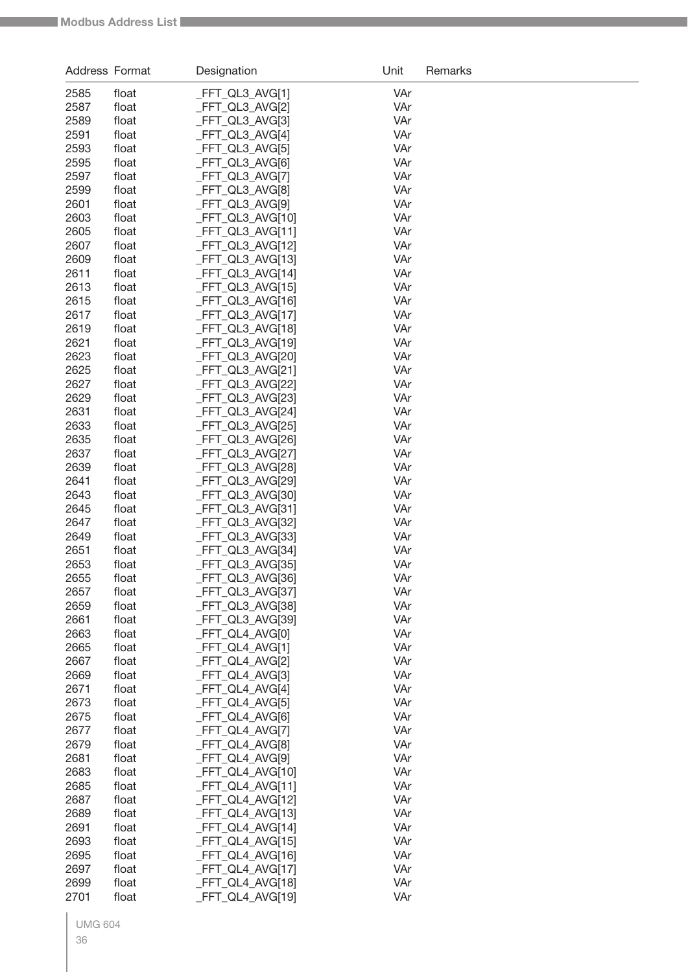| Address Format |                | Designation                         | Unit       | Remarks |
|----------------|----------------|-------------------------------------|------------|---------|
| 2585           | float          | FFT_QL3_AVG[1]                      | VAr        |         |
| 2587           | float          | _FFT_QL3_AVG[2]                     | VAr        |         |
| 2589           | float          | _FFT_QL3_AVG[3]                     | VAr        |         |
| 2591           | float          | _FFT_QL3_AVG[4]                     | VAr        |         |
| 2593           | float          | FFT_QL3_AVG[5]                      | VAr        |         |
| 2595           | float          | _FFT_QL3_AVG[6]                     | VAr        |         |
| 2597           | float          | _FFT_QL3_AVG[7]                     | VAr        |         |
| 2599           | float          | _FFT_QL3_AVG[8]                     | VAr        |         |
| 2601           | float          | _FFT_QL3_AVG[9]                     | VAr        |         |
| 2603           | float          | _FFT_QL3_AVG[10]                    | VAr        |         |
| 2605           | float          | _FFT_QL3_AVG[11]                    | VAr        |         |
| 2607           | float          | _FFT_QL3_AVG[12]                    | VAr        |         |
| 2609           | float          | FFT_QL3_AVG[13]                     | VAr        |         |
| 2611           | float          | _FFT_QL3_AVG[14]                    | VAr        |         |
| 2613           | float          | _FFT_QL3_AVG[15]                    | VAr        |         |
| 2615           | float          | _FFT_QL3_AVG[16]                    | VAr        |         |
| 2617           | float          | _FFT_QL3_AVG[17]                    | VAr        |         |
| 2619<br>2621   | float          | FFT_QL3_AVG[18]<br>_FFT_QL3_AVG[19] | VAr<br>VAr |         |
| 2623           | float<br>float | FFT_QL3_AVG[20]                     | VAr        |         |
| 2625           | float          | _FFT_QL3_AVG[21]                    | VAr        |         |
| 2627           | float          | _FFT_QL3_AVG[22]                    | VAr        |         |
| 2629           | float          | _FFT_QL3_AVG[23]                    | VAr        |         |
| 2631           | float          | FFT_QL3_AVG[24]                     | VAr        |         |
| 2633           | float          | _FFT_QL3_AVG[25]                    | VAr        |         |
| 2635           | float          | _FFT_QL3_AVG[26]                    | VAr        |         |
| 2637           | float          | _FFT_QL3_AVG[27]                    | VAr        |         |
| 2639           | float          | FFT_QL3_AVG[28]                     | VAr        |         |
| 2641           | float          | _FFT_QL3_AVG[29]                    | VAr        |         |
| 2643           | float          | _FFT_QL3_AVG[30]                    | VAr        |         |
| 2645           | float          | _FFT_QL3_AVG[31]                    | VAr        |         |
| 2647           | float          | _FFT_QL3_AVG[32]                    | VAr        |         |
| 2649           | float          | FFT_QL3_AVG[33]                     | VAr        |         |
| 2651           | float          | FFT_QL3_AVG[34]                     | VAr        |         |
| 2653           | float          | FFT_QL3_AVG[35]                     | VAr        |         |
| 2655           | float          | _FFT_QL3_AVG[36]                    | VAr        |         |
| 2657           | float          | _FFT_QL3_AVG[37]                    | VAr        |         |
| 2659           | float          | FFT_QL3_AVG[38]                     | VAr        |         |
| 2661           | float          | FFT QL3 AVG[39]                     | VAr        |         |
| 2663           | float          | _FFT_QL4_AVG[0]                     | VAr        |         |
| 2665           | float          | _FFT_QL4_AVG[1]                     | VAr        |         |
| 2667<br>2669   | float<br>float | _FFT_QL4_AVG[2]<br>_FFT_QL4_AVG[3]  | VAr<br>VAr |         |
| 2671           | float          | _FFT_QL4_AVG[4]                     | VAr        |         |
| 2673           | float          | _FFT_QL4_AVG[5]                     | VAr        |         |
| 2675           | float          | _FFT_QL4_AVG[6]                     | VAr        |         |
| 2677           | float          | _FFT_QL4_AVG[7]                     | VAr        |         |
| 2679           | float          | _FFT_QL4_AVG[8]                     | VAr        |         |
| 2681           | float          | _FFT_QL4_AVG[9]                     | VAr        |         |
| 2683           | float          | _FFT_QL4_AVG[10]                    | VAr        |         |
| 2685           | float          | _FFT_QL4_AVG[11]                    | VAr        |         |
| 2687           | float          | _FFT_QL4_AVG[12]                    | VAr        |         |
| 2689           | float          | _FFT_QL4_AVG[13]                    | VAr        |         |
| 2691           | float          | _FFT_QL4_AVG[14]                    | VAr        |         |
| 2693           | float          | _FFT_QL4_AVG[15]                    | VAr        |         |
| 2695           | float          | _FFT_QL4_AVG[16]                    | VAr        |         |
| 2697           | float          | _FFT_QL4_AVG[17]                    | VAr        |         |
| 2699           | float          | FFT_QL4_AVG[18]                     | VAr        |         |
| 2701           | float          | FFT_QL4_AVG[19]                     | VAr        |         |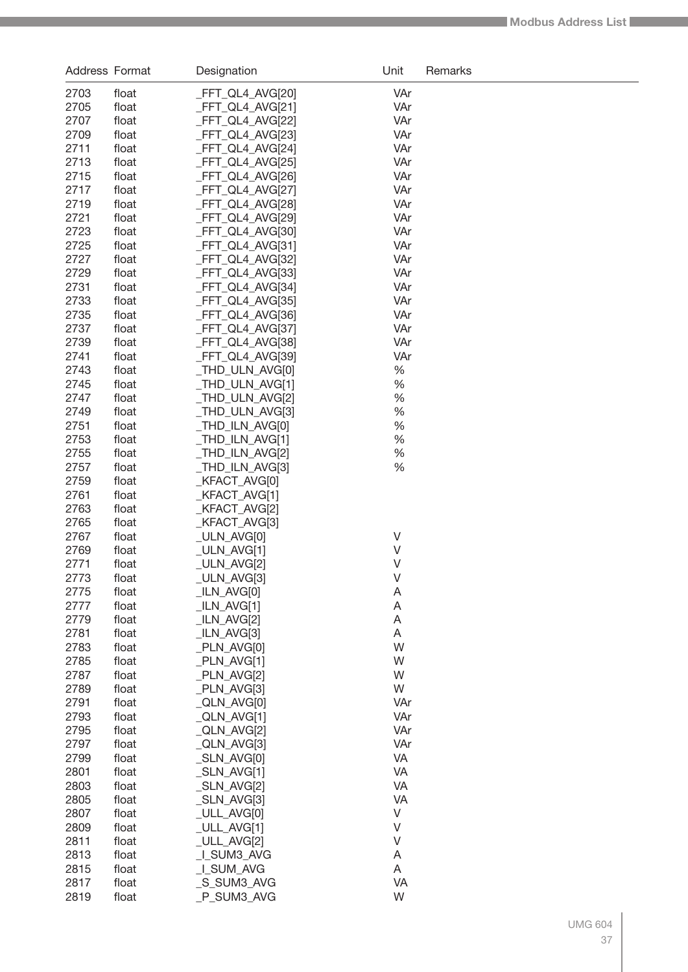| Address Format |                | Designation                         | Unit       | Remarks |
|----------------|----------------|-------------------------------------|------------|---------|
| 2703           | float          | _FFT_QL4_AVG[20]                    | VAr        |         |
| 2705           | float          | _FFT_QL4_AVG[21]                    | VAr        |         |
| 2707           | float          | _FFT_QL4_AVG[22]                    | VAr        |         |
| 2709           | float          | _FFT_QL4_AVG[23]                    | VAr        |         |
| 2711           | float          | _FFT_QL4_AVG[24]                    | VAr        |         |
| 2713           | float          | _FFT_QL4_AVG[25]                    | VAr        |         |
| 2715           | float          | _FFT_QL4_AVG[26]                    | VAr        |         |
| 2717           | float          | _FFT_QL4_AVG[27]                    | VAr        |         |
| 2719           | float          | _FFT_QL4_AVG[28]                    | VAr        |         |
| 2721           | float          | _FFT_QL4_AVG[29]                    | VAr        |         |
| 2723           | float          | _FFT_QL4_AVG[30]                    | VAr        |         |
| 2725           | float          | _FFT_QL4_AVG[31]                    | VAr        |         |
| 2727           | float          | _FFT_QL4_AVG[32]                    | VAr        |         |
| 2729           | float          | _FFT_QL4_AVG[33]                    | VAr        |         |
| 2731           | float          | _FFT_QL4_AVG[34]                    | VAr        |         |
| 2733           | float          | _FFT_QL4_AVG[35]                    | VAr        |         |
| 2735           | float          | _FFT_QL4_AVG[36]                    | VAr        |         |
| 2737<br>2739   | float          | _FFT_QL4_AVG[37]                    | VAr        |         |
| 2741           | float          | FFT_QL4_AVG[38]                     | VAr<br>VAr |         |
| 2743           | float<br>float | _FFT_QL4_AVG[39]<br>_THD_ULN_AVG[0] | %          |         |
| 2745           | float          | _THD_ULN_AVG[1]                     | %          |         |
| 2747           | float          | _THD_ULN_AVG[2]                     | %          |         |
| 2749           | float          | _THD_ULN_AVG[3]                     | %          |         |
| 2751           | float          | _THD_ILN_AVG[0]                     | %          |         |
| 2753           | float          | _THD_ILN_AVG[1]                     | %          |         |
| 2755           | float          | _THD_ILN_AVG[2]                     | %          |         |
| 2757           | float          | _THD_ILN_AVG[3]                     | %          |         |
| 2759           | float          | _KFACT_AVG[0]                       |            |         |
| 2761           | float          | _KFACT_AVG[1]                       |            |         |
| 2763           | float          | _KFACT_AVG[2]                       |            |         |
| 2765           | float          | _KFACT_AVG[3]                       |            |         |
| 2767           | float          | _ULN_AVG[0]                         | $\vee$     |         |
| 2769           | float          | _ULN_AVG[1]                         | V          |         |
| 2771           | float          | _ULN_AVG[2]                         | $\vee$     |         |
| 2773           | float          | _ULN_AVG[3]                         | V          |         |
| 2775           | float          | $_LIN_AVG[0]$                       | A          |         |
| 2777           | float          | $ILN_AVG[1]$                        | A          |         |
| 2779           | float          | $_LIN_AVG[2]$                       | A          |         |
| 2781           | float          | $_LIN_AVG[3]$                       | Α          |         |
| 2783           | float          | _PLN_AVG[0]                         | W          |         |
| 2785           | float          | $PLN_AVG[1]$                        | W          |         |
| 2787           | float          | _PLN_AVG[2]                         | W          |         |
| 2789           | float          | _PLN_AVG[3]                         | W          |         |
| 2791<br>2793   | float          | _QLN_AVG[0]                         | VAr<br>VAr |         |
| 2795           | float<br>float | $_QLN_AVG[1]$<br>_QLN_AVG[2]        | VAr        |         |
| 2797           | float          | $_QLN_AVG[3]$                       | VAr        |         |
| 2799           | float          | _SLN_AVG[0]                         | VA         |         |
| 2801           | float          | $\_SLN$ $AVG[1]$                    | VA         |         |
| 2803           | float          | $-SLN$ $AVG[2]$                     | VA         |         |
| 2805           | float          | $-SLN$ $AVG[3]$                     | <b>VA</b>  |         |
| 2807           | float          | _ULL_AVG[0]                         | $\vee$     |         |
| 2809           | float          | $_ULL$ _AVG[1]                      | $\vee$     |         |
| 2811           | float          | _ULL_AVG[2]                         | $\vee$     |         |
| 2813           | float          | _I_SUM3_AVG                         | A          |         |
| 2815           | float          | _I_SUM_AVG                          | Α          |         |
| 2817           | float          | _S_SUM3_AVG                         | <b>VA</b>  |         |
| 2819           | float          | _P_SUM3_AVG                         | W          |         |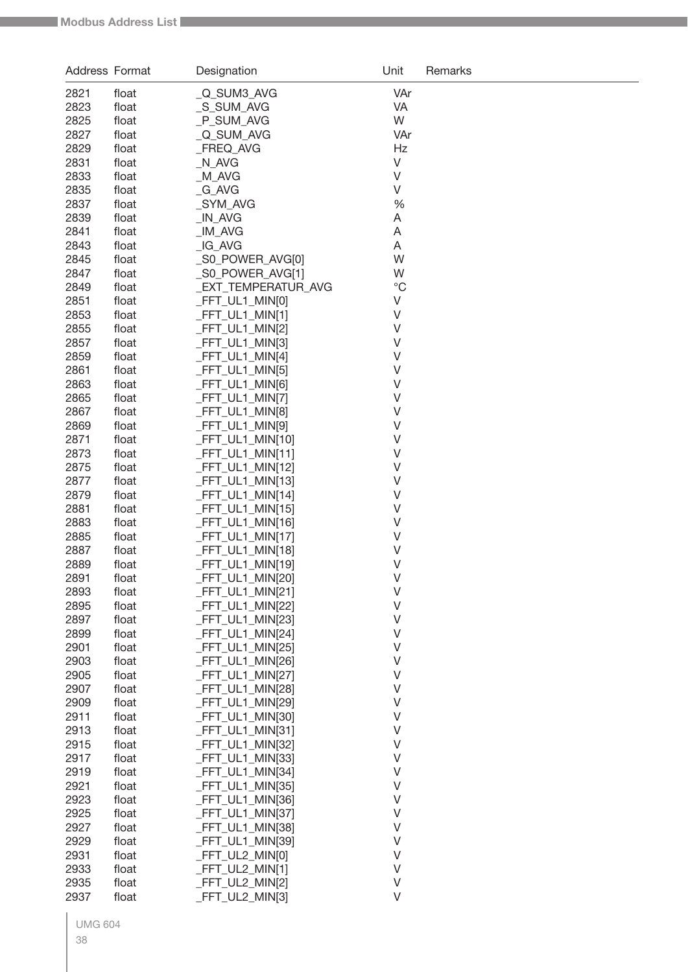| Address Format |                | Designation                        | Unit        | Remarks |
|----------------|----------------|------------------------------------|-------------|---------|
| 2821           | float          | Q_SUM3_AVG                         | VAr         |         |
| 2823           | float          | _S_SUM_AVG                         | VA          |         |
| 2825           | float          | P_SUM_AVG                          | W           |         |
| 2827           | float          | _Q_SUM_AVG                         | VAr         |         |
| 2829           | float          | FREQ_AVG                           | Hz          |         |
| 2831           | float          | N_AVG                              | V           |         |
| 2833           | float          | _M_AVG                             | V           |         |
| 2835           | float          | _G_AVG                             | V           |         |
| 2837           | float          | SYM AVG                            | %           |         |
| 2839           | float          | IN_AVG                             | Α           |         |
| 2841           | float          | _IM_AVG                            | Α           |         |
| 2843           | float          | _IG_AVG                            | Α           |         |
| 2845           | float          | _S0_POWER_AVG[0]                   | W           |         |
| 2847           | float          | _S0_POWER_AVG[1]                   | W           |         |
| 2849           | float          | _EXT_TEMPERATUR_AVG                | $^{\circ}C$ |         |
| 2851           | float          | _FFT_UL1_MIN[0]                    | V           |         |
| 2853           | float          | _FFT_UL1_MIN[1]                    | V           |         |
| 2855           | float          | FFT_UL1_MIN[2]                     | V           |         |
| 2857           | float          | FFT_UL1_MIN[3]                     | V           |         |
| 2859           | float          | _FFT_UL1_MIN[4]                    | V           |         |
| 2861<br>2863   | float          | _FFT_UL1_MIN[5]                    | V<br>V      |         |
| 2865           | float<br>float | _FFT_UL1_MIN[6]<br>_FFT_UL1_MIN[7] | V           |         |
| 2867           | float          | _FFT_UL1_MIN[8]                    | V           |         |
| 2869           | float          | _FFT_UL1_MIN[9]                    | V           |         |
| 2871           | float          | _FFT_UL1_MIN[10]                   | V           |         |
| 2873           | float          | _FFT_UL1_MIN[11]                   | V           |         |
| 2875           | float          | _FFT_UL1_MIN[12]                   | V           |         |
| 2877           | float          | _FFT_UL1_MIN[13]                   | V           |         |
| 2879           | float          | _FFT_UL1_MIN[14]                   | V           |         |
| 2881           | float          | _FFT_UL1_MIN[15]                   | V           |         |
| 2883           | float          | _FFT_UL1_MIN[16]                   | V           |         |
| 2885           | float          | _FFT_UL1_MIN[17]                   | V           |         |
| 2887           | float          | _FFT_UL1_MIN[18]                   | V           |         |
| 2889           | float          | _FFT_UL1_MIN[19]                   | V           |         |
| 2891           | float          | _FFT_UL1_MIN[20]                   | $\vee$      |         |
| 2893           | float          | _FFT_UL1_MIN[21]                   | V           |         |
| 2895           | float          | _FFT_UL1_MIN[22]                   | V           |         |
| 2897           | float          | FFT_UL1_MIN[23]                    | V           |         |
| 2899           | float          | FFT_UL1_MIN[24]                    | V           |         |
| 2901           | float          | _FFT_UL1_MIN[25]                   | V           |         |
| 2903           | float          | _FFT_UL1_MIN[26]                   | V           |         |
| 2905<br>2907   | float          | FFT_UL1_MIN[27]                    | V<br>V      |         |
| 2909           | float<br>float | FFT_UL1_MIN[28]<br>FFT_UL1_MIN[29] | V           |         |
| 2911           | float          | FFT UL1 MIN[30]                    | V           |         |
| 2913           | float          | _FFT_UL1_MIN[31]                   | V           |         |
| 2915           | float          | FFT_UL1_MIN[32]                    | V           |         |
| 2917           | float          | FFT_UL1_MIN[33]                    | V           |         |
| 2919           | float          | FFT_UL1_MIN[34]                    | V           |         |
| 2921           | float          | _FFT_UL1_MIN[35]                   | V           |         |
| 2923           | float          | _FFT_UL1_MIN[36]                   | V           |         |
| 2925           | float          | _FFT_UL1_MIN[37]                   | V           |         |
| 2927           | float          | FFT_UL1_MIN[38]                    | V           |         |
| 2929           | float          | FFT_UL1_MIN[39]                    | V           |         |
| 2931           | float          | _FFT_UL2_MIN[0]                    | V           |         |
| 2933           | float          | _FFT_UL2_MIN[1]                    | V           |         |
| 2935           | float          | FFT_UL2_MIN[2]                     | $\vee$      |         |
| 2937           | float          | FFT_UL2_MIN[3]                     | $\vee$      |         |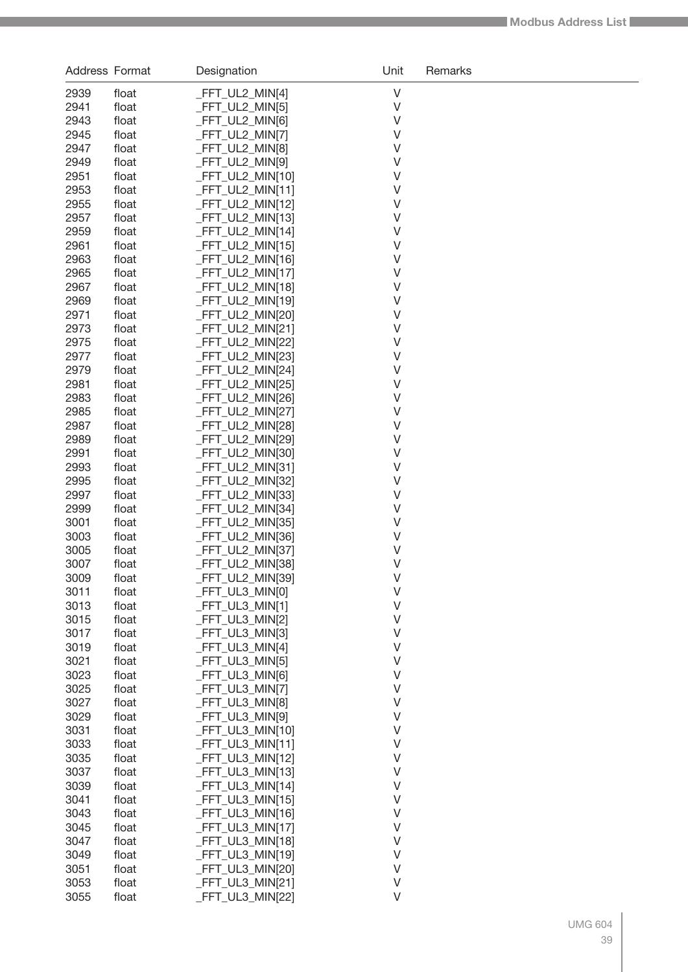| Address Format |                | Designation                          | Unit   | Remarks |
|----------------|----------------|--------------------------------------|--------|---------|
| 2939           | float          | _FFT_UL2_MIN[4]                      | V      |         |
| 2941           | float          | _FFT_UL2_MIN[5]                      | $\vee$ |         |
| 2943           | float          | _FFT_UL2_MIN[6]                      | $\vee$ |         |
| 2945           | float          | _FFT_UL2_MIN[7]                      | V      |         |
| 2947           | float          | _FFT_UL2_MIN[8]                      | V      |         |
| 2949           | float          | _FFT_UL2_MIN[9]                      | V      |         |
| 2951           | float          | _FFT_UL2_MIN[10]                     | V      |         |
| 2953           | float          | _FFT_UL2_MIN[11]                     | $\vee$ |         |
| 2955           | float          | _FFT_UL2_MIN[12]                     | $\vee$ |         |
| 2957           | float          | _FFT_UL2_MIN[13]                     | V      |         |
| 2959           | float          | _FFT_UL2_MIN[14]                     | V      |         |
| 2961           | float          | _FFT_UL2_MIN[15]                     | V      |         |
| 2963           | float          | _FFT_UL2_MIN[16]                     | V      |         |
| 2965           | float          | _FFT_UL2_MIN[17]                     | V      |         |
| 2967           | float          | _FFT_UL2_MIN[18]                     | $\vee$ |         |
| 2969           | float          | _FFT_UL2_MIN[19]                     | $\vee$ |         |
| 2971           | float          | _FFT_UL2_MIN[20]                     | V      |         |
| 2973           | float          | _FFT_UL2_MIN[21]                     | V      |         |
| 2975           | float          | _FFT_UL2_MIN[22]                     | V      |         |
| 2977           | float          | FFT_UL2_MIN[23]                      | V      |         |
| 2979           | float          | _FFT_UL2_MIN[24]                     | V      |         |
| 2981           | float          | _FFT_UL2_MIN[25]                     | $\vee$ |         |
| 2983           | float          | FFT_UL2_MIN[26]                      | $\vee$ |         |
| 2985           | float          | _FFT_UL2_MIN[27]                     | V      |         |
| 2987           | float          | _FFT_UL2_MIN[28]                     | V      |         |
| 2989<br>2991   | float          | _FFT_UL2_MIN[29]                     | V<br>V |         |
| 2993           | float<br>float | _FFT_UL2_MIN[30]<br>_FFT_UL2_MIN[31] | V      |         |
| 2995           | float          | _FFT_UL2_MIN[32]                     | $\vee$ |         |
| 2997           | float          | _FFT_UL2_MIN[33]                     | V      |         |
| 2999           | float          | _FFT_UL2_MIN[34]                     | V      |         |
| 3001           | float          | _FFT_UL2_MIN[35]                     | V      |         |
| 3003           | float          | _FFT_UL2_MIN[36]                     | V      |         |
| 3005           | float          | _FFT_UL2_MIN[37]                     | V      |         |
| 3007           | float          | _FFT_UL2_MIN[38]                     | $\vee$ |         |
| 3009           | float          | FFT UL2 MIN[39]                      | V      |         |
| 3011           | float          | _FFT_UL3_MIN[0]                      | $\vee$ |         |
| 3013           | float          | _FFT_UL3_MIN[1]                      | $\vee$ |         |
| 3015           | float          | _FFT_UL3_MIN[2]                      | V      |         |
| 3017           | float          | FFT_UL3_MIN[3]                       | V      |         |
| 3019           | float          | _FFT_UL3_MIN[4]                      | V      |         |
| 3021           | float          | _FFT_UL3_MIN[5]                      | V      |         |
| 3023           | float          | _FFT_UL3_MIN[6]                      | V      |         |
| 3025           | float          | _FFT_UL3_MIN[7]                      | V      |         |
| 3027           | float          | _FFT_UL3_MIN[8]                      | V      |         |
| 3029           | float          | _FFT_UL3_MIN[9]                      | V      |         |
| 3031           | float          | _FFT_UL3_MIN[10]                     | V      |         |
| 3033           | float          | _FFT_UL3_MIN[11]                     | V      |         |
| 3035           | float          | _FFT_UL3_MIN[12]                     | V      |         |
| 3037           | float          | _FFT_UL3_MIN[13]                     | V      |         |
| 3039           | float          | _FFT_UL3_MIN[14]                     | V      |         |
| 3041           | float          | _FFT_UL3_MIN[15]                     | V      |         |
| 3043           | float          | _FFT_UL3_MIN[16]                     | V      |         |
| 3045           | float          | _FFT_UL3_MIN[17]                     | V      |         |
| 3047           | float          | _FFT_UL3_MIN[18]                     | V      |         |
| 3049           | float          | _FFT_UL3_MIN[19]                     | V      |         |
| 3051           | float          | _FFT_UL3_MIN[20]                     | V      |         |
| 3053           | float          | $-FFT_UL3_MIN[21]$                   | $\vee$ |         |
| 3055           | float          | _FFT_UL3_MIN[22]                     | $\vee$ |         |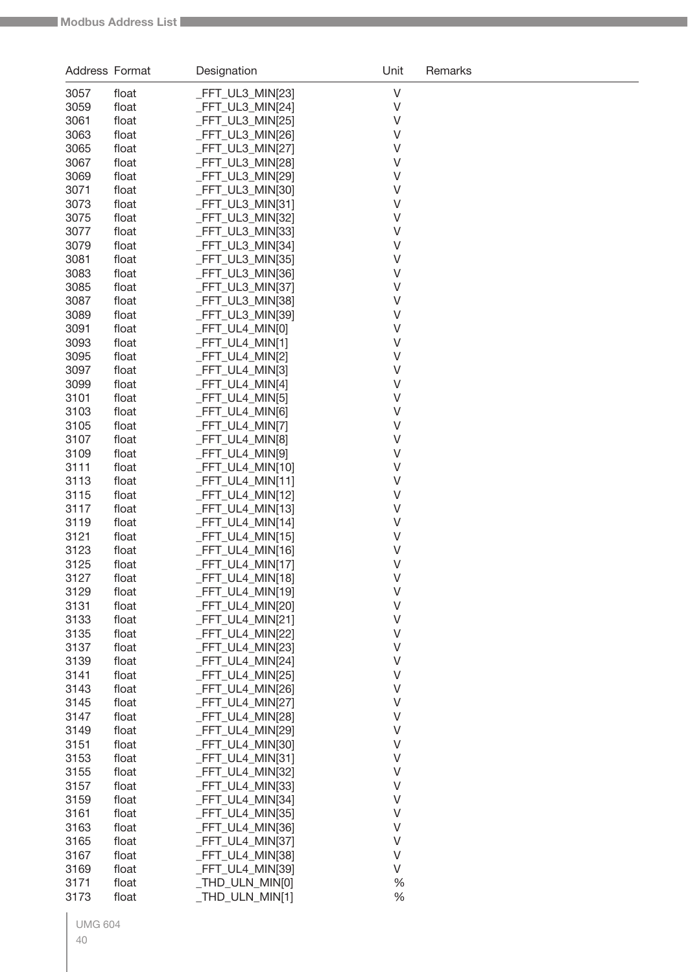| Address Format |                | Designation                          | Unit             | Remarks |
|----------------|----------------|--------------------------------------|------------------|---------|
| 3057           | float          | _FFT_UL3_MIN[23]                     | $\vee$           |         |
| 3059           | float          | FFT_UL3_MIN[24]                      | $\vee$           |         |
| 3061           | float          | FFT_UL3_MIN[25]                      | V                |         |
| 3063           | float          | FFT_UL3_MIN[26]                      | V                |         |
| 3065           | float          | FFT_UL3_MIN[27]                      | V                |         |
| 3067           | float          | FFT_UL3_MIN[28]                      | V                |         |
| 3069           | float          | _FFT_UL3_MIN[29]                     | V                |         |
| 3071           | float          | _FFT_UL3_MIN[30]                     | V                |         |
| 3073           | float          | _FFT_UL3_MIN[31]                     | V<br>V           |         |
| 3075<br>3077   | float<br>float | FFT_UL3_MIN[32]<br>_FFT_UL3_MIN[33]  | V                |         |
| 3079           | float          | _FFT_UL3_MIN[34]                     | V                |         |
| 3081           | float          | FFT_UL3_MIN[35]                      | V                |         |
| 3083           | float          | _FFT_UL3_MIN[36]                     | V                |         |
| 3085           | float          | FFT_UL3_MIN[37]                      | V                |         |
| 3087           | float          | FFT_UL3_MIN[38]                      | V                |         |
| 3089           | float          | FFT_UL3_MIN[39]                      | V                |         |
| 3091           | float          | _FFT_UL4_MIN[0]                      | V                |         |
| 3093           | float          | FFT_UL4_MIN[1]                       | V                |         |
| 3095           | float          | FFT_UL4_MIN[2]                       | V                |         |
| 3097           | float          | FFT_UL4_MIN[3]                       | V                |         |
| 3099           | float          | FFT_UL4_MIN[4]                       | V                |         |
| 3101           | float          | FFT_UL4_MIN[5]                       | V<br>V           |         |
| 3103<br>3105   | float<br>float | FFT_UL4_MIN[6]<br>FFT_UL4_MIN[7]     | V                |         |
| 3107           | float          | _FFT_UL4_MIN[8]                      | V                |         |
| 3109           | float          | _FFT_UL4_MIN[9]                      | V                |         |
| 3111           | float          | FFT_UL4_MIN[10]                      | V                |         |
| 3113           | float          | _FFT_UL4_MIN[11]                     | V                |         |
| 3115           | float          | FFT_UL4_MIN[12]                      | V                |         |
| 3117           | float          | _FFT_UL4_MIN[13]                     | V                |         |
| 3119           | float          | _FFT_UL4_MIN[14]                     | V                |         |
| 3121           | float          | FFT_UL4_MIN[15]                      | V                |         |
| 3123           | float          | _FFT_UL4_MIN[16]                     | V                |         |
| 3125           | float          | FFT_UL4_MIN[17]                      | V                |         |
| 3127           | float          | _FFT_UL4_MIN[18]                     | $\vee$           |         |
| 3129<br>3131   | float          | _FFT_UL4_MIN[19]                     | V<br>$\vee$      |         |
| 3133           | float<br>float | _FFT_UL4_MIN[20]<br>_FFT_UL4_MIN[21] | $\vee$           |         |
| 3135           | float          | FFT_UL4_MIN[22]                      | $\vee$           |         |
| 3137           | float          | FFT_UL4_MIN[23]                      | $\vee$           |         |
| 3139           | float          | FFT_UL4_MIN[24]                      | $\vee$           |         |
| 3141           | float          | _FFT_UL4_MIN[25]                     | $\vee$           |         |
| 3143           | float          | _FFT_UL4_MIN[26]                     | $\vee$           |         |
| 3145           | float          | _FFT_UL4_MIN[27]                     | V                |         |
| 3147           | float          | FFT_UL4_MIN[28]                      | $\vee$           |         |
| 3149           | float          | _FFT_UL4_MIN[29]                     | $\sf V$          |         |
| 3151           | float          | FFT_UL4_MIN[30]                      | $\sf V$          |         |
| 3153           | float          | _FFT_UL4_MIN[31]                     | $\sf V$          |         |
| 3155           | float          | FFT_UL4_MIN[32]                      | $\vee$           |         |
| 3157           | float          | _FFT_UL4_MIN[33]                     | $\vee$<br>$\vee$ |         |
| 3159<br>3161   | float<br>float | FFT_UL4_MIN[34]<br>FFT_UL4_MIN[35]   | $\vee$           |         |
| 3163           | float          | FFT_UL4_MIN[36]                      | $\vee$           |         |
| 3165           | float          | FFT_UL4_MIN[37]                      | $\vee$           |         |
| 3167           | float          | FFT_UL4_MIN[38]                      | $\vee$           |         |
| 3169           | float          | FFT_UL4_MIN[39]                      | $\vee$           |         |
| 3171           | float          | _THD_ULN_MIN[0]                      | %                |         |
| 3173           | float          | _THD_ULN_MIN[1]                      | %                |         |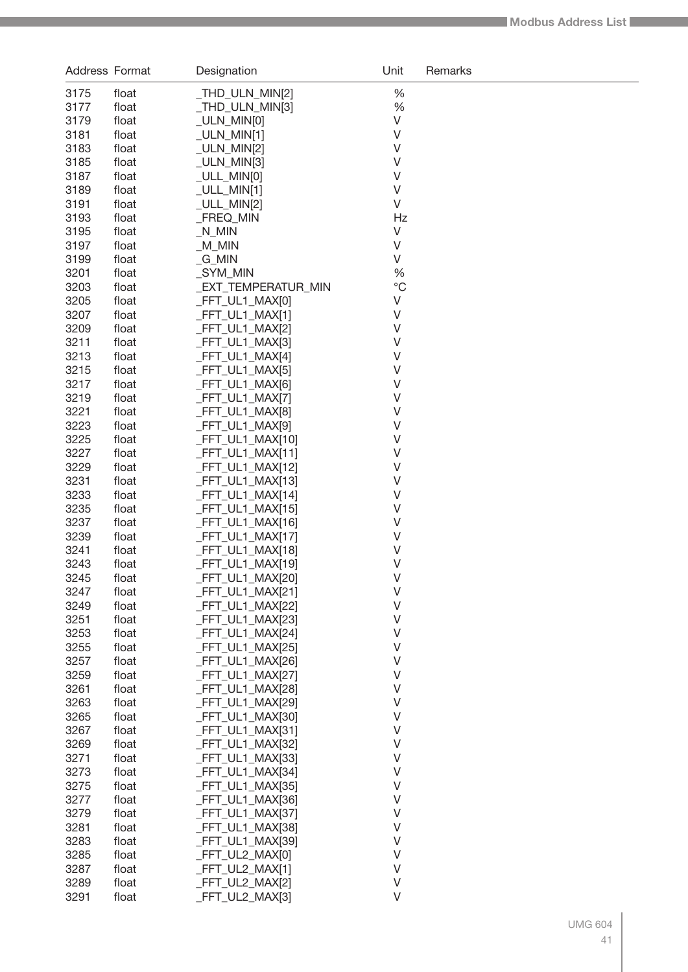| Address Format |                | Designation                          | Unit               | Remarks |
|----------------|----------------|--------------------------------------|--------------------|---------|
| 3175           | float          | _THD_ULN_MIN[2]                      | %                  |         |
| 3177           | float          | _THD_ULN_MIN[3]                      | %                  |         |
| 3179           | float          | _ULN_MIN[0]                          | $\sf V$            |         |
| 3181           | float          | _ULN_MIN[1]                          | $\sf V$            |         |
| 3183           | float          | _ULN_MIN[2]                          | $\sf V$            |         |
| 3185           | float          | _ULN_MIN[3]                          | $\vee$             |         |
| 3187           | float          | _ULL_MIN[0]                          | $\vee$             |         |
| 3189           | float          | $_ULL_MIN[1]$                        | $\sf V$            |         |
| 3191           | float          | _ULL_MIN[2]                          | $\vee$             |         |
| 3193           | float          | <b>FREQ MIN</b>                      | Hz                 |         |
| 3195           | float          | $N$ <sub>MIN</sub>                   | V                  |         |
| 3197           | float          | $M_M$                                | $\vee$             |         |
| 3199           | float          | $_G_MIN$                             | V                  |         |
| 3201           | float          | _SYM_MIN                             | %                  |         |
| 3203           | float          | _EXT_TEMPERATUR_MIN                  | $^{\circ}C$        |         |
| 3205           | float          | _FFT_UL1_MAX[0]                      | V                  |         |
| 3207           | float          | _FFT_UL1_MAX[1]                      | $\sf V$            |         |
| 3209           | float          | _FFT_UL1_MAX[2]                      | $\sf V$            |         |
| 3211           | float          | _FFT_UL1_MAX[3]                      | $\vee$             |         |
| 3213           | float          | _FFT_UL1_MAX[4]                      | $\vee$             |         |
| 3215           | float          | _FFT_UL1_MAX[5]                      | $\sf V$            |         |
| 3217           | float          | _FFT_UL1_MAX[6]                      | $\sf V$            |         |
| 3219           | float          | _FFT_UL1_MAX[7]                      | $\sf V$            |         |
| 3221           | float          | _FFT_UL1_MAX[8]                      | $\sf V$            |         |
| 3223           | float          | _FFT_UL1_MAX[9]                      | $\sf V$<br>$\sf V$ |         |
| 3225<br>3227   | float<br>float | _FFT_UL1_MAX[10]<br>_FFT_UL1_MAX[11] | $\vee$             |         |
| 3229           | float          | _FFT_UL1_MAX[12]                     | $\vee$             |         |
| 3231           | float          | _FFT_UL1_MAX[13]                     | $\vee$             |         |
| 3233           | float          | _FFT_UL1_MAX[14]                     | $\sf V$            |         |
| 3235           | float          | _FFT_UL1_MAX[15]                     | V                  |         |
| 3237           | float          | _FFT_UL1_MAX[16]                     | V                  |         |
| 3239           | float          | _FFT_UL1_MAX[17]                     | $\sf V$            |         |
| 3241           | float          | FFT_UL1_MAX[18]                      | $\sf V$            |         |
| 3243           | float          | FFT_UL1_MAX[19]                      | $\vee$             |         |
| 3245           | float          | FFT_UL1_MAX[20]                      | $\vee$             |         |
| 3247           | float          | FFT_UL1_MAX[21]                      | $\vee$             |         |
| 3249           | float          | _FFT_UL1_MAX[22]                     | $\vee$             |         |
| 3251           | float          | FFT_UL1_MAX[23]                      | $\vee$             |         |
| 3253           | float          | _FFT_UL1_MAX[24]                     | V                  |         |
| 3255           | float          | _FFT_UL1_MAX[25]                     | V                  |         |
| 3257           | float          | _FFT_UL1_MAX[26]                     | $\sf V$            |         |
| 3259           | float          | _FFT_UL1_MAX[27]                     | $\sf V$            |         |
| 3261           | float          | FFT_UL1_MAX[28]                      | $\vee$             |         |
| 3263           | float          | FFT_UL1_MAX[29]                      | $\vee$             |         |
| 3265           | float          | FFT_UL1_MAX[30]                      | $\sf V$            |         |
| 3267           | float          | _FFT_UL1_MAX[31]                     | $\sf V$            |         |
| 3269           | float          | _FFT_UL1_MAX[32]                     | $\sf V$            |         |
| 3271           | float          | _FFT_UL1_MAX[33]                     | V                  |         |
| 3273           | float          | _FFT_UL1_MAX[34]                     | V                  |         |
| 3275           | float          | _FFT_UL1_MAX[35]                     | $\vee$<br>$\sf V$  |         |
| 3277<br>3279   | float          | _FFT_UL1_MAX[36]                     | $\sf V$            |         |
| 3281           | float<br>float | _FFT_UL1_MAX[37]<br>FFT_UL1_MAX[38]  | $\vee$             |         |
| 3283           | float          | FFT_UL1_MAX[39]                      | $\sf V$            |         |
| 3285           | float          | FFT_UL2_MAX[0]                       | $\sf V$            |         |
| 3287           | float          | _FFT_UL2_MAX[1]                      | $\sf V$            |         |
| 3289           | float          | _FFT_UL2_MAX[2]                      | $\vee$             |         |
| 3291           | float          | _FFT_UL2_MAX[3]                      | V                  |         |
|                |                |                                      |                    |         |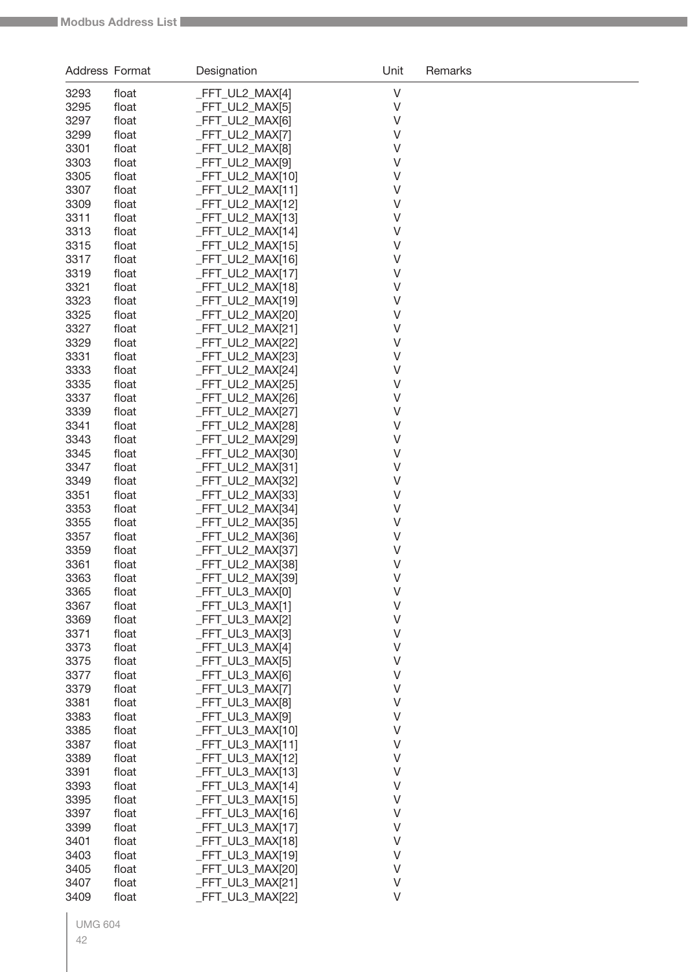| $\vee$<br>3293<br>_FFT_UL2_MAX[4]<br>float<br>$\vee$<br>3295<br>_FFT_UL2_MAX[5]<br>float<br>FFT UL2 MAX[6]<br>V<br>3297<br>float<br>FFT_UL2_MAX[7]<br>V<br>3299<br>float<br>3301<br>FFT_UL2_MAX[8]<br>V<br>float<br>FFT_UL2_MAX[9]<br>V<br>3303<br>float<br>3305<br>_FFT_UL2_MAX[10]<br>V<br>float<br>3307<br>_FFT_UL2_MAX[11]<br>V<br>float<br>_FFT_UL2_MAX[12]<br>V<br>3309<br>float<br>_FFT_UL2_MAX[13]<br>V<br>3311<br>float<br>_FFT_UL2_MAX[14]<br>V<br>3313<br>float<br>_FFT_UL2_MAX[15]<br>V<br>3315<br>float<br>3317<br>_FFT_UL2_MAX[16]<br>V<br>float<br>_FFT_UL2_MAX[17]<br>V<br>3319<br>float<br>3321<br>_FFT_UL2_MAX[18]<br>V<br>float<br>3323<br>_FFT_UL2_MAX[19]<br>V<br>float<br>3325<br>_FFT_UL2_MAX[20]<br>V<br>float<br>3327<br>FFT_UL2_MAX[21]<br>V<br>float<br>3329<br>_FFT_UL2_MAX[22]<br>V<br>float<br>3331<br>_FFT_UL2_MAX[23]<br>V<br>float<br>_FFT_UL2_MAX[24]<br>V<br>3333<br>float<br>3335<br>_FFT_UL2_MAX[25]<br>V<br>float<br>3337<br>_FFT_UL2_MAX[26]<br>$\vee$<br>float<br>_FFT_UL2_MAX[27]<br>$\vee$<br>3339<br>float<br>_FFT_UL2_MAX[28]<br>$\vee$<br>3341<br>float<br>_FFT_UL2_MAX[29]<br>$\vee$<br>3343<br>float<br>_FFT_UL2_MAX[30]<br>$\vee$<br>3345<br>float<br>3347<br>_FFT_UL2_MAX[31]<br>$\vee$<br>float<br>_FFT_UL2_MAX[32]<br>$\vee$<br>3349<br>float<br>_FFT_UL2_MAX[33]<br>$\vee$<br>3351<br>float<br>_FFT_UL2_MAX[34]<br>$\vee$<br>3353<br>float<br>_FFT_UL2_MAX[35]<br>$\vee$<br>3355<br>float<br>_FFT_UL2_MAX[36]<br>$\vee$<br>3357<br>float<br>FFT UL2 MAX[37]<br>V<br>3359<br>float<br>FFT_UL2_MAX[38]<br>$\vee$<br>3361<br>float<br>3363<br>_FFT_UL2_MAX[39]<br>float<br>$\vee$<br>V<br>3365<br>_FFT_UL3_MAX[0]<br>float<br>$\vee$<br>3367<br>_FFT_UL3_MAX[1]<br>float<br>$\vee$<br>3369<br>_FFT_UL3_MAX[2]<br>float<br>$\vee$<br>3371<br>_FFT_UL3_MAX[3]<br>float<br>$\vee$<br>3373<br>FFT_UL3_MAX[4]<br>float<br>$\vee$<br>3375<br>FFT_UL3_MAX[5]<br>float<br>$\vee$<br>3377<br>FFT_UL3_MAX[6]<br>float<br>$\vee$<br>3379<br>FFT_UL3_MAX[7]<br>float<br>3381<br>_FFT_UL3_MAX[8]<br>V<br>float<br>$\vee$<br>3383<br>FFT UL3 MAX[9]<br>float<br>$\vee$<br>3385<br>_FFT_UL3_MAX[10]<br>float<br>3387<br>V<br>float<br>_FFT_UL3_MAX[11]<br>3389<br>V<br>float<br>_FFT_UL3_MAX[12]<br>V<br>3391<br>float<br>_FFT_UL3_MAX[13]<br>3393<br>V<br>float<br>_FFT_UL3_MAX[14]<br>3395<br>V<br>float<br>_FFT_UL3_MAX[15]<br>3397<br>_FFT_UL3_MAX[16]<br>V<br>float<br>3399<br>_FFT_UL3_MAX[17]<br>V<br>float<br>$\vee$<br>3401<br>_FFT_UL3_MAX[18]<br>float<br>$\vee$<br>3403<br>_FFT_UL3_MAX[19]<br>float<br>$\vee$<br>3405<br>_FFT_UL3_MAX[20]<br>float<br>$\vee$<br>3407<br>float<br>FFT_UL3_MAX[21] | Address Format |       | Designation     | Unit   | Remarks |
|-------------------------------------------------------------------------------------------------------------------------------------------------------------------------------------------------------------------------------------------------------------------------------------------------------------------------------------------------------------------------------------------------------------------------------------------------------------------------------------------------------------------------------------------------------------------------------------------------------------------------------------------------------------------------------------------------------------------------------------------------------------------------------------------------------------------------------------------------------------------------------------------------------------------------------------------------------------------------------------------------------------------------------------------------------------------------------------------------------------------------------------------------------------------------------------------------------------------------------------------------------------------------------------------------------------------------------------------------------------------------------------------------------------------------------------------------------------------------------------------------------------------------------------------------------------------------------------------------------------------------------------------------------------------------------------------------------------------------------------------------------------------------------------------------------------------------------------------------------------------------------------------------------------------------------------------------------------------------------------------------------------------------------------------------------------------------------------------------------------------------------------------------------------------------------------------------------------------------------------------------------------------------------------------------------------------------------------------------------------------------------------------------------------------------------------------------------------------------------------------------------------------------------------------------------------------------------------------------------------------------------------------------|----------------|-------|-----------------|--------|---------|
|                                                                                                                                                                                                                                                                                                                                                                                                                                                                                                                                                                                                                                                                                                                                                                                                                                                                                                                                                                                                                                                                                                                                                                                                                                                                                                                                                                                                                                                                                                                                                                                                                                                                                                                                                                                                                                                                                                                                                                                                                                                                                                                                                                                                                                                                                                                                                                                                                                                                                                                                                                                                                                                 |                |       |                 |        |         |
|                                                                                                                                                                                                                                                                                                                                                                                                                                                                                                                                                                                                                                                                                                                                                                                                                                                                                                                                                                                                                                                                                                                                                                                                                                                                                                                                                                                                                                                                                                                                                                                                                                                                                                                                                                                                                                                                                                                                                                                                                                                                                                                                                                                                                                                                                                                                                                                                                                                                                                                                                                                                                                                 |                |       |                 |        |         |
|                                                                                                                                                                                                                                                                                                                                                                                                                                                                                                                                                                                                                                                                                                                                                                                                                                                                                                                                                                                                                                                                                                                                                                                                                                                                                                                                                                                                                                                                                                                                                                                                                                                                                                                                                                                                                                                                                                                                                                                                                                                                                                                                                                                                                                                                                                                                                                                                                                                                                                                                                                                                                                                 |                |       |                 |        |         |
|                                                                                                                                                                                                                                                                                                                                                                                                                                                                                                                                                                                                                                                                                                                                                                                                                                                                                                                                                                                                                                                                                                                                                                                                                                                                                                                                                                                                                                                                                                                                                                                                                                                                                                                                                                                                                                                                                                                                                                                                                                                                                                                                                                                                                                                                                                                                                                                                                                                                                                                                                                                                                                                 |                |       |                 |        |         |
|                                                                                                                                                                                                                                                                                                                                                                                                                                                                                                                                                                                                                                                                                                                                                                                                                                                                                                                                                                                                                                                                                                                                                                                                                                                                                                                                                                                                                                                                                                                                                                                                                                                                                                                                                                                                                                                                                                                                                                                                                                                                                                                                                                                                                                                                                                                                                                                                                                                                                                                                                                                                                                                 |                |       |                 |        |         |
|                                                                                                                                                                                                                                                                                                                                                                                                                                                                                                                                                                                                                                                                                                                                                                                                                                                                                                                                                                                                                                                                                                                                                                                                                                                                                                                                                                                                                                                                                                                                                                                                                                                                                                                                                                                                                                                                                                                                                                                                                                                                                                                                                                                                                                                                                                                                                                                                                                                                                                                                                                                                                                                 |                |       |                 |        |         |
|                                                                                                                                                                                                                                                                                                                                                                                                                                                                                                                                                                                                                                                                                                                                                                                                                                                                                                                                                                                                                                                                                                                                                                                                                                                                                                                                                                                                                                                                                                                                                                                                                                                                                                                                                                                                                                                                                                                                                                                                                                                                                                                                                                                                                                                                                                                                                                                                                                                                                                                                                                                                                                                 |                |       |                 |        |         |
|                                                                                                                                                                                                                                                                                                                                                                                                                                                                                                                                                                                                                                                                                                                                                                                                                                                                                                                                                                                                                                                                                                                                                                                                                                                                                                                                                                                                                                                                                                                                                                                                                                                                                                                                                                                                                                                                                                                                                                                                                                                                                                                                                                                                                                                                                                                                                                                                                                                                                                                                                                                                                                                 |                |       |                 |        |         |
|                                                                                                                                                                                                                                                                                                                                                                                                                                                                                                                                                                                                                                                                                                                                                                                                                                                                                                                                                                                                                                                                                                                                                                                                                                                                                                                                                                                                                                                                                                                                                                                                                                                                                                                                                                                                                                                                                                                                                                                                                                                                                                                                                                                                                                                                                                                                                                                                                                                                                                                                                                                                                                                 |                |       |                 |        |         |
|                                                                                                                                                                                                                                                                                                                                                                                                                                                                                                                                                                                                                                                                                                                                                                                                                                                                                                                                                                                                                                                                                                                                                                                                                                                                                                                                                                                                                                                                                                                                                                                                                                                                                                                                                                                                                                                                                                                                                                                                                                                                                                                                                                                                                                                                                                                                                                                                                                                                                                                                                                                                                                                 |                |       |                 |        |         |
|                                                                                                                                                                                                                                                                                                                                                                                                                                                                                                                                                                                                                                                                                                                                                                                                                                                                                                                                                                                                                                                                                                                                                                                                                                                                                                                                                                                                                                                                                                                                                                                                                                                                                                                                                                                                                                                                                                                                                                                                                                                                                                                                                                                                                                                                                                                                                                                                                                                                                                                                                                                                                                                 |                |       |                 |        |         |
|                                                                                                                                                                                                                                                                                                                                                                                                                                                                                                                                                                                                                                                                                                                                                                                                                                                                                                                                                                                                                                                                                                                                                                                                                                                                                                                                                                                                                                                                                                                                                                                                                                                                                                                                                                                                                                                                                                                                                                                                                                                                                                                                                                                                                                                                                                                                                                                                                                                                                                                                                                                                                                                 |                |       |                 |        |         |
|                                                                                                                                                                                                                                                                                                                                                                                                                                                                                                                                                                                                                                                                                                                                                                                                                                                                                                                                                                                                                                                                                                                                                                                                                                                                                                                                                                                                                                                                                                                                                                                                                                                                                                                                                                                                                                                                                                                                                                                                                                                                                                                                                                                                                                                                                                                                                                                                                                                                                                                                                                                                                                                 |                |       |                 |        |         |
|                                                                                                                                                                                                                                                                                                                                                                                                                                                                                                                                                                                                                                                                                                                                                                                                                                                                                                                                                                                                                                                                                                                                                                                                                                                                                                                                                                                                                                                                                                                                                                                                                                                                                                                                                                                                                                                                                                                                                                                                                                                                                                                                                                                                                                                                                                                                                                                                                                                                                                                                                                                                                                                 |                |       |                 |        |         |
|                                                                                                                                                                                                                                                                                                                                                                                                                                                                                                                                                                                                                                                                                                                                                                                                                                                                                                                                                                                                                                                                                                                                                                                                                                                                                                                                                                                                                                                                                                                                                                                                                                                                                                                                                                                                                                                                                                                                                                                                                                                                                                                                                                                                                                                                                                                                                                                                                                                                                                                                                                                                                                                 |                |       |                 |        |         |
|                                                                                                                                                                                                                                                                                                                                                                                                                                                                                                                                                                                                                                                                                                                                                                                                                                                                                                                                                                                                                                                                                                                                                                                                                                                                                                                                                                                                                                                                                                                                                                                                                                                                                                                                                                                                                                                                                                                                                                                                                                                                                                                                                                                                                                                                                                                                                                                                                                                                                                                                                                                                                                                 |                |       |                 |        |         |
|                                                                                                                                                                                                                                                                                                                                                                                                                                                                                                                                                                                                                                                                                                                                                                                                                                                                                                                                                                                                                                                                                                                                                                                                                                                                                                                                                                                                                                                                                                                                                                                                                                                                                                                                                                                                                                                                                                                                                                                                                                                                                                                                                                                                                                                                                                                                                                                                                                                                                                                                                                                                                                                 |                |       |                 |        |         |
|                                                                                                                                                                                                                                                                                                                                                                                                                                                                                                                                                                                                                                                                                                                                                                                                                                                                                                                                                                                                                                                                                                                                                                                                                                                                                                                                                                                                                                                                                                                                                                                                                                                                                                                                                                                                                                                                                                                                                                                                                                                                                                                                                                                                                                                                                                                                                                                                                                                                                                                                                                                                                                                 |                |       |                 |        |         |
|                                                                                                                                                                                                                                                                                                                                                                                                                                                                                                                                                                                                                                                                                                                                                                                                                                                                                                                                                                                                                                                                                                                                                                                                                                                                                                                                                                                                                                                                                                                                                                                                                                                                                                                                                                                                                                                                                                                                                                                                                                                                                                                                                                                                                                                                                                                                                                                                                                                                                                                                                                                                                                                 |                |       |                 |        |         |
|                                                                                                                                                                                                                                                                                                                                                                                                                                                                                                                                                                                                                                                                                                                                                                                                                                                                                                                                                                                                                                                                                                                                                                                                                                                                                                                                                                                                                                                                                                                                                                                                                                                                                                                                                                                                                                                                                                                                                                                                                                                                                                                                                                                                                                                                                                                                                                                                                                                                                                                                                                                                                                                 |                |       |                 |        |         |
|                                                                                                                                                                                                                                                                                                                                                                                                                                                                                                                                                                                                                                                                                                                                                                                                                                                                                                                                                                                                                                                                                                                                                                                                                                                                                                                                                                                                                                                                                                                                                                                                                                                                                                                                                                                                                                                                                                                                                                                                                                                                                                                                                                                                                                                                                                                                                                                                                                                                                                                                                                                                                                                 |                |       |                 |        |         |
|                                                                                                                                                                                                                                                                                                                                                                                                                                                                                                                                                                                                                                                                                                                                                                                                                                                                                                                                                                                                                                                                                                                                                                                                                                                                                                                                                                                                                                                                                                                                                                                                                                                                                                                                                                                                                                                                                                                                                                                                                                                                                                                                                                                                                                                                                                                                                                                                                                                                                                                                                                                                                                                 |                |       |                 |        |         |
|                                                                                                                                                                                                                                                                                                                                                                                                                                                                                                                                                                                                                                                                                                                                                                                                                                                                                                                                                                                                                                                                                                                                                                                                                                                                                                                                                                                                                                                                                                                                                                                                                                                                                                                                                                                                                                                                                                                                                                                                                                                                                                                                                                                                                                                                                                                                                                                                                                                                                                                                                                                                                                                 |                |       |                 |        |         |
|                                                                                                                                                                                                                                                                                                                                                                                                                                                                                                                                                                                                                                                                                                                                                                                                                                                                                                                                                                                                                                                                                                                                                                                                                                                                                                                                                                                                                                                                                                                                                                                                                                                                                                                                                                                                                                                                                                                                                                                                                                                                                                                                                                                                                                                                                                                                                                                                                                                                                                                                                                                                                                                 |                |       |                 |        |         |
|                                                                                                                                                                                                                                                                                                                                                                                                                                                                                                                                                                                                                                                                                                                                                                                                                                                                                                                                                                                                                                                                                                                                                                                                                                                                                                                                                                                                                                                                                                                                                                                                                                                                                                                                                                                                                                                                                                                                                                                                                                                                                                                                                                                                                                                                                                                                                                                                                                                                                                                                                                                                                                                 |                |       |                 |        |         |
|                                                                                                                                                                                                                                                                                                                                                                                                                                                                                                                                                                                                                                                                                                                                                                                                                                                                                                                                                                                                                                                                                                                                                                                                                                                                                                                                                                                                                                                                                                                                                                                                                                                                                                                                                                                                                                                                                                                                                                                                                                                                                                                                                                                                                                                                                                                                                                                                                                                                                                                                                                                                                                                 |                |       |                 |        |         |
|                                                                                                                                                                                                                                                                                                                                                                                                                                                                                                                                                                                                                                                                                                                                                                                                                                                                                                                                                                                                                                                                                                                                                                                                                                                                                                                                                                                                                                                                                                                                                                                                                                                                                                                                                                                                                                                                                                                                                                                                                                                                                                                                                                                                                                                                                                                                                                                                                                                                                                                                                                                                                                                 |                |       |                 |        |         |
|                                                                                                                                                                                                                                                                                                                                                                                                                                                                                                                                                                                                                                                                                                                                                                                                                                                                                                                                                                                                                                                                                                                                                                                                                                                                                                                                                                                                                                                                                                                                                                                                                                                                                                                                                                                                                                                                                                                                                                                                                                                                                                                                                                                                                                                                                                                                                                                                                                                                                                                                                                                                                                                 |                |       |                 |        |         |
|                                                                                                                                                                                                                                                                                                                                                                                                                                                                                                                                                                                                                                                                                                                                                                                                                                                                                                                                                                                                                                                                                                                                                                                                                                                                                                                                                                                                                                                                                                                                                                                                                                                                                                                                                                                                                                                                                                                                                                                                                                                                                                                                                                                                                                                                                                                                                                                                                                                                                                                                                                                                                                                 |                |       |                 |        |         |
|                                                                                                                                                                                                                                                                                                                                                                                                                                                                                                                                                                                                                                                                                                                                                                                                                                                                                                                                                                                                                                                                                                                                                                                                                                                                                                                                                                                                                                                                                                                                                                                                                                                                                                                                                                                                                                                                                                                                                                                                                                                                                                                                                                                                                                                                                                                                                                                                                                                                                                                                                                                                                                                 |                |       |                 |        |         |
|                                                                                                                                                                                                                                                                                                                                                                                                                                                                                                                                                                                                                                                                                                                                                                                                                                                                                                                                                                                                                                                                                                                                                                                                                                                                                                                                                                                                                                                                                                                                                                                                                                                                                                                                                                                                                                                                                                                                                                                                                                                                                                                                                                                                                                                                                                                                                                                                                                                                                                                                                                                                                                                 |                |       |                 |        |         |
|                                                                                                                                                                                                                                                                                                                                                                                                                                                                                                                                                                                                                                                                                                                                                                                                                                                                                                                                                                                                                                                                                                                                                                                                                                                                                                                                                                                                                                                                                                                                                                                                                                                                                                                                                                                                                                                                                                                                                                                                                                                                                                                                                                                                                                                                                                                                                                                                                                                                                                                                                                                                                                                 |                |       |                 |        |         |
|                                                                                                                                                                                                                                                                                                                                                                                                                                                                                                                                                                                                                                                                                                                                                                                                                                                                                                                                                                                                                                                                                                                                                                                                                                                                                                                                                                                                                                                                                                                                                                                                                                                                                                                                                                                                                                                                                                                                                                                                                                                                                                                                                                                                                                                                                                                                                                                                                                                                                                                                                                                                                                                 |                |       |                 |        |         |
|                                                                                                                                                                                                                                                                                                                                                                                                                                                                                                                                                                                                                                                                                                                                                                                                                                                                                                                                                                                                                                                                                                                                                                                                                                                                                                                                                                                                                                                                                                                                                                                                                                                                                                                                                                                                                                                                                                                                                                                                                                                                                                                                                                                                                                                                                                                                                                                                                                                                                                                                                                                                                                                 |                |       |                 |        |         |
|                                                                                                                                                                                                                                                                                                                                                                                                                                                                                                                                                                                                                                                                                                                                                                                                                                                                                                                                                                                                                                                                                                                                                                                                                                                                                                                                                                                                                                                                                                                                                                                                                                                                                                                                                                                                                                                                                                                                                                                                                                                                                                                                                                                                                                                                                                                                                                                                                                                                                                                                                                                                                                                 |                |       |                 |        |         |
|                                                                                                                                                                                                                                                                                                                                                                                                                                                                                                                                                                                                                                                                                                                                                                                                                                                                                                                                                                                                                                                                                                                                                                                                                                                                                                                                                                                                                                                                                                                                                                                                                                                                                                                                                                                                                                                                                                                                                                                                                                                                                                                                                                                                                                                                                                                                                                                                                                                                                                                                                                                                                                                 |                |       |                 |        |         |
|                                                                                                                                                                                                                                                                                                                                                                                                                                                                                                                                                                                                                                                                                                                                                                                                                                                                                                                                                                                                                                                                                                                                                                                                                                                                                                                                                                                                                                                                                                                                                                                                                                                                                                                                                                                                                                                                                                                                                                                                                                                                                                                                                                                                                                                                                                                                                                                                                                                                                                                                                                                                                                                 |                |       |                 |        |         |
|                                                                                                                                                                                                                                                                                                                                                                                                                                                                                                                                                                                                                                                                                                                                                                                                                                                                                                                                                                                                                                                                                                                                                                                                                                                                                                                                                                                                                                                                                                                                                                                                                                                                                                                                                                                                                                                                                                                                                                                                                                                                                                                                                                                                                                                                                                                                                                                                                                                                                                                                                                                                                                                 |                |       |                 |        |         |
|                                                                                                                                                                                                                                                                                                                                                                                                                                                                                                                                                                                                                                                                                                                                                                                                                                                                                                                                                                                                                                                                                                                                                                                                                                                                                                                                                                                                                                                                                                                                                                                                                                                                                                                                                                                                                                                                                                                                                                                                                                                                                                                                                                                                                                                                                                                                                                                                                                                                                                                                                                                                                                                 |                |       |                 |        |         |
|                                                                                                                                                                                                                                                                                                                                                                                                                                                                                                                                                                                                                                                                                                                                                                                                                                                                                                                                                                                                                                                                                                                                                                                                                                                                                                                                                                                                                                                                                                                                                                                                                                                                                                                                                                                                                                                                                                                                                                                                                                                                                                                                                                                                                                                                                                                                                                                                                                                                                                                                                                                                                                                 |                |       |                 |        |         |
|                                                                                                                                                                                                                                                                                                                                                                                                                                                                                                                                                                                                                                                                                                                                                                                                                                                                                                                                                                                                                                                                                                                                                                                                                                                                                                                                                                                                                                                                                                                                                                                                                                                                                                                                                                                                                                                                                                                                                                                                                                                                                                                                                                                                                                                                                                                                                                                                                                                                                                                                                                                                                                                 |                |       |                 |        |         |
|                                                                                                                                                                                                                                                                                                                                                                                                                                                                                                                                                                                                                                                                                                                                                                                                                                                                                                                                                                                                                                                                                                                                                                                                                                                                                                                                                                                                                                                                                                                                                                                                                                                                                                                                                                                                                                                                                                                                                                                                                                                                                                                                                                                                                                                                                                                                                                                                                                                                                                                                                                                                                                                 |                |       |                 |        |         |
|                                                                                                                                                                                                                                                                                                                                                                                                                                                                                                                                                                                                                                                                                                                                                                                                                                                                                                                                                                                                                                                                                                                                                                                                                                                                                                                                                                                                                                                                                                                                                                                                                                                                                                                                                                                                                                                                                                                                                                                                                                                                                                                                                                                                                                                                                                                                                                                                                                                                                                                                                                                                                                                 |                |       |                 |        |         |
|                                                                                                                                                                                                                                                                                                                                                                                                                                                                                                                                                                                                                                                                                                                                                                                                                                                                                                                                                                                                                                                                                                                                                                                                                                                                                                                                                                                                                                                                                                                                                                                                                                                                                                                                                                                                                                                                                                                                                                                                                                                                                                                                                                                                                                                                                                                                                                                                                                                                                                                                                                                                                                                 |                |       |                 |        |         |
|                                                                                                                                                                                                                                                                                                                                                                                                                                                                                                                                                                                                                                                                                                                                                                                                                                                                                                                                                                                                                                                                                                                                                                                                                                                                                                                                                                                                                                                                                                                                                                                                                                                                                                                                                                                                                                                                                                                                                                                                                                                                                                                                                                                                                                                                                                                                                                                                                                                                                                                                                                                                                                                 |                |       |                 |        |         |
|                                                                                                                                                                                                                                                                                                                                                                                                                                                                                                                                                                                                                                                                                                                                                                                                                                                                                                                                                                                                                                                                                                                                                                                                                                                                                                                                                                                                                                                                                                                                                                                                                                                                                                                                                                                                                                                                                                                                                                                                                                                                                                                                                                                                                                                                                                                                                                                                                                                                                                                                                                                                                                                 |                |       |                 |        |         |
|                                                                                                                                                                                                                                                                                                                                                                                                                                                                                                                                                                                                                                                                                                                                                                                                                                                                                                                                                                                                                                                                                                                                                                                                                                                                                                                                                                                                                                                                                                                                                                                                                                                                                                                                                                                                                                                                                                                                                                                                                                                                                                                                                                                                                                                                                                                                                                                                                                                                                                                                                                                                                                                 |                |       |                 |        |         |
|                                                                                                                                                                                                                                                                                                                                                                                                                                                                                                                                                                                                                                                                                                                                                                                                                                                                                                                                                                                                                                                                                                                                                                                                                                                                                                                                                                                                                                                                                                                                                                                                                                                                                                                                                                                                                                                                                                                                                                                                                                                                                                                                                                                                                                                                                                                                                                                                                                                                                                                                                                                                                                                 |                |       |                 |        |         |
|                                                                                                                                                                                                                                                                                                                                                                                                                                                                                                                                                                                                                                                                                                                                                                                                                                                                                                                                                                                                                                                                                                                                                                                                                                                                                                                                                                                                                                                                                                                                                                                                                                                                                                                                                                                                                                                                                                                                                                                                                                                                                                                                                                                                                                                                                                                                                                                                                                                                                                                                                                                                                                                 |                |       |                 |        |         |
|                                                                                                                                                                                                                                                                                                                                                                                                                                                                                                                                                                                                                                                                                                                                                                                                                                                                                                                                                                                                                                                                                                                                                                                                                                                                                                                                                                                                                                                                                                                                                                                                                                                                                                                                                                                                                                                                                                                                                                                                                                                                                                                                                                                                                                                                                                                                                                                                                                                                                                                                                                                                                                                 |                |       |                 |        |         |
|                                                                                                                                                                                                                                                                                                                                                                                                                                                                                                                                                                                                                                                                                                                                                                                                                                                                                                                                                                                                                                                                                                                                                                                                                                                                                                                                                                                                                                                                                                                                                                                                                                                                                                                                                                                                                                                                                                                                                                                                                                                                                                                                                                                                                                                                                                                                                                                                                                                                                                                                                                                                                                                 |                |       |                 |        |         |
|                                                                                                                                                                                                                                                                                                                                                                                                                                                                                                                                                                                                                                                                                                                                                                                                                                                                                                                                                                                                                                                                                                                                                                                                                                                                                                                                                                                                                                                                                                                                                                                                                                                                                                                                                                                                                                                                                                                                                                                                                                                                                                                                                                                                                                                                                                                                                                                                                                                                                                                                                                                                                                                 |                |       |                 |        |         |
|                                                                                                                                                                                                                                                                                                                                                                                                                                                                                                                                                                                                                                                                                                                                                                                                                                                                                                                                                                                                                                                                                                                                                                                                                                                                                                                                                                                                                                                                                                                                                                                                                                                                                                                                                                                                                                                                                                                                                                                                                                                                                                                                                                                                                                                                                                                                                                                                                                                                                                                                                                                                                                                 |                |       |                 |        |         |
|                                                                                                                                                                                                                                                                                                                                                                                                                                                                                                                                                                                                                                                                                                                                                                                                                                                                                                                                                                                                                                                                                                                                                                                                                                                                                                                                                                                                                                                                                                                                                                                                                                                                                                                                                                                                                                                                                                                                                                                                                                                                                                                                                                                                                                                                                                                                                                                                                                                                                                                                                                                                                                                 |                |       |                 |        |         |
|                                                                                                                                                                                                                                                                                                                                                                                                                                                                                                                                                                                                                                                                                                                                                                                                                                                                                                                                                                                                                                                                                                                                                                                                                                                                                                                                                                                                                                                                                                                                                                                                                                                                                                                                                                                                                                                                                                                                                                                                                                                                                                                                                                                                                                                                                                                                                                                                                                                                                                                                                                                                                                                 |                |       |                 |        |         |
|                                                                                                                                                                                                                                                                                                                                                                                                                                                                                                                                                                                                                                                                                                                                                                                                                                                                                                                                                                                                                                                                                                                                                                                                                                                                                                                                                                                                                                                                                                                                                                                                                                                                                                                                                                                                                                                                                                                                                                                                                                                                                                                                                                                                                                                                                                                                                                                                                                                                                                                                                                                                                                                 | 3409           | float | FFT_UL3_MAX[22] | $\vee$ |         |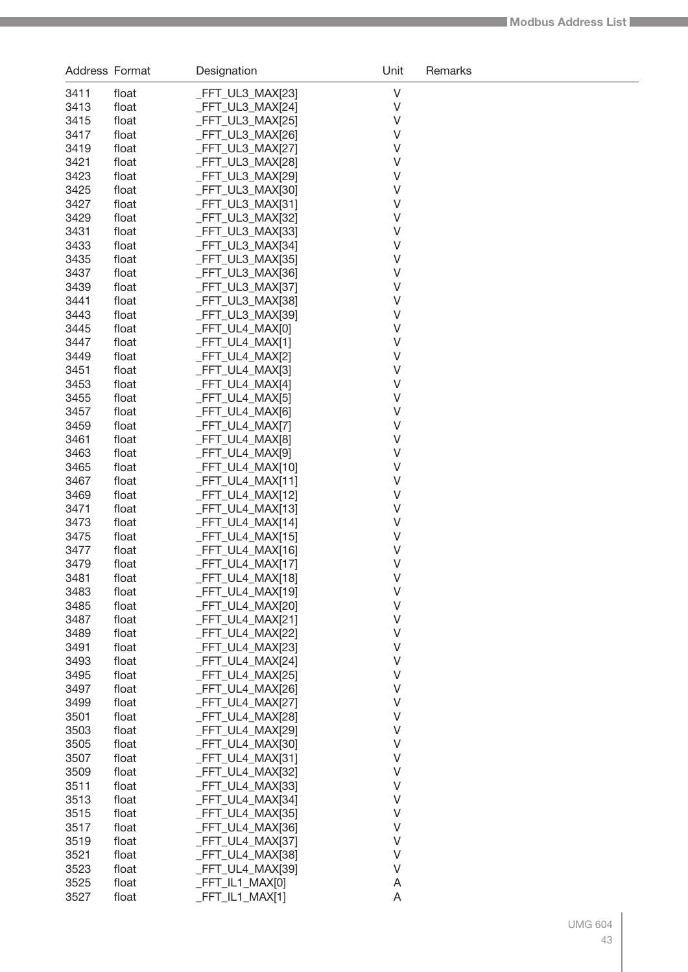| Address Format |                | Designation                          | Unit             | Remarks |
|----------------|----------------|--------------------------------------|------------------|---------|
| 3411           | float          | _FFT_UL3_MAX[23]                     | $\vee$           |         |
| 3413           | float          | _FFT_UL3_MAX[24]                     | V                |         |
| 3415           | float          | _FFT_UL3_MAX[25]                     | V                |         |
| 3417           | float          | _FFT_UL3_MAX[26]                     | V                |         |
| 3419           | float          | _FFT_UL3_MAX[27]                     | V                |         |
| 3421           | float          | _FFT_UL3_MAX[28]                     | V                |         |
| 3423           | float          | _FFT_UL3_MAX[29]                     | V                |         |
| 3425           | float          | _FFT_UL3_MAX[30]                     | V                |         |
| 3427           | float          | _FFT_UL3_MAX[31]                     | V                |         |
| 3429           | float          | _FFT_UL3_MAX[32]                     | V                |         |
| 3431           | float          | _FFT_UL3_MAX[33]                     | V                |         |
| 3433           | float          | _FFT_UL3_MAX[34]                     | V                |         |
| 3435           | float          | _FFT_UL3_MAX[35]                     | V                |         |
| 3437           | float          | _FFT_UL3_MAX[36]                     | V                |         |
| 3439           | float          | _FFT_UL3_MAX[37]                     | V                |         |
| 3441           | float          | _FFT_UL3_MAX[38]                     | V                |         |
| 3443           | float          | _FFT_UL3_MAX[39]                     | V<br>V           |         |
| 3445<br>3447   | float<br>float | _FFT_UL4_MAX[0]<br>_FFT_UL4_MAX[1]   | V                |         |
| 3449           | float          | FFT UL4 MAX[2]                       | V                |         |
| 3451           | float          | _FFT_UL4_MAX[3]                      | V                |         |
| 3453           | float          | _FFT_UL4_MAX[4]                      | V                |         |
| 3455           | float          | _FFT_UL4_MAX[5]                      | V                |         |
| 3457           | float          | _FFT_UL4_MAX[6]                      | V                |         |
| 3459           | float          | _FFT_UL4_MAX[7]                      | V                |         |
| 3461           | float          | _FFT_UL4_MAX[8]                      | V                |         |
| 3463           | float          | _FFT_UL4_MAX[9]                      | V                |         |
| 3465           | float          | _FFT_UL4_MAX[10]                     | V                |         |
| 3467           | float          | $-FFT_ULA_MAX[11]$                   | V                |         |
| 3469           | float          | _FFT_UL4_MAX[12]                     | V                |         |
| 3471           | float          | _FFT_UL4_MAX[13]                     | V                |         |
| 3473           | float          | $-FFT_ULA_MAX[14]$                   | V                |         |
| 3475           | float          | _FFT_UL4_MAX[15]                     | V                |         |
| 3477           | float          | $-FFT_UL4_MAX[16]$                   | $\vee$           |         |
| 3479           | float          | _FFT_UL4_MAX[17]                     | $\vee$           |         |
| 3481           | float          | FFT_UL4_MAX[18]                      | V                |         |
| 3483           | float          | _FFT_UL4_MAX[19]                     | $\vee$           |         |
| 3485           | float          | _FFT_UL4_MAX[20]                     | $\vee$           |         |
| 3487           | float          | _FFT_UL4_MAX[21]                     | $\vee$           |         |
| 3489           | float          | _FFT_UL4_MAX[22]                     | $\vee$<br>$\vee$ |         |
| 3491<br>3493   | float<br>float | _FFT_UL4_MAX[23]<br>_FFT_UL4_MAX[24] | $\vee$           |         |
| 3495           | float          | _FFT_UL4_MAX[25]                     | $\vee$           |         |
| 3497           | float          | _FFT_UL4_MAX[26]                     | $\vee$           |         |
| 3499           | float          | _FFT_UL4_MAX[27]                     | $\vee$           |         |
| 3501           | float          | _FFT_UL4_MAX[28]                     | $\vee$           |         |
| 3503           | float          | _FFT_UL4_MAX[29]                     | $\vee$           |         |
| 3505           | float          | _FFT_UL4_MAX[30]                     | $\vee$           |         |
| 3507           | float          | $-FFT_ULA_MAX[31]$                   | $\vee$           |         |
| 3509           | float          | _FFT_UL4_MAX[32]                     | $\vee$           |         |
| 3511           | float          | _FFT_UL4_MAX[33]                     | $\vee$           |         |
| 3513           | float          | _FFT_UL4_MAX[34]                     | $\vee$           |         |
| 3515           | float          | _FFT_UL4_MAX[35]                     | $\vee$           |         |
| 3517           | float          | _FFT_UL4_MAX[36]                     | $\vee$           |         |
| 3519           | float          | _FFT_UL4_MAX[37]                     | $\vee$           |         |
| 3521           | float          | _FFT_UL4_MAX[38]                     | $\vee$           |         |
| 3523           | float          | _FFT_UL4_MAX[39]                     | $\vee$           |         |
| 3525           | float          | $-FFT_lL1_MAX[0]$                    | A                |         |
| 3527           | float          | $-FFT_lL1_MAX[1]$                    | A                |         |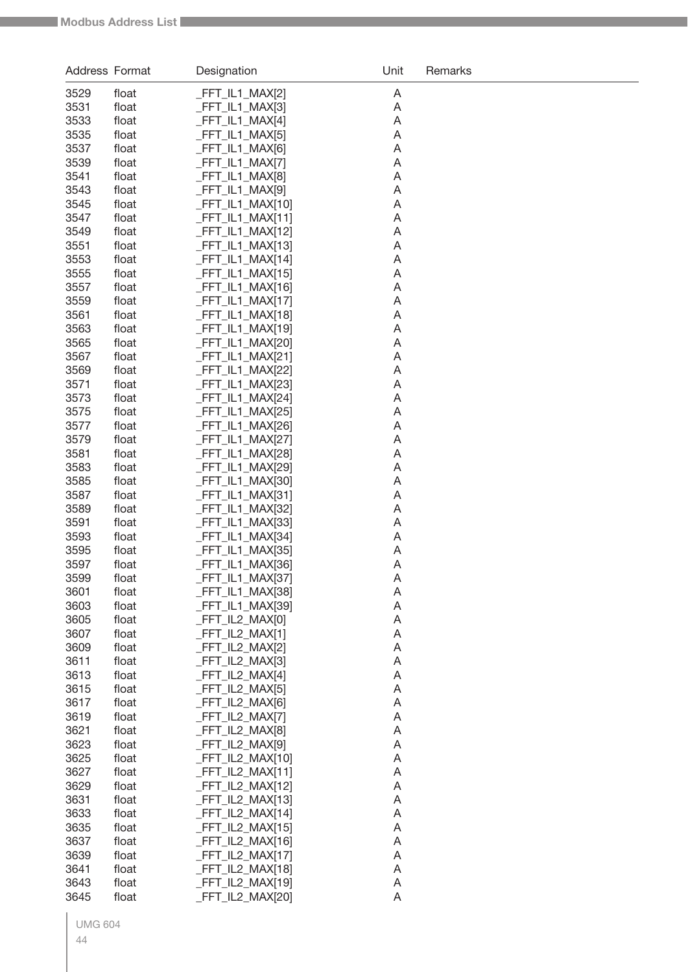| Address Format |                | Designation                          | Unit   | Remarks |
|----------------|----------------|--------------------------------------|--------|---------|
| 3529           | float          | _FFT_IL1_MAX[2]                      | A      |         |
| 3531           | float          | _FFT_IL1_MAX[3]                      | A      |         |
| 3533           | float          | _FFT_IL1_MAX[4]                      | A      |         |
| 3535           | float          | _FFT_IL1_MAX[5]                      | A      |         |
| 3537           | float          | _FFT_IL1_MAX[6]                      | A      |         |
| 3539           | float          | _FFT_IL1_MAX[7]                      | A      |         |
| 3541           | float          | _FFT_IL1_MAX[8]                      | A      |         |
| 3543           | float          | _FFT_IL1_MAX[9]                      | A      |         |
| 3545           | float          | _FFT_IL1_MAX[10]                     | A      |         |
| 3547           | float          | _FFT_IL1_MAX[11]                     | A      |         |
| 3549           | float          | FFT_IL1_MAX[12]                      | A      |         |
| 3551           | float          | _FFT_IL1_MAX[13]                     | A      |         |
| 3553           | float          | FFT_IL1_MAX[14]                      | A      |         |
| 3555           | float          | _FFT_IL1_MAX[15]                     | A      |         |
| 3557           | float          | FFT_IL1_MAX[16]                      | A      |         |
| 3559           | float          | FFT_IL1_MAX[17]                      | A      |         |
| 3561           | float          | FFT_IL1_MAX[18]                      | A      |         |
| 3563           | float          | FFT_IL1_MAX[19]                      | A      |         |
| 3565           | float          | FFT_IL1_MAX[20]                      | A      |         |
| 3567           | float          | _FFT_IL1_MAX[21]                     | A      |         |
| 3569<br>3571   | float<br>float | _FFT_IL1_MAX[22]<br>_FFT_IL1_MAX[23] | A<br>A |         |
| 3573           | float          | _FFT_IL1_MAX[24]                     | Α      |         |
| 3575           | float          | _FFT_IL1_MAX[25]                     | A      |         |
| 3577           | float          | FFT_IL1_MAX[26]                      | Α      |         |
| 3579           | float          | FFT_IL1_MAX[27]                      | Α      |         |
| 3581           | float          | _FFT_IL1_MAX[28]                     | Α      |         |
| 3583           | float          | _FFT_IL1_MAX[29]                     | Α      |         |
| 3585           | float          | _FFT_IL1_MAX[30]                     | Α      |         |
| 3587           | float          | FFT_IL1_MAX[31]                      | Α      |         |
| 3589           | float          | FFT_IL1_MAX[32]                      | A      |         |
| 3591           | float          | FFT_IL1_MAX[33]                      | Α      |         |
| 3593           | float          | FFT_IL1_MAX[34]                      | A      |         |
| 3595           | float          | FFT_IL1_MAX[35]                      | Α      |         |
| 3597           | float          | FFT_IL1_MAX[36]                      | A      |         |
| 3599           | float          | _FFT_IL1_MAX[37]                     | A      |         |
| 3601           | float          | _FFT_IL1_MAX[38]                     | A      |         |
| 3603           | float          | FFT_IL1_MAX[39]                      | A      |         |
| 3605           | float          | FFT_IL2_MAX[0]                       | A      |         |
| 3607           | float          | FFT_IL2_MAX[1]                       | A      |         |
| 3609           | float          | FFT_IL2_MAX[2]                       | Α      |         |
| 3611           | float          | FFT_IL2_MAX[3]                       | A      |         |
| 3613           | float          | FFT_IL2_MAX[4]                       | A      |         |
| 3615<br>3617   | float          | _FFT_IL2_MAX[5]                      | A      |         |
| 3619           | float          | _FFT_IL2_MAX[6]<br>FFT_IL2_MAX[7]    | Α      |         |
| 3621           | float<br>float | FFT_IL2_MAX[8]                       | A<br>A |         |
| 3623           | float          | FFT_IL2_MAX[9]                       | A      |         |
| 3625           | float          | FFT_IL2_MAX[10]                      | A      |         |
| 3627           | float          | _FFT_IL2_MAX[11]                     | A      |         |
| 3629           | float          | _FFT_IL2_MAX[12]                     | A      |         |
| 3631           | float          | _FFT_IL2_MAX[13]                     | A      |         |
| 3633           | float          | _FFT_IL2_MAX[14]                     | A      |         |
| 3635           | float          | _FFT_IL2_MAX[15]                     | A      |         |
| 3637           | float          | _FFT_IL2_MAX[16]                     | A      |         |
| 3639           | float          | _FFT_IL2_MAX[17]                     | A      |         |
| 3641           | float          | _FFT_IL2_MAX[18]                     | A      |         |
| 3643           | float          | FFT_IL2_MAX[19]                      | A      |         |
| 3645           | float          | FFT_IL2_MAX[20]                      | A      |         |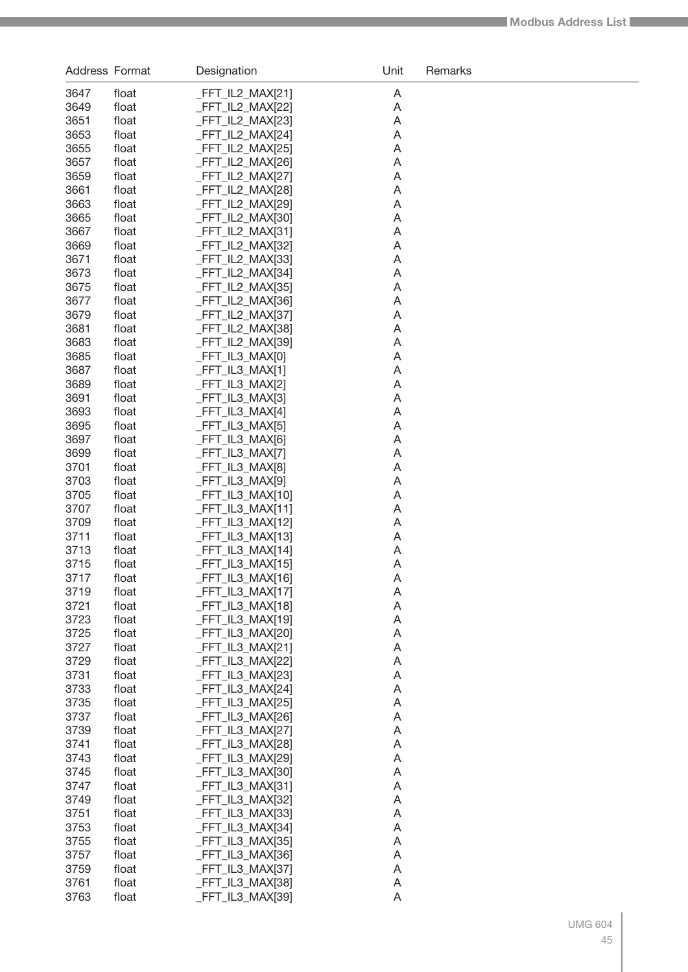| Address Format |                | Designation                          | Unit   | Remarks |
|----------------|----------------|--------------------------------------|--------|---------|
| 3647           | float          | _FFT_IL2_MAX[21]                     | A      |         |
| 3649           | float          | _FFT_IL2_MAX[22]                     | A      |         |
| 3651           | float          | _FFT_IL2_MAX[23]                     | A      |         |
| 3653           | float          | _FFT_IL2_MAX[24]                     | A      |         |
| 3655           | float          | _FFT_IL2_MAX[25]                     | A      |         |
| 3657           | float          | _FFT_IL2_MAX[26]                     | A      |         |
| 3659           | float          | _FFT_IL2_MAX[27]                     | A      |         |
| 3661           | float          | _FFT_IL2_MAX[28]                     | A      |         |
| 3663           | float          | _FFT_IL2_MAX[29]                     | A      |         |
| 3665           | float          | _FFT_IL2_MAX[30]                     | A      |         |
| 3667           | float          | _FFT_IL2_MAX[31]                     | A      |         |
| 3669           | float          | _FFT_IL2_MAX[32]                     | A      |         |
| 3671           | float          | _FFT_IL2_MAX[33]                     | A      |         |
| 3673           | float          | _FFT_IL2_MAX[34]                     | A      |         |
| 3675           | float          | _FFT_IL2_MAX[35]                     | A      |         |
| 3677           | float          | FFT_IL2_MAX[36]                      | A      |         |
| 3679           | float          | _FFT_IL2_MAX[37]                     | A      |         |
| 3681           | float          | _FFT_IL2_MAX[38]                     | A      |         |
| 3683<br>3685   | float<br>float | FFT_IL2_MAX[39]<br>_FFT_IL3_MAX[0]   | A      |         |
| 3687           | float          | $-FFT_lL3_MAX[1]$                    | A<br>A |         |
| 3689           | float          | _FFT_IL3_MAX[2]                      | A      |         |
| 3691           | float          | _FFT_IL3_MAX[3]                      | A      |         |
| 3693           | float          | $-FFT_lL3_MAX[4]$                    | A      |         |
| 3695           | float          | _FFT_IL3_MAX[5]                      | A      |         |
| 3697           | float          | _FFT_IL3_MAX[6]                      | A      |         |
| 3699           | float          | $-FFT_lL3_MAX[7]$                    | A      |         |
| 3701           | float          | _FFT_IL3_MAX[8]                      | A      |         |
| 3703           | float          | _FFT_IL3_MAX[9]                      | A      |         |
| 3705           | float          | $-FFT_lL3_MAX[10]$                   | A      |         |
| 3707           | float          | $-FFT_lL3_MAX[11]$                   | A      |         |
| 3709           | float          | _FFT_IL3_MAX[12]                     | A      |         |
| 3711           | float          | $-FFT_lL3_MAX[13]$                   | A      |         |
| 3713           | float          | $-FFT_lL3_MAX[14]$                   | A      |         |
| 3715           | float          | _FFT_IL3_MAX[15]                     | A      |         |
| 3717           | float          | _FFT_IL3_MAX[16]                     | A      |         |
| 3719           | float          | $-FFT_lL3_MAX[17]$                   | A      |         |
| 3721           | float          | _FFT_IL3_MAX[18]                     | A      |         |
| 3723           | float          | _FFT_IL3_MAX[19]                     | A      |         |
| 3725           | float          | _FFT_IL3_MAX[20]                     | A      |         |
| 3727           | float          | _FFT_IL3_MAX[21]                     | A      |         |
| 3729           | float          | _FFT_IL3_MAX[22]                     | A      |         |
| 3731           | float          | _FFT_IL3_MAX[23]                     | A      |         |
| 3733           | float          | _FFT_IL3_MAX[24]                     | A      |         |
| 3735           | float          | _FFT_IL3_MAX[25]                     | A      |         |
| 3737           | float          | _FFT_IL3_MAX[26]                     | A      |         |
| 3739           | float          | _FFT_IL3_MAX[27]                     | A      |         |
| 3741           | float          | _FFT_IL3_MAX[28]                     | A      |         |
| 3743<br>3745   | float<br>float | _FFT_IL3_MAX[29]<br>_FFT_IL3_MAX[30] | A<br>A |         |
| 3747           | float          | _FFT_IL3_MAX[31]                     | A      |         |
| 3749           | float          | _FFT_IL3_MAX[32]                     | A      |         |
| 3751           | float          | _FFT_IL3_MAX[33]                     | A      |         |
| 3753           | float          | _FFT_IL3_MAX[34]                     | A      |         |
| 3755           | float          | _FFT_IL3_MAX[35]                     | A      |         |
| 3757           | float          | _FFT_IL3_MAX[36]                     | A      |         |
| 3759           | float          | _FFT_IL3_MAX[37]                     | A      |         |
| 3761           | float          | _FFT_IL3_MAX[38]                     | A      |         |
| 3763           | float          | _FFT_IL3_MAX[39]                     | A      |         |
|                |                |                                      |        |         |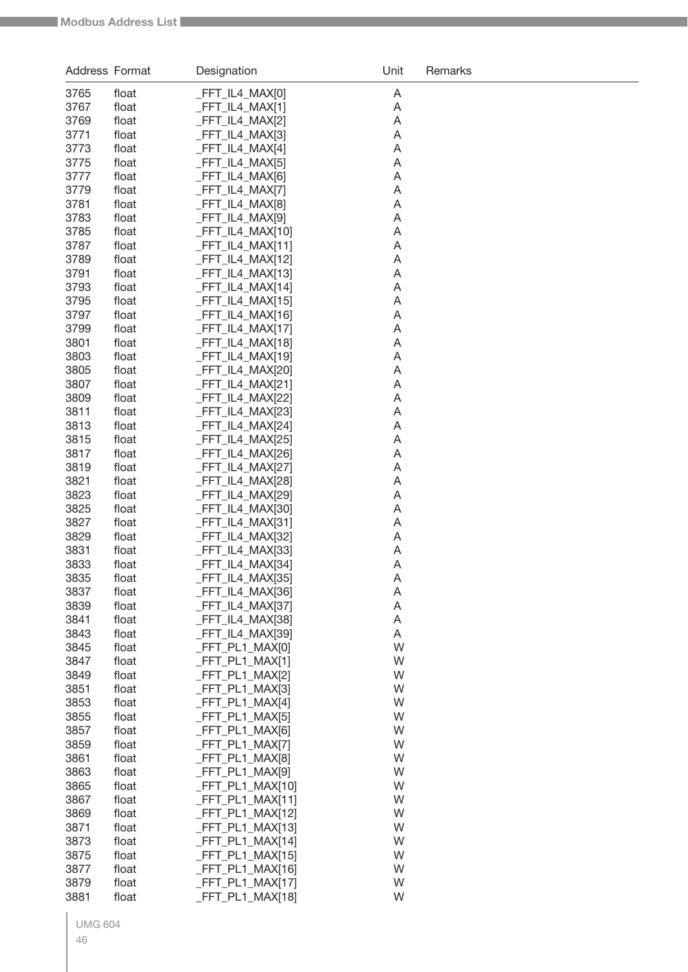| Address Format |                | Designation                         | Unit   | Remarks |
|----------------|----------------|-------------------------------------|--------|---------|
| 3765           | float          | FFT_IL4_MAX[0]                      | A      |         |
| 3767           | float          | FFT_IL4_MAX[1]                      | A      |         |
| 3769           | float          | FFT IL4 MAX[2]                      | A      |         |
| 3771           | float          | FFT_IL4_MAX[3]                      | A      |         |
| 3773           | float          | FFT_IL4_MAX[4]                      | A      |         |
| 3775           | float          | FFT_IL4_MAX[5]                      | A      |         |
| 3777           | float          | FFT_IL4_MAX[6]                      | A      |         |
| 3779           | float          | FFT_IL4_MAX[7]<br>FFT_IL4_MAX[8]    | A      |         |
| 3781<br>3783   | float<br>float | FFT_IL4_MAX[9]                      | A<br>A |         |
| 3785           | float          | FFT_IL4_MAX[10]                     | A      |         |
| 3787           | float          | FFT_IL4_MAX[11]                     | A      |         |
| 3789           | float          | FFT_IL4_MAX[12]                     | A      |         |
| 3791           | float          | FFT_IL4_MAX[13]                     | A      |         |
| 3793           | float          | FFT_IL4_MAX[14]                     | A      |         |
| 3795           | float          | FFT_IL4_MAX[15]                     | A      |         |
| 3797           | float          | FFT_IL4_MAX[16]                     | A      |         |
| 3799           | float          | FFT_IL4_MAX[17]                     | A      |         |
| 3801           | float          | FFT_IL4_MAX[18]                     | A      |         |
| 3803           | float          | FFT_IL4_MAX[19]                     | A      |         |
| 3805<br>3807   | float<br>float | FFT_IL4_MAX[20]<br>FFT_IL4_MAX[21]  | A<br>A |         |
| 3809           | float          | FFT_IL4_MAX[22]                     | A      |         |
| 3811           | float          | FFT_IL4_MAX[23]                     | A      |         |
| 3813           | float          | FFT_IL4_MAX[24]                     | A      |         |
| 3815           | float          | FFT_IL4_MAX[25]                     | A      |         |
| 3817           | float          | FFT_IL4_MAX[26]                     | A      |         |
| 3819           | float          | FFT_IL4_MAX[27]                     | Α      |         |
| 3821           | float          | FFT_IL4_MAX[28]                     | Α      |         |
| 3823           | float          | FFT_IL4_MAX[29]                     | A      |         |
| 3825           | float          | FFT_IL4_MAX[30]                     | A      |         |
| 3827           | float          | FFT_IL4_MAX[31]                     | A      |         |
| 3829           | float          | FFT_IL4_MAX[32]                     | Α      |         |
| 3831           | float          | FFT_IL4_MAX[33]                     | A      |         |
| 3833<br>3835   | float<br>float | FFT_IL4_MAX[34]<br>_FFT_IL4_MAX[35] | A<br>A |         |
| 3837           | float          | _FFT_IL4_MAX[36]                    | Α      |         |
| 3839           | float          | FFT_IL4_MAX[37]                     | A      |         |
| 3841           | float          | FFT_IL4_MAX[38]                     | A      |         |
| 3843           | float          | FFT_IL4_MAX[39]                     | Α      |         |
| 3845           | float          | FFT_PL1_MAX[0]                      | W      |         |
| 3847           | float          | FFT PL1 MAX[1]                      | W      |         |
| 3849           | float          | FFT PL1 MAX[2]                      | W      |         |
| 3851           | float          | FFT PL1 MAX[3]                      | W      |         |
| 3853           | float          | FFT_PL1_MAX[4]                      | W      |         |
| 3855           | float          | FFT_PL1_MAX[5]                      | W      |         |
| 3857<br>3859   | float          | FFT_PL1_MAX[6]<br>FFT_PL1_MAX[7]    | W<br>W |         |
| 3861           | float<br>float | FFT_PL1_MAX[8]                      | W      |         |
| 3863           | float          | FFT_PL1_MAX[9]                      | W      |         |
| 3865           | float          | _FFT_PL1_MAX[10]                    | W      |         |
| 3867           | float          | _FFT_PL1_MAX[11]                    | W      |         |
| 3869           | float          | FFT_PL1_MAX[12]                     | W      |         |
| 3871           | float          | FFT_PL1_MAX[13]                     | W      |         |
| 3873           | float          | FFT_PL1_MAX[14]                     | W      |         |
| 3875           | float          | _FFT_PL1_MAX[15]                    | W      |         |
| 3877           | float          | FFT_PL1_MAX[16]                     | W      |         |
| 3879           | float          | FFT_PL1_MAX[17]                     | W      |         |
| 3881           | float          | FFT_PL1_MAX[18]                     | W      |         |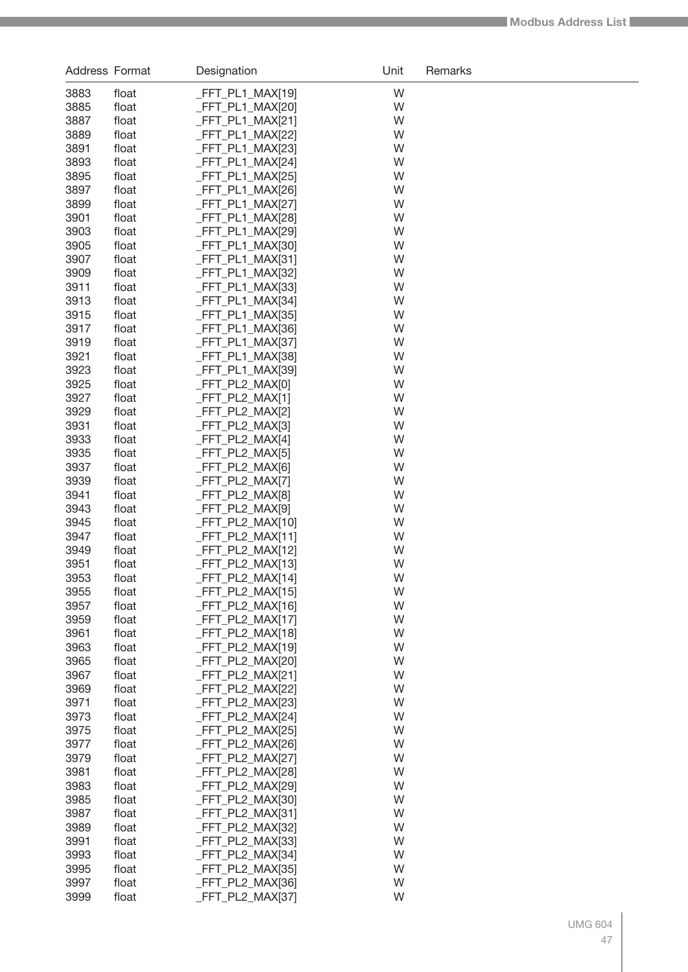| Address Format |                | Designation                              | Unit   | Remarks |
|----------------|----------------|------------------------------------------|--------|---------|
| 3883           | float          | $-FFT_PL1_MAX[19]$                       | W      |         |
| 3885           | float          | $-FFT_PL1_MAX[20]$                       | W      |         |
| 3887           | float          | $-FFT_PL1_MAX[21]$                       | W      |         |
| 3889           | float          | $-FFT_PL1_MAX[22]$                       | W      |         |
| 3891           | float          | $-FFT_PL1_MAX[23]$                       | W      |         |
| 3893           | float          | _FFT_PL1_MAX[24]                         | W      |         |
| 3895           | float          | _FFT_PL1_MAX[25]                         | W      |         |
| 3897           | float          | $-FFT_PL1_MAX[26]$                       | W      |         |
| 3899           | float          | _FFT_PL1_MAX[27]                         | W      |         |
| 3901           | float          | $-FFT_PL1_MAX[28]$                       | W      |         |
| 3903           | float          | $-FFT_PL1_MAX[29]$                       | W      |         |
| 3905           | float          | $-FFT_PL1_MAX[30]$                       | W      |         |
| 3907           | float          | _FFT_PL1_MAX[31]                         | W      |         |
| 3909<br>3911   | float          | $-FFT_PL1_MAX[32]$                       | W<br>W |         |
| 3913           | float<br>float | $-FFT_PL1_MAX[33]$<br>$-FFT_PL1_MAX[34]$ | W      |         |
| 3915           | float          | $-FFT_PL1_MAX[35]$                       | W      |         |
| 3917           | float          | $-FFT_PL1_MAX[36]$                       | W      |         |
| 3919           | float          | $-FFT_PL1_MAX[37]$                       | W      |         |
| 3921           | float          | $-FFT_PL1_MAX[38]$                       | W      |         |
| 3923           | float          | $-FFT_PL1_MAX[39]$                       | W      |         |
| 3925           | float          | _FFT_PL2_MAX[0]                          | W      |         |
| 3927           | float          | _FFT_PL2_MAX[1]                          | W      |         |
| 3929           | float          | _FFT_PL2_MAX[2]                          | W      |         |
| 3931           | float          | FFT_PL2_MAX[3]                           | W      |         |
| 3933           | float          | _FFT_PL2_MAX[4]                          | W      |         |
| 3935           | float          | _FFT_PL2_MAX[5]                          | W      |         |
| 3937           | float          | _FFT_PL2_MAX[6]                          | W      |         |
| 3939           | float          | _FFT_PL2_MAX[7]                          | W      |         |
| 3941           | float          | FFT_PL2_MAX[8]                           | W      |         |
| 3943           | float          | _FFT_PL2_MAX[9]                          | W      |         |
| 3945           | float          | _FFT_PL2_MAX[10]                         | W      |         |
| 3947           | float          | _FFT_PL2_MAX[11]                         | W      |         |
| 3949           | float          | _FFT_PL2_MAX[12]                         | W      |         |
| 3951           | float          | _FFT_PL2_MAX[13]                         | W      |         |
| 3953           | float          | FFT_PL2_MAX[14]                          | W      |         |
| 3955<br>3957   | float<br>float | $-FFT_PL2_MAX[15]$<br>FFT_PL2_MAX[16]    | W<br>W |         |
| 3959           | float          | _FFT_PL2_MAX[17]                         | W      |         |
| 3961           | float          | _FFT_PL2_MAX[18]                         | W      |         |
| 3963           | float          | FFT_PL2_MAX[19]                          | W      |         |
| 3965           | float          | _FFT_PL2_MAX[20]                         | W      |         |
| 3967           | float          | _FFT_PL2_MAX[21]                         | W      |         |
| 3969           | float          | _FFT_PL2_MAX[22]                         | W      |         |
| 3971           | float          | _FFT_PL2_MAX[23]                         | W      |         |
| 3973           | float          | $-FFT_PL2_MAX[24]$                       | W      |         |
| 3975           | float          | $-FFT_PL2_MAX[25]$                       | W      |         |
| 3977           | float          | $-FFT_PL2_MAX[26]$                       | W      |         |
| 3979           | float          | _FFT_PL2_MAX[27]                         | W      |         |
| 3981           | float          | _FFT_PL2_MAX[28]                         | W      |         |
| 3983           | float          | _FFT_PL2_MAX[29]                         | W      |         |
| 3985           | float          | _FFT_PL2_MAX[30]                         | W      |         |
| 3987           | float          | _FFT_PL2_MAX[31]                         | W      |         |
| 3989           | float          | _FFT_PL2_MAX[32]                         | W      |         |
| 3991           | float          | _FFT_PL2_MAX[33]                         | W      |         |
| 3993           | float          | _FFT_PL2_MAX[34]                         | W      |         |
| 3995           | float          | _FFT_PL2_MAX[35]                         | W      |         |
| 3997           | float          | _FFT_PL2_MAX[36]                         | W      |         |
| 3999           | float          | _FFT_PL2_MAX[37]                         | W      |         |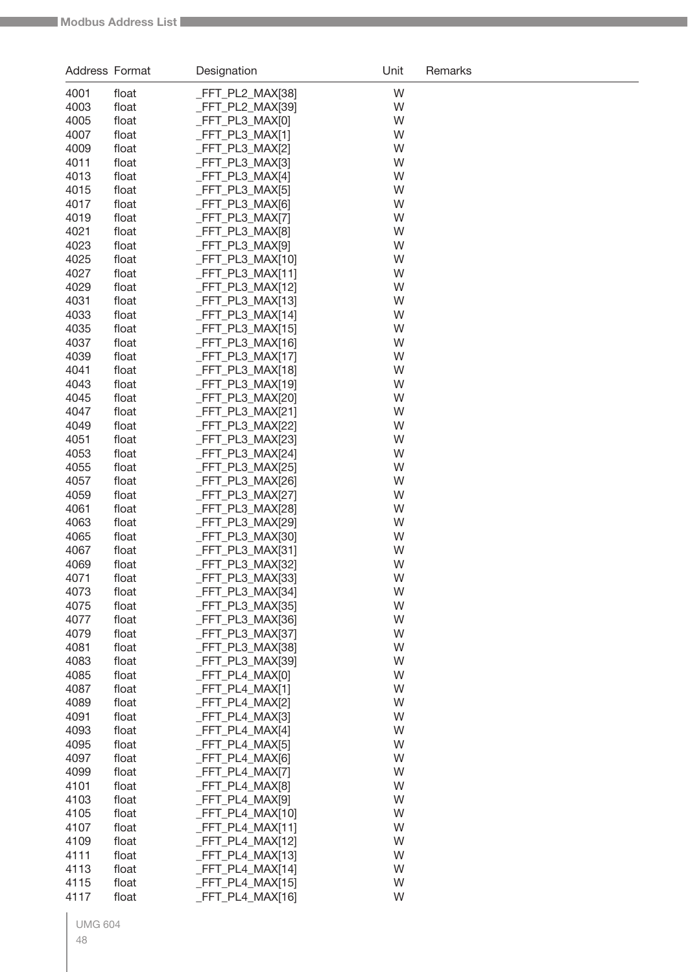| Address Format |                | Designation                         | Unit   | Remarks |
|----------------|----------------|-------------------------------------|--------|---------|
| 4001           | float          | FFT_PL2_MAX[38]                     | W      |         |
| 4003           | float          | FFT_PL2_MAX[39]                     | W      |         |
| 4005           | float          | FFT PL3 MAX[0]                      | W      |         |
| 4007           | float          | FFT_PL3_MAX[1]                      | W      |         |
| 4009           | float          | FFT_PL3_MAX[2]                      | W      |         |
| 4011           | float          | FFT_PL3_MAX[3]                      | W      |         |
| 4013           | float          | FFT_PL3_MAX[4]                      | W      |         |
| 4015           | float          | FFT_PL3_MAX[5]                      | W      |         |
| 4017<br>4019   | float<br>float | FFT_PL3_MAX[6]<br>FFT_PL3_MAX[7]    | W<br>W |         |
| 4021           | float          | FFT_PL3_MAX[8]                      | W      |         |
| 4023           | float          | FFT_PL3_MAX[9]                      | W      |         |
| 4025           | float          | FFT_PL3_MAX[10]                     | W      |         |
| 4027           | float          | FFT_PL3_MAX[11]                     | W      |         |
| 4029           | float          | FFT_PL3_MAX[12]                     | W      |         |
| 4031           | float          | FFT_PL3_MAX[13]                     | W      |         |
| 4033           | float          | FFT_PL3_MAX[14]                     | W      |         |
| 4035           | float          | FFT_PL3_MAX[15]                     | W      |         |
| 4037           | float          | FFT PL3 MAX[16]                     | W      |         |
| 4039           | float          | FFT_PL3_MAX[17]                     | W      |         |
| 4041           | float          | FFT_PL3_MAX[18]                     | W      |         |
| 4043<br>4045   | float          | FFT_PL3_MAX[19]<br>FFT_PL3_MAX[20]  | W<br>W |         |
| 4047           | float<br>float | FFT_PL3_MAX[21]                     | W      |         |
| 4049           | float          | FFT_PL3_MAX[22]                     | W      |         |
| 4051           | float          | FFT_PL3_MAX[23]                     | W      |         |
| 4053           | float          | FFT_PL3_MAX[24]                     | W      |         |
| 4055           | float          | FFT_PL3_MAX[25]                     | W      |         |
| 4057           | float          | FFT_PL3_MAX[26]                     | W      |         |
| 4059           | float          | FFT_PL3_MAX[27]                     | W      |         |
| 4061           | float          | FFT_PL3_MAX[28]                     | W      |         |
| 4063           | float          | FFT_PL3_MAX[29]                     | W      |         |
| 4065           | float          | FFT_PL3_MAX[30]                     | W      |         |
| 4067           | float          | FFT_PL3_MAX[31]                     | W      |         |
| 4069           | float          | FFT_PL3_MAX[32]                     | W      |         |
| 4071<br>4073   | float<br>float | _FFT_PL3_MAX[33]<br>FFT PL3 MAX[34] | W<br>W |         |
| 4075           | float          | _FFT_PL3_MAX[35]                    | W      |         |
| 4077           | float          | FFT_PL3_MAX[36]                     | W      |         |
| 4079           | float          | FFT PL3 MAX[37]                     | W      |         |
| 4081           | float          | FFT PL3 MAX[38]                     | W      |         |
| 4083           | float          | FFT_PL3_MAX[39]                     | W      |         |
| 4085           | float          | FFT PL4 MAX[0]                      | W      |         |
| 4087           | float          | _FFT_PL4_MAX[1]                     | W      |         |
| 4089           | float          | _FFT_PL4_MAX[2]                     | W      |         |
| 4091           | float          | FFT_PL4_MAX[3]                      | W      |         |
| 4093           | float          | _FFT_PL4_MAX[4]                     | W      |         |
| 4095           | float          | FFT_PL4_MAX[5]                      | W      |         |
| 4097<br>4099   | float<br>float | FFT_PL4_MAX[6]<br>_FFT_PL4_MAX[7]   | W<br>W |         |
| 4101           | float          | FFT_PL4_MAX[8]                      | W      |         |
| 4103           | float          | FFT_PL4_MAX[9]                      | W      |         |
| 4105           | float          | $-FFT_PL4_MAX[10]$                  | W      |         |
| 4107           | float          | _FFT_PL4_MAX[11]                    | W      |         |
| 4109           | float          | FFT_PL4_MAX[12]                     | W      |         |
| 4111           | float          | _FFT_PL4_MAX[13]                    | W      |         |
| 4113           | float          | FFT_PL4_MAX[14]                     | W      |         |
| 4115           | float          | FFT_PL4_MAX[15]                     | W      |         |
| 4117           | float          | FFT_PL4_MAX[16]                     | W      |         |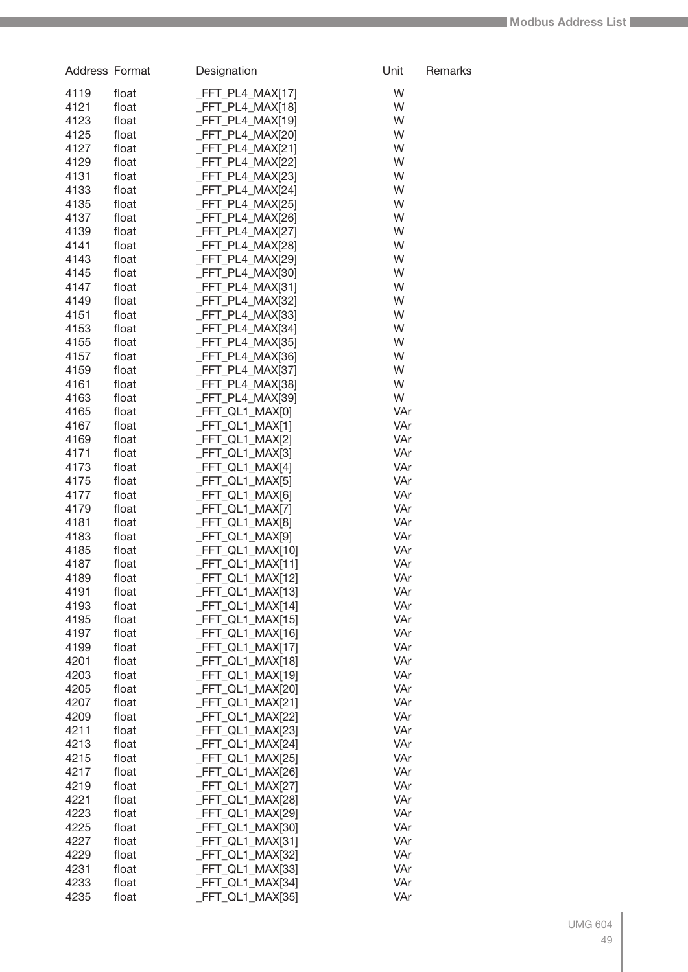| Address Format |                | Designation                            | Unit       | Remarks |
|----------------|----------------|----------------------------------------|------------|---------|
| 4119           | float          | _FFT_PL4_MAX[17]                       | W          |         |
| 4121           | float          | $-FFT_PL4_MAX[18]$                     | W          |         |
| 4123           | float          | $-FFT_PL4_MAX[19]$                     | W          |         |
| 4125           | float          | $-FFT_PL4_MAX[20]$                     | W          |         |
| 4127           | float          | $-FFT_PL4_MAX[21]$                     | W          |         |
| 4129           | float          | _FFT_PL4_MAX[22]                       | W          |         |
| 4131           | float          | _FFT_PL4_MAX[23]                       | W          |         |
| 4133           | float          | FFT PL4 MAX[24]                        | W          |         |
| 4135<br>4137   | float<br>float | _FFT_PL4_MAX[25]<br>FFT PL4 MAX[26]    | W<br>W     |         |
| 4139           | float          | FFT PL4 MAX[27]                        | W          |         |
| 4141           | float          | _FFT_PL4_MAX[28]                       | W          |         |
| 4143           | float          | $-FFT_PL4_MAX[29]$                     | W          |         |
| 4145           | float          | $-FFT_PL4_MAX[30]$                     | W          |         |
| 4147           | float          | $-FFT_PL4_MAX[31]$                     | W          |         |
| 4149           | float          | _FFT_PL4_MAX[32]                       | W          |         |
| 4151           | float          | _FFT_PL4_MAX[33]                       | W          |         |
| 4153           | float          | _FFT_PL4_MAX[34]                       | W          |         |
| 4155           | float          | _FFT_PL4_MAX[35]                       | W          |         |
| 4157           | float          | _FFT_PL4_MAX[36]                       | W          |         |
| 4159           | float          | _FFT_PL4_MAX[37]                       | W          |         |
| 4161<br>4163   | float<br>float | _FFT_PL4_MAX[38]                       | W<br>W     |         |
| 4165           | float          | _FFT_PL4_MAX[39]<br>_FFT_QL1_MAX[0]    | VAr        |         |
| 4167           | float          | _FFT_QL1_MAX[1]                        | VAr        |         |
| 4169           | float          | _FFT_QL1_MAX[2]                        | VAr        |         |
| 4171           | float          | _FFT_QL1_MAX[3]                        | VAr        |         |
| 4173           | float          | _FFT_QL1_MAX[4]                        | VAr        |         |
| 4175           | float          | _FFT_QL1_MAX[5]                        | VAr        |         |
| 4177           | float          | _FFT_QL1_MAX[6]                        | VAr        |         |
| 4179           | float          | _FFT_QL1_MAX[7]                        | VAr        |         |
| 4181           | float          | _FFT_QL1_MAX[8]                        | VAr        |         |
| 4183           | float          | _FFT_QL1_MAX[9]                        | VAr        |         |
| 4185           | float          | _FFT_QL1_MAX[10]                       | VAr        |         |
| 4187           | float          | _FFT_QL1_MAX[11]                       | VAr        |         |
| 4189<br>4191   | float          | FFT_QL1_MAX[12]<br>_FFT_QL1_MAX[13]    | VAr<br>VAr |         |
| 4193           | float<br>float | _FFT_QL1_MAX[14]                       | VAr        |         |
| 4195           | float          | _FFT_QL1_MAX[15]                       | VAr        |         |
| 4197           | float          | FFT_QL1_MAX[16]                        | VAr        |         |
| 4199           | float          | _FFT_QL1_MAX[17]                       | VAr        |         |
| 4201           | float          | _FFT_QL1_MAX[18]                       | VAr        |         |
| 4203           | float          | _FFT_QL1_MAX[19]                       | VAr        |         |
| 4205           | float          | _FFT_QL1_MAX[20]                       | VAr        |         |
| 4207           | float          | _FFT_QL1_MAX[21]                       | VAr        |         |
| 4209           | float          | _FFT_QL1_MAX[22]                       | VAr        |         |
| 4211           | float          | _FFT_QL1_MAX[23]                       | VAr        |         |
| 4213           | float          | _FFT_QL1_MAX[24]                       | VAr        |         |
| 4215           | float          | _FFT_QL1_MAX[25]                       | VAr        |         |
| 4217<br>4219   | float<br>float | _FFT_QL1_MAX[26]<br>$-FFT_QL1_MAX[27]$ | VAr<br>VAr |         |
| 4221           | float          | _FFT_QL1_MAX[28]                       | VAr        |         |
| 4223           | float          | _FFT_QL1_MAX[29]                       | VAr        |         |
| 4225           | float          | _FFT_QL1_MAX[30]                       | VAr        |         |
| 4227           | float          | _FFT_QL1_MAX[31]                       | VAr        |         |
| 4229           | float          | _FFT_QL1_MAX[32]                       | VAr        |         |
| 4231           | float          | _FFT_QL1_MAX[33]                       | VAr        |         |
| 4233           | float          | _FFT_QL1_MAX[34]                       | VAr        |         |
| 4235           | float          | _FFT_QL1_MAX[35]                       | VAr        |         |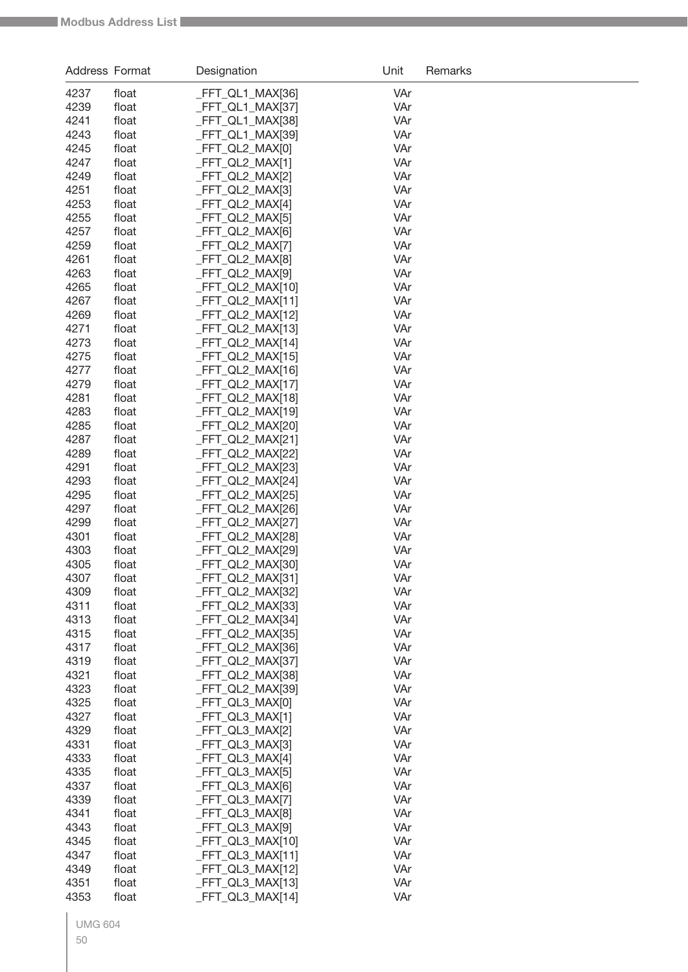| Address Format |                | Designation                          | Unit       | Remarks |
|----------------|----------------|--------------------------------------|------------|---------|
| 4237           | float          | _FFT_QL1_MAX[36]                     | VAr        |         |
| 4239           | float          | _FFT_QL1_MAX[37]                     | VAr        |         |
| 4241           | float          | _FFT_QL1_MAX[38]                     | VAr        |         |
| 4243           | float          | _FFT_QL1_MAX[39]                     | VAr        |         |
| 4245           | float          | _FFT_QL2_MAX[0]                      | VAr        |         |
| 4247           | float          | _FFT_QL2_MAX[1]                      | VAr        |         |
| 4249           | float          | _FFT_QL2_MAX[2]                      | VAr        |         |
| 4251           | float          | _FFT_QL2_MAX[3]                      | VAr        |         |
| 4253           | float          | _FFT_QL2_MAX[4]                      | VAr        |         |
| 4255           | float          | _FFT_QL2_MAX[5]                      | VAr        |         |
| 4257           | float          | _FFT_QL2_MAX[6]                      | VAr        |         |
| 4259           | float          | _FFT_QL2_MAX[7]                      | VAr        |         |
| 4261           | float          | _FFT_QL2_MAX[8]                      | VAr        |         |
| 4263           | float          | _FFT_QL2_MAX[9]                      | VAr        |         |
| 4265           | float          | FFT_QL2_MAX[10]                      | VAr        |         |
| 4267           | float          | FFT_QL2_MAX[11]                      | VAr        |         |
| 4269           | float          | _FFT_QL2_MAX[12]<br>FFT_QL2_MAX[13]  | VAr        |         |
| 4271<br>4273   | float<br>float | _FFT_QL2_MAX[14]                     | VAr<br>VAr |         |
| 4275           | float          | FFT_QL2_MAX[15]                      | VAr        |         |
| 4277           | float          | _FFT_QL2_MAX[16]                     | VAr        |         |
| 4279           | float          | _FFT_QL2_MAX[17]                     | VAr        |         |
| 4281           | float          | _FFT_QL2_MAX[18]                     | VAr        |         |
| 4283           | float          | _FFT_QL2_MAX[19]                     | VAr        |         |
| 4285           | float          | _FFT_QL2_MAX[20]                     | VAr        |         |
| 4287           | float          | _FFT_QL2_MAX[21]                     | VAr        |         |
| 4289           | float          | _FFT_QL2_MAX[22]                     | VAr        |         |
| 4291           | float          | _FFT_QL2_MAX[23]                     | VAr        |         |
| 4293           | float          | _FFT_QL2_MAX[24]                     | VAr        |         |
| 4295           | float          | _FFT_QL2_MAX[25]                     | VAr        |         |
| 4297           | float          | FFT_QL2_MAX[26]                      | VAr        |         |
| 4299           | float          | _FFT_QL2_MAX[27]                     | VAr        |         |
| 4301           | float          | _FFT_QL2_MAX[28]                     | VAr        |         |
| 4303           | float          | _FFT_QL2_MAX[29]                     | VAr        |         |
| 4305           | float          | _FFT_QL2_MAX[30]                     | VAr        |         |
| 4307           | float          | _FFT_QL2_MAX[31]                     | VAr        |         |
| 4309           | float          | _FFT_QL2_MAX[32]                     | VAr        |         |
| 4311           | float          | _FFT_QL2_MAX[33]                     | VAr        |         |
| 4313           | float          | FFT_QL2_MAX[34]                      | VAr        |         |
| 4315           | float          | FFT_QL2_MAX[35]                      | VAr        |         |
| 4317<br>4319   | float<br>float | _FFT_QL2_MAX[36]<br>_FFT_QL2_MAX[37] | VAr<br>VAr |         |
| 4321           | float          | FFT_QL2_MAX[38]                      | VAr        |         |
| 4323           | float          | _FFT_QL2_MAX[39]                     | VAr        |         |
| 4325           | float          | FFT_QL3_MAX[0]                       | VAr        |         |
| 4327           | float          | _FFT_QL3_MAX[1]                      | VAr        |         |
| 4329           | float          | _FFT_QL3_MAX[2]                      | VAr        |         |
| 4331           | float          | _FFT_QL3_MAX[3]                      | VAr        |         |
| 4333           | float          | _FFT_QL3_MAX[4]                      | VAr        |         |
| 4335           | float          | _FFT_QL3_MAX[5]                      | VAr        |         |
| 4337           | float          | _FFT_QL3_MAX[6]                      | VAr        |         |
| 4339           | float          | _FFT_QL3_MAX[7]                      | VAr        |         |
| 4341           | float          | _FFT_QL3_MAX[8]                      | VAr        |         |
| 4343           | float          | _FFT_QL3_MAX[9]                      | VAr        |         |
| 4345           | float          | _FFT_QL3_MAX[10]                     | VAr        |         |
| 4347           | float          | _FFT_QL3_MAX[11]                     | VAr        |         |
| 4349           | float          | _FFT_QL3_MAX[12]                     | VAr        |         |
| 4351           | float          | FFT_QL3_MAX[13]                      | VAr        |         |
| 4353           | float          | FFT_QL3_MAX[14]                      | VAr        |         |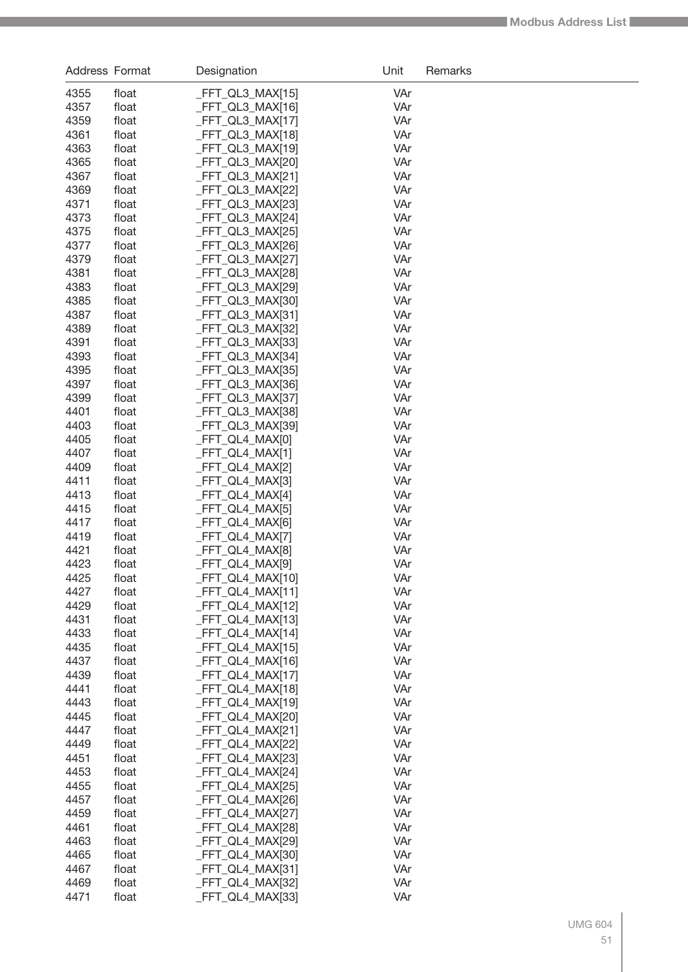| Address Format |                | Designation                          | Unit       | Remarks |
|----------------|----------------|--------------------------------------|------------|---------|
| 4355           | float          | _FFT_QL3_MAX[15]                     | VAr        |         |
| 4357           | float          | _FFT_QL3_MAX[16]                     | VAr        |         |
| 4359           | float          | _FFT_QL3_MAX[17]                     | VAr        |         |
| 4361           | float          | _FFT_QL3_MAX[18]                     | VAr        |         |
| 4363           | float          | _FFT_QL3_MAX[19]                     | VAr        |         |
| 4365           | float          | _FFT_QL3_MAX[20]                     | VAr        |         |
| 4367           | float          | _FFT_QL3_MAX[21]                     | VAr        |         |
| 4369           | float          | _FFT_QL3_MAX[22]                     | VAr        |         |
| 4371           | float          | _FFT_QL3_MAX[23]                     | VAr        |         |
| 4373           | float          | _FFT_QL3_MAX[24]                     | VAr        |         |
| 4375           | float          | _FFT_QL3_MAX[25]                     | VAr        |         |
| 4377           | float          | _FFT_QL3_MAX[26]                     | VAr        |         |
| 4379           | float          | _FFT_QL3_MAX[27]                     | VAr        |         |
| 4381           | float          | _FFT_QL3_MAX[28]                     | VAr        |         |
| 4383           | float          | _FFT_QL3_MAX[29]                     | VAr        |         |
| 4385           | float          | _FFT_QL3_MAX[30]                     | VAr        |         |
| 4387           | float          | _FFT_QL3_MAX[31]                     | VAr        |         |
| 4389           | float          | _FFT_QL3_MAX[32]                     | VAr        |         |
| 4391           | float          | _FFT_QL3_MAX[33]                     | VAr        |         |
| 4393<br>4395   | float<br>float | _FFT_QL3_MAX[34]<br>_FFT_QL3_MAX[35] | VAr<br>VAr |         |
| 4397           | float          | _FFT_QL3_MAX[36]                     | VAr        |         |
| 4399           | float          | _FFT_QL3_MAX[37]                     | VAr        |         |
| 4401           | float          | _FFT_QL3_MAX[38]                     | VAr        |         |
| 4403           | float          | _FFT_QL3_MAX[39]                     | VAr        |         |
| 4405           | float          | _FFT_QL4_MAX[0]                      | VAr        |         |
| 4407           | float          | _FFT_QL4_MAX[1]                      | VAr        |         |
| 4409           | float          | _FFT_QL4_MAX[2]                      | VAr        |         |
| 4411           | float          | _FFT_QL4_MAX[3]                      | VAr        |         |
| 4413           | float          | _FFT_QL4_MAX[4]                      | VAr        |         |
| 4415           | float          | _FFT_QL4_MAX[5]                      | VAr        |         |
| 4417           | float          | _FFT_QL4_MAX[6]                      | VAr        |         |
| 4419           | float          | _FFT_QL4_MAX[7]                      | VAr        |         |
| 4421           | float          | _FFT_QL4_MAX[8]                      | VAr        |         |
| 4423           | float          | _FFT_QL4_MAX[9]                      | VAr        |         |
| 4425           | float          | FFT_QL4_MAX[10]                      | VAr        |         |
| 4427           | float          | $-FFT_QL4_MAX[11]$                   | VAr        |         |
| 4429           | float          | FFT QL4 MAX[12]                      | VAr        |         |
| 4431           | float          | FFT_QL4_MAX[13]                      | VAr        |         |
| 4433           | float          | _FFT_QL4_MAX[14]                     | VAr        |         |
| 4435           | float          | _FFT_QL4_MAX[15]                     | VAr        |         |
| 4437           | float          | _FFT_QL4_MAX[16]                     | VAr        |         |
| 4439           | float          | _FFT_QL4_MAX[17]                     | VAr        |         |
| 4441           | float          | _FFT_QL4_MAX[18]                     | VAr        |         |
| 4443<br>4445   | float          | _FFT_QL4_MAX[19]<br>_FFT_QL4_MAX[20] | VAr<br>VAr |         |
| 4447           | float<br>float | _FFT_QL4_MAX[21]                     | VAr        |         |
| 4449           | float          | _FFT_QL4_MAX[22]                     | VAr        |         |
| 4451           | float          | $-FFT_QL4_MAX[23]$                   | VAr        |         |
| 4453           | float          | _FFT_QL4_MAX[24]                     | VAr        |         |
| 4455           | float          | _FFT_QL4_MAX[25]                     | VAr        |         |
| 4457           | float          | _FFT_QL4_MAX[26]                     | VAr        |         |
| 4459           | float          | _FFT_QL4_MAX[27]                     | VAr        |         |
| 4461           | float          | $-FFT_QL4_MAX[28]$                   | VAr        |         |
| 4463           | float          | _FFT_QL4_MAX[29]                     | VAr        |         |
| 4465           | float          | _FFT_QL4_MAX[30]                     | VAr        |         |
| 4467           | float          | _FFT_QL4_MAX[31]                     | VAr        |         |
| 4469           | float          | _FFT_QL4_MAX[32]                     | VAr        |         |
| 4471           | float          | $-FFT_QL4_MAX[33]$                   | VAr        |         |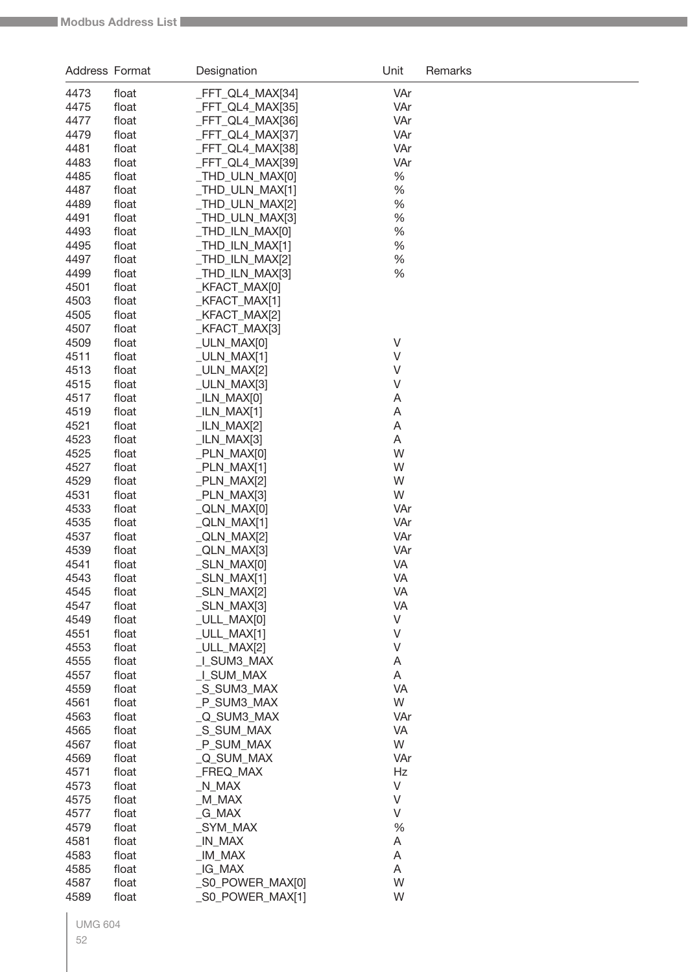| Address Format |                | Designation                        | Unit     | Remarks |
|----------------|----------------|------------------------------------|----------|---------|
| 4473           | float          | _FFT_QL4_MAX[34]                   | VAr      |         |
| 4475           | float          | _FFT_QL4_MAX[35]                   | VAr      |         |
| 4477           | float          | _FFT_QL4_MAX[36]                   | VAr      |         |
| 4479           | float          | _FFT_QL4_MAX[37]                   | VAr      |         |
| 4481           | float          | _FFT_QL4_MAX[38]                   | VAr      |         |
| 4483           | float          | _FFT_QL4_MAX[39]                   | VAr      |         |
| 4485           | float          | _THD_ULN_MAX[0]                    | $\%$     |         |
| 4487           | float          | _THD_ULN_MAX[1]                    | $\%$     |         |
| 4489           | float          | _THD_ULN_MAX[2]                    | %        |         |
| 4491           | float          | _THD_ULN_MAX[3]                    | %        |         |
| 4493           | float          | _THD_ILN_MAX[0]                    | %        |         |
| 4495           | float          | _THD_ILN_MAX[1]                    | %        |         |
| 4497           | float          | _THD_ILN_MAX[2]                    | %        |         |
| 4499           | float          | _THD_ILN_MAX[3]                    | %        |         |
| 4501<br>4503   | float<br>float | _KFACT_MAX[0]<br>_KFACT_MAX[1]     |          |         |
| 4505           | float          | _KFACT_MAX[2]                      |          |         |
| 4507           | float          | _KFACT_MAX[3]                      |          |         |
| 4509           | float          | _ULN_MAX[0]                        | V        |         |
| 4511           | float          | $_ULN_MAX[1]$                      | V        |         |
| 4513           | float          | _ULN_MAX[2]                        | V        |         |
| 4515           | float          | $_ULN_MAX[3]$                      | V        |         |
| 4517           | float          | $llN_MAX[0]$                       | A        |         |
| 4519           | float          | $_L$ ILN $_M$ MAX[1]               | A        |         |
| 4521           | float          | _ILN_MAX[2]                        | Α        |         |
| 4523           | float          | $_LIN_MAX[3]$                      | Α        |         |
| 4525           | float          | $PLN_MAX[0]$                       | W        |         |
| 4527           | float          | $PLN_MAX[1]$                       | W        |         |
| 4529           | float          | _PLN_MAX[2]                        | W        |         |
| 4531           | float          | $PLN_MAX[3]$                       | W        |         |
| 4533           | float          | _QLN_MAX[0]                        | VAr      |         |
| 4535           | float          | _QLN_MAX[1]                        | VAr      |         |
| 4537           | float          | _QLN_MAX[2]                        | VAr      |         |
| 4539           | float          | _QLN_MAX[3]                        | VAr      |         |
| 4541<br>4543   | float          | _SLN_MAX[0]                        | VA<br>VA |         |
| 4545           | float          | $\_SLN\_MAX[1]$<br>$\_SLN\_MAX[2]$ | VA       |         |
| 4547           | float<br>float | $_L$ SLN $_M$ MAX[3]               | VA       |         |
| 4549           | float          | _ULL_MAX[0]                        | V        |         |
| 4551           | float          | _ULL_MAX[1]                        | V        |         |
| 4553           | float          | _ULL_MAX[2]                        | V        |         |
| 4555           | float          | _I_SUM3_MAX                        | A        |         |
| 4557           | float          | _I_SUM_MAX                         | Α        |         |
| 4559           | float          | _S_SUM3_MAX                        | VA       |         |
| 4561           | float          | _P_SUM3_MAX                        | W        |         |
| 4563           | float          | Q SUM3 MAX                         | VAr      |         |
| 4565           | float          | _S_SUM_MAX                         | VA       |         |
| 4567           | float          | _P_SUM_MAX                         | W        |         |
| 4569           | float          | _Q_SUM_MAX                         | VAr      |         |
| 4571           | float          | _FREQ_MAX                          | Hz       |         |
| 4573           | float          | $N_MAX$                            | $\vee$   |         |
| 4575           | float          | $_M$ M $_{MAX}$                    | $\vee$   |         |
| 4577           | float          | _G_MAX                             | V        |         |
| 4579           | float          | _SYM_MAX                           | %        |         |
| 4581<br>4583   | float          | _IN_MAX<br>$IM$ $MAX$              | Α<br>Α   |         |
| 4585           | float<br>float | _IG_MAX                            | A        |         |
| 4587           | float          | _S0_POWER_MAX[0]                   | W        |         |
| 4589           | float          | _S0_POWER_MAX[1]                   | W        |         |
|                |                |                                    |          |         |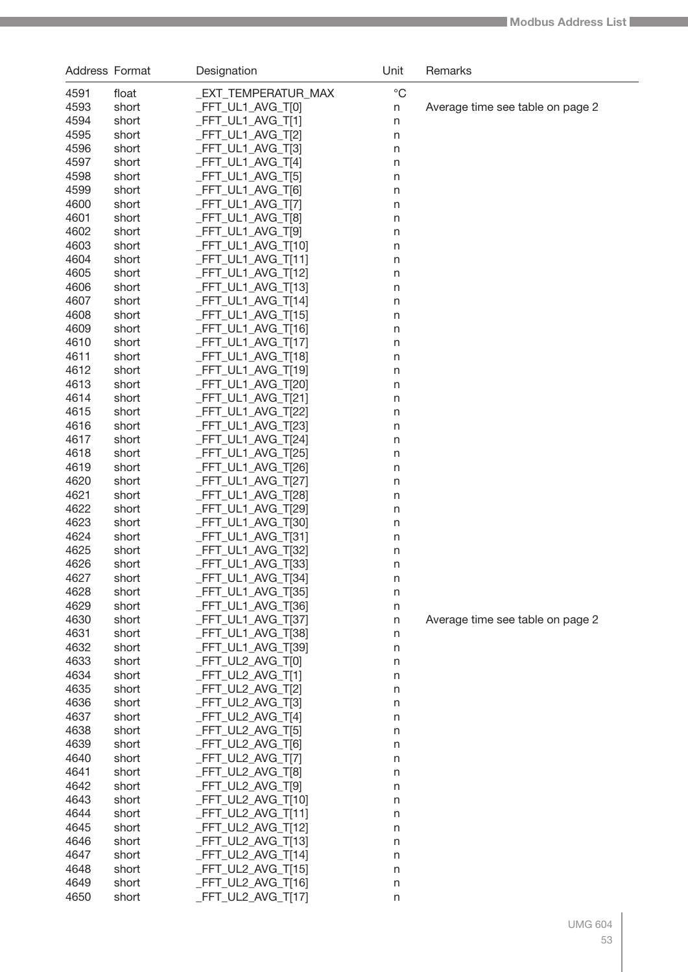| $^{\circ}C$<br><b>EXT_TEMPERATUR_MAX</b><br>4591<br>float<br>4593<br>FFT_UL1_AVG_T[0]<br>short<br>Average time see table on page 2<br>$\sf n$<br>4594<br>_FFT_UL1_AVG_T[1]<br>short<br>$\mathsf{n}$<br>4595<br>_FFT_UL1_AVG_T[2]<br>short<br>$\mathsf{n}$<br>4596<br>FFT_UL1_AVG_T[3]<br>short<br>$\mathsf{n}$<br>4597<br>_FFT_UL1_AVG_T[4]<br>short<br>$\mathsf{n}$<br>4598<br>_FFT_UL1_AVG_T[5]<br>short<br>$\mathsf{n}$<br>4599<br>_FFT_UL1_AVG_T[6]<br>short<br>$\mathsf{n}$<br>4600<br>_FFT_UL1_AVG_T[7]<br>short<br>$\mathsf{n}$<br>4601<br>FFT_UL1_AVG_T[8]<br>short<br>$\mathsf{n}$<br>4602<br>_FFT_UL1_AVG_T[9]<br>short<br>$\mathsf{n}$<br>4603<br>_FFT_UL1_AVG_T[10]<br>short<br>$\mathsf{n}$<br>4604<br>_FFT_UL1_AVG_T[11]<br>short<br>$\mathsf{n}$<br>4605<br>FFT_UL1_AVG_T[12]<br>short<br>$\mathsf{n}$<br>4606<br>FFT_UL1_AVG_T[13]<br>short<br>$\mathsf{n}$<br>4607<br>FFT_UL1_AVG_T[14]<br>short<br>$\mathsf{n}$<br>4608<br>FFT_UL1_AVG_T[15]<br>short<br>$\mathsf{n}$<br>4609<br>FFT_UL1_AVG_T[16]<br>short<br>$\mathsf{n}$<br>4610<br>FFT_UL1_AVG_T[17]<br>short<br>$\mathsf{n}$<br>4611<br>FFT_UL1_AVG_T[18]<br>short<br>$\mathsf{n}$<br>4612<br>FFT_UL1_AVG_T[19]<br>short<br>$\mathsf{n}$<br>4613<br>_FFT_UL1_AVG_T[20]<br>short<br>$\mathsf{n}$<br>4614<br>_FFT_UL1_AVG_T[21]<br>short<br>$\mathsf{n}$<br>4615<br>FFT_UL1_AVG_T[22]<br>short<br>$\mathsf{n}$<br>4616<br>FFT_UL1_AVG_T[23]<br>short<br>$\mathsf{n}$<br>4617<br>FFT_UL1_AVG_T[24]<br>short<br>$\mathsf{n}$<br>4618<br>FFT_UL1_AVG_T[25]<br>short<br>$\mathsf{n}$<br>4619<br>FFT_UL1_AVG_T[26]<br>short<br>$\mathsf{n}$<br>4620<br>FFT_UL1_AVG_T[27]<br>short<br>$\mathsf{n}$<br>4621<br>FFT_UL1_AVG_T[28]<br>short<br>$\mathsf{n}$<br>4622<br>FFT_UL1_AVG_T[29]<br>short<br>$\mathsf{n}$<br>4623<br>FFT_UL1_AVG_T[30]<br>short<br>$\mathsf{n}$<br>_FFT_UL1_AVG_T[31]<br>4624<br>short<br>n<br>4625<br>FFT_UL1_AVG_T[32]<br>short<br>n<br>FFT_UL1_AVG_T[33]<br>4626<br>short<br>n<br>4627<br>_FFT_UL1_AVG_T[34]<br>short<br>$\mathsf{n}$<br>_FFT_UL1_AVG_T[35]<br>4628<br>short<br>n<br>_FFT_UL1_AVG_T[36]<br>4629<br>short<br>$\mathsf{n}$<br>4630<br>_FFT_UL1_AVG_T[37]<br>short<br>Average time see table on page 2<br>$\mathsf{n}$<br>4631<br>_FFT_UL1_AVG_T[38]<br>short<br>$\mathsf{n}$<br>4632<br>_FFT_UL1_AVG_T[39]<br>short<br>$\mathsf{n}$<br>4633<br>_FFT_UL2_AVG_T[0]<br>short<br>$\mathsf{n}$<br>4634<br>_FFT_UL2_AVG_T[1]<br>short<br>$\mathsf{n}$<br>4635<br>_FFT_UL2_AVG_T[2]<br>short<br>$\mathsf{n}$<br>4636<br>_FFT_UL2_AVG_T[3]<br>short<br>$\mathsf{n}$<br>4637<br>_FFT_UL2_AVG_T[4]<br>short<br>$\mathsf{n}$<br>4638<br>_FFT_UL2_AVG_T[5]<br>short<br>$\mathsf{n}$<br>4639<br>_FFT_UL2_AVG_T[6]<br>short<br>$\mathsf{n}$<br>4640<br>_FFT_UL2_AVG_T[7]<br>short<br>$\mathsf{n}$<br>4641<br>_FFT_UL2_AVG_T[8]<br>short<br>$\mathsf{n}$<br>_FFT_UL2_AVG_T[9]<br>4642<br>short<br>$\mathsf{n}$<br>4643<br>_FFT_UL2_AVG_T[10]<br>short<br>n<br>4644<br>_FFT_UL2_AVG_T[11]<br>short<br>n<br>4645<br>_FFT_UL2_AVG_T[12]<br>short<br>n<br>4646<br>_FFT_UL2_AVG_T[13]<br>short<br>n<br>4647<br>_FFT_UL2_AVG_T[14]<br>short<br>n<br>4648<br>_FFT_UL2_AVG_T[15]<br>short<br>n<br>4649<br>_FFT_UL2_AVG_T[16]<br>short<br>n<br>4650<br>_FFT_UL2_AVG_T[17]<br>short<br>n | Address Format | Designation | Unit | Remarks |
|----------------------------------------------------------------------------------------------------------------------------------------------------------------------------------------------------------------------------------------------------------------------------------------------------------------------------------------------------------------------------------------------------------------------------------------------------------------------------------------------------------------------------------------------------------------------------------------------------------------------------------------------------------------------------------------------------------------------------------------------------------------------------------------------------------------------------------------------------------------------------------------------------------------------------------------------------------------------------------------------------------------------------------------------------------------------------------------------------------------------------------------------------------------------------------------------------------------------------------------------------------------------------------------------------------------------------------------------------------------------------------------------------------------------------------------------------------------------------------------------------------------------------------------------------------------------------------------------------------------------------------------------------------------------------------------------------------------------------------------------------------------------------------------------------------------------------------------------------------------------------------------------------------------------------------------------------------------------------------------------------------------------------------------------------------------------------------------------------------------------------------------------------------------------------------------------------------------------------------------------------------------------------------------------------------------------------------------------------------------------------------------------------------------------------------------------------------------------------------------------------------------------------------------------------------------------------------------------------------------------------------------------------------------------------------------------------------------------------------------------------------------------------------------------------------------------------------------------------------------------------------------------------------------------------------------------------------------------------------------------------------------------------------------------------------------------------------------------------------------------------------------------------------------------------------------------------------------------------------------------------------------------|----------------|-------------|------|---------|
|                                                                                                                                                                                                                                                                                                                                                                                                                                                                                                                                                                                                                                                                                                                                                                                                                                                                                                                                                                                                                                                                                                                                                                                                                                                                                                                                                                                                                                                                                                                                                                                                                                                                                                                                                                                                                                                                                                                                                                                                                                                                                                                                                                                                                                                                                                                                                                                                                                                                                                                                                                                                                                                                                                                                                                                                                                                                                                                                                                                                                                                                                                                                                                                                                                                                      |                |             |      |         |
|                                                                                                                                                                                                                                                                                                                                                                                                                                                                                                                                                                                                                                                                                                                                                                                                                                                                                                                                                                                                                                                                                                                                                                                                                                                                                                                                                                                                                                                                                                                                                                                                                                                                                                                                                                                                                                                                                                                                                                                                                                                                                                                                                                                                                                                                                                                                                                                                                                                                                                                                                                                                                                                                                                                                                                                                                                                                                                                                                                                                                                                                                                                                                                                                                                                                      |                |             |      |         |
|                                                                                                                                                                                                                                                                                                                                                                                                                                                                                                                                                                                                                                                                                                                                                                                                                                                                                                                                                                                                                                                                                                                                                                                                                                                                                                                                                                                                                                                                                                                                                                                                                                                                                                                                                                                                                                                                                                                                                                                                                                                                                                                                                                                                                                                                                                                                                                                                                                                                                                                                                                                                                                                                                                                                                                                                                                                                                                                                                                                                                                                                                                                                                                                                                                                                      |                |             |      |         |
|                                                                                                                                                                                                                                                                                                                                                                                                                                                                                                                                                                                                                                                                                                                                                                                                                                                                                                                                                                                                                                                                                                                                                                                                                                                                                                                                                                                                                                                                                                                                                                                                                                                                                                                                                                                                                                                                                                                                                                                                                                                                                                                                                                                                                                                                                                                                                                                                                                                                                                                                                                                                                                                                                                                                                                                                                                                                                                                                                                                                                                                                                                                                                                                                                                                                      |                |             |      |         |
|                                                                                                                                                                                                                                                                                                                                                                                                                                                                                                                                                                                                                                                                                                                                                                                                                                                                                                                                                                                                                                                                                                                                                                                                                                                                                                                                                                                                                                                                                                                                                                                                                                                                                                                                                                                                                                                                                                                                                                                                                                                                                                                                                                                                                                                                                                                                                                                                                                                                                                                                                                                                                                                                                                                                                                                                                                                                                                                                                                                                                                                                                                                                                                                                                                                                      |                |             |      |         |
|                                                                                                                                                                                                                                                                                                                                                                                                                                                                                                                                                                                                                                                                                                                                                                                                                                                                                                                                                                                                                                                                                                                                                                                                                                                                                                                                                                                                                                                                                                                                                                                                                                                                                                                                                                                                                                                                                                                                                                                                                                                                                                                                                                                                                                                                                                                                                                                                                                                                                                                                                                                                                                                                                                                                                                                                                                                                                                                                                                                                                                                                                                                                                                                                                                                                      |                |             |      |         |
|                                                                                                                                                                                                                                                                                                                                                                                                                                                                                                                                                                                                                                                                                                                                                                                                                                                                                                                                                                                                                                                                                                                                                                                                                                                                                                                                                                                                                                                                                                                                                                                                                                                                                                                                                                                                                                                                                                                                                                                                                                                                                                                                                                                                                                                                                                                                                                                                                                                                                                                                                                                                                                                                                                                                                                                                                                                                                                                                                                                                                                                                                                                                                                                                                                                                      |                |             |      |         |
|                                                                                                                                                                                                                                                                                                                                                                                                                                                                                                                                                                                                                                                                                                                                                                                                                                                                                                                                                                                                                                                                                                                                                                                                                                                                                                                                                                                                                                                                                                                                                                                                                                                                                                                                                                                                                                                                                                                                                                                                                                                                                                                                                                                                                                                                                                                                                                                                                                                                                                                                                                                                                                                                                                                                                                                                                                                                                                                                                                                                                                                                                                                                                                                                                                                                      |                |             |      |         |
|                                                                                                                                                                                                                                                                                                                                                                                                                                                                                                                                                                                                                                                                                                                                                                                                                                                                                                                                                                                                                                                                                                                                                                                                                                                                                                                                                                                                                                                                                                                                                                                                                                                                                                                                                                                                                                                                                                                                                                                                                                                                                                                                                                                                                                                                                                                                                                                                                                                                                                                                                                                                                                                                                                                                                                                                                                                                                                                                                                                                                                                                                                                                                                                                                                                                      |                |             |      |         |
|                                                                                                                                                                                                                                                                                                                                                                                                                                                                                                                                                                                                                                                                                                                                                                                                                                                                                                                                                                                                                                                                                                                                                                                                                                                                                                                                                                                                                                                                                                                                                                                                                                                                                                                                                                                                                                                                                                                                                                                                                                                                                                                                                                                                                                                                                                                                                                                                                                                                                                                                                                                                                                                                                                                                                                                                                                                                                                                                                                                                                                                                                                                                                                                                                                                                      |                |             |      |         |
|                                                                                                                                                                                                                                                                                                                                                                                                                                                                                                                                                                                                                                                                                                                                                                                                                                                                                                                                                                                                                                                                                                                                                                                                                                                                                                                                                                                                                                                                                                                                                                                                                                                                                                                                                                                                                                                                                                                                                                                                                                                                                                                                                                                                                                                                                                                                                                                                                                                                                                                                                                                                                                                                                                                                                                                                                                                                                                                                                                                                                                                                                                                                                                                                                                                                      |                |             |      |         |
|                                                                                                                                                                                                                                                                                                                                                                                                                                                                                                                                                                                                                                                                                                                                                                                                                                                                                                                                                                                                                                                                                                                                                                                                                                                                                                                                                                                                                                                                                                                                                                                                                                                                                                                                                                                                                                                                                                                                                                                                                                                                                                                                                                                                                                                                                                                                                                                                                                                                                                                                                                                                                                                                                                                                                                                                                                                                                                                                                                                                                                                                                                                                                                                                                                                                      |                |             |      |         |
|                                                                                                                                                                                                                                                                                                                                                                                                                                                                                                                                                                                                                                                                                                                                                                                                                                                                                                                                                                                                                                                                                                                                                                                                                                                                                                                                                                                                                                                                                                                                                                                                                                                                                                                                                                                                                                                                                                                                                                                                                                                                                                                                                                                                                                                                                                                                                                                                                                                                                                                                                                                                                                                                                                                                                                                                                                                                                                                                                                                                                                                                                                                                                                                                                                                                      |                |             |      |         |
|                                                                                                                                                                                                                                                                                                                                                                                                                                                                                                                                                                                                                                                                                                                                                                                                                                                                                                                                                                                                                                                                                                                                                                                                                                                                                                                                                                                                                                                                                                                                                                                                                                                                                                                                                                                                                                                                                                                                                                                                                                                                                                                                                                                                                                                                                                                                                                                                                                                                                                                                                                                                                                                                                                                                                                                                                                                                                                                                                                                                                                                                                                                                                                                                                                                                      |                |             |      |         |
|                                                                                                                                                                                                                                                                                                                                                                                                                                                                                                                                                                                                                                                                                                                                                                                                                                                                                                                                                                                                                                                                                                                                                                                                                                                                                                                                                                                                                                                                                                                                                                                                                                                                                                                                                                                                                                                                                                                                                                                                                                                                                                                                                                                                                                                                                                                                                                                                                                                                                                                                                                                                                                                                                                                                                                                                                                                                                                                                                                                                                                                                                                                                                                                                                                                                      |                |             |      |         |
|                                                                                                                                                                                                                                                                                                                                                                                                                                                                                                                                                                                                                                                                                                                                                                                                                                                                                                                                                                                                                                                                                                                                                                                                                                                                                                                                                                                                                                                                                                                                                                                                                                                                                                                                                                                                                                                                                                                                                                                                                                                                                                                                                                                                                                                                                                                                                                                                                                                                                                                                                                                                                                                                                                                                                                                                                                                                                                                                                                                                                                                                                                                                                                                                                                                                      |                |             |      |         |
|                                                                                                                                                                                                                                                                                                                                                                                                                                                                                                                                                                                                                                                                                                                                                                                                                                                                                                                                                                                                                                                                                                                                                                                                                                                                                                                                                                                                                                                                                                                                                                                                                                                                                                                                                                                                                                                                                                                                                                                                                                                                                                                                                                                                                                                                                                                                                                                                                                                                                                                                                                                                                                                                                                                                                                                                                                                                                                                                                                                                                                                                                                                                                                                                                                                                      |                |             |      |         |
|                                                                                                                                                                                                                                                                                                                                                                                                                                                                                                                                                                                                                                                                                                                                                                                                                                                                                                                                                                                                                                                                                                                                                                                                                                                                                                                                                                                                                                                                                                                                                                                                                                                                                                                                                                                                                                                                                                                                                                                                                                                                                                                                                                                                                                                                                                                                                                                                                                                                                                                                                                                                                                                                                                                                                                                                                                                                                                                                                                                                                                                                                                                                                                                                                                                                      |                |             |      |         |
|                                                                                                                                                                                                                                                                                                                                                                                                                                                                                                                                                                                                                                                                                                                                                                                                                                                                                                                                                                                                                                                                                                                                                                                                                                                                                                                                                                                                                                                                                                                                                                                                                                                                                                                                                                                                                                                                                                                                                                                                                                                                                                                                                                                                                                                                                                                                                                                                                                                                                                                                                                                                                                                                                                                                                                                                                                                                                                                                                                                                                                                                                                                                                                                                                                                                      |                |             |      |         |
|                                                                                                                                                                                                                                                                                                                                                                                                                                                                                                                                                                                                                                                                                                                                                                                                                                                                                                                                                                                                                                                                                                                                                                                                                                                                                                                                                                                                                                                                                                                                                                                                                                                                                                                                                                                                                                                                                                                                                                                                                                                                                                                                                                                                                                                                                                                                                                                                                                                                                                                                                                                                                                                                                                                                                                                                                                                                                                                                                                                                                                                                                                                                                                                                                                                                      |                |             |      |         |
|                                                                                                                                                                                                                                                                                                                                                                                                                                                                                                                                                                                                                                                                                                                                                                                                                                                                                                                                                                                                                                                                                                                                                                                                                                                                                                                                                                                                                                                                                                                                                                                                                                                                                                                                                                                                                                                                                                                                                                                                                                                                                                                                                                                                                                                                                                                                                                                                                                                                                                                                                                                                                                                                                                                                                                                                                                                                                                                                                                                                                                                                                                                                                                                                                                                                      |                |             |      |         |
|                                                                                                                                                                                                                                                                                                                                                                                                                                                                                                                                                                                                                                                                                                                                                                                                                                                                                                                                                                                                                                                                                                                                                                                                                                                                                                                                                                                                                                                                                                                                                                                                                                                                                                                                                                                                                                                                                                                                                                                                                                                                                                                                                                                                                                                                                                                                                                                                                                                                                                                                                                                                                                                                                                                                                                                                                                                                                                                                                                                                                                                                                                                                                                                                                                                                      |                |             |      |         |
|                                                                                                                                                                                                                                                                                                                                                                                                                                                                                                                                                                                                                                                                                                                                                                                                                                                                                                                                                                                                                                                                                                                                                                                                                                                                                                                                                                                                                                                                                                                                                                                                                                                                                                                                                                                                                                                                                                                                                                                                                                                                                                                                                                                                                                                                                                                                                                                                                                                                                                                                                                                                                                                                                                                                                                                                                                                                                                                                                                                                                                                                                                                                                                                                                                                                      |                |             |      |         |
|                                                                                                                                                                                                                                                                                                                                                                                                                                                                                                                                                                                                                                                                                                                                                                                                                                                                                                                                                                                                                                                                                                                                                                                                                                                                                                                                                                                                                                                                                                                                                                                                                                                                                                                                                                                                                                                                                                                                                                                                                                                                                                                                                                                                                                                                                                                                                                                                                                                                                                                                                                                                                                                                                                                                                                                                                                                                                                                                                                                                                                                                                                                                                                                                                                                                      |                |             |      |         |
|                                                                                                                                                                                                                                                                                                                                                                                                                                                                                                                                                                                                                                                                                                                                                                                                                                                                                                                                                                                                                                                                                                                                                                                                                                                                                                                                                                                                                                                                                                                                                                                                                                                                                                                                                                                                                                                                                                                                                                                                                                                                                                                                                                                                                                                                                                                                                                                                                                                                                                                                                                                                                                                                                                                                                                                                                                                                                                                                                                                                                                                                                                                                                                                                                                                                      |                |             |      |         |
|                                                                                                                                                                                                                                                                                                                                                                                                                                                                                                                                                                                                                                                                                                                                                                                                                                                                                                                                                                                                                                                                                                                                                                                                                                                                                                                                                                                                                                                                                                                                                                                                                                                                                                                                                                                                                                                                                                                                                                                                                                                                                                                                                                                                                                                                                                                                                                                                                                                                                                                                                                                                                                                                                                                                                                                                                                                                                                                                                                                                                                                                                                                                                                                                                                                                      |                |             |      |         |
|                                                                                                                                                                                                                                                                                                                                                                                                                                                                                                                                                                                                                                                                                                                                                                                                                                                                                                                                                                                                                                                                                                                                                                                                                                                                                                                                                                                                                                                                                                                                                                                                                                                                                                                                                                                                                                                                                                                                                                                                                                                                                                                                                                                                                                                                                                                                                                                                                                                                                                                                                                                                                                                                                                                                                                                                                                                                                                                                                                                                                                                                                                                                                                                                                                                                      |                |             |      |         |
|                                                                                                                                                                                                                                                                                                                                                                                                                                                                                                                                                                                                                                                                                                                                                                                                                                                                                                                                                                                                                                                                                                                                                                                                                                                                                                                                                                                                                                                                                                                                                                                                                                                                                                                                                                                                                                                                                                                                                                                                                                                                                                                                                                                                                                                                                                                                                                                                                                                                                                                                                                                                                                                                                                                                                                                                                                                                                                                                                                                                                                                                                                                                                                                                                                                                      |                |             |      |         |
|                                                                                                                                                                                                                                                                                                                                                                                                                                                                                                                                                                                                                                                                                                                                                                                                                                                                                                                                                                                                                                                                                                                                                                                                                                                                                                                                                                                                                                                                                                                                                                                                                                                                                                                                                                                                                                                                                                                                                                                                                                                                                                                                                                                                                                                                                                                                                                                                                                                                                                                                                                                                                                                                                                                                                                                                                                                                                                                                                                                                                                                                                                                                                                                                                                                                      |                |             |      |         |
|                                                                                                                                                                                                                                                                                                                                                                                                                                                                                                                                                                                                                                                                                                                                                                                                                                                                                                                                                                                                                                                                                                                                                                                                                                                                                                                                                                                                                                                                                                                                                                                                                                                                                                                                                                                                                                                                                                                                                                                                                                                                                                                                                                                                                                                                                                                                                                                                                                                                                                                                                                                                                                                                                                                                                                                                                                                                                                                                                                                                                                                                                                                                                                                                                                                                      |                |             |      |         |
|                                                                                                                                                                                                                                                                                                                                                                                                                                                                                                                                                                                                                                                                                                                                                                                                                                                                                                                                                                                                                                                                                                                                                                                                                                                                                                                                                                                                                                                                                                                                                                                                                                                                                                                                                                                                                                                                                                                                                                                                                                                                                                                                                                                                                                                                                                                                                                                                                                                                                                                                                                                                                                                                                                                                                                                                                                                                                                                                                                                                                                                                                                                                                                                                                                                                      |                |             |      |         |
|                                                                                                                                                                                                                                                                                                                                                                                                                                                                                                                                                                                                                                                                                                                                                                                                                                                                                                                                                                                                                                                                                                                                                                                                                                                                                                                                                                                                                                                                                                                                                                                                                                                                                                                                                                                                                                                                                                                                                                                                                                                                                                                                                                                                                                                                                                                                                                                                                                                                                                                                                                                                                                                                                                                                                                                                                                                                                                                                                                                                                                                                                                                                                                                                                                                                      |                |             |      |         |
|                                                                                                                                                                                                                                                                                                                                                                                                                                                                                                                                                                                                                                                                                                                                                                                                                                                                                                                                                                                                                                                                                                                                                                                                                                                                                                                                                                                                                                                                                                                                                                                                                                                                                                                                                                                                                                                                                                                                                                                                                                                                                                                                                                                                                                                                                                                                                                                                                                                                                                                                                                                                                                                                                                                                                                                                                                                                                                                                                                                                                                                                                                                                                                                                                                                                      |                |             |      |         |
|                                                                                                                                                                                                                                                                                                                                                                                                                                                                                                                                                                                                                                                                                                                                                                                                                                                                                                                                                                                                                                                                                                                                                                                                                                                                                                                                                                                                                                                                                                                                                                                                                                                                                                                                                                                                                                                                                                                                                                                                                                                                                                                                                                                                                                                                                                                                                                                                                                                                                                                                                                                                                                                                                                                                                                                                                                                                                                                                                                                                                                                                                                                                                                                                                                                                      |                |             |      |         |
|                                                                                                                                                                                                                                                                                                                                                                                                                                                                                                                                                                                                                                                                                                                                                                                                                                                                                                                                                                                                                                                                                                                                                                                                                                                                                                                                                                                                                                                                                                                                                                                                                                                                                                                                                                                                                                                                                                                                                                                                                                                                                                                                                                                                                                                                                                                                                                                                                                                                                                                                                                                                                                                                                                                                                                                                                                                                                                                                                                                                                                                                                                                                                                                                                                                                      |                |             |      |         |
|                                                                                                                                                                                                                                                                                                                                                                                                                                                                                                                                                                                                                                                                                                                                                                                                                                                                                                                                                                                                                                                                                                                                                                                                                                                                                                                                                                                                                                                                                                                                                                                                                                                                                                                                                                                                                                                                                                                                                                                                                                                                                                                                                                                                                                                                                                                                                                                                                                                                                                                                                                                                                                                                                                                                                                                                                                                                                                                                                                                                                                                                                                                                                                                                                                                                      |                |             |      |         |
|                                                                                                                                                                                                                                                                                                                                                                                                                                                                                                                                                                                                                                                                                                                                                                                                                                                                                                                                                                                                                                                                                                                                                                                                                                                                                                                                                                                                                                                                                                                                                                                                                                                                                                                                                                                                                                                                                                                                                                                                                                                                                                                                                                                                                                                                                                                                                                                                                                                                                                                                                                                                                                                                                                                                                                                                                                                                                                                                                                                                                                                                                                                                                                                                                                                                      |                |             |      |         |
|                                                                                                                                                                                                                                                                                                                                                                                                                                                                                                                                                                                                                                                                                                                                                                                                                                                                                                                                                                                                                                                                                                                                                                                                                                                                                                                                                                                                                                                                                                                                                                                                                                                                                                                                                                                                                                                                                                                                                                                                                                                                                                                                                                                                                                                                                                                                                                                                                                                                                                                                                                                                                                                                                                                                                                                                                                                                                                                                                                                                                                                                                                                                                                                                                                                                      |                |             |      |         |
|                                                                                                                                                                                                                                                                                                                                                                                                                                                                                                                                                                                                                                                                                                                                                                                                                                                                                                                                                                                                                                                                                                                                                                                                                                                                                                                                                                                                                                                                                                                                                                                                                                                                                                                                                                                                                                                                                                                                                                                                                                                                                                                                                                                                                                                                                                                                                                                                                                                                                                                                                                                                                                                                                                                                                                                                                                                                                                                                                                                                                                                                                                                                                                                                                                                                      |                |             |      |         |
|                                                                                                                                                                                                                                                                                                                                                                                                                                                                                                                                                                                                                                                                                                                                                                                                                                                                                                                                                                                                                                                                                                                                                                                                                                                                                                                                                                                                                                                                                                                                                                                                                                                                                                                                                                                                                                                                                                                                                                                                                                                                                                                                                                                                                                                                                                                                                                                                                                                                                                                                                                                                                                                                                                                                                                                                                                                                                                                                                                                                                                                                                                                                                                                                                                                                      |                |             |      |         |
|                                                                                                                                                                                                                                                                                                                                                                                                                                                                                                                                                                                                                                                                                                                                                                                                                                                                                                                                                                                                                                                                                                                                                                                                                                                                                                                                                                                                                                                                                                                                                                                                                                                                                                                                                                                                                                                                                                                                                                                                                                                                                                                                                                                                                                                                                                                                                                                                                                                                                                                                                                                                                                                                                                                                                                                                                                                                                                                                                                                                                                                                                                                                                                                                                                                                      |                |             |      |         |
|                                                                                                                                                                                                                                                                                                                                                                                                                                                                                                                                                                                                                                                                                                                                                                                                                                                                                                                                                                                                                                                                                                                                                                                                                                                                                                                                                                                                                                                                                                                                                                                                                                                                                                                                                                                                                                                                                                                                                                                                                                                                                                                                                                                                                                                                                                                                                                                                                                                                                                                                                                                                                                                                                                                                                                                                                                                                                                                                                                                                                                                                                                                                                                                                                                                                      |                |             |      |         |
|                                                                                                                                                                                                                                                                                                                                                                                                                                                                                                                                                                                                                                                                                                                                                                                                                                                                                                                                                                                                                                                                                                                                                                                                                                                                                                                                                                                                                                                                                                                                                                                                                                                                                                                                                                                                                                                                                                                                                                                                                                                                                                                                                                                                                                                                                                                                                                                                                                                                                                                                                                                                                                                                                                                                                                                                                                                                                                                                                                                                                                                                                                                                                                                                                                                                      |                |             |      |         |
|                                                                                                                                                                                                                                                                                                                                                                                                                                                                                                                                                                                                                                                                                                                                                                                                                                                                                                                                                                                                                                                                                                                                                                                                                                                                                                                                                                                                                                                                                                                                                                                                                                                                                                                                                                                                                                                                                                                                                                                                                                                                                                                                                                                                                                                                                                                                                                                                                                                                                                                                                                                                                                                                                                                                                                                                                                                                                                                                                                                                                                                                                                                                                                                                                                                                      |                |             |      |         |
|                                                                                                                                                                                                                                                                                                                                                                                                                                                                                                                                                                                                                                                                                                                                                                                                                                                                                                                                                                                                                                                                                                                                                                                                                                                                                                                                                                                                                                                                                                                                                                                                                                                                                                                                                                                                                                                                                                                                                                                                                                                                                                                                                                                                                                                                                                                                                                                                                                                                                                                                                                                                                                                                                                                                                                                                                                                                                                                                                                                                                                                                                                                                                                                                                                                                      |                |             |      |         |
|                                                                                                                                                                                                                                                                                                                                                                                                                                                                                                                                                                                                                                                                                                                                                                                                                                                                                                                                                                                                                                                                                                                                                                                                                                                                                                                                                                                                                                                                                                                                                                                                                                                                                                                                                                                                                                                                                                                                                                                                                                                                                                                                                                                                                                                                                                                                                                                                                                                                                                                                                                                                                                                                                                                                                                                                                                                                                                                                                                                                                                                                                                                                                                                                                                                                      |                |             |      |         |
|                                                                                                                                                                                                                                                                                                                                                                                                                                                                                                                                                                                                                                                                                                                                                                                                                                                                                                                                                                                                                                                                                                                                                                                                                                                                                                                                                                                                                                                                                                                                                                                                                                                                                                                                                                                                                                                                                                                                                                                                                                                                                                                                                                                                                                                                                                                                                                                                                                                                                                                                                                                                                                                                                                                                                                                                                                                                                                                                                                                                                                                                                                                                                                                                                                                                      |                |             |      |         |
|                                                                                                                                                                                                                                                                                                                                                                                                                                                                                                                                                                                                                                                                                                                                                                                                                                                                                                                                                                                                                                                                                                                                                                                                                                                                                                                                                                                                                                                                                                                                                                                                                                                                                                                                                                                                                                                                                                                                                                                                                                                                                                                                                                                                                                                                                                                                                                                                                                                                                                                                                                                                                                                                                                                                                                                                                                                                                                                                                                                                                                                                                                                                                                                                                                                                      |                |             |      |         |
|                                                                                                                                                                                                                                                                                                                                                                                                                                                                                                                                                                                                                                                                                                                                                                                                                                                                                                                                                                                                                                                                                                                                                                                                                                                                                                                                                                                                                                                                                                                                                                                                                                                                                                                                                                                                                                                                                                                                                                                                                                                                                                                                                                                                                                                                                                                                                                                                                                                                                                                                                                                                                                                                                                                                                                                                                                                                                                                                                                                                                                                                                                                                                                                                                                                                      |                |             |      |         |
|                                                                                                                                                                                                                                                                                                                                                                                                                                                                                                                                                                                                                                                                                                                                                                                                                                                                                                                                                                                                                                                                                                                                                                                                                                                                                                                                                                                                                                                                                                                                                                                                                                                                                                                                                                                                                                                                                                                                                                                                                                                                                                                                                                                                                                                                                                                                                                                                                                                                                                                                                                                                                                                                                                                                                                                                                                                                                                                                                                                                                                                                                                                                                                                                                                                                      |                |             |      |         |
|                                                                                                                                                                                                                                                                                                                                                                                                                                                                                                                                                                                                                                                                                                                                                                                                                                                                                                                                                                                                                                                                                                                                                                                                                                                                                                                                                                                                                                                                                                                                                                                                                                                                                                                                                                                                                                                                                                                                                                                                                                                                                                                                                                                                                                                                                                                                                                                                                                                                                                                                                                                                                                                                                                                                                                                                                                                                                                                                                                                                                                                                                                                                                                                                                                                                      |                |             |      |         |
|                                                                                                                                                                                                                                                                                                                                                                                                                                                                                                                                                                                                                                                                                                                                                                                                                                                                                                                                                                                                                                                                                                                                                                                                                                                                                                                                                                                                                                                                                                                                                                                                                                                                                                                                                                                                                                                                                                                                                                                                                                                                                                                                                                                                                                                                                                                                                                                                                                                                                                                                                                                                                                                                                                                                                                                                                                                                                                                                                                                                                                                                                                                                                                                                                                                                      |                |             |      |         |
|                                                                                                                                                                                                                                                                                                                                                                                                                                                                                                                                                                                                                                                                                                                                                                                                                                                                                                                                                                                                                                                                                                                                                                                                                                                                                                                                                                                                                                                                                                                                                                                                                                                                                                                                                                                                                                                                                                                                                                                                                                                                                                                                                                                                                                                                                                                                                                                                                                                                                                                                                                                                                                                                                                                                                                                                                                                                                                                                                                                                                                                                                                                                                                                                                                                                      |                |             |      |         |
|                                                                                                                                                                                                                                                                                                                                                                                                                                                                                                                                                                                                                                                                                                                                                                                                                                                                                                                                                                                                                                                                                                                                                                                                                                                                                                                                                                                                                                                                                                                                                                                                                                                                                                                                                                                                                                                                                                                                                                                                                                                                                                                                                                                                                                                                                                                                                                                                                                                                                                                                                                                                                                                                                                                                                                                                                                                                                                                                                                                                                                                                                                                                                                                                                                                                      |                |             |      |         |
|                                                                                                                                                                                                                                                                                                                                                                                                                                                                                                                                                                                                                                                                                                                                                                                                                                                                                                                                                                                                                                                                                                                                                                                                                                                                                                                                                                                                                                                                                                                                                                                                                                                                                                                                                                                                                                                                                                                                                                                                                                                                                                                                                                                                                                                                                                                                                                                                                                                                                                                                                                                                                                                                                                                                                                                                                                                                                                                                                                                                                                                                                                                                                                                                                                                                      |                |             |      |         |
|                                                                                                                                                                                                                                                                                                                                                                                                                                                                                                                                                                                                                                                                                                                                                                                                                                                                                                                                                                                                                                                                                                                                                                                                                                                                                                                                                                                                                                                                                                                                                                                                                                                                                                                                                                                                                                                                                                                                                                                                                                                                                                                                                                                                                                                                                                                                                                                                                                                                                                                                                                                                                                                                                                                                                                                                                                                                                                                                                                                                                                                                                                                                                                                                                                                                      |                |             |      |         |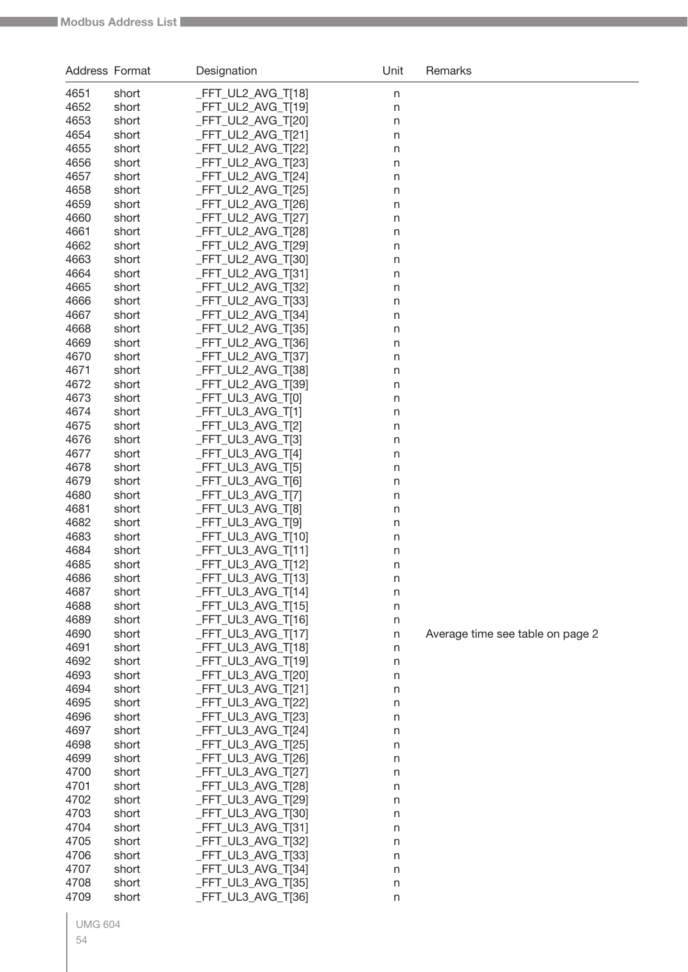| Address Format |                | Designation                             | Unit    | Remarks                          |
|----------------|----------------|-----------------------------------------|---------|----------------------------------|
| 4651           | short          | _FFT_UL2_AVG_T[18]                      | $\sf n$ |                                  |
| 4652           | short          | FFT_UL2_AVG_T[19]                       | n       |                                  |
| 4653           | short          | FFT_UL2_AVG_T[20]                       | n       |                                  |
| 4654           | short          | FFT_UL2_AVG_T[21]                       | n       |                                  |
| 4655           | short          | FFT_UL2_AVG_T[22]                       | n       |                                  |
| 4656           | short          | FFT_UL2_AVG_T[23]                       | n       |                                  |
| 4657           | short          | FFT_UL2_AVG_T[24]                       | n       |                                  |
| 4658           | short          | FFT_UL2_AVG_T[25]                       | n       |                                  |
| 4659           | short          | FFT_UL2_AVG_T[26]                       | n       |                                  |
| 4660           | short          | FFT_UL2_AVG_T[27]                       | n       |                                  |
| 4661           | short          | FFT_UL2_AVG_T[28]                       | n       |                                  |
| 4662           | short          | FFT_UL2_AVG_T[29]                       | n       |                                  |
| 4663           | short          | FFT_UL2_AVG_T[30]                       | n       |                                  |
| 4664           | short          | FFT_UL2_AVG_T[31]                       | n       |                                  |
| 4665           | short          | FFT_UL2_AVG_T[32]                       | n       |                                  |
| 4666           | short          | FFT_UL2_AVG_T[33]                       | n       |                                  |
| 4667           | short          | FFT_UL2_AVG_T[34]                       | n       |                                  |
| 4668<br>4669   | short<br>short | FFT_UL2_AVG_T[35]<br>FFT_UL2_AVG_T[36]  | n       |                                  |
| 4670           | short          | FFT_UL2_AVG_T[37]                       | n<br>n  |                                  |
| 4671           | short          | FFT_UL2_AVG_T[38]                       | n       |                                  |
| 4672           | short          | FFT_UL2_AVG_T[39]                       | n       |                                  |
| 4673           | short          | FFT_UL3_AVG_T[0]                        | n       |                                  |
| 4674           | short          | FFT_UL3_AVG_T[1]                        | n       |                                  |
| 4675           | short          | FFT_UL3_AVG_T[2]                        | n       |                                  |
| 4676           | short          | FFT_UL3_AVG_T[3]                        | n       |                                  |
| 4677           | short          | FFT_UL3_AVG_T[4]                        | n       |                                  |
| 4678           | short          | FFT_UL3_AVG_T[5]                        | n       |                                  |
| 4679           | short          | FFT_UL3_AVG_T[6]                        | n       |                                  |
| 4680           | short          | FFT_UL3_AVG_T[7]                        | n       |                                  |
| 4681           | short          | FFT_UL3_AVG_T[8]                        | n       |                                  |
| 4682           | short          | FFT_UL3_AVG_T[9]                        | n       |                                  |
| 4683           | short          | FFT_UL3_AVG_T[10]                       | n       |                                  |
| 4684           | short          | FFT_UL3_AVG_T[11]                       | n       |                                  |
| 4685           | short          | FFT_UL3_AVG_T[12]                       | n       |                                  |
| 4686           | short          | _FFT_UL3_AVG_T[13]                      | n       |                                  |
| 4687           | short          | _FFT_UL3_AVG_T[14]                      | n       |                                  |
| 4688<br>4689   | short<br>short | _FFT_UL3_AVG_T[15]<br>FFT_UL3_AVG_T[16] | $\sf n$ |                                  |
| 4690           | short          | _FFT_UL3_AVG_T[17]                      | n<br>n  | Average time see table on page 2 |
| 4691           | short          | _FFT_UL3_AVG_T[18]                      | n       |                                  |
| 4692           | short          | _FFT_UL3_AVG_T[19]                      | n       |                                  |
| 4693           | short          | _FFT_UL3_AVG_T[20]                      | n       |                                  |
| 4694           | short          | _FFT_UL3_AVG_T[21]                      | n       |                                  |
| 4695           | short          | _FFT_UL3_AVG_T[22]                      | n       |                                  |
| 4696           | short          | _FFT_UL3_AVG_T[23]                      | n       |                                  |
| 4697           | short          | _FFT_UL3_AVG_T[24]                      | n       |                                  |
| 4698           | short          | _FFT_UL3_AVG_T[25]                      | n       |                                  |
| 4699           | short          | _FFT_UL3_AVG_T[26]                      | n       |                                  |
| 4700           | short          | _FFT_UL3_AVG_T[27]                      | n       |                                  |
| 4701           | short          | _FFT_UL3_AVG_T[28]                      | n       |                                  |
| 4702           | short          | _FFT_UL3_AVG_T[29]                      | n       |                                  |
| 4703           | short          | _FFT_UL3_AVG_T[30]                      | n       |                                  |
| 4704           | short          | _FFT_UL3_AVG_T[31]                      | n       |                                  |
| 4705           | short          | _FFT_UL3_AVG_T[32]                      | n       |                                  |
| 4706           | short          | _FFT_UL3_AVG_T[33]                      | n       |                                  |
| 4707           | short          | _FFT_UL3_AVG_T[34]                      | n       |                                  |
| 4708           | short          | FFT_UL3_AVG_T[35]                       | n       |                                  |
| 4709           | short          | FFT_UL3_AVG_T[36]                       | n       |                                  |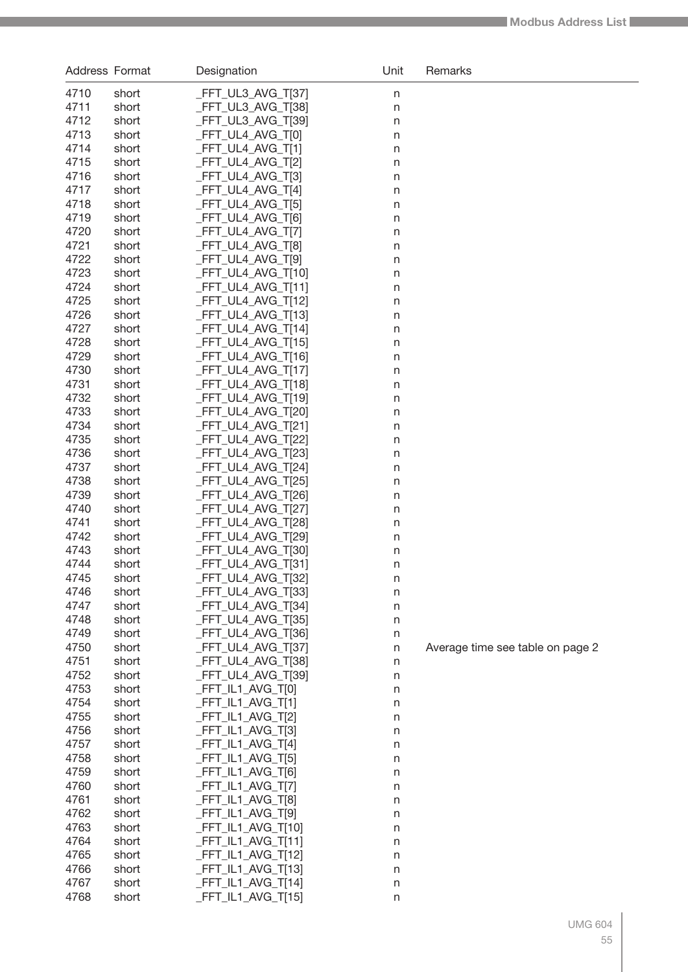| Address Format |                | Designation                              | Unit               | Remarks                          |
|----------------|----------------|------------------------------------------|--------------------|----------------------------------|
| 4710           | short          | _FFT_UL3_AVG_T[37]                       | n                  |                                  |
| 4711           | short          | _FFT_UL3_AVG_T[38]                       | $\sf n$            |                                  |
| 4712           | short          | _FFT_UL3_AVG_T[39]                       | n                  |                                  |
| 4713           | short          | FFT_UL4_AVG_T[0]                         | n                  |                                  |
| 4714           | short          | _FFT_UL4_AVG_T[1]                        | n                  |                                  |
| 4715           | short          | _FFT_UL4_AVG_T[2]                        | n                  |                                  |
| 4716           | short          | _FFT_UL4_AVG_T[3]                        | n                  |                                  |
| 4717           | short          | _FFT_UL4_AVG_T[4]                        | n                  |                                  |
| 4718           | short          | _FFT_UL4_AVG_T[5]                        | n                  |                                  |
| 4719           | short          | _FFT_UL4_AVG_T[6]                        | n                  |                                  |
| 4720           | short          | _FFT_UL4_AVG_T[7]                        | n                  |                                  |
| 4721           | short          | FFT_UL4_AVG_T[8]                         | $\sf n$            |                                  |
| 4722<br>4723   | short          | FFT_UL4_AVG_T[9]                         | $\sf n$            |                                  |
| 4724           | short<br>short | _FFT_UL4_AVG_T[10]<br>_FFT_UL4_AVG_T[11] | $\sf n$<br>$\sf n$ |                                  |
| 4725           | short          | FFT_UL4_AVG_T[12]                        | $\sf n$            |                                  |
| 4726           | short          | _FFT_UL4_AVG_T[13]                       | $\sf n$            |                                  |
| 4727           | short          | _FFT_UL4_AVG_T[14]                       | n                  |                                  |
| 4728           | short          | _FFT_UL4_AVG_T[15]                       | n                  |                                  |
| 4729           | short          | _FFT_UL4_AVG_T[16]                       | n                  |                                  |
| 4730           | short          | _FFT_UL4_AVG_T[17]                       | n                  |                                  |
| 4731           | short          | _FFT_UL4_AVG_T[18]                       | n                  |                                  |
| 4732           | short          | FFT_UL4_AVG_T[19]                        | n                  |                                  |
| 4733           | short          | _FFT_UL4_AVG_T[20]                       | n                  |                                  |
| 4734           | short          | _FFT_UL4_AVG_T[21]                       | n                  |                                  |
| 4735           | short          | _FFT_UL4_AVG_T[22]                       | n                  |                                  |
| 4736           | short          | _FFT_UL4_AVG_T[23]                       | n                  |                                  |
| 4737           | short          | _FFT_UL4_AVG_T[24]                       | $\sf n$            |                                  |
| 4738           | short          | _FFT_UL4_AVG_T[25]                       | $\sf n$            |                                  |
| 4739           | short          | _FFT_UL4_AVG_T[26]                       | $\sf n$            |                                  |
| 4740           | short          | _FFT_UL4_AVG_T[27]                       | $\sf n$            |                                  |
| 4741<br>4742   | short<br>short | FFT_UL4_AVG_T[28]<br>_FFT_UL4_AVG_T[29]  | n                  |                                  |
| 4743           | short          | _FFT_UL4_AVG_T[30]                       | n<br>n             |                                  |
| 4744           | short          | _FFT_UL4_AVG_T[31]                       | n                  |                                  |
| 4745           | short          | _FFT_UL4_AVG_T[32]                       | n                  |                                  |
| 4746           | short          | _FFT_UL4_AVG_T[33]                       | n                  |                                  |
| 4747           | short          | _FFT_UL4_AVG_T[34]                       | $\sf n$            |                                  |
| 4748           | short          | _FFT_UL4_AVG_T[35]                       | n                  |                                  |
| 4749           | short          | _FFT_UL4_AVG_T[36]                       | n                  |                                  |
| 4750           | short          | _FFT_UL4_AVG_T[37]                       | $\sf n$            | Average time see table on page 2 |
| 4751           | short          | _FFT_UL4_AVG_T[38]                       | n                  |                                  |
| 4752           | short          | _FFT_UL4_AVG_T[39]                       | n                  |                                  |
| 4753           | short          | $-FFT_lL1_AVG_T[0]$                      | n                  |                                  |
| 4754           | short          | _FFT_IL1_AVG_T[1]                        | n                  |                                  |
| 4755           | short          | _FFT_IL1_AVG_T[2]                        | n                  |                                  |
| 4756           | short          | _FFT_IL1_AVG_T[3]                        | n                  |                                  |
| 4757<br>4758   | short          | _FFT_IL1_AVG_T[4]<br>_FFT_IL1_AVG_T[5]   | n                  |                                  |
| 4759           | short<br>short | _FFT_IL1_AVG_T[6]                        | n                  |                                  |
| 4760           | short          | _FFT_IL1_AVG_T[7]                        | n<br>n             |                                  |
| 4761           | short          | _FFT_IL1_AVG_T[8]                        | n                  |                                  |
| 4762           | short          | _FFT_IL1_AVG_T[9]                        | n                  |                                  |
| 4763           | short          | _FFT_IL1_AVG_T[10]                       | n                  |                                  |
| 4764           | short          | _FFT_IL1_AVG_T[11]                       | n                  |                                  |
| 4765           | short          | _FFT_IL1_AVG_T[12]                       | n                  |                                  |
| 4766           | short          | _FFT_IL1_AVG_T[13]                       | n                  |                                  |
| 4767           | short          | _FFT_IL1_AVG_T[14]                       | n                  |                                  |
| 4768           | short          | _FFT_IL1_AVG_T[15]                       | n                  |                                  |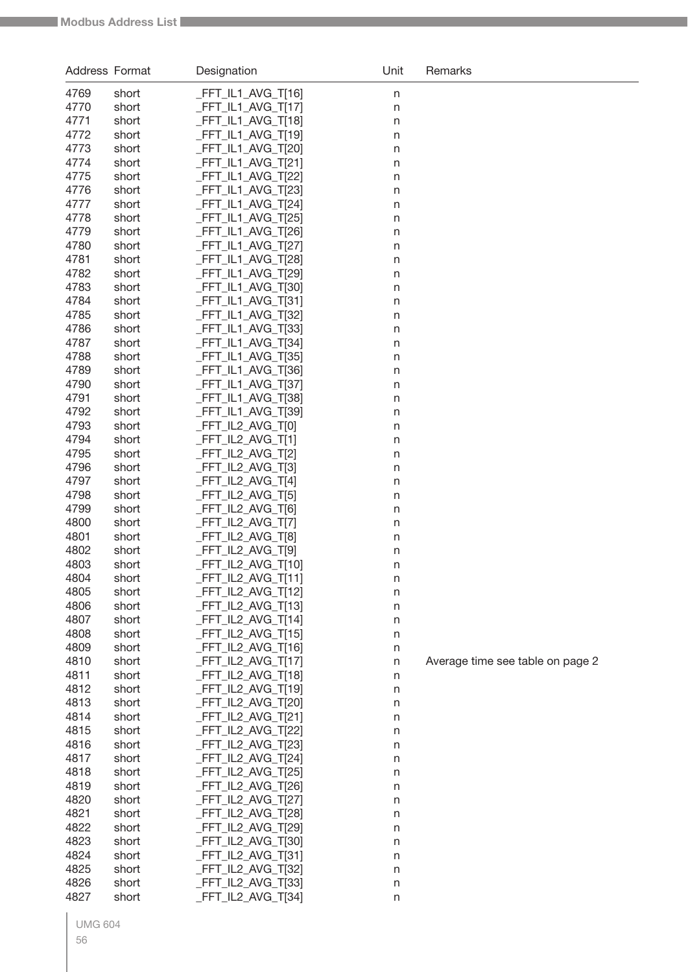| <b>Address Format</b> |                | Designation                              | Unit    | Remarks                          |
|-----------------------|----------------|------------------------------------------|---------|----------------------------------|
| 4769                  | short          | _FFT_IL1_AVG_T[16]                       | n       |                                  |
| 4770                  | short          | _FFT_IL1_AVG_T[17]                       | n       |                                  |
| 4771                  | short          | _FFT_IL1_AVG_T[18]                       | n       |                                  |
| 4772                  | short          | FFT_IL1_AVG_T[19]                        | n       |                                  |
| 4773                  | short          | _FFT_IL1_AVG_T[20]                       | n       |                                  |
| 4774                  | short          | _FFT_IL1_AVG_T[21]                       | n       |                                  |
| 4775                  | short          | FFT_IL1_AVG_T[22]                        | n       |                                  |
| 4776                  | short          | _FFT_IL1_AVG_T[23]                       | n       |                                  |
| 4777                  | short          | _FFT_IL1_AVG_T[24]                       | n       |                                  |
| 4778                  | short          | _FFT_IL1_AVG_T[25]                       | n       |                                  |
| 4779<br>4780          | short          | _FFT_IL1_AVG_T[26]<br>_FFT_IL1_AVG_T[27] | n       |                                  |
| 4781                  | short<br>short | _FFT_IL1_AVG_T[28]                       | n       |                                  |
| 4782                  | short          | _FFT_IL1_AVG_T[29]                       | n<br>n  |                                  |
| 4783                  | short          | _FFT_IL1_AVG_T[30]                       | n       |                                  |
| 4784                  | short          | _FFT_IL1_AVG_T[31]                       | n       |                                  |
| 4785                  | short          | _FFT_IL1_AVG_T[32]                       | n       |                                  |
| 4786                  | short          | _FFT_IL1_AVG_T[33]                       | n       |                                  |
| 4787                  | short          | _FFT_IL1_AVG_T[34]                       | n       |                                  |
| 4788                  | short          | _FFT_IL1_AVG_T[35]                       | n       |                                  |
| 4789                  | short          | _FFT_IL1_AVG_T[36]                       | n       |                                  |
| 4790                  | short          | FFT_IL1_AVG_T[37]                        | n       |                                  |
| 4791                  | short          | _FFT_IL1_AVG_T[38]                       | n       |                                  |
| 4792                  | short          | _FFT_IL1_AVG_T[39]                       | n       |                                  |
| 4793                  | short          | FFT_IL2_AVG_T[0]                         | n       |                                  |
| 4794                  | short          | _FFT_IL2_AVG_T[1]                        | n       |                                  |
| 4795                  | short          | FFT_IL2_AVG_T[2]                         | n       |                                  |
| 4796                  | short          | FFT_IL2_AVG_T[3]<br>FFT_IL2_AVG_T[4]     | n       |                                  |
| 4797<br>4798          | short<br>short | _FFT_IL2_AVG_T[5]                        | n       |                                  |
| 4799                  | short          | _FFT_IL2_AVG_T[6]                        | n<br>n  |                                  |
| 4800                  | short          | _FFT_IL2_AVG_T[7]                        | n       |                                  |
| 4801                  | short          | FFT_IL2_AVG_T[8]                         | n       |                                  |
| 4802                  | short          | _FFT_IL2_AVG_T[9]                        | n       |                                  |
| 4803                  | short          | _FFT_IL2_AVG_T[10]                       | n       |                                  |
| 4804                  | short          | _FFT_IL2_AVG_T[11]                       | n       |                                  |
| 4805                  | short          | _FFT_IL2_AVG_T[12]                       | n       |                                  |
| 4806                  | short          | FFT_IL2_AVG_T[13]                        | n       |                                  |
| 4807                  | short          | _FFT_IL2_AVG_T[14]                       | n       |                                  |
| 4808                  | short          | _FFT_IL2_AVG_T[15]                       | n       |                                  |
| 4809                  | short          | _FFT_IL2_AVG_T[16]                       | n       |                                  |
| 4810                  | short          | _FFT_IL2_AVG_T[17]                       | $\sf n$ | Average time see table on page 2 |
| 4811                  | short          | _FFT_IL2_AVG_T[18]                       | n       |                                  |
| 4812<br>4813          | short          | _FFT_IL2_AVG_T[19]                       | n       |                                  |
| 4814                  | short<br>short | _FFT_IL2_AVG_T[20]<br>_FFT_IL2_AVG_T[21] | n       |                                  |
| 4815                  | short          | _FFT_IL2_AVG_T[22]                       | n<br>n  |                                  |
| 4816                  | short          | _FFT_IL2_AVG_T[23]                       | n       |                                  |
| 4817                  | short          | _FFT_IL2_AVG_T[24]                       | n       |                                  |
| 4818                  | short          | _FFT_IL2_AVG_T[25]                       | n       |                                  |
| 4819                  | short          | _FFT_IL2_AVG_T[26]                       | n       |                                  |
| 4820                  | short          | _FFT_IL2_AVG_T[27]                       | n       |                                  |
| 4821                  | short          | _FFT_IL2_AVG_T[28]                       | n       |                                  |
| 4822                  | short          | _FFT_IL2_AVG_T[29]                       | n       |                                  |
| 4823                  | short          | _FFT_IL2_AVG_T[30]                       | n       |                                  |
| 4824                  | short          | _FFT_IL2_AVG_T[31]                       | n       |                                  |
| 4825                  | short          | _FFT_IL2_AVG_T[32]                       | n       |                                  |
| 4826                  | short          | _FFT_IL2_AVG_T[33]                       | n       |                                  |
| 4827                  | short          | _FFT_IL2_AVG_T[34]                       | n       |                                  |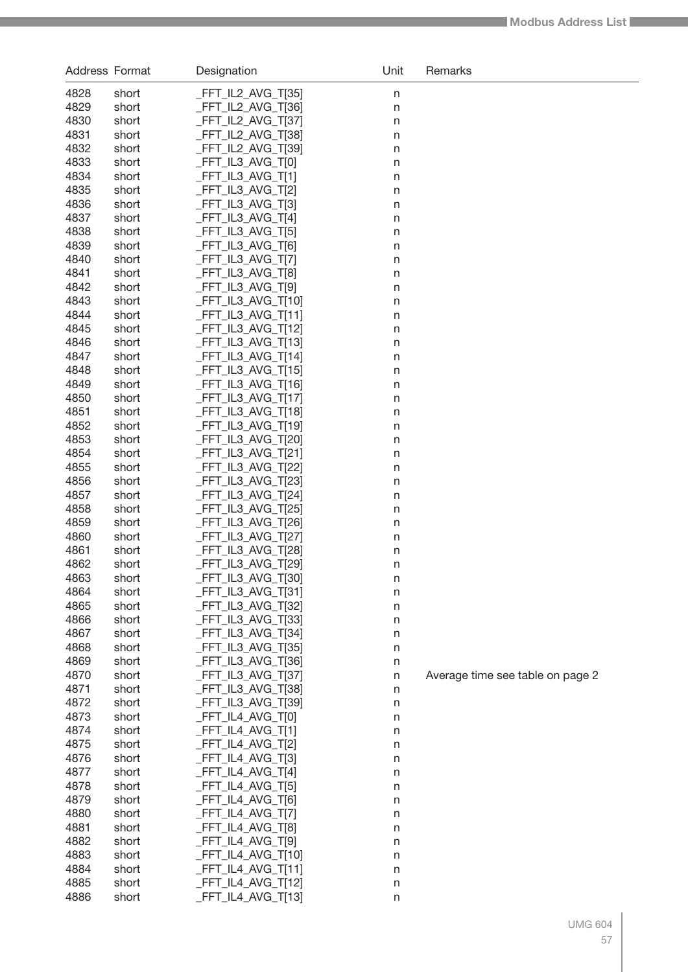| Address Format |                | Designation                                  | Unit         | Remarks                          |
|----------------|----------------|----------------------------------------------|--------------|----------------------------------|
| 4828           | short          | _FFT_IL2_AVG_T[35]                           | n            |                                  |
| 4829           | short          | _FFT_IL2_AVG_T[36]                           | $\sf n$      |                                  |
| 4830           | short          | _FFT_IL2_AVG_T[37]                           | n            |                                  |
| 4831           | short          | FFT_IL2_AVG_T[38]                            | n            |                                  |
| 4832           | short          | _FFT_IL2_AVG_T[39]                           | n            |                                  |
| 4833           | short          | _FFT_IL3_AVG_T[0]                            | n            |                                  |
| 4834           | short          | _FFT_IL3_AVG_T[1]                            | $\sf n$      |                                  |
| 4835           | short          | FFT_IL3_AVG_T[2]                             | $\sf n$      |                                  |
| 4836           | short          | _FFT_IL3_AVG_T[3]                            | $\sf n$      |                                  |
| 4837           | short          | _FFT_IL3_AVG_T[4]                            | $\sf n$      |                                  |
| 4838           | short          | _FFT_IL3_AVG_T[5]                            | $\sf n$      |                                  |
| 4839           | short          | _FFT_IL3_AVG_T[6]                            | $\sf n$      |                                  |
| 4840<br>4841   | short          | _FFT_IL3_AVG_T[7]<br>FFT_IL3_AVG_T[8]        | $\sf n$      |                                  |
| 4842           | short<br>short | _FFT_IL3_AVG_T[9]                            | n<br>n       |                                  |
| 4843           | short          | _FFT_IL3_AVG_T[10]                           | n            |                                  |
| 4844           | short          | _FFT_IL3_AVG_T[11]                           | n            |                                  |
| 4845           | short          | _FFT_IL3_AVG_T[12]                           | $\sf n$      |                                  |
| 4846           | short          | _FFT_IL3_AVG_T[13]                           | $\sf n$      |                                  |
| 4847           | short          | _FFT_IL3_AVG_T[14]                           | $\sf n$      |                                  |
| 4848           | short          | _FFT_IL3_AVG_T[15]                           | $\sf n$      |                                  |
| 4849           | short          | _FFT_IL3_AVG_T[16]                           | $\sf n$      |                                  |
| 4850           | short          | _FFT_IL3_AVG_T[17]                           | $\sf n$      |                                  |
| 4851           | short          | _FFT_IL3_AVG_T[18]                           | n            |                                  |
| 4852           | short          | _FFT_IL3_AVG_T[19]                           | n            |                                  |
| 4853           | short          | _FFT_IL3_AVG_T[20]                           | n            |                                  |
| 4854           | short          | _FFT_IL3_AVG_T[21]                           | n            |                                  |
| 4855           | short          | _FFT_IL3_AVG_T[22]                           | n            |                                  |
| 4856           | short          | _FFT_IL3_AVG_T[23]                           | $\sf n$      |                                  |
| 4857           | short          | _FFT_IL3_AVG_T[24]                           | $\sf n$      |                                  |
| 4858           | short          | _FFT_IL3_AVG_T[25]                           | $\sf n$      |                                  |
| 4859           | short          | _FFT_IL3_AVG_T[26]                           | $\sf n$      |                                  |
| 4860           | short          | _FFT_IL3_AVG_T[27]                           | $\sf n$      |                                  |
| 4861           | short          | _FFT_IL3_AVG_T[28]                           | n            |                                  |
| 4862<br>4863   | short<br>short | _FFT_IL3_AVG_T[29]<br>FFT_IL3_AVG_T[30]      | n            |                                  |
| 4864           | short          | $-FFT_IL3_AVG_T[31]$                         | n            |                                  |
| 4865           | short          | _FFT_IL3_AVG_T[32]                           | n<br>$\sf n$ |                                  |
| 4866           | short          | _FFT_IL3_AVG_T[33]                           | $\sf n$      |                                  |
| 4867           | short          | _FFT_IL3_AVG_T[34]                           | $\sf n$      |                                  |
| 4868           | short          | _FFT_IL3_AVG_T[35]                           | $\sf n$      |                                  |
| 4869           | short          | _FFT_IL3_AVG_T[36]                           | $\sf n$      |                                  |
| 4870           | short          | _FFT_IL3_AVG_T[37]                           | $\sf n$      | Average time see table on page 2 |
| 4871           | short          | _FFT_IL3_AVG_T[38]                           | $\mathsf{n}$ |                                  |
| 4872           | short          | _FFT_IL3_AVG_T[39]                           | n            |                                  |
| 4873           | short          | _FFT_IL4_AVG_T[0]                            | n            |                                  |
| 4874           | short          | $-FFT_lL4_AVG_T[1]$                          | n            |                                  |
| 4875           | short          | _FFT_IL4_AVG_T[2]                            | n            |                                  |
| 4876           | short          | _FFT_IL4_AVG_T[3]                            | n            |                                  |
| 4877           | short          | $-FFT_lL4_AVG_T[4]$                          | n            |                                  |
| 4878           | short          | _FFT_IL4_AVG_T[5]                            | n            |                                  |
| 4879           | short          | _FFT_IL4_AVG_T[6]                            | n            |                                  |
| 4880           | short          | $-FFT_lL4_AVG_T[7]$                          | n            |                                  |
| 4881           | short          | _FFT_IL4_AVG_T[8]                            | n            |                                  |
| 4882<br>4883   | short          | _FFT_IL4_AVG_T[9]                            | n            |                                  |
| 4884           | short<br>short | $-FFT_lLA_AVG_T[10]$<br>$-FFT_lLA_AVG_T[11]$ | n<br>n       |                                  |
| 4885           | short          | $-FFT_lLA_AVG_T[12]$                         | n            |                                  |
| 4886           | short          | _FFT_IL4_AVG_T[13]                           | n            |                                  |
|                |                |                                              |              |                                  |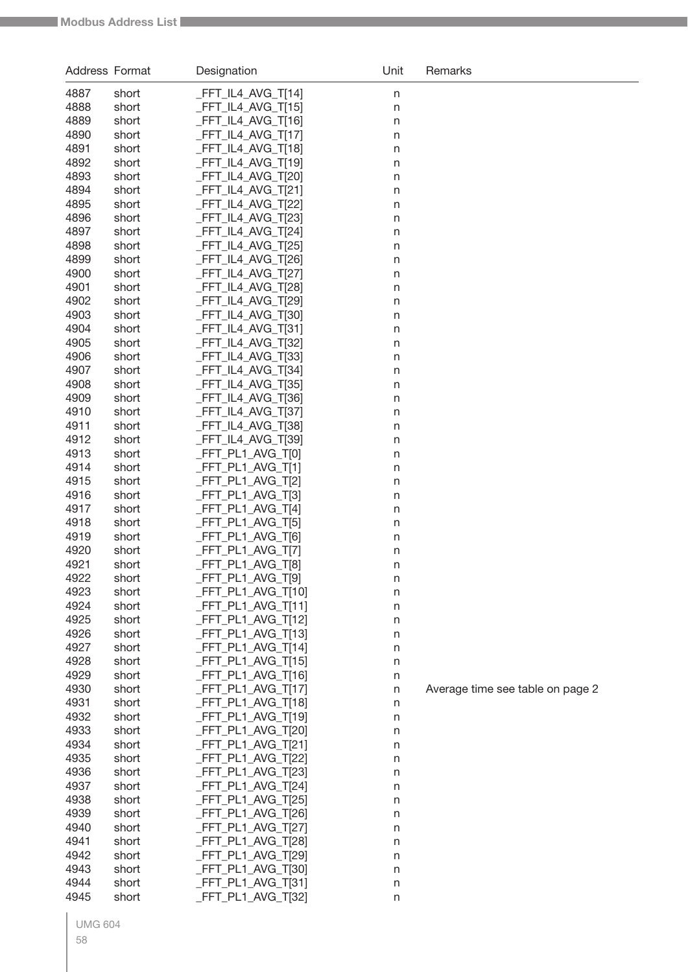| Address Format |                | Designation                              | Unit    | Remarks                          |
|----------------|----------------|------------------------------------------|---------|----------------------------------|
| 4887           | short          | FFT_IL4_AVG_T[14]                        | $\sf n$ |                                  |
| 4888           | short          | FFT_IL4_AVG_T[15]                        | $\sf n$ |                                  |
| 4889           | short          | FFT_IL4_AVG_T[16]                        | n       |                                  |
| 4890           | short          | FFT_IL4_AVG_T[17]                        | n       |                                  |
| 4891           | short          | FFT_IL4_AVG_T[18]                        | n       |                                  |
| 4892           | short          | FFT_IL4_AVG_T[19]                        | n       |                                  |
| 4893           | short          | FFT_IL4_AVG_T[20]                        | n       |                                  |
| 4894           | short          | FFT_IL4_AVG_T[21]                        | n       |                                  |
| 4895<br>4896   | short<br>short | FFT_IL4_AVG_T[22]<br>FFT_IL4_AVG_T[23]   | n       |                                  |
| 4897           | short          | FFT_IL4_AVG_T[24]                        | n<br>n  |                                  |
| 4898           | short          | FFT_IL4_AVG_T[25]                        | n       |                                  |
| 4899           | short          | FFT_IL4_AVG_T[26]                        | n       |                                  |
| 4900           | short          | FFT_IL4_AVG_T[27]                        | n       |                                  |
| 4901           | short          | FFT_IL4_AVG_T[28]                        | n       |                                  |
| 4902           | short          | FFT_IL4_AVG_T[29]                        | n       |                                  |
| 4903           | short          | FFT_IL4_AVG_T[30]                        | n       |                                  |
| 4904           | short          | FFT_IL4_AVG_T[31]                        | n       |                                  |
| 4905           | short          | FFT_IL4_AVG_T[32]                        | n       |                                  |
| 4906<br>4907   | short          | FFT_IL4_AVG_T[33]                        | n       |                                  |
| 4908           | short<br>short | FFT_IL4_AVG_T[34]<br>FFT_IL4_AVG_T[35]   | n       |                                  |
| 4909           | short          | FFT_IL4_AVG_T[36]                        | n<br>n  |                                  |
| 4910           | short          | FFT_IL4_AVG_T[37]                        | n       |                                  |
| 4911           | short          | FFT_IL4_AVG_T[38]                        | n       |                                  |
| 4912           | short          | FFT_IL4_AVG_T[39]                        | n       |                                  |
| 4913           | short          | FFT_PL1_AVG_T[0]                         | n       |                                  |
| 4914           | short          | FFT_PL1_AVG_T[1]                         | n       |                                  |
| 4915           | short          | FFT_PL1_AVG_T[2]                         | n       |                                  |
| 4916           | short          | FFT_PL1_AVG_T[3]                         | n       |                                  |
| 4917           | short          | FFT_PL1_AVG_T[4]                         | n       |                                  |
| 4918           | short          | FFT_PL1_AVG_T[5]                         | n       |                                  |
| 4919<br>4920   | short<br>short | FFT_PL1_AVG_T[6]<br>FFT_PL1_AVG_T[7]     | n       |                                  |
| 4921           | short          | FFT_PL1_AVG_T[8]                         | n<br>n  |                                  |
| 4922           | short          | _FFT_PL1_AVG_T[9]                        | $\sf n$ |                                  |
| 4923           | short          | _FFT_PL1_AVG_T[10]                       | n       |                                  |
| 4924           | short          | _FFT_PL1_AVG_T[11]                       | $\sf n$ |                                  |
| 4925           | short          | _FFT_PL1_AVG_T[12]                       | n       |                                  |
| 4926           | short          | _FFT_PL1_AVG_T[13]                       | n       |                                  |
| 4927           | short          | _FFT_PL1_AVG_T[14]                       | n       |                                  |
| 4928           | short          | _FFT_PL1_AVG_T[15]                       | n       |                                  |
| 4929           | short          | _FFT_PL1_AVG_T[16]                       | n       |                                  |
| 4930<br>4931   | short<br>short | _FFT_PL1_AVG_T[17]<br>_FFT_PL1_AVG_T[18] | $\sf n$ | Average time see table on page 2 |
| 4932           | short          | _FFT_PL1_AVG_T[19]                       | n       |                                  |
| 4933           | short          | _FFT_PL1_AVG_T[20]                       | n<br>n  |                                  |
| 4934           | short          | _FFT_PL1_AVG_T[21]                       | n       |                                  |
| 4935           | short          | FFT_PL1_AVG_T[22]                        | n       |                                  |
| 4936           | short          | FFT_PL1_AVG_T[23]                        | n       |                                  |
| 4937           | short          | FFT_PL1_AVG_T[24]                        | n       |                                  |
| 4938           | short          | _FFT_PL1_AVG_T[25]                       | n       |                                  |
| 4939           | short          | _FFT_PL1_AVG_T[26]                       | n       |                                  |
| 4940           | short          | _FFT_PL1_AVG_T[27]                       | n       |                                  |
| 4941           | short          | FFT_PL1_AVG_T[28]                        | n       |                                  |
| 4942<br>4943   | short          | _FFT_PL1_AVG_T[29]<br>_FFT_PL1_AVG_T[30] | n       |                                  |
| 4944           | short<br>short | _FFT_PL1_AVG_T[31]                       | n<br>n  |                                  |
| 4945           | short          | FFT_PL1_AVG_T[32]                        | n       |                                  |
|                |                |                                          |         |                                  |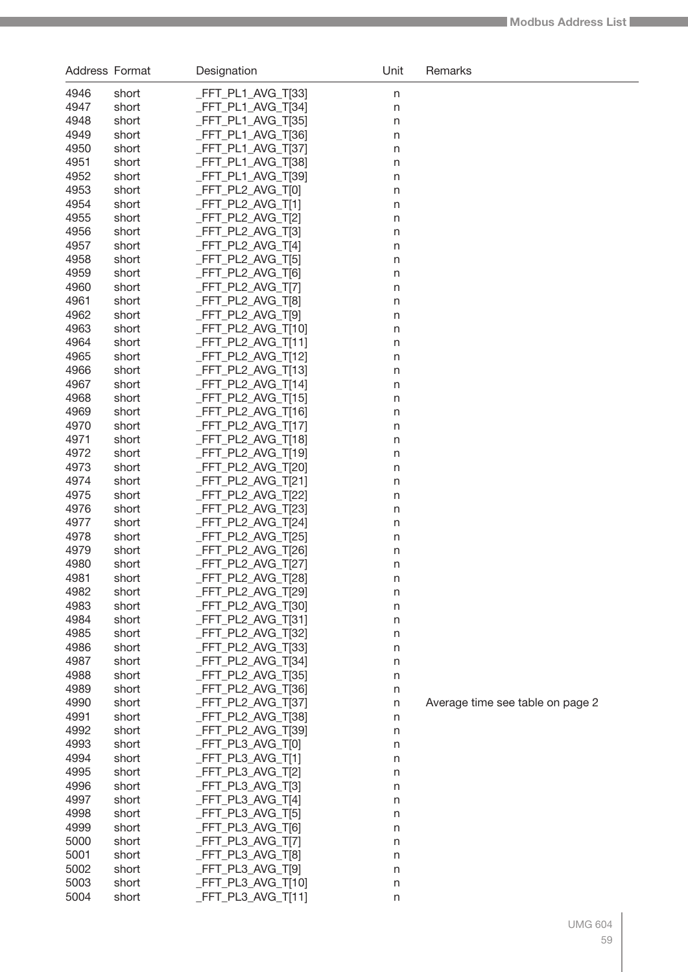| Address Format |                | Designation                              | Unit              | Remarks                          |
|----------------|----------------|------------------------------------------|-------------------|----------------------------------|
| 4946           | short          | _FFT_PL1_AVG_T[33]                       | n                 |                                  |
| 4947           | short          | _FFT_PL1_AVG_T[34]                       | $\mathsf{n}$      |                                  |
| 4948           | short          | _FFT_PL1_AVG_T[35]                       | $\mathsf{n}$      |                                  |
| 4949           | short          | _FFT_PL1_AVG_T[36]                       | $\sf n$           |                                  |
| 4950           | short          | _FFT_PL1_AVG_T[37]                       | $\sf n$           |                                  |
| 4951           | short          | _FFT_PL1_AVG_T[38]                       | $\sf n$           |                                  |
| 4952           | short          | _FFT_PL1_AVG_T[39]                       | $\sf n$           |                                  |
| 4953           | short          | _FFT_PL2_AVG_T[0]                        | $\sf n$           |                                  |
| 4954<br>4955   | short          | _FFT_PL2_AVG_T[1]                        | $\mathsf{n}$      |                                  |
| 4956           | short<br>short | _FFT_PL2_AVG_T[2]<br>_FFT_PL2_AVG_T[3]   | n<br>n            |                                  |
| 4957           | short          | _FFT_PL2_AVG_T[4]                        | n                 |                                  |
| 4958           | short          | _FFT_PL2_AVG_T[5]                        | n                 |                                  |
| 4959           | short          | _FFT_PL2_AVG_T[6]                        | n                 |                                  |
| 4960           | short          | _FFT_PL2_AVG_T[7]                        | n                 |                                  |
| 4961           | short          | _FFT_PL2_AVG_T[8]                        | n                 |                                  |
| 4962           | short          | _FFT_PL2_AVG_T[9]                        | n                 |                                  |
| 4963           | short          | _FFT_PL2_AVG_T[10]                       | n                 |                                  |
| 4964           | short          | _FFT_PL2_AVG_T[11]                       | n                 |                                  |
| 4965           | short          | _FFT_PL2_AVG_T[12]                       | n                 |                                  |
| 4966           | short          | _FFT_PL2_AVG_T[13]                       | n                 |                                  |
| 4967           | short          | _FFT_PL2_AVG_T[14]                       | n                 |                                  |
| 4968           | short          | _FFT_PL2_AVG_T[15]                       | n                 |                                  |
| 4969<br>4970   | short<br>short | _FFT_PL2_AVG_T[16]<br>_FFT_PL2_AVG_T[17] | n                 |                                  |
| 4971           | short          | FFT_PL2_AVG_T[18]                        | n<br>n            |                                  |
| 4972           | short          | _FFT_PL2_AVG_T[19]                       | n                 |                                  |
| 4973           | short          | _FFT_PL2_AVG_T[20]                       | n                 |                                  |
| 4974           | short          | _FFT_PL2_AVG_T[21]                       | n                 |                                  |
| 4975           | short          | _FFT_PL2_AVG_T[22]                       | n                 |                                  |
| 4976           | short          | _FFT_PL2_AVG_T[23]                       | n                 |                                  |
| 4977           | short          | _FFT_PL2_AVG_T[24]                       | n                 |                                  |
| 4978           | short          | _FFT_PL2_AVG_T[25]                       | n                 |                                  |
| 4979           | short          | _FFT_PL2_AVG_T[26]                       | n                 |                                  |
| 4980           | short          | _FFT_PL2_AVG_T[27]                       | n                 |                                  |
| 4981           | short          | _FFT_PL2_AVG_T[28]                       | n                 |                                  |
| 4982           | short          | _FFT_PL2_AVG_T[29]                       | n                 |                                  |
| 4983<br>4984   | short<br>short | _FFT_PL2_AVG_T[30]<br>_FFT_PL2_AVG_T[31] | $\mathsf{n}$      |                                  |
| 4985           | short          | _FFT_PL2_AVG_T[32]                       | $\mathsf{n}$<br>n |                                  |
| 4986           | short          | _FFT_PL2_AVG_T[33]                       | n                 |                                  |
| 4987           | short          | _FFT_PL2_AVG_T[34]                       | n                 |                                  |
| 4988           | short          | _FFT_PL2_AVG_T[35]                       | $\mathsf{n}$      |                                  |
| 4989           | short          | _FFT_PL2_AVG_T[36]                       | $\mathsf{n}$      |                                  |
| 4990           | short          | _FFT_PL2_AVG_T[37]                       | $\mathsf{n}$      | Average time see table on page 2 |
| 4991           | short          | _FFT_PL2_AVG_T[38]                       | $\mathsf{n}$      |                                  |
| 4992           | short          | _FFT_PL2_AVG_T[39]                       | n                 |                                  |
| 4993           | short          | _FFT_PL3_AVG_T[0]                        | n                 |                                  |
| 4994           | short          | _FFT_PL3_AVG_T[1]                        | n                 |                                  |
| 4995           | short          | _FFT_PL3_AVG_T[2]                        | n                 |                                  |
| 4996           | short          | _FFT_PL3_AVG_T[3]                        | n                 |                                  |
| 4997<br>4998   | short          | _FFT_PL3_AVG_T[4]                        | n                 |                                  |
| 4999           | short<br>short | _FFT_PL3_AVG_T[5]<br>_FFT_PL3_AVG_T[6]   | n<br>n            |                                  |
| 5000           | short          | _FFT_PL3_AVG_T[7]                        | n                 |                                  |
| 5001           | short          | _FFT_PL3_AVG_T[8]                        | n                 |                                  |
| 5002           | short          | _FFT_PL3_AVG_T[9]                        | n                 |                                  |
| 5003           | short          | _FFT_PL3_AVG_T[10]                       | n                 |                                  |
| 5004           | short          | _FFT_PL3_AVG_T[11]                       | n                 |                                  |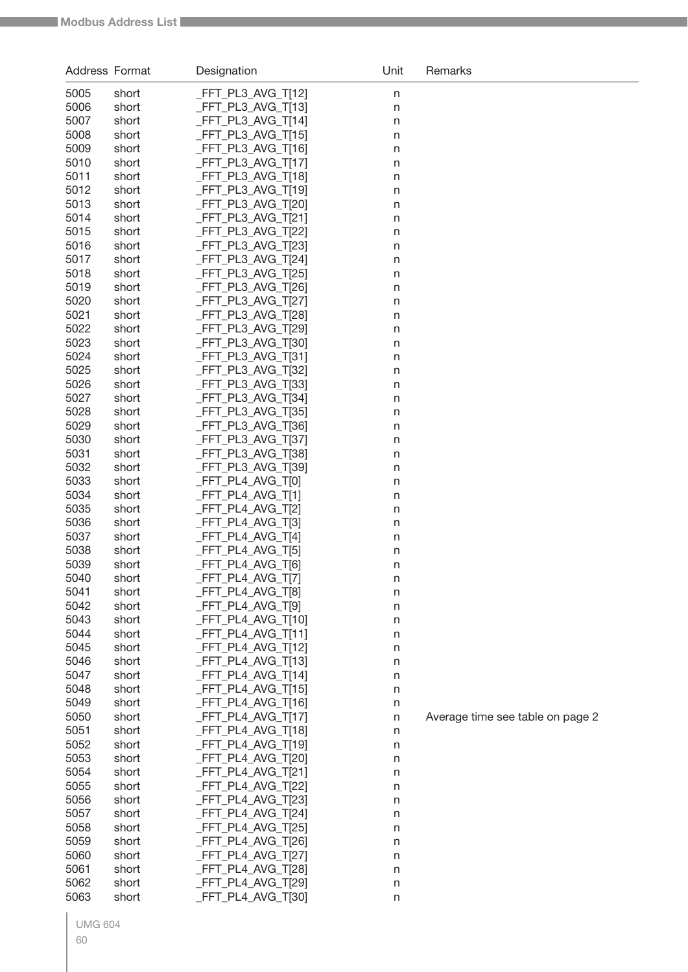| Address Format |                | Designation                             | Unit    | Remarks                          |
|----------------|----------------|-----------------------------------------|---------|----------------------------------|
| 5005           | short          | _FFT_PL3_AVG_T[12]                      | $\sf n$ |                                  |
| 5006           | short          | FFT_PL3_AVG_T[13]                       | n       |                                  |
| 5007           | short          | FFT_PL3_AVG_T[14]                       | n       |                                  |
| 5008           | short          | FFT_PL3_AVG_T[15]                       | n       |                                  |
| 5009           | short          | FFT_PL3_AVG_T[16]                       | n       |                                  |
| 5010           | short          | FFT_PL3_AVG_T[17]                       | n       |                                  |
| 5011           | short          | FFT_PL3_AVG_T[18]                       | n       |                                  |
| 5012           | short          | _FFT_PL3_AVG_T[19]                      | n       |                                  |
| 5013           | short          | FFT_PL3_AVG_T[20]                       | n       |                                  |
| 5014           | short          | FFT_PL3_AVG_T[21]                       | n       |                                  |
| 5015           | short          | FFT_PL3_AVG_T[22]                       | n       |                                  |
| 5016           | short          | FFT_PL3_AVG_T[23]                       | n       |                                  |
| 5017           | short          | _FFT_PL3_AVG_T[24]                      | n       |                                  |
| 5018           | short          | FFT_PL3_AVG_T[25]                       | n       |                                  |
| 5019           | short          | FFT_PL3_AVG_T[26]                       | n       |                                  |
| 5020<br>5021   | short          | FFT_PL3_AVG_T[27]<br>FFT_PL3_AVG_T[28]  | n       |                                  |
| 5022           | short<br>short | FFT_PL3_AVG_T[29]                       | n       |                                  |
| 5023           | short          | FFT_PL3_AVG_T[30]                       | n<br>n  |                                  |
| 5024           | short          | _FFT_PL3_AVG_T[31]                      | n       |                                  |
| 5025           | short          | FFT_PL3_AVG_T[32]                       | n       |                                  |
| 5026           | short          | FFT_PL3_AVG_T[33]                       | n       |                                  |
| 5027           | short          | FFT_PL3_AVG_T[34]                       | n       |                                  |
| 5028           | short          | _FFT_PL3_AVG_T[35]                      | n       |                                  |
| 5029           | short          | FFT_PL3_AVG_T[36]                       | n       |                                  |
| 5030           | short          | FFT_PL3_AVG_T[37]                       | n       |                                  |
| 5031           | short          | FFT_PL3_AVG_T[38]                       | n       |                                  |
| 5032           | short          | FFT_PL3_AVG_T[39]                       | n       |                                  |
| 5033           | short          | FFT_PL4_AVG_T[0]                        | n       |                                  |
| 5034           | short          | FFT_PL4_AVG_T[1]                        | n       |                                  |
| 5035           | short          | FFT_PL4_AVG_T[2]                        | n       |                                  |
| 5036           | short          | FFT_PL4_AVG_T[3]                        | n       |                                  |
| 5037           | short          | FFT_PL4_AVG_T[4]                        | n       |                                  |
| 5038           | short          | FFT_PL4_AVG_T[5]                        | n       |                                  |
| 5039           | short          | FFT_PL4_AVG_T[6]                        | n       |                                  |
| 5040           | short          | _FFT_PL4_AVG_T[7]                       | n       |                                  |
| 5041           | short          | FFT_PL4_AVG_T[8]                        | n       |                                  |
| 5042<br>5043   | short<br>short | _FFT_PL4_AVG_T[9]<br>_FFT_PL4_AVG_T[10] | $\sf n$ |                                  |
| 5044           | short          | _FFT_PL4_AVG_T[11]                      | n       |                                  |
| 5045           | short          | _FFT_PL4_AVG_T[12]                      | n<br>n  |                                  |
| 5046           | short          | _FFT_PL4_AVG_T[13]                      | n       |                                  |
| 5047           | short          | _FFT_PL4_AVG_T[14]                      | n       |                                  |
| 5048           | short          | _FFT_PL4_AVG_T[15]                      | n       |                                  |
| 5049           | short          | FFT_PL4_AVG_T[16]                       | n       |                                  |
| 5050           | short          | FFT PL4 AVG T[17]                       | n       | Average time see table on page 2 |
| 5051           | short          | _FFT_PL4_AVG_T[18]                      | n       |                                  |
| 5052           | short          | _FFT_PL4_AVG_T[19]                      | n       |                                  |
| 5053           | short          | FFT_PL4_AVG_T[20]                       | n       |                                  |
| 5054           | short          | _FFT_PL4_AVG_T[21]                      | n       |                                  |
| 5055           | short          | FFT_PL4_AVG_T[22]                       | n       |                                  |
| 5056           | short          | FFT_PL4_AVG_T[23]                       | n       |                                  |
| 5057           | short          | _FFT_PL4_AVG_T[24]                      | n       |                                  |
| 5058           | short          | _FFT_PL4_AVG_T[25]                      | n       |                                  |
| 5059           | short          | _FFT_PL4_AVG_T[26]                      | n       |                                  |
| 5060           | short          | _FFT_PL4_AVG_T[27]                      | n       |                                  |
| 5061           | short          | _FFT_PL4_AVG_T[28]                      | n       |                                  |
| 5062           | short          | _FFT_PL4_AVG_T[29]                      | n       |                                  |
| 5063           | short          | FFT_PL4_AVG_T[30]                       | n       |                                  |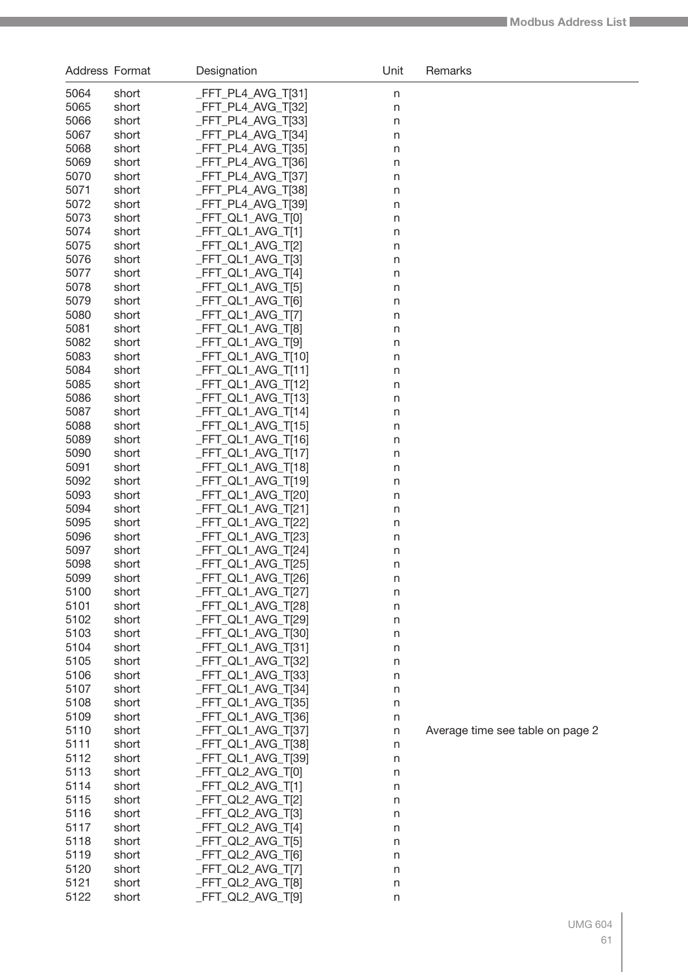| Address Format |                | Designation                              | Unit                         | Remarks                          |
|----------------|----------------|------------------------------------------|------------------------------|----------------------------------|
| 5064           | short          | _FFT_PL4_AVG_T[31]                       | n                            |                                  |
| 5065           | short          | _FFT_PL4_AVG_T[32]                       | $\mathsf{n}$                 |                                  |
| 5066           | short          | _FFT_PL4_AVG_T[33]                       | $\mathsf{n}$                 |                                  |
| 5067           | short          | _FFT_PL4_AVG_T[34]                       | n                            |                                  |
| 5068           | short          | _FFT_PL4_AVG_T[35]                       | n                            |                                  |
| 5069           | short          | _FFT_PL4_AVG_T[36]                       | n                            |                                  |
| 5070           | short          | _FFT_PL4_AVG_T[37]                       | n                            |                                  |
| 5071           | short          | _FFT_PL4_AVG_T[38]                       | n                            |                                  |
| 5072           | short          | FFT_PL4_AVG_T[39]                        | n                            |                                  |
| 5073           | short          | _FFT_QL1_AVG_T[0]                        | n                            |                                  |
| 5074           | short          | _FFT_QL1_AVG_T[1]                        | n                            |                                  |
| 5075           | short          | _FFT_QL1_AVG_T[2]                        | n                            |                                  |
| 5076           | short          | _FFT_QL1_AVG_T[3]                        | n                            |                                  |
| 5077           | short          | _FFT_QL1_AVG_T[4]                        | n                            |                                  |
| 5078<br>5079   | short          | _FFT_QL1_AVG_T[5]                        | n                            |                                  |
| 5080           | short<br>short | _FFT_QL1_AVG_T[6]<br>_FFT_QL1_AVG_T[7]   | $\mathsf{n}$                 |                                  |
| 5081           | short          | _FFT_QL1_AVG_T[8]                        | $\mathsf{n}$<br>$\mathsf{n}$ |                                  |
| 5082           | short          | _FFT_QL1_AVG_T[9]                        | $\mathsf{n}$                 |                                  |
| 5083           | short          | _FFT_QL1_AVG_T[10]                       | $\mathsf{n}$                 |                                  |
| 5084           | short          | _FFT_QL1_AVG_T[11]                       | $\mathsf{n}$                 |                                  |
| 5085           | short          | _FFT_QL1_AVG_T[12]                       | $\mathsf{n}$                 |                                  |
| 5086           | short          | _FFT_QL1_AVG_T[13]                       | $\mathsf{n}$                 |                                  |
| 5087           | short          | _FFT_QL1_AVG_T[14]                       | $\mathsf{n}$                 |                                  |
| 5088           | short          | _FFT_QL1_AVG_T[15]                       | $\mathsf{n}$                 |                                  |
| 5089           | short          | _FFT_QL1_AVG_T[16]                       | $\mathsf{n}$                 |                                  |
| 5090           | short          | _FFT_QL1_AVG_T[17]                       | n                            |                                  |
| 5091           | short          | _FFT_QL1_AVG_T[18]                       | n                            |                                  |
| 5092           | short          | _FFT_QL1_AVG_T[19]                       | n                            |                                  |
| 5093           | short          | _FFT_QL1_AVG_T[20]                       | n                            |                                  |
| 5094           | short          | _FFT_QL1_AVG_T[21]                       | n                            |                                  |
| 5095           | short          | _FFT_QL1_AVG_T[22]                       | n                            |                                  |
| 5096           | short          | _FFT_QL1_AVG_T[23]                       | n                            |                                  |
| 5097           | short          | _FFT_QL1_AVG_T[24]                       | n                            |                                  |
| 5098           | short          | _FFT_QL1_AVG_T[25]                       | n                            |                                  |
| 5099           | short          | _FFT_QL1_AVG_T[26]                       | n                            |                                  |
| 5100           | short          | _FFT_QL1_AVG_T[27]                       | n                            |                                  |
| 5101           | short          | _FFT_QL1_AVG_T[28]                       | $\mathsf{n}$                 |                                  |
| 5102<br>5103   | short          | _FFT_QL1_AVG_T[29]                       | $\mathsf{n}$                 |                                  |
| 5104           | short<br>short | _FFT_QL1_AVG_T[30]<br>_FFT_QL1_AVG_T[31] | n                            |                                  |
| 5105           | short          | _FFT_QL1_AVG_T[32]                       | n<br>n                       |                                  |
| 5106           | short          | _FFT_QL1_AVG_T[33]                       | n                            |                                  |
| 5107           | short          | _FFT_QL1_AVG_T[34]                       | $\mathsf{n}$                 |                                  |
| 5108           | short          | _FFT_QL1_AVG_T[35]                       | $\mathsf{n}$                 |                                  |
| 5109           | short          | _FFT_QL1_AVG_T[36]                       | $\mathsf{n}$                 |                                  |
| 5110           | short          | _FFT_QL1_AVG_T[37]                       | $\mathsf{n}$                 | Average time see table on page 2 |
| 5111           | short          | _FFT_QL1_AVG_T[38]                       | n                            |                                  |
| 5112           | short          | _FFT_QL1_AVG_T[39]                       | n                            |                                  |
| 5113           | short          | _FFT_QL2_AVG_T[0]                        | n                            |                                  |
| 5114           | short          | _FFT_QL2_AVG_T[1]                        | n                            |                                  |
| 5115           | short          | _FFT_QL2_AVG_T[2]                        | n                            |                                  |
| 5116           | short          | _FFT_QL2_AVG_T[3]                        | n                            |                                  |
| 5117           | short          | _FFT_QL2_AVG_T[4]                        | n                            |                                  |
| 5118           | short          | _FFT_QL2_AVG_T[5]                        | n                            |                                  |
| 5119           | short          | _FFT_QL2_AVG_T[6]                        | n                            |                                  |
| 5120           | short          | _FFT_QL2_AVG_T[7]                        | n                            |                                  |
| 5121           | short          | _FFT_QL2_AVG_T[8]                        | n                            |                                  |
| 5122           | short          | _FFT_QL2_AVG_T[9]                        | n                            |                                  |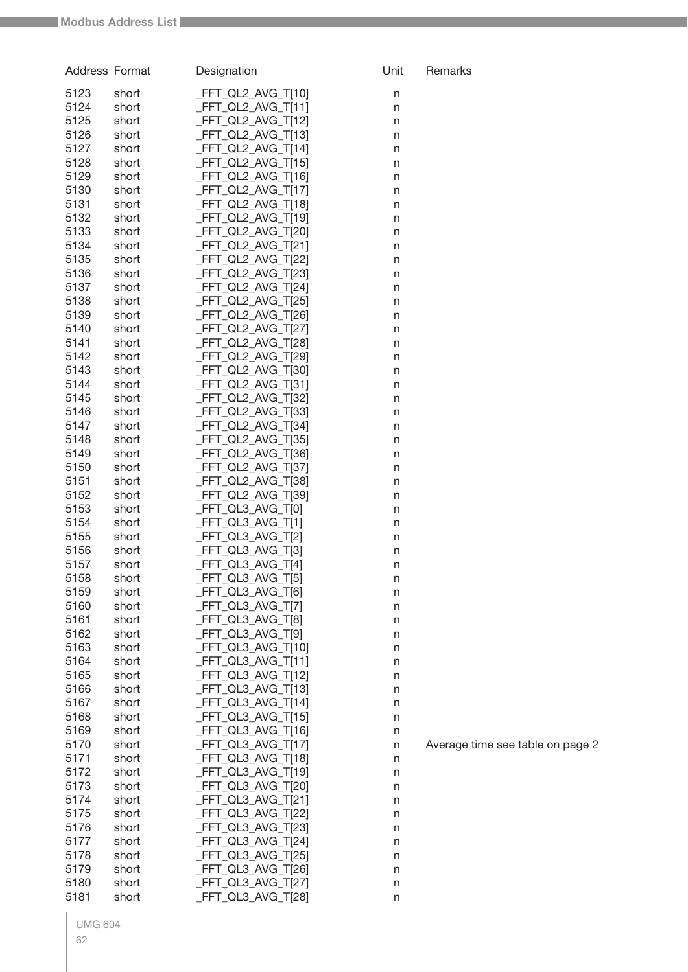| Address Format |                | Designation                              | Unit   | Remarks                          |
|----------------|----------------|------------------------------------------|--------|----------------------------------|
| 5123           | short          | _FFT_QL2_AVG_T[10]                       | n      |                                  |
| 5124           | short          | _FFT_QL2_AVG_T[11]                       | n      |                                  |
| 5125           | short          | _FFT_QL2_AVG_T[12]                       | n      |                                  |
| 5126           | short          | FFT_QL2_AVG_T[13]                        | n      |                                  |
| 5127           | short          | FFT_QL2_AVG_T[14]                        | n      |                                  |
| 5128           | short          | _FFT_QL2_AVG_T[15]                       | n      |                                  |
| 5129           | short          | FFT_QL2_AVG_T[16]                        | n      |                                  |
| 5130           | short          | FFT_QL2_AVG_T[17]                        | n      |                                  |
| 5131           | short          | _FFT_QL2_AVG_T[18]                       | n      |                                  |
| 5132           | short          | _FFT_QL2_AVG_T[19]                       | n      |                                  |
| 5133           | short          | FFT_QL2_AVG_T[20]                        | n      |                                  |
| 5134           | short          | _FFT_QL2_AVG_T[21]                       | n      |                                  |
| 5135<br>5136   | short          | _FFT_QL2_AVG_T[22]<br>FFT_QL2_AVG_T[23]  | n      |                                  |
| 5137           | short<br>short | _FFT_QL2_AVG_T[24]                       | n      |                                  |
| 5138           | short          | _FFT_QL2_AVG_T[25]                       | n<br>n |                                  |
| 5139           | short          | FFT_QL2_AVG_T[26]                        | n      |                                  |
| 5140           | short          | _FFT_QL2_AVG_T[27]                       | n      |                                  |
| 5141           | short          | FFT_QL2_AVG_T[28]                        | n      |                                  |
| 5142           | short          | _FFT_QL2_AVG_T[29]                       | n      |                                  |
| 5143           | short          | FFT_QL2_AVG_T[30]                        | n      |                                  |
| 5144           | short          | _FFT_QL2_AVG_T[31]                       | n      |                                  |
| 5145           | short          | _FFT_QL2_AVG_T[32]                       | n      |                                  |
| 5146           | short          | FFT_QL2_AVG_T[33]                        | n      |                                  |
| 5147           | short          | _FFT_QL2_AVG_T[34]                       | n      |                                  |
| 5148           | short          | FFT_QL2_AVG_T[35]                        | n      |                                  |
| 5149           | short          | _FFT_QL2_AVG_T[36]                       | n      |                                  |
| 5150           | short          | FFT_QL2_AVG_T[37]                        | n      |                                  |
| 5151           | short          | FFT_QL2_AVG_T[38]                        | n      |                                  |
| 5152           | short          | _FFT_QL2_AVG_T[39]                       | n      |                                  |
| 5153           | short          | _FFT_QL3_AVG_T[0]                        | n      |                                  |
| 5154           | short          | _FFT_QL3_AVG_T[1]                        | n      |                                  |
| 5155           | short          | _FFT_QL3_AVG_T[2]                        | n      |                                  |
| 5156           | short          | _FFT_QL3_AVG_T[3]                        | n      |                                  |
| 5157           | short          | FFT_QL3_AVG_T[4]                         | n      |                                  |
| 5158<br>5159   | short          | _FFT_QL3_AVG_T[5]<br>_FFT_QL3_AVG_T[6]   | n      |                                  |
| 5160           | short<br>short | _FFT_QL3_AVG_T[7]                        | n<br>n |                                  |
| 5161           | short          | _FFT_QL3_AVG_T[8]                        | n      |                                  |
| 5162           | short          | _FFT_QL3_AVG_T[9]                        | n      |                                  |
| 5163           | short          | _FFT_QL3_AVG_T[10]                       | n      |                                  |
| 5164           | short          | _FFT_QL3_AVG_T[11]                       | n      |                                  |
| 5165           | short          | _FFT_QL3_AVG_T[12]                       | n      |                                  |
| 5166           | short          | _FFT_QL3_AVG_T[13]                       | n      |                                  |
| 5167           | short          | FFT_QL3_AVG_T[14]                        | n      |                                  |
| 5168           | short          | _FFT_QL3_AVG_T[15]                       | n      |                                  |
| 5169           | short          | _FFT_QL3_AVG_T[16]                       | n      |                                  |
| 5170           | short          | _FFT_QL3_AVG_T[17]                       | n      | Average time see table on page 2 |
| 5171           | short          | _FFT_QL3_AVG_T[18]                       | n      |                                  |
| 5172           | short          | _FFT_QL3_AVG_T[19]                       | n      |                                  |
| 5173           | short          | _FFT_QL3_AVG_T[20]                       | n      |                                  |
| 5174           | short          | _FFT_QL3_AVG_T[21]                       | n      |                                  |
| 5175           | short          | _FFT_QL3_AVG_T[22]                       | n      |                                  |
| 5176           | short          | _FFT_QL3_AVG_T[23]                       | n      |                                  |
| 5177           | short          | _FFT_QL3_AVG_T[24]                       | n      |                                  |
| 5178           | short          | _FFT_QL3_AVG_T[25]                       | n      |                                  |
| 5179<br>5180   | short          | _FFT_QL3_AVG_T[26]<br>_FFT_QL3_AVG_T[27] | n      |                                  |
| 5181           | short<br>short | FFT_QL3_AVG_T[28]                        | n      |                                  |
|                |                |                                          | n      |                                  |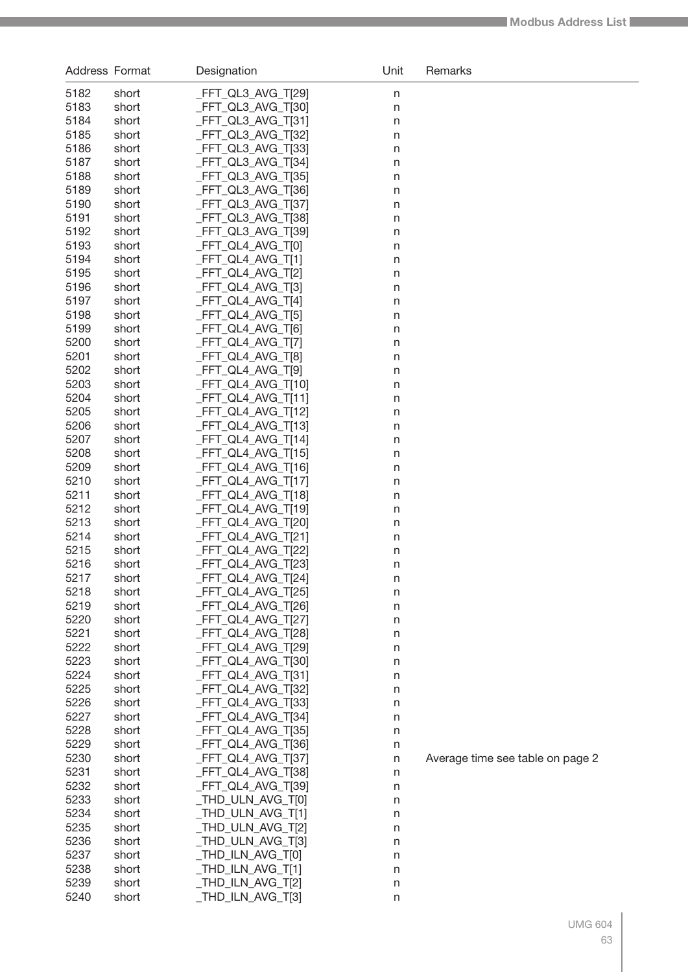| Address Format |                | Designation                              | Unit    | Remarks                          |
|----------------|----------------|------------------------------------------|---------|----------------------------------|
| 5182           | short          | _FFT_QL3_AVG_T[29]                       | n       |                                  |
| 5183           | short          | _FFT_QL3_AVG_T[30]                       | $\sf n$ |                                  |
| 5184           | short          | _FFT_QL3_AVG_T[31]                       | $\sf n$ |                                  |
| 5185           | short          | FFT_QL3_AVG_T[32]                        | n       |                                  |
| 5186           | short          | _FFT_QL3_AVG_T[33]                       | n       |                                  |
| 5187           | short          | _FFT_QL3_AVG_T[34]                       | $\sf n$ |                                  |
| 5188           | short          | _FFT_QL3_AVG_T[35]                       | n       |                                  |
| 5189           | short          | _FFT_QL3_AVG_T[36]                       | n       |                                  |
| 5190           | short          | _FFT_QL3_AVG_T[37]                       | n       |                                  |
| 5191           | short          | _FFT_QL3_AVG_T[38]                       | n       |                                  |
| 5192           | short          | FFT_QL3_AVG_T[39]                        | n       |                                  |
| 5193           | short          | _FFT_QL4_AVG_T[0]                        | n       |                                  |
| 5194           | short          | _FFT_QL4_AVG_T[1]                        | n       |                                  |
| 5195           | short          | _FFT_QL4_AVG_T[2]                        | n       |                                  |
| 5196           | short          | _FFT_QL4_AVG_T[3]                        | n       |                                  |
| 5197           | short          | _FFT_QL4_AVG_T[4]                        | n       |                                  |
| 5198           | short          | _FFT_QL4_AVG_T[5]                        | n       |                                  |
| 5199           | short          | _FFT_QL4_AVG_T[6]                        | n       |                                  |
| 5200<br>5201   | short<br>short | _FFT_QL4_AVG_T[7]<br>_FFT_QL4_AVG_T[8]   | n       |                                  |
| 5202           | short          | _FFT_QL4_AVG_T[9]                        | n<br>n  |                                  |
| 5203           | short          | _FFT_QL4_AVG_T[10]                       | n       |                                  |
| 5204           | short          | _FFT_QL4_AVG_T[11]                       | n       |                                  |
| 5205           | short          | _FFT_QL4_AVG_T[12]                       | n       |                                  |
| 5206           | short          | _FFT_QL4_AVG_T[13]                       | n       |                                  |
| 5207           | short          | _FFT_QL4_AVG_T[14]                       | n       |                                  |
| 5208           | short          | _FFT_QL4_AVG_T[15]                       | n       |                                  |
| 5209           | short          | _FFT_QL4_AVG_T[16]                       | n       |                                  |
| 5210           | short          | _FFT_QL4_AVG_T[17]                       | n       |                                  |
| 5211           | short          | _FFT_QL4_AVG_T[18]                       | n       |                                  |
| 5212           | short          | _FFT_QL4_AVG_T[19]                       | n       |                                  |
| 5213           | short          | _FFT_QL4_AVG_T[20]                       | n       |                                  |
| 5214           | short          | _FFT_QL4_AVG_T[21]                       | n       |                                  |
| 5215           | short          | _FFT_QL4_AVG_T[22]                       | n       |                                  |
| 5216           | short          | _FFT_QL4_AVG_T[23]                       | n       |                                  |
| 5217           | short          | FFT_QL4_AVG_T[24]                        | n       |                                  |
| 5218           | short          | _FFT_QL4_AVG_T[25]                       | n       |                                  |
| 5219           | short          | _FFT_QL4_AVG_T[26]                       | n       |                                  |
| 5220           | short          | _FFT_QL4_AVG_T[27]                       | n       |                                  |
| 5221<br>5222   | short<br>short | _FFT_QL4_AVG_T[28]<br>_FFT_QL4_AVG_T[29] | n       |                                  |
| 5223           | short          | _FFT_QL4_AVG_T[30]                       | n<br>n  |                                  |
| 5224           | short          | _FFT_QL4_AVG_T[31]                       | n       |                                  |
| 5225           | short          | _FFT_QL4_AVG_T[32]                       | n       |                                  |
| 5226           | short          | _FFT_QL4_AVG_T[33]                       | n       |                                  |
| 5227           | short          | _FFT_QL4_AVG_T[34]                       | n       |                                  |
| 5228           | short          | _FFT_QL4_AVG_T[35]                       | n       |                                  |
| 5229           | short          | _FFT_QL4_AVG_T[36]                       | n       |                                  |
| 5230           | short          | _FFT_QL4_AVG_T[37]                       | $\sf n$ | Average time see table on page 2 |
| 5231           | short          | _FFT_QL4_AVG_T[38]                       | n       |                                  |
| 5232           | short          | _FFT_QL4_AVG_T[39]                       | n       |                                  |
| 5233           | short          | _THD_ULN_AVG_T[0]                        | n       |                                  |
| 5234           | short          | _THD_ULN_AVG_T[1]                        | n       |                                  |
| 5235           | short          | _THD_ULN_AVG_T[2]                        | n       |                                  |
| 5236           | short          | _THD_ULN_AVG_T[3]                        | n       |                                  |
| 5237           | short          | _THD_ILN_AVG_T[0]                        | n       |                                  |
| 5238           | short          | $_THD_ILN_AVG_T[1]$                      | n       |                                  |
| 5239           | short          | _THD_ILN_AVG_T[2]                        | n       |                                  |
| 5240           | short          | _THD_ILN_AVG_T[3]                        | n       |                                  |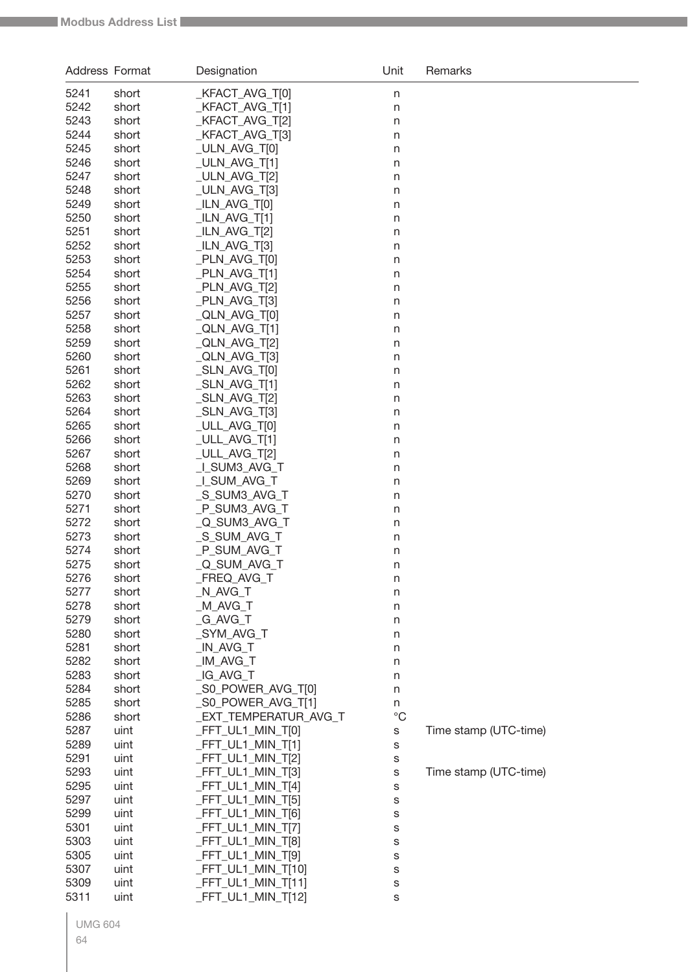| Address Format |                | Designation                   | Unit        | Remarks               |
|----------------|----------------|-------------------------------|-------------|-----------------------|
| 5241           | short          | _KFACT_AVG_T[0]               | $\sf n$     |                       |
| 5242           | short          | _KFACT_AVG_T[1]               | n           |                       |
| 5243           | short          | KFACT_AVG_T[2]                | n           |                       |
| 5244           | short          | KFACT_AVG_T[3]                | n           |                       |
| 5245           | short          | _ULN_AVG_T[0]                 | n           |                       |
| 5246           | short          | _ULN_AVG_T[1]                 | n           |                       |
| 5247           | short          | _ULN_AVG_T[2]                 | n           |                       |
| 5248           | short          | _ULN_AVG_T[3]                 | n           |                       |
| 5249           | short          | _ILN_AVG_T[0]                 | n           |                       |
| 5250           | short          | _ILN_AVG_T[1]                 | n           |                       |
| 5251           | short          | _ILN_AVG_T[2]                 | n           |                       |
| 5252           | short          | _ILN_AVG_T[3]                 | n           |                       |
| 5253           | short          | _PLN_AVG_T[0]                 | n           |                       |
| 5254           | short          | _PLN_AVG_T[1]                 | n           |                       |
| 5255           | short          | _PLN_AVG_T[2]                 | n           |                       |
| 5256           | short          | PLN_AVG_T[3]                  | n           |                       |
| 5257           | short          | QLN_AVG_T[0]                  | n           |                       |
| 5258           | short          | _QLN_AVG_T[1]                 | n           |                       |
| 5259           | short          | _QLN_AVG_T[2]                 | n           |                       |
| 5260           | short          | _QLN_AVG_T[3]                 | n           |                       |
| 5261           | short          | _SLN_AVG_T[0]                 | n           |                       |
| 5262           | short          | _SLN_AVG_T[1]                 | n           |                       |
| 5263           | short          | _SLN_AVG_T[2]                 | n           |                       |
| 5264<br>5265   | short<br>short | _SLN_AVG_T[3]<br>ULL_AVG_T[0] | n           |                       |
| 5266           | short          | _ULL_AVG_T[1]                 | n           |                       |
| 5267           | short          | _ULL_AVG_T[2]                 | n<br>n      |                       |
| 5268           | short          | LSUM3_AVG_T                   | n           |                       |
| 5269           | short          | LSUM_AVG_T                    | n           |                       |
| 5270           | short          | _S_SUM3_AVG_T                 | n           |                       |
| 5271           | short          | _P_SUM3_AVG_T                 | n           |                       |
| 5272           | short          | _Q_SUM3_AVG_T                 | n           |                       |
| 5273           | short          | _S_SUM_AVG_T                  | n           |                       |
| 5274           | short          | _P_SUM_AVG_T                  | n           |                       |
| 5275           | short          | _Q_SUM_AVG_T                  | n           |                       |
| 5276           | short          | _FREQ_AVG_T                   | n           |                       |
| 5277           | short          | _N_AVG_T                      | n           |                       |
| 5278           | short          | _M_AVG_T                      | n           |                       |
| 5279           | short          | _G_AVG_T                      | n           |                       |
| 5280           | short          | _SYM_AVG_T                    | n           |                       |
| 5281           | short          | _IN_AVG_T                     | n           |                       |
| 5282           | short          | IM AVG T                      | n           |                       |
| 5283           | short          | _IG_AVG_T                     | n           |                       |
| 5284           | short          | _S0_POWER_AVG_T[0]            | n           |                       |
| 5285           | short          | _S0_POWER_AVG_T[1]            | n           |                       |
| 5286           | short          | EXT TEMPERATUR AVG T          | $^{\circ}C$ |                       |
| 5287           | uint           | _FFT_UL1_MIN_T[0]             | S           | Time stamp (UTC-time) |
| 5289           | uint           | _FFT_UL1_MIN_T[1]             | S           |                       |
| 5291           | uint           | _FFT_UL1_MIN_T[2]             | s           |                       |
| 5293           | uint           | _FFT_UL1_MIN_T[3]             | S           | Time stamp (UTC-time) |
| 5295           | uint           | _FFT_UL1_MIN_T[4]             | S           |                       |
| 5297           | uint           | _FFT_UL1_MIN_T[5]             | S           |                       |
| 5299           | uint           | _FFT_UL1_MIN_T[6]             | S           |                       |
| 5301           | uint           | _FFT_UL1_MIN_T[7]             | S           |                       |
| 5303           | uint           | _FFT_UL1_MIN_T[8]             | s           |                       |
| 5305           | uint           | _FFT_UL1_MIN_T[9]             | s           |                       |
| 5307           | uint           | _FFT_UL1_MIN_T[10]            | S           |                       |
| 5309           | uint           | _FFT_UL1_MIN_T[11]            | S           |                       |
| 5311           | uint           | _FFT_UL1_MIN_T[12]            | S           |                       |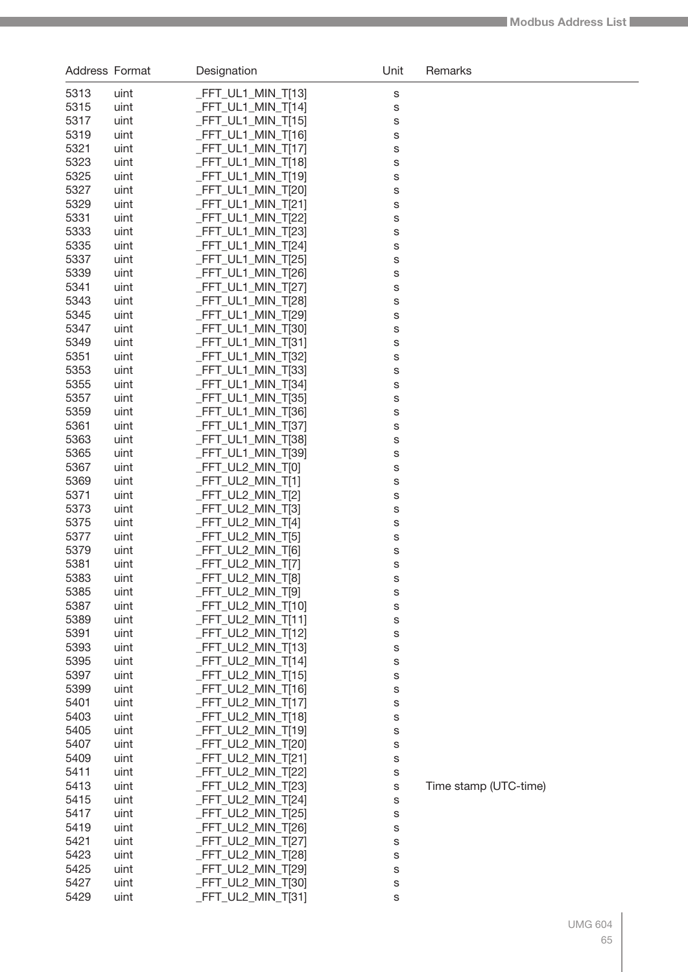| Address Format |              | Designation                                  | Unit   | Remarks               |
|----------------|--------------|----------------------------------------------|--------|-----------------------|
| 5313           | uint         | $-FFT_ULI_MIN_T[13]$                         | S      |                       |
| 5315           | uint         | $-FFT_ULI_MIN_T[14]$                         | S      |                       |
| 5317           | uint         | $-FFT_ULI_MIN_T[15]$                         | S      |                       |
| 5319           | uint         | $-FFT_ULI_MIN_T[16]$                         | S      |                       |
| 5321           | uint         | $-FFT_ULI_MIN_T[17]$                         | S      |                       |
| 5323           | uint         | _FFT_UL1_MIN_T[18]                           | S      |                       |
| 5325           | uint         | _FFT_UL1_MIN_T[19]                           | S      |                       |
| 5327           | uint         | _FFT_UL1_MIN_T[20]                           | S      |                       |
| 5329           | uint         | _FFT_UL1_MIN_T[21]                           | S      |                       |
| 5331           | uint         | $-FFT_ULI_MIN_T[22]$                         | S      |                       |
| 5333           | uint         | $-FFT_ULI_MIN_T[23]$                         | S      |                       |
| 5335           | uint         | $-FFT_ULI_MIN_T[24]$                         | S      |                       |
| 5337           | uint         | $-FFT_ULI_MIN_T[25]$                         | S      |                       |
| 5339<br>5341   | uint         | $-FFT_ULI_MIN_T[26]$                         | S      |                       |
| 5343           | uint<br>uint | $-FFT_ULI_MIN_T[27]$<br>$-FFT_ULI_MIN_T[28]$ | S      |                       |
| 5345           | uint         | _FFT_UL1_MIN_T[29]                           | S<br>S |                       |
| 5347           | uint         | $-FFT_ULI_MIN_T[30]$                         | S      |                       |
| 5349           | uint         | $-FFT_ULI_MIN_T[31]$                         | S      |                       |
| 5351           | uint         | $-FFT_ULI_MIN_T[32]$                         | S      |                       |
| 5353           | uint         | $-FFT_ULI_MIN_T[33]$                         | S      |                       |
| 5355           | uint         | $-FFT_ULI_MIN_T[34]$                         | S      |                       |
| 5357           | uint         | $-FFT_ULI_MIN_T[35]$                         | S      |                       |
| 5359           | uint         | $-FFT_ULI_MIN_T[36]$                         | S      |                       |
| 5361           | uint         | _FFT_UL1_MIN_T[37]                           | S      |                       |
| 5363           | uint         | _FFT_UL1_MIN_T[38]                           | S      |                       |
| 5365           | uint         | _FFT_UL1_MIN_T[39]                           | S      |                       |
| 5367           | uint         | _FFT_UL2_MIN_T[0]                            | S      |                       |
| 5369           | uint         | _FFT_UL2_MIN_T[1]                            | S      |                       |
| 5371           | uint         | _FFT_UL2_MIN_T[2]                            | S      |                       |
| 5373           | uint         | _FFT_UL2_MIN_T[3]                            | S      |                       |
| 5375           | uint         | _FFT_UL2_MIN_T[4]                            | S      |                       |
| 5377           | uint         | _FFT_UL2_MIN_T[5]                            | S      |                       |
| 5379           | uint         | _FFT_UL2_MIN_T[6]                            | S      |                       |
| 5381           | uint         | $-FFT_UL2_MIN_T[7]$                          | S      |                       |
| 5383           | uint         | FFT_UL2_MIN_T[8]                             | s      |                       |
| 5385<br>5387   | uint<br>uint | _FFT_UL2_MIN_T[9]<br>_FFT_UL2_MIN_T[10]      | s      |                       |
| 5389           | uint         | _FFT_UL2_MIN_T[11]                           | S<br>S |                       |
| 5391           | uint         | _FFT_UL2_MIN_T[12]                           | S      |                       |
| 5393           | uint         | _FFT_UL2_MIN_T[13]                           | S      |                       |
| 5395           | uint         | _FFT_UL2_MIN_T[14]                           | S      |                       |
| 5397           | uint         | _FFT_UL2_MIN_T[15]                           | S      |                       |
| 5399           | uint         | _FFT_UL2_MIN_T[16]                           | S      |                       |
| 5401           | uint         | _FFT_UL2_MIN_T[17]                           | S      |                       |
| 5403           | uint         | _FFT_UL2_MIN_T[18]                           | S      |                       |
| 5405           | uint         | _FFT_UL2_MIN_T[19]                           | S      |                       |
| 5407           | uint         | _FFT_UL2_MIN_T[20]                           | S      |                       |
| 5409           | uint         | _FFT_UL2_MIN_T[21]                           | S      |                       |
| 5411           | uint         | _FFT_UL2_MIN_T[22]                           | S      |                       |
| 5413           | uint         | _FFT_UL2_MIN_T[23]                           | S      | Time stamp (UTC-time) |
| 5415           | uint         | _FFT_UL2_MIN_T[24]                           | S      |                       |
| 5417           | uint         | _FFT_UL2_MIN_T[25]                           | S      |                       |
| 5419           | uint         | _FFT_UL2_MIN_T[26]                           | S      |                       |
| 5421           | uint         | _FFT_UL2_MIN_T[27]                           | S      |                       |
| 5423           | uint         | _FFT_UL2_MIN_T[28]                           | S      |                       |
| 5425<br>5427   | uint         | _FFT_UL2_MIN_T[29]<br>_FFT_UL2_MIN_T[30]     | S      |                       |
| 5429           | uint<br>uint | _FFT_UL2_MIN_T[31]                           | S      |                       |
|                |              |                                              | S      |                       |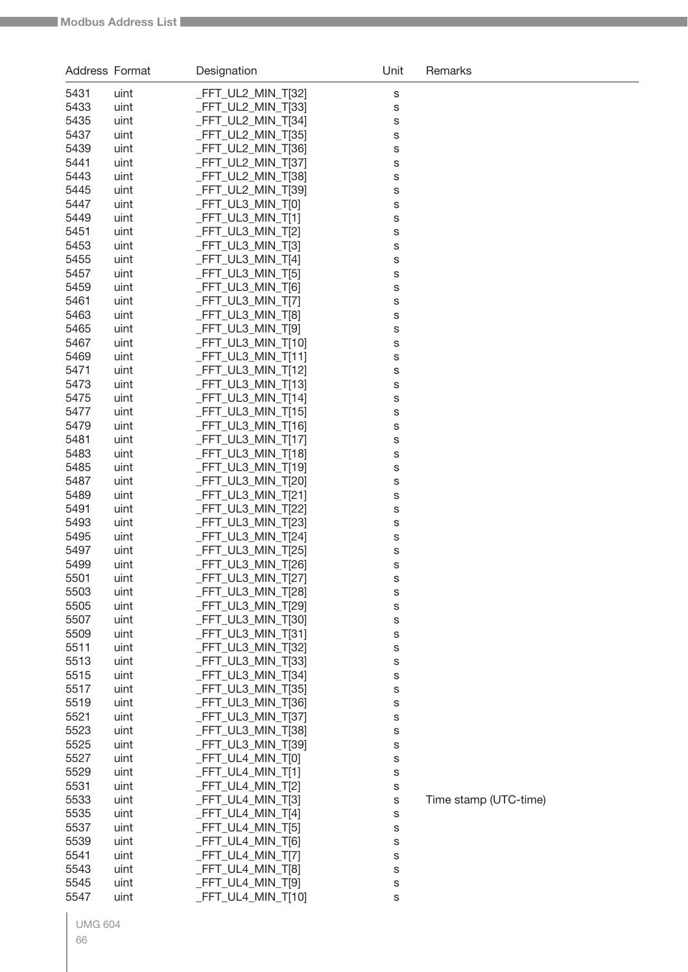| Address Format |              | Designation                             | Unit   | Remarks               |
|----------------|--------------|-----------------------------------------|--------|-----------------------|
| 5431           | uint         | _FFT_UL2_MIN_T[32]                      | S      |                       |
| 5433           | uint         | _FFT_UL2_MIN_T[33]                      | S      |                       |
| 5435           | uint         | FFT_UL2_MIN_T[34]                       | S      |                       |
| 5437           | uint         | FFT_UL2_MIN_T[35]                       | S      |                       |
| 5439           | uint         | FFT_UL2_MIN_T[36]                       | S      |                       |
| 5441           | uint         | FFT_UL2_MIN_T[37]                       | S      |                       |
| 5443           | uint         | FFT_UL2_MIN_T[38]                       | S      |                       |
| 5445           | uint         | FFT_UL2_MIN_T[39]                       | S      |                       |
| 5447           | uint         | FFT UL3 MIN T[0]                        | S      |                       |
| 5449           | uint         | <b>FFT_UL3_MIN_T[1]</b>                 | S      |                       |
| 5451           | uint         | FFT_UL3_MIN_T[2]                        | S      |                       |
| 5453           | uint         | _FFT_UL3_MIN_T[3]                       | S      |                       |
| 5455           | uint         | FFT_UL3_MIN_T[4]                        | S      |                       |
| 5457           | uint         | _FFT_UL3_MIN_T[5]                       | S      |                       |
| 5459           | uint         | FFT UL3 MIN T[6]                        | S      |                       |
| 5461<br>5463   | uint         | FFT_UL3_MIN_T[7]<br>FFT_UL3_MIN_T[8]    | S      |                       |
| 5465           | uint<br>uint | FFT UL3 MIN T[9]                        | S      |                       |
| 5467           | uint         | FFT_UL3_MIN_T[10]                       | S<br>S |                       |
| 5469           | uint         | FFT UL3 MIN T[11]                       | S      |                       |
| 5471           | uint         | FFT_UL3_MIN_T[12]                       | S      |                       |
| 5473           | uint         | FFT_UL3_MIN_T[13]                       | S      |                       |
| 5475           | uint         | FFT_UL3_MIN_T[14]                       | S      |                       |
| 5477           | uint         | FFT_UL3_MIN_T[15]                       | S      |                       |
| 5479           | uint         | FFT_UL3_MIN_T[16]                       | S      |                       |
| 5481           | uint         | FFT_UL3_MIN_T[17]                       | S      |                       |
| 5483           | uint         | FFT_UL3_MIN_T[18]                       | S      |                       |
| 5485           | uint         | FFT_UL3_MIN_T[19]                       | S      |                       |
| 5487           | uint         | _FFT_UL3_MIN_T[20]                      | S      |                       |
| 5489           | uint         | FFT_UL3_MIN_T[21]                       | S      |                       |
| 5491           | uint         | _FFT_UL3_MIN_T[22]                      | S      |                       |
| 5493           | uint         | _FFT_UL3_MIN_T[23]                      | S      |                       |
| 5495           | uint         | FFT_UL3_MIN_T[24]                       | S      |                       |
| 5497           | uint         | FFT UL3 MIN T[25]                       | S      |                       |
| 5499           | uint         | FFT_UL3_MIN_T[26]                       | S      |                       |
| 5501           | uint         | _FFT_UL3_MIN_T[27]                      | s      |                       |
| 5503           | uint         | _FFT_UL3_MIN_T[28]                      | s      |                       |
| 5505           | uint         | _FFT_UL3_MIN_T[29]                      | s      |                       |
| 5507           | uint         | FFT_UL3_MIN_T[30]                       | s      |                       |
| 5509<br>5511   | uint         | _FFT_UL3_MIN_T[31]<br>FFT_UL3_MIN_T[32] | s      |                       |
| 5513           | uint<br>uint | FFT_UL3_MIN_T[33]                       | s      |                       |
| 5515           | uint         | _FFT_UL3_MIN_T[34]                      | s<br>s |                       |
| 5517           | uint         | _FFT_UL3_MIN_T[35]                      | s      |                       |
| 5519           | uint         | _FFT_UL3_MIN_T[36]                      | s      |                       |
| 5521           | uint         | _FFT_UL3_MIN_T[37]                      | s      |                       |
| 5523           | uint         | _FFT_UL3_MIN_T[38]                      | s      |                       |
| 5525           | uint         | _FFT_UL3_MIN_T[39]                      | S      |                       |
| 5527           | uint         | _FFT_UL4_MIN_T[0]                       | S      |                       |
| 5529           | uint         | _FFT_UL4_MIN_T[1]                       | S      |                       |
| 5531           | uint         | _FFT_UL4_MIN_T[2]                       | S      |                       |
| 5533           | uint         | _FFT_UL4_MIN_T[3]                       | S      | Time stamp (UTC-time) |
| 5535           | uint         | _FFT_UL4_MIN_T[4]                       | s      |                       |
| 5537           | uint         | _FFT_UL4_MIN_T[5]                       | S      |                       |
| 5539           | uint         | _FFT_UL4_MIN_T[6]                       | s      |                       |
| 5541           | uint         | _FFT_UL4_MIN_T[7]                       | S      |                       |
| 5543           | uint         | _FFT_UL4_MIN_T[8]                       | S      |                       |
| 5545           | uint         | _FFT_UL4_MIN_T[9]                       | S      |                       |
| 5547           | uint         | _FFT_UL4_MIN_T[10]                      | S      |                       |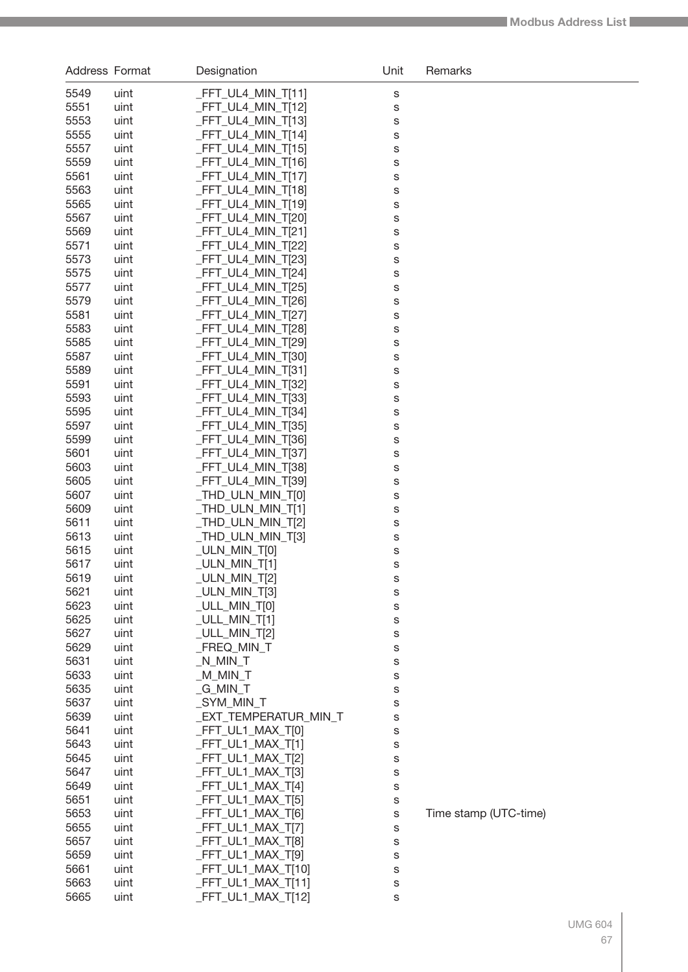| <b>Address Format</b> |              | Designation                               | Unit   | Remarks               |
|-----------------------|--------------|-------------------------------------------|--------|-----------------------|
| 5549                  | uint         | _FFT_UL4_MIN_T[11]                        | S      |                       |
| 5551                  | uint         | _FFT_UL4_MIN_T[12]                        | S      |                       |
| 5553                  | uint         | _FFT_UL4_MIN_T[13]                        | S      |                       |
| 5555                  | uint         | $-FFT_ULA_MIN_T[14]$                      | S      |                       |
| 5557                  | uint         | $-FFT_ULA_MIN_T[15]$                      | S      |                       |
| 5559                  | uint         | _FFT_UL4_MIN_T[16]                        | S      |                       |
| 5561                  | uint         | _FFT_UL4_MIN_T[17]                        | S      |                       |
| 5563                  | uint         | _FFT_UL4_MIN_T[18]                        | S      |                       |
| 5565                  | uint         | $-FFT_ULA_MIN_T[19]$                      | S      |                       |
| 5567                  | uint         | $-FFT_ULA_MIN_T[20]$                      | S      |                       |
| 5569                  | uint         | $-FFT_ULA_MIN_T[21]$                      | S      |                       |
| 5571                  | uint         | $-FFT_ULA_MIN_T[22]$                      | S      |                       |
| 5573                  | uint         | _FFT_UL4_MIN_T[23]                        | S      |                       |
| 5575                  | uint         | _FFT_UL4_MIN_T[24]                        | S      |                       |
| 5577                  | uint         | $-FFT_ULA_MIN_T[25]$                      | S      |                       |
| 5579                  | uint         | _FFT_UL4_MIN_T[26]                        | S      |                       |
| 5581<br>5583          | uint         | $-FFT_ULA_MIN_T[27]$                      | S      |                       |
| 5585                  | uint<br>uint | $-FFT_ULA_MIN_T[28]$<br>FFT UL4 MIN T[29] | S      |                       |
| 5587                  | uint         | $-FFT_ULA_MIN_T[30]$                      | S<br>S |                       |
| 5589                  | uint         | _FFT_UL4_MIN_T[31]                        | S      |                       |
| 5591                  | uint         | $-FFT_ULA_MIN_T[32]$                      | S      |                       |
| 5593                  | uint         | $-FFT_ULA_MIN_T[33]$                      | S      |                       |
| 5595                  | uint         | $-FFT_ULA_MIN_T[34]$                      | S      |                       |
| 5597                  | uint         | $-FFT_ULA_MIN_T[35]$                      | S      |                       |
| 5599                  | uint         | $-FFT_ULA_MIN_T[36]$                      | S      |                       |
| 5601                  | uint         | _FFT_UL4_MIN_T[37]                        | S      |                       |
| 5603                  | uint         | _FFT_UL4_MIN_T[38]                        | S      |                       |
| 5605                  | uint         | _FFT_UL4_MIN_T[39]                        | S      |                       |
| 5607                  | uint         | $_THD_ULN_MIN_T[0]$                       | S      |                       |
| 5609                  | uint         | $_THD_ULN_MIN_T[1]$                       | S      |                       |
| 5611                  | uint         | _THD_ULN_MIN_T[2]                         | S      |                       |
| 5613                  | uint         | _THD_ULN_MIN_T[3]                         | S      |                       |
| 5615                  | uint         | _ULN_MIN_T[0]                             | S      |                       |
| 5617                  | uint         | _ULN_MIN_T[1]                             | S      |                       |
| 5619                  | uint         | ULN_MIN_T[2]                              | s      |                       |
| 5621                  | uint         | $_ULN_MIN_T[3]$                           | s      |                       |
| 5623<br>5625          | uint<br>uint | _ULL_MIN_T[0]<br>$_UULLMIN_T[1]$          | S      |                       |
| 5627                  | uint         | _ULL_MIN_T[2]                             | S<br>S |                       |
| 5629                  | uint         | FREQ MIN T                                | S      |                       |
| 5631                  | uint         | $N$ <sub>MIN</sub> $T$                    | S      |                       |
| 5633                  | uint         | $M_MN$                                    | S      |                       |
| 5635                  | uint         | $_G$ MIN $_T$                             | S      |                       |
| 5637                  | uint         | SYM MIN T                                 | S      |                       |
| 5639                  | uint         | _EXT_TEMPERATUR_MIN_T                     | S      |                       |
| 5641                  | uint         | _FFT_UL1_MAX_T[0]                         | s      |                       |
| 5643                  | uint         | $-FFT_ULI_MAX_T[1]$                       | S      |                       |
| 5645                  | uint         | _FFT_UL1_MAX_T[2]                         | S      |                       |
| 5647                  | uint         | _FFT_UL1_MAX_T[3]                         | S      |                       |
| 5649                  | uint         | $-FFT_ULI_MAX_T[4]$                       | S      |                       |
| 5651                  | uint         | _FFT_UL1_MAX_T[5]                         | S      |                       |
| 5653                  | uint         | _FFT_UL1_MAX_T[6]                         | S      | Time stamp (UTC-time) |
| 5655                  | uint         | _FFT_UL1_MAX_T[7]                         | S      |                       |
| 5657                  | uint         | _FFT_UL1_MAX_T[8]                         | S      |                       |
| 5659                  | uint         | _FFT_UL1_MAX_T[9]                         | S      |                       |
| 5661                  | uint         | _FFT_UL1_MAX_T[10]                        | S      |                       |
| 5663                  | uint         | $-FFT_ULI_MAX_T[11]$                      | S      |                       |
| 5665                  | uint         | $-FFT_ULI_MAX_T[12]$                      | S      |                       |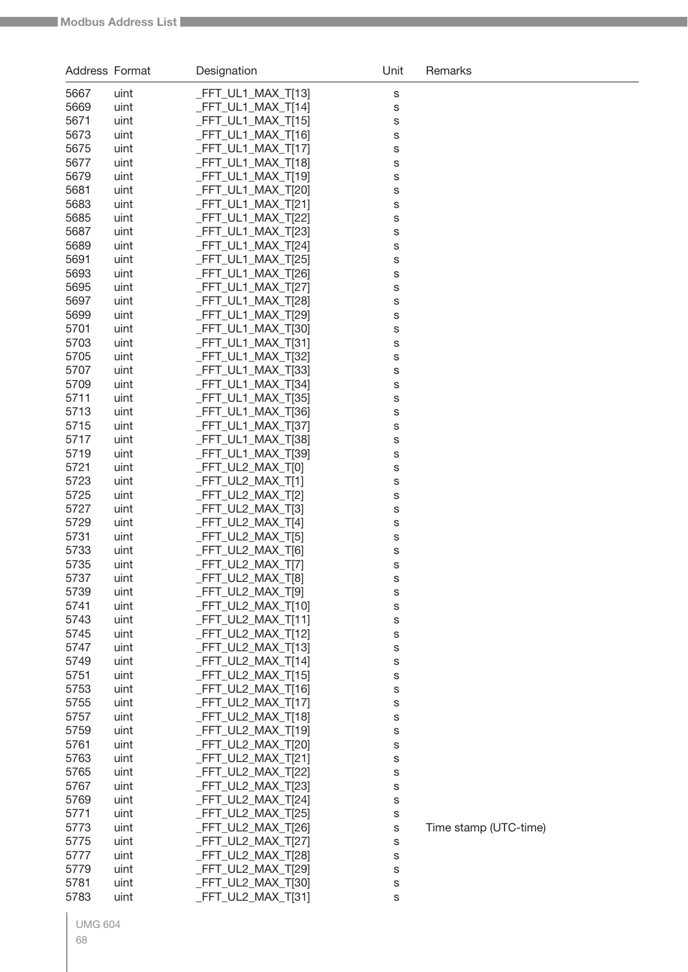| <b>Address Format</b> |              | Designation                              | Unit   | Remarks               |
|-----------------------|--------------|------------------------------------------|--------|-----------------------|
| 5667                  | uint         | _FFT_UL1_MAX_T[13]                       | S      |                       |
| 5669                  | uint         | _FFT_UL1_MAX_T[14]                       | S      |                       |
| 5671                  | uint         | FFT_UL1_MAX_T[15]                        | S      |                       |
| 5673                  | uint         | FFT_UL1_MAX_T[16]                        | S      |                       |
| 5675                  | uint         | FFT_UL1_MAX_T[17]                        | S      |                       |
| 5677                  | uint         | FFT_UL1_MAX_T[18]                        | S      |                       |
| 5679                  | uint         | _FFT_UL1_MAX_T[19]                       | S      |                       |
| 5681                  | uint         | _FFT_UL1_MAX_T[20]                       | S      |                       |
| 5683                  | uint         | _FFT_UL1_MAX_T[21]                       | S      |                       |
| 5685                  | uint         | FFT_UL1_MAX_T[22]                        | S      |                       |
| 5687                  | uint         | _FFT_UL1_MAX_T[23]                       | S      |                       |
| 5689                  | uint         | _FFT_UL1_MAX_T[24]                       | S      |                       |
| 5691                  | uint         | _FFT_UL1_MAX_T[25]                       | S      |                       |
| 5693                  | uint         | _FFT_UL1_MAX_T[26]                       | S      |                       |
| 5695<br>5697          | uint<br>uint | FFT_UL1_MAX_T[27]<br>_FFT_UL1_MAX_T[28]  | S      |                       |
| 5699                  | uint         | _FFT_UL1_MAX_T[29]                       | S<br>S |                       |
| 5701                  | uint         | _FFT_UL1_MAX_T[30]                       | S      |                       |
| 5703                  | uint         | _FFT_UL1_MAX_T[31]                       | S      |                       |
| 5705                  | uint         | _FFT_UL1_MAX_T[32]                       | S      |                       |
| 5707                  | uint         | FFT UL1 MAX T[33]                        | S      |                       |
| 5709                  | uint         | FFT_UL1_MAX_T[34]                        | S      |                       |
| 5711                  | uint         | FFT_UL1_MAX_T[35]                        | S      |                       |
| 5713                  | uint         | _FFT_UL1_MAX_T[36]                       | S      |                       |
| 5715                  | uint         | FFT_UL1_MAX_T[37]                        | S      |                       |
| 5717                  | uint         | _FFT_UL1_MAX_T[38]                       | S      |                       |
| 5719                  | uint         | _FFT_UL1_MAX_T[39]                       | S      |                       |
| 5721                  | uint         | FFT_UL2_MAX_T[0]                         | S      |                       |
| 5723                  | uint         | FFT_UL2_MAX_T[1]                         | S      |                       |
| 5725                  | uint         | FFT_UL2_MAX_T[2]                         | S      |                       |
| 5727                  | uint         | FFT_UL2_MAX_T[3]                         | S      |                       |
| 5729                  | uint         | FFT_UL2_MAX_T[4]                         | S      |                       |
| 5731                  | uint         | FFT_UL2_MAX_T[5]                         | S      |                       |
| 5733                  | uint         | FFT UL2_MAX_T[6]                         | S      |                       |
| 5735<br>5737          | uint         | FFT_UL2_MAX_T[7]<br>_FFT_UL2_MAX_T[8]    | S      |                       |
| 5739                  | uint<br>uint | _FFT_UL2_MAX_T[9]                        | s      |                       |
| 5741                  | uint         | _FFT_UL2_MAX_T[10]                       | S<br>S |                       |
| 5743                  | uint         | _FFT_UL2_MAX_T[11]                       | S      |                       |
| 5745                  | uint         | FFT_UL2_MAX_T[12]                        | S      |                       |
| 5747                  | uint         | _FFT_UL2_MAX_T[13]                       | S      |                       |
| 5749                  | uint         | FFT_UL2_MAX_T[14]                        | S      |                       |
| 5751                  | uint         | _FFT_UL2_MAX_T[15]                       | S      |                       |
| 5753                  | uint         | _FFT_UL2_MAX_T[16]                       | S      |                       |
| 5755                  | uint         | _FFT_UL2_MAX_T[17]                       | S      |                       |
| 5757                  | uint         | FFT_UL2_MAX_T[18]                        | S      |                       |
| 5759                  | uint         | FFT_UL2_MAX_T[19]                        | S      |                       |
| 5761                  | uint         | _FFT_UL2_MAX_T[20]                       | S      |                       |
| 5763                  | uint         | _FFT_UL2_MAX_T[21]                       | S      |                       |
| 5765                  | uint         | _FFT_UL2_MAX_T[22]                       | S      |                       |
| 5767                  | uint         | _FFT_UL2_MAX_T[23]                       | S      |                       |
| 5769                  | uint         | _FFT_UL2_MAX_T[24]                       | S      |                       |
| 5771                  | uint         | _FFT_UL2_MAX_T[25]                       | S      |                       |
| 5773                  | uint         | _FFT_UL2_MAX_T[26]                       | S      | Time stamp (UTC-time) |
| 5775                  | uint         | _FFT_UL2_MAX_T[27]                       | S      |                       |
| 5777<br>5779          | uint<br>uint | _FFT_UL2_MAX_T[28]<br>_FFT_UL2_MAX_T[29] | S      |                       |
| 5781                  | uint         | _FFT_UL2_MAX_T[30]                       | S<br>S |                       |
| 5783                  | uint         | FFT_UL2_MAX_T[31]                        | S      |                       |
|                       |              |                                          |        |                       |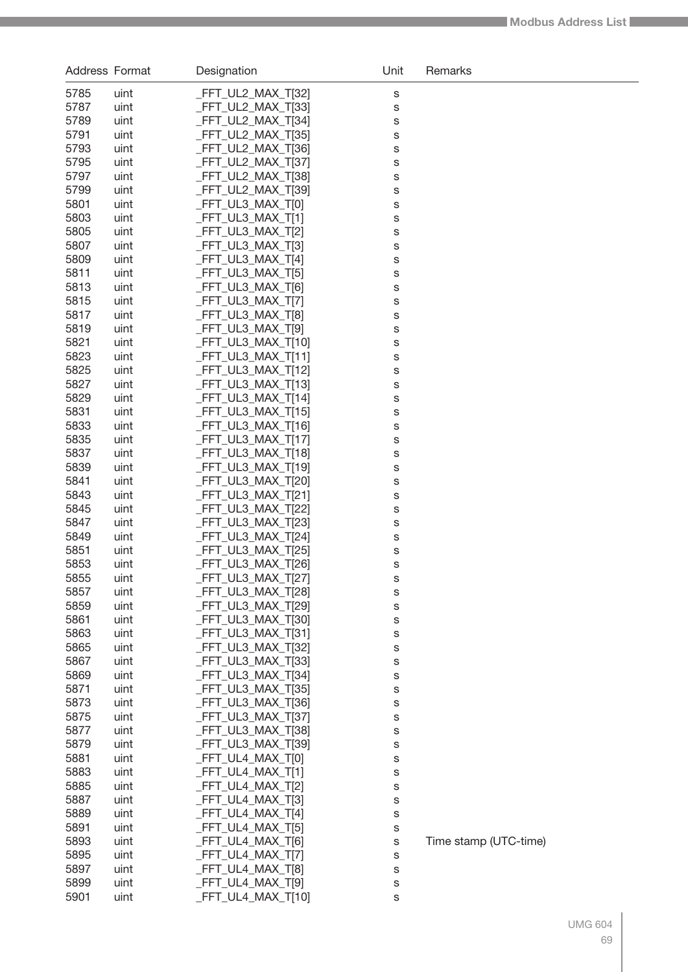| Address Format |              | Designation                            | Unit | Remarks               |
|----------------|--------------|----------------------------------------|------|-----------------------|
| 5785           | uint         | _FFT_UL2_MAX_T[32]                     | S    |                       |
| 5787           | uint         | _FFT_UL2_MAX_T[33]                     | S    |                       |
| 5789           | uint         | _FFT_UL2_MAX_T[34]                     | S    |                       |
| 5791           | uint         | _FFT_UL2_MAX_T[35]                     | S    |                       |
| 5793           | uint         | _FFT_UL2_MAX_T[36]                     | S    |                       |
| 5795           | uint         | _FFT_UL2_MAX_T[37]                     | S    |                       |
| 5797           | uint         | _FFT_UL2_MAX_T[38]                     | S    |                       |
| 5799           | uint         | _FFT_UL2_MAX_T[39]                     | S    |                       |
| 5801           | uint         | _FFT_UL3_MAX_T[0]                      | S    |                       |
| 5803           | uint         | _FFT_UL3_MAX_T[1]                      | S    |                       |
| 5805           | uint         | _FFT_UL3_MAX_T[2]                      | S    |                       |
| 5807           | uint         | _FFT_UL3_MAX_T[3]                      | S    |                       |
| 5809           | uint         | $-FFT_UL3_MAX_T[4]$                    | S    |                       |
| 5811           | uint         | _FFT_UL3_MAX_T[5]                      | S    |                       |
| 5813           | uint         | _FFT_UL3_MAX_T[6]                      | S    |                       |
| 5815           | uint         | _FFT_UL3_MAX_T[7]                      | S    |                       |
| 5817           | uint         | _FFT_UL3_MAX_T[8]                      | S    |                       |
| 5819           | uint         | FFT UL3 MAX T[9]                       | S    |                       |
| 5821           | uint         | _FFT_UL3_MAX_T[10]                     | S    |                       |
| 5823           | uint         | $-FFT_UL3_MAX_T[11]$                   | S    |                       |
| 5825           | uint         | _FFT_UL3_MAX_T[12]                     | S    |                       |
| 5827           | uint         | $-FFT_UL3_MAX_T[13]$                   | S    |                       |
| 5829           | uint         | $-FFT_UL3_MAX_T[14]$                   | S    |                       |
| 5831           | uint         | _FFT_UL3_MAX_T[15]                     | S    |                       |
| 5833           | uint         | $-FFT_UL3_MAX_T[16]$                   | S    |                       |
| 5835           | uint         | _FFT_UL3_MAX_T[17]                     | S    |                       |
| 5837           | uint         | _FFT_UL3_MAX_T[18]                     | S    |                       |
| 5839           | uint         | $-FFT_UL3_MAX_T[19]$                   | S    |                       |
| 5841           | uint         | _FFT_UL3_MAX_T[20]                     | S    |                       |
| 5843           | uint         | _FFT_UL3_MAX_T[21]                     | S    |                       |
| 5845           | uint         | _FFT_UL3_MAX_T[22]                     | S    |                       |
| 5847           | uint         | _FFT_UL3_MAX_T[23]                     | S    |                       |
| 5849           | uint         | _FFT_UL3_MAX_T[24]                     | S    |                       |
| 5851           | uint         | _FFT_UL3_MAX_T[25]                     | S    |                       |
| 5853           | uint         | _FFT_UL3_MAX_T[26]                     | S    |                       |
| 5855           | uint         | FFT_UL3_MAX_T[27]                      | S    |                       |
| 5857           | uint         | _FFT_UL3_MAX_T[28]                     | s    |                       |
| 5859           | uint         | FFT UL3 MAX T[29]                      | S    |                       |
| 5861           | uint         | _FFT_UL3_MAX_T[30]                     | S    |                       |
| 5863           | uint         | <b>FFT_UL3_MAX_T[31]</b>               | S    |                       |
| 5865           | uint         | _FFT_UL3_MAX_T[32]                     | S    |                       |
| 5867           | uint         | FFT UL3 MAX T[33]                      | S    |                       |
| 5869           | uint         | <b>FFT_UL3_MAX_T[34]</b>               | S    |                       |
| 5871           | uint         | <b>FFT_UL3_MAX_T[35]</b>               | S    |                       |
| 5873           | uint         | _FFT_UL3_MAX_T[36]                     | S    |                       |
| 5875           | uint         | FFT UL3 MAX T[37]                      | S    |                       |
| 5877           | uint         | <b>FFT_UL3_MAX_T[38]</b>               | S    |                       |
| 5879           | uint         | <b>FFT_UL3_MAX_T[39]</b>               | S    |                       |
| 5881           | uint         | _FFT_UL4_MAX_T[0]                      | S    |                       |
| 5883           | uint         | $FFT_ULA_MAX_T[1]$                     | S    |                       |
| 5885           | uint         | _FFT_UL4_MAX_T[2]                      | S    |                       |
| 5887           | uint         | _FFT_UL4_MAX_T[3]                      | S    |                       |
| 5889           | uint         | $FFT_ULA_MAX_T[4]$                     | S    |                       |
| 5891           | uint         | _FFT_UL4_MAX_T[5]                      | S    |                       |
| 5893           | uint         | _FFT_UL4_MAX_T[6]                      | S    | Time stamp (UTC-time) |
| 5895           | uint         | _FFT_UL4_MAX_T[7]                      | S    |                       |
| 5897<br>5899   | uint<br>uint | _FFT_UL4_MAX_T[8]<br>_FFT_UL4_MAX_T[9] | S    |                       |
| 5901           | uint         | $-FFT_ULA_MAX_T[10]$                   | S    |                       |
|                |              |                                        | S    |                       |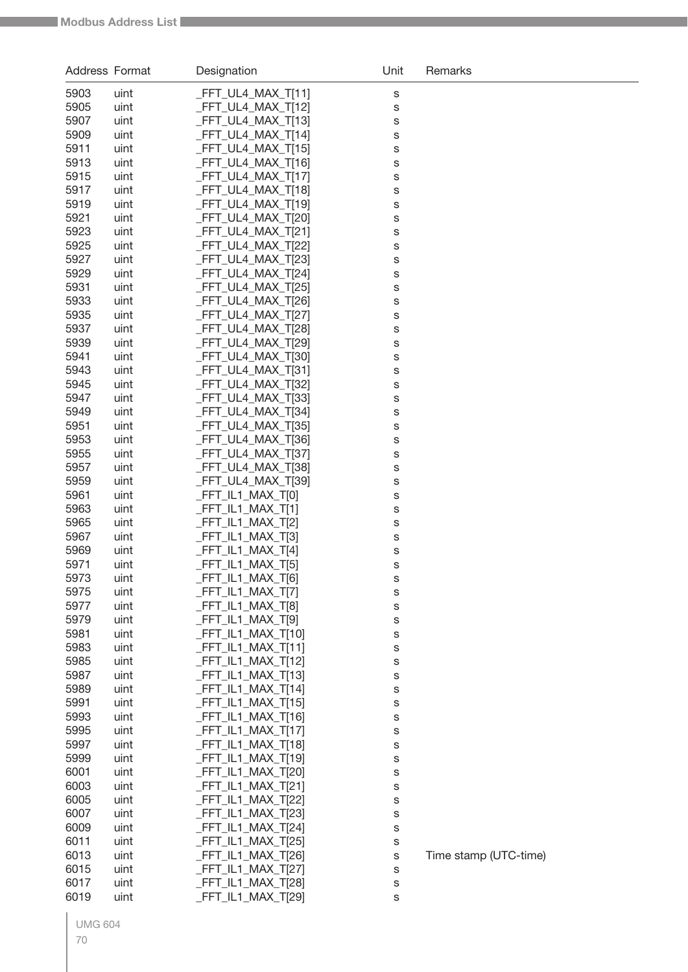| <b>Address Format</b> |              | Designation                              | Unit                       | Remarks               |
|-----------------------|--------------|------------------------------------------|----------------------------|-----------------------|
| 5903                  | uint         | _FFT_UL4_MAX_T[11]                       | $\mathbb S$                |                       |
| 5905                  | uint         | _FFT_UL4_MAX_T[12]                       | $\mathbb S$                |                       |
| 5907                  | uint         | FFT_UL4_MAX_T[13]                        | S                          |                       |
| 5909                  | uint         | FFT UL4 MAX T[14]                        | S                          |                       |
| 5911                  | uint         | FFT_UL4_MAX_T[15]                        | S                          |                       |
| 5913                  | uint         | FFT_UL4_MAX_T[16]                        | S                          |                       |
| 5915                  | uint         | FFT_UL4_MAX_T[17]                        | S                          |                       |
| 5917                  | uint         | FFT_UL4_MAX_T[18]                        | S                          |                       |
| 5919                  | uint         | FFT_UL4_MAX_T[19]                        | S                          |                       |
| 5921                  | uint         | FFT UL4 MAX T[20]                        | S                          |                       |
| 5923                  | uint         | FFT_UL4_MAX_T[21]                        | S                          |                       |
| 5925                  | uint         | FFT_UL4_MAX_T[22]                        | S                          |                       |
| 5927                  | uint         | FFT_UL4_MAX_T[23]                        | S                          |                       |
| 5929                  | uint         | FFT_UL4_MAX_T[24]<br>FFT UL4 MAX T[25]   | S                          |                       |
| 5931<br>5933          | uint<br>uint | FFT_UL4_MAX_T[26]                        | S                          |                       |
| 5935                  | uint         | FFT_UL4_MAX_T[27]                        | S<br>S                     |                       |
| 5937                  | uint         | FFT_UL4_MAX_T[28]                        | S                          |                       |
| 5939                  | uint         | _FFT_UL4_MAX_T[29]                       | S                          |                       |
| 5941                  | uint         | FFT_UL4_MAX_T[30]                        | S                          |                       |
| 5943                  | uint         | FFT_UL4_MAX_T[31]                        | S                          |                       |
| 5945                  | uint         | FFT_UL4_MAX_T[32]                        | S                          |                       |
| 5947                  | uint         | FFT_UL4_MAX_T[33]                        | S                          |                       |
| 5949                  | uint         | FFT_UL4_MAX_T[34]                        | S                          |                       |
| 5951                  | uint         | FFT_UL4_MAX_T[35]                        | S                          |                       |
| 5953                  | uint         | FFT_UL4_MAX_T[36]                        | S                          |                       |
| 5955                  | uint         | FFT_UL4_MAX_T[37]                        | S                          |                       |
| 5957                  | uint         | FFT_UL4_MAX_T[38]                        | S                          |                       |
| 5959                  | uint         | _FFT_UL4_MAX_T[39]                       | S                          |                       |
| 5961                  | uint         | FFT_IL1_MAX_T[0]                         | $\mathbb S$                |                       |
| 5963                  | uint         | FFT_IL1_MAX_T[1]                         | $\mathbb S$                |                       |
| 5965<br>5967          | uint<br>uint | FFT IL1 MAX T[2]<br>FFT_IL1_MAX_T[3]     | $\mathbb S$                |                       |
| 5969                  | uint         | FFT_IL1_MAX_T[4]                         | $\mathbb S$<br>$\mathbb S$ |                       |
| 5971                  | uint         | FFT_IL1_MAX_T[5]                         | s                          |                       |
| 5973                  | uint         | _FFT_IL1_MAX_T[6]                        | S                          |                       |
| 5975                  | uint         | _FFT_IL1_MAX_T[7]                        | s                          |                       |
| 5977                  | uint         | FFT_IL1_MAX_T[8]                         | s                          |                       |
| 5979                  | uint         | FFT_IL1_MAX_T[9]                         | s                          |                       |
| 5981                  | uint         | _FFT_IL1_MAX_T[10]                       | S                          |                       |
| 5983                  | uint         | $FFT_lL1_MAX_T[11]$                      | S                          |                       |
| 5985                  | uint         | _FFT_IL1_MAX_T[12]                       | S                          |                       |
| 5987                  | uint         | _FFT_IL1_MAX_T[13]                       | S                          |                       |
| 5989                  | uint         | _FFT_IL1_MAX_T[14]                       | s                          |                       |
| 5991                  | uint         | _FFT_IL1_MAX_T[15]                       | S                          |                       |
| 5993                  | uint         | _FFT_IL1_MAX_T[16]                       | S                          |                       |
| 5995                  | uint         | _FFT_IL1_MAX_T[17]                       | S                          |                       |
| 5997                  | uint         | _FFT_IL1_MAX_T[18]                       | S                          |                       |
| 5999<br>6001          | uint<br>uint | _FFT_IL1_MAX_T[19]<br>_FFT_IL1_MAX_T[20] | S                          |                       |
| 6003                  | uint         | _FFT_IL1_MAX_T[21]                       | S                          |                       |
| 6005                  | uint         | _FFT_IL1_MAX_T[22]                       | S<br>S                     |                       |
| 6007                  | uint         | _FFT_IL1_MAX_T[23]                       | S                          |                       |
| 6009                  | uint         | FFT_IL1_MAX_T[24]                        | S                          |                       |
| 6011                  | uint         | _FFT_IL1_MAX_T[25]                       | S                          |                       |
| 6013                  | uint         | _FFT_IL1_MAX_T[26]                       | S                          | Time stamp (UTC-time) |
| 6015                  | uint         | _FFT_IL1_MAX_T[27]                       | S                          |                       |
| 6017                  | uint         | _FFT_IL1_MAX_T[28]                       | S                          |                       |
| 6019                  | uint         | _FFT_IL1_MAX_T[29]                       | s                          |                       |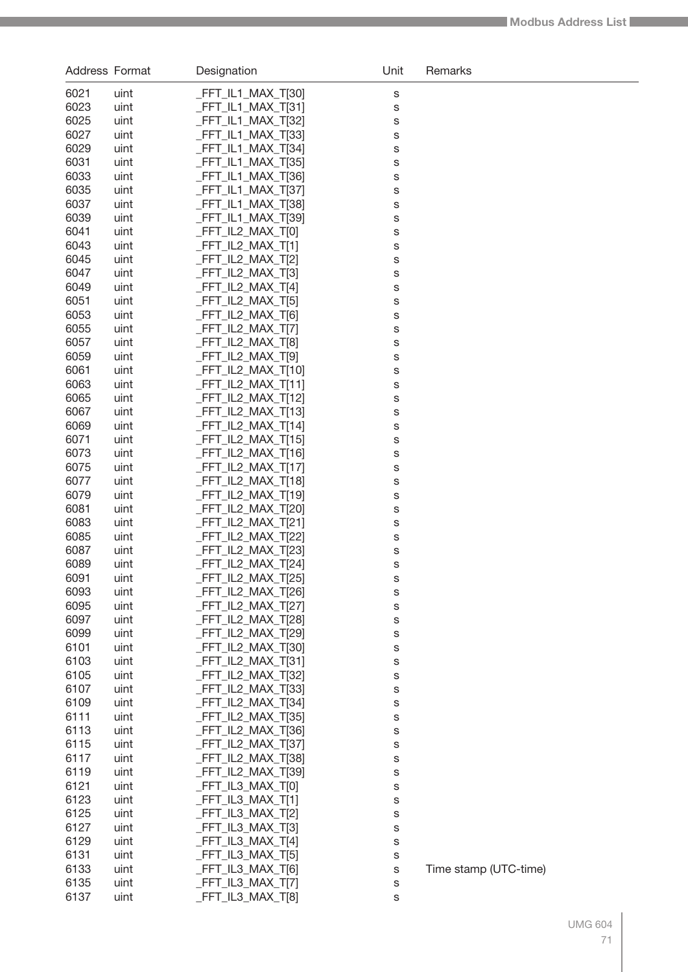| Address Format |              | Designation                                | Unit   | Remarks               |
|----------------|--------------|--------------------------------------------|--------|-----------------------|
| 6021           | uint         | $-FFT_lL1_MAX_T[30]$                       | S      |                       |
| 6023           | uint         | $-FFT_lL1_MAX_T[31]$                       | S      |                       |
| 6025           | uint         | _FFT_IL1_MAX_T[32]                         | S      |                       |
| 6027           | uint         | _FFT_IL1_MAX_T[33]                         | S      |                       |
| 6029           | uint         | $-FFT_lL1_MAX_T[34]$                       | S      |                       |
| 6031           | uint         | $-FFT_lL1_MAX_T[35]$                       | S      |                       |
| 6033           | uint         | $-FFT_lL1_MAX_T[36]$                       | S      |                       |
| 6035           | uint         | FFT IL1 MAX T[37]                          | S      |                       |
| 6037           | uint         | FFT IL1 MAX T[38]                          | S      |                       |
| 6039           | uint         | _FFT_IL1_MAX_T[39]                         | S      |                       |
| 6041           | uint         | _FFT_IL2_MAX_T[0]                          | S      |                       |
| 6043           | uint         | $-FFT_lL2_MAX_T[1]$                        | S      |                       |
| 6045           | uint         | _FFT_IL2_MAX_T[2]                          | S      |                       |
| 6047<br>6049   | uint<br>uint | $-FFT_lL2_MAX_T3$<br>$-FFT_lL2_MAX_T[4]$   | S      |                       |
| 6051           | uint         | _FFT_IL2_MAX_T[5]                          | S<br>S |                       |
| 6053           | uint         | $-FFT$ _IL2_MAX_T[6]                       | S      |                       |
| 6055           | uint         | _FFT_IL2_MAX_T[7]                          | S      |                       |
| 6057           | uint         | _FFT_IL2_MAX_T[8]                          | S      |                       |
| 6059           | uint         | $-FFT_lL2_MAX_T[9]$                        | S      |                       |
| 6061           | uint         | $-FFT_lL2_MAX_T[10]$                       | S      |                       |
| 6063           | uint         | $-FFT_lL2_MAX_T[11]$                       | S      |                       |
| 6065           | uint         | $-FFT_lL2_MAX_lT[12]$                      | S      |                       |
| 6067           | uint         | $-FFT_lL2_MAX_lT[13]$                      | S      |                       |
| 6069           | uint         | $-FFT_lL2_MAX_lT[14]$                      | S      |                       |
| 6071           | uint         | $-FFT_lL2_MAX_lT[15]$                      | S      |                       |
| 6073           | uint         | $-FFT_lL2_MAX_lT[16]$                      | S      |                       |
| 6075           | uint         | $-FFT_lL2_MAX_lT[17]$                      | S      |                       |
| 6077           | uint         | $-FFT_lL2_MAX_lT[18]$                      | S      |                       |
| 6079           | uint         | $-FFT_lL2_MAX_T[19]$                       | S      |                       |
| 6081           | uint         | _FFT_IL2_MAX_T[20]                         | S      |                       |
| 6083           | uint         | $-FFT_lL2_MAX_T[21]$                       | S      |                       |
| 6085           | uint         | _FFT_IL2_MAX_T[22]                         | S      |                       |
| 6087<br>6089   | uint         | _FFT_IL2_MAX_T[23]                         | S      |                       |
| 6091           | uint<br>uint | $-FFT_lL2_MAX_T[24]$<br>FFT_IL2_MAX_T[25]  | S<br>S |                       |
| 6093           | uint         | $-FFT_lL2_MAX_T[26]$                       | s      |                       |
| 6095           | uint         | _FFT_IL2_MAX_T[27]                         | S      |                       |
| 6097           | uint         | _FFT_IL2_MAX_T[28]                         | S      |                       |
| 6099           | uint         | _FFT_IL2_MAX_T[29]                         | S      |                       |
| 6101           | uint         | FFT IL2 MAX T[30]                          | S      |                       |
| 6103           | uint         | FFT IL2 MAX T[31]                          | S      |                       |
| 6105           | uint         | _FFT_IL2_MAX_T[32]                         | S      |                       |
| 6107           | uint         | <b>FFT_IL2_MAX_T[33]</b>                   | S      |                       |
| 6109           | uint         | _FFT_IL2_MAX_T[34]                         | S      |                       |
| 6111           | uint         | FFT IL2 MAX T[35]                          | S      |                       |
| 6113           | uint         | _FFT_IL2_MAX_T[36]                         | S      |                       |
| 6115           | uint         | _FFT_IL2_MAX_T[37]                         | S      |                       |
| 6117           | uint         | _FFT_IL2_MAX_T[38]                         | S      |                       |
| 6119           | uint         | _FFT_IL2_MAX_T[39]                         | s      |                       |
| 6121           | uint         | $-FFT_IL3_MAX_T[0]$                        | s      |                       |
| 6123           | uint         | $-FFT_IL3_MAX_T[1]$                        | S      |                       |
| 6125<br>6127   | uint         | $-FFT_IL3_MAX_T[2]$<br>$-FFT_IL3_MAX_T[3]$ | S      |                       |
| 6129           | uint<br>uint | $FFT_IL3_MAX_T[4]$                         | S<br>S |                       |
| 6131           | uint         | $-FFT_lL3_MAX_T[5]$                        | s      |                       |
| 6133           | uint         | $-FFT_lL3_MAX_T[6]$                        | s      | Time stamp (UTC-time) |
| 6135           | uint         | $-FFT_IL3_MAX_T77$                         | s      |                       |
| 6137           | uint         | $-FFT_IL3_MAX_T[8]$                        | S      |                       |
|                |              |                                            |        |                       |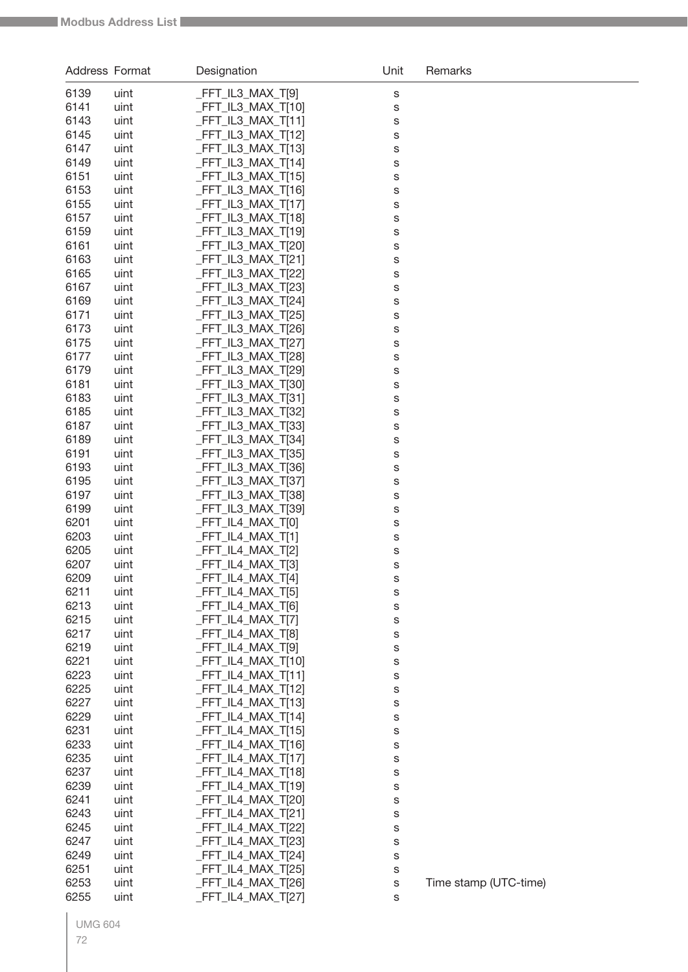| Address Format |              | Designation                              | Unit        | Remarks               |
|----------------|--------------|------------------------------------------|-------------|-----------------------|
| 6139           | uint         | FFT_IL3_MAX_T[9]                         | S           |                       |
| 6141           | uint         | $FFT_lL3_MAX_T[10]$                      | S           |                       |
| 6143           | uint         | _FFT_IL3_MAX_T[11]                       | S           |                       |
| 6145           | uint         | FFT IL3 MAX T[12]                        | S           |                       |
| 6147           | uint         | FFT_IL3_MAX_T[13]                        | S           |                       |
| 6149           | uint         | _FFT_IL3_MAX_T[14]                       | S           |                       |
| 6151           | uint         | FFT_IL3_MAX_T[15]                        | S           |                       |
| 6153<br>6155   | uint<br>uint | FFT_IL3_MAX_T[16]<br>FFT IL3 MAX T[17]   | S           |                       |
| 6157           | uint         | FFT_IL3_MAX_T[18]                        | S<br>S      |                       |
| 6159           | uint         | FFT_IL3_MAX_T[19]                        | S           |                       |
| 6161           | uint         | FFT_IL3_MAX_T[20]                        | S           |                       |
| 6163           | uint         | FFT_IL3_MAX_T[21]                        | S           |                       |
| 6165           | uint         | _FFT_IL3_MAX_T[22]                       | S           |                       |
| 6167           | uint         | FFT_IL3_MAX_T[23]                        | S           |                       |
| 6169           | uint         | FFT_IL3_MAX_T[24]                        | S           |                       |
| 6171           | uint         | FFT_IL3_MAX_T[25]                        | S           |                       |
| 6173           | uint         | _FFT_IL3_MAX_T[26]                       | S           |                       |
| 6175<br>6177   | uint         | _FFT_IL3_MAX_T[27]<br>FFT IL3 MAX T[28]  | S           |                       |
| 6179           | uint<br>uint | FFT_IL3_MAX_T[29]                        | S<br>S      |                       |
| 6181           | uint         | _FFT_IL3_MAX_T[30]                       | S           |                       |
| 6183           | uint         | _FFT_IL3_MAX_T[31]                       | S           |                       |
| 6185           | uint         | FFT_IL3_MAX_T[32]                        | S           |                       |
| 6187           | uint         | FFT_IL3_MAX_T[33]                        | S           |                       |
| 6189           | uint         | FFT_IL3_MAX_T[34]                        | S           |                       |
| 6191           | uint         | FFT_IL3_MAX_T[35]                        | S           |                       |
| 6193           | uint         | FFT_IL3_MAX_T[36]                        | S           |                       |
| 6195           | uint         | _FFT_IL3_MAX_T[37]                       | S           |                       |
| 6197<br>6199   | uint<br>uint | FFT_IL3_MAX_T[38]<br>FFT IL3 MAX T[39]   | S           |                       |
| 6201           | uint         | FFT IL4 MAX T[0]                         | S<br>S      |                       |
| 6203           | uint         | FFT_IL4_MAX_T[1]                         | $\mathbb S$ |                       |
| 6205           | uint         | FFT IL4 MAX T[2]                         | s           |                       |
| 6207           | uint         | FFT_IL4_MAX_T[3]                         | S           |                       |
| 6209           | uint         | _FFT_IL4_MAX_T[4]                        | S           |                       |
| 6211           | uint         | _FFT_IL4_MAX_T[5]                        | S           |                       |
| 6213           | uint         | FFT_IL4_MAX_T[6]                         | S           |                       |
| 6215           | uint         | _FFT_IL4_MAX_T[7]                        | S           |                       |
| 6217<br>6219   | uint         | _FFT_IL4_MAX_T[8]<br>FFT_IL4_MAX_T[9]    | S           |                       |
| 6221           | uint<br>uint | _FFT_IL4_MAX_T[10]                       | S<br>S      |                       |
| 6223           | uint         | _FFT_IL4_MAX_T[11]                       | S           |                       |
| 6225           | uint         | _FFT_IL4_MAX_T[12]                       | S           |                       |
| 6227           | uint         | _FFT_IL4_MAX_T[13]                       | S           |                       |
| 6229           | uint         | FFT_IL4_MAX_T[14]                        | S           |                       |
| 6231           | uint         | _FFT_IL4_MAX_T[15]                       | S           |                       |
| 6233           | uint         | _FFT_IL4_MAX_T[16]                       | S           |                       |
| 6235           | uint         | _FFT_IL4_MAX_T[17]                       | S           |                       |
| 6237           | uint         | _FFT_IL4_MAX_T[18]                       | S           |                       |
| 6239           | uint         | _FFT_IL4_MAX_T[19]                       | S           |                       |
| 6241<br>6243   | uint<br>uint | _FFT_IL4_MAX_T[20]<br>_FFT_IL4_MAX_T[21] | S<br>S      |                       |
| 6245           | uint         | _FFT_IL4_MAX_T[22]                       | S           |                       |
| 6247           | uint         | _FFT_IL4_MAX_T[23]                       | S           |                       |
| 6249           | uint         | _FFT_IL4_MAX_T[24]                       | S           |                       |
| 6251           | uint         | _FFT_IL4_MAX_T[25]                       | S           |                       |
| 6253           | uint         | _FFT_IL4_MAX_T[26]                       | S           | Time stamp (UTC-time) |
| 6255           | uint         | FFT_IL4_MAX_T[27]                        | S           |                       |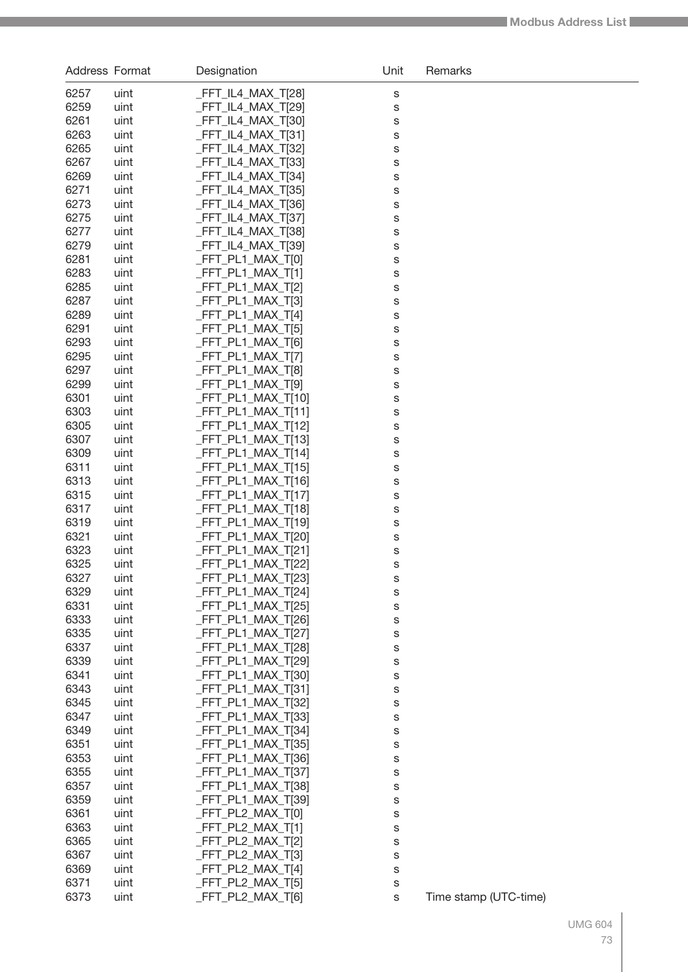| <b>Address Format</b> |              | Designation                                  | Unit   | Remarks               |
|-----------------------|--------------|----------------------------------------------|--------|-----------------------|
| 6257                  | uint         | _FFT_IL4_MAX_T[28]                           | S      |                       |
| 6259                  | uint         | $-FFT_lLA_MAX_T[29]$                         | S      |                       |
| 6261                  | uint         | $-FFT_lLA_MAX_T[30]$                         | S      |                       |
| 6263                  | uint         | $-FFT_lLA_MAX_T[31]$                         | S      |                       |
| 6265                  | uint         | $-FFT_lL4_MAX_T[32]$                         | S      |                       |
| 6267                  | uint         | $-FFT_lLA_MAX_T[33]$                         | S      |                       |
| 6269                  | uint         | $-FFT_lLA_MAX_T[34]$                         | S      |                       |
| 6271                  | uint         | FFT IL4 MAX T[35]                            | S      |                       |
| 6273                  | uint         | FFT IL4 MAX T[36]                            | S      |                       |
| 6275                  | uint         | FFT IL4 MAX T[37]                            | S      |                       |
| 6277                  | uint         | _FFT_IL4_MAX_T[38]                           | S      |                       |
| 6279                  | uint         | $-FFT_lLA_MAX_T[39]$                         | S      |                       |
| 6281                  | uint         | $-FFT_PL1_MAX_T[0]$                          | S      |                       |
| 6283                  | uint         | $-FFT_PL1_MAX_T[1]$                          | S      |                       |
| 6285                  | uint         | $-FFT_PL1_MAX_T[2]$                          | S      |                       |
| 6287                  | uint         | $-FFT_PL1_MAX_T3$                            | S      |                       |
| 6289                  | uint         | $-FFT_PL1_MAX_T[4]$                          | S      |                       |
| 6291                  | uint         | $-FFT_PL1_MAX_T[5]$                          | S      |                       |
| 6293                  | uint         | $-FFT_PL1_MAX_T[6]$                          | S      |                       |
| 6295                  | uint         | $-FFT_PL1_MAX_T7]$                           | S      |                       |
| 6297                  | uint         | $-FFT_PL1_MAX_T[8]$                          | S      |                       |
| 6299<br>6301          | uint         | $-FFT_PL1_MAX_T[9]$                          | S      |                       |
| 6303                  | uint<br>uint | $-FFT_PL1_MAX_T[10]$<br>$-FFT_PL1_MAX_T[11]$ | S      |                       |
| 6305                  | uint         | $-FFT_PL1_MAX_T[12]$                         | S<br>S |                       |
| 6307                  | uint         | $-FFT_PL1_MAX_T[13]$                         | S      |                       |
| 6309                  | uint         | $-FFT_PL1_MAX_T[14]$                         | S      |                       |
| 6311                  | uint         | $-FFT_PL1_MAX_T[15]$                         | S      |                       |
| 6313                  | uint         | $-FFT_PL1_MAX_T[16]$                         | S      |                       |
| 6315                  | uint         | $-FFT_PL1_MAX_T[17]$                         | S      |                       |
| 6317                  | uint         | $-FFT_PL1_MAX_T[18]$                         | S      |                       |
| 6319                  | uint         | $-FFT_PL1_MAX_T[19]$                         | S      |                       |
| 6321                  | uint         | $-FFT_PL1_MAX_T[20]$                         | S      |                       |
| 6323                  | uint         | $-FFT_PL1_MAX_T[21]$                         | S      |                       |
| 6325                  | uint         | _FFT_PL1_MAX_T[22]                           | S      |                       |
| 6327                  | uint         | FFT_PL1_MAX_T[23]                            | S      |                       |
| 6329                  | uint         | $-FFT_PL1_MAX_T[24]$                         | S      |                       |
| 6331                  | uint         | FFT PL1 MAX T[25]                            | S      |                       |
| 6333                  | uint         | $-FFT_PL1_MAX_T[26]$                         | S      |                       |
| 6335                  | uint         | $-FFT_PL1_MAX_T[27]$                         | S      |                       |
| 6337                  | uint         | $-FFT_PL1_MAX_T[28]$                         | S      |                       |
| 6339                  | uint         | FFT PL1 MAX T[29]                            | S      |                       |
| 6341                  | uint         | $-FFT_PL1_MAX_T[30]$                         | S      |                       |
| 6343                  | uint         | FFT PL1 MAX T[31]                            | S      |                       |
| 6345                  | uint         | $-FFT_PL1_MAX_T[32]$                         | S      |                       |
| 6347<br>6349          | uint<br>uint | $-FFT_PL1_MAX_T[33]$<br>$-FFT_PL1_MAX_T[34]$ | S      |                       |
| 6351                  | uint         | $-FFT_PL1_MAX_T[35]$                         | S<br>S |                       |
| 6353                  | uint         | $-FFT_PL1_MAX_T[36]$                         | S      |                       |
| 6355                  | uint         | $-FFT_PL1_MAX_T[37]$                         | S      |                       |
| 6357                  | uint         | $-FFT_PL1_MAX_T[38]$                         | S      |                       |
| 6359                  | uint         | _FFT_PL1_MAX_T[39]                           | S      |                       |
| 6361                  | uint         | $-FFT_PL2_MAX_T[0]$                          | S      |                       |
| 6363                  | uint         | $-FFT_PL2_MAX_T[1]$                          | S      |                       |
| 6365                  | uint         | $-FFT_PL2_MAX_T[2]$                          | S      |                       |
| 6367                  | uint         | _FFT_PL2_MAX_T[3]                            | S      |                       |
| 6369                  | uint         | _FFT_PL2_MAX_T[4]                            | S      |                       |
| 6371                  | uint         | _FFT_PL2_MAX_T[5]                            | S      |                       |
| 6373                  | uint         | _FFT_PL2_MAX_T[6]                            | S      | Time stamp (UTC-time) |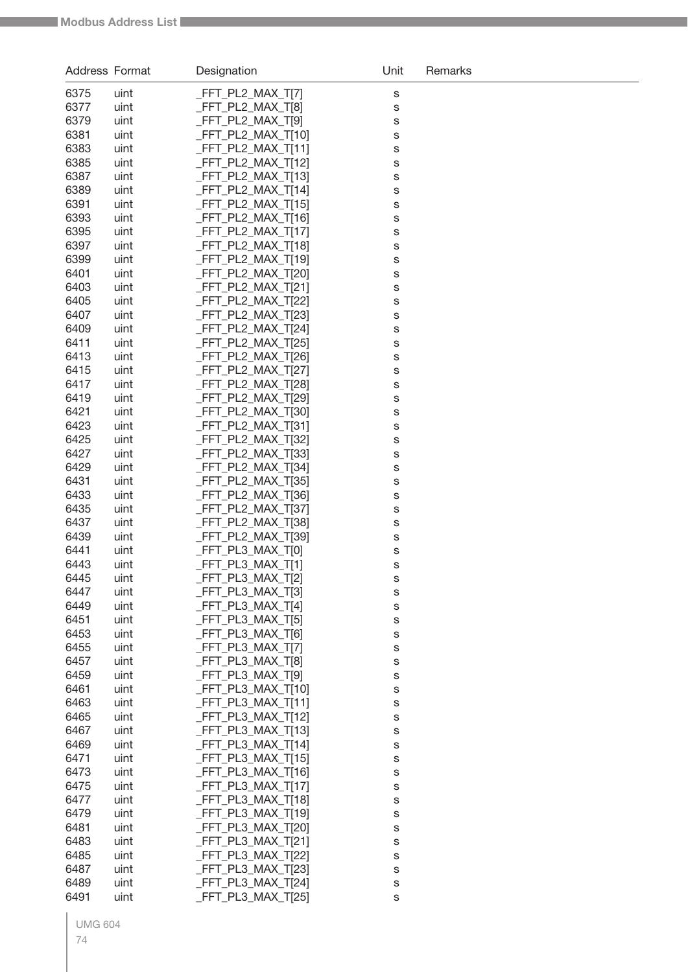| Address Format |              | Designation                             | Unit   | Remarks |
|----------------|--------------|-----------------------------------------|--------|---------|
| 6375           | uint         | _FFT_PL2_MAX_T[7]                       | S      |         |
| 6377           | uint         | FFT_PL2_MAX_T[8]                        | S      |         |
| 6379           | uint         | FFT_PL2_MAX_T[9]                        | S      |         |
| 6381           | uint         | FFT_PL2_MAX_T[10]                       | S      |         |
| 6383           | uint         | FFT_PL2_MAX_T[11]                       | S      |         |
| 6385           | uint         | FFT_PL2_MAX_T[12]                       | S      |         |
| 6387           | uint         | FFT_PL2_MAX_T[13]                       | S      |         |
| 6389           | uint         | FFT PL2 MAX T[14]                       | S      |         |
| 6391           | uint         | FFT_PL2_MAX_T[15]                       | S      |         |
| 6393           | uint         | FFT_PL2_MAX_T[16]                       | S      |         |
| 6395           | uint         | FFT_PL2_MAX_T[17]                       | S      |         |
| 6397           | uint         | FFT_PL2_MAX_T[18]                       | S      |         |
| 6399           | uint         | FFT_PL2_MAX_T[19]                       | S      |         |
| 6401           | uint         | FFT_PL2_MAX_T[20]                       | S      |         |
| 6403           | uint         | FFT_PL2_MAX_T[21]                       | S      |         |
| 6405           | uint         | FFT_PL2_MAX_T[22]                       | S      |         |
| 6407           | uint         | FFT_PL2_MAX_T[23]                       | S      |         |
| 6409           | uint         | FFT_PL2_MAX_T[24]                       | S      |         |
| 6411<br>6413   | uint<br>uint | FFT_PL2_MAX_T[25]<br>FFT PL2 MAX T[26]  | S      |         |
| 6415           | uint         | FFT_PL2_MAX_T[27]                       | S<br>S |         |
| 6417           | uint         | FFT_PL2_MAX_T[28]                       | S      |         |
| 6419           | uint         | FFT_PL2_MAX_T[29]                       | S      |         |
| 6421           | uint         | FFT_PL2_MAX_T[30]                       | S      |         |
| 6423           | uint         | FFT_PL2_MAX_T[31]                       | S      |         |
| 6425           | uint         | FFT_PL2_MAX_T[32]                       | S      |         |
| 6427           | uint         | FFT_PL2_MAX_T[33]                       | S      |         |
| 6429           | uint         | FFT_PL2_MAX_T[34]                       | S      |         |
| 6431           | uint         | FFT_PL2_MAX_T[35]                       | S      |         |
| 6433           | uint         | FFT_PL2_MAX_T[36]                       | S      |         |
| 6435           | uint         | FFT_PL2_MAX_T[37]                       | S      |         |
| 6437           | uint         | FFT_PL2_MAX_T[38]                       | S      |         |
| 6439           | uint         | FFT_PL2_MAX_T[39]                       | S      |         |
| 6441           | uint         | FFT_PL3_MAX_T[0]                        | S      |         |
| 6443           | uint         | _FFT_PL3_MAX_T[1]                       | S      |         |
| 6445           | uint         | _FFT_PL3_MAX_T[2]                       | s      |         |
| 6447           | uint         | _FFT_PL3_MAX_T[3]                       | S      |         |
| 6449<br>6451   | uint<br>uint | _FFT_PL3_MAX_T[4]<br>_FFT_PL3_MAX_T[5]  | S      |         |
| 6453           | uint         | FFT_PL3_MAX_T[6]                        | S      |         |
| 6455           | uint         | FFT_PL3_MAX_T[7]                        | S<br>S |         |
| 6457           | uint         | FFT_PL3_MAX_T[8]                        | S      |         |
| 6459           | uint         | FFT_PL3_MAX_T[9]                        | S      |         |
| 6461           | uint         | _FFT_PL3_MAX_T[10]                      | S      |         |
| 6463           | uint         | _FFT_PL3_MAX_T[11]                      | S      |         |
| 6465           | uint         | FFT PL3 MAX T[12]                       | S      |         |
| 6467           | uint         | FFT_PL3_MAX_T[13]                       | S      |         |
| 6469           | uint         | _FFT_PL3_MAX_T[14]                      | S      |         |
| 6471           | uint         | FFT_PL3_MAX_T[15]                       | S      |         |
| 6473           | uint         | FFT_PL3_MAX_T[16]                       | S      |         |
| 6475           | uint         | FFT_PL3_MAX_T[17]                       | S      |         |
| 6477           | uint         | FFT_PL3_MAX_T[18]                       | S      |         |
| 6479           | uint         | FFT_PL3_MAX_T[19]                       | S      |         |
| 6481           | uint         | _FFT_PL3_MAX_T[20]                      | S      |         |
| 6483           | uint         | _FFT_PL3_MAX_T[21]                      | S      |         |
| 6485           | uint         | _FFT_PL3_MAX_T[22]                      | S      |         |
| 6487<br>6489   | uint<br>uint | _FFT_PL3_MAX_T[23]<br>FFT_PL3_MAX_T[24] | S      |         |
| 6491           | uint         | _FFT_PL3_MAX_T[25]                      | S<br>S |         |
|                |              |                                         |        |         |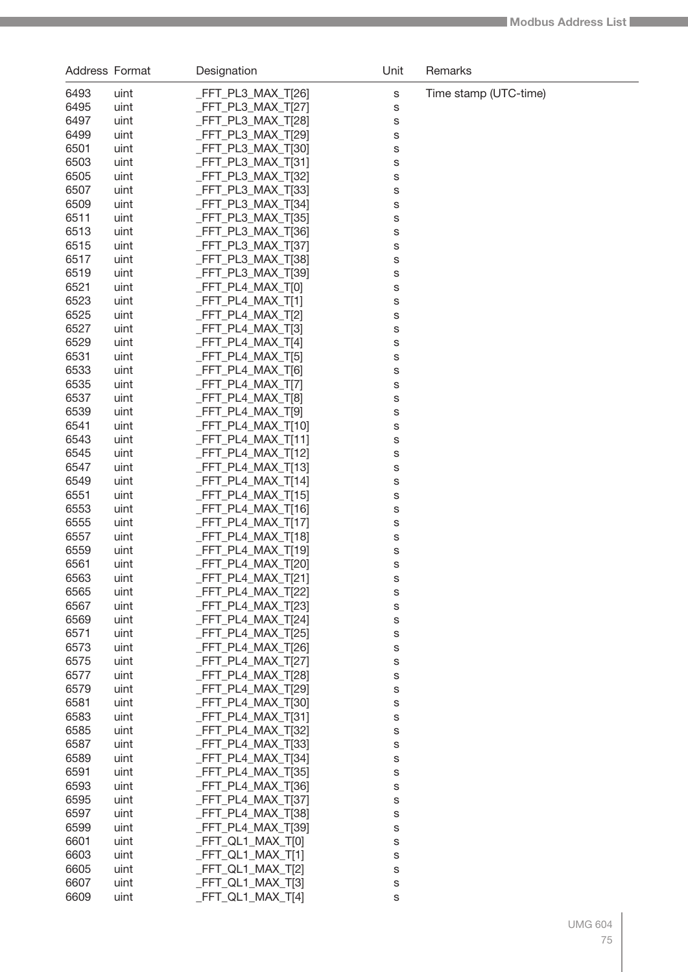| Address Format |              | Designation                                | Unit   | Remarks               |
|----------------|--------------|--------------------------------------------|--------|-----------------------|
| 6493           | uint         | $-FFT_PL3_MAX_T[26]$                       | S      | Time stamp (UTC-time) |
| 6495           | uint         | _FFT_PL3_MAX_T[27]                         | S      |                       |
| 6497           | uint         | _FFT_PL3_MAX_T[28]                         | S      |                       |
| 6499           | uint         | _FFT_PL3_MAX_T[29]                         | S      |                       |
| 6501           | uint         | _FFT_PL3_MAX_T[30]                         | S      |                       |
| 6503           | uint         | _FFT_PL3_MAX_T[31]                         | S      |                       |
| 6505           | uint         | _FFT_PL3_MAX_T[32]                         | S      |                       |
| 6507           | uint         | _FFT_PL3_MAX_T[33]                         | S      |                       |
| 6509           | uint         | $-FFT_PL3_MAX_T[34]$                       | S      |                       |
| 6511           | uint         | _FFT_PL3_MAX_T[35]                         | S      |                       |
| 6513           | uint         | $-FFT_PL3_MAX_T[36]$                       | S      |                       |
| 6515           | uint         | $-FFT_PL3_MAX_T[37]$                       | S      |                       |
| 6517           | uint         | _FFT_PL3_MAX_T[38]                         | S      |                       |
| 6519           | uint         | _FFT_PL3_MAX_T[39]                         | S      |                       |
| 6521           | uint         | _FFT_PL4_MAX_T[0]                          | S      |                       |
| 6523           | uint         | $-FFT_PL4_MAX_T[1]$                        | S      |                       |
| 6525           | uint         | $-FFT_PL4_MAX_T[2]$                        | S      |                       |
| 6527<br>6529   | uint<br>uint | $-FFT_PL4_MAX_T[3]$<br>FFT_PL4_MAX_T[4]    | S      |                       |
| 6531           | uint         | _FFT_PL4_MAX_T[5]                          | S<br>S |                       |
| 6533           | uint         | FFT_PL4_MAX_T[6]                           | S      |                       |
| 6535           | uint         | _FFT_PL4_MAX_T[7]                          | S      |                       |
| 6537           | uint         | _FFT_PL4_MAX_T[8]                          | S      |                       |
| 6539           | uint         | FFT_PL4_MAX_T[9]                           | S      |                       |
| 6541           | uint         | _FFT_PL4_MAX_T[10]                         | S      |                       |
| 6543           | uint         | $-FFT_PLA_MAX_T[11]$                       | S      |                       |
| 6545           | uint         | _FFT_PL4_MAX_T[12]                         | S      |                       |
| 6547           | uint         | $-FFT_PL4_MAX_T[13]$                       | S      |                       |
| 6549           | uint         | _FFT_PL4_MAX_T[14]                         | S      |                       |
| 6551           | uint         | _FFT_PL4_MAX_T[15]                         | S      |                       |
| 6553           | uint         | _FFT_PL4_MAX_T[16]                         | S      |                       |
| 6555           | uint         | _FFT_PL4_MAX_T[17]                         | S      |                       |
| 6557           | uint         | _FFT_PL4_MAX_T[18]                         | S      |                       |
| 6559           | uint         | _FFT_PL4_MAX_T[19]                         | S      |                       |
| 6561           | uint         | _FFT_PL4_MAX_T[20]                         | S      |                       |
| 6563           | uint         | _FFT_PL4_MAX_T[21]                         | S      |                       |
| 6565<br>6567   | uint         | $-FFT_PL4_MAX_T[22]$<br>_FFT_PL4_MAX_T[23] | S      |                       |
| 6569           | uint<br>uint | FFT PL4 MAX T[24]                          | S<br>S |                       |
| 6571           | uint         | $-FFT_PL4_MAX_T[25]$                       | S      |                       |
| 6573           | uint         | $-FFT_PL4_MAX_T[26]$                       | S      |                       |
| 6575           | uint         | FFT PL4 MAX T[27]                          | S      |                       |
| 6577           | uint         | FFT PL4 MAX T[28]                          | S      |                       |
| 6579           | uint         | FFT PL4 MAX T[29]                          | S      |                       |
| 6581           | uint         | FFT PL4 MAX T[30]                          | S      |                       |
| 6583           | uint         | $-FFT_PL4_MAX_T[31]$                       | S      |                       |
| 6585           | uint         | FFT PL4 MAX T[32]                          | S      |                       |
| 6587           | uint         | $-FFT_PL4_MAX_T[33]$                       | S      |                       |
| 6589           | uint         | $-FFT_PL4_MAX_T[34]$                       | S      |                       |
| 6591           | uint         | $-FFT_PL4_MAX_T[35]$                       | S      |                       |
| 6593           | uint         | $-FFT_PL4_MAX_T[36]$                       | S      |                       |
| 6595           | uint         | $-FFT_PL4_MAX_T[37]$                       | S      |                       |
| 6597           | uint         | $-FFT_PL4_MAX_T[38]$                       | S      |                       |
| 6599           | uint         | _FFT_PL4_MAX_T[39]                         | S      |                       |
| 6601           | uint         | _FFT_QL1_MAX_T[0]                          | S      |                       |
| 6603<br>6605   | uint         | _FFT_QL1_MAX_T[1]<br>_FFT_QL1_MAX_T[2]     | S      |                       |
| 6607           | uint<br>uint | _FFT_QL1_MAX_T[3]                          | S<br>S |                       |
| 6609           | uint         | $-FFT_QL1_MAX_T[4]$                        | S      |                       |
|                |              |                                            |        |                       |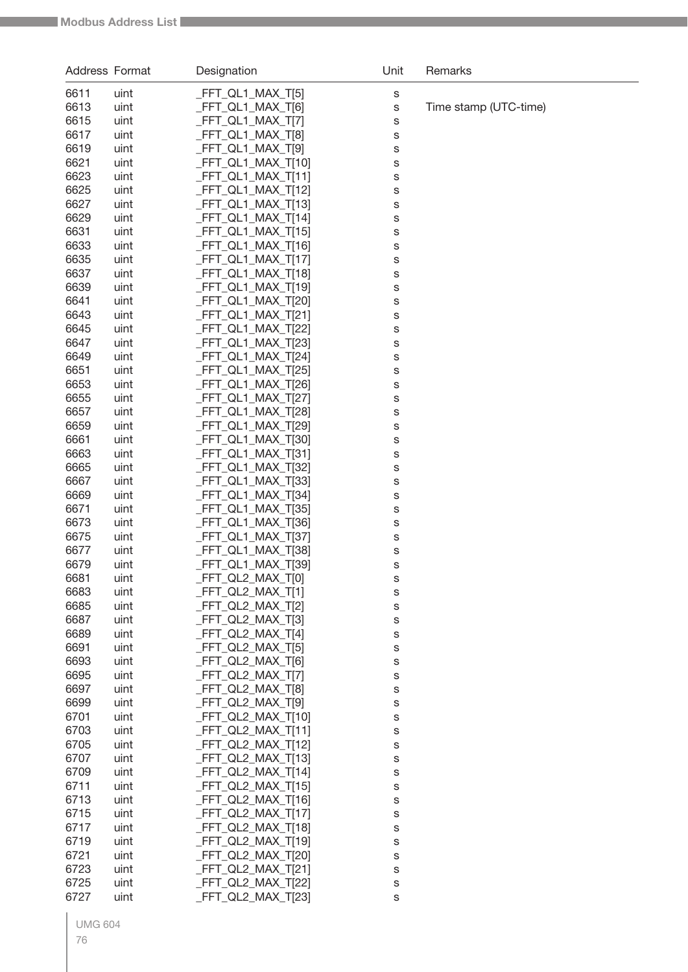| Address Format |              | Designation                              | Unit        | Remarks               |
|----------------|--------------|------------------------------------------|-------------|-----------------------|
| 6611           | uint         | _FFT_QL1_MAX_T[5]                        | S           |                       |
| 6613           | uint         | _FFT_QL1_MAX_T[6]                        | $\mathbb S$ | Time stamp (UTC-time) |
| 6615           | uint         | _FFT_QL1_MAX_T[7]                        | S           |                       |
| 6617           | uint         | _FFT_QL1_MAX_T[8]                        | S           |                       |
| 6619           | uint         | _FFT_QL1_MAX_T[9]                        | S           |                       |
| 6621           | uint         | _FFT_QL1_MAX_T[10]                       | S           |                       |
| 6623           | uint         | _FFT_QL1_MAX_T[11]                       | S           |                       |
| 6625           | uint         | _FFT_QL1_MAX_T[12]                       | S           |                       |
| 6627           | uint         | _FFT_QL1_MAX_T[13]                       | S           |                       |
| 6629           | uint         | _FFT_QL1_MAX_T[14]                       | S           |                       |
| 6631           | uint         | _FFT_QL1_MAX_T[15]                       | S           |                       |
| 6633<br>6635   | uint<br>uint | _FFT_QL1_MAX_T[16]<br>_FFT_QL1_MAX_T[17] | S           |                       |
| 6637           | uint         | _FFT_QL1_MAX_T[18]                       | S           |                       |
| 6639           | uint         | _FFT_QL1_MAX_T[19]                       | S<br>S      |                       |
| 6641           | uint         | _FFT_QL1_MAX_T[20]                       | S           |                       |
| 6643           | uint         | _FFT_QL1_MAX_T[21]                       | S           |                       |
| 6645           | uint         | _FFT_QL1_MAX_T[22]                       | S           |                       |
| 6647           | uint         | _FFT_QL1_MAX_T[23]                       | S           |                       |
| 6649           | uint         | _FFT_QL1_MAX_T[24]                       | S           |                       |
| 6651           | uint         | _FFT_QL1_MAX_T[25]                       | S           |                       |
| 6653           | uint         | _FFT_QL1_MAX_T[26]                       | S           |                       |
| 6655           | uint         | _FFT_QL1_MAX_T[27]                       | S           |                       |
| 6657           | uint         | _FFT_QL1_MAX_T[28]                       | S           |                       |
| 6659           | uint         | _FFT_QL1_MAX_T[29]                       | S           |                       |
| 6661           | uint         | _FFT_QL1_MAX_T[30]                       | S           |                       |
| 6663           | uint         | _FFT_QL1_MAX_T[31]                       | S           |                       |
| 6665           | uint         | _FFT_QL1_MAX_T[32]                       | S           |                       |
| 6667<br>6669   | uint<br>uint | _FFT_QL1_MAX_T[33]<br>_FFT_QL1_MAX_T[34] | S           |                       |
| 6671           | uint         | _FFT_QL1_MAX_T[35]                       | S<br>S      |                       |
| 6673           | uint         | _FFT_QL1_MAX_T[36]                       | S           |                       |
| 6675           | uint         | _FFT_QL1_MAX_T[37]                       | S           |                       |
| 6677           | uint         | _FFT_QL1_MAX_T[38]                       | S           |                       |
| 6679           | uint         | _FFT_QL1_MAX_T[39]                       | $\mathbb S$ |                       |
| 6681           | uint         | _FFT_QL2_MAX_T[0]                        | S           |                       |
| 6683           | uint         | _FFT_QL2_MAX_T[1]                        | S           |                       |
| 6685           | uint         | _FFT_QL2_MAX_T[2]                        | S           |                       |
| 6687           | uint         | _FFT_QL2_MAX_T[3]                        | S           |                       |
| 6689           | uint         | _FFT_QL2_MAX_T[4]                        | S           |                       |
| 6691           | uint         | _FFT_QL2_MAX_T[5]                        | S           |                       |
| 6693           | uint         | _FFT_QL2_MAX_T[6]                        | S           |                       |
| 6695           | uint         | _FFT_QL2_MAX_T[7]                        | S           |                       |
| 6697<br>6699   | uint         | FFT_QL2_MAX_T[8]<br>FFT_QL2_MAX_T[9]     | S           |                       |
| 6701           | uint<br>uint | _FFT_QL2_MAX_T[10]                       | S           |                       |
| 6703           | uint         | _FFT_QL2_MAX_T[11]                       | S<br>S      |                       |
| 6705           | uint         | _FFT_QL2_MAX_T[12]                       | S           |                       |
| 6707           | uint         | _FFT_QL2_MAX_T[13]                       | S           |                       |
| 6709           | uint         | _FFT_QL2_MAX_T[14]                       | S           |                       |
| 6711           | uint         | _FFT_QL2_MAX_T[15]                       | S           |                       |
| 6713           | uint         | _FFT_QL2_MAX_T[16]                       | S           |                       |
| 6715           | uint         | _FFT_QL2_MAX_T[17]                       | S           |                       |
| 6717           | uint         | _FFT_QL2_MAX_T[18]                       | S           |                       |
| 6719           | uint         | _FFT_QL2_MAX_T[19]                       | S           |                       |
| 6721           | uint         | FFT_QL2_MAX_T[20]                        | S           |                       |
| 6723           | uint         | _FFT_QL2_MAX_T[21]                       | S           |                       |
| 6725           | uint         | FFT_QL2_MAX_T[22]                        | S           |                       |
| 6727           | uint         | FFT_QL2_MAX_T[23]                        | s           |                       |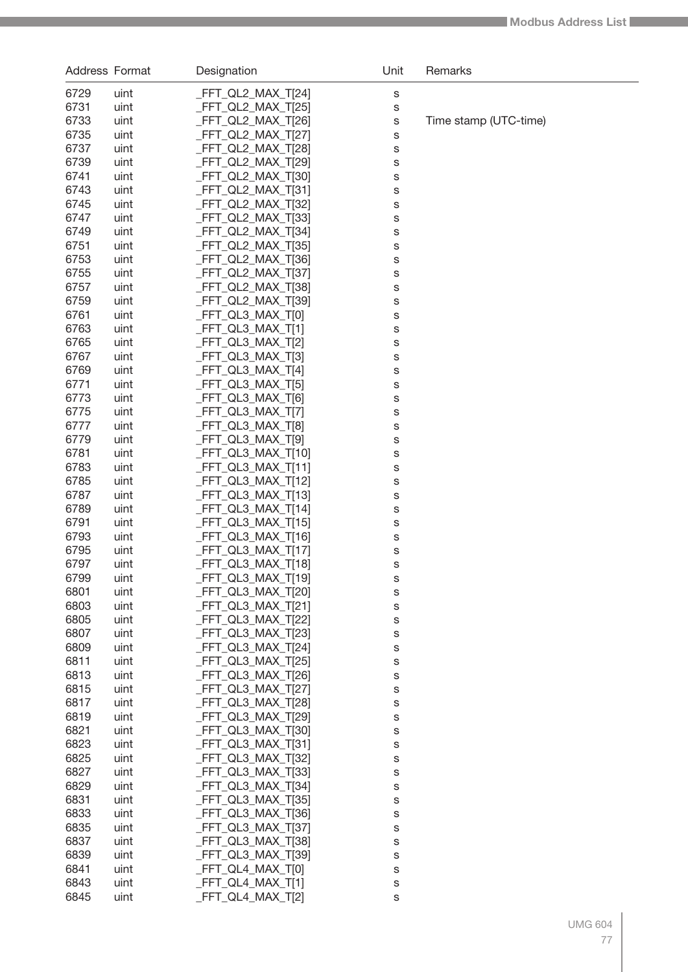| Address Format |              | Designation                              | Unit   | Remarks               |
|----------------|--------------|------------------------------------------|--------|-----------------------|
| 6729           | uint         | FFT_QL2_MAX_T[24]                        | S      |                       |
| 6731           | uint         | FFT_QL2_MAX_T[25]                        | S      |                       |
| 6733           | uint         | FFT_QL2_MAX_T[26]                        | S      | Time stamp (UTC-time) |
| 6735           | uint         | FFT_QL2_MAX_T[27]                        | S      |                       |
| 6737           | uint         | FFT_QL2_MAX_T[28]                        | S      |                       |
| 6739           | uint         | FFT_QL2_MAX_T[29]                        | S      |                       |
| 6741           | uint         | FFT_QL2_MAX_T[30]                        | S      |                       |
| 6743           | uint         | FFT_QL2_MAX_T[31]                        | S      |                       |
| 6745           | uint         | FFT QL2 MAX T[32]                        | S      |                       |
| 6747           | uint         | FFT_QL2_MAX_T[33]                        | S      |                       |
| 6749           | uint         | FFT_QL2_MAX_T[34]                        | S      |                       |
| 6751           | uint         | FFT_QL2_MAX_T[35]                        | S      |                       |
| 6753           | uint         | FFT_QL2_MAX_T[36]                        | S      |                       |
| 6755           | uint         | FFT_QL2_MAX_T[37]                        | S      |                       |
| 6757           | uint         | FFT_QL2_MAX_T[38]                        | S      |                       |
| 6759           | uint         | FFT_QL2_MAX_T[39]                        | S      |                       |
| 6761           | uint         | _FFT_QL3_MAX_T[0]                        | S      |                       |
| 6763           | uint         | FFT QL3 MAX T[1]                         | S      |                       |
| 6765           | uint         | _FFT_QL3_MAX_T[2]                        | S      |                       |
| 6767           | uint         | _FFT_QL3_MAX_T[3]                        | S      |                       |
| 6769           | uint         | _FFT_QL3_MAX_T[4]                        | S      |                       |
| 6771           | uint         | _FFT_QL3_MAX_T[5]                        | S      |                       |
| 6773           | uint         | _FFT_QL3_MAX_T[6]                        | S      |                       |
| 6775           | uint         | _FFT_QL3_MAX_T[7]                        | S      |                       |
| 6777           | uint         | _FFT_QL3_MAX_T[8]                        | S      |                       |
| 6779           | uint         | _FFT_QL3_MAX_T[9]                        | S      |                       |
| 6781           | uint         | _FFT_QL3_MAX_T[10]                       | S      |                       |
| 6783           | uint         | $FFT_QL3_MAX_T[11]$                      | S      |                       |
| 6785           | uint         | FFT_QL3_MAX_T[12]                        | S      |                       |
| 6787           | uint         | _FFT_QL3_MAX_T[13]                       | S      |                       |
| 6789           | uint         | _FFT_QL3_MAX_T[14]                       | S      |                       |
| 6791           | uint         | _FFT_QL3_MAX_T[15]                       | S      |                       |
| 6793           | uint         | _FFT_QL3_MAX_T[16]                       | S      |                       |
| 6795<br>6797   | uint         | _FFT_QL3_MAX_T[17]                       | S      |                       |
| 6799           | uint<br>uint | _FFT_QL3_MAX_T[18]<br>_FFT_QL3_MAX_T[19] | S      |                       |
| 6801           |              | _FFT_QL3_MAX_T[20]                       | s      |                       |
| 6803           | uint<br>uint | FFT_QL3_MAX_T[21]                        | s<br>S |                       |
| 6805           | uint         | FFT QL3 MAX T[22]                        | S      |                       |
| 6807           | uint         | FFT_QL3_MAX_T[23]                        | S      |                       |
| 6809           | uint         | FFT_QL3_MAX_T[24]                        | S      |                       |
| 6811           | uint         | FFT_QL3_MAX_T[25]                        | S      |                       |
| 6813           | uint         | FFT_QL3_MAX_T[26]                        | S      |                       |
| 6815           | uint         | FFT QL3 MAX T[27]                        | S      |                       |
| 6817           | uint         | FFT QL3 MAX T[28]                        | S      |                       |
| 6819           | uint         | FFT_QL3_MAX_T[29]                        | S      |                       |
| 6821           | uint         | FFT_QL3_MAX_T[30]                        | S      |                       |
| 6823           | uint         | FFT_QL3_MAX_T[31]                        | S      |                       |
| 6825           | uint         | FFT_QL3_MAX_T[32]                        | S      |                       |
| 6827           | uint         | FFT_QL3_MAX_T[33]                        | S      |                       |
| 6829           | uint         | FFT_QL3_MAX_T[34]                        | S      |                       |
| 6831           | uint         | FFT_QL3_MAX_T[35]                        | S      |                       |
| 6833           | uint         | FFT_QL3_MAX_T[36]                        | S      |                       |
| 6835           | uint         | FFT_QL3_MAX_T[37]                        | S      |                       |
| 6837           | uint         | FFT_QL3_MAX_T[38]                        | S      |                       |
| 6839           | uint         | FFT_QL3_MAX_T[39]                        | S      |                       |
| 6841           | uint         | FFT_QL4_MAX_T[0]                         | S      |                       |
| 6843           | uint         | FFT_QL4_MAX_T[1]                         | S      |                       |
| 6845           | uint         | FFT_QL4_MAX_T[2]                         | S      |                       |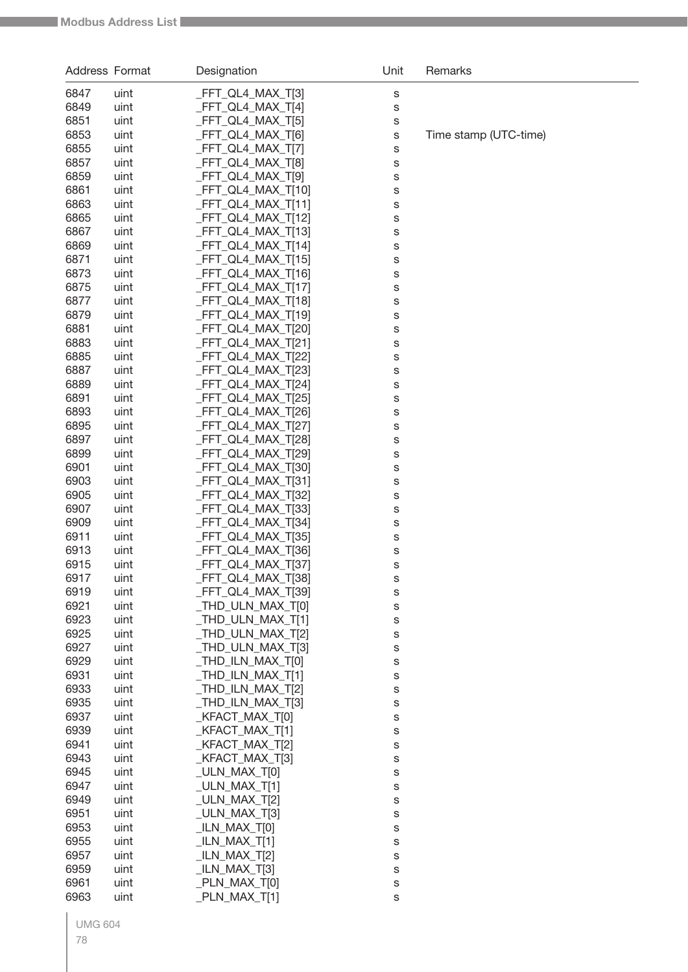| Address Format |              | Designation                             | Unit   | Remarks               |
|----------------|--------------|-----------------------------------------|--------|-----------------------|
| 6847           | uint         | _FFT_QL4_MAX_T[3]                       | S      |                       |
| 6849           | uint         | _FFT_QL4_MAX_T[4]                       | S      |                       |
| 6851           | uint         | FFT_QL4_MAX_T[5]                        | S      |                       |
| 6853           | uint         | FFT_QL4_MAX_T[6]                        | S      | Time stamp (UTC-time) |
| 6855           | uint         | FFT_QL4_MAX_T[7]                        | S      |                       |
| 6857           | uint         | FFT_QL4_MAX_T[8]                        | S      |                       |
| 6859           | uint         | FFT_QL4_MAX_T[9]                        | S      |                       |
| 6861           | uint         | FFT_QL4_MAX_T[10]                       | S      |                       |
| 6863           | uint         | _FFT_QL4_MAX_T[11]                      | S      |                       |
| 6865           | uint         | FFT_QL4_MAX_T[12]                       | S      |                       |
| 6867           | uint         | FFT_QL4_MAX_T[13]                       | S      |                       |
| 6869<br>6871   | uint<br>uint | FFT_QL4_MAX_T[14]<br>FFT_QL4_MAX_T[15]  | S      |                       |
| 6873           | uint         | FFT_QL4_MAX_T[16]                       | S      |                       |
| 6875           | uint         | _FFT_QL4_MAX_T[17]                      | S<br>S |                       |
| 6877           | uint         | FFT_QL4_MAX_T[18]                       | S      |                       |
| 6879           | uint         | FFT_QL4_MAX_T[19]                       | S      |                       |
| 6881           | uint         | FFT_QL4_MAX_T[20]                       | S      |                       |
| 6883           | uint         | FFT_QL4_MAX_T[21]                       | S      |                       |
| 6885           | uint         | FFT_QL4_MAX_T[22]                       | S      |                       |
| 6887           | uint         | FFT_QL4_MAX_T[23]                       | S      |                       |
| 6889           | uint         | FFT_QL4_MAX_T[24]                       | S      |                       |
| 6891           | uint         | FFT_QL4_MAX_T[25]                       | S      |                       |
| 6893           | uint         | FFT_QL4_MAX_T[26]                       | S      |                       |
| 6895           | uint         | FFT_QL4_MAX_T[27]                       | S      |                       |
| 6897           | uint         | FFT_QL4_MAX_T[28]                       | S      |                       |
| 6899           | uint         | FFT_QL4_MAX_T[29]                       | S      |                       |
| 6901           | uint         | FFT_QL4_MAX_T[30]                       | S      |                       |
| 6903           | uint         | FFT_QL4_MAX_T[31]<br>_FFT_QL4_MAX_T[32] | S      |                       |
| 6905<br>6907   | uint<br>uint | _FFT_QL4_MAX_T[33]                      | S      |                       |
| 6909           | uint         | FFT_QL4_MAX_T[34]                       | S<br>S |                       |
| 6911           | uint         | FFT_QL4_MAX_T[35]                       | S      |                       |
| 6913           | uint         | _FFT_QL4_MAX_T[36]                      | S      |                       |
| 6915           | uint         | _FFT_QL4_MAX_T[37]                      | S      |                       |
| 6917           | uint         | _FFT_QL4_MAX_T[38]                      | S      |                       |
| 6919           | uint         | _FFT_QL4_MAX_T[39]                      | S      |                       |
| 6921           | uint         | THD ULN MAX T[0]                        | S      |                       |
| 6923           | uint         | THD ULN MAX T[1]                        | S      |                       |
| 6925           | uint         | THD_ULN_MAX_T[2]                        | S      |                       |
| 6927           | uint         | THD_ULN_MAX_T[3]                        | S      |                       |
| 6929           | uint         | THD_ILN_MAX_T[0]                        | S      |                       |
| 6931           | uint         | THD ILN MAX T[1]                        | S      |                       |
| 6933<br>6935   | uint<br>uint | THD_ILN_MAX_T[2]<br>_THD_ILN_MAX_T[3]   | S      |                       |
| 6937           | uint         | _KFACT_MAX_T[0]                         | S<br>S |                       |
| 6939           | uint         | KFACT_MAX_T[1]                          | S      |                       |
| 6941           | uint         | _KFACT_MAX_T[2]                         | S      |                       |
| 6943           | uint         | _KFACT_MAX_T[3]                         | S      |                       |
| 6945           | uint         | _ULN_MAX_T[0]                           | S      |                       |
| 6947           | uint         | $_ULN_MAX_T[1]$                         | S      |                       |
| 6949           | uint         | _ULN_MAX_T[2]                           | S      |                       |
| 6951           | uint         | _ULN_MAX_T[3]                           | S      |                       |
| 6953           | uint         | $_LIN_MAX_T[0]$                         | S      |                       |
| 6955           | uint         | $_LIN_MAX_T[1]$                         | S      |                       |
| 6957           | uint         | $_LIN_MAX_T[2]$                         | S      |                       |
| 6959           | uint         | $_LIN_MAX_T[3]$                         | S      |                       |
| 6961           | uint         | _PLN_MAX_T[0]                           | S      |                       |
| 6963           | uint         | _PLN_MAX_T[1]                           | S      |                       |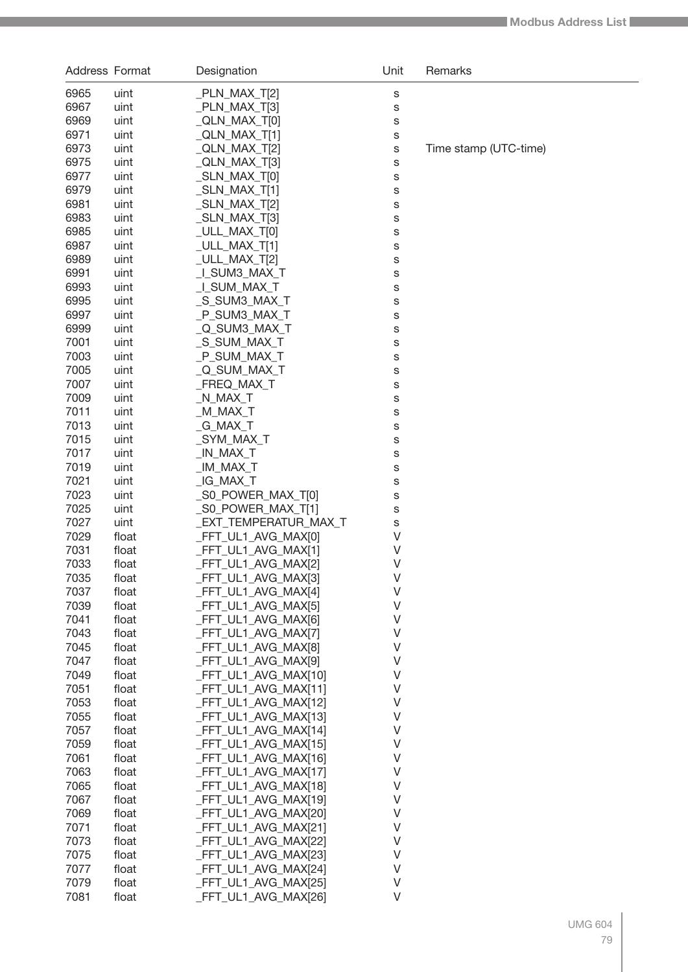| Address Format |                | Designation                                  | Unit   | Remarks               |
|----------------|----------------|----------------------------------------------|--------|-----------------------|
| 6965           | uint           | _PLN_MAX_T[2]                                | S      |                       |
| 6967           | uint           | _PLN_MAX_T[3]                                | S      |                       |
| 6969           | uint           | _QLN_MAX_T[0]                                | S      |                       |
| 6971           | uint           | _QLN_MAX_T[1]                                | S      |                       |
| 6973           | uint           | _QLN_MAX_T[2]                                | S      | Time stamp (UTC-time) |
| 6975           | uint           | _QLN_MAX_T[3]                                | S      |                       |
| 6977           | uint           | $\_SLN\_MAX\_T[0]$                           | S      |                       |
| 6979           | uint           | $\_SLN\_MAX\_T[1]$                           | S      |                       |
| 6981           | uint           | $\_SLN\_MAX\_T[2]$                           | S      |                       |
| 6983           | uint           | $\_SLN\_MAX\_T[3]$                           | S      |                       |
| 6985           | uint           | _ULL_MAX_T[0]                                | S      |                       |
| 6987           | uint           | _ULL_MAX_T[1]                                | S      |                       |
| 6989           | uint           | _ULL_MAX_T[2]                                | S      |                       |
| 6991           | uint           | L_SUM3_MAX_T                                 | S      |                       |
| 6993<br>6995   | uint<br>uint   | _I_SUM_MAX_T<br>_S_SUM3_MAX_T                | S      |                       |
| 6997           | uint           | _P_SUM3_MAX_T                                | S<br>S |                       |
| 6999           | uint           | _Q_SUM3_MAX_T                                | S      |                       |
| 7001           | uint           | _S_SUM_MAX_T                                 | S      |                       |
| 7003           | uint           | _P_SUM_MAX_T                                 | S      |                       |
| 7005           | uint           | _Q_SUM_MAX_T                                 | S      |                       |
| 7007           | uint           | _FREQ_MAX_T                                  | S      |                       |
| 7009           | uint           | _N_MAX_T                                     | S      |                       |
| 7011           | uint           | _M_MAX_T                                     | S      |                       |
| 7013           | uint           | _G_MAX_T                                     | S      |                       |
| 7015           | uint           | _SYM_MAX_T                                   | S      |                       |
| 7017           | uint           | _IN_MAX_T                                    | S      |                       |
| 7019           | uint           | _IM_MAX_T                                    | S      |                       |
| 7021           | uint           | _IG_MAX_T                                    | S      |                       |
| 7023           | uint           | S0_POWER_MAX_T[0]                            | S      |                       |
| 7025           | uint           | _S0_POWER_MAX_T[1]                           | s      |                       |
| 7027           | uint           | _EXT_TEMPERATUR_MAX_T                        | S      |                       |
| 7029           | float          | _FFT_UL1_AVG_MAX[0]                          | V      |                       |
| 7031           | float          | _FFT_UL1_AVG_MAX[1]                          | V      |                       |
| 7033<br>7035   | float          | _FFT_UL1_AVG_MAX[2]                          | V<br>V |                       |
| 7037           | float<br>float | _FFT_UL1_AVG_MAX[3]<br>_FFT_UL1_AVG_MAX[4]   | V      |                       |
| 7039           | float          | _FFT_UL1_AVG_MAX[5]                          | V      |                       |
| 7041           | float          | _FFT_UL1_AVG_MAX[6]                          | V      |                       |
| 7043           | float          | _FFT_UL1_AVG_MAX[7]                          | V      |                       |
| 7045           | float          | FFT_UL1_AVG_MAX[8]                           | V      |                       |
| 7047           | float          | FFT_UL1_AVG_MAX[9]                           | V      |                       |
| 7049           | float          | _FFT_UL1_AVG_MAX[10]                         | V      |                       |
| 7051           | float          | FFT_UL1_AVG_MAX[11]                          | V      |                       |
| 7053           | float          | FFT_UL1_AVG_MAX[12]                          | V      |                       |
| 7055           | float          | FFT_UL1_AVG_MAX[13]                          | V      |                       |
| 7057           | float          | _FFT_UL1_AVG_MAX[14]                         | V      |                       |
| 7059           | float          | _FFT_UL1_AVG_MAX[15]                         | V      |                       |
| 7061           | float          | _FFT_UL1_AVG_MAX[16]                         | V      |                       |
| 7063           | float          | _FFT_UL1_AVG_MAX[17]                         | V      |                       |
| 7065           | float          | _FFT_UL1_AVG_MAX[18]                         | V      |                       |
| 7067           | float          | _FFT_UL1_AVG_MAX[19]                         | V      |                       |
| 7069           | float          | _FFT_UL1_AVG_MAX[20]                         | V      |                       |
| 7071           | float          | _FFT_UL1_AVG_MAX[21]                         | V<br>V |                       |
| 7073<br>7075   | float          | _FFT_UL1_AVG_MAX[22]<br>_FFT_UL1_AVG_MAX[23] | V      |                       |
| 7077           | float<br>float | _FFT_UL1_AVG_MAX[24]                         | V      |                       |
| 7079           | float          | _FFT_UL1_AVG_MAX[25]                         | V      |                       |
| 7081           | float          | _FFT_UL1_AVG_MAX[26]                         | V      |                       |
|                |                |                                              |        |                       |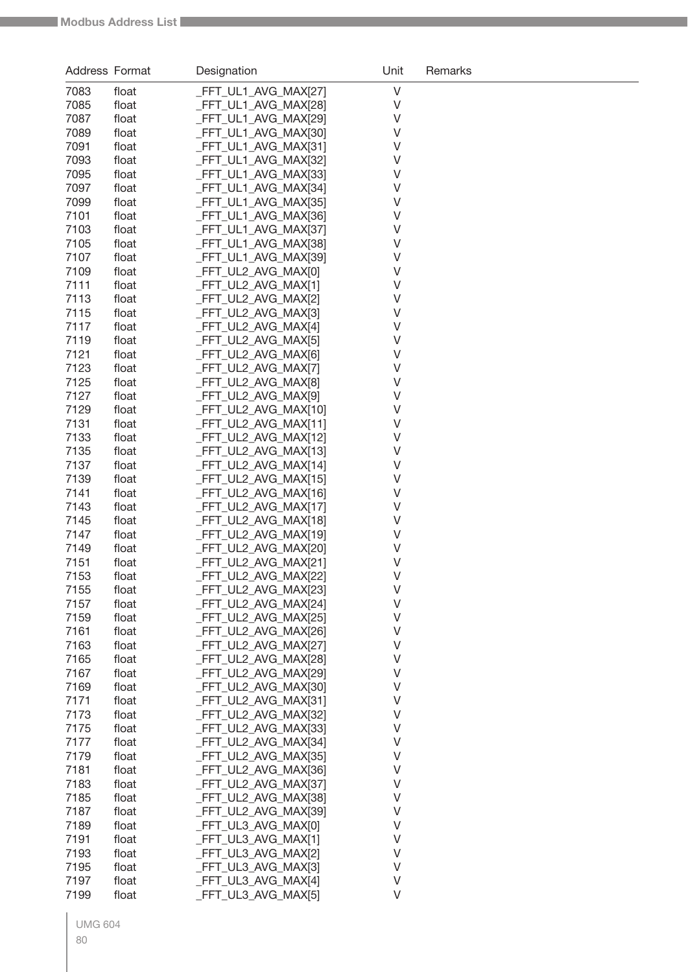| V<br>7083<br>_FFT_UL1_AVG_MAX[27]<br>float<br>7085<br>_FFT_UL1_AVG_MAX[28]<br>V<br>float<br>7087<br>_FFT_UL1_AVG_MAX[29]<br>V<br>float<br>7089<br>_FFT_UL1_AVG_MAX[30]<br>٧<br>float<br>7091<br>_FFT_UL1_AVG_MAX[31]<br>٧<br>float<br>7093<br>_FFT_UL1_AVG_MAX[32]<br>V<br>float<br>7095<br>_FFT_UL1_AVG_MAX[33]<br>V<br>float<br>7097<br>_FFT_UL1_AVG_MAX[34]<br>٧<br>float<br>7099<br>_FFT_UL1_AVG_MAX[35]<br>٧<br>float<br>7101<br>_FFT_UL1_AVG_MAX[36]<br>٧<br>float<br>7103<br>_FFT_UL1_AVG_MAX[37]<br>٧<br>float<br>7105<br>_FFT_UL1_AVG_MAX[38]<br>٧<br>float<br>7107<br>_FFT_UL1_AVG_MAX[39]<br>V<br>float<br>7109<br>_FFT_UL2_AVG_MAX[0]<br>V<br>float<br>7111<br>_FFT_UL2_AVG_MAX[1]<br>V<br>float<br>7113<br>_FFT_UL2_AVG_MAX[2]<br>V<br>float<br>7115<br>_FFT_UL2_AVG_MAX[3]<br>V<br>float<br>7117<br>_FFT_UL2_AVG_MAX[4]<br>V<br>float<br>_FFT_UL2_AVG_MAX[5]<br>V<br>7119<br>float<br>7121<br>_FFT_UL2_AVG_MAX[6]<br>V<br>float<br>7123<br>FFT UL2 AVG MAX[7]<br>V<br>float<br>7125<br>FFT_UL2_AVG_MAX[8]<br>V<br>float<br>7127<br>FFT_UL2_AVG_MAX[9]<br>V<br>float<br>7129<br>FFT_UL2_AVG_MAX[10]<br>V<br>float<br>7131<br>FFT_UL2_AVG_MAX[11]<br>V<br>float<br>7133<br>FFT_UL2_AVG_MAX[12]<br>V<br>float<br>7135<br>FFT_UL2_AVG_MAX[13]<br>V<br>float<br>7137<br>FFT_UL2_AVG_MAX[14]<br>V<br>float<br>7139<br>FFT_UL2_AVG_MAX[15]<br>V<br>float |  |
|-----------------------------------------------------------------------------------------------------------------------------------------------------------------------------------------------------------------------------------------------------------------------------------------------------------------------------------------------------------------------------------------------------------------------------------------------------------------------------------------------------------------------------------------------------------------------------------------------------------------------------------------------------------------------------------------------------------------------------------------------------------------------------------------------------------------------------------------------------------------------------------------------------------------------------------------------------------------------------------------------------------------------------------------------------------------------------------------------------------------------------------------------------------------------------------------------------------------------------------------------------------------------------------------------------------------------------------------------------------------|--|
|                                                                                                                                                                                                                                                                                                                                                                                                                                                                                                                                                                                                                                                                                                                                                                                                                                                                                                                                                                                                                                                                                                                                                                                                                                                                                                                                                                 |  |
|                                                                                                                                                                                                                                                                                                                                                                                                                                                                                                                                                                                                                                                                                                                                                                                                                                                                                                                                                                                                                                                                                                                                                                                                                                                                                                                                                                 |  |
|                                                                                                                                                                                                                                                                                                                                                                                                                                                                                                                                                                                                                                                                                                                                                                                                                                                                                                                                                                                                                                                                                                                                                                                                                                                                                                                                                                 |  |
|                                                                                                                                                                                                                                                                                                                                                                                                                                                                                                                                                                                                                                                                                                                                                                                                                                                                                                                                                                                                                                                                                                                                                                                                                                                                                                                                                                 |  |
|                                                                                                                                                                                                                                                                                                                                                                                                                                                                                                                                                                                                                                                                                                                                                                                                                                                                                                                                                                                                                                                                                                                                                                                                                                                                                                                                                                 |  |
|                                                                                                                                                                                                                                                                                                                                                                                                                                                                                                                                                                                                                                                                                                                                                                                                                                                                                                                                                                                                                                                                                                                                                                                                                                                                                                                                                                 |  |
|                                                                                                                                                                                                                                                                                                                                                                                                                                                                                                                                                                                                                                                                                                                                                                                                                                                                                                                                                                                                                                                                                                                                                                                                                                                                                                                                                                 |  |
|                                                                                                                                                                                                                                                                                                                                                                                                                                                                                                                                                                                                                                                                                                                                                                                                                                                                                                                                                                                                                                                                                                                                                                                                                                                                                                                                                                 |  |
|                                                                                                                                                                                                                                                                                                                                                                                                                                                                                                                                                                                                                                                                                                                                                                                                                                                                                                                                                                                                                                                                                                                                                                                                                                                                                                                                                                 |  |
|                                                                                                                                                                                                                                                                                                                                                                                                                                                                                                                                                                                                                                                                                                                                                                                                                                                                                                                                                                                                                                                                                                                                                                                                                                                                                                                                                                 |  |
|                                                                                                                                                                                                                                                                                                                                                                                                                                                                                                                                                                                                                                                                                                                                                                                                                                                                                                                                                                                                                                                                                                                                                                                                                                                                                                                                                                 |  |
|                                                                                                                                                                                                                                                                                                                                                                                                                                                                                                                                                                                                                                                                                                                                                                                                                                                                                                                                                                                                                                                                                                                                                                                                                                                                                                                                                                 |  |
|                                                                                                                                                                                                                                                                                                                                                                                                                                                                                                                                                                                                                                                                                                                                                                                                                                                                                                                                                                                                                                                                                                                                                                                                                                                                                                                                                                 |  |
|                                                                                                                                                                                                                                                                                                                                                                                                                                                                                                                                                                                                                                                                                                                                                                                                                                                                                                                                                                                                                                                                                                                                                                                                                                                                                                                                                                 |  |
|                                                                                                                                                                                                                                                                                                                                                                                                                                                                                                                                                                                                                                                                                                                                                                                                                                                                                                                                                                                                                                                                                                                                                                                                                                                                                                                                                                 |  |
|                                                                                                                                                                                                                                                                                                                                                                                                                                                                                                                                                                                                                                                                                                                                                                                                                                                                                                                                                                                                                                                                                                                                                                                                                                                                                                                                                                 |  |
|                                                                                                                                                                                                                                                                                                                                                                                                                                                                                                                                                                                                                                                                                                                                                                                                                                                                                                                                                                                                                                                                                                                                                                                                                                                                                                                                                                 |  |
|                                                                                                                                                                                                                                                                                                                                                                                                                                                                                                                                                                                                                                                                                                                                                                                                                                                                                                                                                                                                                                                                                                                                                                                                                                                                                                                                                                 |  |
|                                                                                                                                                                                                                                                                                                                                                                                                                                                                                                                                                                                                                                                                                                                                                                                                                                                                                                                                                                                                                                                                                                                                                                                                                                                                                                                                                                 |  |
|                                                                                                                                                                                                                                                                                                                                                                                                                                                                                                                                                                                                                                                                                                                                                                                                                                                                                                                                                                                                                                                                                                                                                                                                                                                                                                                                                                 |  |
|                                                                                                                                                                                                                                                                                                                                                                                                                                                                                                                                                                                                                                                                                                                                                                                                                                                                                                                                                                                                                                                                                                                                                                                                                                                                                                                                                                 |  |
|                                                                                                                                                                                                                                                                                                                                                                                                                                                                                                                                                                                                                                                                                                                                                                                                                                                                                                                                                                                                                                                                                                                                                                                                                                                                                                                                                                 |  |
|                                                                                                                                                                                                                                                                                                                                                                                                                                                                                                                                                                                                                                                                                                                                                                                                                                                                                                                                                                                                                                                                                                                                                                                                                                                                                                                                                                 |  |
|                                                                                                                                                                                                                                                                                                                                                                                                                                                                                                                                                                                                                                                                                                                                                                                                                                                                                                                                                                                                                                                                                                                                                                                                                                                                                                                                                                 |  |
|                                                                                                                                                                                                                                                                                                                                                                                                                                                                                                                                                                                                                                                                                                                                                                                                                                                                                                                                                                                                                                                                                                                                                                                                                                                                                                                                                                 |  |
|                                                                                                                                                                                                                                                                                                                                                                                                                                                                                                                                                                                                                                                                                                                                                                                                                                                                                                                                                                                                                                                                                                                                                                                                                                                                                                                                                                 |  |
|                                                                                                                                                                                                                                                                                                                                                                                                                                                                                                                                                                                                                                                                                                                                                                                                                                                                                                                                                                                                                                                                                                                                                                                                                                                                                                                                                                 |  |
|                                                                                                                                                                                                                                                                                                                                                                                                                                                                                                                                                                                                                                                                                                                                                                                                                                                                                                                                                                                                                                                                                                                                                                                                                                                                                                                                                                 |  |
| 7141<br>FFT_UL2_AVG_MAX[16]<br>٧<br>float                                                                                                                                                                                                                                                                                                                                                                                                                                                                                                                                                                                                                                                                                                                                                                                                                                                                                                                                                                                                                                                                                                                                                                                                                                                                                                                       |  |
| FFT_UL2_AVG_MAX[17]<br>٧<br>7143<br>float                                                                                                                                                                                                                                                                                                                                                                                                                                                                                                                                                                                                                                                                                                                                                                                                                                                                                                                                                                                                                                                                                                                                                                                                                                                                                                                       |  |
| FFT_UL2_AVG_MAX[18]<br>٧<br>7145<br>float                                                                                                                                                                                                                                                                                                                                                                                                                                                                                                                                                                                                                                                                                                                                                                                                                                                                                                                                                                                                                                                                                                                                                                                                                                                                                                                       |  |
| FFT_UL2_AVG_MAX[19]<br>V<br>7147<br>float                                                                                                                                                                                                                                                                                                                                                                                                                                                                                                                                                                                                                                                                                                                                                                                                                                                                                                                                                                                                                                                                                                                                                                                                                                                                                                                       |  |
| FFT_UL2_AVG_MAX[20]<br>V<br>7149<br>float                                                                                                                                                                                                                                                                                                                                                                                                                                                                                                                                                                                                                                                                                                                                                                                                                                                                                                                                                                                                                                                                                                                                                                                                                                                                                                                       |  |
| 7151<br>V<br>FFT_UL2_AVG_MAX[21]<br>float                                                                                                                                                                                                                                                                                                                                                                                                                                                                                                                                                                                                                                                                                                                                                                                                                                                                                                                                                                                                                                                                                                                                                                                                                                                                                                                       |  |
| 7153<br>_FFT_UL2_AVG_MAX[22]<br>V<br>float                                                                                                                                                                                                                                                                                                                                                                                                                                                                                                                                                                                                                                                                                                                                                                                                                                                                                                                                                                                                                                                                                                                                                                                                                                                                                                                      |  |
| _FFT_UL2_AVG_MAX[23]<br>V<br>7155<br>float                                                                                                                                                                                                                                                                                                                                                                                                                                                                                                                                                                                                                                                                                                                                                                                                                                                                                                                                                                                                                                                                                                                                                                                                                                                                                                                      |  |
| FFT_UL2_AVG_MAX[24]<br>7157<br>V<br>float                                                                                                                                                                                                                                                                                                                                                                                                                                                                                                                                                                                                                                                                                                                                                                                                                                                                                                                                                                                                                                                                                                                                                                                                                                                                                                                       |  |
| 7159<br>_FFT_UL2_AVG_MAX[25]<br>V<br>float                                                                                                                                                                                                                                                                                                                                                                                                                                                                                                                                                                                                                                                                                                                                                                                                                                                                                                                                                                                                                                                                                                                                                                                                                                                                                                                      |  |
| 7161<br>_FFT_UL2_AVG_MAX[26]<br>V<br>float                                                                                                                                                                                                                                                                                                                                                                                                                                                                                                                                                                                                                                                                                                                                                                                                                                                                                                                                                                                                                                                                                                                                                                                                                                                                                                                      |  |
| 7163<br>_FFT_UL2_AVG_MAX[27]<br>V<br>float                                                                                                                                                                                                                                                                                                                                                                                                                                                                                                                                                                                                                                                                                                                                                                                                                                                                                                                                                                                                                                                                                                                                                                                                                                                                                                                      |  |
| 7165<br>_FFT_UL2_AVG_MAX[28]<br>V<br>float                                                                                                                                                                                                                                                                                                                                                                                                                                                                                                                                                                                                                                                                                                                                                                                                                                                                                                                                                                                                                                                                                                                                                                                                                                                                                                                      |  |
| 7167<br>_FFT_UL2_AVG_MAX[29]<br>V<br>float                                                                                                                                                                                                                                                                                                                                                                                                                                                                                                                                                                                                                                                                                                                                                                                                                                                                                                                                                                                                                                                                                                                                                                                                                                                                                                                      |  |
| 7169<br>_FFT_UL2_AVG_MAX[30]<br>V<br>float                                                                                                                                                                                                                                                                                                                                                                                                                                                                                                                                                                                                                                                                                                                                                                                                                                                                                                                                                                                                                                                                                                                                                                                                                                                                                                                      |  |
| 7171<br>_FFT_UL2_AVG_MAX[31]<br>V<br>float                                                                                                                                                                                                                                                                                                                                                                                                                                                                                                                                                                                                                                                                                                                                                                                                                                                                                                                                                                                                                                                                                                                                                                                                                                                                                                                      |  |
| 7173<br>_FFT_UL2_AVG_MAX[32]<br>V<br>float                                                                                                                                                                                                                                                                                                                                                                                                                                                                                                                                                                                                                                                                                                                                                                                                                                                                                                                                                                                                                                                                                                                                                                                                                                                                                                                      |  |
| 7175<br>_FFT_UL2_AVG_MAX[33]<br>V<br>float                                                                                                                                                                                                                                                                                                                                                                                                                                                                                                                                                                                                                                                                                                                                                                                                                                                                                                                                                                                                                                                                                                                                                                                                                                                                                                                      |  |
| 7177<br>_FFT_UL2_AVG_MAX[34]<br>V<br>float                                                                                                                                                                                                                                                                                                                                                                                                                                                                                                                                                                                                                                                                                                                                                                                                                                                                                                                                                                                                                                                                                                                                                                                                                                                                                                                      |  |
| 7179<br>_FFT_UL2_AVG_MAX[35]<br>V<br>float                                                                                                                                                                                                                                                                                                                                                                                                                                                                                                                                                                                                                                                                                                                                                                                                                                                                                                                                                                                                                                                                                                                                                                                                                                                                                                                      |  |
| 7181<br>_FFT_UL2_AVG_MAX[36]<br>V<br>float                                                                                                                                                                                                                                                                                                                                                                                                                                                                                                                                                                                                                                                                                                                                                                                                                                                                                                                                                                                                                                                                                                                                                                                                                                                                                                                      |  |
| 7183<br>_FFT_UL2_AVG_MAX[37]<br>V<br>float                                                                                                                                                                                                                                                                                                                                                                                                                                                                                                                                                                                                                                                                                                                                                                                                                                                                                                                                                                                                                                                                                                                                                                                                                                                                                                                      |  |
| 7185<br>_FFT_UL2_AVG_MAX[38]<br>V<br>float                                                                                                                                                                                                                                                                                                                                                                                                                                                                                                                                                                                                                                                                                                                                                                                                                                                                                                                                                                                                                                                                                                                                                                                                                                                                                                                      |  |
| 7187<br>_FFT_UL2_AVG_MAX[39]<br>V<br>float                                                                                                                                                                                                                                                                                                                                                                                                                                                                                                                                                                                                                                                                                                                                                                                                                                                                                                                                                                                                                                                                                                                                                                                                                                                                                                                      |  |
| 7189<br>_FFT_UL3_AVG_MAX[0]<br>V<br>float                                                                                                                                                                                                                                                                                                                                                                                                                                                                                                                                                                                                                                                                                                                                                                                                                                                                                                                                                                                                                                                                                                                                                                                                                                                                                                                       |  |
| 7191<br>_FFT_UL3_AVG_MAX[1]<br>V<br>float                                                                                                                                                                                                                                                                                                                                                                                                                                                                                                                                                                                                                                                                                                                                                                                                                                                                                                                                                                                                                                                                                                                                                                                                                                                                                                                       |  |
| 7193<br>_FFT_UL3_AVG_MAX[2]<br>V<br>float                                                                                                                                                                                                                                                                                                                                                                                                                                                                                                                                                                                                                                                                                                                                                                                                                                                                                                                                                                                                                                                                                                                                                                                                                                                                                                                       |  |
| 7195<br>_FFT_UL3_AVG_MAX[3]<br>V<br>float                                                                                                                                                                                                                                                                                                                                                                                                                                                                                                                                                                                                                                                                                                                                                                                                                                                                                                                                                                                                                                                                                                                                                                                                                                                                                                                       |  |
| 7197<br>FFT_UL3_AVG_MAX[4]<br>V<br>float                                                                                                                                                                                                                                                                                                                                                                                                                                                                                                                                                                                                                                                                                                                                                                                                                                                                                                                                                                                                                                                                                                                                                                                                                                                                                                                        |  |
| V<br>7199<br>FFT_UL3_AVG_MAX[5]<br>float                                                                                                                                                                                                                                                                                                                                                                                                                                                                                                                                                                                                                                                                                                                                                                                                                                                                                                                                                                                                                                                                                                                                                                                                                                                                                                                        |  |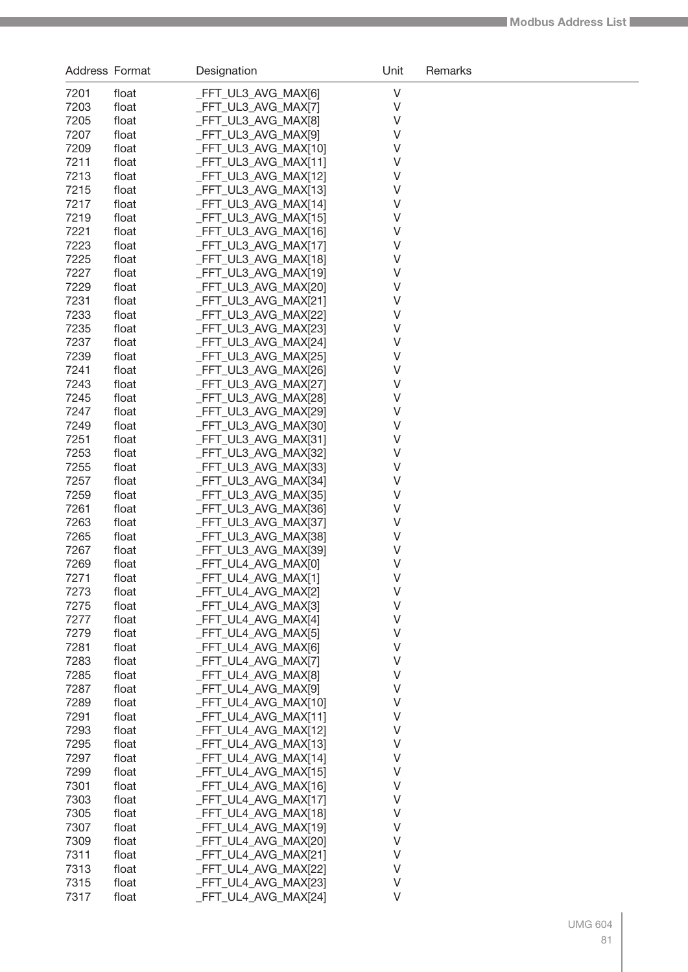| Address Format |                | Designation                                  | Unit   | Remarks |
|----------------|----------------|----------------------------------------------|--------|---------|
| 7201           | float          | _FFT_UL3_AVG_MAX[6]                          | V      |         |
| 7203           | float          | _FFT_UL3_AVG_MAX[7]                          | V      |         |
| 7205           | float          | _FFT_UL3_AVG_MAX[8]                          | V      |         |
| 7207           | float          | FFT_UL3_AVG_MAX[9]                           | V      |         |
| 7209           | float          | _FFT_UL3_AVG_MAX[10]                         | V      |         |
| 7211           | float          | _FFT_UL3_AVG_MAX[11]                         | V      |         |
| 7213           | float          | _FFT_UL3_AVG_MAX[12]                         | V      |         |
| 7215           | float          | _FFT_UL3_AVG_MAX[13]                         | V      |         |
| 7217<br>7219   | float<br>float | _FFT_UL3_AVG_MAX[14]<br>_FFT_UL3_AVG_MAX[15] | V<br>V |         |
| 7221           | float          | _FFT_UL3_AVG_MAX[16]                         | V      |         |
| 7223           | float          | _FFT_UL3_AVG_MAX[17]                         | V      |         |
| 7225           | float          | _FFT_UL3_AVG_MAX[18]                         | V      |         |
| 7227           | float          | _FFT_UL3_AVG_MAX[19]                         | V      |         |
| 7229           | float          | _FFT_UL3_AVG_MAX[20]                         | V      |         |
| 7231           | float          | _FFT_UL3_AVG_MAX[21]                         | V      |         |
| 7233           | float          | _FFT_UL3_AVG_MAX[22]                         | V      |         |
| 7235           | float          | _FFT_UL3_AVG_MAX[23]                         | V      |         |
| 7237           | float          | _FFT_UL3_AVG_MAX[24]                         | V      |         |
| 7239           | float          | _FFT_UL3_AVG_MAX[25]                         | V      |         |
| 7241           | float          | _FFT_UL3_AVG_MAX[26]                         | V      |         |
| 7243<br>7245   | float<br>float | _FFT_UL3_AVG_MAX[27]<br>_FFT_UL3_AVG_MAX[28] | V<br>V |         |
| 7247           | float          | _FFT_UL3_AVG_MAX[29]                         | V      |         |
| 7249           | float          | _FFT_UL3_AVG_MAX[30]                         | V      |         |
| 7251           | float          | _FFT_UL3_AVG_MAX[31]                         | V      |         |
| 7253           | float          | _FFT_UL3_AVG_MAX[32]                         | V      |         |
| 7255           | float          | _FFT_UL3_AVG_MAX[33]                         | V      |         |
| 7257           | float          | _FFT_UL3_AVG_MAX[34]                         | V      |         |
| 7259           | float          | _FFT_UL3_AVG_MAX[35]                         | V      |         |
| 7261           | float          | _FFT_UL3_AVG_MAX[36]                         | V      |         |
| 7263           | float          | _FFT_UL3_AVG_MAX[37]                         | V      |         |
| 7265           | float          | _FFT_UL3_AVG_MAX[38]                         | V      |         |
| 7267           | float          | _FFT_UL3_AVG_MAX[39]                         | V      |         |
| 7269           | float          | FFT_UL4_AVG_MAX[0]                           | V      |         |
| 7271<br>7273   | float          | _FFT_UL4_AVG_MAX[1]<br>_FFT_UL4_AVG_MAX[2]   | V<br>V |         |
| 7275           | float<br>float | _FFT_UL4_AVG_MAX[3]                          | V      |         |
| 7277           | float          | _FFT_UL4_AVG_MAX[4]                          | V      |         |
| 7279           | float          | _FFT_UL4_AVG_MAX[5]                          | V      |         |
| 7281           | float          | _FFT_UL4_AVG_MAX[6]                          | V      |         |
| 7283           | float          | _FFT_UL4_AVG_MAX[7]                          | V      |         |
| 7285           | float          | _FFT_UL4_AVG_MAX[8]                          | V      |         |
| 7287           | float          | _FFT_UL4_AVG_MAX[9]                          | V      |         |
| 7289           | float          | _FFT_UL4_AVG_MAX[10]                         | V      |         |
| 7291           | float          | FFT UL4 AVG MAX[11]                          | V      |         |
| 7293           | float          | _FFT_UL4_AVG_MAX[12]                         | V      |         |
| 7295           | float          | FFT_UL4_AVG_MAX[13]                          | V      |         |
| 7297<br>7299   | float<br>float | _FFT_UL4_AVG_MAX[14]<br>_FFT_UL4_AVG_MAX[15] | V<br>V |         |
| 7301           | float          | _FFT_UL4_AVG_MAX[16]                         | V      |         |
| 7303           | float          | _FFT_UL4_AVG_MAX[17]                         | V      |         |
| 7305           | float          | _FFT_UL4_AVG_MAX[18]                         | V      |         |
| 7307           | float          | _FFT_UL4_AVG_MAX[19]                         | V      |         |
| 7309           | float          | _FFT_UL4_AVG_MAX[20]                         | V      |         |
| 7311           | float          | _FFT_UL4_AVG_MAX[21]                         | V      |         |
| 7313           | float          | _FFT_UL4_AVG_MAX[22]                         | V      |         |
| 7315           | float          | FFT_UL4_AVG_MAX[23]                          | V      |         |
| 7317           | float          | _FFT_UL4_AVG_MAX[24]                         | V      |         |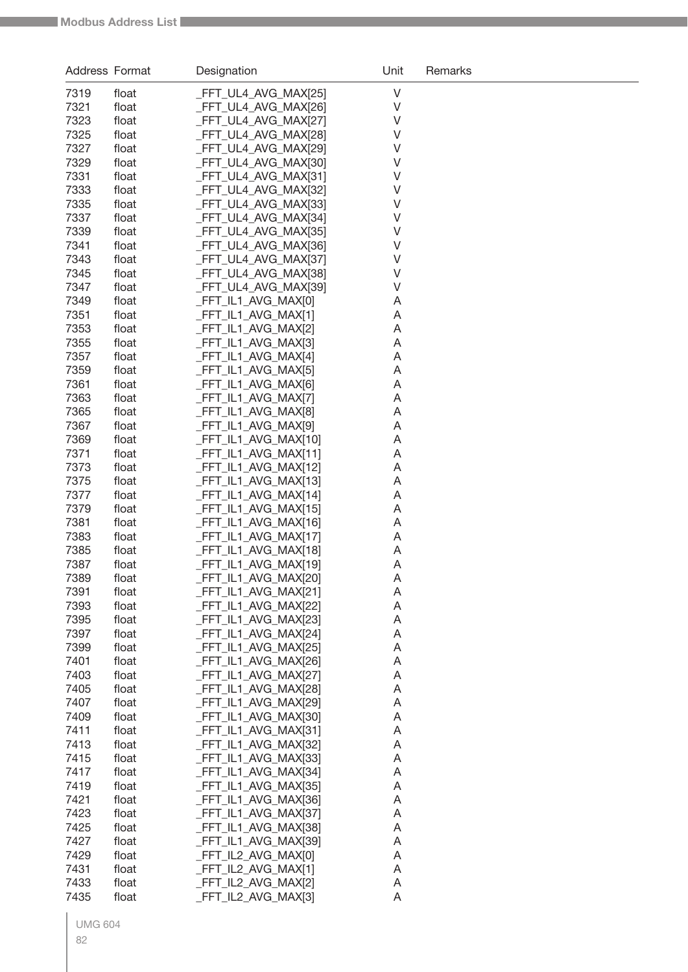| Address Format |                | Designation                                  | Unit   | Remarks |
|----------------|----------------|----------------------------------------------|--------|---------|
| 7319           | float          | FFT_UL4_AVG_MAX[25]                          | V      |         |
| 7321           | float          | _FFT_UL4_AVG_MAX[26]                         | V      |         |
| 7323           | float          | _FFT_UL4_AVG_MAX[27]                         | V      |         |
| 7325           | float          | FFT_UL4_AVG_MAX[28]                          | V      |         |
| 7327           | float          | FFT_UL4_AVG_MAX[29]                          | V      |         |
| 7329           | float          | FFT_UL4_AVG_MAX[30]                          | V      |         |
| 7331           | float          | _FFT_UL4_AVG_MAX[31]                         | V      |         |
| 7333           | float          | _FFT_UL4_AVG_MAX[32]                         | V      |         |
| 7335<br>7337   | float          | _FFT_UL4_AVG_MAX[33]<br>_FFT_UL4_AVG_MAX[34] | V<br>V |         |
| 7339           | float<br>float | _FFT_UL4_AVG_MAX[35]                         | V      |         |
| 7341           | float          | _FFT_UL4_AVG_MAX[36]                         | V      |         |
| 7343           | float          | _FFT_UL4_AVG_MAX[37]                         | V      |         |
| 7345           | float          | _FFT_UL4_AVG_MAX[38]                         | V      |         |
| 7347           | float          | _FFT_UL4_AVG_MAX[39]                         | V      |         |
| 7349           | float          | _FFT_IL1_AVG_MAX[0]                          | A      |         |
| 7351           | float          | FFT IL1 AVG MAX[1]                           | A      |         |
| 7353           | float          | FFT IL1 AVG MAX[2]                           | A      |         |
| 7355           | float          | FFT_IL1_AVG_MAX[3]                           | A      |         |
| 7357           | float          | _FFT_IL1_AVG_MAX[4]                          | A      |         |
| 7359           | float          | _FFT_IL1_AVG_MAX[5]                          | A      |         |
| 7361<br>7363   | float<br>float | _FFT_IL1_AVG_MAX[6]<br>FFT_IL1_AVG_MAX[7]    | A<br>A |         |
| 7365           | float          | _FFT_IL1_AVG_MAX[8]                          | A      |         |
| 7367           | float          | _FFT_IL1_AVG_MAX[9]                          | A      |         |
| 7369           | float          | _FFT_IL1_AVG_MAX[10]                         | Α      |         |
| 7371           | float          | _FFT_IL1_AVG_MAX[11]                         | Α      |         |
| 7373           | float          | _FFT_IL1_AVG_MAX[12]                         | Α      |         |
| 7375           | float          | _FFT_IL1_AVG_MAX[13]                         | Α      |         |
| 7377           | float          | _FFT_IL1_AVG_MAX[14]                         | Α      |         |
| 7379           | float          | _FFT_IL1_AVG_MAX[15]                         | Α      |         |
| 7381           | float          | FFT_IL1_AVG_MAX[16]                          | Α      |         |
| 7383           | float          | _FFT_IL1_AVG_MAX[17]                         | Α      |         |
| 7385           | float          | _FFT_IL1_AVG_MAX[18]                         | A      |         |
| 7387           | float          | FFT_IL1_AVG_MAX[19]                          | A      |         |
| 7389<br>7391   | float          | _FFT_IL1_AVG_MAX[20]<br>_FFT_IL1_AVG_MAX[21] | A<br>A |         |
| 7393           | float<br>float | _FFT_IL1_AVG_MAX[22]                         | A      |         |
| 7395           | float          | FFT_IL1_AVG_MAX[23]                          | A      |         |
| 7397           | float          | FFT_IL1_AVG_MAX[24]                          | A      |         |
| 7399           | float          | FFT IL1 AVG MAX[25]                          | A      |         |
| 7401           | float          | FFT_IL1_AVG_MAX[26]                          | A      |         |
| 7403           | float          | FFT_IL1_AVG_MAX[27]                          | A      |         |
| 7405           | float          | FFT_IL1_AVG_MAX[28]                          | A      |         |
| 7407           | float          | _FFT_IL1_AVG_MAX[29]                         | A      |         |
| 7409           | float          | FFT_IL1_AVG_MAX[30]                          | A      |         |
| 7411           | float          | FFT_IL1_AVG_MAX[31]                          | A      |         |
| 7413           | float          | _FFT_IL1_AVG_MAX[32]                         | A      |         |
| 7415<br>7417   | float<br>float | _FFT_IL1_AVG_MAX[33]<br>_FFT_IL1_AVG_MAX[34] | A<br>A |         |
| 7419           | float          | _FFT_IL1_AVG_MAX[35]                         | A      |         |
| 7421           | float          | _FFT_IL1_AVG_MAX[36]                         | A      |         |
| 7423           | float          | _FFT_IL1_AVG_MAX[37]                         | A      |         |
| 7425           | float          | _FFT_IL1_AVG_MAX[38]                         | A      |         |
| 7427           | float          | FFT_IL1_AVG_MAX[39]                          | A      |         |
| 7429           | float          | _FFT_IL2_AVG_MAX[0]                          | A      |         |
| 7431           | float          | FFT_IL2_AVG_MAX[1]                           | A      |         |
| 7433           | float          | FFT_IL2_AVG_MAX[2]                           | A      |         |
| 7435           | float          | FFT_IL2_AVG_MAX[3]                           | A      |         |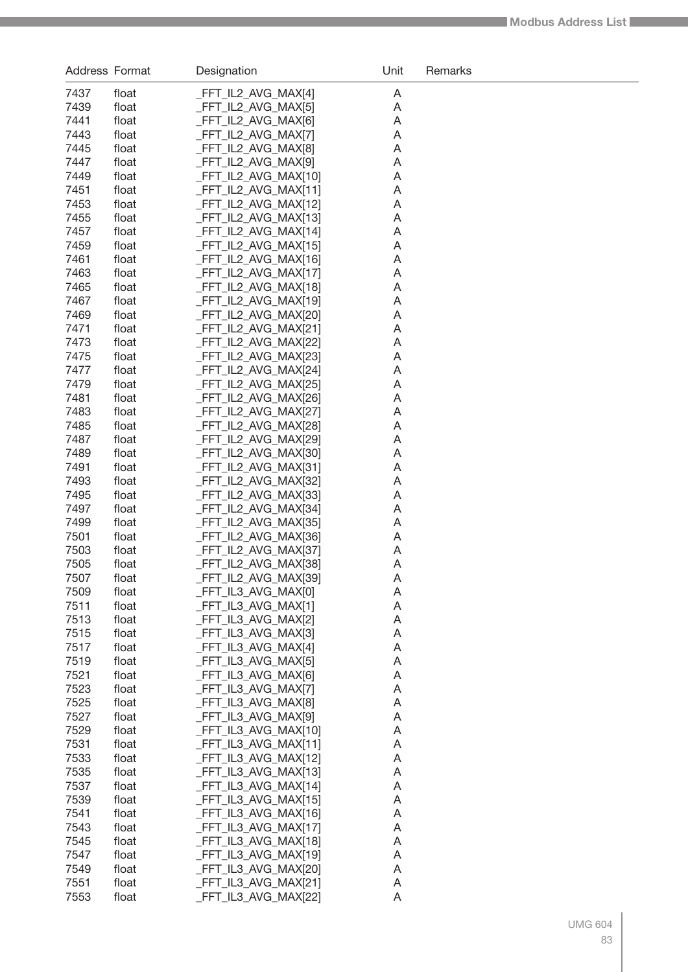| Address Format |                | Designation                                  | Unit   | Remarks |
|----------------|----------------|----------------------------------------------|--------|---------|
| 7437           | float          | _FFT_IL2_AVG_MAX[4]                          | A      |         |
| 7439           | float          | _FFT_IL2_AVG_MAX[5]                          | A      |         |
| 7441           | float          | _FFT_IL2_AVG_MAX[6]                          | Α      |         |
| 7443           | float          | _FFT_IL2_AVG_MAX[7]                          | Α      |         |
| 7445           | float          | _FFT_IL2_AVG_MAX[8]                          | Α      |         |
| 7447           | float          | _FFT_IL2_AVG_MAX[9]                          | Α      |         |
| 7449           | float          | _FFT_IL2_AVG_MAX[10]                         | Α      |         |
| 7451           | float          | _FFT_IL2_AVG_MAX[11]                         | Α      |         |
| 7453           | float          | _FFT_IL2_AVG_MAX[12]                         | Α      |         |
| 7455<br>7457   | float<br>float | _FFT_IL2_AVG_MAX[13]<br>_FFT_IL2_AVG_MAX[14] | Α<br>Α |         |
| 7459           | float          | _FFT_IL2_AVG_MAX[15]                         | Α      |         |
| 7461           | float          | _FFT_IL2_AVG_MAX[16]                         | Α      |         |
| 7463           | float          | FFT_IL2_AVG_MAX[17]                          | Α      |         |
| 7465           | float          | _FFT_IL2_AVG_MAX[18]                         | Α      |         |
| 7467           | float          | FFT_IL2_AVG_MAX[19]                          | Α      |         |
| 7469           | float          | _FFT_IL2_AVG_MAX[20]                         | Α      |         |
| 7471           | float          | _FFT_IL2_AVG_MAX[21]                         | Α      |         |
| 7473           | float          | _FFT_IL2_AVG_MAX[22]                         | Α      |         |
| 7475           | float          | _FFT_IL2_AVG_MAX[23]                         | Α      |         |
| 7477           | float          | _FFT_IL2_AVG_MAX[24]                         | Α      |         |
| 7479<br>7481   | float<br>float | _FFT_IL2_AVG_MAX[25]<br>_FFT_IL2_AVG_MAX[26] | Α<br>Α |         |
| 7483           | float          | _FFT_IL2_AVG_MAX[27]                         | Α      |         |
| 7485           | float          | _FFT_IL2_AVG_MAX[28]                         | Α      |         |
| 7487           | float          | _FFT_IL2_AVG_MAX[29]                         | Α      |         |
| 7489           | float          | _FFT_IL2_AVG_MAX[30]                         | Α      |         |
| 7491           | float          | _FFT_IL2_AVG_MAX[31]                         | Α      |         |
| 7493           | float          | _FFT_IL2_AVG_MAX[32]                         | Α      |         |
| 7495           | float          | _FFT_IL2_AVG_MAX[33]                         | Α      |         |
| 7497           | float          | _FFT_IL2_AVG_MAX[34]                         | Α      |         |
| 7499           | float          | _FFT_IL2_AVG_MAX[35]                         | Α      |         |
| 7501           | float          | _FFT_IL2_AVG_MAX[36]                         | Α      |         |
| 7503           | float          | _FFT_IL2_AVG_MAX[37]                         | Α      |         |
| 7505<br>7507   | float<br>float | _FFT_IL2_AVG_MAX[38]<br>_FFT_IL2_AVG_MAX[39] | Α<br>A |         |
| 7509           | float          | _FFT_IL3_AVG_MAX[0]                          | A      |         |
| 7511           | float          | _FFT_IL3_AVG_MAX[1]                          | A      |         |
| 7513           | float          | _FFT_IL3_AVG_MAX[2]                          | A      |         |
| 7515           | float          | _FFT_IL3_AVG_MAX[3]                          | Α      |         |
| 7517           | float          | _FFT_IL3_AVG_MAX[4]                          | Α      |         |
| 7519           | float          | _FFT_IL3_AVG_MAX[5]                          | Α      |         |
| 7521           | float          | _FFT_IL3_AVG_MAX[6]                          | Α      |         |
| 7523           | float          | _FFT_IL3_AVG_MAX[7]                          | Α      |         |
| 7525           | float          | _FFT_IL3_AVG_MAX[8]                          | Α      |         |
| 7527           | float          | _FFT_IL3_AVG_MAX[9]                          | Α      |         |
| 7529           | float          | _FFT_IL3_AVG_MAX[10]                         | Α      |         |
| 7531<br>7533   | float<br>float | _FFT_IL3_AVG_MAX[11]<br>_FFT_IL3_AVG_MAX[12] | Α<br>Α |         |
| 7535           | float          | _FFT_IL3_AVG_MAX[13]                         | Α      |         |
| 7537           | float          | _FFT_IL3_AVG_MAX[14]                         | Α      |         |
| 7539           | float          | _FFT_IL3_AVG_MAX[15]                         | A      |         |
| 7541           | float          | _FFT_IL3_AVG_MAX[16]                         | A      |         |
| 7543           | float          | _FFT_IL3_AVG_MAX[17]                         | A      |         |
| 7545           | float          | _FFT_IL3_AVG_MAX[18]                         | A      |         |
| 7547           | float          | _FFT_IL3_AVG_MAX[19]                         | A      |         |
| 7549           | float          | _FFT_IL3_AVG_MAX[20]                         | A      |         |
| 7551           | float          | _FFT_IL3_AVG_MAX[21]                         | A      |         |
| 7553           | float          | _FFT_IL3_AVG_MAX[22]                         | A      |         |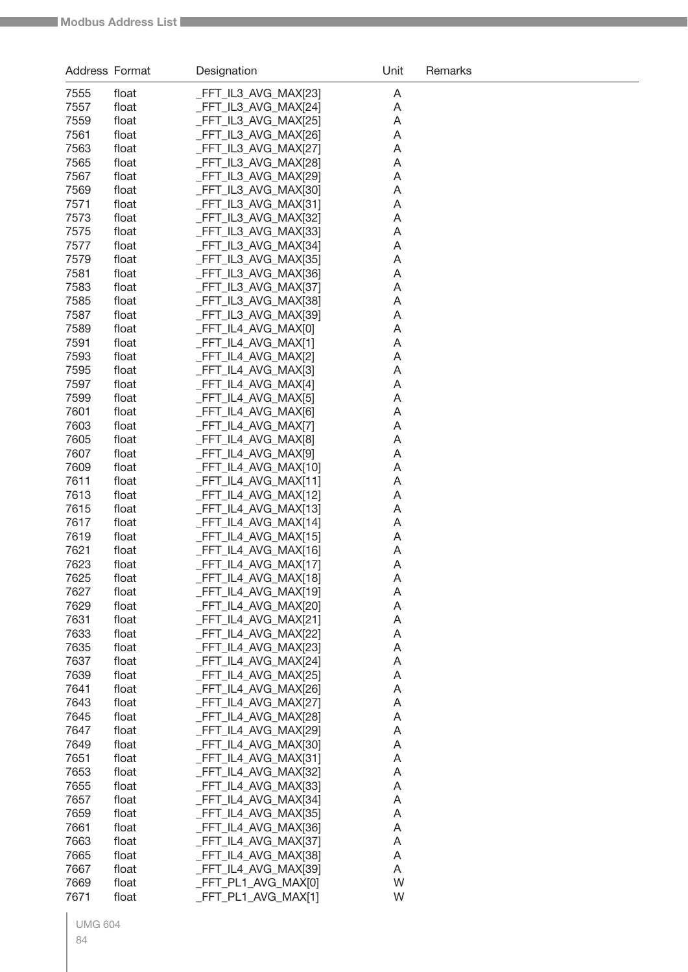| Address Format |                | Designation                                  | Unit   | Remarks |
|----------------|----------------|----------------------------------------------|--------|---------|
| 7555           | float          | _FFT_IL3_AVG_MAX[23]                         | A      |         |
| 7557           | float          | _FFT_IL3_AVG_MAX[24]                         | Α      |         |
| 7559           | float          | _FFT_IL3_AVG_MAX[25]                         | Α      |         |
| 7561           | float          | _FFT_IL3_AVG_MAX[26]                         | Α      |         |
| 7563           | float          | _FFT_IL3_AVG_MAX[27]                         | Α      |         |
| 7565           | float          | _FFT_IL3_AVG_MAX[28]                         | Α      |         |
| 7567           | float          | FFT_IL3_AVG_MAX[29]                          | Α      |         |
| 7569           | float          | FFT_IL3_AVG_MAX[30]                          | Α      |         |
| 7571           | float          | _FFT_IL3_AVG_MAX[31]                         | Α      |         |
| 7573           | float          | FFT_IL3_AVG_MAX[32]                          | Α      |         |
| 7575           | float          | FFT_IL3_AVG_MAX[33]                          | Α      |         |
| 7577           | float          | FFT_IL3_AVG_MAX[34]                          | Α      |         |
| 7579           | float          | FFT_IL3_AVG_MAX[35]                          | Α      |         |
| 7581           | float          | FFT_IL3_AVG_MAX[36]                          | Α      |         |
| 7583           | float          | FFT_IL3_AVG_MAX[37]                          | Α      |         |
| 7585           | float          | FFT_IL3_AVG_MAX[38]                          | Α      |         |
| 7587           | float          | FFT_IL3_AVG_MAX[39]                          | Α      |         |
| 7589           | float          | _FFT_IL4_AVG_MAX[0]                          | Α      |         |
| 7591           | float          | _FFT_IL4_AVG_MAX[1]                          | Α      |         |
| 7593           | float          | _FFT_IL4_AVG_MAX[2]                          | Α      |         |
| 7595           | float          | FFT_IL4_AVG_MAX[3]                           | Α      |         |
| 7597           | float          | _FFT_IL4_AVG_MAX[4]                          | Α      |         |
| 7599           | float          | _FFT_IL4_AVG_MAX[5]                          | Α      |         |
| 7601           | float          | FFT_IL4_AVG_MAX[6]                           | Α      |         |
| 7603           | float          | FFT_IL4_AVG_MAX[7]                           | Α      |         |
| 7605<br>7607   | float<br>float | FFT_IL4_AVG_MAX[8]<br>_FFT_IL4_AVG_MAX[9]    | Α<br>Α |         |
| 7609           | float          | _FFT_IL4_AVG_MAX[10]                         | Α      |         |
| 7611           | float          | _FFT_IL4_AVG_MAX[11]                         | Α      |         |
| 7613           | float          | _FFT_IL4_AVG_MAX[12]                         | Α      |         |
| 7615           | float          | FFT_IL4_AVG_MAX[13]                          | Α      |         |
| 7617           | float          | _FFT_IL4_AVG_MAX[14]                         | Α      |         |
| 7619           | float          | _FFT_IL4_AVG_MAX[15]                         | Α      |         |
| 7621           | float          | FFT IL4 AVG MAX[16]                          | Α      |         |
| 7623           | float          | FFT IL4 AVG MAX[17]                          | Α      |         |
| 7625           | float          | FFT_IL4_AVG_MAX[18]                          | A      |         |
| 7627           | float          | FFT_IL4_AVG_MAX[19]                          | Α      |         |
| 7629           | float          | FFT_IL4_AVG_MAX[20]                          | A      |         |
| 7631           | float          | _FFT_IL4_AVG_MAX[21]                         | A      |         |
| 7633           | float          | _FFT_IL4_AVG_MAX[22]                         | A      |         |
| 7635           | float          | _FFT_IL4_AVG_MAX[23]                         | A      |         |
| 7637           | float          | _FFT_IL4_AVG_MAX[24]                         | A      |         |
| 7639           | float          | _FFT_IL4_AVG_MAX[25]                         | A      |         |
| 7641           | float          | _FFT_IL4_AVG_MAX[26]                         | Α      |         |
| 7643           | float          | _FFT_IL4_AVG_MAX[27]                         | A      |         |
| 7645           | float          | FFT_IL4_AVG_MAX[28]                          | A      |         |
| 7647           | float          | FFT_IL4_AVG_MAX[29]                          | A      |         |
| 7649           | float          | FFT_IL4_AVG_MAX[30]                          | A      |         |
| 7651           | float          | FFT_IL4_AVG_MAX[31]                          | A      |         |
| 7653           | float          | FFT_IL4_AVG_MAX[32]                          | A      |         |
| 7655           | float          | FFT_IL4_AVG_MAX[33]                          | A      |         |
| 7657           | float          | FFT_IL4_AVG_MAX[34]                          | A      |         |
| 7659           | float          | _FFT_IL4_AVG_MAX[35]                         | A      |         |
| 7661           | float          | _FFT_IL4_AVG_MAX[36]                         | A      |         |
| 7663<br>7665   | float          | _FFT_IL4_AVG_MAX[37]                         | A      |         |
| 7667           | float<br>float | _FFT_IL4_AVG_MAX[38]<br>_FFT_IL4_AVG_MAX[39] | A      |         |
| 7669           | float          | FFT_PL1_AVG_MAX[0]                           | Α<br>W |         |
| 7671           | float          | FFT_PL1_AVG_MAX[1]                           | W      |         |
|                |                |                                              |        |         |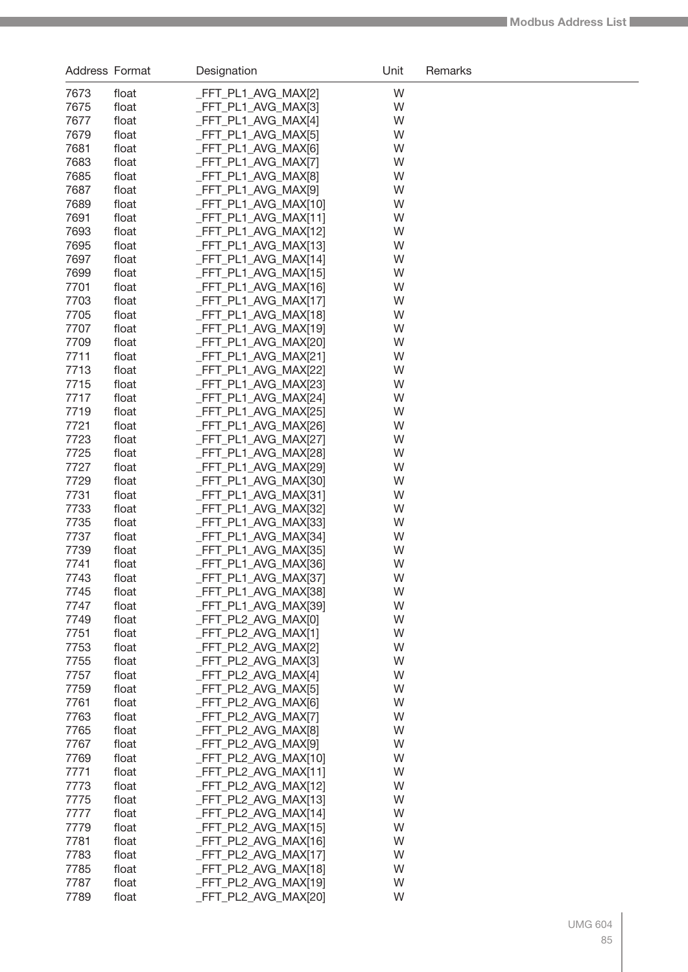| Address Format |                | Designation                                  | Unit   | Remarks |
|----------------|----------------|----------------------------------------------|--------|---------|
| 7673           | float          | _FFT_PL1_AVG_MAX[2]                          | W      |         |
| 7675           | float          | _FFT_PL1_AVG_MAX[3]                          | W      |         |
| 7677           | float          | _FFT_PL1_AVG_MAX[4]                          | W      |         |
| 7679           | float          | FFT_PL1_AVG_MAX[5]                           | W      |         |
| 7681           | float          | FFT_PL1_AVG_MAX[6]                           | W      |         |
| 7683           | float          | _FFT_PL1_AVG_MAX[7]                          | W      |         |
| 7685           | float          | _FFT_PL1_AVG_MAX[8]                          | W      |         |
| 7687           | float          | _FFT_PL1_AVG_MAX[9]                          | W      |         |
| 7689           | float          | _FFT_PL1_AVG_MAX[10]                         | W      |         |
| 7691           | float          | _FFT_PL1_AVG_MAX[11]                         | W      |         |
| 7693           | float          | _FFT_PL1_AVG_MAX[12]                         | W      |         |
| 7695           | float          | _FFT_PL1_AVG_MAX[13]                         | W      |         |
| 7697           | float          | _FFT_PL1_AVG_MAX[14]                         | W      |         |
| 7699           | float          | _FFT_PL1_AVG_MAX[15]                         | W      |         |
| 7701           | float          | _FFT_PL1_AVG_MAX[16]                         | W      |         |
| 7703           | float          | _FFT_PL1_AVG_MAX[17]                         | W      |         |
| 7705           | float          | _FFT_PL1_AVG_MAX[18]                         | W      |         |
| 7707<br>7709   | float          | _FFT_PL1_AVG_MAX[19]                         | W<br>W |         |
| 7711           | float<br>float | _FFT_PL1_AVG_MAX[20]<br>_FFT_PL1_AVG_MAX[21] | W      |         |
| 7713           | float          | _FFT_PL1_AVG_MAX[22]                         | W      |         |
| 7715           | float          | _FFT_PL1_AVG_MAX[23]                         | W      |         |
| 7717           | float          | _FFT_PL1_AVG_MAX[24]                         | W      |         |
| 7719           | float          | _FFT_PL1_AVG_MAX[25]                         | W      |         |
| 7721           | float          | _FFT_PL1_AVG_MAX[26]                         | W      |         |
| 7723           | float          | _FFT_PL1_AVG_MAX[27]                         | W      |         |
| 7725           | float          | _FFT_PL1_AVG_MAX[28]                         | W      |         |
| 7727           | float          | _FFT_PL1_AVG_MAX[29]                         | W      |         |
| 7729           | float          | _FFT_PL1_AVG_MAX[30]                         | W      |         |
| 7731           | float          | _FFT_PL1_AVG_MAX[31]                         | W      |         |
| 7733           | float          | _FFT_PL1_AVG_MAX[32]                         | W      |         |
| 7735           | float          | _FFT_PL1_AVG_MAX[33]                         | W      |         |
| 7737           | float          | _FFT_PL1_AVG_MAX[34]                         | W      |         |
| 7739           | float          | _FFT_PL1_AVG_MAX[35]                         | W      |         |
| 7741           | float          | _FFT_PL1_AVG_MAX[36]                         | W      |         |
| 7743           | float          | _FFT_PL1_AVG_MAX[37]                         | W      |         |
| 7745           | float          | _FFT_PL1_AVG_MAX[38]                         | W      |         |
| 7747           | float          | _FFT_PL1_AVG_MAX[39]                         | W      |         |
| 7749           | float          | _FFT_PL2_AVG_MAX[0]                          | W      |         |
| 7751           | float          | FFT PL2 AVG MAX[1]                           | W      |         |
| 7753           | float          | _FFT_PL2_AVG_MAX[2]                          | W      |         |
| 7755<br>7757   | float<br>float | FFT_PL2_AVG_MAX[3]<br>FFT PL2 AVG MAX[4]     | W<br>W |         |
| 7759           | float          | _FFT_PL2_AVG_MAX[5]                          | W      |         |
| 7761           | float          | FFT_PL2_AVG_MAX[6]                           | W      |         |
| 7763           | float          | FFT PL2 AVG MAX[7]                           | W      |         |
| 7765           | float          | FFT_PL2_AVG_MAX[8]                           | W      |         |
| 7767           | float          | FFT_PL2_AVG_MAX[9]                           | W      |         |
| 7769           | float          | FFT_PL2_AVG_MAX[10]                          | W      |         |
| 7771           | float          | FFT_PL2_AVG_MAX[11]                          | W      |         |
| 7773           | float          | FFT_PL2_AVG_MAX[12]                          | W      |         |
| 7775           | float          | FFT_PL2_AVG_MAX[13]                          | W      |         |
| 7777           | float          | FFT_PL2_AVG_MAX[14]                          | W      |         |
| 7779           | float          | FFT_PL2_AVG_MAX[15]                          | W      |         |
| 7781           | float          | FFT_PL2_AVG_MAX[16]                          | W      |         |
| 7783           | float          | _FFT_PL2_AVG_MAX[17]                         | W      |         |
| 7785           | float          | _FFT_PL2_AVG_MAX[18]                         | W      |         |
| 7787           | float          | FFT_PL2_AVG_MAX[19]                          | W      |         |
| 7789           | float          | FFT_PL2_AVG_MAX[20]                          | W      |         |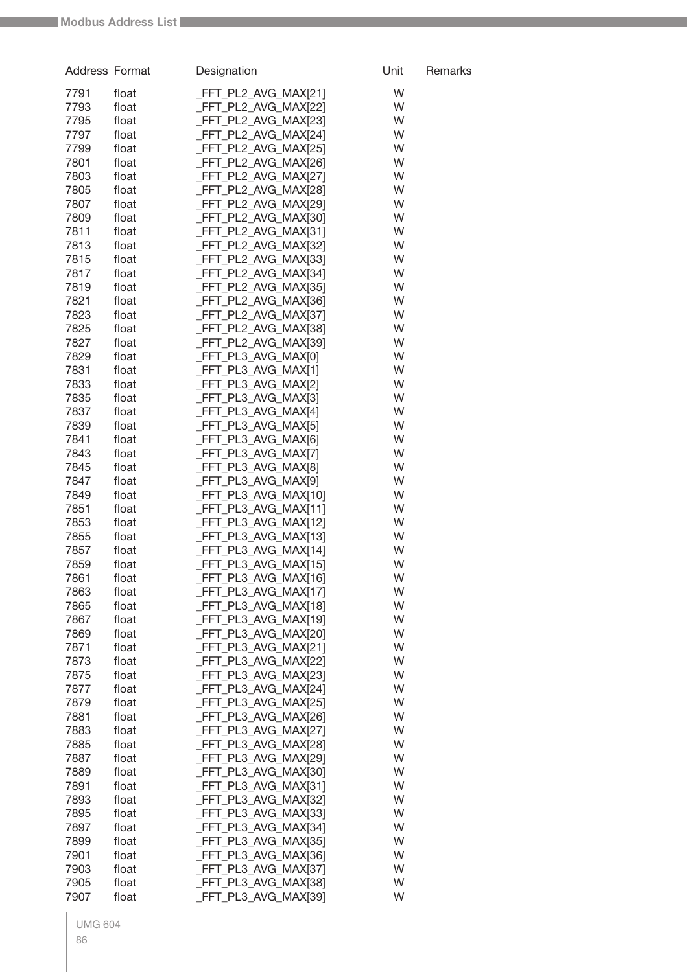| Address Format |                | Designation                                  | Unit   | Remarks |
|----------------|----------------|----------------------------------------------|--------|---------|
| 7791           | float          | _FFT_PL2_AVG_MAX[21]                         | W      |         |
| 7793           | float          | _FFT_PL2_AVG_MAX[22]                         | W      |         |
| 7795           | float          | FFT_PL2_AVG_MAX[23]                          | W      |         |
| 7797           | float          | FFT_PL2_AVG_MAX[24]                          | W      |         |
| 7799           | float          | _FFT_PL2_AVG_MAX[25]                         | W      |         |
| 7801           | float          | _FFT_PL2_AVG_MAX[26]                         | W      |         |
| 7803           | float          | _FFT_PL2_AVG_MAX[27]                         | W      |         |
| 7805           | float          | _FFT_PL2_AVG_MAX[28]                         | W      |         |
| 7807           | float          | _FFT_PL2_AVG_MAX[29]                         | W      |         |
| 7809           | float          | _FFT_PL2_AVG_MAX[30]                         | W      |         |
| 7811           | float          | _FFT_PL2_AVG_MAX[31]                         | W      |         |
| 7813           | float          | _FFT_PL2_AVG_MAX[32]                         | W      |         |
| 7815           | float          | _FFT_PL2_AVG_MAX[33]                         | W      |         |
| 7817           | float          | _FFT_PL2_AVG_MAX[34]                         | W      |         |
| 7819           | float          | _FFT_PL2_AVG_MAX[35]                         | W      |         |
| 7821           | float          | _FFT_PL2_AVG_MAX[36]                         | W      |         |
| 7823           | float          | _FFT_PL2_AVG_MAX[37]                         | W      |         |
| 7825           | float          | FFT_PL2_AVG_MAX[38]                          | W      |         |
| 7827           | float          | _FFT_PL2_AVG_MAX[39]                         | W      |         |
| 7829           | float          | _FFT_PL3_AVG_MAX[0]                          | W      |         |
| 7831           | float          | FFT_PL3_AVG_MAX[1]                           | W      |         |
| 7833           | float          | _FFT_PL3_AVG_MAX[2]                          | W      |         |
| 7835           | float          | _FFT_PL3_AVG_MAX[3]                          | W      |         |
| 7837           | float          | _FFT_PL3_AVG_MAX[4]                          | W      |         |
| 7839           | float          | _FFT_PL3_AVG_MAX[5]                          | W      |         |
| 7841           | float          | _FFT_PL3_AVG_MAX[6]                          | W      |         |
| 7843           | float          | _FFT_PL3_AVG_MAX[7]                          | W      |         |
| 7845           | float          | _FFT_PL3_AVG_MAX[8]                          | W      |         |
| 7847           | float          | _FFT_PL3_AVG_MAX[9]                          | W      |         |
| 7849           | float          | _FFT_PL3_AVG_MAX[10]                         | W      |         |
| 7851<br>7853   | float          | FFT_PL3_AVG_MAX[11]                          | W      |         |
| 7855           | float<br>float | _FFT_PL3_AVG_MAX[12]<br>_FFT_PL3_AVG_MAX[13] | W<br>W |         |
| 7857           | float          | _FFT_PL3_AVG_MAX[14]                         | W      |         |
| 7859           | float          | FFT_PL3_AVG_MAX[15]                          | W      |         |
| 7861           | float          | FFT_PL3_AVG_MAX[16]                          | W      |         |
| 7863           | float          | FFT_PL3_AVG_MAX[17]                          | W      |         |
| 7865           | float          | _FFT_PL3_AVG_MAX[18]                         | W      |         |
| 7867           | float          | _FFT_PL3_AVG_MAX[19]                         | W      |         |
| 7869           | float          | _FFT_PL3_AVG_MAX[20]                         | W      |         |
| 7871           | float          | _FFT_PL3_AVG_MAX[21]                         | W      |         |
| 7873           | float          | _FFT_PL3_AVG_MAX[22]                         | W      |         |
| 7875           | float          | FFT_PL3_AVG_MAX[23]                          | W      |         |
| 7877           | float          | _FFT_PL3_AVG_MAX[24]                         | W      |         |
| 7879           | float          | _FFT_PL3_AVG_MAX[25]                         | W      |         |
| 7881           | float          | _FFT_PL3_AVG_MAX[26]                         | W      |         |
| 7883           | float          | _FFT_PL3_AVG_MAX[27]                         | W      |         |
| 7885           | float          | _FFT_PL3_AVG_MAX[28]                         | W      |         |
| 7887           | float          | _FFT_PL3_AVG_MAX[29]                         | W      |         |
| 7889           | float          | _FFT_PL3_AVG_MAX[30]                         | W      |         |
| 7891           | float          | _FFT_PL3_AVG_MAX[31]                         | W      |         |
| 7893           | float          | _FFT_PL3_AVG_MAX[32]                         | W      |         |
| 7895           | float          | _FFT_PL3_AVG_MAX[33]                         | W      |         |
| 7897           | float          | _FFT_PL3_AVG_MAX[34]                         | W      |         |
| 7899           | float          | _FFT_PL3_AVG_MAX[35]                         | W      |         |
| 7901           | float          | _FFT_PL3_AVG_MAX[36]                         | W      |         |
| 7903           | float          | _FFT_PL3_AVG_MAX[37]                         | W      |         |
| 7905           | float          | _FFT_PL3_AVG_MAX[38]                         | W      |         |
| 7907           | float          | _FFT_PL3_AVG_MAX[39]                         | W      |         |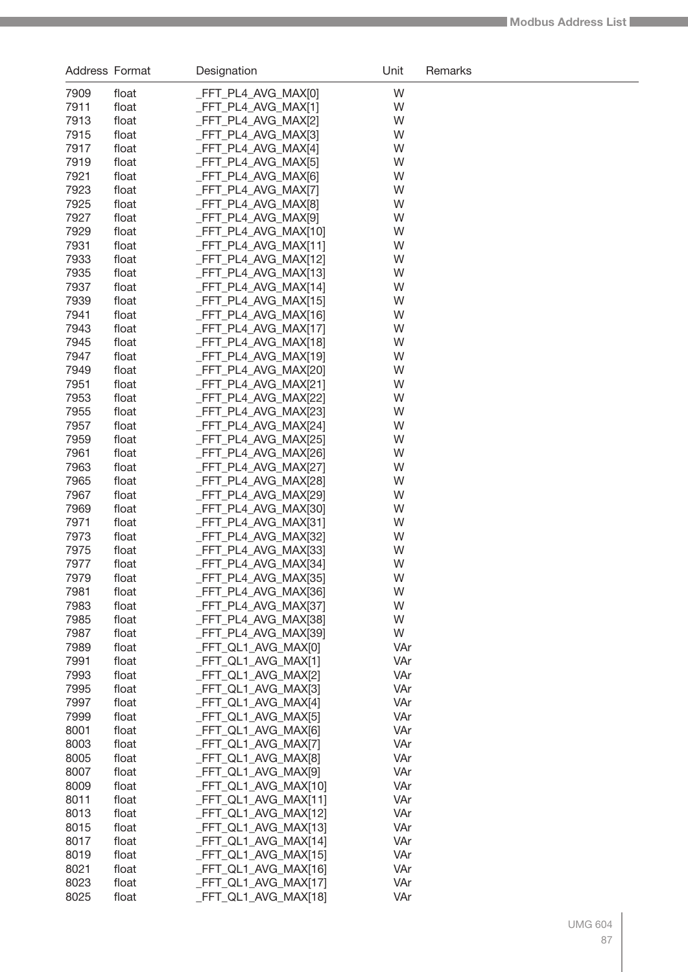| Address Format |                | Designation                                 | Unit       | Remarks |
|----------------|----------------|---------------------------------------------|------------|---------|
| 7909           | float          | FFT_PL4_AVG_MAX[0]                          | W          |         |
| 7911           | float          | _FFT_PL4_AVG_MAX[1]                         | W          |         |
| 7913           | float          | FFT_PL4_AVG_MAX[2]                          | W          |         |
| 7915           | float          | FFT_PL4_AVG_MAX[3]                          | W          |         |
| 7917           | float          | FFT_PL4_AVG_MAX[4]                          | W          |         |
| 7919           | float          | FFT_PL4_AVG_MAX[5]                          | W          |         |
| 7921           | float          | FFT_PL4_AVG_MAX[6]                          | W          |         |
| 7923           | float          | FFT_PL4_AVG_MAX[7]                          | W          |         |
| 7925           | float          | FFT_PL4_AVG_MAX[8]                          | W          |         |
| 7927           | float          | FFT_PL4_AVG_MAX[9]                          | W          |         |
| 7929           | float          | FFT_PL4_AVG_MAX[10]                         | W          |         |
| 7931           | float          | FFT_PL4_AVG_MAX[11]                         | W          |         |
| 7933           | float          | FFT_PL4_AVG_MAX[12]                         | W          |         |
| 7935           | float          | FFT_PL4_AVG_MAX[13]                         | W          |         |
| 7937           | float          | FFT_PL4_AVG_MAX[14]                         | W          |         |
| 7939           | float          | _FFT_PL4_AVG_MAX[15]                        | W          |         |
| 7941           | float          | _FFT_PL4_AVG_MAX[16]                        | W          |         |
| 7943<br>7945   | float<br>float | _FFT_PL4_AVG_MAX[17]<br>FFT_PL4_AVG_MAX[18] | W<br>W     |         |
| 7947           | float          | FFT_PL4_AVG_MAX[19]                         | W          |         |
| 7949           | float          | FFT_PL4_AVG_MAX[20]                         | W          |         |
| 7951           | float          | FFT_PL4_AVG_MAX[21]                         | W          |         |
| 7953           | float          | FFT_PL4_AVG_MAX[22]                         | W          |         |
| 7955           | float          | FFT_PL4_AVG_MAX[23]                         | W          |         |
| 7957           | float          | FFT_PL4_AVG_MAX[24]                         | W          |         |
| 7959           | float          | FFT_PL4_AVG_MAX[25]                         | W          |         |
| 7961           | float          | FFT_PL4_AVG_MAX[26]                         | W          |         |
| 7963           | float          | _FFT_PL4_AVG_MAX[27]                        | W          |         |
| 7965           | float          | _FFT_PL4_AVG_MAX[28]                        | W          |         |
| 7967           | float          | _FFT_PL4_AVG_MAX[29]                        | W          |         |
| 7969           | float          | _FFT_PL4_AVG_MAX[30]                        | W          |         |
| 7971           | float          | _FFT_PL4_AVG_MAX[31]                        | W          |         |
| 7973           | float          | FFT_PL4_AVG_MAX[32]                         | W          |         |
| 7975           | float          | _FFT_PL4_AVG_MAX[33]                        | W          |         |
| 7977           | float          | _FFT_PL4_AVG_MAX[34]                        | W          |         |
| 7979           | float          | _FFT_PL4_AVG_MAX[35]                        | W          |         |
| 7981           | float          | _FFT_PL4_AVG_MAX[36]                        | W          |         |
| 7983           | float          | _FFT_PL4_AVG_MAX[37]                        | W          |         |
| 7985           | float          | FFT_PL4_AVG_MAX[38]                         | W          |         |
| 7987           | float          | _FFT_PL4_AVG_MAX[39]                        | W          |         |
| 7989<br>7991   | float          | _FFT_QL1_AVG_MAX[0]                         | VAr        |         |
| 7993           | float<br>float | _FFT_QL1_AVG_MAX[1]<br>_FFT_QL1_AVG_MAX[2]  | VAr<br>VAr |         |
| 7995           | float          | _FFT_QL1_AVG_MAX[3]                         | VAr        |         |
| 7997           | float          | _FFT_QL1_AVG_MAX[4]                         | VAr        |         |
| 7999           | float          | _FFT_QL1_AVG_MAX[5]                         | VAr        |         |
| 8001           | float          | _FFT_QL1_AVG_MAX[6]                         | VAr        |         |
| 8003           | float          | _FFT_QL1_AVG_MAX[7]                         | VAr        |         |
| 8005           | float          | _FFT_QL1_AVG_MAX[8]                         | VAr        |         |
| 8007           | float          | _FFT_QL1_AVG_MAX[9]                         | VAr        |         |
| 8009           | float          | _FFT_QL1_AVG_MAX[10]                        | VAr        |         |
| 8011           | float          | _FFT_QL1_AVG_MAX[11]                        | VAr        |         |
| 8013           | float          | _FFT_QL1_AVG_MAX[12]                        | VAr        |         |
| 8015           | float          | _FFT_QL1_AVG_MAX[13]                        | VAr        |         |
| 8017           | float          | _FFT_QL1_AVG_MAX[14]                        | VAr        |         |
| 8019           | float          | _FFT_QL1_AVG_MAX[15]                        | VAr        |         |
| 8021           | float          | _FFT_QL1_AVG_MAX[16]                        | VAr        |         |
| 8023           | float          | _FFT_QL1_AVG_MAX[17]                        | VAr        |         |
| 8025           | float          | _FFT_QL1_AVG_MAX[18]                        | VAr        |         |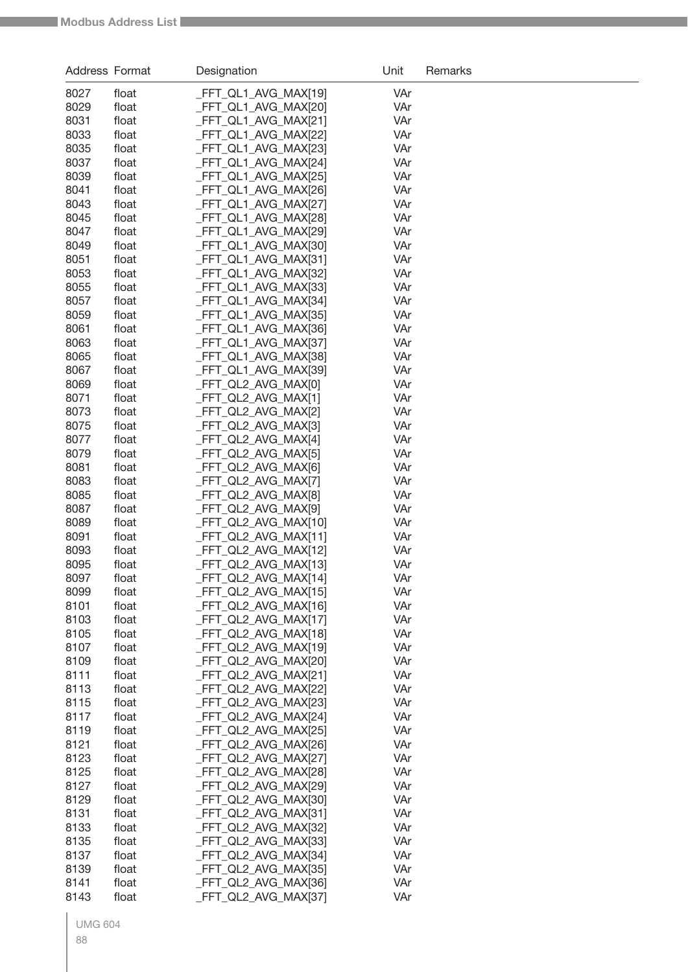| Address Format |                | Designation                                  | Unit       | Remarks |
|----------------|----------------|----------------------------------------------|------------|---------|
| 8027           | float          | _FFT_QL1_AVG_MAX[19]                         | VAr        |         |
| 8029           | float          | _FFT_QL1_AVG_MAX[20]                         | VAr        |         |
| 8031           | float          | _FFT_QL1_AVG_MAX[21]                         | VAr        |         |
| 8033           | float          | _FFT_QL1_AVG_MAX[22]                         | VAr        |         |
| 8035           | float          | _FFT_QL1_AVG_MAX[23]                         | VAr        |         |
| 8037           | float          | _FFT_QL1_AVG_MAX[24]                         | VAr        |         |
| 8039           | float          | _FFT_QL1_AVG_MAX[25]                         | VAr        |         |
| 8041           | float          | _FFT_QL1_AVG_MAX[26]                         | VAr        |         |
| 8043           | float          | _FFT_QL1_AVG_MAX[27]                         | VAr        |         |
| 8045           | float          | _FFT_QL1_AVG_MAX[28]                         | VAr        |         |
| 8047           | float          | _FFT_QL1_AVG_MAX[29]                         | VAr        |         |
| 8049           | float          | _FFT_QL1_AVG_MAX[30]                         | VAr        |         |
| 8051           | float          | _FFT_QL1_AVG_MAX[31]                         | VAr<br>VAr |         |
| 8053<br>8055   | float<br>float | _FFT_QL1_AVG_MAX[32]<br>_FFT_QL1_AVG_MAX[33] | VAr        |         |
| 8057           | float          | _FFT_QL1_AVG_MAX[34]                         | VAr        |         |
| 8059           | float          | _FFT_QL1_AVG_MAX[35]                         | VAr        |         |
| 8061           | float          | _FFT_QL1_AVG_MAX[36]                         | VAr        |         |
| 8063           | float          | _FFT_QL1_AVG_MAX[37]                         | VAr        |         |
| 8065           | float          | _FFT_QL1_AVG_MAX[38]                         | VAr        |         |
| 8067           | float          | _FFT_QL1_AVG_MAX[39]                         | VAr        |         |
| 8069           | float          | _FFT_QL2_AVG_MAX[0]                          | VAr        |         |
| 8071           | float          | _FFT_QL2_AVG_MAX[1]                          | VAr        |         |
| 8073           | float          | _FFT_QL2_AVG_MAX[2]                          | VAr        |         |
| 8075           | float          | _FFT_QL2_AVG_MAX[3]                          | VAr        |         |
| 8077           | float          | _FFT_QL2_AVG_MAX[4]                          | VAr        |         |
| 8079           | float          | _FFT_QL2_AVG_MAX[5]                          | VAr        |         |
| 8081           | float          | _FFT_QL2_AVG_MAX[6]                          | VAr        |         |
| 8083           | float          | _FFT_QL2_AVG_MAX[7]                          | VAr        |         |
| 8085           | float          | _FFT_QL2_AVG_MAX[8]                          | VAr        |         |
| 8087           | float          | _FFT_QL2_AVG_MAX[9]                          | VAr        |         |
| 8089<br>8091   | float<br>float | _FFT_QL2_AVG_MAX[10]<br>_FFT_QL2_AVG_MAX[11] | VAr<br>VAr |         |
| 8093           | float          | _FFT_QL2_AVG_MAX[12]                         | VAr        |         |
| 8095           | float          | _FFT_QL2_AVG_MAX[13]                         | VAr        |         |
| 8097           | float          | _FFT_QL2_AVG_MAX[14]                         | VAr        |         |
| 8099           | float          | _FFT_QL2_AVG_MAX[15]                         | VAr        |         |
| 8101           | float          | _FFT_QL2_AVG_MAX[16]                         | VAr        |         |
| 8103           | float          | _FFT_QL2_AVG_MAX[17]                         | VAr        |         |
| 8105           | float          | _FFT_QL2_AVG_MAX[18]                         | VAr        |         |
| 8107           | float          | FFT_QL2_AVG_MAX[19]                          | VAr        |         |
| 8109           | float          | _FFT_QL2_AVG_MAX[20]                         | VAr        |         |
| 8111           | float          | _FFT_QL2_AVG_MAX[21]                         | VAr        |         |
| 8113           | float          | _FFT_QL2_AVG_MAX[22]                         | VAr        |         |
| 8115           | float          | _FFT_QL2_AVG_MAX[23]                         | VAr        |         |
| 8117           | float          | FFT_QL2_AVG_MAX[24]                          | VAr        |         |
| 8119           | float          | _FFT_QL2_AVG_MAX[25]                         | VAr        |         |
| 8121           | float          | _FFT_QL2_AVG_MAX[26]                         | VAr        |         |
| 8123           | float          | _FFT_QL2_AVG_MAX[27]                         | VAr        |         |
| 8125<br>8127   | float<br>float | _FFT_QL2_AVG_MAX[28]<br>_FFT_QL2_AVG_MAX[29] | VAr<br>VAr |         |
| 8129           | float          | _FFT_QL2_AVG_MAX[30]                         | VAr        |         |
| 8131           | float          | _FFT_QL2_AVG_MAX[31]                         | VAr        |         |
| 8133           | float          | _FFT_QL2_AVG_MAX[32]                         | VAr        |         |
| 8135           | float          | _FFT_QL2_AVG_MAX[33]                         | VAr        |         |
| 8137           | float          | _FFT_QL2_AVG_MAX[34]                         | VAr        |         |
| 8139           | float          | _FFT_QL2_AVG_MAX[35]                         | VAr        |         |
| 8141           | float          | FFT_QL2_AVG_MAX[36]                          | VAr        |         |
| 8143           | float          | FFT_QL2_AVG_MAX[37]                          | VAr        |         |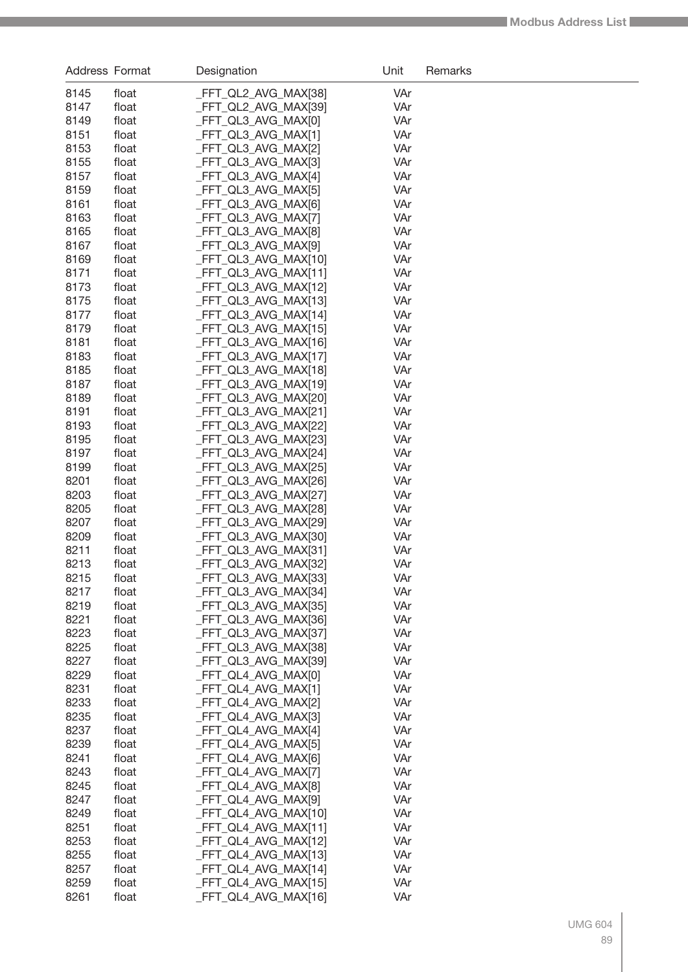| Address Format |                | Designation                                  | Unit       | Remarks |
|----------------|----------------|----------------------------------------------|------------|---------|
| 8145           | float          | _FFT_QL2_AVG_MAX[38]                         | VAr        |         |
| 8147           | float          | _FFT_QL2_AVG_MAX[39]                         | VAr        |         |
| 8149           | float          | _FFT_QL3_AVG_MAX[0]                          | VAr        |         |
| 8151           | float          | _FFT_QL3_AVG_MAX[1]                          | VAr        |         |
| 8153           | float          | _FFT_QL3_AVG_MAX[2]                          | VAr        |         |
| 8155           | float          | _FFT_QL3_AVG_MAX[3]                          | VAr        |         |
| 8157           | float          | _FFT_QL3_AVG_MAX[4]                          | VAr        |         |
| 8159           | float          | _FFT_QL3_AVG_MAX[5]                          | VAr        |         |
| 8161           | float          | FFT_QL3_AVG_MAX[6]                           | VAr        |         |
| 8163           | float          | _FFT_QL3_AVG_MAX[7]                          | VAr        |         |
| 8165           | float          | _FFT_QL3_AVG_MAX[8]                          | VAr        |         |
| 8167           | float          | _FFT_QL3_AVG_MAX[9]                          | VAr        |         |
| 8169           | float          | _FFT_QL3_AVG_MAX[10]                         | VAr        |         |
| 8171           | float          | _FFT_QL3_AVG_MAX[11]                         | VAr        |         |
| 8173           | float          | _FFT_QL3_AVG_MAX[12]                         | VAr        |         |
| 8175           | float          | _FFT_QL3_AVG_MAX[13]                         | VAr        |         |
| 8177           | float          | _FFT_QL3_AVG_MAX[14]                         | VAr        |         |
| 8179           | float          | _FFT_QL3_AVG_MAX[15]                         | VAr        |         |
| 8181           | float          | _FFT_QL3_AVG_MAX[16]                         | VAr        |         |
| 8183           | float          | _FFT_QL3_AVG_MAX[17]                         | VAr        |         |
| 8185           | float          | _FFT_QL3_AVG_MAX[18]                         | VAr        |         |
| 8187           | float          | _FFT_QL3_AVG_MAX[19]                         | VAr        |         |
| 8189           | float          | FFT_QL3_AVG_MAX[20]                          | VAr        |         |
| 8191           | float          | _FFT_QL3_AVG_MAX[21]                         | VAr        |         |
| 8193           | float          | _FFT_QL3_AVG_MAX[22]                         | VAr        |         |
| 8195           | float          | _FFT_QL3_AVG_MAX[23]                         | VAr        |         |
| 8197           | float          | _FFT_QL3_AVG_MAX[24]                         | VAr        |         |
| 8199<br>8201   | float<br>float | _FFT_QL3_AVG_MAX[25]                         | VAr<br>VAr |         |
| 8203           | float          | _FFT_QL3_AVG_MAX[26]<br>_FFT_QL3_AVG_MAX[27] | VAr        |         |
| 8205           | float          | _FFT_QL3_AVG_MAX[28]                         | VAr        |         |
| 8207           | float          | _FFT_QL3_AVG_MAX[29]                         | VAr        |         |
| 8209           | float          | FFT_QL3_AVG_MAX[30]                          | VAr        |         |
| 8211           | float          | _FFT_QL3_AVG_MAX[31]                         | VAr        |         |
| 8213           | float          | _FFT_QL3_AVG_MAX[32]                         | VAr        |         |
| 8215           | float          | FFT_QL3_AVG_MAX[33]                          | VAr        |         |
| 8217           | float          | _FFT_QL3_AVG_MAX[34]                         | VAr        |         |
| 8219           | float          | _FFT_QL3_AVG_MAX[35]                         | VAr        |         |
| 8221           | float          | FFT_QL3_AVG_MAX[36]                          | VAr        |         |
| 8223           | float          | _FFT_QL3_AVG_MAX[37]                         | VAr        |         |
| 8225           | float          | FFT_QL3_AVG_MAX[38]                          | VAr        |         |
| 8227           | float          | _FFT_QL3_AVG_MAX[39]                         | VAr        |         |
| 8229           | float          | _FFT_QL4_AVG_MAX[0]                          | VAr        |         |
| 8231           | float          | FFT QL4 AVG MAX[1]                           | VAr        |         |
| 8233           | float          | _FFT_QL4_AVG_MAX[2]                          | VAr        |         |
| 8235           | float          | _FFT_QL4_AVG_MAX[3]                          | VAr        |         |
| 8237           | float          | _FFT_QL4_AVG_MAX[4]                          | VAr        |         |
| 8239           | float          | _FFT_QL4_AVG_MAX[5]                          | VAr        |         |
| 8241           | float          | _FFT_QL4_AVG_MAX[6]                          | VAr        |         |
| 8243           | float          | _FFT_QL4_AVG_MAX[7]                          | VAr        |         |
| 8245           | float          | _FFT_QL4_AVG_MAX[8]                          | VAr        |         |
| 8247           | float          | _FFT_QL4_AVG_MAX[9]                          | VAr        |         |
| 8249           | float          | _FFT_QL4_AVG_MAX[10]                         | VAr        |         |
| 8251           | float          | _FFT_QL4_AVG_MAX[11]                         | VAr        |         |
| 8253           | float          | _FFT_QL4_AVG_MAX[12]                         | VAr        |         |
| 8255           | float          | _FFT_QL4_AVG_MAX[13]                         | VAr        |         |
| 8257           | float          | _FFT_QL4_AVG_MAX[14]                         | VAr        |         |
| 8259           | float          | _FFT_QL4_AVG_MAX[15]                         | VAr        |         |
| 8261           | float          | _FFT_QL4_AVG_MAX[16]                         | VAr        |         |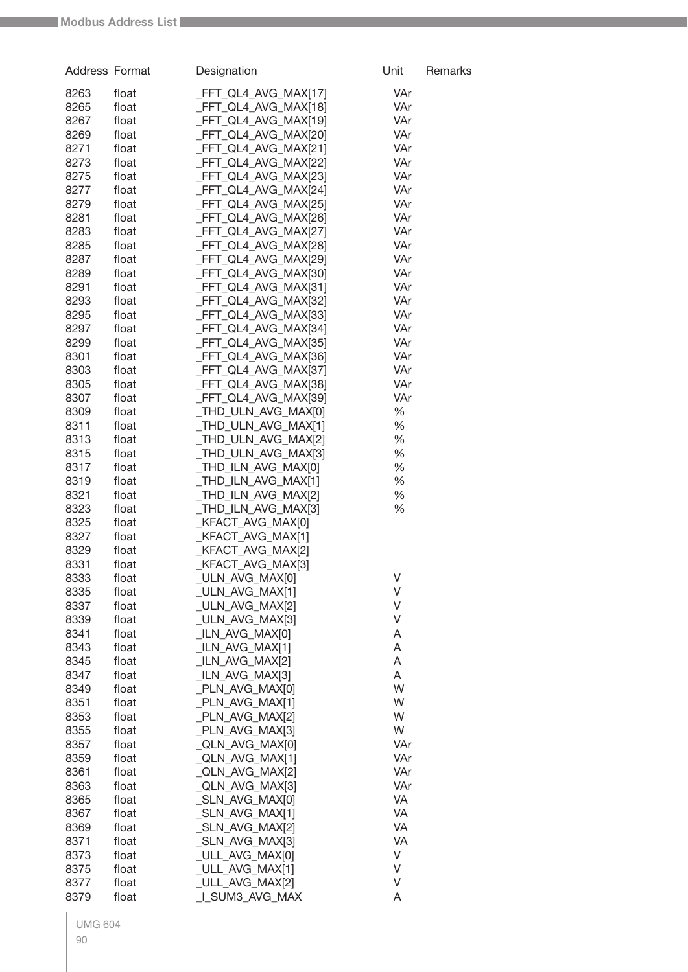| Address Format |       | Designation          | Unit    | Remarks |
|----------------|-------|----------------------|---------|---------|
| 8263           | float | FFT_QL4_AVG_MAX[17]  | VAr     |         |
| 8265           | float | _FFT_QL4_AVG_MAX[18] | VAr     |         |
| 8267           | float | _FFT_QL4_AVG_MAX[19] | VAr     |         |
| 8269           | float | _FFT_QL4_AVG_MAX[20] | VAr     |         |
| 8271           | float | _FFT_QL4_AVG_MAX[21] | VAr     |         |
| 8273           | float | _FFT_QL4_AVG_MAX[22] | VAr     |         |
| 8275           | float | _FFT_QL4_AVG_MAX[23] | VAr     |         |
| 8277           | float | _FFT_QL4_AVG_MAX[24] | VAr     |         |
| 8279           | float | _FFT_QL4_AVG_MAX[25] | VAr     |         |
| 8281           | float | _FFT_QL4_AVG_MAX[26] | VAr     |         |
| 8283           | float | _FFT_QL4_AVG_MAX[27] | VAr     |         |
| 8285           | float | _FFT_QL4_AVG_MAX[28] | VAr     |         |
| 8287           | float | _FFT_QL4_AVG_MAX[29] | VAr     |         |
| 8289           | float | _FFT_QL4_AVG_MAX[30] | VAr     |         |
| 8291           | float | _FFT_QL4_AVG_MAX[31] | VAr     |         |
| 8293           | float | _FFT_QL4_AVG_MAX[32] | VAr     |         |
| 8295           | float | _FFT_QL4_AVG_MAX[33] | VAr     |         |
| 8297           | float | _FFT_QL4_AVG_MAX[34] | VAr     |         |
| 8299           | float | _FFT_QL4_AVG_MAX[35] | VAr     |         |
| 8301           | float | _FFT_QL4_AVG_MAX[36] | VAr     |         |
| 8303           | float | _FFT_QL4_AVG_MAX[37] | VAr     |         |
| 8305           | float | _FFT_QL4_AVG_MAX[38] | VAr     |         |
| 8307           | float | _FFT_QL4_AVG_MAX[39] | VAr     |         |
| 8309           | float | _THD_ULN_AVG_MAX[0]  | $\%$    |         |
| 8311           | float | _THD_ULN_AVG_MAX[1]  | $\%$    |         |
| 8313           | float | _THD_ULN_AVG_MAX[2]  | $\%$    |         |
| 8315           | float | _THD_ULN_AVG_MAX[3]  | $\%$    |         |
| 8317           | float | _THD_ILN_AVG_MAX[0]  | %       |         |
| 8319           | float | _THD_ILN_AVG_MAX[1]  | %       |         |
| 8321           | float | _THD_ILN_AVG_MAX[2]  | %       |         |
| 8323           | float | _THD_ILN_AVG_MAX[3]  | %       |         |
| 8325           | float | _KFACT_AVG_MAX[0]    |         |         |
| 8327           | float | _KFACT_AVG_MAX[1]    |         |         |
| 8329           | float | KFACT_AVG_MAX[2]     |         |         |
| 8331           | float | KFACT_AVG_MAX[3]     |         |         |
| 8333           | float | _ULN_AVG_MAX[0]      | V       |         |
| 8335           | float | _ULN_AVG_MAX[1]      | V       |         |
| 8337           | float | ULN AVG MAX[2]       | $\vee$  |         |
| 8339           | float | ULN AVG MAX[3]       | V       |         |
| 8341           | float | _ILN_AVG_MAX[0]      | A       |         |
| 8343           | float | _ILN_AVG_MAX[1]      | A       |         |
| 8345           | float | _ILN_AVG_MAX[2]      | A       |         |
| 8347           | float | _ILN_AVG_MAX[3]      | Α       |         |
| 8349           | float | _PLN_AVG_MAX[0]      | W       |         |
| 8351           | float | _PLN_AVG_MAX[1]      | W       |         |
| 8353           | float | _PLN_AVG_MAX[2]      | W       |         |
| 8355           | float | _PLN_AVG_MAX[3]      | W       |         |
| 8357           | float | _QLN_AVG_MAX[0]      | VAr     |         |
| 8359           | float | _QLN_AVG_MAX[1]      | VAr     |         |
| 8361           | float | _QLN_AVG_MAX[2]      | VAr     |         |
| 8363           | float | _QLN_AVG_MAX[3]      | VAr     |         |
| 8365           | float | _SLN_AVG_MAX[0]      | VA      |         |
| 8367           | float | _SLN_AVG_MAX[1]      | VA      |         |
| 8369           | float | _SLN_AVG_MAX[2]      | VA      |         |
| 8371           | float | _SLN_AVG_MAX[3]      | VA      |         |
| 8373           | float | _ULL_AVG_MAX[0]      | V       |         |
| 8375           | float | _ULL_AVG_MAX[1]      | $\sf V$ |         |
| 8377           | float | _ULL_AVG_MAX[2]      | V       |         |
| 8379           | float | I SUM3_AVG_MAX       | A       |         |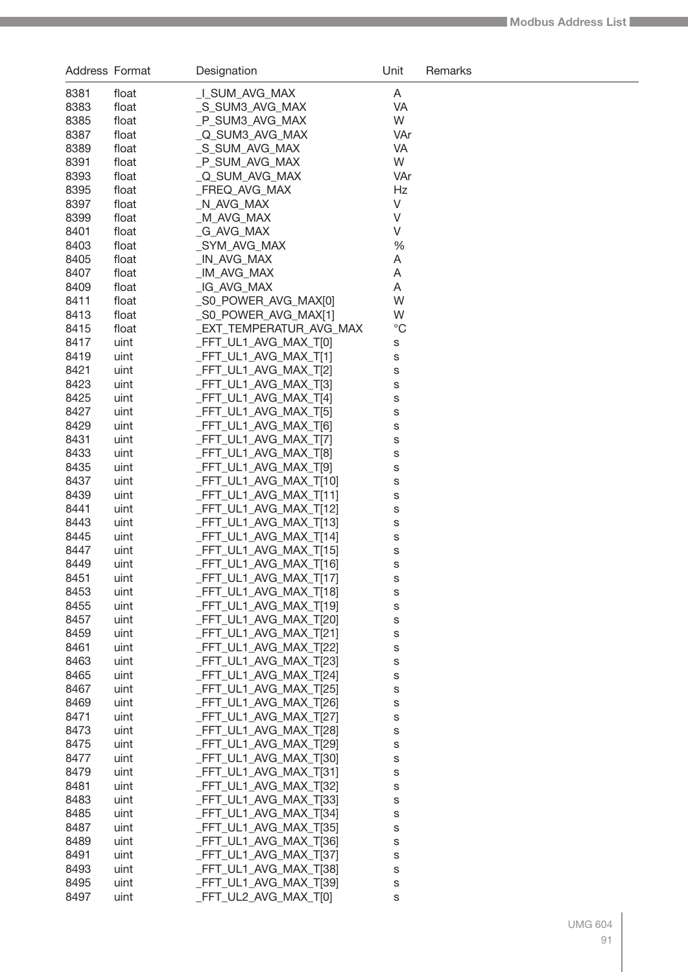| Address Format |              | Designation                                      | Unit        | Remarks |
|----------------|--------------|--------------------------------------------------|-------------|---------|
| 8381           | float        | LI_SUM_AVG_MAX                                   | A           |         |
| 8383           | float        | S SUM3 AVG MAX                                   | VA          |         |
| 8385           | float        | _P_SUM3_AVG_MAX                                  | W           |         |
| 8387           | float        | _Q_SUM3_AVG_MAX                                  | VAr         |         |
| 8389           | float        | _S_SUM_AVG_MAX                                   | VA          |         |
| 8391           | float        | _P_SUM_AVG_MAX                                   | W           |         |
| 8393           | float        | _Q_SUM_AVG_MAX                                   | VAr         |         |
| 8395           | float        | FREQ AVG MAX                                     | Hz          |         |
| 8397           | float        | _N_AVG_MAX                                       | V           |         |
| 8399           | float        | _M_AVG_MAX                                       | V           |         |
| 8401           | float        | G AVG MAX                                        | V           |         |
| 8403           | float        | _SYM_AVG_MAX                                     | %           |         |
| 8405           | float        | _IN_AVG_MAX                                      | Α           |         |
| 8407           | float        | _IM_AVG_MAX                                      | Α           |         |
| 8409           | float        | _IG_AVG_MAX                                      | Α           |         |
| 8411           | float        | SO POWER AVG MAX[0]                              | W           |         |
| 8413           | float        | _S0_POWER_AVG_MAX[1]                             | W           |         |
| 8415           | float        | _EXT_TEMPERATUR_AVG_MAX                          | $^{\circ}C$ |         |
| 8417           | uint         | _FFT_UL1_AVG_MAX_T[0]                            | S           |         |
| 8419           | uint         | _FFT_UL1_AVG_MAX_T[1]                            | s           |         |
| 8421           | uint         | FFT_UL1_AVG_MAX_T[2]                             | S           |         |
| 8423           | uint         | _FFT_UL1_AVG_MAX_T[3]                            | S           |         |
| 8425           | uint         | FFT UL1 AVG MAX T[4]                             | S           |         |
| 8427           | uint         | _FFT_UL1_AVG_MAX_T[5]                            | S           |         |
| 8429           | uint         | _FFT_UL1_AVG_MAX_T[6]                            | S           |         |
| 8431           | uint         | _FFT_UL1_AVG_MAX_T[7]                            | S           |         |
| 8433           | uint         | _FFT_UL1_AVG_MAX_T[8]                            | S           |         |
| 8435           | uint         | _FFT_UL1_AVG_MAX_T[9]                            | S           |         |
| 8437           | uint         | FFT_UL1_AVG_MAX_T[10]                            | S           |         |
| 8439           | uint         | _FFT_UL1_AVG_MAX_T[11]                           | S           |         |
| 8441           | uint         | _FFT_UL1_AVG_MAX_T[12]                           | S           |         |
| 8443           | uint         | _FFT_UL1_AVG_MAX_T[13]                           | S           |         |
| 8445           | uint         | FFT_UL1_AVG_MAX_T[14]                            | S           |         |
| 8447           | uint         | FFT_UL1_AVG_MAX_T[15]                            | S           |         |
| 8449           | uint         | _FFT_UL1_AVG_MAX_T[16]                           | S           |         |
| 8451           | uint         | FFT_UL1_AVG_MAX_T[17]                            | S           |         |
| 8453           | uint         | _FFT_UL1_AVG_MAX_T[18]                           | S           |         |
| 8455           | uint         | FFT_UL1_AVG_MAX_T[19]                            | S           |         |
| 8457           | uint         | FFT UL1 AVG MAX T[20]                            | S           |         |
| 8459           | uint         | _FFT_UL1_AVG_MAX_T[21]                           | S           |         |
| 8461           | uint         | _FFT_UL1_AVG_MAX_T[22]                           | S           |         |
| 8463           | uint         | FFT_UL1_AVG_MAX_T[23]                            | S           |         |
| 8465           | uint         | _FFT_UL1_AVG_MAX_T[24]                           | S           |         |
| 8467           | uint         | _FFT_UL1_AVG_MAX_T[25]                           | S           |         |
| 8469<br>8471   | uint         | _FFT_UL1_AVG_MAX_T[26]                           | S           |         |
| 8473           | uint<br>uint | _FFT_UL1_AVG_MAX_T[27]<br>_FFT_UL1_AVG_MAX_T[28] | S           |         |
| 8475           | uint         | _FFT_UL1_AVG_MAX_T[29]                           | S<br>S      |         |
| 8477           | uint         | _FFT_UL1_AVG_MAX_T[30]                           | S           |         |
| 8479           | uint         | _FFT_UL1_AVG_MAX_T[31]                           | S           |         |
| 8481           | uint         | _FFT_UL1_AVG_MAX_T[32]                           | S           |         |
| 8483           | uint         | _FFT_UL1_AVG_MAX_T[33]                           | S           |         |
| 8485           | uint         | _FFT_UL1_AVG_MAX_T[34]                           | S           |         |
| 8487           | uint         | _FFT_UL1_AVG_MAX_T[35]                           | S           |         |
| 8489           | uint         | _FFT_UL1_AVG_MAX_T[36]                           | S           |         |
| 8491           | uint         | _FFT_UL1_AVG_MAX_T[37]                           | S           |         |
| 8493           | uint         | _FFT_UL1_AVG_MAX_T[38]                           | S           |         |
| 8495           | uint         | _FFT_UL1_AVG_MAX_T[39]                           | S           |         |
| 8497           | uint         | _FFT_UL2_AVG_MAX_T[0]                            | S           |         |
|                |              |                                                  |             |         |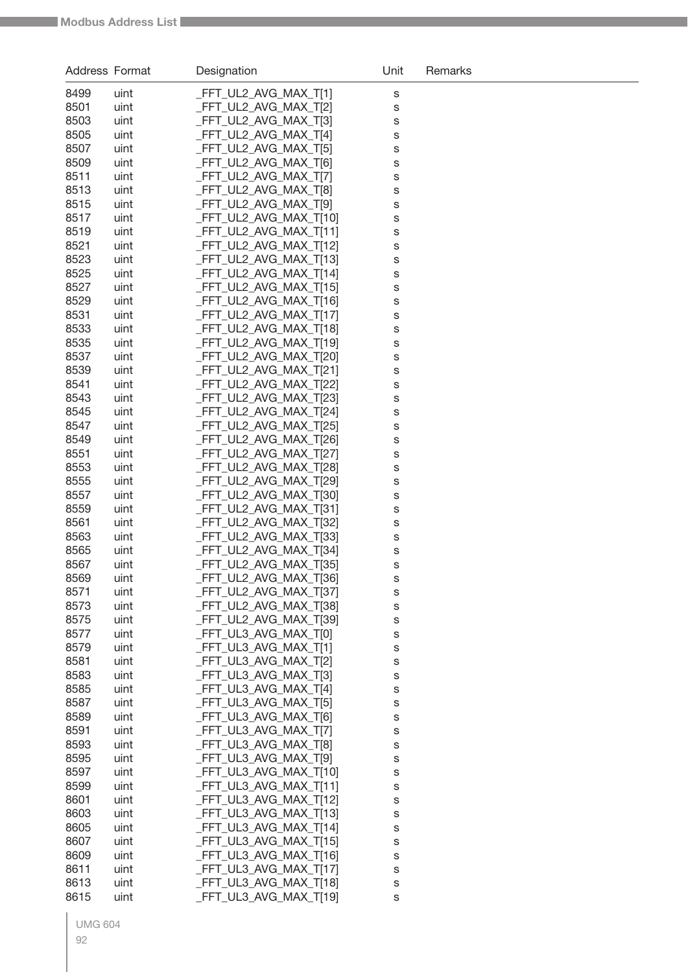| Address Format |              | Designation                                    | Unit   | Remarks |
|----------------|--------------|------------------------------------------------|--------|---------|
| 8499           | uint         | _FFT_UL2_AVG_MAX_T[1]                          | S      |         |
| 8501           | uint         | FFT_UL2_AVG_MAX_T[2]                           | S      |         |
| 8503           | uint         | FFT UL2 AVG MAX T[3]                           | S      |         |
| 8505           | uint         | FFT_UL2_AVG_MAX_T[4]                           | S      |         |
| 8507           | uint         | FFT_UL2_AVG_MAX_T[5]                           | S      |         |
| 8509           | uint         | FFT_UL2_AVG_MAX_T[6]                           | S      |         |
| 8511           | uint         | FFT_UL2_AVG_MAX_T[7]                           | S      |         |
| 8513           | uint         | FFT_UL2_AVG_MAX_T[8]                           | S      |         |
| 8515           | uint         | FFT UL2 AVG MAX T[9]                           | S      |         |
| 8517           | uint         | FFT_UL2_AVG_MAX_T[10]                          | S      |         |
| 8519           | uint         | _FFT_UL2_AVG_MAX_T[11]                         | S      |         |
| 8521           | uint         | FFT_UL2_AVG_MAX_T[12]                          | S      |         |
| 8523           | uint         | FFT_UL2_AVG_MAX_T[13]                          | S      |         |
| 8525           | uint         | _FFT_UL2_AVG_MAX_T[14]                         | S      |         |
| 8527           | uint         | FFT_UL2_AVG_MAX_T[15]                          | S      |         |
| 8529           | uint         | FFT_UL2_AVG_MAX_T[16]                          | S      |         |
| 8531           | uint         | FFT_UL2_AVG_MAX_T[17]                          | S      |         |
| 8533           | uint         | FFT_UL2_AVG_MAX_T[18]                          | S      |         |
| 8535           | uint         | FFT_UL2_AVG_MAX_T[19]                          | S      |         |
| 8537           | uint         | FFT_UL2_AVG_MAX_T[20]                          | S      |         |
| 8539           | uint         | _FFT_UL2_AVG_MAX_T[21]                         | S      |         |
| 8541           | uint         | FFT UL2 AVG MAX T[22]                          | S      |         |
| 8543           | uint         | FFT_UL2_AVG_MAX_T[23]                          | S      |         |
| 8545           | uint         | FFT_UL2_AVG_MAX_T[24]                          | S      |         |
| 8547<br>8549   | uint         | FFT_UL2_AVG_MAX_T[25]<br>FFT_UL2_AVG_MAX_T[26] | S      |         |
| 8551           | uint<br>uint | FFT_UL2_AVG_MAX_T[27]                          | S      |         |
| 8553           | uint         | FFT_UL2_AVG_MAX_T[28]                          | S      |         |
| 8555           | uint         | FFT_UL2_AVG_MAX_T[29]                          | S<br>S |         |
| 8557           | uint         | FFT_UL2_AVG_MAX_T[30]                          | S      |         |
| 8559           | uint         | FFT_UL2_AVG_MAX_T[31]                          | S      |         |
| 8561           | uint         | FFT_UL2_AVG_MAX_T[32]                          | S      |         |
| 8563           | uint         | FFT_UL2_AVG_MAX_T[33]                          | S      |         |
| 8565           | uint         | FFT_UL2_AVG_MAX_T[34]                          | S      |         |
| 8567           | uint         | FFT_UL2_AVG_MAX_T[35]                          | S      |         |
| 8569           | uint         | FFT_UL2_AVG_MAX_T[36]                          | s      |         |
| 8571           | uint         | FFT_UL2_AVG_MAX_T[37]                          | S      |         |
| 8573           | uint         | FFT_UL2_AVG_MAX_T[38]                          | S      |         |
| 8575           | uint         | FFT_UL2_AVG_MAX_T[39]                          | S      |         |
| 8577           | uint         | FFT UL3 AVG MAX T[0]                           | S      |         |
| 8579           | uint         | _FFT_UL3_AVG_MAX_T[1]                          | S      |         |
| 8581           | uint         | FFT UL3 AVG MAX T[2]                           | S      |         |
| 8583           | uint         | FFT UL3 AVG MAX T[3]                           | S      |         |
| 8585           | uint         | FFT UL3 AVG MAX T[4]                           | S      |         |
| 8587           | uint         | FFT UL3 AVG MAX T[5]                           | S      |         |
| 8589           | uint         | FFT UL3 AVG MAX T[6]                           | S      |         |
| 8591           | uint         | FFT_UL3_AVG_MAX_T[7]                           | S      |         |
| 8593           | uint         | FFT_UL3_AVG_MAX_T[8]                           | S      |         |
| 8595           | uint         | FFT_UL3_AVG_MAX_T[9]                           | S      |         |
| 8597           | uint         | FFT_UL3_AVG_MAX_T[10]                          | S      |         |
| 8599           | uint         | _FFT_UL3_AVG_MAX_T[11]                         | S      |         |
| 8601           | uint         | FFT_UL3_AVG_MAX_T[12]                          | S      |         |
| 8603           | uint         | FFT_UL3_AVG_MAX_T[13]                          | S      |         |
| 8605           | uint         | _FFT_UL3_AVG_MAX_T[14]                         | S      |         |
| 8607           | uint         | FFT_UL3_AVG_MAX_T[15]                          | S      |         |
| 8609           | uint         | FFT_UL3_AVG_MAX_T[16]                          | S      |         |
| 8611           | uint         | _FFT_UL3_AVG_MAX_T[17]                         | S      |         |
| 8613           | uint         | FFT_UL3_AVG_MAX_T[18]                          | S      |         |
| 8615           | uint         | FFT_UL3_AVG_MAX_T[19]                          | S      |         |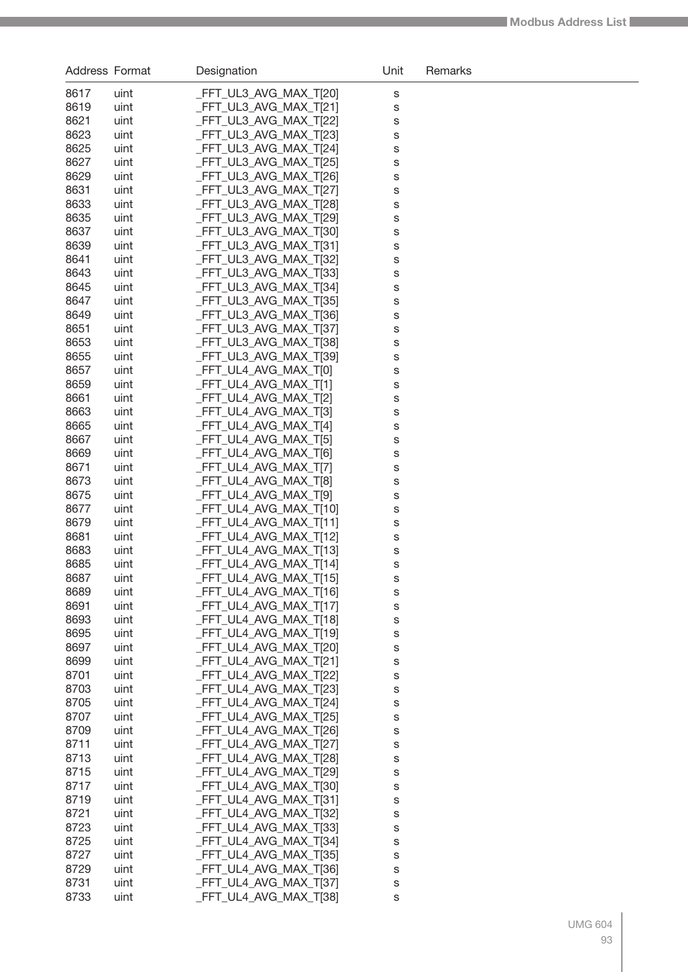| Address Format |              | Designation                                      | Unit   | Remarks |
|----------------|--------------|--------------------------------------------------|--------|---------|
| 8617           | uint         | _FFT_UL3_AVG_MAX_T[20]                           | s      |         |
| 8619           | uint         | _FFT_UL3_AVG_MAX_T[21]                           | S      |         |
| 8621           | uint         | _FFT_UL3_AVG_MAX_T[22]                           | S      |         |
| 8623           | uint         | FFT_UL3_AVG_MAX_T[23]                            | S      |         |
| 8625           | uint         | _FFT_UL3_AVG_MAX_T[24]                           | S      |         |
| 8627           | uint         | _FFT_UL3_AVG_MAX_T[25]                           | S      |         |
| 8629           | uint         | _FFT_UL3_AVG_MAX_T[26]                           | S      |         |
| 8631           | uint         | _FFT_UL3_AVG_MAX_T[27]                           | S      |         |
| 8633           | uint         | _FFT_UL3_AVG_MAX_T[28]                           | S      |         |
| 8635           | uint         | FFT_UL3_AVG_MAX_T[29]                            | S      |         |
| 8637<br>8639   | uint<br>uint | _FFT_UL3_AVG_MAX_T[30]<br>_FFT_UL3_AVG_MAX_T[31] | S      |         |
| 8641           | uint         | _FFT_UL3_AVG_MAX_T[32]                           | S<br>S |         |
| 8643           | uint         | _FFT_UL3_AVG_MAX_T[33]                           | S      |         |
| 8645           | uint         | _FFT_UL3_AVG_MAX_T[34]                           | S      |         |
| 8647           | uint         | FFT_UL3_AVG_MAX_T[35]                            | S      |         |
| 8649           | uint         | _FFT_UL3_AVG_MAX_T[36]                           | S      |         |
| 8651           | uint         | FFT_UL3_AVG_MAX_T[37]                            | S      |         |
| 8653           | uint         | _FFT_UL3_AVG_MAX_T[38]                           | S      |         |
| 8655           | uint         | FFT_UL3_AVG_MAX_T[39]                            | S      |         |
| 8657           | uint         | FFT_UL4_AVG_MAX_T[0]                             | S      |         |
| 8659           | uint         | FFT_UL4_AVG_MAX_T[1]                             | S      |         |
| 8661           | uint         | _FFT_UL4_AVG_MAX_T[2]                            | S      |         |
| 8663           | uint         | FFT_UL4_AVG_MAX_T[3]                             | S      |         |
| 8665           | uint         | FFT_UL4_AVG_MAX_T[4]                             | S      |         |
| 8667           | uint         | _FFT_UL4_AVG_MAX_T[5]                            | S      |         |
| 8669<br>8671   | uint         | _FFT_UL4_AVG_MAX_T[6]                            | S      |         |
| 8673           | uint<br>uint | _FFT_UL4_AVG_MAX_T[7]<br>_FFT_UL4_AVG_MAX_T[8]   | S<br>S |         |
| 8675           | uint         | FFT_UL4_AVG_MAX_T[9]                             | S      |         |
| 8677           | uint         | FFT_UL4_AVG_MAX_T[10]                            | S      |         |
| 8679           | uint         | _FFT_UL4_AVG_MAX_T[11]                           | S      |         |
| 8681           | uint         | FFT_UL4_AVG_MAX_T[12]                            | S      |         |
| 8683           | uint         | FFT_UL4_AVG_MAX_T[13]                            | S      |         |
| 8685           | uint         | _FFT_UL4_AVG_MAX_T[14]                           | S      |         |
| 8687           | uint         | _FFT_UL4_AVG_MAX_T[15]                           | s      |         |
| 8689           | uint         | FFT_UL4_AVG_MAX_T[16]                            | s      |         |
| 8691           | uint         | FFT_UL4_AVG_MAX_T[17]                            | S      |         |
| 8693           | uint         | FFT_UL4_AVG_MAX_T[18]                            | S      |         |
| 8695<br>8697   | uint         | FFT_UL4_AVG_MAX_T[19]                            | S      |         |
| 8699           | uint<br>uint | FFT_UL4_AVG_MAX_T[20]<br>FFT_UL4_AVG_MAX_T[21]   | S      |         |
| 8701           | uint         | FFT_UL4_AVG_MAX_T[22]                            | S<br>S |         |
| 8703           | uint         | FFT_UL4_AVG_MAX_T[23]                            | S      |         |
| 8705           | uint         | FFT_UL4_AVG_MAX_T[24]                            | S      |         |
| 8707           | uint         | FFT_UL4_AVG_MAX_T[25]                            | S      |         |
| 8709           | uint         | FFT_UL4_AVG_MAX_T[26]                            | S      |         |
| 8711           | uint         | FFT_UL4_AVG_MAX_T[27]                            | S      |         |
| 8713           | uint         | FFT_UL4_AVG_MAX_T[28]                            | S      |         |
| 8715           | uint         | FFT_UL4_AVG_MAX_T[29]                            | S      |         |
| 8717           | uint         | FFT_UL4_AVG_MAX_T[30]                            | S      |         |
| 8719           | uint         | FFT_UL4_AVG_MAX_T[31]                            | S      |         |
| 8721           | uint         | FFT_UL4_AVG_MAX_T[32]                            | S      |         |
| 8723           | uint         | FFT_UL4_AVG_MAX_T[33]                            | S      |         |
| 8725<br>8727   | uint         | FFT_UL4_AVG_MAX_T[34]<br>FFT_UL4_AVG_MAX_T[35]   | S      |         |
| 8729           | uint<br>uint | FFT_UL4_AVG_MAX_T[36]                            | S      |         |
| 8731           | uint         | FFT_UL4_AVG_MAX_T[37]                            | S<br>S |         |
| 8733           | uint         | _FFT_UL4_AVG_MAX_T[38]                           | S      |         |
|                |              |                                                  |        |         |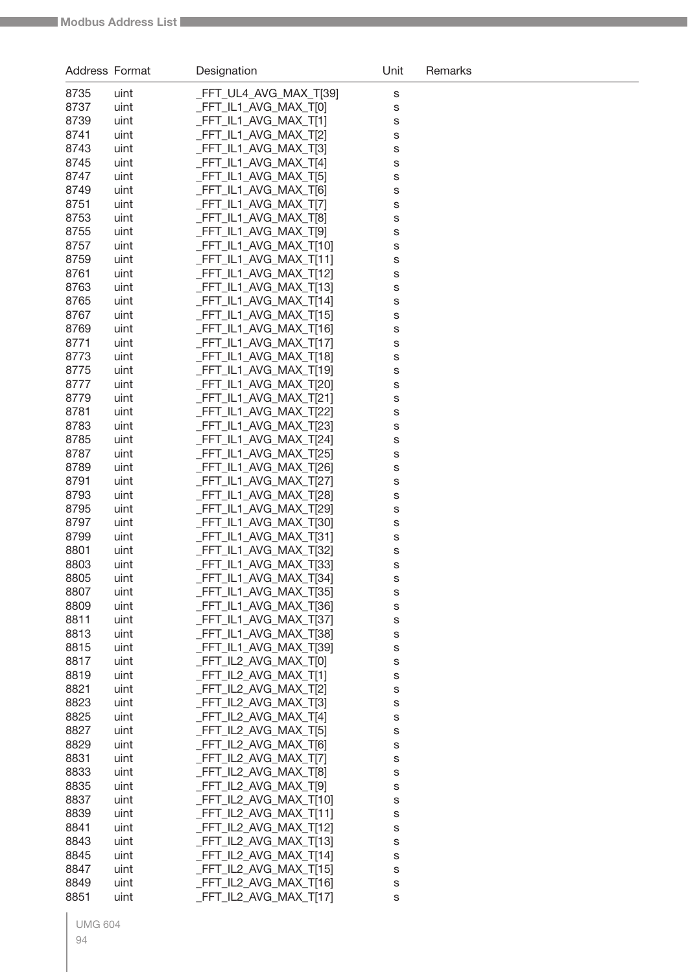| <b>Address Format</b> |              | Designation                                     | Unit   | Remarks |
|-----------------------|--------------|-------------------------------------------------|--------|---------|
| 8735                  | uint         | _FFT_UL4_AVG_MAX_T[39]                          | S      |         |
| 8737                  | uint         | FFT_IL1_AVG_MAX_T[0]                            | S      |         |
| 8739                  | uint         | FFT_IL1_AVG_MAX_T[1]                            | S      |         |
| 8741                  | uint         | FFT_IL1_AVG_MAX_T[2]                            | S      |         |
| 8743                  | uint         | FFT_IL1_AVG_MAX_T[3]                            | S      |         |
| 8745                  | uint         | FFT_IL1_AVG_MAX_T[4]                            | S      |         |
| 8747                  | uint         | FFT_IL1_AVG_MAX_T[5]                            | S      |         |
| 8749                  | uint         | _FFT_IL1_AVG_MAX_T[6]                           | S      |         |
| 8751                  | uint         | FFT_IL1_AVG_MAX_T[7]                            | S      |         |
| 8753                  | uint         | FFT IL1 AVG MAX T[8]                            | S      |         |
| 8755                  | uint         | _FFT_IL1_AVG_MAX_T[9]                           | S      |         |
| 8757<br>8759          | uint         | FFT_IL1_AVG_MAX_T[10]<br>_FFT_IL1_AVG_MAX_T[11] | S      |         |
| 8761                  | uint<br>uint | FFT_IL1_AVG_MAX_T[12]                           | S<br>S |         |
| 8763                  | uint         | FFT_IL1_AVG_MAX_T[13]                           | S      |         |
| 8765                  | uint         | FFT_IL1_AVG_MAX_T[14]                           | S      |         |
| 8767                  | uint         | _FFT_IL1_AVG_MAX_T[15]                          | S      |         |
| 8769                  | uint         | _FFT_IL1_AVG_MAX_T[16]                          | S      |         |
| 8771                  | uint         | _FFT_IL1_AVG_MAX_T[17]                          | S      |         |
| 8773                  | uint         | FFT_IL1_AVG_MAX_T[18]                           | S      |         |
| 8775                  | uint         | FFT_IL1_AVG_MAX_T[19]                           | S      |         |
| 8777                  | uint         | FFT_IL1_AVG_MAX_T[20]                           | S      |         |
| 8779                  | uint         | _FFT_IL1_AVG_MAX_T[21]                          | S      |         |
| 8781                  | uint         | _FFT_IL1_AVG_MAX_T[22]                          | S      |         |
| 8783                  | uint         | _FFT_IL1_AVG_MAX_T[23]                          | S      |         |
| 8785<br>8787          | uint<br>uint | FFT_IL1_AVG_MAX_T[24]<br>FFT_IL1_AVG_MAX_T[25]  | S      |         |
| 8789                  | uint         | _FFT_IL1_AVG_MAX_T[26]                          | S<br>S |         |
| 8791                  | uint         | _FFT_IL1_AVG_MAX_T[27]                          | S      |         |
| 8793                  | uint         | FFT_IL1_AVG_MAX_T[28]                           | S      |         |
| 8795                  | uint         | FFT_IL1_AVG_MAX_T[29]                           | S      |         |
| 8797                  | uint         | FFT_IL1_AVG_MAX_T[30]                           | S      |         |
| 8799                  | uint         | _FFT_IL1_AVG_MAX_T[31]                          | S      |         |
| 8801                  | uint         | FFT_IL1_AVG_MAX_T[32]                           | S      |         |
| 8803                  | uint         | FFT_IL1_AVG_MAX_T[33]                           | S      |         |
| 8805                  | uint         | _FFT_IL1_AVG_MAX_T[34]                          | s      |         |
| 8807<br>8809          | uint<br>uint | FFT_IL1_AVG_MAX_T[35]<br>FFT IL1 AVG MAX T[36]  | S      |         |
| 8811                  | uint         | FFT IL1 AVG MAX T[37]                           | S<br>S |         |
| 8813                  | uint         | FFT_IL1_AVG_MAX_T[38]                           | S      |         |
| 8815                  | uint         | FFT IL1 AVG MAX T[39]                           | S      |         |
| 8817                  | uint         | FFT_IL2_AVG_MAX_T[0]                            | S      |         |
| 8819                  | uint         | _FFT_IL2_AVG_MAX_T[1]                           | S      |         |
| 8821                  | uint         | FFT_IL2_AVG_MAX_T[2]                            | S      |         |
| 8823                  | uint         | FFT_IL2_AVG_MAX_T[3]                            | S      |         |
| 8825                  | uint         | FFT_IL2_AVG_MAX_T[4]                            | S      |         |
| 8827                  | uint         | FFT_IL2_AVG_MAX_T[5]                            | S      |         |
| 8829                  | uint         | FFT_IL2_AVG_MAX_T[6]<br>FFT_IL2_AVG_MAX_T[7]    | S      |         |
| 8831<br>8833          | uint<br>uint | FFT_IL2_AVG_MAX_T[8]                            | S      |         |
| 8835                  | uint         | FFT_IL2_AVG_MAX_T[9]                            | S<br>S |         |
| 8837                  | uint         | FFT_IL2_AVG_MAX_T[10]                           | S      |         |
| 8839                  | uint         | FFT_IL2_AVG_MAX_T[11]                           | S      |         |
| 8841                  | uint         | FFT_IL2_AVG_MAX_T[12]                           | S      |         |
| 8843                  | uint         | FFT_IL2_AVG_MAX_T[13]                           | S      |         |
| 8845                  | uint         | FFT_IL2_AVG_MAX_T[14]                           | S      |         |
| 8847                  | uint         | FFT_IL2_AVG_MAX_T[15]                           | S      |         |
| 8849                  | uint         | FFT_IL2_AVG_MAX_T[16]                           | S      |         |
| 8851                  | uint         | FFT_IL2_AVG_MAX_T[17]                           | S      |         |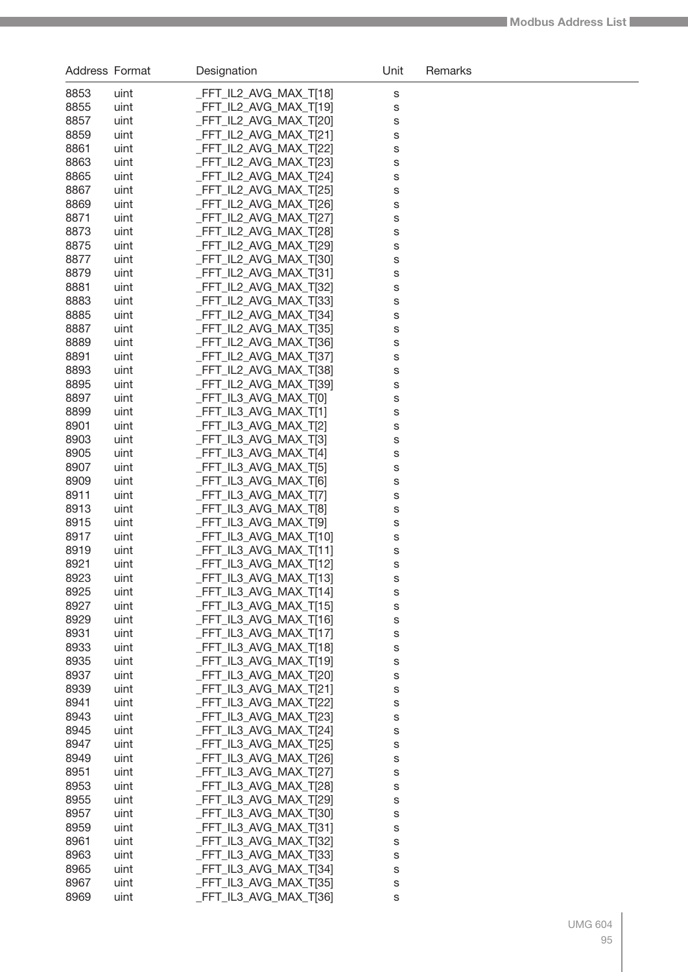| Address Format |              | Designation                                    | Unit   | Remarks |
|----------------|--------------|------------------------------------------------|--------|---------|
| 8853           | uint         | FFT IL2 AVG MAX T[18]                          | S      |         |
| 8855           | uint         | _FFT_IL2_AVG_MAX_T[19]                         | S      |         |
| 8857           | uint         | _FFT_IL2_AVG_MAX_T[20]                         | S      |         |
| 8859           | uint         | _FFT_IL2_AVG_MAX_T[21]                         | S      |         |
| 8861           | uint         | _FFT_IL2_AVG_MAX_T[22]                         | S      |         |
| 8863           | uint         | _FFT_IL2_AVG_MAX_T[23]                         | S      |         |
| 8865           | uint         | _FFT_IL2_AVG_MAX_T[24]                         | S      |         |
| 8867           | uint         | _FFT_IL2_AVG_MAX_T[25]                         | S      |         |
| 8869           | uint         | FFT_IL2_AVG_MAX_T[26]                          | S      |         |
| 8871           | uint         | FFT IL2 AVG MAX T[27]                          | S      |         |
| 8873           | uint         | FFT_IL2_AVG_MAX_T[28]                          | S      |         |
| 8875           | uint         | _FFT_IL2_AVG_MAX_T[29]                         | S      |         |
| 8877           | uint         | _FFT_IL2_AVG_MAX_T[30]                         | S      |         |
| 8879           | uint         | _FFT_IL2_AVG_MAX_T[31]                         | S      |         |
| 8881           | uint         | FFT_IL2_AVG_MAX_T[32]                          | S      |         |
| 8883           | uint         | FFT_IL2_AVG_MAX_T[33]                          | S      |         |
| 8885           | uint         | _FFT_IL2_AVG_MAX_T[34]                         | S      |         |
| 8887           | uint         | _FFT_IL2_AVG_MAX_T[35]                         | S      |         |
| 8889           | uint         | _FFT_IL2_AVG_MAX_T[36]                         | S      |         |
| 8891<br>8893   | uint         | FFT_IL2_AVG_MAX_T[37]<br>FFT_IL2_AVG_MAX_T[38] | S      |         |
| 8895           | uint<br>uint | FFT_IL2_AVG_MAX_T[39]                          | S      |         |
| 8897           | uint         | _FFT_IL3_AVG_MAX_T[0]                          | S<br>S |         |
| 8899           | uint         | _FFT_IL3_AVG_MAX_T[1]                          | S      |         |
| 8901           | uint         | _FFT_IL3_AVG_MAX_T[2]                          | S      |         |
| 8903           | uint         | FFT_IL3_AVG_MAX_T[3]                           | S      |         |
| 8905           | uint         | _FFT_IL3_AVG_MAX_T[4]                          | S      |         |
| 8907           | uint         | _FFT_IL3_AVG_MAX_T[5]                          | S      |         |
| 8909           | uint         | _FFT_IL3_AVG_MAX_T[6]                          | S      |         |
| 8911           | uint         | _FFT_IL3_AVG_MAX_T[7]                          | S      |         |
| 8913           | uint         | _FFT_IL3_AVG_MAX_T[8]                          | S      |         |
| 8915           | uint         | _FFT_IL3_AVG_MAX_T[9]                          | S      |         |
| 8917           | uint         | _FFT_IL3_AVG_MAX_T[10]                         | S      |         |
| 8919           | uint         | _FFT_IL3_AVG_MAX_T[11]                         | S      |         |
| 8921           | uint         | _FFT_IL3_AVG_MAX_T[12]                         | S      |         |
| 8923           | uint         | FFT_IL3_AVG_MAX_T[13]                          | S      |         |
| 8925           | uint         | _FFT_IL3_AVG_MAX_T[14]                         | S      |         |
| 8927           | uint         | _FFT_IL3_AVG_MAX_T[15]                         | S      |         |
| 8929           | uint         | _FFT_IL3_AVG_MAX_T[16]                         | S      |         |
| 8931           | uint         | _FFT_IL3_AVG_MAX_T[17]                         | S      |         |
| 8933           | uint         | FFT IL3 AVG MAX T[18]                          | S      |         |
| 8935           | uint         | FFT IL3 AVG MAX T[19]<br>FFT IL3 AVG MAX T[20] | S      |         |
| 8937<br>8939   | uint<br>uint | FFT IL3 AVG MAX T[21]                          | S      |         |
| 8941           | uint         | FFT_IL3_AVG_MAX_T[22]                          | S<br>S |         |
| 8943           | uint         | FFT_IL3_AVG_MAX_T[23]                          | S      |         |
| 8945           | uint         | FFT_IL3_AVG_MAX_T[24]                          | S      |         |
| 8947           | uint         | FFT_IL3_AVG_MAX_T[25]                          | S      |         |
| 8949           | uint         | FFT_IL3_AVG_MAX_T[26]                          | S      |         |
| 8951           | uint         | FFT_IL3_AVG_MAX_T[27]                          | S      |         |
| 8953           | uint         | FFT_IL3_AVG_MAX_T[28]                          | S      |         |
| 8955           | uint         | FFT_IL3_AVG_MAX_T[29]                          | S      |         |
| 8957           | uint         | FFT_IL3_AVG_MAX_T[30]                          | S      |         |
| 8959           | uint         | FFT_IL3_AVG_MAX_T[31]                          | S      |         |
| 8961           | uint         | FFT_IL3_AVG_MAX_T[32]                          | S      |         |
| 8963           | uint         | _FFT_IL3_AVG_MAX_T[33]                         | S      |         |
| 8965           | uint         | FFT_IL3_AVG_MAX_T[34]                          | S      |         |
| 8967           | uint         | FFT_IL3_AVG_MAX_T[35]                          | S      |         |
| 8969           | uint         | _FFT_IL3_AVG_MAX_T[36]                         | S      |         |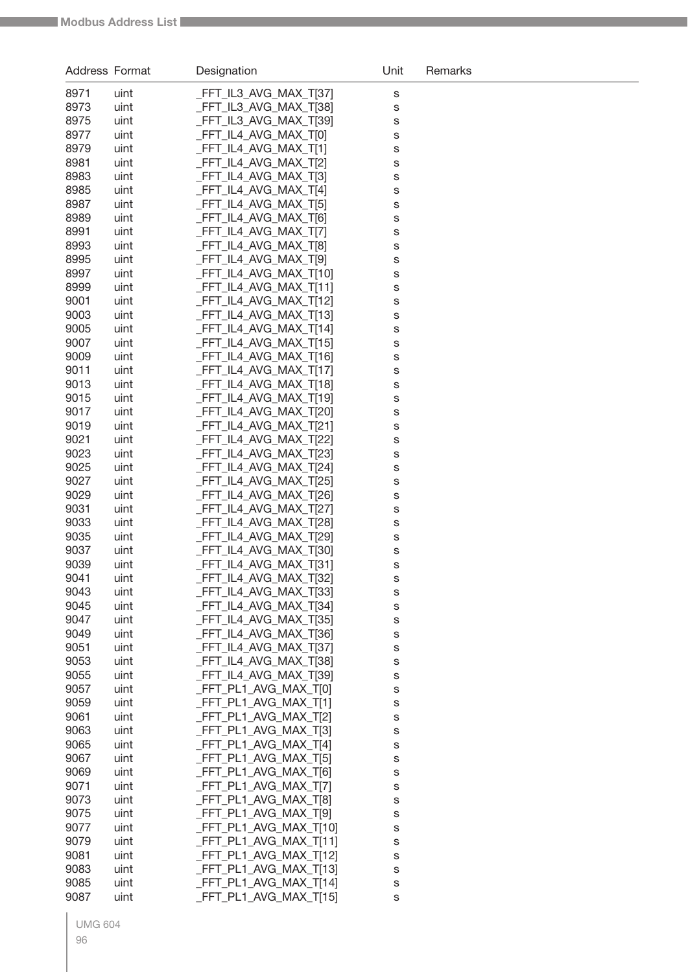| Address Format |              | Designation                                     | Unit   | Remarks |
|----------------|--------------|-------------------------------------------------|--------|---------|
| 8971           | uint         | FFT_IL3_AVG_MAX_T[37]                           | S      |         |
| 8973           | uint         | FFT_IL3_AVG_MAX_T[38]                           | S      |         |
| 8975           | uint         | FFT_IL3_AVG_MAX_T[39]                           | S      |         |
| 8977           | uint         | FFT_IL4_AVG_MAX_T[0]                            | S      |         |
| 8979           | uint         | FFT_IL4_AVG_MAX_T[1]                            | s      |         |
| 8981           | uint         | FFT_IL4_AVG_MAX_T[2]                            | s      |         |
| 8983           | uint         | FFT_IL4_AVG_MAX_T[3]                            | s      |         |
| 8985           | uint         | FFT IL4 AVG MAX T[4]                            | S      |         |
| 8987           | uint         | FFT_IL4_AVG_MAX_T[5]                            | s      |         |
| 8989           | uint         | FFT IL4 AVG MAX T[6]                            | s      |         |
| 8991           | uint         | FFT_IL4_AVG_MAX_T[7]                            | S      |         |
| 8993           | uint         | FFT_IL4_AVG_MAX_T[8]                            | S      |         |
| 8995           | uint         | FFT_IL4_AVG_MAX_T[9]                            | S      |         |
| 8997           | uint         | FFT_IL4_AVG_MAX_T[10]                           | S      |         |
| 8999           | uint         | FFT_IL4_AVG_MAX_T[11]                           | S      |         |
| 9001<br>9003   | uint<br>uint | FFT_IL4_AVG_MAX_T[12]<br>FFT IL4 AVG MAX T[13]  | S      |         |
| 9005           | uint         | FFT_IL4_AVG_MAX_T[14]                           | S      |         |
| 9007           | uint         | FFT_IL4_AVG_MAX_T[15]                           | s<br>s |         |
| 9009           | uint         | FFT_IL4_AVG_MAX_T[16]                           | s      |         |
| 9011           | uint         | FFT_IL4_AVG_MAX_T[17]                           | s      |         |
| 9013           | uint         | FFT_IL4_AVG_MAX_T[18]                           | s      |         |
| 9015           | uint         | FFT_IL4_AVG_MAX_T[19]                           | S      |         |
| 9017           | uint         | FFT_IL4_AVG_MAX_T[20]                           | S      |         |
| 9019           | uint         | FFT_IL4_AVG_MAX_T[21]                           | S      |         |
| 9021           | uint         | FFT_IL4_AVG_MAX_T[22]                           | S      |         |
| 9023           | uint         | FFT_IL4_AVG_MAX_T[23]                           | S      |         |
| 9025           | uint         | FFT_IL4_AVG_MAX_T[24]                           | S      |         |
| 9027           | uint         | FFT_IL4_AVG_MAX_T[25]                           | S      |         |
| 9029           | uint         | FFT_IL4_AVG_MAX_T[26]                           | S      |         |
| 9031           | uint         | FFT_IL4_AVG_MAX_T[27]                           | S      |         |
| 9033           | uint         | FFT_IL4_AVG_MAX_T[28]                           | S      |         |
| 9035           | uint         | FFT_IL4_AVG_MAX_T[29]                           | S      |         |
| 9037           | uint         | FFT_IL4_AVG_MAX_T[30]                           | S      |         |
| 9039           | uint         | FFT IL4 AVG MAX T[31]                           | S      |         |
| 9041           | uint         | _FFT_IL4_AVG_MAX_T[32]<br>FFT IL4 AVG MAX T[33] | s      |         |
| 9043<br>9045   | uint<br>uint | FFT_IL4_AVG_MAX_T[34]                           | S      |         |
| 9047           | uint         | FFT IL4 AVG MAX T[35]                           | S<br>S |         |
| 9049           | uint         | FFT IL4 AVG MAX T[36]                           | S      |         |
| 9051           | uint         | FFT_IL4_AVG_MAX_T[37]                           | S      |         |
| 9053           | uint         | FFT_IL4_AVG_MAX_T[38]                           | S      |         |
| 9055           | uint         | FFT_IL4_AVG_MAX_T[39]                           | S      |         |
| 9057           | uint         | _FFT_PL1_AVG_MAX_T[0]                           | S      |         |
| 9059           | uint         | _FFT_PL1_AVG_MAX_T[1]                           | S      |         |
| 9061           | uint         | _FFT_PL1_AVG_MAX_T[2]                           | S      |         |
| 9063           | uint         | FFT_PL1_AVG_MAX_T[3]                            | S      |         |
| 9065           | uint         | FFT_PL1_AVG_MAX_T[4]                            | S      |         |
| 9067           | uint         | FFT_PL1_AVG_MAX_T[5]                            | S      |         |
| 9069           | uint         | FFT_PL1_AVG_MAX_T[6]                            | S      |         |
| 9071           | uint         | _FFT_PL1_AVG_MAX_T[7]                           | S      |         |
| 9073           | uint         | FFT_PL1_AVG_MAX_T[8]                            | S      |         |
| 9075           | uint         | FFT_PL1_AVG_MAX_T[9]                            | S      |         |
| 9077           | uint         | FFT_PL1_AVG_MAX_T[10]                           | S      |         |
| 9079           | uint         | _FFT_PL1_AVG_MAX_T[11]                          | S      |         |
| 9081           | uint         | FFT_PL1_AVG_MAX_T[12]                           | S      |         |
| 9083<br>9085   | uint<br>uint | FFT_PL1_AVG_MAX_T[13]<br>FFT_PL1_AVG_MAX_T[14]  | S      |         |
| 9087           | uint         | FFT_PL1_AVG_MAX_T[15]                           | S      |         |
|                |              |                                                 | S      |         |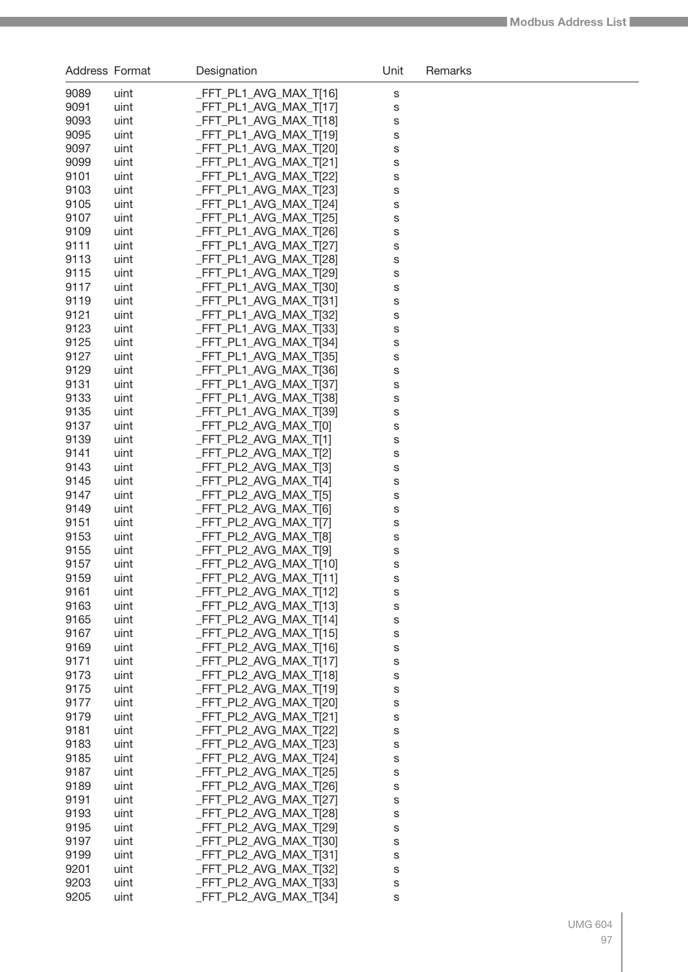| Address Format |              | Designation                                    | Unit   | Remarks |
|----------------|--------------|------------------------------------------------|--------|---------|
| 9089           | uint         | FFT_PL1_AVG_MAX_T[16]                          | S      |         |
| 9091           | uint         | _FFT_PL1_AVG_MAX_T[17]                         | S      |         |
| 9093           | uint         | FFT_PL1_AVG_MAX_T[18]                          | S      |         |
| 9095           | uint         | FFT_PL1_AVG_MAX_T[19]                          | S      |         |
| 9097           | uint         | FFT_PL1_AVG_MAX_T[20]                          | S      |         |
| 9099           | uint         | FFT_PL1_AVG_MAX_T[21]                          | S      |         |
| 9101           | uint         | FFT_PL1_AVG_MAX_T[22]                          | S      |         |
| 9103           | uint         | FFT PL1 AVG MAX T[23]                          | S      |         |
| 9105           | uint         | FFT_PL1_AVG_MAX_T[24]                          | S      |         |
| 9107<br>9109   | uint<br>uint | FFT_PL1_AVG_MAX_T[25]<br>FFT_PL1_AVG_MAX_T[26] | S      |         |
| 9111           | uint         | FFT_PL1_AVG_MAX_T[27]                          | S<br>S |         |
| 9113           | uint         | FFT_PL1_AVG_MAX_T[28]                          | S      |         |
| 9115           | uint         | FFT_PL1_AVG_MAX_T[29]                          | S      |         |
| 9117           | uint         | FFT PL1 AVG MAX T[30]                          | S      |         |
| 9119           | uint         | FFT_PL1_AVG_MAX_T[31]                          | S      |         |
| 9121           | uint         | FFT_PL1_AVG_MAX_T[32]                          | S      |         |
| 9123           | uint         | FFT_PL1_AVG_MAX_T[33]                          | S      |         |
| 9125           | uint         | FFT_PL1_AVG_MAX_T[34]                          | S      |         |
| 9127           | uint         | FFT PL1 AVG MAX T[35]                          | S      |         |
| 9129           | uint         | FFT PL1 AVG MAX T[36]                          | S      |         |
| 9131           | uint         | FFT_PL1_AVG_MAX_T[37]                          | S      |         |
| 9133           | uint         | FFT_PL1_AVG_MAX_T[38]                          | S      |         |
| 9135           | uint         | FFT_PL1_AVG_MAX_T[39]                          | S      |         |
| 9137           | uint         | FFT_PL2_AVG_MAX_T[0]                           | S      |         |
| 9139           | uint         | FFT_PL2_AVG_MAX_T[1]                           | S      |         |
| 9141<br>9143   | uint         | FFT_PL2_AVG_MAX_T[2]<br>FFT_PL2_AVG_MAX_T[3]   | S      |         |
| 9145           | uint<br>uint | FFT_PL2_AVG_MAX_T[4]                           | S<br>S |         |
| 9147           | uint         | FFT_PL2_AVG_MAX_T[5]                           | S      |         |
| 9149           | uint         | FFT_PL2_AVG_MAX_T[6]                           | S      |         |
| 9151           | uint         | FFT PL2 AVG MAX T[7]                           | S      |         |
| 9153           | uint         | FFT_PL2_AVG_MAX_T[8]                           | S      |         |
| 9155           | uint         | FFT PL2 AVG MAX T[9]                           | S      |         |
| 9157           | uint         | _FFT_PL2_AVG_MAX_T[10]                         | S      |         |
| 9159           | uint         | FFT_PL2_AVG_MAX_T[11]                          | s      |         |
| 9161           | uint         | _FFT_PL2_AVG_MAX_T[12]                         | S      |         |
| 9163           | uint         | FFT_PL2_AVG_MAX_T[13]                          | S      |         |
| 9165           | uint         | FFT PL2 AVG MAX T[14]                          | S      |         |
| 9167           | uint         | FFT PL2 AVG MAX T[15]                          | S      |         |
| 9169<br>9171   | uint         | FFT_PL2_AVG_MAX_T[16]                          | S      |         |
| 9173           | uint<br>uint | FFT_PL2_AVG_MAX_T[17]<br>FFT PL2 AVG MAX T[18] | S      |         |
| 9175           | uint         | FFT_PL2_AVG_MAX_T[19]                          | S<br>S |         |
| 9177           | uint         | FFT_PL2_AVG_MAX_T[20]                          | S      |         |
| 9179           | uint         | FFT_PL2_AVG_MAX_T[21]                          | S      |         |
| 9181           | uint         | FFT_PL2_AVG_MAX_T[22]                          | S      |         |
| 9183           | uint         | FFT_PL2_AVG_MAX_T[23]                          | S      |         |
| 9185           | uint         | FFT_PL2_AVG_MAX_T[24]                          | S      |         |
| 9187           | uint         | FFT_PL2_AVG_MAX_T[25]                          | S      |         |
| 9189           | uint         | FFT_PL2_AVG_MAX_T[26]                          | S      |         |
| 9191           | uint         | FFT_PL2_AVG_MAX_T[27]                          | S      |         |
| 9193           | uint         | FFT_PL2_AVG_MAX_T[28]                          | S      |         |
| 9195           | uint         | FFT_PL2_AVG_MAX_T[29]                          | S      |         |
| 9197           | uint         | FFT_PL2_AVG_MAX_T[30]                          | S      |         |
| 9199           | uint         | FFT_PL2_AVG_MAX_T[31]                          | S      |         |
| 9201<br>9203   | uint<br>uint | FFT_PL2_AVG_MAX_T[32]<br>FFT_PL2_AVG_MAX_T[33] | S      |         |
| 9205           | uint         | FFT_PL2_AVG_MAX_T[34]                          | S      |         |
|                |              |                                                | S      |         |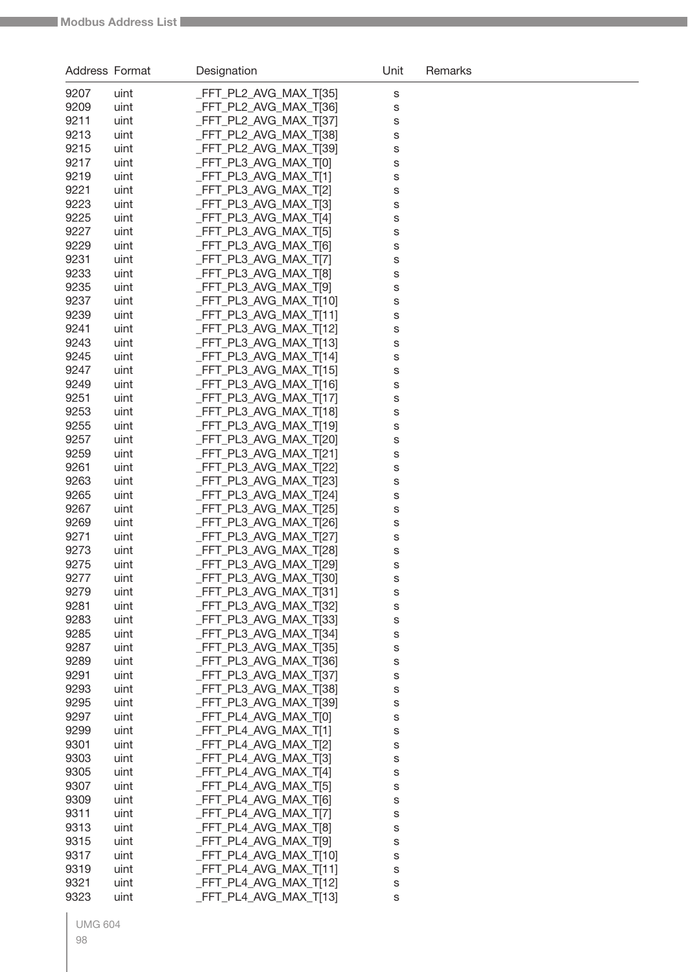| Address Format |              | Designation                                    | Unit   | Remarks |
|----------------|--------------|------------------------------------------------|--------|---------|
| 9207           | uint         | FFT_PL2_AVG_MAX_T[35]                          | S      |         |
| 9209           | uint         | FFT_PL2_AVG_MAX_T[36]                          | S      |         |
| 9211           | uint         | FFT_PL2_AVG_MAX_T[37]                          | S      |         |
| 9213           | uint         | FFT_PL2_AVG_MAX_T[38]                          | S      |         |
| 9215           | uint         | FFT_PL2_AVG_MAX_T[39]                          | S      |         |
| 9217           | uint         | FFT_PL3_AVG_MAX_T[0]                           | S      |         |
| 9219           | uint         | FFT PL3 AVG MAX T[1]                           | S      |         |
| 9221           | uint         | _FFT_PL3_AVG_MAX_T[2]                          | S      |         |
| 9223           | uint         | FFT_PL3_AVG_MAX_T[3]                           | S      |         |
| 9225           | uint         | FFT PL3 AVG MAX T[4]                           | S      |         |
| 9227           | uint         | FFT_PL3_AVG_MAX_T[5]                           | S      |         |
| 9229           | uint         | FFT_PL3_AVG_MAX_T[6]                           | S      |         |
| 9231           | uint         | _FFT_PL3_AVG_MAX_T[7]                          | S      |         |
| 9233<br>9235   | uint         | _FFT_PL3_AVG_MAX_T[8]<br>FFT_PL3_AVG_MAX_T[9]  | S      |         |
| 9237           | uint<br>uint | FFT PL3 AVG MAX T[10]                          | S      |         |
| 9239           | uint         | FFT_PL3_AVG_MAX_T[11]                          | S<br>S |         |
| 9241           | uint         | FFT_PL3_AVG_MAX_T[12]                          | S      |         |
| 9243           | uint         | FFT_PL3_AVG_MAX_T[13]                          | S      |         |
| 9245           | uint         | FFT_PL3_AVG_MAX_T[14]                          | S      |         |
| 9247           | uint         | FFT_PL3_AVG_MAX_T[15]                          | S      |         |
| 9249           | uint         | FFT_PL3_AVG_MAX_T[16]                          | S      |         |
| 9251           | uint         | _FFT_PL3_AVG_MAX_T[17]                         | S      |         |
| 9253           | uint         | FFT_PL3_AVG_MAX_T[18]                          | S      |         |
| 9255           | uint         | FFT_PL3_AVG_MAX_T[19]                          | S      |         |
| 9257           | uint         | FFT_PL3_AVG_MAX_T[20]                          | S      |         |
| 9259           | uint         | FFT_PL3_AVG_MAX_T[21]                          | S      |         |
| 9261           | uint         | FFT_PL3_AVG_MAX_T[22]                          | S      |         |
| 9263           | uint         | FFT_PL3_AVG_MAX_T[23]                          | S      |         |
| 9265           | uint         | FFT_PL3_AVG_MAX_T[24]                          | S      |         |
| 9267           | uint         | FFT PL3 AVG MAX T[25]                          | S      |         |
| 9269           | uint         | FFT PL3 AVG MAX T[26]                          | S      |         |
| 9271           | uint         | FFT_PL3_AVG_MAX_T[27]                          | S      |         |
| 9273<br>9275   | uint         | FFT_PL3_AVG_MAX_T[28]<br>FFT_PL3_AVG_MAX_T[29] | S      |         |
| 9277           | uint<br>uint | _FFT_PL3_AVG_MAX_T[30]                         | S      |         |
| 9279           | uint         | _FFT_PL3_AVG_MAX_T[31]                         | s<br>S |         |
| 9281           | uint         | FFT PL3 AVG MAX T[32]                          | S      |         |
| 9283           | uint         | FFT PL3 AVG MAX T[33]                          | S      |         |
| 9285           | uint         | FFT_PL3_AVG_MAX_T[34]                          | S      |         |
| 9287           | uint         | FFT_PL3_AVG_MAX_T[35]                          | S      |         |
| 9289           | uint         | FFT_PL3_AVG_MAX_T[36]                          | S      |         |
| 9291           | uint         | FFT_PL3_AVG_MAX_T[37]                          | S      |         |
| 9293           | uint         | FFT PL3 AVG MAX T[38]                          | S      |         |
| 9295           | uint         | FFT_PL3_AVG_MAX_T[39]                          | S      |         |
| 9297           | uint         | FFT_PL4_AVG_MAX_T[0]                           | S      |         |
| 9299           | uint         | FFT_PL4_AVG_MAX_T[1]                           | S      |         |
| 9301           | uint         | FFT_PL4_AVG_MAX_T[2]                           | S      |         |
| 9303           | uint         | FFT_PL4_AVG_MAX_T[3]                           | S      |         |
| 9305           | uint         | FFT_PL4_AVG_MAX_T[4]                           | S      |         |
| 9307           | uint         | FFT_PL4_AVG_MAX_T[5]                           | S      |         |
| 9309           | uint         | FFT_PL4_AVG_MAX_T[6]                           | S      |         |
| 9311           | uint         | FFT_PL4_AVG_MAX_T[7]                           | S      |         |
| 9313<br>9315   | uint<br>uint | FFT_PL4_AVG_MAX_T[8]<br>FFT_PL4_AVG_MAX_T[9]   | S      |         |
| 9317           | uint         | FFT_PL4_AVG_MAX_T[10]                          | S<br>S |         |
| 9319           | uint         | FFT_PL4_AVG_MAX_T[11]                          | S      |         |
| 9321           | uint         | FFT_PL4_AVG_MAX_T[12]                          | S      |         |
| 9323           | uint         | FFT_PL4_AVG_MAX_T[13]                          | S      |         |
|                |              |                                                |        |         |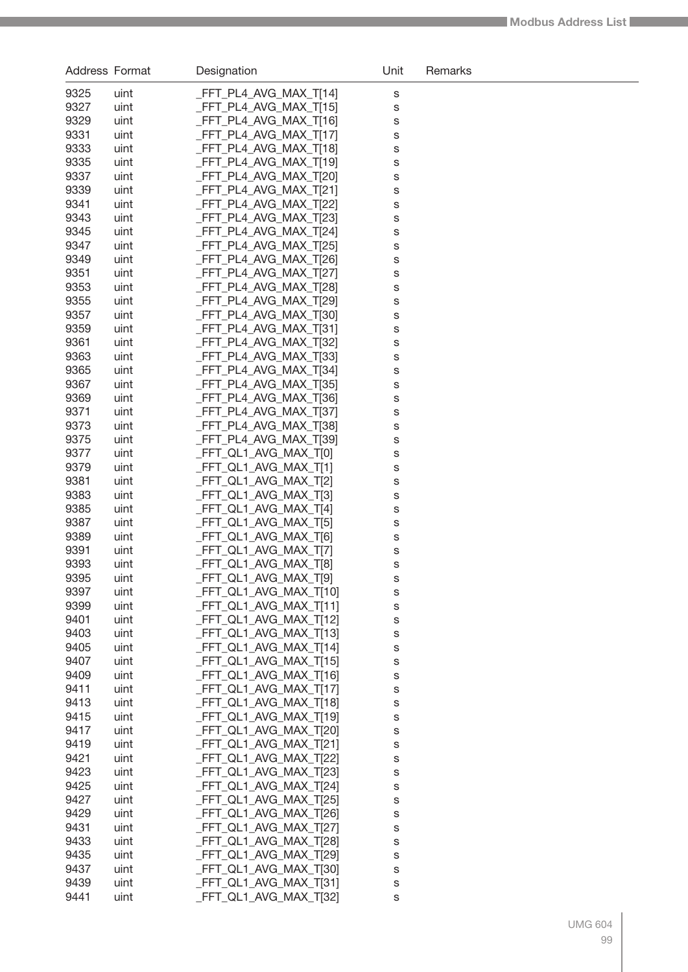| Address Format |              | Designation                                     | Unit   | Remarks |
|----------------|--------------|-------------------------------------------------|--------|---------|
| 9325           | uint         | FFT_PL4_AVG_MAX_T[14]                           | s      |         |
| 9327           | uint         | FFT_PL4_AVG_MAX_T[15]                           | S      |         |
| 9329           | uint         | FFT_PL4_AVG_MAX_T[16]                           | S      |         |
| 9331           | uint         | FFT_PL4_AVG_MAX_T[17]                           | S      |         |
| 9333           | uint         | FFT_PL4_AVG_MAX_T[18]                           | S      |         |
| 9335           | uint         | FFT_PL4_AVG_MAX_T[19]                           | S      |         |
| 9337           | uint         | FFT_PL4_AVG_MAX_T[20]                           | S      |         |
| 9339           | uint         | FFT_PL4_AVG_MAX_T[21]                           | S      |         |
| 9341           | uint         | FFT_PL4_AVG_MAX_T[22]                           | S      |         |
| 9343           | uint         | FFT_PL4_AVG_MAX_T[23]                           | S      |         |
| 9345           | uint         | FFT_PL4_AVG_MAX_T[24]                           | S      |         |
| 9347           | uint         | FFT_PL4_AVG_MAX_T[25]                           | S      |         |
| 9349           | uint         | FFT_PL4_AVG_MAX_T[26]                           | S      |         |
| 9351           | uint         | FFT_PL4_AVG_MAX_T[27]                           | S      |         |
| 9353           | uint         | FFT_PL4_AVG_MAX_T[28]                           | S      |         |
| 9355<br>9357   | uint         | FFT_PL4_AVG_MAX_T[29]<br>FFT_PL4_AVG_MAX_T[30]  | S      |         |
| 9359           | uint<br>uint | FFT_PL4_AVG_MAX_T[31]                           | S      |         |
| 9361           | uint         | FFT_PL4_AVG_MAX_T[32]                           | S<br>S |         |
| 9363           | uint         | FFT_PL4_AVG_MAX_T[33]                           | S      |         |
| 9365           | uint         | FFT_PL4_AVG_MAX_T[34]                           | S      |         |
| 9367           | uint         | FFT_PL4_AVG_MAX_T[35]                           | S      |         |
| 9369           | uint         | FFT_PL4_AVG_MAX_T[36]                           | S      |         |
| 9371           | uint         | FFT_PL4_AVG_MAX_T[37]                           | S      |         |
| 9373           | uint         | FFT_PL4_AVG_MAX_T[38]                           | S      |         |
| 9375           | uint         | FFT_PL4_AVG_MAX_T[39]                           | S      |         |
| 9377           | uint         | _FFT_QL1_AVG_MAX_T[0]                           | S      |         |
| 9379           | uint         | _FFT_QL1_AVG_MAX_T[1]                           | S      |         |
| 9381           | uint         | _FFT_QL1_AVG_MAX_T[2]                           | S      |         |
| 9383           | uint         | _FFT_QL1_AVG_MAX_T[3]                           | S      |         |
| 9385           | uint         | FFT_QL1_AVG_MAX_T[4]                            | S      |         |
| 9387           | uint         | FFT_QL1_AVG_MAX_T[5]                            | S      |         |
| 9389           | uint         | _FFT_QL1_AVG_MAX_T[6]                           | S      |         |
| 9391           | uint         | _FFT_QL1_AVG_MAX_T[7]                           | S      |         |
| 9393           | uint         | _FFT_QL1_AVG_MAX_T[8]                           | S      |         |
| 9395           | uint         | _FFT_QL1_AVG_MAX_T[9]                           | S      |         |
| 9397           | uint         | _FFT_QL1_AVG_MAX_T[10]                          | S      |         |
| 9399           | uint         | _FFT_QL1_AVG_MAX_T[11]                          | S      |         |
| 9401<br>9403   | uint         | _FFT_QL1_AVG_MAX_T[12]<br>FFT QL1 AVG MAX T[13] | S      |         |
| 9405           | uint<br>uint | FFT QL1 AVG MAX T[14]                           | S      |         |
| 9407           | uint         | FFT QL1 AVG MAX T[15]                           | S<br>S |         |
| 9409           | uint         | _FFT_QL1_AVG_MAX_T[16]                          | S      |         |
| 9411           | uint         | _FFT_QL1_AVG_MAX_T[17]                          | S      |         |
| 9413           | uint         | FFT QL1 AVG MAX T[18]                           | S      |         |
| 9415           | uint         | FFT QL1 AVG MAX T[19]                           | S      |         |
| 9417           | uint         | _FFT_QL1_AVG_MAX_T[20]                          | S      |         |
| 9419           | uint         | _FFT_QL1_AVG_MAX_T[21]                          | S      |         |
| 9421           | uint         | _FFT_QL1_AVG_MAX_T[22]                          | S      |         |
| 9423           | uint         | _FFT_QL1_AVG_MAX_T[23]                          | S      |         |
| 9425           | uint         | _FFT_QL1_AVG_MAX_T[24]                          | S      |         |
| 9427           | uint         | _FFT_QL1_AVG_MAX_T[25]                          | S      |         |
| 9429           | uint         | _FFT_QL1_AVG_MAX_T[26]                          | S      |         |
| 9431           | uint         | _FFT_QL1_AVG_MAX_T[27]                          | S      |         |
| 9433           | uint         | _FFT_QL1_AVG_MAX_T[28]                          | S      |         |
| 9435           | uint         | _FFT_QL1_AVG_MAX_T[29]                          | S      |         |
| 9437           | uint         | _FFT_QL1_AVG_MAX_T[30]                          | S      |         |
| 9439           | uint         | _FFT_QL1_AVG_MAX_T[31]                          | S      |         |
| 9441           | uint         | _FFT_QL1_AVG_MAX_T[32]                          | S      |         |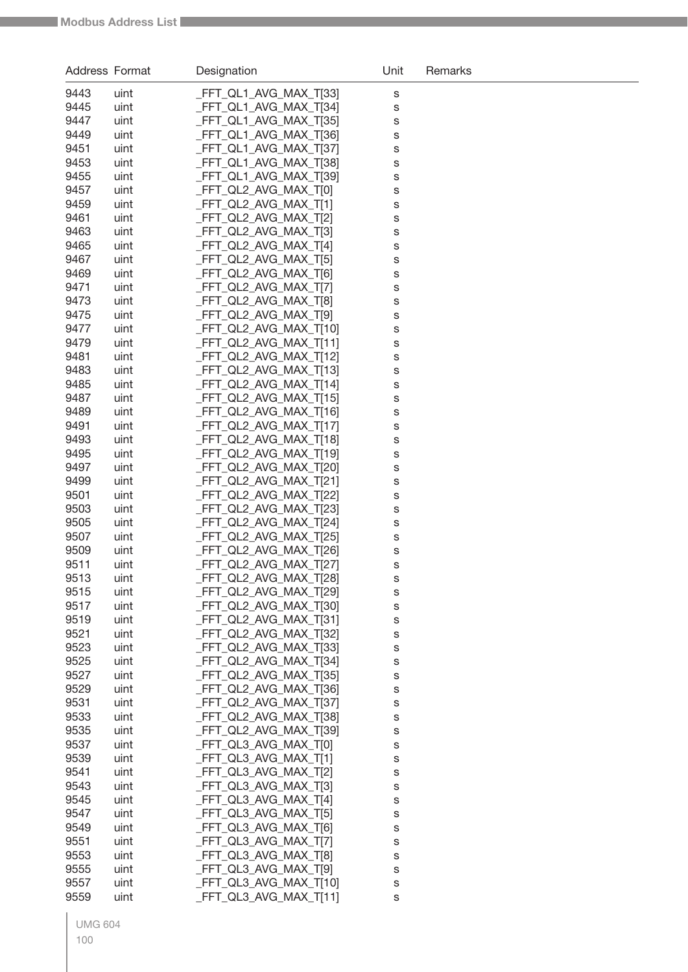| Address Format |              | Designation                                     | Unit   | Remarks |
|----------------|--------------|-------------------------------------------------|--------|---------|
| 9443           | uint         | _FFT_QL1_AVG_MAX_T[33]                          | S      |         |
| 9445           | uint         | _FFT_QL1_AVG_MAX_T[34]                          | S      |         |
| 9447           | uint         | _FFT_QL1_AVG_MAX_T[35]                          | S      |         |
| 9449           | uint         | FFT_QL1_AVG_MAX_T[36]                           | S      |         |
| 9451           | uint         | FFT_QL1_AVG_MAX_T[37]                           | S      |         |
| 9453           | uint         | FFT_QL1_AVG_MAX_T[38]                           | S      |         |
| 9455           | uint         | FFT_QL1_AVG_MAX_T[39]                           | S      |         |
| 9457           | uint         | FFT_QL2_AVG_MAX_T[0]                            | S      |         |
| 9459           | uint         | FFT_QL2_AVG_MAX_T[1]                            | S      |         |
| 9461           | uint         | FFT_QL2_AVG_MAX_T[2]                            | S      |         |
| 9463           | uint         | FFT_QL2_AVG_MAX_T[3]                            | S      |         |
| 9465           | uint         | FFT_QL2_AVG_MAX_T[4]                            | S      |         |
| 9467           | uint         | FFT_QL2_AVG_MAX_T[5]                            | S      |         |
| 9469           | uint         | FFT_QL2_AVG_MAX_T[6]                            | S      |         |
| 9471           | uint         | _FFT_QL2_AVG_MAX_T[7]                           | S      |         |
| 9473<br>9475   | uint         | FFT QL2 AVG MAX T[8]<br>_FFT_QL2_AVG_MAX_T[9]   | S      |         |
| 9477           | uint<br>uint | _FFT_QL2_AVG_MAX_T[10]                          | S      |         |
| 9479           | uint         | FFT_QL2_AVG_MAX_T[11]                           | S<br>S |         |
| 9481           | uint         | FFT_QL2_AVG_MAX_T[12]                           | S      |         |
| 9483           | uint         | FFT_QL2_AVG_MAX_T[13]                           | S      |         |
| 9485           | uint         | FFT_QL2_AVG_MAX_T[14]                           | S      |         |
| 9487           | uint         | FFT_QL2_AVG_MAX_T[15]                           | S      |         |
| 9489           | uint         | FFT_QL2_AVG_MAX_T[16]                           | S      |         |
| 9491           | uint         | FFT_QL2_AVG_MAX_T[17]                           | S      |         |
| 9493           | uint         | FFT_QL2_AVG_MAX_T[18]                           | S      |         |
| 9495           | uint         | FFT_QL2_AVG_MAX_T[19]                           | S      |         |
| 9497           | uint         | FFT_QL2_AVG_MAX_T[20]                           | S      |         |
| 9499           | uint         | FFT_QL2_AVG_MAX_T[21]                           | S      |         |
| 9501           | uint         | FFT_QL2_AVG_MAX_T[22]                           | S      |         |
| 9503           | uint         | FFT_QL2_AVG_MAX_T[23]                           | S      |         |
| 9505           | uint         | FFT_QL2_AVG_MAX_T[24]                           | S      |         |
| 9507           | uint         | FFT QL2 AVG MAX T[25]                           | S      |         |
| 9509           | uint         | FFT_QL2_AVG_MAX_T[26]                           | S      |         |
| 9511           | uint         | FFT_QL2_AVG_MAX_T[27]                           | S      |         |
| 9513           | uint         | _FFT_QL2_AVG_MAX_T[28]                          | s      |         |
| 9515           | uint         | FFT_QL2_AVG_MAX_T[29]                           | s      |         |
| 9517<br>9519   | uint         | FFT_QL2_AVG_MAX_T[30]<br>_FFT_QL2_AVG_MAX_T[31] | S      |         |
| 9521           | uint<br>uint | FFT QL2 AVG MAX T[32]                           | S      |         |
| 9523           | uint         | FFT_QL2_AVG_MAX_T[33]                           | S<br>S |         |
| 9525           | uint         | FFT_QL2_AVG_MAX_T[34]                           | S      |         |
| 9527           | uint         | FFT QL2 AVG MAX T[35]                           | S      |         |
| 9529           | uint         | FFT QL2 AVG MAX T[36]                           | S      |         |
| 9531           | uint         | FFT QL2 AVG MAX T[37]                           | S      |         |
| 9533           | uint         | FFT_QL2_AVG_MAX_T[38]                           | S      |         |
| 9535           | uint         | FFT_QL2_AVG_MAX_T[39]                           | S      |         |
| 9537           | uint         | FFT_QL3_AVG_MAX_T[0]                            | S      |         |
| 9539           | uint         | _FFT_QL3_AVG_MAX_T[1]                           | S      |         |
| 9541           | uint         | FFT_QL3_AVG_MAX_T[2]                            | S      |         |
| 9543           | uint         | FFT_QL3_AVG_MAX_T[3]                            | S      |         |
| 9545           | uint         | FFT_QL3_AVG_MAX_T[4]                            | S      |         |
| 9547           | uint         | FFT_QL3_AVG_MAX_T[5]                            | S      |         |
| 9549           | uint         | _FFT_QL3_AVG_MAX_T[6]                           | S      |         |
| 9551           | uint         | _FFT_QL3_AVG_MAX_T[7]                           | S      |         |
| 9553           | uint         | _FFT_QL3_AVG_MAX_T[8]                           | S      |         |
| 9555           | uint         | FFT_QL3_AVG_MAX_T[9]                            | S      |         |
| 9557           | uint         | FFT_QL3_AVG_MAX_T[10]                           | S      |         |
| 9559           | uint         | FFT_QL3_AVG_MAX_T[11]                           | S      |         |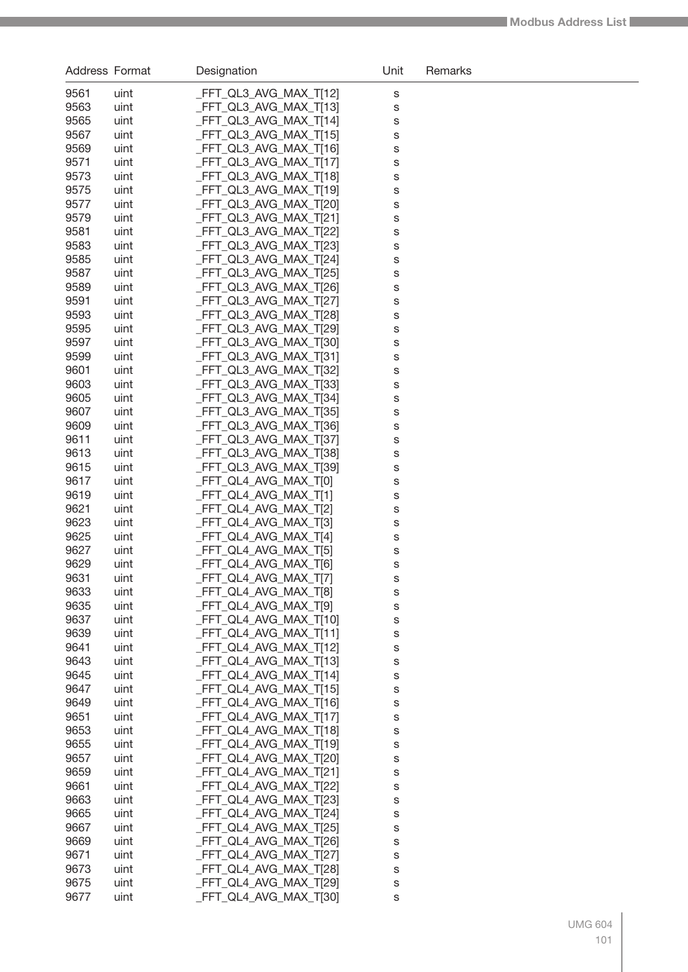| Address Format |              | Designation                                      | Unit   | Remarks |
|----------------|--------------|--------------------------------------------------|--------|---------|
| 9561           | uint         | _FFT_QL3_AVG_MAX_T[12]                           | S      |         |
| 9563           | uint         | _FFT_QL3_AVG_MAX_T[13]                           | S      |         |
| 9565           | uint         | _FFT_QL3_AVG_MAX_T[14]                           | S      |         |
| 9567           | uint         | _FFT_QL3_AVG_MAX_T[15]                           | S      |         |
| 9569           | uint         | _FFT_QL3_AVG_MAX_T[16]                           | S      |         |
| 9571           | uint         | _FFT_QL3_AVG_MAX_T[17]                           | S      |         |
| 9573           | uint         | _FFT_QL3_AVG_MAX_T[18]                           | S      |         |
| 9575           | uint         | FFT_QL3_AVG_MAX_T[19]                            | S      |         |
| 9577           | uint         | _FFT_QL3_AVG_MAX_T[20]                           | S      |         |
| 9579           | uint         | _FFT_QL3_AVG_MAX_T[21]                           | S      |         |
| 9581           | uint         | _FFT_QL3_AVG_MAX_T[22]                           | S      |         |
| 9583           | uint         | _FFT_QL3_AVG_MAX_T[23]                           | S      |         |
| 9585           | uint         | _FFT_QL3_AVG_MAX_T[24]                           | S      |         |
| 9587           | uint         | _FFT_QL3_AVG_MAX_T[25]                           | S      |         |
| 9589           | uint         | _FFT_QL3_AVG_MAX_T[26]                           | S      |         |
| 9591           | uint         | _FFT_QL3_AVG_MAX_T[27]                           | S      |         |
| 9593           | uint         | FFT_QL3_AVG_MAX_T[28]                            | S      |         |
| 9595           | uint         | _FFT_QL3_AVG_MAX_T[29]                           | S      |         |
| 9597           | uint         | _FFT_QL3_AVG_MAX_T[30]                           | S      |         |
| 9599           | uint         | _FFT_QL3_AVG_MAX_T[31]                           | S      |         |
| 9601           | uint         | FFT_QL3_AVG_MAX_T[32]                            | S      |         |
| 9603<br>9605   | uint         | _FFT_QL3_AVG_MAX_T[33]                           | S      |         |
| 9607           | uint<br>uint | _FFT_QL3_AVG_MAX_T[34]<br>_FFT_QL3_AVG_MAX_T[35] | S      |         |
| 9609           | uint         | _FFT_QL3_AVG_MAX_T[36]                           | S<br>S |         |
| 9611           | uint         | _FFT_QL3_AVG_MAX_T[37]                           | S      |         |
| 9613           | uint         | _FFT_QL3_AVG_MAX_T[38]                           | S      |         |
| 9615           | uint         | _FFT_QL3_AVG_MAX_T[39]                           | S      |         |
| 9617           | uint         | _FFT_QL4_AVG_MAX_T[0]                            | S      |         |
| 9619           | uint         | _FFT_QL4_AVG_MAX_T[1]                            | S      |         |
| 9621           | uint         | _FFT_QL4_AVG_MAX_T[2]                            | S      |         |
| 9623           | uint         | FFT_QL4_AVG_MAX_T[3]                             | S      |         |
| 9625           | uint         | _FFT_QL4_AVG_MAX_T[4]                            | S      |         |
| 9627           | uint         | FFT_QL4_AVG_MAX_T[5]                             | S      |         |
| 9629           | uint         | _FFT_QL4_AVG_MAX_T[6]                            | S      |         |
| 9631           | uint         | FFT_QL4_AVG_MAX_T[7]                             | s      |         |
| 9633           | uint         | FFT_QL4_AVG_MAX_T[8]                             | S      |         |
| 9635           | uint         | FFT QL4 AVG MAX T[9]                             | S      |         |
| 9637           | uint         | FFT_QL4_AVG_MAX_T[10]                            | S      |         |
| 9639           | uint         | FFT_QL4_AVG_MAX_T[11]                            | S      |         |
| 9641           | uint         | FFT_QL4_AVG_MAX_T[12]                            | S      |         |
| 9643           | uint         | FFT_QL4_AVG_MAX_T[13]                            | S      |         |
| 9645           | uint         | FFT_QL4_AVG_MAX_T[14]                            | S      |         |
| 9647           | uint         | FFT_QL4_AVG_MAX_T[15]                            | S      |         |
| 9649           | uint         | FFT_QL4_AVG_MAX_T[16]                            | S      |         |
| 9651           | uint         | FFT_QL4_AVG_MAX_T[17]                            | S      |         |
| 9653           | uint         | FFT_QL4_AVG_MAX_T[18]                            | S      |         |
| 9655           | uint         | FFT_QL4_AVG_MAX_T[19]                            | S      |         |
| 9657<br>9659   | uint         | FFT_QL4_AVG_MAX_T[20]<br>FFT_QL4_AVG_MAX_T[21]   | S      |         |
| 9661           | uint<br>uint | FFT_QL4_AVG_MAX_T[22]                            | S      |         |
| 9663           | uint         | FFT_QL4_AVG_MAX_T[23]                            | S      |         |
| 9665           | uint         | FFT_QL4_AVG_MAX_T[24]                            | S<br>S |         |
| 9667           | uint         | FFT_QL4_AVG_MAX_T[25]                            | S      |         |
| 9669           | uint         | FFT_QL4_AVG_MAX_T[26]                            | S      |         |
| 9671           | uint         | FFT_QL4_AVG_MAX_T[27]                            | S      |         |
| 9673           | uint         | FFT_QL4_AVG_MAX_T[28]                            | S      |         |
| 9675           | uint         | FFT_QL4_AVG_MAX_T[29]                            | S      |         |
| 9677           | uint         | _FFT_QL4_AVG_MAX_T[30]                           | S      |         |
|                |              |                                                  |        |         |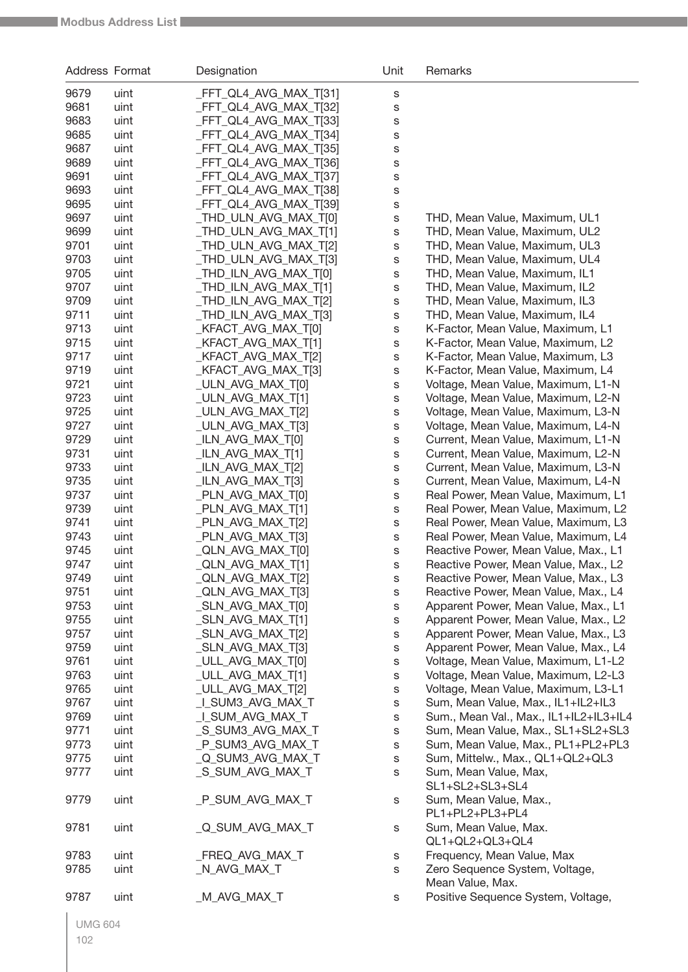| Address Format |              | Designation                            | Unit                       | Remarks                                                                      |
|----------------|--------------|----------------------------------------|----------------------------|------------------------------------------------------------------------------|
| 9679           | uint         | FFT QL4 AVG MAX T[31]                  | S                          |                                                                              |
| 9681           | uint         | FFT_QL4_AVG_MAX_T[32]                  | S                          |                                                                              |
| 9683           | uint         | FFT_QL4_AVG_MAX_T[33]                  | S                          |                                                                              |
| 9685           | uint         | FFT_QL4_AVG_MAX_T[34]                  | S                          |                                                                              |
| 9687           | uint         | FFT_QL4_AVG_MAX_T[35]                  | S                          |                                                                              |
| 9689           | uint         | FFT_QL4_AVG_MAX_T[36]                  | S                          |                                                                              |
| 9691           | uint         | FFT_QL4_AVG_MAX_T[37]                  | S                          |                                                                              |
| 9693           | uint         | FFT_QL4_AVG_MAX_T[38]                  | S                          |                                                                              |
| 9695           | uint         | FFT_QL4_AVG_MAX_T[39]                  | S                          |                                                                              |
| 9697           | uint         | _THD_ULN_AVG_MAX_T[0]                  | $\mathbb S$                | THD, Mean Value, Maximum, UL1                                                |
| 9699           | uint         | _THD_ULN_AVG_MAX_T[1]                  | $\mathbb S$                | THD, Mean Value, Maximum, UL2                                                |
| 9701           | uint         | _THD_ULN_AVG_MAX_T[2]                  | $\mathbb S$                | THD, Mean Value, Maximum, UL3                                                |
| 9703           | uint         | _THD_ULN_AVG_MAX_T[3]                  | $\mathbb S$                | THD, Mean Value, Maximum, UL4                                                |
| 9705           | uint         | _THD_ILN_AVG_MAX_T[0]                  | $\mathbb S$                | THD, Mean Value, Maximum, IL1                                                |
| 9707           | uint         | _THD_ILN_AVG_MAX_T[1]                  | $\mathbb S$                | THD, Mean Value, Maximum, IL2                                                |
| 9709           | uint         | _THD_ILN_AVG_MAX_T[2]                  | $\mathbb S$                | THD, Mean Value, Maximum, IL3                                                |
| 9711           | uint         | _THD_ILN_AVG_MAX_T[3]                  | $\mathbb S$                | THD, Mean Value, Maximum, IL4                                                |
| 9713           | uint         | KFACT_AVG_MAX_T[0]                     | $\mathbb S$                | K-Factor, Mean Value, Maximum, L1                                            |
| 9715           | uint         | KFACT_AVG_MAX_T[1]                     | $\mathbb S$                | K-Factor, Mean Value, Maximum, L2                                            |
| 9717           | uint         | KFACT_AVG_MAX_T[2]                     | $\mathbb S$                | K-Factor, Mean Value, Maximum, L3                                            |
| 9719           | uint         | _KFACT_AVG_MAX_T[3]                    | $\mathbb S$                | K-Factor, Mean Value, Maximum, L4                                            |
| 9721           | uint         | _ULN_AVG_MAX_T[0]                      | $\mathbb S$                | Voltage, Mean Value, Maximum, L1-N                                           |
| 9723           | uint         | _ULN_AVG_MAX_T[1]                      | $\mathbb S$                | Voltage, Mean Value, Maximum, L2-N                                           |
| 9725           | uint         | _ULN_AVG_MAX_T[2]                      | $\mathbb S$                | Voltage, Mean Value, Maximum, L3-N                                           |
| 9727           | uint         | _ULN_AVG_MAX_T[3]                      | $\mathbb S$                | Voltage, Mean Value, Maximum, L4-N                                           |
| 9729           | uint         | _ILN_AVG_MAX_T[0]                      | $\mathbb S$                | Current, Mean Value, Maximum, L1-N                                           |
| 9731           | uint         | _ILN_AVG_MAX_T[1]                      | $\mathbb S$                | Current, Mean Value, Maximum, L2-N                                           |
| 9733           | uint         | _ILN_AVG_MAX_T[2]                      | $\mathbb S$                | Current, Mean Value, Maximum, L3-N                                           |
| 9735           | uint         | _ILN_AVG_MAX_T[3]                      | $\mathbb S$                | Current, Mean Value, Maximum, L4-N                                           |
| 9737           | uint         | PLN_AVG_MAX_T[0]                       | $\mathbb S$                | Real Power, Mean Value, Maximum, L1                                          |
| 9739           | uint         | PLN_AVG_MAX_T[1]                       | $\mathbb S$                | Real Power, Mean Value, Maximum, L2                                          |
| 9741           | uint         | PLN_AVG_MAX_T[2]                       | $\mathbb S$                | Real Power, Mean Value, Maximum, L3                                          |
| 9743           | uint         | PLN_AVG_MAX_T[3]                       | $\mathbb S$                | Real Power, Mean Value, Maximum, L4                                          |
| 9745           | uint         | _QLN_AVG_MAX_T[0]                      | $\mathbb S$                | Reactive Power, Mean Value, Max., L1                                         |
| 9747           | uint         | _QLN_AVG_MAX_T[1]                      | $\mathsf{s}$               | Reactive Power, Mean Value, Max., L2                                         |
| 9749           | uint         | _QLN_AVG_MAX_T[2]                      | S                          | Reactive Power, Mean Value, Max., L3                                         |
| 9751           | uint         | QLN AVG MAX T[3]                       | S                          | Reactive Power, Mean Value, Max., L4                                         |
| 9753           | uint         | _SLN_AVG_MAX_T[0]                      | $\mathbb S$                | Apparent Power, Mean Value, Max., L1                                         |
| 9755           | uint         | _SLN_AVG_MAX_T[1]                      | $\mathbb S$                | Apparent Power, Mean Value, Max., L2                                         |
| 9757<br>9759   | uint<br>uint | _SLN_AVG_MAX_T[2]<br>_SLN_AVG_MAX_T[3] | $\mathbb S$                | Apparent Power, Mean Value, Max., L3<br>Apparent Power, Mean Value, Max., L4 |
| 9761           | uint         | _ULL_AVG_MAX_T[0]                      | $\mathbb S$                | Voltage, Mean Value, Maximum, L1-L2                                          |
| 9763           | uint         | ULL AVG MAX T[1]                       | $\mathbb S$<br>$\mathbb S$ | Voltage, Mean Value, Maximum, L2-L3                                          |
| 9765           | uint         | _ULL_AVG_MAX_T[2]                      | $\mathbb S$                | Voltage, Mean Value, Maximum, L3-L1                                          |
| 9767           | uint         | _I_SUM3_AVG_MAX_T                      | $\mathbb S$                | Sum, Mean Value, Max., IL1+IL2+IL3                                           |
| 9769           | uint         | I_SUM_AVG_MAX_T                        | $\mathbb S$                | Sum., Mean Val., Max., IL1+IL2+IL3+IL4                                       |
| 9771           | uint         | _S_SUM3_AVG_MAX_T                      | $\mathbb S$                | Sum, Mean Value, Max., SL1+SL2+SL3                                           |
| 9773           | uint         | P_SUM3_AVG_MAX_T                       | $\mathbb S$                | Sum, Mean Value, Max., PL1+PL2+PL3                                           |
| 9775           | uint         | Q_SUM3_AVG_MAX_T                       | $\mathbb S$                | Sum, Mittelw., Max., QL1+QL2+QL3                                             |
| 9777           | uint         | _S_SUM_AVG_MAX_T                       | $\mathsf{s}$               | Sum, Mean Value, Max,                                                        |
|                |              |                                        |                            | SL1+SL2+SL3+SL4                                                              |
| 9779           | uint         | _P_SUM_AVG_MAX_T                       | S                          | Sum, Mean Value, Max.,                                                       |
|                |              |                                        |                            | PL1+PL2+PL3+PL4                                                              |
| 9781           | uint         | _Q_SUM_AVG_MAX_T                       | S                          | Sum, Mean Value, Max.                                                        |
|                |              |                                        |                            | QL1+QL2+QL3+QL4                                                              |
| 9783           | uint         | _FREQ_AVG_MAX_T                        | $\mathbb S$                | Frequency, Mean Value, Max                                                   |
| 9785           | uint         | _N_AVG_MAX_T                           | $\mathsf{s}$               | Zero Sequence System, Voltage,                                               |
|                |              |                                        |                            | Mean Value, Max.                                                             |
| 9787           | uint         | _M_AVG_MAX_T                           | s                          | Positive Sequence System, Voltage,                                           |
|                |              |                                        |                            |                                                                              |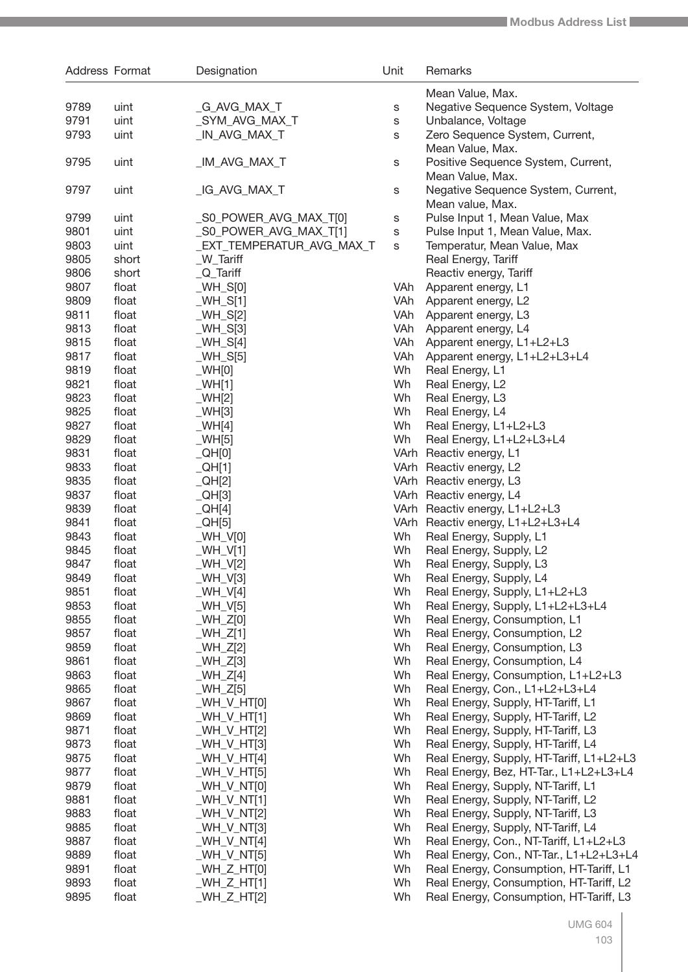| Address Format |                | Designation               | Unit     | Remarks                                                      |
|----------------|----------------|---------------------------|----------|--------------------------------------------------------------|
|                |                |                           |          | Mean Value, Max.                                             |
| 9789           | uint           | _G_AVG_MAX_T              | s        | Negative Sequence System, Voltage                            |
| 9791           | uint           | _SYM_AVG_MAX_T            | S        | Unbalance, Voltage                                           |
| 9793           | uint           | _IN_AVG_MAX_T             | S        | Zero Sequence System, Current,<br>Mean Value, Max.           |
| 9795           | uint           | _IM_AVG_MAX_T             | s        | Positive Sequence System, Current,<br>Mean Value, Max.       |
| 9797           | uint           | _IG_AVG_MAX_T             | s        | Negative Sequence System, Current,<br>Mean value, Max.       |
| 9799           | uint           | _S0_POWER_AVG_MAX_T[0]    | s        | Pulse Input 1, Mean Value, Max                               |
| 9801           | uint           | _S0_POWER_AVG_MAX_T[1]    | s        | Pulse Input 1, Mean Value, Max.                              |
| 9803           | uint           | _EXT_TEMPERATUR_AVG_MAX_T | S        | Temperatur, Mean Value, Max                                  |
| 9805           | short          | _W_Tariff                 |          | Real Energy, Tariff                                          |
| 9806           | short          | $Q$ _Tariff               |          | Reactiv energy, Tariff                                       |
| 9807           | float          | $WH_S[0]$                 | VAh      | Apparent energy, L1                                          |
| 9809           | float          | $WH_S[1]$                 | VAh      | Apparent energy, L2                                          |
| 9811           | float          | $[WH_S[2]$                | VAh      | Apparent energy, L3                                          |
| 9813           | float          | $_WH_S[3]$                | VAh      | Apparent energy, L4                                          |
| 9815           | float          | $WH_S[4]$                 | VAh      | Apparent energy, L1+L2+L3                                    |
| 9817           | float          | $WH_S[5]$                 | VAh      | Apparent energy, L1+L2+L3+L4                                 |
| 9819           | float          | $W$ H[0]                  | Wh       | Real Energy, L1                                              |
| 9821           | float          | WH[1]                     | Wh       | Real Energy, L2                                              |
| 9823           | float          |                           | Wh       | Real Energy, L3                                              |
| 9825           |                | WH[2]                     | Wh       |                                                              |
| 9827           | float          | WH[3]                     | Wh       | Real Energy, L4                                              |
| 9829           | float          | WHH[4]                    | Wh       | Real Energy, L1+L2+L3                                        |
|                | float          | WH[5]                     |          | Real Energy, L1+L2+L3+L4                                     |
| 9831           | float          | QH[0]                     |          | VArh Reactiv energy, L1                                      |
| 9833           | float          | $_QHH[1]$                 |          | VArh Reactiv energy, L2                                      |
| 9835<br>9837   | float          | $_QHH[2]$                 |          | VArh Reactiv energy, L3                                      |
| 9839           | float          | $_QHH[3]$                 |          | VArh Reactiv energy, L4                                      |
| 9841           | float<br>float | QH[4]                     |          | VArh Reactiv energy, L1+L2+L3                                |
| 9843           |                | $_QHH[5]$                 | Wh       | VArh Reactiv energy, L1+L2+L3+L4                             |
| 9845           | float          | $W$ H_V[0]                | Wh       | Real Energy, Supply, L1                                      |
| 9847           | float          | $WH_V[1]$                 | Wh       | Real Energy, Supply, L2<br>Real Energy, Supply, L3           |
|                | float          | $WH_V[2]$                 | Wh       |                                                              |
| 9849           | float          | $WH_V[3]$                 |          | Real Energy, Supply, L4                                      |
| 9851           | float          | $WH_V[4]$                 | Wh       | Real Energy, Supply, L1+L2+L3                                |
| 9853           | float          | $WH_V[5]$                 | Wh<br>Wh | Real Energy, Supply, L1+L2+L3+L4                             |
| 9855<br>9857   | float<br>float | $WH_Z[0]$<br>$WH_Z[1]$    | Wh       | Real Energy, Consumption, L1                                 |
| 9859           | float          | $WH_Z[2]$                 | Wh       | Real Energy, Consumption, L2<br>Real Energy, Consumption, L3 |
| 9861           | float          | $WH_Z[3]$                 | Wh       | Real Energy, Consumption, L4                                 |
| 9863           | float          | $WH_Z[4]$                 | Wh       | Real Energy, Consumption, L1+L2+L3                           |
| 9865           | float          | $WH_Z[5]$                 | Wh       | Real Energy, Con., L1+L2+L3+L4                               |
| 9867           | float          | $WH_VHT[0]$               | Wh       | Real Energy, Supply, HT-Tariff, L1                           |
| 9869           | float          | $WH_V_H$ T[1]             | Wh       | Real Energy, Supply, HT-Tariff, L2                           |
| 9871           | float          | $WH_VHT[2]$               | Wh       | Real Energy, Supply, HT-Tariff, L3                           |
| 9873           | float          | $WH_V_H$ T[3]             | Wh       | Real Energy, Supply, HT-Tariff, L4                           |
| 9875           | float          |                           | Wh       |                                                              |
| 9877           | float          | $WH_V_HT[4]$              | Wh       | Real Energy, Supply, HT-Tariff, L1+L2+L3                     |
| 9879           | float          | $WH_V_H$ T[5]             | Wh       | Real Energy, Bez, HT-Tar., L1+L2+L3+L4                       |
|                |                | $WH_V_N$ T[0]             |          | Real Energy, Supply, NT-Tariff, L1                           |
| 9881           | float          | $WH_V_N$ T[1]             | Wh       | Real Energy, Supply, NT-Tariff, L2                           |
| 9883           | float          | $WH_V_N$ T[2]             | Wh       | Real Energy, Supply, NT-Tariff, L3                           |
| 9885           | float          | $WH_V_N$ T[3]             | Wh       | Real Energy, Supply, NT-Tariff, L4                           |
| 9887           | float          | $WH_V_N$ T[4]             | Wh       | Real Energy, Con., NT-Tariff, L1+L2+L3                       |
| 9889           | float          | $WH_V_N$ T[5]             | Wh       | Real Energy, Con., NT-Tar., L1+L2+L3+L4                      |
| 9891           | float          | $WH_Z_HTT[0]$             | Wh       | Real Energy, Consumption, HT-Tariff, L1                      |
| 9893           | float          | $WH_Z_HTT[1]$             | Wh       | Real Energy, Consumption, HT-Tariff, L2                      |
| 9895           | float          | WH_Z_HT[2]                | Wh       | Real Energy, Consumption, HT-Tariff, L3                      |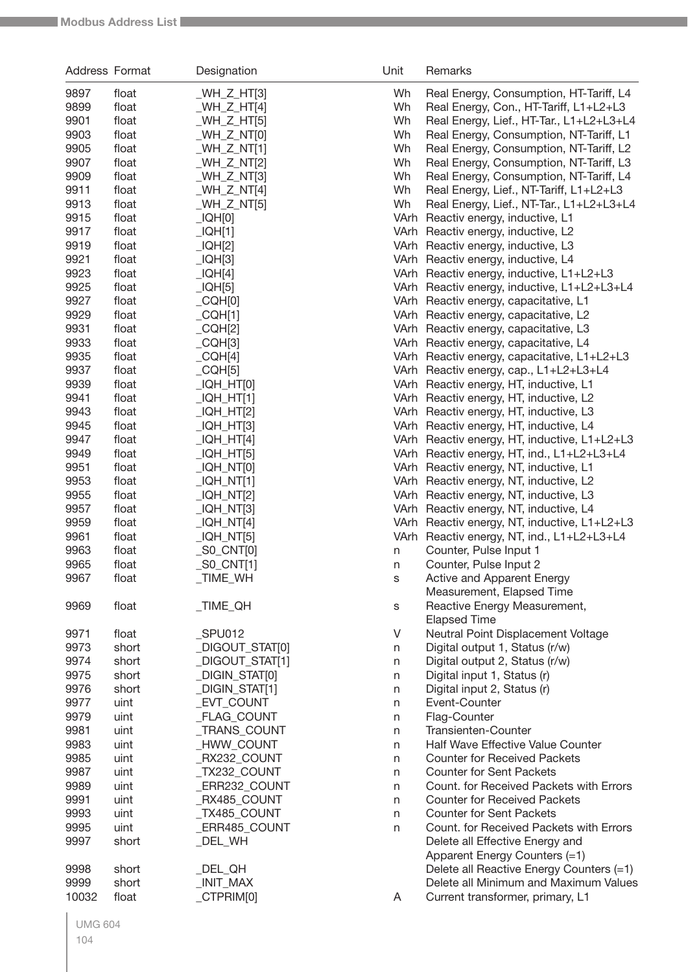| Address Format |       | Designation                | Unit        | Remarks                                                 |
|----------------|-------|----------------------------|-------------|---------------------------------------------------------|
| 9897           | float | $WH_Z_HTT[3]$              | Wh          | Real Energy, Consumption, HT-Tariff, L4                 |
| 9899           | float | _WH_Z_HT[4]                | Wh          | Real Energy, Con., HT-Tariff, L1+L2+L3                  |
| 9901           | float | $WH_Z_HTT[5]$              | Wh          | Real Energy, Lief., HT-Tar., L1+L2+L3+L4                |
| 9903           | float | _WH_Z_NT[0]                | Wh          | Real Energy, Consumption, NT-Tariff, L1                 |
| 9905           | float | _WH_Z_NT[1]                | Wh          | Real Energy, Consumption, NT-Tariff, L2                 |
| 9907           | float | _WH_Z_NT[2]                | Wh          | Real Energy, Consumption, NT-Tariff, L3                 |
| 9909           | float | $WH_ZNT[3]$                | Wh          | Real Energy, Consumption, NT-Tariff, L4                 |
| 9911           | float | _WH_Z_NT[4]                | Wh          | Real Energy, Lief., NT-Tariff, L1+L2+L3                 |
| 9913           | float | $_WH_Z_NT[5]$              | Wh          | Real Energy, Lief., NT-Tar., L1+L2+L3+L4                |
| 9915           | float | LOH[0]                     |             | VArh Reactiv energy, inductive, L1                      |
| 9917           | float | _IQH[1]                    |             | VArh Reactiv energy, inductive, L2                      |
| 9919           | float | $_lQH[2]$                  |             | VArh Reactiv energy, inductive, L3                      |
| 9921           | float | $_L$ IQH[3]                |             | VArh Reactiv energy, inductive, L4                      |
| 9923           | float | _IQH[4]                    |             | VArh Reactiv energy, inductive, L1+L2+L3                |
| 9925           | float | LOH[5]                     |             | VArh Reactiv energy, inductive, L1+L2+L3+L4             |
| 9927           | float | $_CQH[0]$                  |             | VArh Reactiv energy, capacitative, L1                   |
| 9929           | float | $_CQH[1]$                  |             | VArh Reactiv energy, capacitative, L2                   |
| 9931           | float | $_CQH[2]$                  |             | VArh Reactiv energy, capacitative, L3                   |
| 9933           | float | CQH[3]                     |             | VArh Reactiv energy, capacitative, L4                   |
| 9935           | float | $_CQH[4]$                  |             | VArh Reactiv energy, capacitative, L1+L2+L3             |
| 9937           | float | $_CQH[5]$                  |             | VArh Reactiv energy, cap., L1+L2+L3+L4                  |
| 9939           | float | _IQH_HT[0]                 |             | VArh Reactiv energy, HT, inductive, L1                  |
| 9941           | float | _IQH_HT[1]                 |             | VArh Reactiv energy, HT, inductive, L2                  |
| 9943           | float | _IQH_HT[2]                 |             | VArh Reactiv energy, HT, inductive, L3                  |
| 9945           | float | _IQH_HT[3]                 |             | VArh Reactiv energy, HT, inductive, L4                  |
| 9947           | float | _IQH_HT[4]                 |             | VArh Reactiv energy, HT, inductive, L1+L2+L3            |
| 9949           | float | _IQH_HT[5]                 |             | VArh Reactiv energy, HT, ind., L1+L2+L3+L4              |
| 9951           | float | _IQH_NT[0]                 |             | VArh Reactiv energy, NT, inductive, L1                  |
| 9953           | float | _IQH_NT[1]                 |             | VArh Reactiv energy, NT, inductive, L2                  |
| 9955           | float | _IQH_NT[2]                 |             | VArh Reactiv energy, NT, inductive, L3                  |
| 9957           | float | _IQH_NT[3]                 |             | VArh Reactiv energy, NT, inductive, L4                  |
| 9959           | float | _IQH_NT[4]                 |             | VArh Reactiv energy, NT, inductive, L1+L2+L3            |
| 9961           | float | _IQH_NT[5]                 |             | VArh Reactiv energy, NT, ind., L1+L2+L3+L4              |
| 9963           | float | <sub>_</sub> S0_CNT[0]     | n           | Counter, Pulse Input 1                                  |
| 9965           | float | $_$ S0 $_$ CNT[1]          | n           | Counter, Pulse Input 2                                  |
| 9967           | float | _TIME_WH                   | S           | Active and Apparent Energy<br>Measurement, Elapsed Time |
| 9969           | float | $\_TIME$ <sub>-</sub> $QH$ |             | Reactive Energy Measurement,                            |
|                |       |                            | $\mathbb S$ | <b>Elapsed Time</b>                                     |
| 9971           | float | SPU012                     | V           | Neutral Point Displacement Voltage                      |
| 9973           | short | DIGOUT_STAT[0]             | n           | Digital output 1, Status (r/w)                          |
| 9974           | short | DIGOUT_STAT[1]             | n           | Digital output 2, Status (r/w)                          |
| 9975           | short | DIGIN STAT[0]              | n           | Digital input 1, Status (r)                             |
| 9976           | short | _DIGIN_STAT[1]             | n           | Digital input 2, Status (r)                             |
| 9977           | uint  | _EVT_COUNT                 | n           | Event-Counter                                           |
| 9979           | uint  | _FLAG_COUNT                | n           | Flag-Counter                                            |
| 9981           | uint  | _TRANS_COUNT               | n           | Transienten-Counter                                     |
| 9983           | uint  | _HWW_COUNT                 | n           | Half Wave Effective Value Counter                       |
| 9985           | uint  | RX232_COUNT                | n           | <b>Counter for Received Packets</b>                     |
| 9987           | uint  | _TX232_COUNT               | n           | <b>Counter for Sent Packets</b>                         |
| 9989           | uint  | ERR232_COUNT_              | n           | Count. for Received Packets with Errors                 |
| 9991           | uint  | RX485_COUNT                | n           | <b>Counter for Received Packets</b>                     |
| 9993           | uint  | _TX485_COUNT               | n           | <b>Counter for Sent Packets</b>                         |
| 9995           | uint  | _ERR485_COUNT              | n           | Count. for Received Packets with Errors                 |
| 9997           | short | _DEL_WH                    |             | Delete all Effective Energy and                         |
|                |       |                            |             | Apparent Energy Counters (=1)                           |
| 9998           | short | _DEL_QH                    |             | Delete all Reactive Energy Counters (=1)                |
| 9999           | short | _INIT_MAX                  |             | Delete all Minimum and Maximum Values                   |
| 10032          | float | CTPRIM[0]                  | A           | Current transformer, primary, L1                        |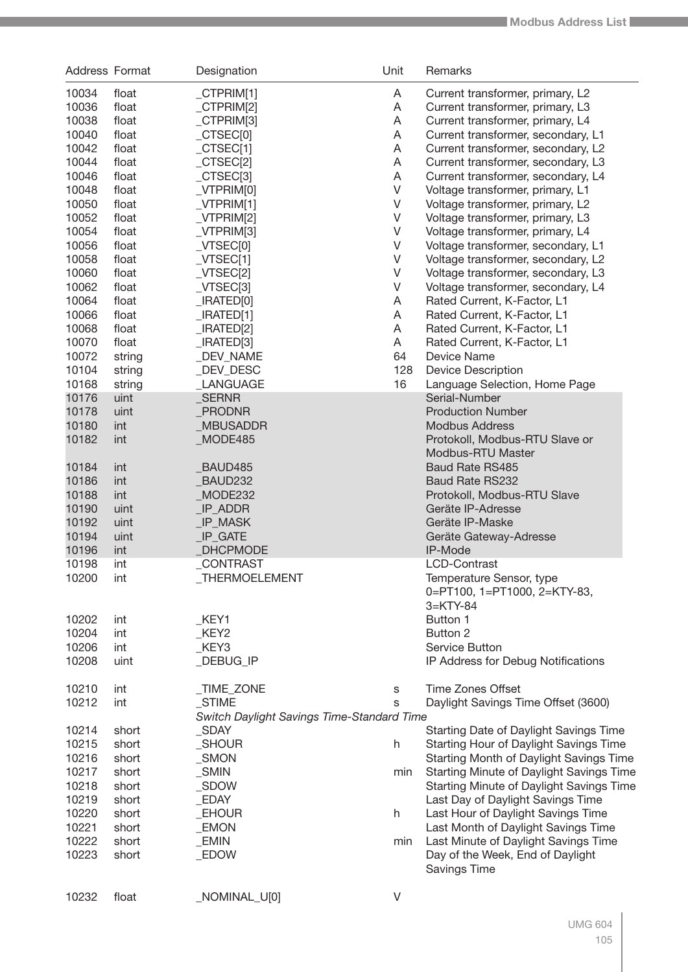| <b>Address Format</b> |        | Designation                                       | Unit        | Remarks                                  |
|-----------------------|--------|---------------------------------------------------|-------------|------------------------------------------|
| 10034                 | float  | $_C$ CTPRIM[1]                                    | A           | Current transformer, primary, L2         |
| 10036                 | float  | CTPRIM[2]                                         | A           | Current transformer, primary, L3         |
| 10038                 | float  | $_C$ CTPRIM[3]                                    | A           | Current transformer, primary, L4         |
| 10040                 | float  | $_C$ TSEC $[0]$                                   | A           | Current transformer, secondary, L1       |
| 10042                 | float  | $_CTSEC[1]$                                       | A           | Current transformer, secondary, L2       |
| 10044                 | float  | $_CTSEC[2]$                                       | A           | Current transformer, secondary, L3       |
|                       |        |                                                   |             |                                          |
| 10046                 | float  | $_CTSEC[3]$                                       | A           | Current transformer, secondary, L4       |
| 10048                 | float  | $_V$ TPRIM $[0]$                                  | $\mathsf V$ | Voltage transformer, primary, L1         |
| 10050                 | float  | $_VTPRIM[1]$                                      | $\vee$      | Voltage transformer, primary, L2         |
| 10052                 | float  | $_V$ TPRIM[2]                                     | $\vee$      | Voltage transformer, primary, L3         |
| 10054                 | float  | $_V$ TPRIM[3]                                     | $\vee$      | Voltage transformer, primary, L4         |
| 10056                 | float  | $_V$ TSEC $[0]$                                   | $\vee$      | Voltage transformer, secondary, L1       |
| 10058                 | float  | $_VTSEC[1]$                                       | $\vee$      | Voltage transformer, secondary, L2       |
| 10060                 | float  | $_VTSEC[2]$                                       | $\vee$      | Voltage transformer, secondary, L3       |
| 10062                 | float  | $_V$ TSEC[3]                                      | $\vee$      | Voltage transformer, secondary, L4       |
| 10064                 | float  | $\lfloor$ IRATED $[0]$                            | A           | Rated Current, K-Factor, L1              |
| 10066                 | float  | IRACTED[1]                                        | A           | Rated Current, K-Factor, L1              |
| 10068                 | float  | $\lfloor$ IRATED[2]                               | A           | Rated Current, K-Factor, L1              |
|                       |        |                                                   |             |                                          |
| 10070                 | float  | $\lfloor$ IRATED[3]                               | A           | Rated Current, K-Factor, L1              |
| 10072                 | string | _DEV_NAME                                         | 64          | Device Name                              |
| 10104                 | string | DEV DESC                                          | 128         | <b>Device Description</b>                |
| 10168                 | string | _LANGUAGE                                         | 16          | Language Selection, Home Page            |
| 10176                 | uint   | <b>SERNR</b>                                      |             | Serial-Number                            |
| 10178                 | uint   | <b>PRODNR</b>                                     |             | <b>Production Number</b>                 |
| 10180                 | int    | <b>MBUSADDR</b>                                   |             | <b>Modbus Address</b>                    |
| 10182                 | int    | MODE485                                           |             | Protokoll, Modbus-RTU Slave or           |
|                       |        |                                                   |             | Modbus-RTU Master                        |
| 10184                 | int    | BAUD485                                           |             | <b>Baud Rate RS485</b>                   |
| 10186                 | int    | BAUD232                                           |             | <b>Baud Rate RS232</b>                   |
| 10188                 | int    | MODE232                                           |             | Protokoll, Modbus-RTU Slave              |
| 10190                 | uint   | _IP_ADDR                                          |             | Geräte IP-Adresse                        |
| 10192                 | uint   | _IP_MASK                                          |             | Geräte IP-Maske                          |
|                       |        |                                                   |             |                                          |
| 10194                 | uint   | <b>IP GATE</b>                                    |             | Geräte Gateway-Adresse                   |
| 10196                 | int    | <b>DHCPMODE</b>                                   |             | IP-Mode                                  |
| 10198                 | int    | _CONTRAST                                         |             | <b>LCD-Contrast</b>                      |
| 10200                 | int    | _THERMOELEMENT                                    |             | Temperature Sensor, type                 |
|                       |        |                                                   |             | 0=PT100, 1=PT1000, 2=KTY-83,             |
|                       |        |                                                   |             | $3=$ KTY-84                              |
| 10202                 | int    | $K$ EY1                                           |             | Button 1                                 |
| 10204                 | int    | $K$ EY2                                           |             | Button 2                                 |
| 10206                 | int    | KEY3                                              |             | Service Button                           |
| 10208                 | uint   | _DEBUG_IP                                         |             | IP Address for Debug Notifications       |
|                       |        |                                                   |             |                                          |
| 10210                 | int    | <b>TIME ZONE</b>                                  | S           | <b>Time Zones Offset</b>                 |
| 10212                 | int    | _STIME                                            | S           | Daylight Savings Time Offset (3600)      |
|                       |        | <b>Switch Daylight Savings Time-Standard Time</b> |             |                                          |
| 10214                 | short  | SDAY                                              |             | Starting Date of Daylight Savings Time   |
| 10215                 |        | _SHOUR                                            |             |                                          |
|                       | short  |                                                   | h.          | Starting Hour of Daylight Savings Time   |
| 10216                 | short  | $\_SMON$                                          |             | Starting Month of Daylight Savings Time  |
| 10217                 | short  | $\_SMIN$                                          | min         | Starting Minute of Daylight Savings Time |
| 10218                 | short  | $\_SDOW$                                          |             | Starting Minute of Daylight Savings Time |
| 10219                 | short  | _EDAY                                             |             | Last Day of Daylight Savings Time        |
| 10220                 | short  | _EHOUR                                            | h           | Last Hour of Daylight Savings Time       |
| 10221                 | short  | _EMON                                             |             | Last Month of Daylight Savings Time      |
| 10222                 | short  | _EMIN                                             | min         | Last Minute of Daylight Savings Time     |
| 10223                 | short  | _EDOW                                             |             | Day of the Week, End of Daylight         |
|                       |        |                                                   |             | <b>Savings Time</b>                      |
|                       |        |                                                   |             |                                          |
| 10232                 | float  | _NOMINAL_U[0]                                     | V           |                                          |
|                       |        |                                                   |             |                                          |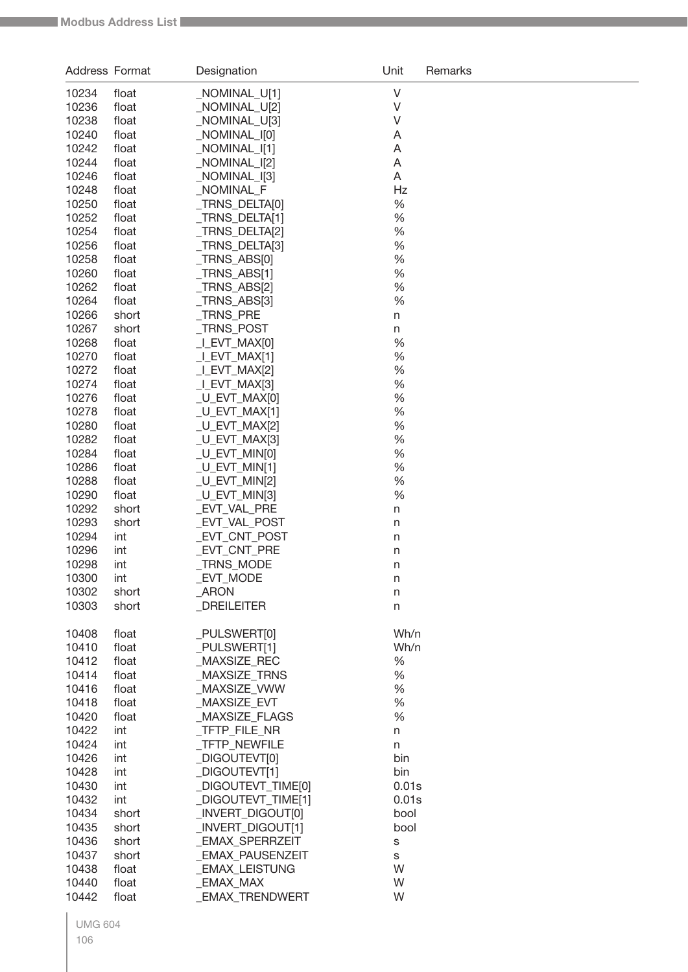| Address Format |                | Designation                    | Unit         | Remarks |
|----------------|----------------|--------------------------------|--------------|---------|
| 10234          | float          | NOMINAL_U[1]                   | $\vee$       |         |
| 10236          | float          | _NOMINAL_U[2]                  | V            |         |
| 10238          | float          | _NOMINAL_U[3]                  | V            |         |
| 10240          | float          | _NOMINAL_I[0]                  | A            |         |
| 10242          | float          | _NOMINAL_I[1]                  | A            |         |
| 10244          | float          | NOMINAL_I[2]                   | A            |         |
| 10246          | float          | _NOMINAL_I[3]                  | Α            |         |
| 10248          | float          | _NOMINAL_F                     | Hz           |         |
| 10250          | float          | _TRNS_DELTA[0]                 | $\%$         |         |
| 10252          | float          | TRNS DELTA[1]                  | $\%$         |         |
| 10254          | float          | _TRNS_DELTA[2]                 | $\%$         |         |
| 10256          | float          | _TRNS_DELTA[3]                 | $\%$         |         |
| 10258          | float          | _TRNS_ABS[0]                   | $\%$<br>$\%$ |         |
| 10260<br>10262 | float          | TRNS_ABS[1]<br>_TRNS_ABS[2]    | $\%$         |         |
| 10264          | float<br>float | TRNS_ABS[3]                    | %            |         |
| 10266          | short          | _TRNS_PRE                      | $\sf n$      |         |
| 10267          | short          | _TRNS_POST                     | n            |         |
| 10268          | float          | LEVT_MAX[0]                    | %            |         |
| 10270          | float          | LEVT_MAX[1]                    | %            |         |
| 10272          | float          | I EVT MAX[2]                   | %            |         |
| 10274          | float          | _I_EVT_MAX[3]                  | $\%$         |         |
| 10276          | float          | _U_EVT_MAX[0]                  | %            |         |
| 10278          | float          | $LU$ EVT_MAX[1]                | $\%$         |         |
| 10280          | float          | _U_EVT_MAX[2]                  | $\%$         |         |
| 10282          | float          | _U_EVT_MAX[3]                  | $\%$         |         |
| 10284          | float          | _U_EVT_MIN[0]                  | $\%$         |         |
| 10286          | float          | $[U_FVT_MIN[1]$                | $\%$         |         |
| 10288          | float          | _U_EVT_MIN[2]                  | $\%$         |         |
| 10290          | float          | $[U_EVT_MIN[3]$                | %            |         |
| 10292          | short          | _EVT_VAL_PRE                   | $\sf n$      |         |
| 10293          | short          | _EVT_VAL_POST                  | n            |         |
| 10294          | int            | EVT_CNT_POST                   | n            |         |
| 10296          | int            | EVT_CNT_PRE                    | n            |         |
| 10298          | int            | _TRNS_MODE                     | n            |         |
| 10300          | int            | _EVT_MODE                      | n            |         |
| 10302<br>10303 | short<br>short | $\_$ ARON<br><b>DREILEITER</b> | n            |         |
|                |                |                                | n            |         |
| 10408          | float          | _PULSWERT[0]                   | Wh/n         |         |
| 10410          | float          | _PULSWERT[1]                   | Wh/n         |         |
| 10412          | float          | _MAXSIZE_REC                   | $\%$         |         |
| 10414          | float          | MAXSIZE_TRNS                   | $\%$         |         |
| 10416          | float          | _MAXSIZE_VWW                   | $\%$         |         |
| 10418          | float          | _MAXSIZE_EVT                   | $\%$         |         |
| 10420          | float          | _MAXSIZE_FLAGS                 | %            |         |
| 10422          | int            | _TFTP_FILE_NR                  | n            |         |
| 10424          | int            | _TFTP_NEWFILE                  | n            |         |
| 10426<br>10428 | int            | _DIGOUTEVT[0]<br>_DIGOUTEVT[1] | bin<br>bin   |         |
| 10430          | int<br>int     | _DIGOUTEVT_TIME[0]             | 0.01s        |         |
| 10432          | int            | _DIGOUTEVT_TIME[1]             | 0.01s        |         |
| 10434          | short          | _INVERT_DIGOUT[0]              | bool         |         |
| 10435          | short          | _INVERT_DIGOUT[1]              | bool         |         |
| 10436          | short          | _EMAX_SPERRZEIT                | S            |         |
| 10437          | short          | _EMAX_PAUSENZEIT               | S            |         |
| 10438          | float          | _EMAX_LEISTUNG                 | W            |         |
| 10440          | float          | _EMAX_MAX                      | W            |         |
| 10442          | float          | _EMAX_TRENDWERT                | W            |         |
|                |                |                                |              |         |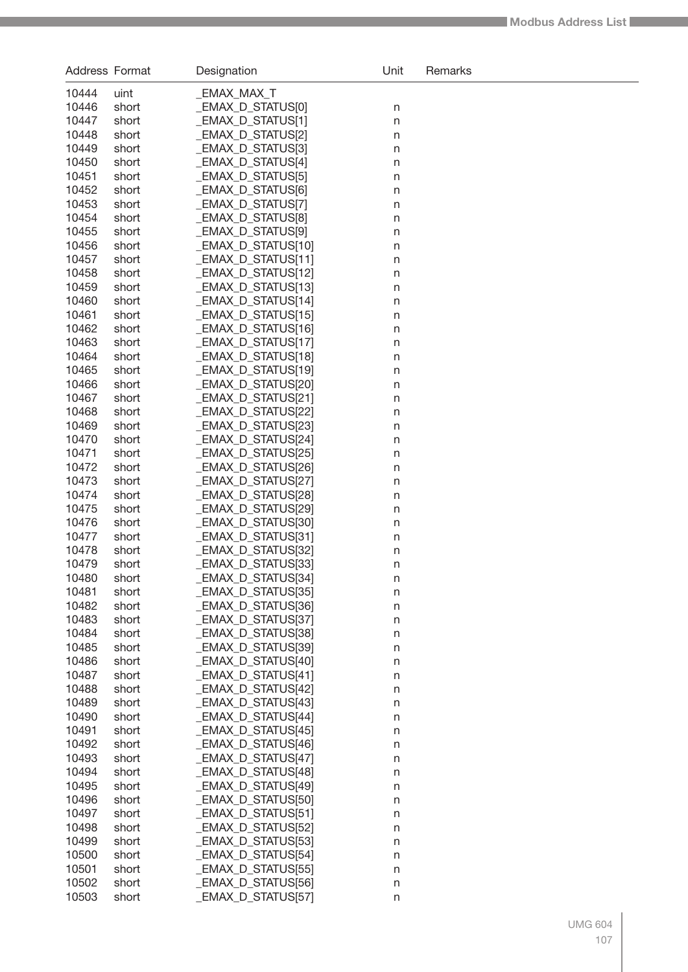| Address Format |                | Designation                              | Unit               | Remarks |
|----------------|----------------|------------------------------------------|--------------------|---------|
| 10444          | uint           | _EMAX_MAX_T                              |                    |         |
| 10446          | short          | _EMAX_D_STATUS[0]                        | n                  |         |
| 10447          | short          | _EMAX_D_STATUS[1]                        | $\mathsf{n}$       |         |
| 10448          | short          | _EMAX_D_STATUS[2]                        | n                  |         |
| 10449          | short          | _EMAX_D_STATUS[3]                        | n                  |         |
| 10450          | short          | _EMAX_D_STATUS[4]                        | $\sf n$            |         |
| 10451          | short          | _EMAX_D_STATUS[5]                        | $\sf n$            |         |
| 10452          | short          | _EMAX_D_STATUS[6]                        | $\sf n$            |         |
| 10453          | short          | _EMAX_D_STATUS[7]                        | $\sf n$            |         |
| 10454          | short          | EMAX_D_STATUS[8]                         | $\sf n$            |         |
| 10455          | short          | _EMAX_D_STATUS[9]                        | $\sf n$            |         |
| 10456          | short          | EMAX_D_STATUS[10]                        | $\mathsf{n}$       |         |
| 10457          | short          | _EMAX_D_STATUS[11]                       | $\mathsf{n}$       |         |
| 10458          | short          | _EMAX_D_STATUS[12]                       | $\mathsf{n}$       |         |
| 10459          | short          | _EMAX_D_STATUS[13]                       | n                  |         |
| 10460          | short          | _EMAX_D_STATUS[14]                       | $\sf n$            |         |
| 10461          | short          | _EMAX_D_STATUS[15]                       | $\sf n$            |         |
| 10462          | short          | _EMAX_D_STATUS[16]                       | $\sf n$            |         |
| 10463          | short          | _EMAX_D_STATUS[17]                       | $\sf n$            |         |
| 10464          | short          | _EMAX_D_STATUS[18]                       | $\sf n$            |         |
| 10465          | short          | _EMAX_D_STATUS[19]                       | $\sf n$            |         |
| 10466          | short          | _EMAX_D_STATUS[20]                       | $\mathsf{n}$       |         |
| 10467<br>10468 | short          | _EMAX_D_STATUS[21]<br>_EMAX_D_STATUS[22] | $\mathsf{n}$       |         |
| 10469          | short<br>short | _EMAX_D_STATUS[23]                       | $\mathsf{n}$       |         |
| 10470          | short          | _EMAX_D_STATUS[24]                       | n<br>n             |         |
| 10471          | short          | _EMAX_D_STATUS[25]                       | $\sf n$            |         |
| 10472          | short          | _EMAX_D_STATUS[26]                       | $\sf n$            |         |
| 10473          | short          | _EMAX_D_STATUS[27]                       | $\sf n$            |         |
| 10474          | short          | _EMAX_D_STATUS[28]                       | $\sf n$            |         |
| 10475          | short          | _EMAX_D_STATUS[29]                       | $\sf n$            |         |
| 10476          | short          | _EMAX_D_STATUS[30]                       | $\sf n$            |         |
| 10477          | short          | EMAX_D_STATUS[31]                        | $\sf n$            |         |
| 10478          | short          | _EMAX_D_STATUS[32]                       | n                  |         |
| 10479          | short          | _EMAX_D_STATUS[33]                       | n                  |         |
| 10480          | short          | _EMAX_D_STATUS[34]                       | n                  |         |
| 10481          | short          | _EMAX_D_STATUS[35]                       | n                  |         |
| 10482          | short          | _EMAX_D_STATUS[36]                       | $\sf n$            |         |
| 10483          | short          | _EMAX_D_STATUS[37]                       | $\mathsf{n}$       |         |
| 10484          | short          | _EMAX_D_STATUS[38]                       | $\sf n$            |         |
| 10485          | short          | _EMAX_D_STATUS[39]                       | $\sf n$            |         |
| 10486          | short          | _EMAX_D_STATUS[40]                       | $\sf n$            |         |
| 10487          | short          | _EMAX_D_STATUS[41]                       | $\mathsf{n}$       |         |
| 10488          | short          | _EMAX_D_STATUS[42]                       | $\mathsf{n}$       |         |
| 10489          | short          | _EMAX_D_STATUS[43]                       | $\mathsf{n}$       |         |
| 10490          | short          | <b>EMAX D STATUS[44]</b>                 | $\mathsf{n}$       |         |
| 10491          | short          | _EMAX_D_STATUS[45]                       | $\mathsf{n}$       |         |
| 10492          | short          | _EMAX_D_STATUS[46]                       | $\mathsf{n}$       |         |
| 10493          | short          | _EMAX_D_STATUS[47]                       | $\sf n$            |         |
| 10494          | short          | _EMAX_D_STATUS[48]<br>_EMAX_D_STATUS[49] | $\sf n$            |         |
| 10495<br>10496 | short<br>short | _EMAX_D_STATUS[50]                       | $\sf n$            |         |
| 10497          | short          | _EMAX_D_STATUS[51]                       | $\sf n$<br>$\sf n$ |         |
| 10498          | short          | _EMAX_D_STATUS[52]                       | $\mathsf{n}$       |         |
| 10499          | short          | _EMAX_D_STATUS[53]                       | $\mathsf{n}$       |         |
| 10500          | short          | _EMAX_D_STATUS[54]                       | $\mathsf{n}$       |         |
| 10501          | short          | _EMAX_D_STATUS[55]                       | n                  |         |
| 10502          | short          | _EMAX_D_STATUS[56]                       | n                  |         |
| 10503          | short          | _EMAX_D_STATUS[57]                       | n                  |         |
|                |                |                                          |                    |         |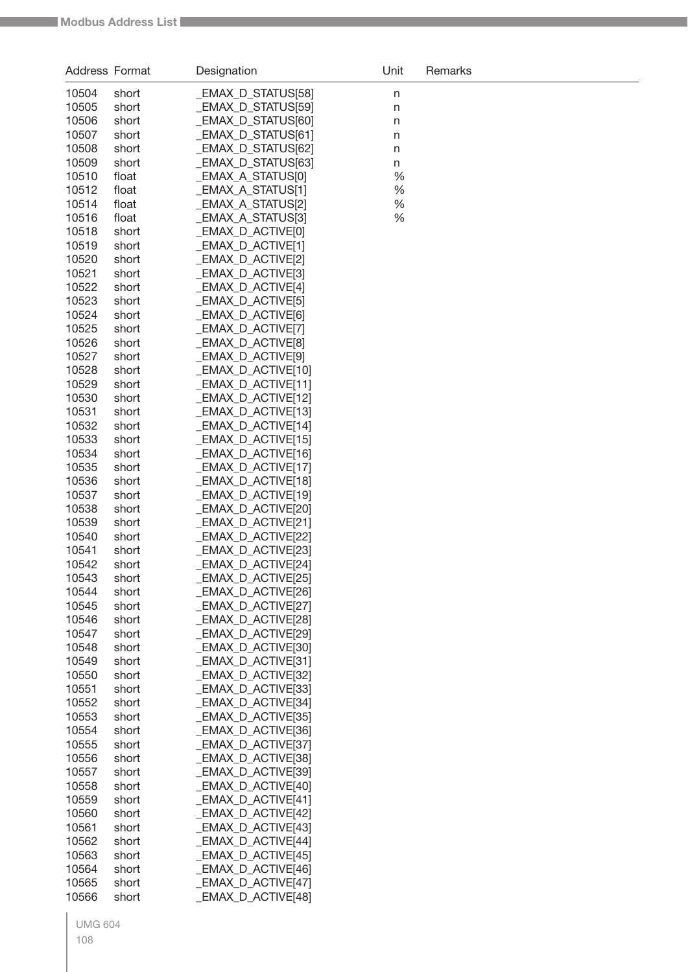| Address Format |       | Designation             | Unit | Remarks |
|----------------|-------|-------------------------|------|---------|
| 10504          | short | _EMAX_D_STATUS[58]      | n    |         |
| 10505          | short | _EMAX_D_STATUS[59]      | n    |         |
| 10506          | short | _EMAX_D_STATUS[60]      | n    |         |
| 10507          | short | _EMAX_D_STATUS[61]      | n    |         |
| 10508          | short | _EMAX_D_STATUS[62]      | n    |         |
| 10509          | short | _EMAX_D_STATUS[63]      | n    |         |
| 10510          | float | _EMAX_A_STATUS[0]       | %    |         |
| 10512          | float | _EMAX_A_STATUS[1]       | %    |         |
| 10514          | float | _EMAX_A_STATUS[2]       | %    |         |
| 10516          | float | _EMAX_A_STATUS[3]       | %    |         |
| 10518          | short | _EMAX_D_ACTIVE[0]       |      |         |
| 10519          | short | EMAX_D_ACTIVE[1]        |      |         |
| 10520          | short | EMAX_D_ACTIVE[2]        |      |         |
| 10521          | short | EMAX_D_ACTIVE[3]        |      |         |
| 10522          | short | EMAX_D_ACTIVE[4]        |      |         |
| 10523          | short | EMAX_D_ACTIVE[5]        |      |         |
| 10524          | short | _EMAX_D_ACTIVE[6]       |      |         |
| 10525          | short | _EMAX_D_ACTIVE[7]       |      |         |
| 10526          | short | EMAX_D_ACTIVE[8]        |      |         |
| 10527          | short | <b>EMAX D ACTIVE[9]</b> |      |         |
| 10528          | short | EMAX D ACTIVE[10]       |      |         |
| 10529          | short | EMAX_D_ACTIVE[11]       |      |         |
| 10530          | short | _EMAX_D_ACTIVE[12]      |      |         |
| 10531          | short | _EMAX_D_ACTIVE[13]      |      |         |
| 10532          | short | _EMAX_D_ACTIVE[14]      |      |         |
| 10533          | short | _EMAX_D_ACTIVE[15]      |      |         |
| 10534          | short | _EMAX_D_ACTIVE[16]      |      |         |
| 10535          | short | _EMAX_D_ACTIVE[17]      |      |         |
| 10536          | short | _EMAX_D_ACTIVE[18]      |      |         |
| 10537          | short | _EMAX_D_ACTIVE[19]      |      |         |
| 10538          | short | _EMAX_D_ACTIVE[20]      |      |         |
| 10539          | short | _EMAX_D_ACTIVE[21]      |      |         |
| 10540          | short | _EMAX_D_ACTIVE[22]      |      |         |
| 10541          | short | EMAX_D_ACTIVE[23]       |      |         |
| 10542          | short | EMAX_D_ACTIVE[24]       |      |         |
| 10543          | short | _EMAX_D_ACTIVE[25]      |      |         |
| 10544          | short | _EMAX_D_ACTIVE[26]      |      |         |
| 10545          | short | _EMAX_D_ACTIVE[27]      |      |         |
| 10546          | short | _EMAX_D_ACTIVE[28]      |      |         |
| 10547          | short | _EMAX_D_ACTIVE[29]      |      |         |
| 10548          | short | _EMAX_D_ACTIVE[30]      |      |         |
| 10549          | short | _EMAX_D_ACTIVE[31]      |      |         |
| 10550          | short | _EMAX_D_ACTIVE[32]      |      |         |
| 10551          | short | _EMAX_D_ACTIVE[33]      |      |         |
| 10552          | short | _EMAX_D_ACTIVE[34]      |      |         |
| 10553          | short | EMAX D ACTIVE[35]       |      |         |
| 10554          | short | _EMAX_D_ACTIVE[36]      |      |         |
| 10555          | short | _EMAX_D_ACTIVE[37]      |      |         |
| 10556          | short | _EMAX_D_ACTIVE[38]      |      |         |
| 10557          | short | _EMAX_D_ACTIVE[39]      |      |         |
| 10558          | short | _EMAX_D_ACTIVE[40]      |      |         |
| 10559          | short | _EMAX_D_ACTIVE[41]      |      |         |
| 10560          | short | _EMAX_D_ACTIVE[42]      |      |         |
| 10561          | short | _EMAX_D_ACTIVE[43]      |      |         |
| 10562          | short | _EMAX_D_ACTIVE[44]      |      |         |
| 10563          | short | _EMAX_D_ACTIVE[45]      |      |         |
| 10564          | short | _EMAX_D_ACTIVE[46]      |      |         |
| 10565          | short | _EMAX_D_ACTIVE[47]      |      |         |
| 10566          | short | _EMAX_D_ACTIVE[48]      |      |         |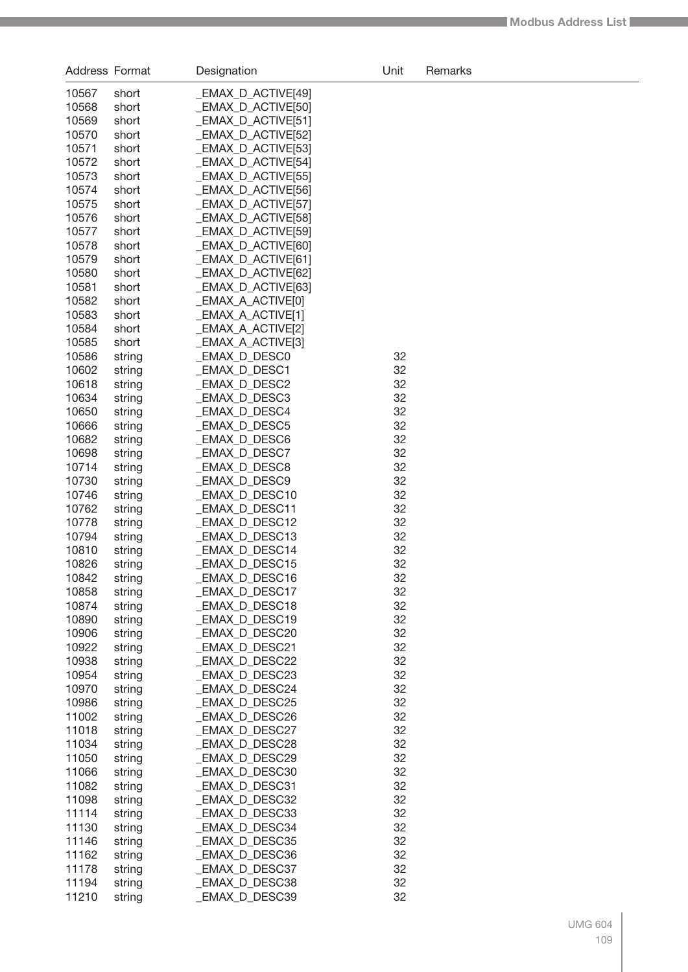| Address Format |                  | Designation                    | Unit     | Remarks |
|----------------|------------------|--------------------------------|----------|---------|
| 10567          | short            | _EMAX_D_ACTIVE[49]             |          |         |
| 10568          | short            | _EMAX_D_ACTIVE[50]             |          |         |
| 10569          | short            | _EMAX_D_ACTIVE[51]             |          |         |
| 10570          | short            | _EMAX_D_ACTIVE[52]             |          |         |
| 10571          | short            | _EMAX_D_ACTIVE[53]             |          |         |
| 10572          | short            | _EMAX_D_ACTIVE[54]             |          |         |
| 10573          | short            | _EMAX_D_ACTIVE[55]             |          |         |
| 10574          | short            | _EMAX_D_ACTIVE[56]             |          |         |
| 10575          | short            | _EMAX_D_ACTIVE[57]             |          |         |
| 10576          | short            | _EMAX_D_ACTIVE[58]             |          |         |
| 10577          | short            | _EMAX_D_ACTIVE[59]             |          |         |
| 10578          | short            | _EMAX_D_ACTIVE[60]             |          |         |
| 10579          | short            | _EMAX_D_ACTIVE[61]             |          |         |
| 10580          | short            | _EMAX_D_ACTIVE[62]             |          |         |
| 10581          | short            | _EMAX_D_ACTIVE[63]             |          |         |
| 10582          | short            | _EMAX_A_ACTIVE[0]              |          |         |
| 10583          | short            | _EMAX_A_ACTIVE[1]              |          |         |
| 10584          | short            | _EMAX_A_ACTIVE[2]              |          |         |
| 10585          | short            | _EMAX_A_ACTIVE[3]              |          |         |
| 10586          | string           | _EMAX_D_DESC0                  | 32       |         |
| 10602          | string           | _EMAX_D_DESC1                  | 32       |         |
| 10618          | string           | _EMAX_D_DESC2                  | 32       |         |
| 10634          | string           | _EMAX_D_DESC3                  | 32<br>32 |         |
| 10650<br>10666 | string           | _EMAX_D_DESC4                  | 32       |         |
| 10682          | string           | _EMAX_D_DESC5<br>_EMAX_D_DESC6 | 32       |         |
| 10698          | string<br>string | _EMAX_D_DESC7                  | 32       |         |
| 10714          | string           | _EMAX_D_DESC8                  | 32       |         |
| 10730          | string           | _EMAX_D_DESC9                  | 32       |         |
| 10746          | string           | _EMAX_D_DESC10                 | 32       |         |
| 10762          | string           | _EMAX_D_DESC11                 | 32       |         |
| 10778          | string           | _EMAX_D_DESC12                 | 32       |         |
| 10794          | string           | _EMAX_D_DESC13                 | 32       |         |
| 10810          | string           | <b>EMAX D DESC14</b>           | 32       |         |
| 10826          | string           | <b>EMAX_D_DESC15</b>           | 32       |         |
| 10842          | string           | _EMAX_D_DESC16                 | 32       |         |
| 10858          | string           | _EMAX_D_DESC17                 | 32       |         |
| 10874          | string           | _EMAX_D_DESC18                 | 32       |         |
| 10890          | string           | _EMAX_D_DESC19                 | 32       |         |
| 10906          | string           | <b>EMAX D DESC20</b>           | 32       |         |
| 10922          | string           | EMAX_D_DESC21                  | 32       |         |
| 10938          | string           | EMAX_D_DESC22                  | 32       |         |
| 10954          | string           | EMAX_D_DESC23                  | 32       |         |
| 10970          | string           | EMAX_D_DESC24                  | 32       |         |
| 10986          | string           | <b>EMAX_D_DESC25</b>           | 32       |         |
| 11002          | string           | _EMAX_D_DESC26                 | 32       |         |
| 11018          | string           | _EMAX_D_DESC27                 | 32       |         |
| 11034          | string           | _EMAX_D_DESC28                 | 32       |         |
| 11050          | string           | EMAX_D_DESC29                  | 32       |         |
| 11066          | string           | EMAX_D_DESC30                  | 32       |         |
| 11082          | string           | EMAX_D_DESC31                  | 32       |         |
| 11098          | string           | EMAX_D_DESC32                  | 32       |         |
| 11114          | string           | EMAX_D_DESC33                  | 32       |         |
| 11130          | string           | EMAX_D_DESC34                  | 32       |         |
| 11146          | string           | EMAX_D_DESC35                  | 32       |         |
| 11162          | string           | _EMAX_D_DESC36                 | 32       |         |
| 11178          | string           | _EMAX_D_DESC37                 | 32       |         |
| 11194          | string           | _EMAX_D_DESC38                 | 32       |         |
| 11210          | string           | EMAX_D_DESC39                  | 32       |         |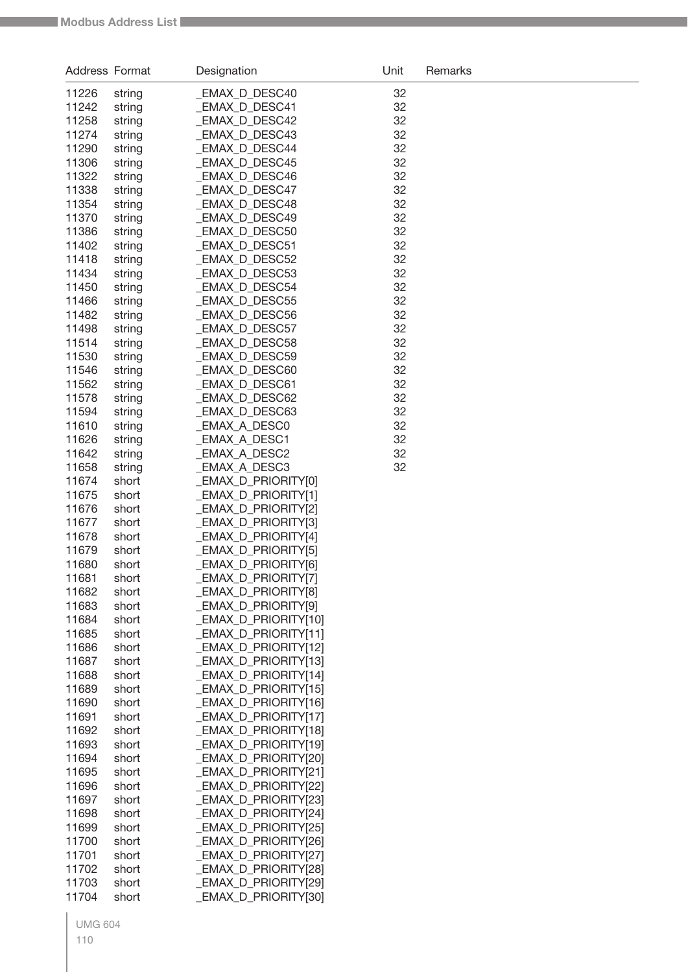| Address Format |                  | Designation                                 | Unit     | Remarks |
|----------------|------------------|---------------------------------------------|----------|---------|
| 11226          | string           | _EMAX_D_DESC40                              | 32       |         |
| 11242          | string           | _EMAX_D_DESC41                              | 32       |         |
| 11258          | string           | _EMAX_D_DESC42                              | 32       |         |
| 11274          | string           | <b>EMAX D DESC43</b>                        | 32       |         |
| 11290          | string           | _EMAX_D_DESC44                              | 32       |         |
| 11306          | string           | _EMAX_D_DESC45                              | 32       |         |
| 11322          | string           | _EMAX_D_DESC46                              | 32       |         |
| 11338          | string           | <b>EMAX D DESC47</b>                        | 32       |         |
| 11354          | string           | <b>EMAX D DESC48</b>                        | 32       |         |
| 11370          | string           | <b>EMAX D DESC49</b>                        | 32       |         |
| 11386          | string           | _EMAX_D_DESC50                              | 32       |         |
| 11402          | string           | _EMAX_D_DESC51                              | 32       |         |
| 11418          | string           | _EMAX_D_DESC52                              | 32       |         |
| 11434          | string           | _EMAX_D_DESC53                              | 32       |         |
| 11450          | string           | _EMAX_D_DESC54                              | 32       |         |
| 11466          | string           | _EMAX_D_DESC55                              | 32       |         |
| 11482          | string           | <b>EMAX D DESC56</b>                        | 32       |         |
| 11498          | string           | _EMAX_D_DESC57                              | 32       |         |
| 11514          | string           | _EMAX_D_DESC58                              | 32       |         |
| 11530          | string           | _EMAX_D_DESC59                              | 32       |         |
| 11546          | string           | <b>EMAX D DESC60</b>                        | 32       |         |
| 11562          | string           | _EMAX_D_DESC61                              | 32       |         |
| 11578          | string           | _EMAX_D_DESC62                              | 32       |         |
| 11594          | string           | <b>EMAX_D_DESC63</b>                        | 32       |         |
| 11610<br>11626 | string<br>string | _EMAX_A_DESC0<br>_EMAX_A_DESC1              | 32<br>32 |         |
| 11642          | string           | _EMAX_A_DESC2                               | 32       |         |
| 11658          | string           | _EMAX_A_DESC3                               | 32       |         |
| 11674          | short            | _EMAX_D_PRIORITY[0]                         |          |         |
| 11675          | short            | _EMAX_D_PRIORITY[1]                         |          |         |
| 11676          | short            | _EMAX_D_PRIORITY[2]                         |          |         |
| 11677          | short            | _EMAX_D_PRIORITY[3]                         |          |         |
| 11678          | short            | _EMAX_D_PRIORITY[4]                         |          |         |
| 11679          | short            | _EMAX_D_PRIORITY[5]                         |          |         |
| 11680          | short            | _EMAX_D_PRIORITY[6]                         |          |         |
| 11681          | short            | _EMAX_D_PRIORITY[7]                         |          |         |
| 11682          | short            | _EMAX_D_PRIORITY[8]                         |          |         |
| 11683          | short            | _EMAX_D_PRIORITY[9]                         |          |         |
| 11684          | short            | _EMAX_D_PRIORITY[10]                        |          |         |
| 11685          | short            | _EMAX_D_PRIORITY[11]                        |          |         |
| 11686          | short            | _EMAX_D_PRIORITY[12]                        |          |         |
| 11687          | short            | _EMAX_D_PRIORITY[13]                        |          |         |
| 11688          | short            | _EMAX_D_PRIORITY[14]                        |          |         |
| 11689          | short            | _EMAX_D_PRIORITY[15]                        |          |         |
| 11690<br>11691 | short<br>short   | _EMAX_D_PRIORITY[16]<br>EMAX D PRIORITY[17] |          |         |
| 11692          | short            | _EMAX_D_PRIORITY[18]                        |          |         |
| 11693          | short            | _EMAX_D_PRIORITY[19]                        |          |         |
| 11694          | short            | _EMAX_D_PRIORITY[20]                        |          |         |
| 11695          | short            | _EMAX_D_PRIORITY[21]                        |          |         |
| 11696          | short            | _EMAX_D_PRIORITY[22]                        |          |         |
| 11697          | short            | _EMAX_D_PRIORITY[23]                        |          |         |
| 11698          | short            | _EMAX_D_PRIORITY[24]                        |          |         |
| 11699          | short            | _EMAX_D_PRIORITY[25]                        |          |         |
| 11700          | short            | _EMAX_D_PRIORITY[26]                        |          |         |
| 11701          | short            | _EMAX_D_PRIORITY[27]                        |          |         |
| 11702          | short            | _EMAX_D_PRIORITY[28]                        |          |         |
| 11703          | short            | _EMAX_D_PRIORITY[29]                        |          |         |
| 11704          | short            | _EMAX_D_PRIORITY[30]                        |          |         |
|                |                  |                                             |          |         |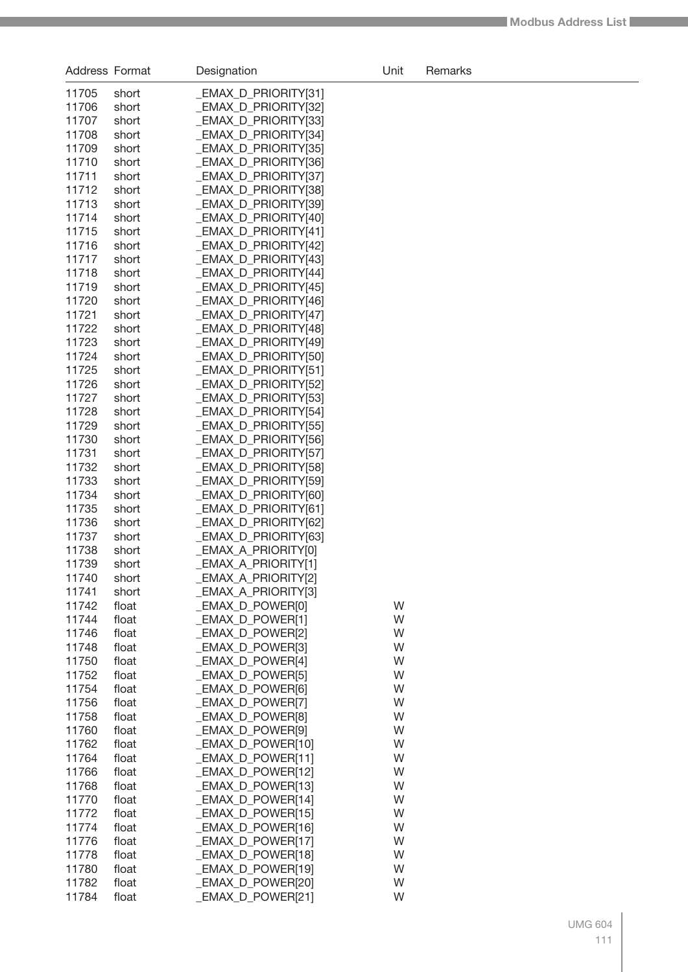| Address Format |                | Designation                                 | Unit   | Remarks |
|----------------|----------------|---------------------------------------------|--------|---------|
| 11705          | short          | _EMAX_D_PRIORITY[31]                        |        |         |
| 11706          | short          | _EMAX_D_PRIORITY[32]                        |        |         |
| 11707          | short          | _EMAX_D_PRIORITY[33]                        |        |         |
| 11708          | short          | <b>EMAX D PRIORITY[34]</b>                  |        |         |
| 11709          | short          | _EMAX_D_PRIORITY[35]                        |        |         |
| 11710          | short          | _EMAX_D_PRIORITY[36]                        |        |         |
| 11711          | short          | _EMAX_D_PRIORITY[37]                        |        |         |
| 11712          | short          | _EMAX_D_PRIORITY[38]                        |        |         |
| 11713          | short          | _EMAX_D_PRIORITY[39]                        |        |         |
| 11714          | short          | EMAX D PRIORITY[40]                         |        |         |
| 11715          | short          | _EMAX_D_PRIORITY[41]                        |        |         |
| 11716          | short          | _EMAX_D_PRIORITY[42]                        |        |         |
| 11717          | short          | _EMAX_D_PRIORITY[43]                        |        |         |
| 11718          | short          | _EMAX_D_PRIORITY[44]                        |        |         |
| 11719          | short          | _EMAX_D_PRIORITY[45]                        |        |         |
| 11720          | short          | _EMAX_D_PRIORITY[46]                        |        |         |
| 11721          | short          | EMAX D PRIORITY[47]                         |        |         |
| 11722          | short          | _EMAX_D_PRIORITY[48]<br>EMAX D PRIORITY[49] |        |         |
| 11723<br>11724 | short<br>short | _EMAX_D_PRIORITY[50]                        |        |         |
| 11725          | short          | _EMAX_D_PRIORITY[51]                        |        |         |
| 11726          | short          | _EMAX_D_PRIORITY[52]                        |        |         |
| 11727          | short          | _EMAX_D_PRIORITY[53]                        |        |         |
| 11728          | short          | _EMAX_D_PRIORITY[54]                        |        |         |
| 11729          | short          | _EMAX_D_PRIORITY[55]                        |        |         |
| 11730          | short          | _EMAX_D_PRIORITY[56]                        |        |         |
| 11731          | short          | _EMAX_D_PRIORITY[57]                        |        |         |
| 11732          | short          | _EMAX_D_PRIORITY[58]                        |        |         |
| 11733          | short          | _EMAX_D_PRIORITY[59]                        |        |         |
| 11734          | short          | _EMAX_D_PRIORITY[60]                        |        |         |
| 11735          | short          | EMAX D PRIORITY[61]                         |        |         |
| 11736          | short          | _EMAX_D_PRIORITY[62]                        |        |         |
| 11737          | short          | _EMAX_D_PRIORITY[63]                        |        |         |
| 11738          | short          | _EMAX_A_PRIORITY[0]                         |        |         |
| 11739          | short          | <b>EMAX A PRIORITY[1]</b>                   |        |         |
| 11740          | short          | _EMAX_A_PRIORITY[2]                         |        |         |
| 11741          | short          | _EMAX_A_PRIORITY[3]                         |        |         |
| 11742          | float          | _EMAX_D_POWER[0]                            | W      |         |
| 11744          | float          | _EMAX_D_POWER[1]                            | W      |         |
| 11746          | float          | _EMAX_D_POWER[2]                            | W      |         |
| 11748          | float          | _EMAX_D_POWER[3]                            | W      |         |
| 11750          | float          | EMAX D POWER[4]                             | W      |         |
| 11752<br>11754 | float<br>float | _EMAX_D_POWER[5]<br>_EMAX_D_POWER[6]        | W<br>W |         |
| 11756          | float          | EMAX D POWER[7]                             | W      |         |
| 11758          | float          | <b>EMAX D POWER[8]</b>                      | W      |         |
| 11760          | float          | _EMAX_D_POWER[9]                            | W      |         |
| 11762          | float          | _EMAX_D_POWER[10]                           | W      |         |
| 11764          | float          | _EMAX_D_POWER[11]                           | W      |         |
| 11766          | float          | _EMAX_D_POWER[12]                           | W      |         |
| 11768          | float          | _EMAX_D_POWER[13]                           | W      |         |
| 11770          | float          | _EMAX_D_POWER[14]                           | W      |         |
| 11772          | float          | _EMAX_D_POWER[15]                           | W      |         |
| 11774          | float          | _EMAX_D_POWER[16]                           | W      |         |
| 11776          | float          | _EMAX_D_POWER[17]                           | W      |         |
| 11778          | float          | _EMAX_D_POWER[18]                           | W      |         |
| 11780          | float          | _EMAX_D_POWER[19]                           | W      |         |
| 11782          | float          | _EMAX_D_POWER[20]                           | W      |         |
| 11784          | float          | EMAX_D_POWER[21]                            | W      |         |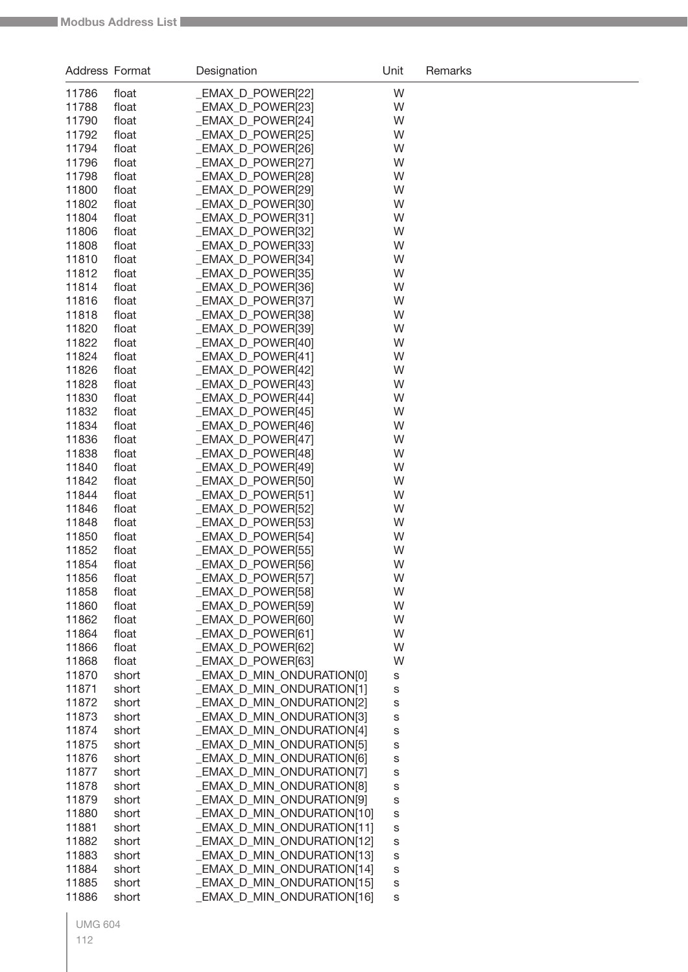| Address Format |                | Designation                            | Unit   | Remarks |
|----------------|----------------|----------------------------------------|--------|---------|
| 11786          | float          | _EMAX_D_POWER[22]                      | W      |         |
| 11788          | float          | EMAX D POWER[23]                       | W      |         |
| 11790          | float          | _EMAX_D_POWER[24]                      | W      |         |
| 11792          | float          | _EMAX_D_POWER[25]                      | W      |         |
| 11794          | float          | _EMAX_D_POWER[26]                      | W      |         |
| 11796          | float          | _EMAX_D_POWER[27]                      | W      |         |
| 11798          | float          | _EMAX_D_POWER[28]                      | W      |         |
| 11800          | float          | EMAX D POWER[29]                       | W      |         |
| 11802          | float          | _EMAX_D_POWER[30]                      | W      |         |
| 11804          | float          | _EMAX_D_POWER[31]                      | W      |         |
| 11806          | float          | _EMAX_D_POWER[32]                      | W      |         |
| 11808          | float          | _EMAX_D_POWER[33]                      | W      |         |
| 11810          | float          | _EMAX_D_POWER[34]                      | W      |         |
| 11812          | float          | _EMAX_D_POWER[35]                      | W      |         |
| 11814          | float          | _EMAX_D_POWER[36]                      | W      |         |
| 11816          | float          | _EMAX_D_POWER[37]                      | W      |         |
| 11818          | float          | _EMAX_D_POWER[38]                      | W      |         |
| 11820          | float          | _EMAX_D_POWER[39]                      | W      |         |
| 11822          | float          | _EMAX_D_POWER[40]                      | W      |         |
| 11824          | float          | _EMAX_D_POWER[41]                      | W      |         |
| 11826          | float          | _EMAX_D_POWER[42]                      | W      |         |
| 11828          | float          | _EMAX_D_POWER[43]                      | W      |         |
| 11830          | float          | _EMAX_D_POWER[44]                      | W      |         |
| 11832          | float          | _EMAX_D_POWER[45]                      | W      |         |
| 11834          | float          | _EMAX_D_POWER[46]                      | W      |         |
| 11836          | float          | _EMAX_D_POWER[47]                      | W      |         |
| 11838          | float          | _EMAX_D_POWER[48]                      | W      |         |
| 11840          | float          | _EMAX_D_POWER[49]                      | W      |         |
| 11842          | float          | _EMAX_D_POWER[50]                      | W      |         |
| 11844<br>11846 | float          | _EMAX_D_POWER[51]                      | W<br>W |         |
| 11848          | float<br>float | _EMAX_D_POWER[52]<br>_EMAX_D_POWER[53] | W      |         |
| 11850          | float          | _EMAX_D_POWER[54]                      | W      |         |
| 11852          | float          | _EMAX_D_POWER[55]                      | W      |         |
| 11854          | float          | _EMAX_D_POWER[56]                      | W      |         |
| 11856          | float          | _EMAX_D_POWER[57]                      | W      |         |
| 11858          | float          | _EMAX_D_POWER[58]                      | W      |         |
| 11860          | float          | _EMAX_D_POWER[59]                      | W      |         |
| 11862          | float          | EMAX D POWER[60]                       | W      |         |
| 11864          | float          | _EMAX_D_POWER[61]                      | W      |         |
| 11866          | float          | _EMAX_D_POWER[62]                      | W      |         |
| 11868          | float          | _EMAX_D_POWER[63]                      | W      |         |
| 11870          | short          | _EMAX_D_MIN_ONDURATION[0]              | s      |         |
| 11871          | short          | _EMAX_D_MIN_ONDURATION[1]              | s      |         |
| 11872          | short          | _EMAX_D_MIN_ONDURATION[2]              | S      |         |
| 11873          | short          | _EMAX_D_MIN_ONDURATION[3]              | S      |         |
| 11874          | short          | _EMAX_D_MIN_ONDURATION[4]              | s      |         |
| 11875          | short          | _EMAX_D_MIN_ONDURATION[5]              | S      |         |
| 11876          | short          | _EMAX_D_MIN_ONDURATION[6]              | S      |         |
| 11877          | short          | _EMAX_D_MIN_ONDURATION[7]              | S      |         |
| 11878          | short          | _EMAX_D_MIN_ONDURATION[8]              | S      |         |
| 11879          | short          | _EMAX_D_MIN_ONDURATION[9]              | S      |         |
| 11880          | short          | _EMAX_D_MIN_ONDURATION[10]             | S      |         |
| 11881          | short          | _EMAX_D_MIN_ONDURATION[11]             | s      |         |
| 11882          | short          | _EMAX_D_MIN_ONDURATION[12]             | S      |         |
| 11883          | short          | _EMAX_D_MIN_ONDURATION[13]             | S      |         |
| 11884          | short          | _EMAX_D_MIN_ONDURATION[14]             | s      |         |
| 11885          | short          | _EMAX_D_MIN_ONDURATION[15]             | S      |         |
| 11886          | short          | _EMAX_D_MIN_ONDURATION[16]             | s      |         |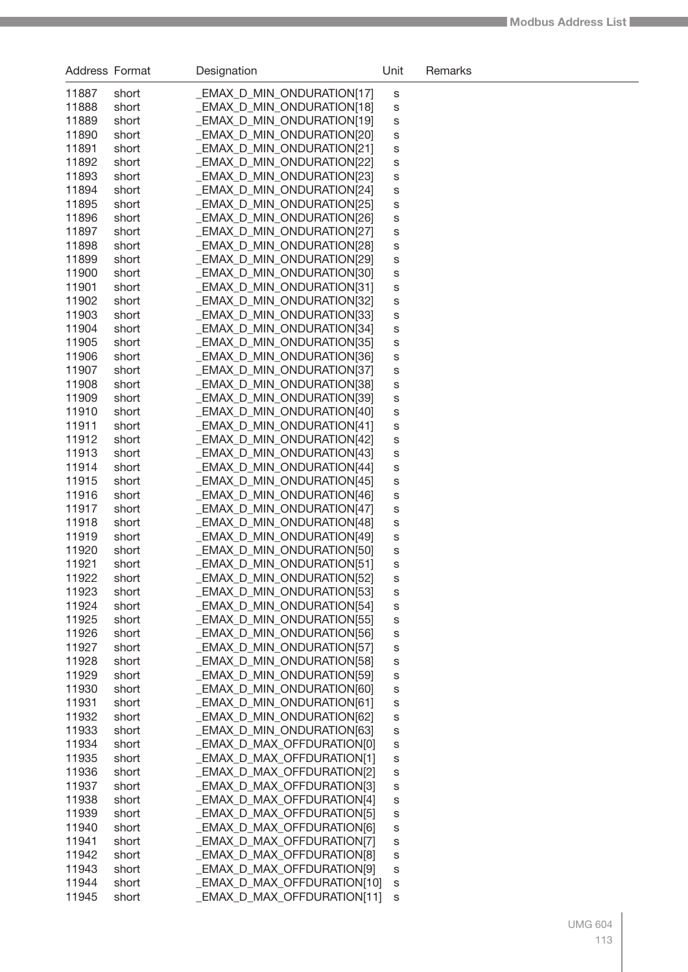| <b>Address Format</b> |                | Designation                                              | Unit   | Remarks |
|-----------------------|----------------|----------------------------------------------------------|--------|---------|
| 11887                 | short          | EMAX_D_MIN_ONDURATION[17]                                | S      |         |
| 11888                 | short          | _EMAX_D_MIN_ONDURATION[18]                               | S      |         |
| 11889                 | short          | EMAX_D_MIN_ONDURATION[19]                                | S      |         |
| 11890                 | short          | EMAX_D_MIN_ONDURATION[20]                                | S      |         |
| 11891                 | short          | EMAX_D_MIN_ONDURATION[21]                                | S      |         |
| 11892                 | short          | <b>EMAX_D_MIN_ONDURATION[22]</b>                         | S      |         |
| 11893                 | short          | <b>EMAX_D_MIN_ONDURATION[23]</b>                         | S      |         |
| 11894                 | short          | EMAX_D_MIN_ONDURATION[24]                                | S      |         |
| 11895                 | short          | EMAX_D_MIN_ONDURATION[25]                                | S      |         |
| 11896                 | short          | EMAX D MIN ONDURATION[26]                                | S      |         |
| 11897<br>11898        | short<br>short | EMAX_D_MIN_ONDURATION[27]<br>EMAX_D_MIN_ONDURATION[28]   | S      |         |
| 11899                 | short          | _EMAX_D_MIN_ONDURATION[29]                               | S<br>S |         |
| 11900                 | short          | _EMAX_D_MIN_ONDURATION[30]                               | S      |         |
| 11901                 | short          | _EMAX_D_MIN_ONDURATION[31]                               | S      |         |
| 11902                 | short          | _EMAX_D_MIN_ONDURATION[32]                               | S      |         |
| 11903                 | short          | EMAX_D_MIN_ONDURATION[33]                                | S      |         |
| 11904                 | short          | EMAX_D_MIN_ONDURATION[34]                                | S      |         |
| 11905                 | short          | EMAX_D_MIN_ONDURATION[35]                                | S      |         |
| 11906                 | short          | EMAX_D_MIN_ONDURATION[36]                                | S      |         |
| 11907                 | short          | <b>EMAX_D_MIN_ONDURATION[37]</b>                         | S      |         |
| 11908                 | short          | <b>EMAX_D_MIN_ONDURATION[38]</b>                         | S      |         |
| 11909                 | short          | <b>EMAX_D_MIN_ONDURATION[39]</b>                         | S      |         |
| 11910                 | short          | EMAX_D_MIN_ONDURATION[40]                                | S      |         |
| 11911                 | short          | EMAX_D_MIN_ONDURATION[41]                                | S      |         |
| 11912                 | short          | EMAX_D_MIN_ONDURATION[42]                                | S      |         |
| 11913                 | short          | EMAX_D_MIN_ONDURATION[43]                                | S      |         |
| 11914                 | short          | _EMAX_D_MIN_ONDURATION[44]                               | S      |         |
| 11915<br>11916        | short          | _EMAX_D_MIN_ONDURATION[45]<br>_EMAX_D_MIN_ONDURATION[46] | S      |         |
| 11917                 | short<br>short | EMAX_D_MIN_ONDURATION[47]                                | S<br>S |         |
| 11918                 | short          | EMAX_D_MIN_ONDURATION[48]                                | S      |         |
| 11919                 | short          | _EMAX_D_MIN_ONDURATION[49]                               | S      |         |
| 11920                 | short          | _EMAX_D_MIN_ONDURATION[50]                               | S      |         |
| 11921                 | short          | EMAX D MIN ONDURATION[51]                                | S      |         |
| 11922                 | short          | _EMAX_D_MIN_ONDURATION[52]                               | S      |         |
| 11923                 | short          | EMAX_D_MIN_ONDURATION[53]                                | s      |         |
| 11924                 | short          | EMAX_D_MIN_ONDURATION[54]                                | S      |         |
| 11925                 | short          | EMAX_D_MIN_ONDURATION[55]                                | S      |         |
| 11926                 | short          | EMAX_D_MIN_ONDURATION[56]                                | S      |         |
| 11927                 | short          | <b>EMAX_D_MIN_ONDURATION[57]</b>                         | S      |         |
| 11928                 | short          | EMAX D MIN ONDURATION[58]                                | S      |         |
| 11929                 | short          | EMAX_D_MIN_ONDURATION[59]                                | S      |         |
| 11930                 | short          | EMAX_D_MIN_ONDURATION[60]                                | S      |         |
| 11931                 | short          | EMAX_D_MIN_ONDURATION[61]<br>EMAX_D_MIN_ONDURATION[62]   | S      |         |
| 11932<br>11933        | short<br>short | EMAX_D_MIN_ONDURATION[63]                                | S      |         |
| 11934                 | short          | EMAX_D_MAX_OFFDURATION[0]                                | S<br>S |         |
| 11935                 | short          | EMAX_D_MAX_OFFDURATION[1]                                | S      |         |
| 11936                 | short          | EMAX_D_MAX_OFFDURATION[2]                                | S      |         |
| 11937                 | short          | EMAX_D_MAX_OFFDURATION[3]                                | S      |         |
| 11938                 | short          | EMAX_D_MAX_OFFDURATION[4]                                | S      |         |
| 11939                 | short          | <b>EMAX_D_MAX_OFFDURATION[5]</b>                         | S      |         |
| 11940                 | short          | EMAX_D_MAX_OFFDURATION[6]                                | S      |         |
| 11941                 | short          | EMAX_D_MAX_OFFDURATION[7]                                | S      |         |
| 11942                 | short          | EMAX_D_MAX_OFFDURATION[8]                                | S      |         |
| 11943                 | short          | EMAX_D_MAX_OFFDURATION[9]                                | S      |         |
| 11944                 | short          | EMAX_D_MAX_OFFDURATION[10]                               | S      |         |
| 11945                 | short          | _EMAX_D_MAX_OFFDURATION[11]                              | S      |         |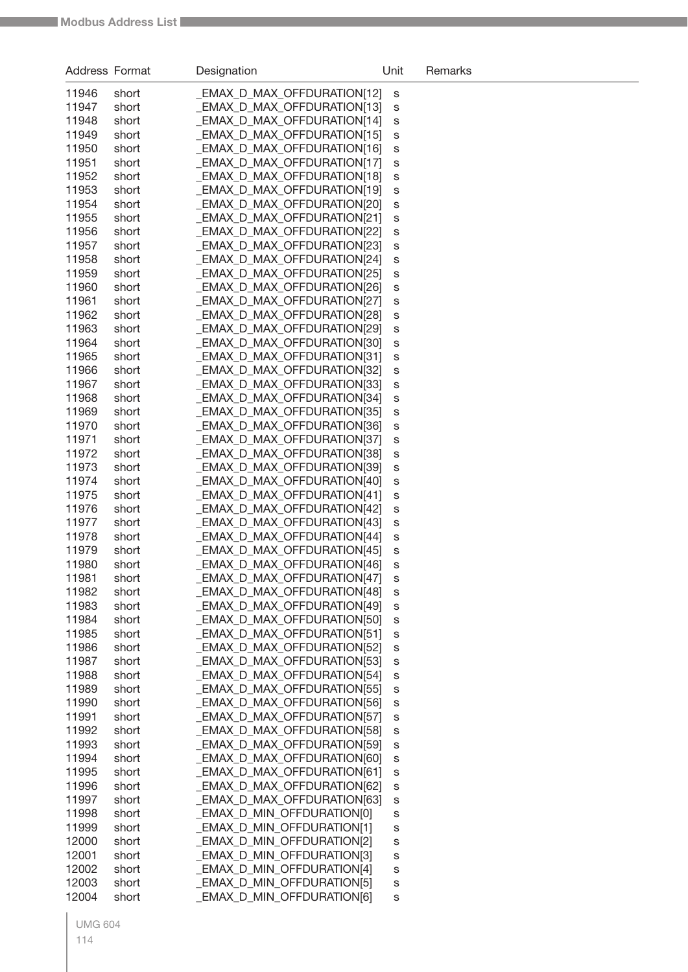| Address Format |       | Designation                       | Unit | Remarks |
|----------------|-------|-----------------------------------|------|---------|
| 11946          | short | EMAX_D_MAX_OFFDURATION[12]        | S    |         |
| 11947          | short | EMAX_D_MAX_OFFDURATION[13]        | S    |         |
| 11948          | short | EMAX D MAX OFFDURATION[14]        | s    |         |
| 11949          | short | <b>EMAX_D_MAX_OFFDURATION[15]</b> | s    |         |
| 11950          | short | EMAX_D_MAX_OFFDURATION[16]        | s    |         |
| 11951          | short | <b>EMAX_D_MAX_OFFDURATION[17]</b> | s    |         |
| 11952          | short | EMAX_D_MAX_OFFDURATION[18]        | s    |         |
| 11953          | short | EMAX D MAX OFFDURATION[19]        | s    |         |
| 11954          | short | EMAX_D_MAX_OFFDURATION[20]        | s    |         |
| 11955          | short | EMAX D MAX OFFDURATION[21]        | s    |         |
| 11956          | short | EMAX_D_MAX_OFFDURATION[22]        | s    |         |
| 11957          | short | <b>EMAX_D_MAX_OFFDURATION[23]</b> | s    |         |
| 11958          | short | <b>EMAX_D_MAX_OFFDURATION[24]</b> | s    |         |
| 11959          | short | <b>EMAX_D_MAX_OFFDURATION[25]</b> | s    |         |
| 11960          | short | EMAX D MAX OFFDURATION[26]        | s    |         |
| 11961          | short | EMAX D MAX OFFDURATION[27]        | s    |         |
| 11962          | short | EMAX D MAX OFFDURATION[28]        | s    |         |
| 11963          | short | EMAX D MAX OFFDURATION[29]        | s    |         |
| 11964          | short | EMAX D MAX OFFDURATION[30]        | s    |         |
| 11965          | short | EMAX D MAX OFFDURATION[31]        | s    |         |
| 11966          | short | <b>EMAX_D_MAX_OFFDURATION[32]</b> | s    |         |
| 11967          | short | <b>EMAX_D_MAX_OFFDURATION[33]</b> | s    |         |
| 11968          | short | <b>EMAX_D_MAX_OFFDURATION[34]</b> | s    |         |
| 11969          | short | <b>EMAX_D_MAX_OFFDURATION[35]</b> | s    |         |
| 11970          | short | <b>EMAX_D_MAX_OFFDURATION[36]</b> | s    |         |
| 11971          | short | EMAX_D_MAX_OFFDURATION[37]        | s    |         |
| 11972          | short | <b>EMAX_D_MAX_OFFDURATION[38]</b> | s    |         |
| 11973          | short | EMAX_D_MAX_OFFDURATION[39]        | s    |         |
| 11974          | short | EMAX_D_MAX_OFFDURATION[40]        | s    |         |
| 11975          | short | EMAX_D_MAX_OFFDURATION[41]        | s    |         |
| 11976          | short | EMAX_D_MAX_OFFDURATION[42]        | s    |         |
| 11977          | short | <b>EMAX_D_MAX_OFFDURATION[43]</b> | s    |         |
| 11978          | short | EMAX_D_MAX_OFFDURATION[44]        | s    |         |
| 11979          | short | <b>EMAX_D_MAX_OFFDURATION[45]</b> | s    |         |
| 11980          | short | EMAX_D_MAX_OFFDURATION[46]        | s    |         |
| 11981          | short | _EMAX_D_MAX_OFFDURATION[47]       | S    |         |
| 11982          | short | EMAX_D_MAX_OFFDURATION[48]        | s    |         |
| 11983          | short | EMAX_D_MAX_OFFDURATION[49]        | S    |         |
| 11984          | short | EMAX_D_MAX_OFFDURATION[50]        | S    |         |
| 11985          | short | EMAX_D_MAX_OFFDURATION[51]        | S    |         |
| 11986          | short | EMAX_D_MAX_OFFDURATION[52]        | S    |         |
| 11987          | short | EMAX_D_MAX_OFFDURATION[53]        | S    |         |
| 11988          | short | EMAX_D_MAX_OFFDURATION[54]        | S    |         |
| 11989          | short | EMAX_D_MAX_OFFDURATION[55]        | S    |         |
| 11990          | short | _EMAX_D_MAX_OFFDURATION[56]       | S    |         |
| 11991          | short | EMAX D MAX OFFDURATION[57]        | S    |         |
| 11992          | short | _EMAX_D_MAX_OFFDURATION[58]       | S    |         |
| 11993          | short | _EMAX_D_MAX_OFFDURATION[59]       | S    |         |
| 11994          | short | _EMAX_D_MAX_OFFDURATION[60]       | S    |         |
| 11995          | short | _EMAX_D_MAX_OFFDURATION[61]       | S    |         |
| 11996          | short | EMAX_D_MAX_OFFDURATION[62]        | S    |         |
| 11997          | short | <b>EMAX_D_MAX_OFFDURATION[63]</b> | S    |         |
| 11998          | short | _EMAX_D_MIN_OFFDURATION[0]        | S    |         |
| 11999          | short | _EMAX_D_MIN_OFFDURATION[1]        | S    |         |
| 12000          | short | _EMAX_D_MIN_OFFDURATION[2]        | S    |         |
| 12001          | short | _EMAX_D_MIN_OFFDURATION[3]        | S    |         |
| 12002          | short | _EMAX_D_MIN_OFFDURATION[4]        | S    |         |
| 12003          | short | <b>EMAX_D_MIN_OFFDURATION[5]</b>  | S    |         |
| 12004          | short | _EMAX_D_MIN_OFFDURATION[6]        | s    |         |
|                |       |                                   |      |         |

UMG 604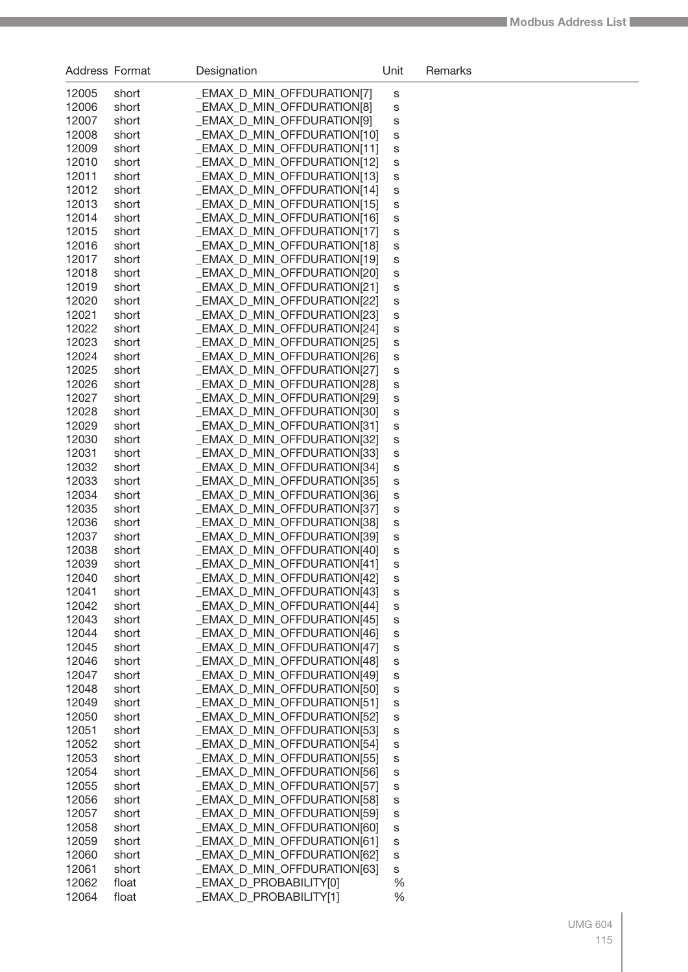| <b>Address Format</b> |                | Designation                                              | Unit   | Remarks |
|-----------------------|----------------|----------------------------------------------------------|--------|---------|
| 12005                 | short          | <b>EMAX_D_MIN_OFFDURATION[7]</b>                         | S      |         |
| 12006                 | short          | <b>EMAX_D_MIN_OFFDURATION[8]</b>                         | S      |         |
| 12007                 | short          | EMAX D MIN OFFDURATION[9]                                | S      |         |
| 12008                 | short          | <b>EMAX_D_MIN_OFFDURATION[10]</b>                        | S      |         |
| 12009                 | short          | <b>EMAX_D_MIN_OFFDURATION[11]</b>                        | S      |         |
| 12010                 | short          | EMAX_D_MIN_OFFDURATION[12]                               | S      |         |
| 12011                 | short          | EMAX_D_MIN_OFFDURATION[13]                               | S      |         |
| 12012                 | short          | <b>EMAX_D_MIN_OFFDURATION[14]</b>                        | S      |         |
| 12013                 | short          | <b>EMAX_D_MIN_OFFDURATION[15]</b>                        | S      |         |
| 12014                 | short          | <b>EMAX_D_MIN_OFFDURATION[16]</b>                        | S      |         |
| 12015                 | short          | <b>EMAX_D_MIN_OFFDURATION[17]</b>                        | S      |         |
| 12016                 | short          | EMAX_D_MIN_OFFDURATION[18]                               | S      |         |
| 12017                 | short          | EMAX_D_MIN_OFFDURATION[19]                               | S      |         |
| 12018                 | short          | EMAX_D_MIN_OFFDURATION[20]                               | S      |         |
| 12019                 | short          | EMAX_D_MIN_OFFDURATION[21]                               | S      |         |
| 12020                 | short          | EMAX_D_MIN_OFFDURATION[22]                               | S      |         |
| 12021                 | short          | EMAX_D_MIN_OFFDURATION[23]                               | S      |         |
| 12022                 | short          | EMAX_D_MIN_OFFDURATION[24]                               | S      |         |
| 12023                 | short          | EMAX_D_MIN_OFFDURATION[25]                               | S      |         |
| 12024                 | short          | EMAX_D_MIN_OFFDURATION[26]                               | S      |         |
| 12025                 | short          | EMAX D MIN OFFDURATION[27]                               | S      |         |
| 12026                 | short          | EMAX D MIN OFFDURATION[28]                               | S      |         |
| 12027                 | short          | <b>EMAX_D_MIN_OFFDURATION[29]</b>                        | S      |         |
| 12028                 | short          | <b>EMAX_D_MIN_OFFDURATION[30]</b>                        | S      |         |
| 12029                 | short          | <b>EMAX_D_MIN_OFFDURATION[31]</b>                        | S      |         |
| 12030                 | short          | <b>EMAX_D_MIN_OFFDURATION[32]</b>                        | S      |         |
| 12031                 | short          | EMAX_D_MIN_OFFDURATION[33]                               | S      |         |
| 12032                 | short          | EMAX_D_MIN_OFFDURATION[34]                               | S      |         |
| 12033                 | short          | <b>EMAX_D_MIN_OFFDURATION[35]</b>                        | S      |         |
| 12034<br>12035        | short          | EMAX_D_MIN_OFFDURATION[36]                               | S      |         |
| 12036                 | short          | EMAX_D_MIN_OFFDURATION[37]<br>EMAX_D_MIN_OFFDURATION[38] | S      |         |
| 12037                 | short<br>short | EMAX_D_MIN_OFFDURATION[39]                               | S      |         |
| 12038                 | short          | EMAX_D_MIN_OFFDURATION[40]                               | S<br>S |         |
| 12039                 | short          | _EMAX_D_MIN_OFFDURATION[41]                              | S      |         |
| 12040                 | short          | EMAX_D_MIN_OFFDURATION[42]                               | S      |         |
| 12041                 | short          | EMAX_D_MIN_OFFDURATION[43]                               | s      |         |
| 12042                 | short          | EMAX_D_MIN_OFFDURATION[44]                               | S      |         |
| 12043                 | short          | EMAX_D_MIN_OFFDURATION[45]                               | S      |         |
| 12044                 | short          | EMAX D MIN OFFDURATION[46]                               | S      |         |
| 12045                 | short          | EMAX D MIN OFFDURATION[47]                               | S      |         |
| 12046                 | short          | EMAX_D_MIN_OFFDURATION[48]                               | S      |         |
| 12047                 | short          | EMAX_D_MIN_OFFDURATION[49]                               | S      |         |
| 12048                 | short          | EMAX D MIN OFFDURATION[50]                               | S      |         |
| 12049                 | short          | EMAX D MIN OFFDURATION[51]                               | S      |         |
| 12050                 | short          | EMAX_D_MIN_OFFDURATION[52]                               | S      |         |
| 12051                 | short          | <b>EMAX_D_MIN_OFFDURATION[53]</b>                        | S      |         |
| 12052                 | short          | EMAX_D_MIN_OFFDURATION[54]                               | S      |         |
| 12053                 | short          | <b>EMAX_D_MIN_OFFDURATION[55]</b>                        | S      |         |
| 12054                 | short          | EMAX_D_MIN_OFFDURATION[56]                               | S      |         |
| 12055                 | short          | EMAX_D_MIN_OFFDURATION[57]                               | S      |         |
| 12056                 | short          | EMAX_D_MIN_OFFDURATION[58]                               | S      |         |
| 12057                 | short          | <b>EMAX_D_MIN_OFFDURATION[59]</b>                        | S      |         |
| 12058                 | short          | EMAX_D_MIN_OFFDURATION[60]                               | S      |         |
| 12059                 | short          | EMAX_D_MIN_OFFDURATION[61]                               | S      |         |
| 12060                 | short          | EMAX_D_MIN_OFFDURATION[62]                               | S      |         |
| 12061                 | short          | _EMAX_D_MIN_OFFDURATION[63]                              | S      |         |
| 12062                 | float          | EMAX_D_PROBABILITY[0]                                    | %      |         |
| 12064                 | float          | _EMAX_D_PROBABILITY[1]                                   | %      |         |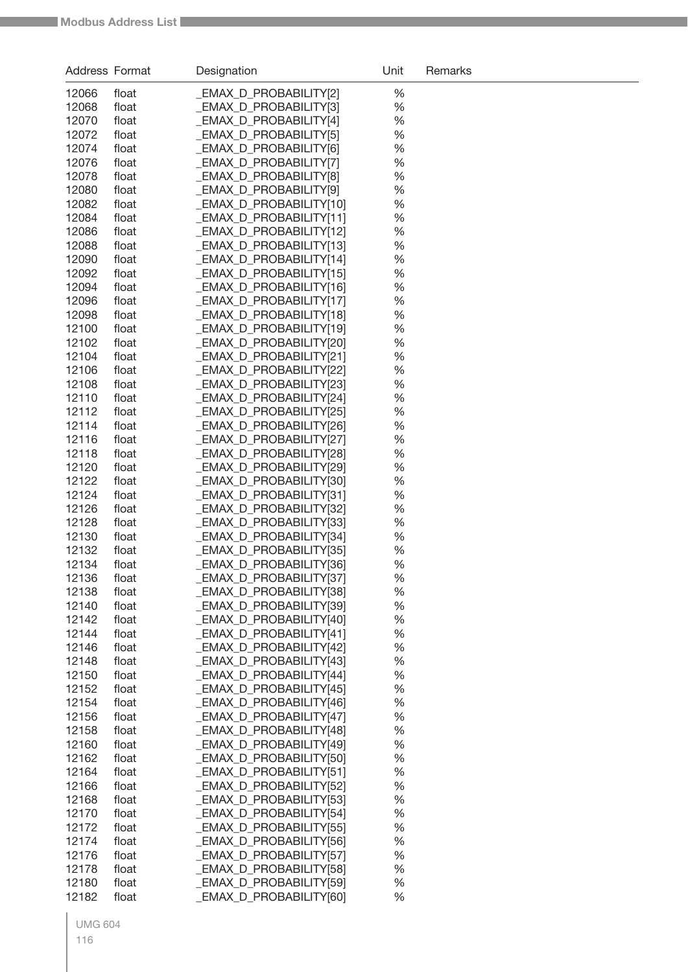| Address Format |                | Designation                                        | Unit      | Remarks |
|----------------|----------------|----------------------------------------------------|-----------|---------|
| 12066          | float          | _EMAX_D_PROBABILITY[2]                             | %         |         |
| 12068          | float          | _EMAX_D_PROBABILITY[3]                             | %         |         |
| 12070          | float          | _EMAX_D_PROBABILITY[4]                             | %         |         |
| 12072          | float          | <b>EMAX D PROBABILITY[5]</b>                       | %         |         |
| 12074          | float          | _EMAX_D_PROBABILITY[6]                             | %         |         |
| 12076          | float          | _EMAX_D_PROBABILITY[7]                             | %         |         |
| 12078          | float          | <b>EMAX D PROBABILITY[8]</b>                       | %         |         |
| 12080          | float          | <b>EMAX D PROBABILITY[9]</b>                       | %         |         |
| 12082          | float          | EMAX D PROBABILITY[10]                             | %         |         |
| 12084          | float          | _EMAX_D_PROBABILITY[11]                            | %         |         |
| 12086          | float          | _EMAX_D_PROBABILITY[12]                            | %         |         |
| 12088          | float          | _EMAX_D_PROBABILITY[13]                            | %         |         |
| 12090          | float          | _EMAX_D_PROBABILITY[14]                            | %         |         |
| 12092          | float          | _EMAX_D_PROBABILITY[15]                            | %         |         |
| 12094          | float          | _EMAX_D_PROBABILITY[16]                            | %         |         |
| 12096          | float          | _EMAX_D_PROBABILITY[17]                            | %         |         |
| 12098          | float          | _EMAX_D_PROBABILITY[18]                            | $\%$      |         |
| 12100          | float          | _EMAX_D_PROBABILITY[19]                            | $\%$      |         |
| 12102          | float          | _EMAX_D_PROBABILITY[20]                            | %         |         |
| 12104          | float          | EMAX D PROBABILITY[21]                             | %         |         |
| 12106          | float          | EMAX D PROBABILITY[22]                             | %         |         |
| 12108          | float          | EMAX D PROBABILITY[23]                             | %         |         |
| 12110          | float          | _EMAX_D_PROBABILITY[24]                            | %         |         |
| 12112          | float          | _EMAX_D_PROBABILITY[25]                            | %         |         |
| 12114          | float          | _EMAX_D_PROBABILITY[26]                            | %         |         |
| 12116          | float          | _EMAX_D_PROBABILITY[27]                            | %         |         |
| 12118          | float          | _EMAX_D_PROBABILITY[28]                            | %         |         |
| 12120          | float          | _EMAX_D_PROBABILITY[29]                            | %         |         |
| 12122          | float          | _EMAX_D_PROBABILITY[30]                            | %         |         |
| 12124          | float          | _EMAX_D_PROBABILITY[31]                            | %         |         |
| 12126          | float          | _EMAX_D_PROBABILITY[32]                            | %         |         |
| 12128          | float          | _EMAX_D_PROBABILITY[33]                            | %         |         |
| 12130          | float          | _EMAX_D_PROBABILITY[34]                            | %         |         |
| 12132          | float          | _EMAX_D_PROBABILITY[35]                            | %         |         |
| 12134          | float          | _EMAX_D_PROBABILITY[36]                            | %         |         |
| 12136<br>12138 | float          | _EMAX_D_PROBABILITY[37]                            | %         |         |
| 12140          | float<br>float | _EMAX_D_PROBABILITY[38]<br>_EMAX_D_PROBABILITY[39] | %<br>$\%$ |         |
| 12142          | float          | EMAX D PROBABILITY[40]                             | $\%$      |         |
| 12144          | float          | _EMAX_D_PROBABILITY[41]                            | $\%$      |         |
| 12146          | float          | _EMAX_D_PROBABILITY[42]                            | $\%$      |         |
| 12148          | float          | <b>EMAX_D_PROBABILITY[43]</b>                      | $\%$      |         |
| 12150          | float          | _EMAX_D_PROBABILITY[44]                            | $\%$      |         |
| 12152          | float          | _EMAX_D_PROBABILITY[45]                            | $\%$      |         |
| 12154          | float          | _EMAX_D_PROBABILITY[46]                            | $\%$      |         |
| 12156          | float          | EMAX D PROBABILITY[47]                             | $\%$      |         |
| 12158          | float          | _EMAX_D_PROBABILITY[48]                            | $\%$      |         |
| 12160          | float          | _EMAX_D_PROBABILITY[49]                            | $\%$      |         |
| 12162          | float          | _EMAX_D_PROBABILITY[50]                            | %         |         |
| 12164          | float          | _EMAX_D_PROBABILITY[51]                            | %         |         |
| 12166          | float          | _EMAX_D_PROBABILITY[52]                            | %         |         |
| 12168          | float          | _EMAX_D_PROBABILITY[53]                            | %         |         |
| 12170          | float          | _EMAX_D_PROBABILITY[54]                            | $\%$      |         |
| 12172          | float          | _EMAX_D_PROBABILITY[55]                            | $\%$      |         |
| 12174          | float          | _EMAX_D_PROBABILITY[56]                            | $\%$      |         |
| 12176          | float          | _EMAX_D_PROBABILITY[57]                            | $\%$      |         |
| 12178          | float          | <b>EMAX_D_PROBABILITY[58]</b>                      | $\%$      |         |
| 12180          | float          | <b>EMAX_D_PROBABILITY[59]</b>                      | $\%$      |         |
| 12182          | float          | <b>EMAX_D_PROBABILITY[60]</b>                      | %         |         |
|                |                |                                                    |           |         |

UMG 604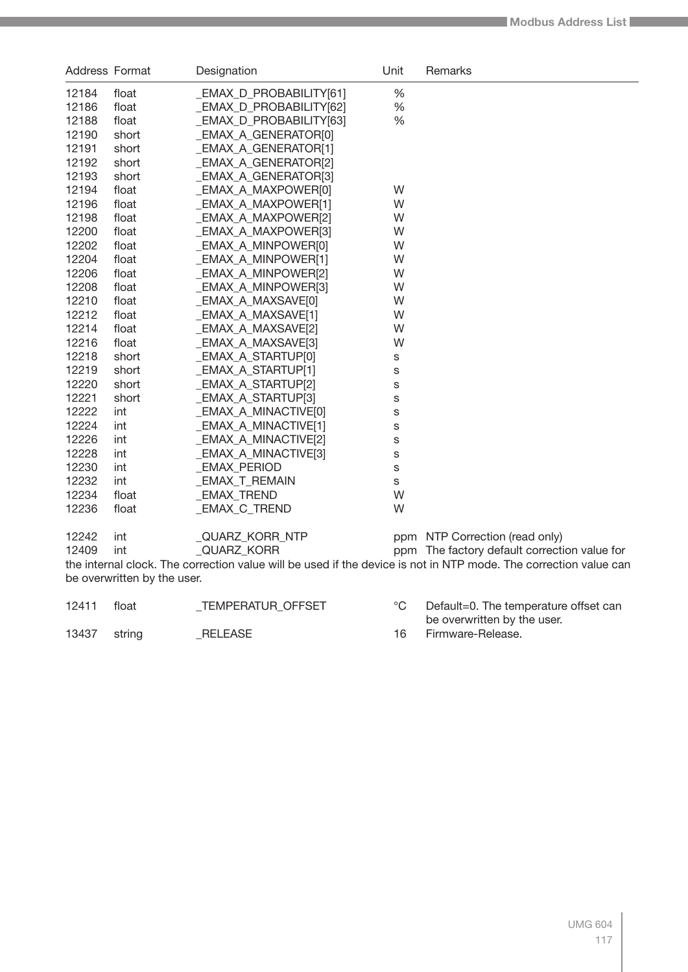| Address Format              |       | Designation                | Unit | Remarks                                                                                                          |  |  |
|-----------------------------|-------|----------------------------|------|------------------------------------------------------------------------------------------------------------------|--|--|
| 12184                       | float | _EMAX_D_PROBABILITY[61]    | $\%$ |                                                                                                                  |  |  |
| 12186                       | float | _EMAX_D_PROBABILITY[62]    | $\%$ |                                                                                                                  |  |  |
| 12188                       | float | _EMAX_D_PROBABILITY[63]    | %    |                                                                                                                  |  |  |
| 12190                       | short | EMAX_A_GENERATOR[0]        |      |                                                                                                                  |  |  |
| 12191                       | short | <b>EMAX_A_GENERATOR[1]</b> |      |                                                                                                                  |  |  |
| 12192                       | short | <b>EMAX_A_GENERATOR[2]</b> |      |                                                                                                                  |  |  |
| 12193                       | short | <b>EMAX_A_GENERATOR[3]</b> |      |                                                                                                                  |  |  |
| 12194                       | float | _EMAX_A_MAXPOWER[0]        | W    |                                                                                                                  |  |  |
| 12196                       | float | _EMAX_A_MAXPOWER[1]        | W    |                                                                                                                  |  |  |
| 12198                       | float | <b>EMAX_A_MAXPOWER[2]</b>  | W    |                                                                                                                  |  |  |
| 12200                       | float | <b>EMAX A MAXPOWER[3]</b>  | W    |                                                                                                                  |  |  |
| 12202                       | float | EMAX_A_MINPOWER[0]         | W    |                                                                                                                  |  |  |
| 12204                       | float | <b>EMAX_A_MINPOWER[1]</b>  | W    |                                                                                                                  |  |  |
| 12206                       | float | <b>EMAX_A_MINPOWER[2]</b>  | W    |                                                                                                                  |  |  |
| 12208                       | float | _EMAX_A_MINPOWER[3]        | W    |                                                                                                                  |  |  |
| 12210                       | float | _EMAX_A_MAXSAVE[0]         | W    |                                                                                                                  |  |  |
| 12212                       | float | _EMAX_A_MAXSAVE[1]         | W    |                                                                                                                  |  |  |
| 12214                       | float | _EMAX_A_MAXSAVE[2]         | W    |                                                                                                                  |  |  |
| 12216                       | float | _EMAX_A_MAXSAVE[3]         | W    |                                                                                                                  |  |  |
| 12218                       | short | _EMAX_A_STARTUP[0]         | S    |                                                                                                                  |  |  |
| 12219                       | short | EMAX A STARTUP[1]          | S    |                                                                                                                  |  |  |
| 12220                       | short | _EMAX_A_STARTUP[2]         | S    |                                                                                                                  |  |  |
| 12221                       | short | _EMAX_A_STARTUP[3]         | S    |                                                                                                                  |  |  |
| 12222                       | int   | _EMAX_A_MINACTIVE[0]       | S    |                                                                                                                  |  |  |
| 12224                       | int   | _EMAX_A_MINACTIVE[1]       | S    |                                                                                                                  |  |  |
| 12226                       | int   | _EMAX_A_MINACTIVE[2]       | S    |                                                                                                                  |  |  |
| 12228                       | int   | _EMAX_A_MINACTIVE[3]       | S    |                                                                                                                  |  |  |
| 12230                       | int   | _EMAX_PERIOD               | S    |                                                                                                                  |  |  |
| 12232                       | int   | _EMAX_T_REMAIN             | S    |                                                                                                                  |  |  |
| 12234                       | float | _EMAX_TREND                | W    |                                                                                                                  |  |  |
| 12236                       | float | _EMAX_C_TREND              | W    |                                                                                                                  |  |  |
| 12242                       | int   | _QUARZ_KORR_NTP            |      | ppm NTP Correction (read only)                                                                                   |  |  |
| 12409                       | int   | QUARZ KORR                 |      | ppm The factory default correction value for                                                                     |  |  |
|                             |       |                            |      | the internal clock. The correction value will be used if the device is not in NTP mode. The correction value can |  |  |
| be overwritten by the user. |       |                            |      |                                                                                                                  |  |  |

| 12411        | float | TEMPERATUR OFFSET | Default=0. The temperature offset can |
|--------------|-------|-------------------|---------------------------------------|
|              |       |                   | be overwritten by the user.           |
| 13437 string |       | RELEASE           | 16 Firmware-Release.                  |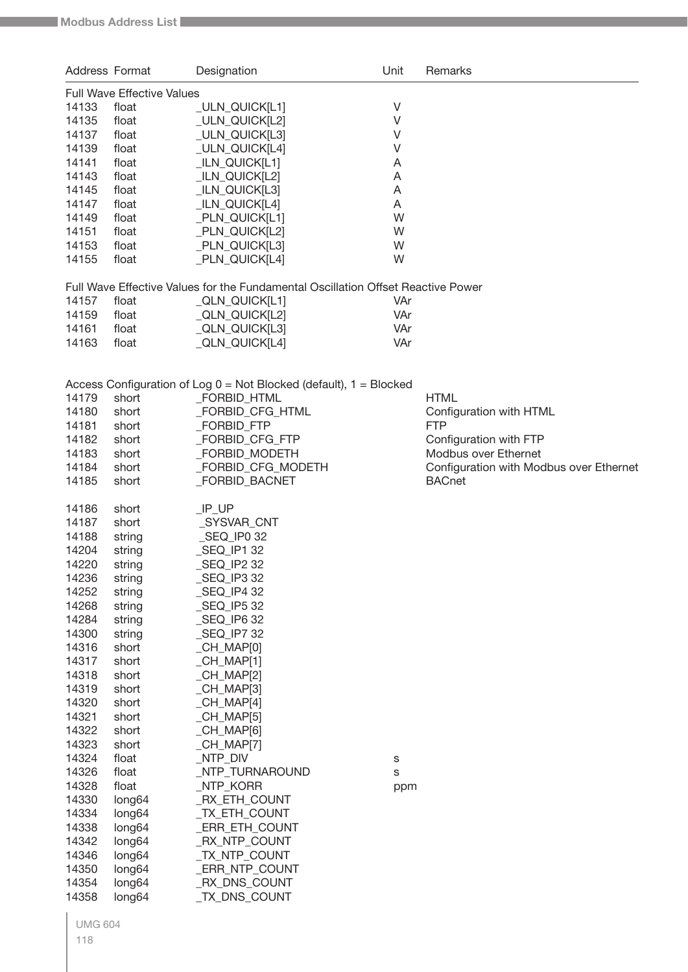| Address Format |                                   | Designation                                                                      | Unit | Remarks                                 |
|----------------|-----------------------------------|----------------------------------------------------------------------------------|------|-----------------------------------------|
|                | <b>Full Wave Effective Values</b> |                                                                                  |      |                                         |
| 14133          | float                             | _ULN_QUICK[L1]                                                                   | V    |                                         |
| 14135          | float                             | _ULN_QUICK[L2]                                                                   | V    |                                         |
| 14137          | float                             | _ULN_QUICK[L3]                                                                   | V    |                                         |
| 14139          | float                             | _ULN_QUICK[L4]                                                                   | V    |                                         |
| 14141          | float                             | _ILN_QUICK[L1]                                                                   | A    |                                         |
| 14143          | float                             | _ILN_QUICK[L2]                                                                   | A    |                                         |
| 14145          | float                             | _ILN_QUICK[L3]                                                                   | Α    |                                         |
| 14147          | float                             | _ILN_QUICK[L4]                                                                   | A    |                                         |
| 14149          | float                             | _PLN_QUICK[L1]                                                                   | W    |                                         |
| 14151          | float                             | _PLN_QUICK[L2]                                                                   | W    |                                         |
| 14153          | float                             | _PLN_QUICK[L3]                                                                   | W    |                                         |
| 14155          | float                             | _PLN_QUICK[L4]                                                                   | W    |                                         |
|                |                                   |                                                                                  |      |                                         |
|                |                                   | Full Wave Effective Values for the Fundamental Oscillation Offset Reactive Power |      |                                         |
| 14157          | float                             | _QLN_QUICK[L1]                                                                   | VAr  |                                         |
| 14159          | float                             | _QLN_QUICK[L2]                                                                   | VAr  |                                         |
| 14161          | float                             | _QLN_QUICK[L3]                                                                   | VAr  |                                         |
| 14163          | float                             | _QLN_QUICK[L4]                                                                   | VAr  |                                         |
|                |                                   |                                                                                  |      |                                         |
|                |                                   |                                                                                  |      |                                         |
|                |                                   | Access Configuration of Log $0 = Not Blocked$ (default), $1 = Blocked$           |      |                                         |
| 14179          | short                             | _FORBID_HTML                                                                     |      | <b>HTML</b>                             |
| 14180          | short                             | _FORBID_CFG_HTML                                                                 |      | Configuration with HTML                 |
| 14181          | short                             | _FORBID_FTP                                                                      |      | <b>FTP</b>                              |
| 14182          | short                             | _FORBID_CFG_FTP                                                                  |      | Configuration with FTP                  |
| 14183          | short                             | _FORBID_MODETH                                                                   |      | Modbus over Ethernet                    |
| 14184          | short                             | _FORBID_CFG_MODETH                                                               |      | Configuration with Modbus over Ethernet |
| 14185          | short                             | _FORBID_BACNET                                                                   |      | <b>BACnet</b>                           |
|                |                                   |                                                                                  |      |                                         |
| 14186          | short                             | $IP_UP$                                                                          |      |                                         |
| 14187          | short                             | _SYSVAR_CNT                                                                      |      |                                         |
| 14188          | string                            | _SEQ_IP0 32                                                                      |      |                                         |
| 14204          | string                            | _SEQ_IP1 32                                                                      |      |                                         |
| 14220          | string                            | _SEQ_IP2 32                                                                      |      |                                         |
| 14236          | string                            | _SEQ_IP3 32                                                                      |      |                                         |
| 14252          | string                            | _SEQ_IP4 32                                                                      |      |                                         |
| 14268          | string                            | _SEQ_IP5 32                                                                      |      |                                         |
| 14284          | string                            | $\_$ SEQ $\_$ IP6 32                                                             |      |                                         |
| 14300          | string                            | _SEQ_IP7 32                                                                      |      |                                         |
| 14316          | short                             | _CH_MAP[0]                                                                       |      |                                         |
| 14317          | short                             | $_C$ CH $_M$ MAP[1]                                                              |      |                                         |
| 14318          | short                             | $_C$ CH $_M$ MAP[2]                                                              |      |                                         |
| 14319          | short                             | $_C$ CH $_M$ MAP[3]                                                              |      |                                         |
| 14320          |                                   |                                                                                  |      |                                         |
|                | short                             | $_C$ CH $_M$ MAP[4]                                                              |      |                                         |
| 14321          | short                             | $_C$ CH $_M$ MAP[5]                                                              |      |                                         |
| 14322          | short                             | $_C$ H $_M$ AP[6]                                                                |      |                                         |
| 14323          | short                             | $_C$ CH $_M$ MAP[7]                                                              |      |                                         |
| 14324          | float                             | _NTP_DIV                                                                         | S    |                                         |
| 14326          | float                             | _NTP_TURNAROUND                                                                  | S    |                                         |
| 14328          | float                             | _NTP_KORR                                                                        | ppm  |                                         |
| 14330          | long64                            | _RX_ETH_COUNT                                                                    |      |                                         |
| 14334          | long64                            | _TX_ETH_COUNT                                                                    |      |                                         |
| 14338          | long64                            | _ERR_ETH_COUNT                                                                   |      |                                         |
| 14342          | long64                            | _RX_NTP_COUNT                                                                    |      |                                         |
| 14346          | long64                            | _TX_NTP_COUNT                                                                    |      |                                         |
| 14350          | long64                            | _ERR_NTP_COUNT                                                                   |      |                                         |
| 14354          | long64                            | RX_DNS_COUNT                                                                     |      |                                         |
| 14358          | long64                            | _TX_DNS_COUNT                                                                    |      |                                         |

UMG 604 118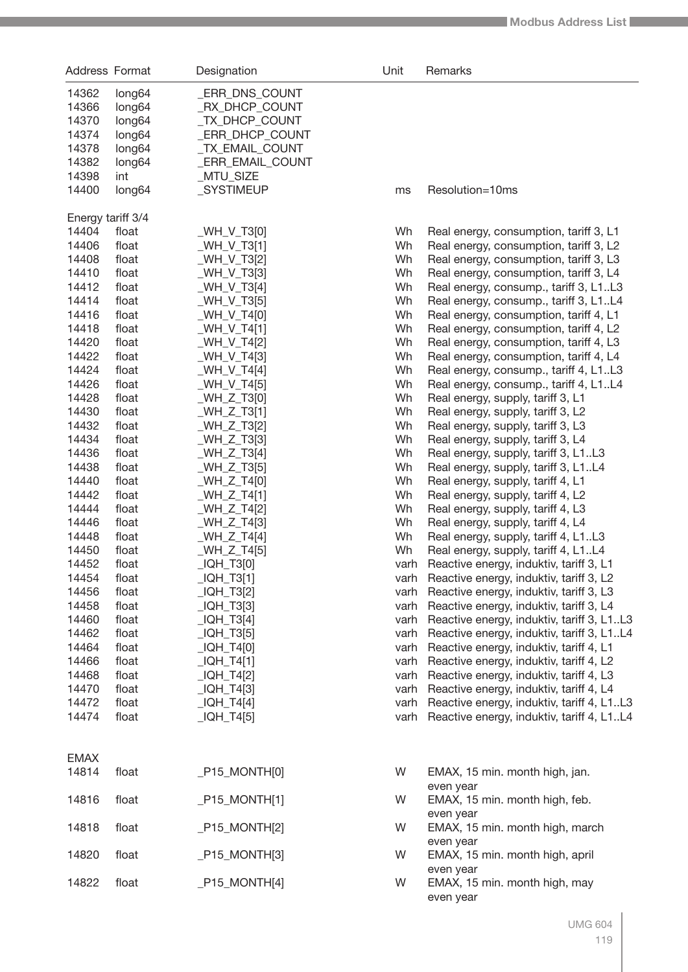| 14362<br>long64<br>_ERR_DNS_COUNT<br>14366<br>long64<br>RX_DHCP_COUNT<br>_TX_DHCP_COUNT<br>14370<br>long64<br>14374<br><b>ERR_DHCP_COUNT</b><br>long64<br>14378<br>long64<br>_TX_EMAIL_COUNT<br>14382<br>_ERR_EMAIL_COUNT<br>long64<br>14398<br>_MTU_SIZE<br>int<br>14400<br><b>SYSTIMEUP</b><br>Resolution=10ms<br>long64<br>ms<br>Energy tariff 3/4<br>14404<br>Wh<br>float<br>_WH_V_T3[0]<br>Real energy, consumption, tariff 3, L1<br>Wh<br>14406<br>float<br>$WH_V_T3[1]$<br>Real energy, consumption, tariff 3, L2<br>Wh<br>14408<br>float<br>_WH_V_T3[2]<br>Real energy, consumption, tariff 3, L3<br>14410<br>Wh<br>float<br>_WH_V_T3[3]<br>Real energy, consumption, tariff 3, L4<br>14412<br>Wh<br>float<br>_WH_V_T3[4]<br>Real energy, consump., tariff 3, L1L3<br>14414<br>Wh<br>float<br>_WH_V_T3[5]<br>Real energy, consump., tariff 3, L1L4<br>14416<br>Wh<br>float<br>$WH_V_T4[0]$<br>Real energy, consumption, tariff 4, L1<br>14418<br>Wh<br>float<br>_WH_V_T4[1]<br>Real energy, consumption, tariff 4, L2<br>14420<br>Wh<br>float<br>_WH_V_T4[2]<br>Real energy, consumption, tariff 4, L3<br>14422<br>Wh<br>float<br>_WH_V_T4[3]<br>Real energy, consumption, tariff 4, L4<br>14424<br>Wh<br>float<br>$WH_V_T4[4]$<br>Real energy, consump., tariff 4, L1L3<br>14426<br>Wh<br>float<br>_WH_V_T4[5]<br>Real energy, consump., tariff 4, L1L4<br>14428<br>Wh<br>float<br>$WH_Z_T3[0]$<br>Real energy, supply, tariff 3, L1<br>14430<br>Wh<br>float<br>$WH_Z_T3[1]$<br>Real energy, supply, tariff 3, L2<br>14432<br>Wh<br>float<br>_WH_Z_T3[2]<br>Real energy, supply, tariff 3, L3<br>14434<br>Wh<br>float<br>$WH_Z_T33]$<br>Real energy, supply, tariff 3, L4<br>14436<br>Wh<br>float<br>_WH_Z_T3[4]<br>Real energy, supply, tariff 3, L1L3<br>14438<br>float<br>$WH_Z_T3[5]$<br>Wh<br>Real energy, supply, tariff 3, L1L4<br>14440<br>Wh<br>float<br>$WH_Z_T4[0]$<br>Real energy, supply, tariff 4, L1<br>14442<br>float<br>$WH_Z_T4[1]$<br>Wh<br>Real energy, supply, tariff 4, L2<br>14444<br>float<br>$WH_Z_T4[2]$<br>Wh<br>Real energy, supply, tariff 4, L3<br>14446<br>float<br>$WH_Z_T43$<br>Wh<br>Real energy, supply, tariff 4, L4<br>Wh<br>14448<br>float<br>$WH_Z_T44]$<br>Real energy, supply, tariff 4, L1L3<br>14450<br>Wh<br>float<br>$WH_Z_T4[5]$<br>Real energy, supply, tariff 4, L1L4<br>14452<br>_IQH_T3[0]<br>float<br>varh<br>Reactive energy, induktiv, tariff 3, L1<br>14454<br>$LIQH_T3[1]$<br>varh Reactive energy, induktiv, tariff 3, L2<br>float<br>$_lQH_T3[2]$<br>14456<br>varh Reactive energy, induktiv, tariff 3, L3<br>float<br>14458<br>$LOH_T3[3]$<br>float<br>varh Reactive energy, induktiv, tariff 3, L4<br>14460<br>float<br>$LOH_T3[4]$<br>varh Reactive energy, induktiv, tariff 3, L1L3<br>14462<br>$LOH_T3[5]$<br>float<br>varh Reactive energy, induktiv, tariff 3, L1L4<br>14464<br>float<br>$LOH_T4[0]$<br>varh Reactive energy, induktiv, tariff 4, L1<br>14466<br>float<br>$LIQH_T4[1]$<br>varh Reactive energy, induktiv, tariff 4, L2<br>$LIQH_T4[2]$<br>14468<br>float<br>varh Reactive energy, induktiv, tariff 4, L3<br>14470<br>float<br>$LOH_T4[3]$<br>varh Reactive energy, induktiv, tariff 4, L4<br>14472<br>float<br>$LIQH_T4[4]$<br>varh Reactive energy, induktiv, tariff 4, L1L3<br>14474<br>float<br>$LOH_T4[5]$<br>varh Reactive energy, induktiv, tariff 4, L1L4<br><b>EMAX</b><br>14814<br>$P15_MONTH[0]$<br>W<br>EMAX, 15 min. month high, jan.<br>float<br>even year<br>14816<br>float<br>$P15_MONTH[1]$<br>W<br>EMAX, 15 min. month high, feb.<br>even year<br>14818<br>float<br>$P15_MONTH[2]$<br>W<br>EMAX, 15 min. month high, march<br>even year<br>14820<br>float<br>$P15_MONTH[3]$<br>W<br>EMAX, 15 min. month high, april<br>even year<br>14822<br>float<br>$P15_MONTH[4]$<br>W<br>EMAX, 15 min. month high, may | Address Format | Designation | Unit | Remarks |
|----------------------------------------------------------------------------------------------------------------------------------------------------------------------------------------------------------------------------------------------------------------------------------------------------------------------------------------------------------------------------------------------------------------------------------------------------------------------------------------------------------------------------------------------------------------------------------------------------------------------------------------------------------------------------------------------------------------------------------------------------------------------------------------------------------------------------------------------------------------------------------------------------------------------------------------------------------------------------------------------------------------------------------------------------------------------------------------------------------------------------------------------------------------------------------------------------------------------------------------------------------------------------------------------------------------------------------------------------------------------------------------------------------------------------------------------------------------------------------------------------------------------------------------------------------------------------------------------------------------------------------------------------------------------------------------------------------------------------------------------------------------------------------------------------------------------------------------------------------------------------------------------------------------------------------------------------------------------------------------------------------------------------------------------------------------------------------------------------------------------------------------------------------------------------------------------------------------------------------------------------------------------------------------------------------------------------------------------------------------------------------------------------------------------------------------------------------------------------------------------------------------------------------------------------------------------------------------------------------------------------------------------------------------------------------------------------------------------------------------------------------------------------------------------------------------------------------------------------------------------------------------------------------------------------------------------------------------------------------------------------------------------------------------------------------------------------------------------------------------------------------------------------------------------------------------------------------------------------------------------------------------------------------------------------------------------------------------------------------------------------------------------------------------------------------------------------------------------------------------------------------------------------------------------------------------------------------------------------------------------------------------------------------------------------------------------------------------------------------------------------------------------------------------------------------------------|----------------|-------------|------|---------|
|                                                                                                                                                                                                                                                                                                                                                                                                                                                                                                                                                                                                                                                                                                                                                                                                                                                                                                                                                                                                                                                                                                                                                                                                                                                                                                                                                                                                                                                                                                                                                                                                                                                                                                                                                                                                                                                                                                                                                                                                                                                                                                                                                                                                                                                                                                                                                                                                                                                                                                                                                                                                                                                                                                                                                                                                                                                                                                                                                                                                                                                                                                                                                                                                                                                                                                                                                                                                                                                                                                                                                                                                                                                                                                                                                                                                                      |                |             |      |         |
|                                                                                                                                                                                                                                                                                                                                                                                                                                                                                                                                                                                                                                                                                                                                                                                                                                                                                                                                                                                                                                                                                                                                                                                                                                                                                                                                                                                                                                                                                                                                                                                                                                                                                                                                                                                                                                                                                                                                                                                                                                                                                                                                                                                                                                                                                                                                                                                                                                                                                                                                                                                                                                                                                                                                                                                                                                                                                                                                                                                                                                                                                                                                                                                                                                                                                                                                                                                                                                                                                                                                                                                                                                                                                                                                                                                                                      |                |             |      |         |
|                                                                                                                                                                                                                                                                                                                                                                                                                                                                                                                                                                                                                                                                                                                                                                                                                                                                                                                                                                                                                                                                                                                                                                                                                                                                                                                                                                                                                                                                                                                                                                                                                                                                                                                                                                                                                                                                                                                                                                                                                                                                                                                                                                                                                                                                                                                                                                                                                                                                                                                                                                                                                                                                                                                                                                                                                                                                                                                                                                                                                                                                                                                                                                                                                                                                                                                                                                                                                                                                                                                                                                                                                                                                                                                                                                                                                      |                |             |      |         |
|                                                                                                                                                                                                                                                                                                                                                                                                                                                                                                                                                                                                                                                                                                                                                                                                                                                                                                                                                                                                                                                                                                                                                                                                                                                                                                                                                                                                                                                                                                                                                                                                                                                                                                                                                                                                                                                                                                                                                                                                                                                                                                                                                                                                                                                                                                                                                                                                                                                                                                                                                                                                                                                                                                                                                                                                                                                                                                                                                                                                                                                                                                                                                                                                                                                                                                                                                                                                                                                                                                                                                                                                                                                                                                                                                                                                                      |                |             |      |         |
|                                                                                                                                                                                                                                                                                                                                                                                                                                                                                                                                                                                                                                                                                                                                                                                                                                                                                                                                                                                                                                                                                                                                                                                                                                                                                                                                                                                                                                                                                                                                                                                                                                                                                                                                                                                                                                                                                                                                                                                                                                                                                                                                                                                                                                                                                                                                                                                                                                                                                                                                                                                                                                                                                                                                                                                                                                                                                                                                                                                                                                                                                                                                                                                                                                                                                                                                                                                                                                                                                                                                                                                                                                                                                                                                                                                                                      |                |             |      |         |
|                                                                                                                                                                                                                                                                                                                                                                                                                                                                                                                                                                                                                                                                                                                                                                                                                                                                                                                                                                                                                                                                                                                                                                                                                                                                                                                                                                                                                                                                                                                                                                                                                                                                                                                                                                                                                                                                                                                                                                                                                                                                                                                                                                                                                                                                                                                                                                                                                                                                                                                                                                                                                                                                                                                                                                                                                                                                                                                                                                                                                                                                                                                                                                                                                                                                                                                                                                                                                                                                                                                                                                                                                                                                                                                                                                                                                      |                |             |      |         |
|                                                                                                                                                                                                                                                                                                                                                                                                                                                                                                                                                                                                                                                                                                                                                                                                                                                                                                                                                                                                                                                                                                                                                                                                                                                                                                                                                                                                                                                                                                                                                                                                                                                                                                                                                                                                                                                                                                                                                                                                                                                                                                                                                                                                                                                                                                                                                                                                                                                                                                                                                                                                                                                                                                                                                                                                                                                                                                                                                                                                                                                                                                                                                                                                                                                                                                                                                                                                                                                                                                                                                                                                                                                                                                                                                                                                                      |                |             |      |         |
|                                                                                                                                                                                                                                                                                                                                                                                                                                                                                                                                                                                                                                                                                                                                                                                                                                                                                                                                                                                                                                                                                                                                                                                                                                                                                                                                                                                                                                                                                                                                                                                                                                                                                                                                                                                                                                                                                                                                                                                                                                                                                                                                                                                                                                                                                                                                                                                                                                                                                                                                                                                                                                                                                                                                                                                                                                                                                                                                                                                                                                                                                                                                                                                                                                                                                                                                                                                                                                                                                                                                                                                                                                                                                                                                                                                                                      |                |             |      |         |
|                                                                                                                                                                                                                                                                                                                                                                                                                                                                                                                                                                                                                                                                                                                                                                                                                                                                                                                                                                                                                                                                                                                                                                                                                                                                                                                                                                                                                                                                                                                                                                                                                                                                                                                                                                                                                                                                                                                                                                                                                                                                                                                                                                                                                                                                                                                                                                                                                                                                                                                                                                                                                                                                                                                                                                                                                                                                                                                                                                                                                                                                                                                                                                                                                                                                                                                                                                                                                                                                                                                                                                                                                                                                                                                                                                                                                      |                |             |      |         |
|                                                                                                                                                                                                                                                                                                                                                                                                                                                                                                                                                                                                                                                                                                                                                                                                                                                                                                                                                                                                                                                                                                                                                                                                                                                                                                                                                                                                                                                                                                                                                                                                                                                                                                                                                                                                                                                                                                                                                                                                                                                                                                                                                                                                                                                                                                                                                                                                                                                                                                                                                                                                                                                                                                                                                                                                                                                                                                                                                                                                                                                                                                                                                                                                                                                                                                                                                                                                                                                                                                                                                                                                                                                                                                                                                                                                                      |                |             |      |         |
|                                                                                                                                                                                                                                                                                                                                                                                                                                                                                                                                                                                                                                                                                                                                                                                                                                                                                                                                                                                                                                                                                                                                                                                                                                                                                                                                                                                                                                                                                                                                                                                                                                                                                                                                                                                                                                                                                                                                                                                                                                                                                                                                                                                                                                                                                                                                                                                                                                                                                                                                                                                                                                                                                                                                                                                                                                                                                                                                                                                                                                                                                                                                                                                                                                                                                                                                                                                                                                                                                                                                                                                                                                                                                                                                                                                                                      |                |             |      |         |
|                                                                                                                                                                                                                                                                                                                                                                                                                                                                                                                                                                                                                                                                                                                                                                                                                                                                                                                                                                                                                                                                                                                                                                                                                                                                                                                                                                                                                                                                                                                                                                                                                                                                                                                                                                                                                                                                                                                                                                                                                                                                                                                                                                                                                                                                                                                                                                                                                                                                                                                                                                                                                                                                                                                                                                                                                                                                                                                                                                                                                                                                                                                                                                                                                                                                                                                                                                                                                                                                                                                                                                                                                                                                                                                                                                                                                      |                |             |      |         |
|                                                                                                                                                                                                                                                                                                                                                                                                                                                                                                                                                                                                                                                                                                                                                                                                                                                                                                                                                                                                                                                                                                                                                                                                                                                                                                                                                                                                                                                                                                                                                                                                                                                                                                                                                                                                                                                                                                                                                                                                                                                                                                                                                                                                                                                                                                                                                                                                                                                                                                                                                                                                                                                                                                                                                                                                                                                                                                                                                                                                                                                                                                                                                                                                                                                                                                                                                                                                                                                                                                                                                                                                                                                                                                                                                                                                                      |                |             |      |         |
|                                                                                                                                                                                                                                                                                                                                                                                                                                                                                                                                                                                                                                                                                                                                                                                                                                                                                                                                                                                                                                                                                                                                                                                                                                                                                                                                                                                                                                                                                                                                                                                                                                                                                                                                                                                                                                                                                                                                                                                                                                                                                                                                                                                                                                                                                                                                                                                                                                                                                                                                                                                                                                                                                                                                                                                                                                                                                                                                                                                                                                                                                                                                                                                                                                                                                                                                                                                                                                                                                                                                                                                                                                                                                                                                                                                                                      |                |             |      |         |
|                                                                                                                                                                                                                                                                                                                                                                                                                                                                                                                                                                                                                                                                                                                                                                                                                                                                                                                                                                                                                                                                                                                                                                                                                                                                                                                                                                                                                                                                                                                                                                                                                                                                                                                                                                                                                                                                                                                                                                                                                                                                                                                                                                                                                                                                                                                                                                                                                                                                                                                                                                                                                                                                                                                                                                                                                                                                                                                                                                                                                                                                                                                                                                                                                                                                                                                                                                                                                                                                                                                                                                                                                                                                                                                                                                                                                      |                |             |      |         |
|                                                                                                                                                                                                                                                                                                                                                                                                                                                                                                                                                                                                                                                                                                                                                                                                                                                                                                                                                                                                                                                                                                                                                                                                                                                                                                                                                                                                                                                                                                                                                                                                                                                                                                                                                                                                                                                                                                                                                                                                                                                                                                                                                                                                                                                                                                                                                                                                                                                                                                                                                                                                                                                                                                                                                                                                                                                                                                                                                                                                                                                                                                                                                                                                                                                                                                                                                                                                                                                                                                                                                                                                                                                                                                                                                                                                                      |                |             |      |         |
|                                                                                                                                                                                                                                                                                                                                                                                                                                                                                                                                                                                                                                                                                                                                                                                                                                                                                                                                                                                                                                                                                                                                                                                                                                                                                                                                                                                                                                                                                                                                                                                                                                                                                                                                                                                                                                                                                                                                                                                                                                                                                                                                                                                                                                                                                                                                                                                                                                                                                                                                                                                                                                                                                                                                                                                                                                                                                                                                                                                                                                                                                                                                                                                                                                                                                                                                                                                                                                                                                                                                                                                                                                                                                                                                                                                                                      |                |             |      |         |
|                                                                                                                                                                                                                                                                                                                                                                                                                                                                                                                                                                                                                                                                                                                                                                                                                                                                                                                                                                                                                                                                                                                                                                                                                                                                                                                                                                                                                                                                                                                                                                                                                                                                                                                                                                                                                                                                                                                                                                                                                                                                                                                                                                                                                                                                                                                                                                                                                                                                                                                                                                                                                                                                                                                                                                                                                                                                                                                                                                                                                                                                                                                                                                                                                                                                                                                                                                                                                                                                                                                                                                                                                                                                                                                                                                                                                      |                |             |      |         |
|                                                                                                                                                                                                                                                                                                                                                                                                                                                                                                                                                                                                                                                                                                                                                                                                                                                                                                                                                                                                                                                                                                                                                                                                                                                                                                                                                                                                                                                                                                                                                                                                                                                                                                                                                                                                                                                                                                                                                                                                                                                                                                                                                                                                                                                                                                                                                                                                                                                                                                                                                                                                                                                                                                                                                                                                                                                                                                                                                                                                                                                                                                                                                                                                                                                                                                                                                                                                                                                                                                                                                                                                                                                                                                                                                                                                                      |                |             |      |         |
|                                                                                                                                                                                                                                                                                                                                                                                                                                                                                                                                                                                                                                                                                                                                                                                                                                                                                                                                                                                                                                                                                                                                                                                                                                                                                                                                                                                                                                                                                                                                                                                                                                                                                                                                                                                                                                                                                                                                                                                                                                                                                                                                                                                                                                                                                                                                                                                                                                                                                                                                                                                                                                                                                                                                                                                                                                                                                                                                                                                                                                                                                                                                                                                                                                                                                                                                                                                                                                                                                                                                                                                                                                                                                                                                                                                                                      |                |             |      |         |
|                                                                                                                                                                                                                                                                                                                                                                                                                                                                                                                                                                                                                                                                                                                                                                                                                                                                                                                                                                                                                                                                                                                                                                                                                                                                                                                                                                                                                                                                                                                                                                                                                                                                                                                                                                                                                                                                                                                                                                                                                                                                                                                                                                                                                                                                                                                                                                                                                                                                                                                                                                                                                                                                                                                                                                                                                                                                                                                                                                                                                                                                                                                                                                                                                                                                                                                                                                                                                                                                                                                                                                                                                                                                                                                                                                                                                      |                |             |      |         |
|                                                                                                                                                                                                                                                                                                                                                                                                                                                                                                                                                                                                                                                                                                                                                                                                                                                                                                                                                                                                                                                                                                                                                                                                                                                                                                                                                                                                                                                                                                                                                                                                                                                                                                                                                                                                                                                                                                                                                                                                                                                                                                                                                                                                                                                                                                                                                                                                                                                                                                                                                                                                                                                                                                                                                                                                                                                                                                                                                                                                                                                                                                                                                                                                                                                                                                                                                                                                                                                                                                                                                                                                                                                                                                                                                                                                                      |                |             |      |         |
|                                                                                                                                                                                                                                                                                                                                                                                                                                                                                                                                                                                                                                                                                                                                                                                                                                                                                                                                                                                                                                                                                                                                                                                                                                                                                                                                                                                                                                                                                                                                                                                                                                                                                                                                                                                                                                                                                                                                                                                                                                                                                                                                                                                                                                                                                                                                                                                                                                                                                                                                                                                                                                                                                                                                                                                                                                                                                                                                                                                                                                                                                                                                                                                                                                                                                                                                                                                                                                                                                                                                                                                                                                                                                                                                                                                                                      |                |             |      |         |
|                                                                                                                                                                                                                                                                                                                                                                                                                                                                                                                                                                                                                                                                                                                                                                                                                                                                                                                                                                                                                                                                                                                                                                                                                                                                                                                                                                                                                                                                                                                                                                                                                                                                                                                                                                                                                                                                                                                                                                                                                                                                                                                                                                                                                                                                                                                                                                                                                                                                                                                                                                                                                                                                                                                                                                                                                                                                                                                                                                                                                                                                                                                                                                                                                                                                                                                                                                                                                                                                                                                                                                                                                                                                                                                                                                                                                      |                |             |      |         |
|                                                                                                                                                                                                                                                                                                                                                                                                                                                                                                                                                                                                                                                                                                                                                                                                                                                                                                                                                                                                                                                                                                                                                                                                                                                                                                                                                                                                                                                                                                                                                                                                                                                                                                                                                                                                                                                                                                                                                                                                                                                                                                                                                                                                                                                                                                                                                                                                                                                                                                                                                                                                                                                                                                                                                                                                                                                                                                                                                                                                                                                                                                                                                                                                                                                                                                                                                                                                                                                                                                                                                                                                                                                                                                                                                                                                                      |                |             |      |         |
|                                                                                                                                                                                                                                                                                                                                                                                                                                                                                                                                                                                                                                                                                                                                                                                                                                                                                                                                                                                                                                                                                                                                                                                                                                                                                                                                                                                                                                                                                                                                                                                                                                                                                                                                                                                                                                                                                                                                                                                                                                                                                                                                                                                                                                                                                                                                                                                                                                                                                                                                                                                                                                                                                                                                                                                                                                                                                                                                                                                                                                                                                                                                                                                                                                                                                                                                                                                                                                                                                                                                                                                                                                                                                                                                                                                                                      |                |             |      |         |
|                                                                                                                                                                                                                                                                                                                                                                                                                                                                                                                                                                                                                                                                                                                                                                                                                                                                                                                                                                                                                                                                                                                                                                                                                                                                                                                                                                                                                                                                                                                                                                                                                                                                                                                                                                                                                                                                                                                                                                                                                                                                                                                                                                                                                                                                                                                                                                                                                                                                                                                                                                                                                                                                                                                                                                                                                                                                                                                                                                                                                                                                                                                                                                                                                                                                                                                                                                                                                                                                                                                                                                                                                                                                                                                                                                                                                      |                |             |      |         |
|                                                                                                                                                                                                                                                                                                                                                                                                                                                                                                                                                                                                                                                                                                                                                                                                                                                                                                                                                                                                                                                                                                                                                                                                                                                                                                                                                                                                                                                                                                                                                                                                                                                                                                                                                                                                                                                                                                                                                                                                                                                                                                                                                                                                                                                                                                                                                                                                                                                                                                                                                                                                                                                                                                                                                                                                                                                                                                                                                                                                                                                                                                                                                                                                                                                                                                                                                                                                                                                                                                                                                                                                                                                                                                                                                                                                                      |                |             |      |         |
|                                                                                                                                                                                                                                                                                                                                                                                                                                                                                                                                                                                                                                                                                                                                                                                                                                                                                                                                                                                                                                                                                                                                                                                                                                                                                                                                                                                                                                                                                                                                                                                                                                                                                                                                                                                                                                                                                                                                                                                                                                                                                                                                                                                                                                                                                                                                                                                                                                                                                                                                                                                                                                                                                                                                                                                                                                                                                                                                                                                                                                                                                                                                                                                                                                                                                                                                                                                                                                                                                                                                                                                                                                                                                                                                                                                                                      |                |             |      |         |
|                                                                                                                                                                                                                                                                                                                                                                                                                                                                                                                                                                                                                                                                                                                                                                                                                                                                                                                                                                                                                                                                                                                                                                                                                                                                                                                                                                                                                                                                                                                                                                                                                                                                                                                                                                                                                                                                                                                                                                                                                                                                                                                                                                                                                                                                                                                                                                                                                                                                                                                                                                                                                                                                                                                                                                                                                                                                                                                                                                                                                                                                                                                                                                                                                                                                                                                                                                                                                                                                                                                                                                                                                                                                                                                                                                                                                      |                |             |      |         |
|                                                                                                                                                                                                                                                                                                                                                                                                                                                                                                                                                                                                                                                                                                                                                                                                                                                                                                                                                                                                                                                                                                                                                                                                                                                                                                                                                                                                                                                                                                                                                                                                                                                                                                                                                                                                                                                                                                                                                                                                                                                                                                                                                                                                                                                                                                                                                                                                                                                                                                                                                                                                                                                                                                                                                                                                                                                                                                                                                                                                                                                                                                                                                                                                                                                                                                                                                                                                                                                                                                                                                                                                                                                                                                                                                                                                                      |                |             |      |         |
|                                                                                                                                                                                                                                                                                                                                                                                                                                                                                                                                                                                                                                                                                                                                                                                                                                                                                                                                                                                                                                                                                                                                                                                                                                                                                                                                                                                                                                                                                                                                                                                                                                                                                                                                                                                                                                                                                                                                                                                                                                                                                                                                                                                                                                                                                                                                                                                                                                                                                                                                                                                                                                                                                                                                                                                                                                                                                                                                                                                                                                                                                                                                                                                                                                                                                                                                                                                                                                                                                                                                                                                                                                                                                                                                                                                                                      |                |             |      |         |
|                                                                                                                                                                                                                                                                                                                                                                                                                                                                                                                                                                                                                                                                                                                                                                                                                                                                                                                                                                                                                                                                                                                                                                                                                                                                                                                                                                                                                                                                                                                                                                                                                                                                                                                                                                                                                                                                                                                                                                                                                                                                                                                                                                                                                                                                                                                                                                                                                                                                                                                                                                                                                                                                                                                                                                                                                                                                                                                                                                                                                                                                                                                                                                                                                                                                                                                                                                                                                                                                                                                                                                                                                                                                                                                                                                                                                      |                |             |      |         |
|                                                                                                                                                                                                                                                                                                                                                                                                                                                                                                                                                                                                                                                                                                                                                                                                                                                                                                                                                                                                                                                                                                                                                                                                                                                                                                                                                                                                                                                                                                                                                                                                                                                                                                                                                                                                                                                                                                                                                                                                                                                                                                                                                                                                                                                                                                                                                                                                                                                                                                                                                                                                                                                                                                                                                                                                                                                                                                                                                                                                                                                                                                                                                                                                                                                                                                                                                                                                                                                                                                                                                                                                                                                                                                                                                                                                                      |                |             |      |         |
|                                                                                                                                                                                                                                                                                                                                                                                                                                                                                                                                                                                                                                                                                                                                                                                                                                                                                                                                                                                                                                                                                                                                                                                                                                                                                                                                                                                                                                                                                                                                                                                                                                                                                                                                                                                                                                                                                                                                                                                                                                                                                                                                                                                                                                                                                                                                                                                                                                                                                                                                                                                                                                                                                                                                                                                                                                                                                                                                                                                                                                                                                                                                                                                                                                                                                                                                                                                                                                                                                                                                                                                                                                                                                                                                                                                                                      |                |             |      |         |
|                                                                                                                                                                                                                                                                                                                                                                                                                                                                                                                                                                                                                                                                                                                                                                                                                                                                                                                                                                                                                                                                                                                                                                                                                                                                                                                                                                                                                                                                                                                                                                                                                                                                                                                                                                                                                                                                                                                                                                                                                                                                                                                                                                                                                                                                                                                                                                                                                                                                                                                                                                                                                                                                                                                                                                                                                                                                                                                                                                                                                                                                                                                                                                                                                                                                                                                                                                                                                                                                                                                                                                                                                                                                                                                                                                                                                      |                |             |      |         |
|                                                                                                                                                                                                                                                                                                                                                                                                                                                                                                                                                                                                                                                                                                                                                                                                                                                                                                                                                                                                                                                                                                                                                                                                                                                                                                                                                                                                                                                                                                                                                                                                                                                                                                                                                                                                                                                                                                                                                                                                                                                                                                                                                                                                                                                                                                                                                                                                                                                                                                                                                                                                                                                                                                                                                                                                                                                                                                                                                                                                                                                                                                                                                                                                                                                                                                                                                                                                                                                                                                                                                                                                                                                                                                                                                                                                                      |                |             |      |         |
|                                                                                                                                                                                                                                                                                                                                                                                                                                                                                                                                                                                                                                                                                                                                                                                                                                                                                                                                                                                                                                                                                                                                                                                                                                                                                                                                                                                                                                                                                                                                                                                                                                                                                                                                                                                                                                                                                                                                                                                                                                                                                                                                                                                                                                                                                                                                                                                                                                                                                                                                                                                                                                                                                                                                                                                                                                                                                                                                                                                                                                                                                                                                                                                                                                                                                                                                                                                                                                                                                                                                                                                                                                                                                                                                                                                                                      |                |             |      |         |
|                                                                                                                                                                                                                                                                                                                                                                                                                                                                                                                                                                                                                                                                                                                                                                                                                                                                                                                                                                                                                                                                                                                                                                                                                                                                                                                                                                                                                                                                                                                                                                                                                                                                                                                                                                                                                                                                                                                                                                                                                                                                                                                                                                                                                                                                                                                                                                                                                                                                                                                                                                                                                                                                                                                                                                                                                                                                                                                                                                                                                                                                                                                                                                                                                                                                                                                                                                                                                                                                                                                                                                                                                                                                                                                                                                                                                      |                |             |      |         |
|                                                                                                                                                                                                                                                                                                                                                                                                                                                                                                                                                                                                                                                                                                                                                                                                                                                                                                                                                                                                                                                                                                                                                                                                                                                                                                                                                                                                                                                                                                                                                                                                                                                                                                                                                                                                                                                                                                                                                                                                                                                                                                                                                                                                                                                                                                                                                                                                                                                                                                                                                                                                                                                                                                                                                                                                                                                                                                                                                                                                                                                                                                                                                                                                                                                                                                                                                                                                                                                                                                                                                                                                                                                                                                                                                                                                                      |                |             |      |         |
|                                                                                                                                                                                                                                                                                                                                                                                                                                                                                                                                                                                                                                                                                                                                                                                                                                                                                                                                                                                                                                                                                                                                                                                                                                                                                                                                                                                                                                                                                                                                                                                                                                                                                                                                                                                                                                                                                                                                                                                                                                                                                                                                                                                                                                                                                                                                                                                                                                                                                                                                                                                                                                                                                                                                                                                                                                                                                                                                                                                                                                                                                                                                                                                                                                                                                                                                                                                                                                                                                                                                                                                                                                                                                                                                                                                                                      |                |             |      |         |
|                                                                                                                                                                                                                                                                                                                                                                                                                                                                                                                                                                                                                                                                                                                                                                                                                                                                                                                                                                                                                                                                                                                                                                                                                                                                                                                                                                                                                                                                                                                                                                                                                                                                                                                                                                                                                                                                                                                                                                                                                                                                                                                                                                                                                                                                                                                                                                                                                                                                                                                                                                                                                                                                                                                                                                                                                                                                                                                                                                                                                                                                                                                                                                                                                                                                                                                                                                                                                                                                                                                                                                                                                                                                                                                                                                                                                      |                |             |      |         |
|                                                                                                                                                                                                                                                                                                                                                                                                                                                                                                                                                                                                                                                                                                                                                                                                                                                                                                                                                                                                                                                                                                                                                                                                                                                                                                                                                                                                                                                                                                                                                                                                                                                                                                                                                                                                                                                                                                                                                                                                                                                                                                                                                                                                                                                                                                                                                                                                                                                                                                                                                                                                                                                                                                                                                                                                                                                                                                                                                                                                                                                                                                                                                                                                                                                                                                                                                                                                                                                                                                                                                                                                                                                                                                                                                                                                                      |                |             |      |         |
|                                                                                                                                                                                                                                                                                                                                                                                                                                                                                                                                                                                                                                                                                                                                                                                                                                                                                                                                                                                                                                                                                                                                                                                                                                                                                                                                                                                                                                                                                                                                                                                                                                                                                                                                                                                                                                                                                                                                                                                                                                                                                                                                                                                                                                                                                                                                                                                                                                                                                                                                                                                                                                                                                                                                                                                                                                                                                                                                                                                                                                                                                                                                                                                                                                                                                                                                                                                                                                                                                                                                                                                                                                                                                                                                                                                                                      |                |             |      |         |
|                                                                                                                                                                                                                                                                                                                                                                                                                                                                                                                                                                                                                                                                                                                                                                                                                                                                                                                                                                                                                                                                                                                                                                                                                                                                                                                                                                                                                                                                                                                                                                                                                                                                                                                                                                                                                                                                                                                                                                                                                                                                                                                                                                                                                                                                                                                                                                                                                                                                                                                                                                                                                                                                                                                                                                                                                                                                                                                                                                                                                                                                                                                                                                                                                                                                                                                                                                                                                                                                                                                                                                                                                                                                                                                                                                                                                      |                |             |      |         |
|                                                                                                                                                                                                                                                                                                                                                                                                                                                                                                                                                                                                                                                                                                                                                                                                                                                                                                                                                                                                                                                                                                                                                                                                                                                                                                                                                                                                                                                                                                                                                                                                                                                                                                                                                                                                                                                                                                                                                                                                                                                                                                                                                                                                                                                                                                                                                                                                                                                                                                                                                                                                                                                                                                                                                                                                                                                                                                                                                                                                                                                                                                                                                                                                                                                                                                                                                                                                                                                                                                                                                                                                                                                                                                                                                                                                                      |                |             |      |         |
|                                                                                                                                                                                                                                                                                                                                                                                                                                                                                                                                                                                                                                                                                                                                                                                                                                                                                                                                                                                                                                                                                                                                                                                                                                                                                                                                                                                                                                                                                                                                                                                                                                                                                                                                                                                                                                                                                                                                                                                                                                                                                                                                                                                                                                                                                                                                                                                                                                                                                                                                                                                                                                                                                                                                                                                                                                                                                                                                                                                                                                                                                                                                                                                                                                                                                                                                                                                                                                                                                                                                                                                                                                                                                                                                                                                                                      |                |             |      |         |
|                                                                                                                                                                                                                                                                                                                                                                                                                                                                                                                                                                                                                                                                                                                                                                                                                                                                                                                                                                                                                                                                                                                                                                                                                                                                                                                                                                                                                                                                                                                                                                                                                                                                                                                                                                                                                                                                                                                                                                                                                                                                                                                                                                                                                                                                                                                                                                                                                                                                                                                                                                                                                                                                                                                                                                                                                                                                                                                                                                                                                                                                                                                                                                                                                                                                                                                                                                                                                                                                                                                                                                                                                                                                                                                                                                                                                      |                |             |      |         |
|                                                                                                                                                                                                                                                                                                                                                                                                                                                                                                                                                                                                                                                                                                                                                                                                                                                                                                                                                                                                                                                                                                                                                                                                                                                                                                                                                                                                                                                                                                                                                                                                                                                                                                                                                                                                                                                                                                                                                                                                                                                                                                                                                                                                                                                                                                                                                                                                                                                                                                                                                                                                                                                                                                                                                                                                                                                                                                                                                                                                                                                                                                                                                                                                                                                                                                                                                                                                                                                                                                                                                                                                                                                                                                                                                                                                                      |                |             |      |         |
|                                                                                                                                                                                                                                                                                                                                                                                                                                                                                                                                                                                                                                                                                                                                                                                                                                                                                                                                                                                                                                                                                                                                                                                                                                                                                                                                                                                                                                                                                                                                                                                                                                                                                                                                                                                                                                                                                                                                                                                                                                                                                                                                                                                                                                                                                                                                                                                                                                                                                                                                                                                                                                                                                                                                                                                                                                                                                                                                                                                                                                                                                                                                                                                                                                                                                                                                                                                                                                                                                                                                                                                                                                                                                                                                                                                                                      |                |             |      |         |
|                                                                                                                                                                                                                                                                                                                                                                                                                                                                                                                                                                                                                                                                                                                                                                                                                                                                                                                                                                                                                                                                                                                                                                                                                                                                                                                                                                                                                                                                                                                                                                                                                                                                                                                                                                                                                                                                                                                                                                                                                                                                                                                                                                                                                                                                                                                                                                                                                                                                                                                                                                                                                                                                                                                                                                                                                                                                                                                                                                                                                                                                                                                                                                                                                                                                                                                                                                                                                                                                                                                                                                                                                                                                                                                                                                                                                      |                |             |      |         |
|                                                                                                                                                                                                                                                                                                                                                                                                                                                                                                                                                                                                                                                                                                                                                                                                                                                                                                                                                                                                                                                                                                                                                                                                                                                                                                                                                                                                                                                                                                                                                                                                                                                                                                                                                                                                                                                                                                                                                                                                                                                                                                                                                                                                                                                                                                                                                                                                                                                                                                                                                                                                                                                                                                                                                                                                                                                                                                                                                                                                                                                                                                                                                                                                                                                                                                                                                                                                                                                                                                                                                                                                                                                                                                                                                                                                                      |                |             |      |         |
| even year                                                                                                                                                                                                                                                                                                                                                                                                                                                                                                                                                                                                                                                                                                                                                                                                                                                                                                                                                                                                                                                                                                                                                                                                                                                                                                                                                                                                                                                                                                                                                                                                                                                                                                                                                                                                                                                                                                                                                                                                                                                                                                                                                                                                                                                                                                                                                                                                                                                                                                                                                                                                                                                                                                                                                                                                                                                                                                                                                                                                                                                                                                                                                                                                                                                                                                                                                                                                                                                                                                                                                                                                                                                                                                                                                                                                            |                |             |      |         |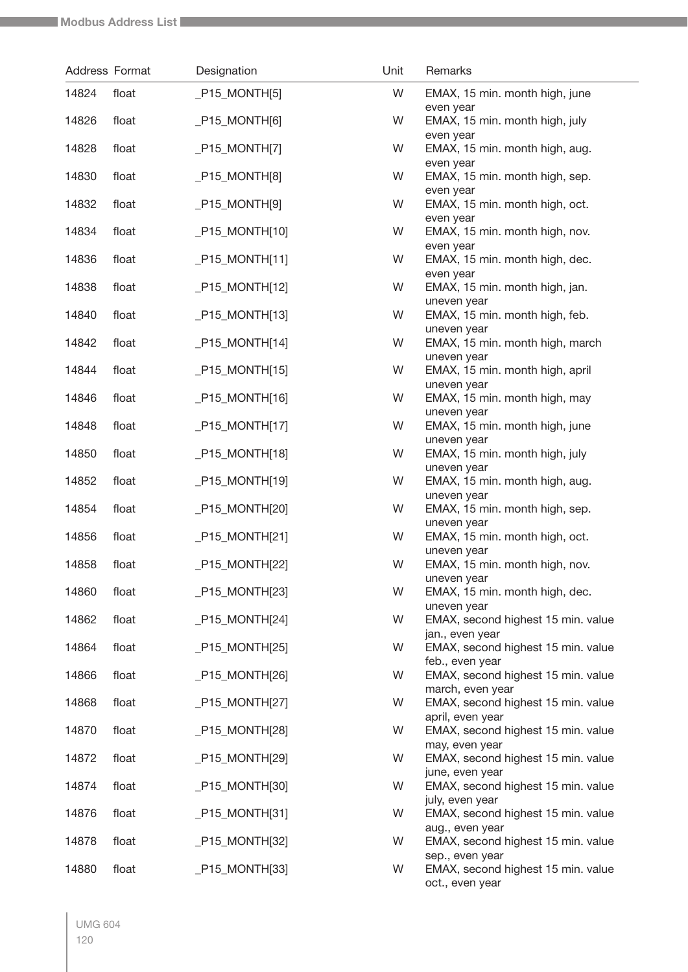|       | Address Format | Designation      | Unit | Remarks                                                  |
|-------|----------------|------------------|------|----------------------------------------------------------|
| 14824 | float          | $P15_MONTHI5$    | W    | EMAX, 15 min. month high, june<br>even year              |
| 14826 | float          | $P15_MONTH[6]$   | W    | EMAX, 15 min. month high, july<br>even year              |
| 14828 | float          | $P15_MONTH[7]$   | W    | EMAX, 15 min. month high, aug.                           |
| 14830 | float          | $P15_MONTH[8]$   | W    | even year<br>EMAX, 15 min. month high, sep.<br>even year |
| 14832 | float          | $P15_MONTH[9]$   | W    | EMAX, 15 min. month high, oct.<br>even year              |
| 14834 | float          | $P15_MONTH[10]$  | W    | EMAX, 15 min. month high, nov.<br>even year              |
| 14836 | float          | $P15_MONTH[11]$  | W    | EMAX, 15 min. month high, dec.<br>even year              |
| 14838 | float          | $P15_MONTHI[12]$ | W    | EMAX, 15 min. month high, jan.<br>uneven year            |
| 14840 | float          | $P15_MONTH[13]$  | W    | EMAX, 15 min. month high, feb.<br>uneven year            |
| 14842 | float          | $P15_MONTHI14]$  | W    | EMAX, 15 min. month high, march<br>uneven year           |
| 14844 | float          | $P15_MONTH[15]$  | W    | EMAX, 15 min. month high, april<br>uneven year           |
| 14846 | float          | $P15_MONTH[16]$  | W    | EMAX, 15 min. month high, may<br>uneven year             |
| 14848 | float          | $P15_MONTH[17]$  | W    | EMAX, 15 min. month high, june<br>uneven year            |
| 14850 | float          | $P15_MONTH[18]$  | W    | EMAX, 15 min. month high, july<br>uneven year            |
| 14852 | float          | $P15_MONTH[19]$  | W    | EMAX, 15 min. month high, aug.<br>uneven year            |
| 14854 | float          | $P15_MONTH[20]$  | W    | EMAX, 15 min. month high, sep.<br>uneven year            |
| 14856 | float          | $P15_MONTH[21]$  | W    | EMAX, 15 min. month high, oct.<br>uneven year            |
| 14858 | float          | $P15_MONTH[22]$  | W    | EMAX, 15 min. month high, nov.<br>uneven year            |
| 14860 | float          | $P15_MONTH[23]$  | W    | EMAX, 15 min. month high, dec.<br>uneven year            |
| 14862 | float          | $P15_MONTHI[24]$ | W    | EMAX, second highest 15 min. value<br>jan., even year    |
| 14864 | float          | $P15_MONTH[25]$  | W    | EMAX, second highest 15 min. value<br>feb., even year    |
| 14866 | float          | $P15_MONTH[26]$  | W    | EMAX, second highest 15 min. value<br>march, even year   |
| 14868 | float          | $P15_MONTH[27]$  | W    | EMAX, second highest 15 min. value<br>april, even year   |
| 14870 | float          | $P15_MONTH[28]$  | W    | EMAX, second highest 15 min. value<br>may, even year     |
| 14872 | float          | $P15_MONTH[29]$  | W    | EMAX, second highest 15 min. value<br>june, even year    |
| 14874 | float          | $P15_MONTH[30]$  | W    | EMAX, second highest 15 min. value<br>july, even year    |
| 14876 | float          | $P15_MONTH[31]$  | W    | EMAX, second highest 15 min. value<br>aug., even year    |
| 14878 | float          | $P15_MONTH[32]$  | W    | EMAX, second highest 15 min. value<br>sep., even year    |
| 14880 | float          | $P15_MONTHI[33]$ | W    | EMAX, second highest 15 min. value<br>oct., even year    |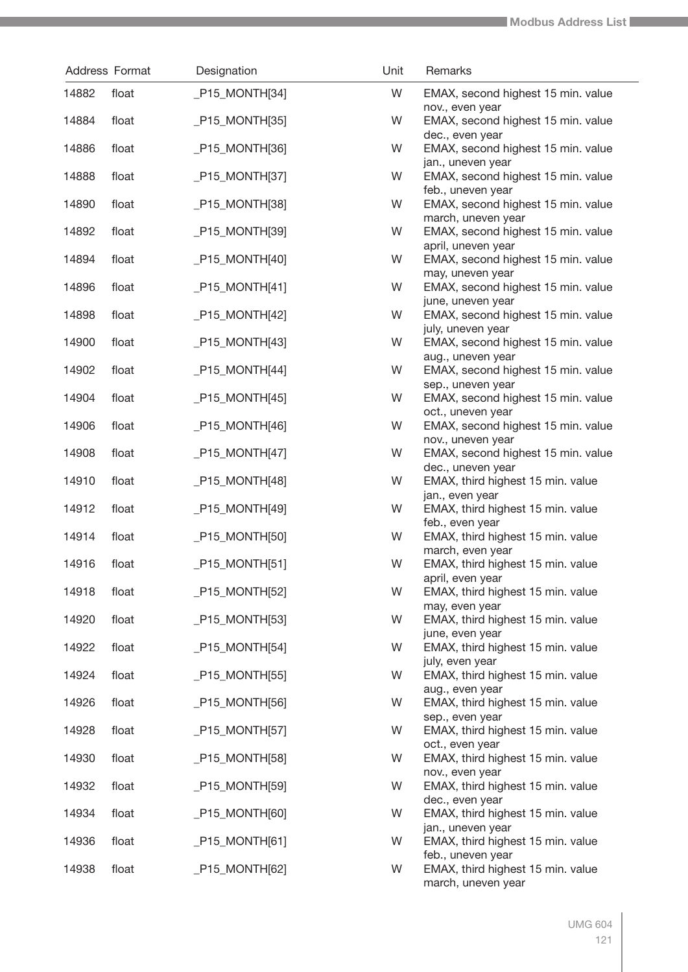| Address Format |       | Designation      | Unit | Remarks                                                                      |
|----------------|-------|------------------|------|------------------------------------------------------------------------------|
| 14882          | float | $P15_MONTHI34]$  | W    | EMAX, second highest 15 min. value                                           |
| 14884          | float | _P15_MONTH[35]   | W    | nov., even year<br>EMAX, second highest 15 min. value                        |
| 14886          | float | $P15_MONTHI36$   | W    | dec., even year<br>EMAX, second highest 15 min. value                        |
| 14888          | float | _P15_MONTH[37]   | W    | jan., uneven year<br>EMAX, second highest 15 min. value<br>feb., uneven year |
| 14890          | float | $P15_MONTH[38]$  | W    | EMAX, second highest 15 min. value<br>march, uneven year                     |
| 14892          | float | _P15_MONTH[39]   | W    | EMAX, second highest 15 min. value<br>april, uneven year                     |
| 14894          | float | $P15_MONTH[40]$  | W    | EMAX, second highest 15 min. value<br>may, uneven year                       |
| 14896          | float | $[P15_MONTH[41]$ | W    | EMAX, second highest 15 min. value<br>june, uneven year                      |
| 14898          | float | $P15_MONTH[42]$  | W    | EMAX, second highest 15 min. value<br>july, uneven year                      |
| 14900          | float | $P15_MONTH[43]$  | W    | EMAX, second highest 15 min. value<br>aug., uneven year                      |
| 14902          | float | $P15_MONTH[44]$  | W    | EMAX, second highest 15 min. value<br>sep., uneven year                      |
| 14904          | float | $P15_MONTH[45]$  | W    | EMAX, second highest 15 min. value<br>oct., uneven year                      |
| 14906          | float | $P15_MONTH[46]$  | W    | EMAX, second highest 15 min. value<br>nov., uneven year                      |
| 14908          | float | $P15_MONTH[47]$  | W    | EMAX, second highest 15 min. value<br>dec., uneven year                      |
| 14910          | float | $P15_MONTH[48]$  | W    | EMAX, third highest 15 min. value<br>jan., even year                         |
| 14912          | float | $P15_MONTH[49]$  | W    | EMAX, third highest 15 min. value<br>feb., even year                         |
| 14914          | float | _P15_MONTH[50]   | W    | EMAX, third highest 15 min. value<br>march, even year                        |
| 14916          | float | $P15_MONTHI51]$  | W    | EMAX, third highest 15 min. value<br>april, even year                        |
| 14918          | float | _P15_MONTH[52]   | W    | EMAX, third highest 15 min. value<br>may, even year                          |
| 14920          | float | $P15_MONTH[53]$  | W    | EMAX, third highest 15 min. value<br>june, even year                         |
| 14922          | float | $P15_MONTHI54]$  | W    | EMAX, third highest 15 min. value<br>july, even year                         |
| 14924          | float | $P15_MONTH[55]$  | W    | EMAX, third highest 15 min. value<br>aug., even year                         |
| 14926          | float | $P15_MONTH[56]$  | W    | EMAX, third highest 15 min. value<br>sep., even year                         |
| 14928          | float | $P15_MONTH[57]$  | W    | EMAX, third highest 15 min. value<br>oct., even year                         |
| 14930          | float | $P15_MONTH[58]$  | W    | EMAX, third highest 15 min. value<br>nov., even year                         |
| 14932          | float | $P15_MONTH[59]$  | W    | EMAX, third highest 15 min. value<br>dec., even year                         |
| 14934          | float | $P15_MONTH[60]$  | W    | EMAX, third highest 15 min. value<br>jan., uneven year                       |
| 14936          | float | $P15_MONTH[61]$  | W    | EMAX, third highest 15 min. value<br>feb., uneven year                       |
| 14938          | float | $P15_MONTH[62]$  | W    | EMAX, third highest 15 min. value<br>march, uneven year                      |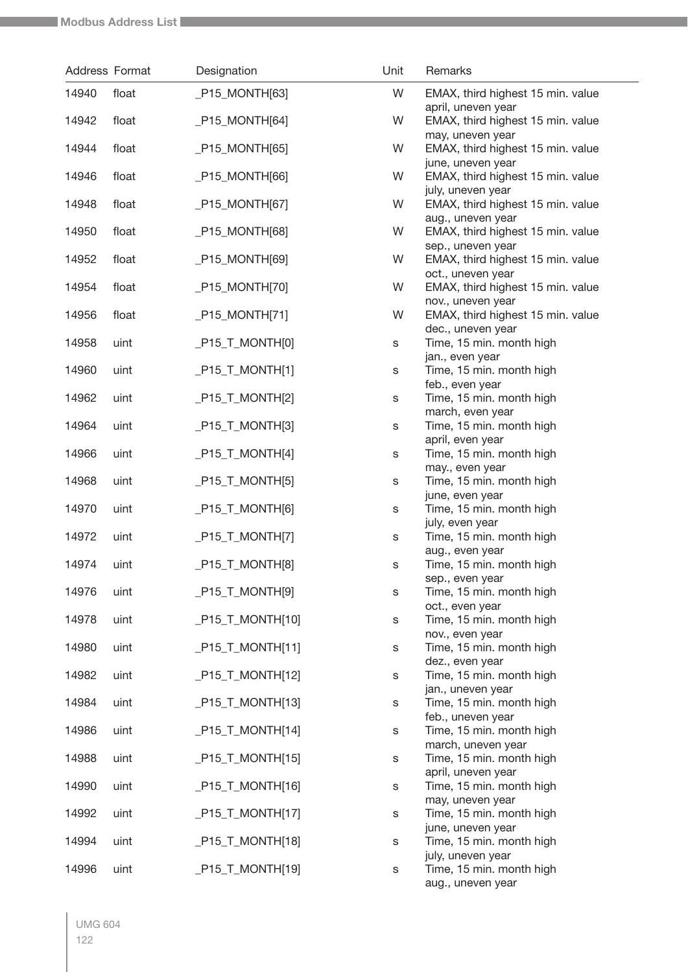|       | Address Format | Designation                    | Unit        | Remarks                                                                     |
|-------|----------------|--------------------------------|-------------|-----------------------------------------------------------------------------|
| 14940 | float          | $P15_MONTH[63]$                | W           | EMAX, third highest 15 min. value                                           |
| 14942 | float          | $P15_MONTH[64]$                | W           | april, uneven year<br>EMAX, third highest 15 min. value                     |
| 14944 | float          | $P15_MONTH[65]$                | W           | may, uneven year<br>EMAX, third highest 15 min. value                       |
| 14946 | float          | $P15_MONTHI[66]$               | W           | june, uneven year<br>EMAX, third highest 15 min. value                      |
| 14948 | float          | $P15_MONTH[67]$                | W           | july, uneven year<br>EMAX, third highest 15 min. value                      |
| 14950 | float          | $P15_MONTH[68]$                | W           | aug., uneven year<br>EMAX, third highest 15 min. value<br>sep., uneven year |
| 14952 | float          | $P15_MONTH[69]$                | W           | EMAX, third highest 15 min. value<br>oct., uneven year                      |
| 14954 | float          | $P15_MONTHI70$                 | W           | EMAX, third highest 15 min. value<br>nov., uneven year                      |
| 14956 | float          | $P15_MONTH[71]$                | W           | EMAX, third highest 15 min. value<br>dec., uneven year                      |
| 14958 | uint           | $P15_T_MONTH[0]$               | $\mathbb S$ | Time, 15 min. month high<br>jan., even year                                 |
| 14960 | uint           | $P15_T_MONTH[1]$               | S           | Time, 15 min. month high<br>feb., even year                                 |
| 14962 | uint           | $P15_T_MONTH[2]$               | S           | Time, 15 min. month high<br>march, even year                                |
| 14964 | uint           | $P15_T_MONTH[3]$               | s           | Time, 15 min. month high<br>april, even year                                |
| 14966 | uint           | $P15_T_MONTH[4]$               | s           | Time, 15 min. month high<br>may., even year                                 |
| 14968 | uint           | $P15_T_MONTH[5]$               | s           | Time, 15 min. month high<br>june, even year                                 |
| 14970 | uint           | $-P15_T_MONTH[6]$              | s           | Time, 15 min. month high<br>july, even year                                 |
| 14972 | uint           | $-P15_T_MONTH[7]$              | s           | Time, 15 min. month high<br>aug., even year                                 |
| 14974 | uint           | $-P15_T_MONTH[8]$              | S           | Time, 15 min. month high<br>sep., even year                                 |
| 14976 | uint           | $-P15_T_MONTH[9]$              | s           | Time, 15 min. month high<br>oct., even year                                 |
| 14978 | uint           | $P15_T_MONTH[10]$              | S           | Time, 15 min. month high<br>nov., even year                                 |
| 14980 | uint           | $P15_T_MONTH[11]$              | s           | Time, 15 min. month high<br>dez., even year                                 |
| 14982 | uint           | $P15$ <sub>_T</sub> _MONTH[12] | s           | Time, 15 min. month high<br>jan., uneven year                               |
| 14984 | uint           | $P15_T_MONTH[13]$              | S           | Time, 15 min. month high                                                    |
| 14986 | uint           | $P15_T_MONTH[14]$              | s           | feb., uneven year<br>Time, 15 min. month high<br>march, uneven year         |
| 14988 | uint           | $P15_T_MONTH[15]$              | S           | Time, 15 min. month high                                                    |
| 14990 | uint           | $P15_T_MONTH[16]$              | s           | april, uneven year<br>Time, 15 min. month high                              |
| 14992 | uint           | $P15_T_MONTH[17]$              | S           | may, uneven year<br>Time, 15 min. month high                                |
| 14994 | uint           | $P15_T_MONTH[18]$              | S           | june, uneven year<br>Time, 15 min. month high<br>july, uneven year          |
| 14996 | uint           | $P15_T_MONTH[19]$              | S           | Time, 15 min. month high<br>aug., uneven year                               |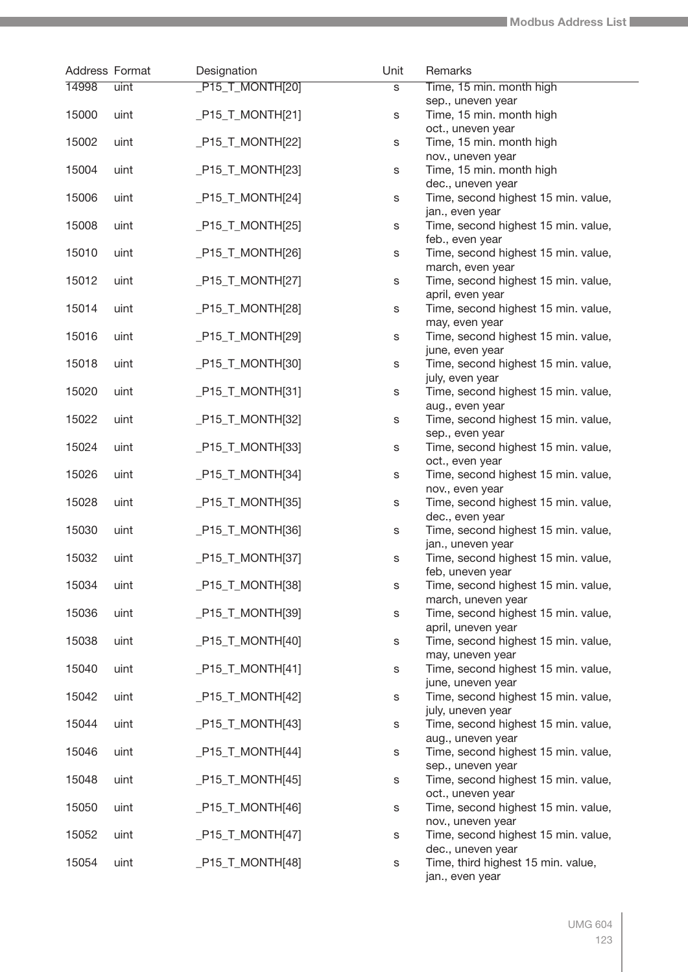| Address Format |      | Designation                    | Unit | Remarks                                                  |
|----------------|------|--------------------------------|------|----------------------------------------------------------|
| 14998          | uint | $PI5_TMONTH[20]$               | s    | Time, 15 min. month high                                 |
|                |      |                                |      | sep., uneven year                                        |
| 15000          | uint | $P15_T_MONTH[21]$              | S    | Time, 15 min. month high<br>oct., uneven year            |
| 15002          | uint | $P15_T_MONTH[22]$              | s    | Time, 15 min. month high                                 |
|                |      |                                |      | nov., uneven year                                        |
| 15004          | uint | $P15_T_MONTH[23]$              | s    | Time, 15 min. month high                                 |
|                |      |                                |      | dec., uneven year                                        |
| 15006          | uint | $P15_T_MONTH[24]$              | s    | Time, second highest 15 min. value,                      |
| 15008          | uint | $P15_T_MONTH[25]$              | S    | jan., even year<br>Time, second highest 15 min. value,   |
|                |      |                                |      | feb., even year                                          |
| 15010          | uint | $P15_T_MONTH[26]$              | S    | Time, second highest 15 min. value,                      |
|                |      |                                |      | march, even year                                         |
| 15012          | uint | $P15_T_MONTH[27]$              | s    | Time, second highest 15 min. value,                      |
| 15014          | uint |                                |      | april, even year                                         |
|                |      | $P15_T_MONTH[28]$              | s    | Time, second highest 15 min. value,<br>may, even year    |
| 15016          | uint | _P15_T_MONTH[29]               | S    | Time, second highest 15 min. value,                      |
|                |      |                                |      | june, even year                                          |
| 15018          | uint | $P15_T_MONTH[30]$              | S    | Time, second highest 15 min. value,                      |
|                |      |                                |      | july, even year                                          |
| 15020          | uint | $P15_T_MONTH[31]$              | s    | Time, second highest 15 min. value,<br>aug., even year   |
| 15022          | uint | _P15_T_MONTH[32]               | S    | Time, second highest 15 min. value,                      |
|                |      |                                |      | sep., even year                                          |
| 15024          | uint | $P15_T_MONTH[33]$              | s    | Time, second highest 15 min. value,                      |
|                |      |                                |      | oct., even year                                          |
| 15026          | uint | $P15_T_MONTH[34]$              | s    | Time, second highest 15 min. value,<br>nov., even year   |
| 15028          | uint | $P15_T_MONTH[35]$              | s    | Time, second highest 15 min. value,                      |
|                |      |                                |      | dec., even year                                          |
| 15030          | uint | $P15_T_MONTH[36]$              | s    | Time, second highest 15 min. value,                      |
|                |      |                                |      | jan., uneven year                                        |
| 15032          | uint | $[P15_T_MONTH[37]$             | S    | Time, second highest 15 min. value,<br>feb, uneven year  |
| 15034          | uint | $P15_T_MONTH[38]$              | s    | Time, second highest 15 min. value,                      |
|                |      |                                |      | march, uneven year                                       |
| 15036          | uint | $P15$ <sub>_T</sub> _MONTH[39] | s    | Time, second highest 15 min. value,                      |
|                |      |                                |      | april, uneven year                                       |
| 15038          | uint | $P15_T_MONTH[40]$              | s    | Time, second highest 15 min. value,<br>may, uneven year  |
| 15040          | uint | $P15_T_MONTH[41]$              | s    | Time, second highest 15 min. value,                      |
|                |      |                                |      | june, uneven year                                        |
| 15042          | uint | $P15_T_MONTH[42]$              | s    | Time, second highest 15 min. value,                      |
|                |      |                                |      | july, uneven year                                        |
| 15044          | uint | $PI5$ <sub>_T</sub> _MONTH[43] | s    | Time, second highest 15 min. value,<br>aug., uneven year |
| 15046          | uint | $P15_T_MONTH[44]$              | s    | Time, second highest 15 min. value,                      |
|                |      |                                |      | sep., uneven year                                        |
| 15048          | uint | $P15_T_MONTH[45]$              | s    | Time, second highest 15 min. value,                      |
|                |      |                                |      | oct., uneven year                                        |
| 15050          | uint | $P15_T_MONTH[46]$              | s    | Time, second highest 15 min. value,<br>nov., uneven year |
| 15052          | uint | $P15_T_MONTH[47]$              | s    | Time, second highest 15 min. value,                      |
|                |      |                                |      | dec., uneven year                                        |
| 15054          | uint | $P15_T_MONTH[48]$              | s    | Time, third highest 15 min. value,                       |
|                |      |                                |      | jan., even year                                          |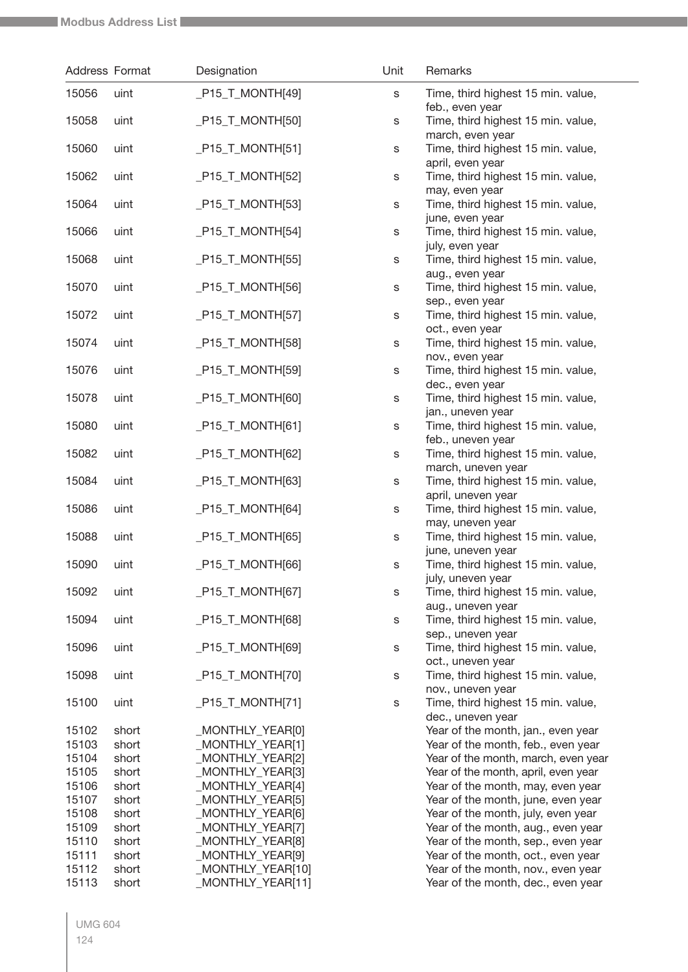| Address Format |                | Designation                          | Unit | Remarks                                                                  |
|----------------|----------------|--------------------------------------|------|--------------------------------------------------------------------------|
| 15056          | uint           | $P15_T_MONTH[49]$                    | S    | Time, third highest 15 min. value,<br>feb., even year                    |
| 15058          | uint           | $P15_T_MONTH[50]$                    | s    | Time, third highest 15 min. value,<br>march, even year                   |
| 15060          | uint           | $[P15_T_MONTH[51]$                   | s    | Time, third highest 15 min. value,<br>april, even year                   |
| 15062          | uint           | $P15_T_MONTH[52]$                    | s    | Time, third highest 15 min. value,<br>may, even year                     |
| 15064          | uint           | $-P15_T_MONTH[53]$                   | s    | Time, third highest 15 min. value,<br>june, even year                    |
| 15066          | uint           | $-P15_T_MONTH[54]$                   | s    | Time, third highest 15 min. value,<br>july, even year                    |
| 15068          | uint           | $-P15_T_MONTH[55]$                   | s    | Time, third highest 15 min. value,<br>aug., even year                    |
| 15070          | uint           | $-P15_T_MONTH[56]$                   | s    | Time, third highest 15 min. value,<br>sep., even year                    |
| 15072          | uint           | $-P15_T_MONTH[57]$                   | s    | Time, third highest 15 min. value,<br>oct., even year                    |
| 15074          | uint           | $P15_T_MONTH[58]$                    | s    | Time, third highest 15 min. value,<br>nov., even year                    |
| 15076          | uint           | $P15_T_MONTH[59]$                    | s    | Time, third highest 15 min. value,<br>dec., even year                    |
| 15078          | uint           | $P15_T_MONTH[60]$                    | s    | Time, third highest 15 min. value,<br>jan., uneven year                  |
| 15080          | uint           | $[P15_T_MONTH[61]$                   | s    | Time, third highest 15 min. value,<br>feb., uneven year                  |
| 15082          | uint           | $P15_T_MONTH[62]$                    | s    | Time, third highest 15 min. value,<br>march, uneven year                 |
| 15084          | uint           | $P15_T_MONTH[63]$                    | s    | Time, third highest 15 min. value,<br>april, uneven year                 |
| 15086          | uint           | $P15_T_MONTH[64]$                    | s    | Time, third highest 15 min. value,<br>may, uneven year                   |
| 15088          | uint           | $P15_T_MONTH[65]$                    | s    | Time, third highest 15 min. value,<br>june, uneven year                  |
| 15090          | uint           | $P15_T_MONTH[66]$                    | s    | Time, third highest 15 min. value,<br>july, uneven year                  |
| 15092          | uint           | $-P15_T_MONTH[67]$                   | s    | Time, third highest 15 min. value,<br>aug., uneven year                  |
| 15094          | uint           | $P15_T_MONTH[68]$                    | s    | Time, third highest 15 min. value,<br>sep., uneven year                  |
| 15096          | uint           | $P15_T_MONTH[69]$                    | s    | Time, third highest 15 min. value,<br>oct., uneven year                  |
| 15098          | uint           | $-P15_T_MONTH[70]$                   | s    | Time, third highest 15 min. value,<br>nov., uneven year                  |
| 15100          | uint           | $-P15_T_MONTH[71]$                   | s    | Time, third highest 15 min. value,<br>dec., uneven year                  |
| 15102<br>15103 | short<br>short | _MONTHLY_YEAR[0]<br>_MONTHLY_YEAR[1] |      | Year of the month, jan., even year<br>Year of the month, feb., even year |
|                |                |                                      |      |                                                                          |
| 15104          | short          | _MONTHLY_YEAR[2]                     |      | Year of the month, march, even year                                      |
| 15105          | short          | _MONTHLY_YEAR[3]                     |      | Year of the month, april, even year                                      |
| 15106          | short          | _MONTHLY_YEAR[4]                     |      | Year of the month, may, even year                                        |
| 15107          | short          | _MONTHLY_YEAR[5]                     |      | Year of the month, june, even year                                       |
| 15108          | short          | _MONTHLY_YEAR[6]                     |      | Year of the month, july, even year                                       |
| 15109          | short          | _MONTHLY_YEAR[7]                     |      | Year of the month, aug., even year                                       |
| 15110          | short          | _MONTHLY_YEAR[8]                     |      | Year of the month, sep., even year                                       |
|                |                |                                      |      |                                                                          |
| 15111          | short          | _MONTHLY_YEAR[9]                     |      | Year of the month, oct., even year                                       |
| 15112          | short          | _MONTHLY_YEAR[10]                    |      | Year of the month, nov., even year                                       |
| 15113          | short          | MONTHLY_YEAR[11]                     |      | Year of the month, dec., even year                                       |